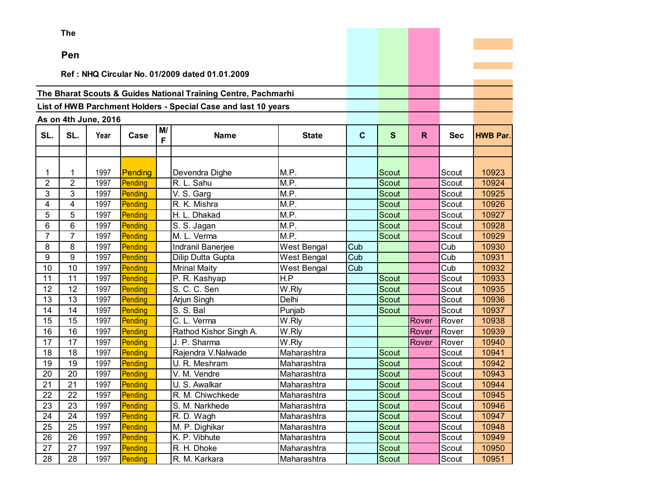**The** 

### **Pen**

#### **Ref : NHQ Circular No. 01/2009 dated 01.01.2009**

## **The Bharat Scouts & Guides National Training Centre, Pachmarhi**

# **List of HWB Parchment Holders - Special Case and last 10 years**

|                 | As on 4th June, 2016<br>M/<br>SL.<br>Case<br>Year<br><b>Name</b><br>F<br>1997<br>1<br>Pending<br>Devendra Dighe<br>$\overline{2}$<br>1997<br>Pending<br>R. L. Sahu<br>3<br>V. S. Garg<br>1997<br>Pending<br>1997<br>R. K. Mishra<br>4<br>Pending<br>5<br>1997<br>H. L. Dhakad<br>Pending<br>6<br>$\overline{S}$ . S. Jagan<br>1997<br>Pending<br>$\overline{7}$<br>1997<br>M. L. Verma<br>Pending<br>8<br>1997<br>Pending<br>Indranil Banerjee<br>9<br>1997<br>Pending<br>Dilip Dutta Gupta<br>10<br>1997<br>Pending<br><b>Mrinal Maity</b><br>11<br>1997<br>P. R. Kashyap<br>Pending<br>12<br>S. C. C. Sen<br>1997<br>Pending |      |         |  |                        |                     |              |              |              |                         |                 |
|-----------------|--------------------------------------------------------------------------------------------------------------------------------------------------------------------------------------------------------------------------------------------------------------------------------------------------------------------------------------------------------------------------------------------------------------------------------------------------------------------------------------------------------------------------------------------------------------------------------------------------------------------------------|------|---------|--|------------------------|---------------------|--------------|--------------|--------------|-------------------------|-----------------|
| SL.             |                                                                                                                                                                                                                                                                                                                                                                                                                                                                                                                                                                                                                                |      |         |  |                        | <b>State</b>        | $\mathbf{C}$ | $\mathbf{s}$ | $\mathsf{R}$ | <b>Sec</b>              | <b>HWB Par.</b> |
|                 |                                                                                                                                                                                                                                                                                                                                                                                                                                                                                                                                                                                                                                |      |         |  |                        |                     |              |              |              |                         |                 |
|                 |                                                                                                                                                                                                                                                                                                                                                                                                                                                                                                                                                                                                                                |      |         |  |                        |                     |              |              |              |                         |                 |
|                 |                                                                                                                                                                                                                                                                                                                                                                                                                                                                                                                                                                                                                                |      |         |  |                        | M.P.                |              | Scout        |              | Scout                   | 10923           |
| $\overline{2}$  |                                                                                                                                                                                                                                                                                                                                                                                                                                                                                                                                                                                                                                |      |         |  |                        | M.P.                |              | <b>Scout</b> |              | Scout                   | 10924           |
| 3               |                                                                                                                                                                                                                                                                                                                                                                                                                                                                                                                                                                                                                                |      |         |  |                        | M.P.                |              | <b>Scout</b> |              | Scout                   | 10925           |
| 4               |                                                                                                                                                                                                                                                                                                                                                                                                                                                                                                                                                                                                                                |      |         |  |                        | M.P.                |              | <b>Scout</b> |              | Scout                   | 10926           |
| 5               |                                                                                                                                                                                                                                                                                                                                                                                                                                                                                                                                                                                                                                |      |         |  |                        | M.P.                |              | <b>Scout</b> |              | Scout                   | 10927           |
| 6               |                                                                                                                                                                                                                                                                                                                                                                                                                                                                                                                                                                                                                                |      |         |  |                        | M.P.                |              | Scout        |              | Scout                   | 10928           |
| $\overline{7}$  |                                                                                                                                                                                                                                                                                                                                                                                                                                                                                                                                                                                                                                |      |         |  |                        | M.P.                |              | <b>Scout</b> |              | Scout                   | 10929           |
| 8               |                                                                                                                                                                                                                                                                                                                                                                                                                                                                                                                                                                                                                                |      |         |  |                        | <b>West Bengal</b>  | Cub          |              |              | $\overline{\text{Cub}}$ | 10930           |
| 9               |                                                                                                                                                                                                                                                                                                                                                                                                                                                                                                                                                                                                                                |      |         |  |                        | West Bengal         | Cub          |              |              | Cub                     | 10931           |
| 10              |                                                                                                                                                                                                                                                                                                                                                                                                                                                                                                                                                                                                                                |      |         |  |                        | <b>West Bengal</b>  | Cub          |              |              | Cub                     | 10932           |
| 11              |                                                                                                                                                                                                                                                                                                                                                                                                                                                                                                                                                                                                                                |      |         |  |                        | H.P                 |              | Scout        |              | Scout                   | 10933           |
| 12              |                                                                                                                                                                                                                                                                                                                                                                                                                                                                                                                                                                                                                                |      |         |  |                        | $\overline{W}$ .Rly |              | Scout        |              | Scout                   | 10935           |
| 13              | 13                                                                                                                                                                                                                                                                                                                                                                                                                                                                                                                                                                                                                             | 1997 | Pending |  | Arjun Singh            | Delhi               |              | Scout        |              | Scout                   | 10936           |
| 14              | 14                                                                                                                                                                                                                                                                                                                                                                                                                                                                                                                                                                                                                             | 1997 | Pending |  | S. S. Bal              | Punjab              |              | <b>Scout</b> |              | Scout                   | 10937           |
| 15              | 15                                                                                                                                                                                                                                                                                                                                                                                                                                                                                                                                                                                                                             | 1997 | Pending |  | C. L. Verma            | W.Rly               |              |              | Rover        | Rover                   | 10938           |
| 16              | 16                                                                                                                                                                                                                                                                                                                                                                                                                                                                                                                                                                                                                             | 1997 | Pending |  | Rathod Kishor Singh A. | W.Rly               |              |              | Rover        | Rover                   | 10939           |
| 17              | 17                                                                                                                                                                                                                                                                                                                                                                                                                                                                                                                                                                                                                             | 1997 | Pending |  | J. P. Sharma           | W.Rly               |              |              | Rover        | Rover                   | 10940           |
| 18              | 18                                                                                                                                                                                                                                                                                                                                                                                                                                                                                                                                                                                                                             | 1997 | Pending |  | Rajendra V.Nalwade     | Maharashtra         |              | Scout        |              | Scout                   | 10941           |
| $\overline{19}$ | $\overline{19}$                                                                                                                                                                                                                                                                                                                                                                                                                                                                                                                                                                                                                | 1997 | Pending |  | U. R. Meshram          | Maharashtra         |              | <b>Scout</b> |              | Scout                   | 10942           |
| 20              | 20                                                                                                                                                                                                                                                                                                                                                                                                                                                                                                                                                                                                                             | 1997 | Pending |  | V. M. Vendre           | Maharashtra         |              | Scout        |              | Scout                   | 10943           |
| 21              | $\overline{21}$                                                                                                                                                                                                                                                                                                                                                                                                                                                                                                                                                                                                                | 1997 | Pending |  | U. S. Awalkar          | Maharashtra         |              | <b>Scout</b> |              | Scout                   | 10944           |
| 22              | 22                                                                                                                                                                                                                                                                                                                                                                                                                                                                                                                                                                                                                             | 1997 | Pending |  | R. M. Chiwchkede       | Maharashtra         |              | Scout        |              | Scout                   | 10945           |
| 23              | 23                                                                                                                                                                                                                                                                                                                                                                                                                                                                                                                                                                                                                             | 1997 | Pending |  | S. M. Narkhede         | Maharashtra         |              | Scout        |              | Scout                   | 10946           |
| 24              | 24                                                                                                                                                                                                                                                                                                                                                                                                                                                                                                                                                                                                                             | 1997 | Pending |  | R. D. Wagh             | Maharashtra         |              | Scout        |              | Scout                   | 10947           |
| 25              | 25                                                                                                                                                                                                                                                                                                                                                                                                                                                                                                                                                                                                                             | 1997 | Pending |  | M. P. Dighikar         | Maharashtra         |              | Scout        |              | Scout                   | 10948           |
| 26              | 26                                                                                                                                                                                                                                                                                                                                                                                                                                                                                                                                                                                                                             | 1997 | Pending |  | K. P. Vibhute          | Maharashtra         |              | <b>Scout</b> |              | Scout                   | 10949           |
| 27              | 27                                                                                                                                                                                                                                                                                                                                                                                                                                                                                                                                                                                                                             | 1997 | Pending |  | R. H. Dhoke            | Maharashtra         |              | Scout        |              | Scout                   | 10950           |
| 28              | 28                                                                                                                                                                                                                                                                                                                                                                                                                                                                                                                                                                                                                             | 1997 | Pending |  | R. M. Karkara          | Maharashtra         |              | Scout        |              | Scout                   | 10951           |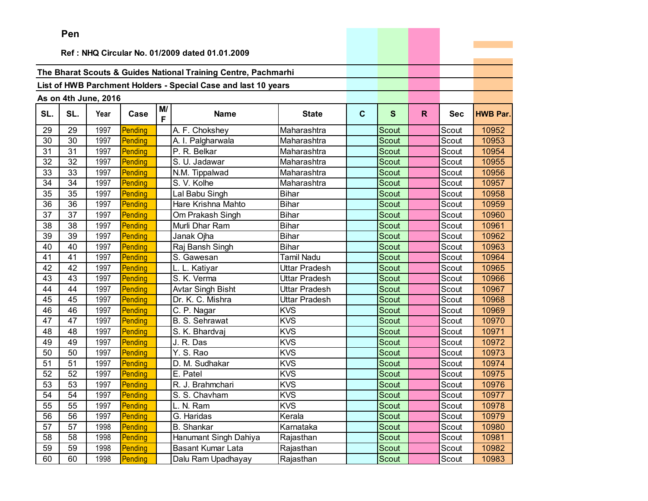|     | Pen |                      |         |         |                                                                |                      |             |              |    |            |                 |
|-----|-----|----------------------|---------|---------|----------------------------------------------------------------|----------------------|-------------|--------------|----|------------|-----------------|
|     |     |                      |         |         | Ref: NHQ Circular No. 01/2009 dated 01.01.2009                 |                      |             |              |    |            |                 |
|     |     |                      |         |         |                                                                |                      |             |              |    |            |                 |
|     |     |                      |         |         | The Bharat Scouts & Guides National Training Centre, Pachmarhi |                      |             |              |    |            |                 |
|     |     |                      |         |         |                                                                |                      |             |              |    |            |                 |
|     |     |                      |         |         | List of HWB Parchment Holders - Special Case and last 10 years |                      |             |              |    |            |                 |
|     |     | As on 4th June, 2016 |         |         |                                                                |                      |             |              |    |            |                 |
| SL. | SL. | Year                 | Case    | M/<br>F | <b>Name</b>                                                    | <b>State</b>         | $\mathbf c$ | $\mathbf{s}$ | R. | <b>Sec</b> | <b>HWB Par.</b> |
| 29  | 29  | 1997                 | Pending |         | A. F. Chokshey                                                 | Maharashtra          |             | <b>Scout</b> |    | Scout      | 10952           |
| 30  | 30  | 1997                 | Pending |         | A. I. Palgharwala                                              | Maharashtra          |             | Scout        |    | Scout      | 10953           |
| 31  | 31  | 1997                 | Pending |         | P. R. Belkar                                                   | Maharashtra          |             | Scout        |    | Scout      | 10954           |
| 32  | 32  | 1997                 | Pending |         | S. U. Jadawar                                                  | Maharashtra          |             | Scout        |    | Scout      | 10955           |
| 33  | 33  | 1997                 | Pending |         | N.M. Tippalwad                                                 | Maharashtra          |             | Scout        |    | Scout      | 10956           |
| 34  | 34  | 1997                 | Pending |         | S. V. Kolhe                                                    | Maharashtra          |             | <b>Scout</b> |    | Scout      | 10957           |
| 35  | 35  | 1997                 | Pending |         | Lal Babu Singh                                                 | <b>Bihar</b>         |             | Scout        |    | Scout      | 10958           |
| 36  | 36  | 1997                 | Pending |         | Hare Krishna Mahto                                             | <b>Bihar</b>         |             | Scout        |    | Scout      | 10959           |
| 37  | 37  | 1997                 | Pending |         | Om Prakash Singh                                               | <b>Bihar</b>         |             | Scout        |    | Scout      | 10960           |
| 38  | 38  | 1997                 | Pending |         | Murli Dhar Ram                                                 | <b>Bihar</b>         |             | Scout        |    | Scout      | 10961           |
| 39  | 39  | 1997                 | Pending |         | Janak Ojha                                                     | <b>Bihar</b>         |             | Scout        |    | Scout      | 10962           |
| 40  | 40  | 1997                 | Pending |         | Raj Bansh Singh                                                | <b>Bihar</b>         |             | <b>Scout</b> |    | Scout      | 10963           |
| 41  | 41  | 1997                 | Pending |         | S. Gawesan                                                     | <b>Tamil Nadu</b>    |             | Scout        |    | Scout      | 10964           |
| 42  | 42  | 1997                 | Pending |         | L. L. Katiyar                                                  | <b>Uttar Pradesh</b> |             | <b>Scout</b> |    | Scout      | 10965           |
| 43  | 43  | 1997                 | Pending |         | S. K. Verma                                                    | <b>Uttar Pradesh</b> |             | Scout        |    | Scout      | 10966           |
| 44  | 44  | 1997                 | Pending |         | Avtar Singh Bisht                                              | <b>Uttar Pradesh</b> |             | Scout        |    | Scout      | 10967           |
| 45  | 45  | 1997                 | Pending |         | Dr. K. C. Mishra                                               | <b>Uttar Pradesh</b> |             | <b>Scout</b> |    | Scout      | 10968           |
| 46  | 46  | 1997                 | Pending |         | C. P. Nagar                                                    | <b>KVS</b>           |             | Scout        |    | Scout      | 10969           |
| 47  | 47  | 1997                 | Pending |         | B. S. Sehrawat                                                 | <b>KVS</b>           |             | Scout        |    | Scout      | 10970           |
| 48  | 48  | 1997                 | Pending |         | S. K. Bhardvaj                                                 | <b>KVS</b>           |             | <b>Scout</b> |    | Scout      | 10971           |
| 49  | 49  | 1997                 | Pending |         | J. R. Das                                                      | <b>KVS</b>           |             | Scout        |    | Scout      | 10972           |
| 50  | 50  | 1997                 | Pending |         | Y. S. Rao                                                      | <b>KVS</b>           |             | Scout        |    | Scout      | 10973           |
| 51  | 51  | 1997                 | Pending |         | D. M. Sudhakar                                                 | <b>KVS</b>           |             | Scout        |    | Scout      | 10974           |
| 52  | 52  | 1997                 | Pending |         | E. Patel                                                       | <b>KVS</b>           |             | Scout        |    | Scout      | 10975           |
| 53  | 53  | 1997                 | Pending |         | R. J. Brahmchari                                               | <b>KVS</b>           |             | Scout        |    | Scout      | 10976           |
| 54  | 54  | 1997                 | Pending |         | S. S. Chavham                                                  | <b>KVS</b>           |             | Scout        |    | Scout      | 10977           |
| 55  | 55  | 1997                 | Pending |         | L. N. Ram                                                      | <b>KVS</b>           |             | Scout        |    | Scout      | 10978           |
| 56  | 56  | 1997                 | Pending |         | G. Haridas                                                     | Kerala               |             | Scout        |    | Scout      | 10979           |
| 57  | 57  | 1998                 | Pending |         | <b>B.</b> Shankar                                              | Karnataka            |             | Scout        |    | Scout      | 10980           |
| 58  | 58  | 1998                 | Pending |         | Hanumant Singh Dahiya                                          | Rajasthan            |             | Scout        |    | Scout      | 10981           |
| 59  | 59  | 1998                 | Pending |         | <b>Basant Kumar Lata</b>                                       | Rajasthan            |             | Scout        |    | Scout      | 10982           |
| 60  | 60  | 1998                 | Pending |         | Dalu Ram Upadhayay                                             | Rajasthan            |             | Scout        |    | Scout      | 10983           |

the control of the control of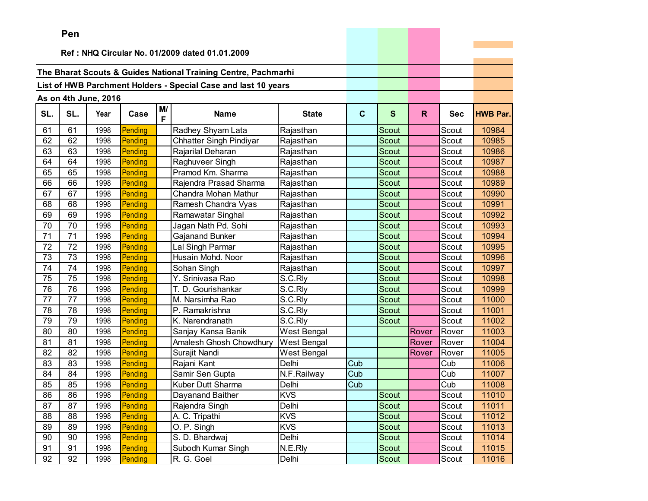|     | ren |                      |         |         |                                                                |                    |              |              |              |            |                 |
|-----|-----|----------------------|---------|---------|----------------------------------------------------------------|--------------------|--------------|--------------|--------------|------------|-----------------|
|     |     |                      |         |         | Ref: NHQ Circular No. 01/2009 dated 01.01.2009                 |                    |              |              |              |            |                 |
|     |     |                      |         |         |                                                                |                    |              |              |              |            |                 |
|     |     |                      |         |         | The Bharat Scouts & Guides National Training Centre, Pachmarhi |                    |              |              |              |            |                 |
|     |     |                      |         |         |                                                                |                    |              |              |              |            |                 |
|     |     |                      |         |         | List of HWB Parchment Holders - Special Case and last 10 years |                    |              |              |              |            |                 |
|     |     | As on 4th June, 2016 |         |         |                                                                |                    |              |              |              |            |                 |
| SL. | SL. | Year                 | Case    | M/<br>F | <b>Name</b>                                                    | <b>State</b>       | $\mathbf{C}$ | $\mathbf{s}$ | $\mathsf{R}$ | <b>Sec</b> | <b>HWB Par.</b> |
| 61  | 61  | 1998                 | Pending |         | Radhey Shyam Lata                                              | Rajasthan          |              | Scout        |              | Scout      | 10984           |
| 62  | 62  | 1998                 | Pending |         | <b>Chhatter Singh Pindiyar</b>                                 | Rajasthan          |              | Scout        |              | Scout      | 10985           |
| 63  | 63  | 1998                 | Pending |         | Rajarilal Deharan                                              | Rajasthan          |              | Scout        |              | Scout      | 10986           |
| 64  | 64  | 1998                 | Pending |         | Raghuveer Singh                                                | Rajasthan          |              | Scout        |              | Scout      | 10987           |
| 65  | 65  | 1998                 | Pending |         | Pramod Km. Sharma                                              | Rajasthan          |              | Scout        |              | Scout      | 10988           |
| 66  | 66  | 1998                 | Pending |         | Rajendra Prasad Sharma                                         | Rajasthan          |              | Scout        |              | Scout      | 10989           |
| 67  | 67  | 1998                 | Pending |         | Chandra Mohan Mathur                                           | Rajasthan          |              | Scout        |              | Scout      | 10990           |
| 68  | 68  | 1998                 | Pending |         | Ramesh Chandra Vyas                                            | Rajasthan          |              | <b>Scout</b> |              | Scout      | 10991           |
| 69  | 69  | 1998                 | Pending |         | Ramawatar Singhal                                              | Rajasthan          |              | Scout        |              | Scout      | 10992           |
| 70  | 70  | 1998                 | Pending |         | Jagan Nath Pd. Sohi                                            | Rajasthan          |              | <b>Scout</b> |              | Scout      | 10993           |
| 71  | 71  | 1998                 | Pending |         | Gajanand Bunker                                                | Rajasthan          |              | Scout        |              | Scout      | 10994           |
| 72  | 72  | 1998                 | Pending |         | Lal Singh Parmar                                               | Rajasthan          |              | Scout        |              | Scout      | 10995           |
| 73  | 73  | 1998                 | Pending |         | Husain Mohd. Noor                                              | Rajasthan          |              | Scout        |              | Scout      | 10996           |
| 74  | 74  | 1998                 | Pending |         | Sohan Singh                                                    | Rajasthan          |              | <b>Scout</b> |              | Scout      | 10997           |
| 75  | 75  | 1998                 | Pending |         | Y. Srinivasa Rao                                               | S.C.Rly            |              | Scout        |              | Scout      | 10998           |
| 76  | 76  | 1998                 | Pending |         | T. D. Gourishankar                                             | S.C.Rly            |              | Scout        |              | Scout      | 10999           |
| 77  | 77  | 1998                 | Pending |         | M. Narsimha Rao                                                | S.C.Rly            |              | <b>Scout</b> |              | Scout      | 11000           |
| 78  | 78  | 1998                 | Pending |         | P. Ramakrishna                                                 | S.C.Rly            |              | Scout        |              | Scout      | 11001           |
| 79  | 79  | 1998                 | Pending |         | K. Narendranath                                                | S.C.Rly            |              | Scout        |              | Scout      | 11002           |
| 80  | 80  | 1998                 | Pending |         | Sanjay Kansa Banik                                             | <b>West Bengal</b> |              |              | Rover        | Rover      | 11003           |
| 81  | 81  | 1998                 | Pending |         | Amalesh Ghosh Chowdhury                                        | <b>West Bengal</b> |              |              | Rover        | Rover      | 11004           |
| 82  | 82  | 1998                 | Pending |         | Surajit Nandi                                                  | West Bengal        |              |              | Rover        | Rover      | 11005           |
| 83  | 83  | 1998                 | Pending |         | Rajani Kant                                                    | Delhi              | Cub          |              |              | Cub        | 11006           |
| 84  | 84  | 1998                 | Pending |         | Samir Sen Gupta                                                | N.F.Railway        | Cub          |              |              | Cub        | 11007           |
| 85  | 85  | 1998                 | Pending |         | Kuber Dutt Sharma                                              | Delhi              | Cub          |              |              | Cub        | 11008           |
| 86  | 86  | 1998                 | Pending |         | Dayanand Baither                                               | <b>KVS</b>         |              | Scout        |              | Scout      | 11010           |
| 87  | 87  | 1998                 | Pending |         | Rajendra Singh                                                 | Delhi              |              | Scout        |              | Scout      | 11011           |
| 88  | 88  | 1998                 | Pending |         | A. C. Tripathi                                                 | <b>KVS</b>         |              | Scout        |              | Scout      | 11012           |
| 89  | 89  | 1998                 | Pending |         | O. P. Singh                                                    | <b>KVS</b>         |              | Scout        |              | Scout      | 11013           |
| 90  | 90  | 1998                 | Pending |         | S. D. Bhardwaj                                                 | Delhi              |              | Scout        |              | Scout      | 11014           |
| 91  | 91  | 1998                 | Pending |         | Subodh Kumar Singh                                             | N.E.Rly            |              | Scout        |              | Scout      | 11015           |
| 92  | 92  | 1998                 | Pending |         | R. G. Goel                                                     | Delhi              |              | Scout        |              | Scout      | 11016           |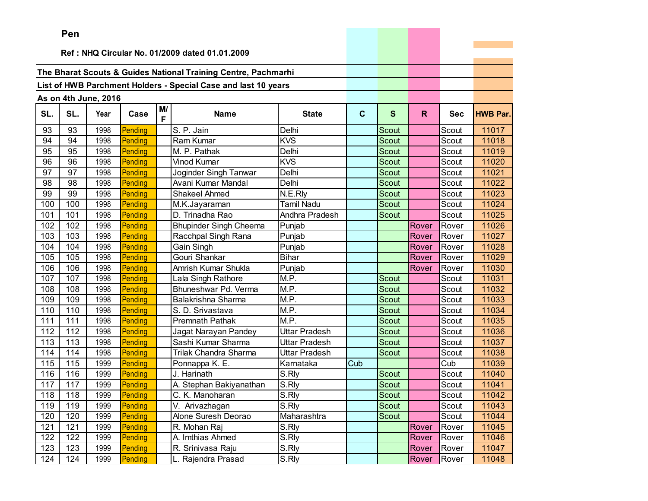|     | ren |                      |         |         |                                                                |                      |              |              |       |            |                 |
|-----|-----|----------------------|---------|---------|----------------------------------------------------------------|----------------------|--------------|--------------|-------|------------|-----------------|
|     |     |                      |         |         | Ref: NHQ Circular No. 01/2009 dated 01.01.2009                 |                      |              |              |       |            |                 |
|     |     |                      |         |         |                                                                |                      |              |              |       |            |                 |
|     |     |                      |         |         | The Bharat Scouts & Guides National Training Centre, Pachmarhi |                      |              |              |       |            |                 |
|     |     |                      |         |         | List of HWB Parchment Holders - Special Case and last 10 years |                      |              |              |       |            |                 |
|     |     |                      |         |         |                                                                |                      |              |              |       |            |                 |
|     |     | As on 4th June, 2016 |         |         |                                                                |                      |              |              |       |            |                 |
| SL. | SL. | Year                 | Case    | M/<br>F | <b>Name</b>                                                    | <b>State</b>         | $\mathbf{C}$ | $\mathbf{s}$ | R.    | <b>Sec</b> | <b>HWB Par.</b> |
| 93  | 93  | 1998                 | Pending |         | S. P. Jain                                                     | Delhi                |              | Scout        |       | Scout      | 11017           |
| 94  | 94  | 1998                 | Pending |         | Ram Kumar                                                      | <b>KVS</b>           |              | Scout        |       | Scout      | 11018           |
| 95  | 95  | 1998                 | Pending |         | $M. P.$ Pathak                                                 | Delhi                |              | Scout        |       | Scout      | 11019           |
| 96  | 96  | 1998                 | Pending |         | <b>Vinod Kumar</b>                                             | <b>KVS</b>           |              | Scout        |       | Scout      | 11020           |
| 97  | 97  | 1998                 | Pending |         | Joginder Singh Tanwar                                          | Delhi                |              | Scout        |       | Scout      | 11021           |
| 98  | 98  | 1998                 | Pending |         | Avani Kumar Mandal                                             | Delhi                |              | Scout        |       | Scout      | 11022           |
| 99  | 99  | 1998                 | Pending |         | Shakeel Ahmed                                                  | N.E.Rly              |              | Scout        |       | Scout      | 11023           |
| 100 | 100 | 1998                 | Pending |         | M.K.Jayaraman                                                  | <b>Tamil Nadu</b>    |              | Scout        |       | Scout      | 11024           |
| 101 | 101 | 1998                 | Pending |         | D. Trinadha Rao                                                | Andhra Pradesh       |              | Scout        |       | Scout      | 11025           |
| 102 | 102 | 1998                 | Pending |         | <b>Bhupinder Singh Cheema</b>                                  | Punjab               |              |              | Rover | Rover      | 11026           |
| 103 | 103 | 1998                 | Pending |         | Racchpal Singh Rana                                            | Punjab               |              |              | Rover | Rover      | 11027           |
| 104 | 104 | 1998                 | Pending |         | Gain Singh                                                     | Punjab               |              |              | Rover | Rover      | 11028           |
| 105 | 105 | 1998                 | Pending |         | Gouri Shankar                                                  | <b>Bihar</b>         |              |              | Rover | Rover      | 11029           |
| 106 | 106 | 1998                 | Pending |         | Amrish Kumar Shukla                                            | Punjab               |              |              | Rover | Rover      | 11030           |
| 107 | 107 | 1998                 | Pending |         | Lala Singh Rathore                                             | M.P.                 |              | Scout        |       | Scout      | 11031           |
| 108 | 108 | 1998                 | Pending |         | Bhuneshwar Pd. Verma                                           | M.P.                 |              | Scout        |       | Scout      | 11032           |
| 109 | 109 | 1998                 | Pending |         | Balakrishna Sharma                                             | M.P.                 |              | <b>Scout</b> |       | Scout      | 11033           |
| 110 | 110 | 1998                 | Pending |         | S. D. Srivastava                                               | M.P.                 |              | Scout        |       | Scout      | 11034           |
| 111 | 111 | 1998                 | Pending |         | <b>Premnath Pathak</b>                                         | M.P.                 |              | Scout        |       | Scout      | 11035           |
| 112 | 112 | 1998                 | Pending |         | Jagat Narayan Pandey                                           | Uttar Pradesh        |              | <b>Scout</b> |       | Scout      | 11036           |
| 113 | 113 | 1998                 | Pending |         | Sashi Kumar Sharma                                             | <b>Uttar Pradesh</b> |              | Scout        |       | Scout      | 11037           |
| 114 | 114 | 1998                 | Pending |         | Trilak Chandra Sharma                                          | <b>Uttar Pradesh</b> |              | Scout        |       | Scout      | 11038           |
| 115 | 115 | 1999                 | Pending |         | Ponnappa K. E.                                                 | Karnataka            | Cub          |              |       | Cub        | 11039           |
| 116 | 116 | 1999                 | Pending |         | J. Harinath                                                    | S.Rly                |              | Scout        |       | Scout      | 11040           |
| 117 | 117 | 1999                 | Pending |         | A. Stephan Bakiyanathan                                        | S.Rly                |              | Scout        |       | Scout      | 11041           |
| 118 | 118 | 1999                 | Pending |         | C. K. Manoharan                                                | S.Rly                |              | Scout        |       | Scout      | 11042           |
| 119 | 119 | 1999                 | Pending |         | V. Arivazhagan                                                 | S.Rly                |              | Scout        |       | Scout      | 11043           |
| 120 | 120 | 1999                 | Pending |         | Alone Suresh Deorao                                            | Maharashtra          |              | Scout        |       | Scout      | 11044           |
| 121 | 121 | 1999                 | Pending |         | R. Mohan Raj                                                   | S.Rly                |              |              | Rover | Rover      | 11045           |
| 122 | 122 | 1999                 | Pending |         | A. Imthias Ahmed                                               | S.Rly                |              |              | Rover | Rover      | 11046           |
| 123 | 123 | 1999                 | Pending |         | R. Srinivasa Raju                                              | S.Rly                |              |              | Rover | Rover      | 11047           |
| 124 | 124 | 1999                 | Pending |         | Rajendra Prasad                                                | S.Rly                |              |              | Rover | Rover      | 11048           |

the company's company's company's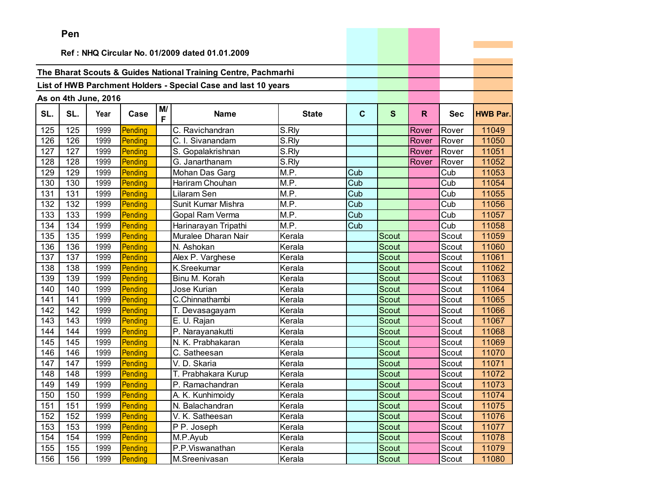|     | Pen                                            |                      |         |         |                                                                |                     |                         |              |       |            |                 |
|-----|------------------------------------------------|----------------------|---------|---------|----------------------------------------------------------------|---------------------|-------------------------|--------------|-------|------------|-----------------|
|     | Ref: NHQ Circular No. 01/2009 dated 01.01.2009 |                      |         |         |                                                                |                     |                         |              |       |            |                 |
|     |                                                |                      |         |         |                                                                |                     |                         |              |       |            |                 |
|     |                                                |                      |         |         | The Bharat Scouts & Guides National Training Centre, Pachmarhi |                     |                         |              |       |            |                 |
|     |                                                |                      |         |         | List of HWB Parchment Holders - Special Case and last 10 years |                     |                         |              |       |            |                 |
|     |                                                |                      |         |         |                                                                |                     |                         |              |       |            |                 |
|     |                                                | As on 4th June, 2016 |         |         |                                                                |                     |                         |              |       |            |                 |
| SL. | SL.                                            | Year                 | Case    | M/<br>F | <b>Name</b>                                                    | <b>State</b>        | $\mathbf{C}$            | S            | R     | <b>Sec</b> | <b>HWB Par.</b> |
| 125 | 125                                            | 1999                 | Pending |         | C. Ravichandran                                                | S.Rly               |                         |              | Rover | Rover      | 11049           |
| 126 | 126                                            | 1999                 | Pending |         | C. I. Sivanandam                                               | $\overline{S}$ .Rly |                         |              | Rover | Rover      | 11050           |
| 127 | 127                                            | 1999                 | Pending |         | S. Gopalakrishnan                                              | S.Rly               |                         |              | Rover | Rover      | 11051           |
| 128 | 128                                            | 1999                 | Pending |         | G. Janarthanam                                                 | S.Rly               |                         |              | Rover | Rover      | 11052           |
| 129 | 129                                            | 1999                 | Pending |         | Mohan Das Garg                                                 | M.P.                | Cub                     |              |       | Cub        | 11053           |
| 130 | 130                                            | 1999                 | Pending |         | Hariram Chouhan                                                | M.P.                | Cub                     |              |       | Cub        | 11054           |
| 131 | 131                                            | 1999                 | Pending |         | Lilaram Sen                                                    | M.P.                | $\overline{\text{Cub}}$ |              |       | Cub        | 11055           |
| 132 | 132                                            | 1999                 | Pending |         | Sunit Kumar Mishra                                             | M.P.                | Cub                     |              |       | Cub        | 11056           |
| 133 | 133                                            | 1999                 | Pending |         | <b>Gopal Ram Verma</b>                                         | $\overline{M}$ .P.  | Cub                     |              |       | Cub        | 11057           |
| 134 | 134                                            | 1999                 | Pending |         | Harinarayan Tripathi                                           | M.P.                | Cub                     |              |       | Cub        | 11058           |
| 135 | 135                                            | 1999                 | Pending |         | Muralee Dharan Nair                                            | Kerala              |                         | <b>Scout</b> |       | Scout      | 11059           |
| 136 | 136                                            | 1999                 | Pending |         | N. Ashokan                                                     | Kerala              |                         | Scout        |       | Scout      | 11060           |
| 137 | 137                                            | 1999                 | Pending |         | Alex P. Varghese                                               | Kerala              |                         | Scout        |       | Scout      | 11061           |
| 138 | 138                                            | 1999                 | Pending |         | K.Sreekumar                                                    | Kerala              |                         | <b>Scout</b> |       | Scout      | 11062           |
| 139 | 139                                            | 1999                 | Pending |         | Binu M. Korah                                                  | Kerala              |                         | Scout        |       | Scout      | 11063           |
| 140 | 140                                            | 1999                 | Pending |         | Jose Kurian                                                    | Kerala              |                         | Scout        |       | Scout      | 11064           |
| 141 | 141                                            | 1999                 | Pending |         | C.Chinnathambi                                                 | Kerala              |                         | <b>Scout</b> |       | Scout      | 11065           |
| 142 | 142                                            | 1999                 | Pending |         | T. Devasagayam                                                 | Kerala              |                         | <b>Scout</b> |       | Scout      | 11066           |
| 143 | 143                                            | 1999                 | Pending |         | E. U. Rajan                                                    | Kerala              |                         | Scout        |       | Scout      | 11067           |
| 144 | 144                                            | 1999                 | Pending |         | P. Narayanakutti                                               | Kerala              |                         | <b>Scout</b> |       | Scout      | 11068           |
| 145 | 145                                            | 1999                 | Pending |         | N. K. Prabhakaran                                              | Kerala              |                         | Scout        |       | Scout      | 11069           |
| 146 | 146                                            | 1999                 | Pending |         | C. Satheesan                                                   | Kerala              |                         | Scout        |       | Scout      | 11070           |
| 147 | 147                                            | 1999                 | Pending |         | V. D. Skaria                                                   | Kerala              |                         | Scout        |       | Scout      | 11071           |
| 148 | 148                                            | 1999                 | Pending |         | T. Prabhakara Kurup                                            | Kerala              |                         | Scout        |       | Scout      | 11072           |
| 149 | 149                                            | 1999                 | Pending |         | P. Ramachandran                                                | Kerala              |                         | Scout        |       | Scout      | 11073           |
| 150 | 150                                            | 1999                 | Pending |         | A. K. Kunhimoidy                                               | Kerala              |                         | Scout        |       | Scout      | 11074           |
| 151 | 151                                            | 1999                 | Pending |         | N. Balachandran                                                | Kerala              |                         | Scout        |       | Scout      | 11075           |
| 152 | 152                                            | 1999                 | Pending |         | V. K. Satheesan                                                | Kerala              |                         | Scout        |       | Scout      | 11076           |
| 153 | 153                                            | 1999                 | Pending |         | P P. Joseph                                                    | Kerala              |                         | Scout        |       | Scout      | 11077           |
| 154 | 154                                            | 1999                 | Pending |         | M.P.Ayub                                                       | Kerala              |                         | Scout        |       | Scout      | 11078           |
| 155 | 155                                            | 1999                 | Pending |         | P.P.Viswanathan                                                | Kerala              |                         | Scout        |       | Scout      | 11079           |
| 156 | 156                                            | 1999                 | Pending |         | M.Sreenivasan                                                  | Kerala              |                         | Scout        |       | Scout      | 11080           |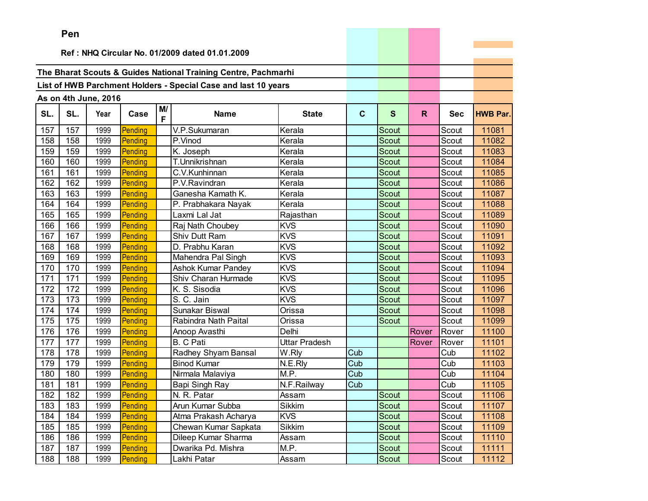|     | Pen |                      |         |         |                                                                |                      |              |              |       |            |                 |
|-----|-----|----------------------|---------|---------|----------------------------------------------------------------|----------------------|--------------|--------------|-------|------------|-----------------|
|     |     |                      |         |         |                                                                |                      |              |              |       |            |                 |
|     |     |                      |         |         | Ref: NHQ Circular No. 01/2009 dated 01.01.2009                 |                      |              |              |       |            |                 |
|     |     |                      |         |         | The Bharat Scouts & Guides National Training Centre, Pachmarhi |                      |              |              |       |            |                 |
|     |     |                      |         |         | List of HWB Parchment Holders - Special Case and last 10 years |                      |              |              |       |            |                 |
|     |     |                      |         |         |                                                                |                      |              |              |       |            |                 |
|     |     | As on 4th June, 2016 |         |         |                                                                |                      |              |              |       |            |                 |
| SL. | SL. | Year                 | Case    | M/<br>F | <b>Name</b>                                                    | <b>State</b>         | $\mathbf{C}$ | $\mathbf{s}$ | R.    | <b>Sec</b> | <b>HWB Par.</b> |
| 157 | 157 | 1999                 | Pending |         | V.P.Sukumaran                                                  | Kerala               |              | Scout        |       | Scout      | 11081           |
| 158 | 158 | 1999                 | Pending |         | P.Vinod                                                        | Kerala               |              | Scout        |       | Scout      | 11082           |
| 159 | 159 | 1999                 | Pending |         | K. Joseph                                                      | Kerala               |              | <b>Scout</b> |       | Scout      | 11083           |
| 160 | 160 | 1999                 | Pending |         | T.Unnikrishnan                                                 | Kerala               |              | Scout        |       | Scout      | 11084           |
| 161 | 161 | 1999                 | Pending |         | C.V.Kunhinnan                                                  | Kerala               |              | Scout        |       | Scout      | 11085           |
| 162 | 162 | 1999                 | Pending |         | P.V.Ravindran                                                  | Kerala               |              | <b>Scout</b> |       | Scout      | 11086           |
| 163 | 163 | 1999                 | Pending |         | Ganesha Kamath K.                                              | Kerala               |              | <b>Scout</b> |       | Scout      | 11087           |
| 164 | 164 | 1999                 | Pending |         | P. Prabhakara Nayak                                            | Kerala               |              | Scout        |       | Scout      | 11088           |
| 165 | 165 | 1999                 | Pending |         | Laxmi Lal Jat                                                  | Rajasthan            |              | <b>Scout</b> |       | Scout      | 11089           |
| 166 | 166 | 1999                 | Pending |         | Raj Nath Choubey                                               | <b>KVS</b>           |              | Scout        |       | Scout      | 11090           |
| 167 | 167 | 1999                 | Pending |         | Shiv Dutt Ram                                                  | <b>KVS</b>           |              | Scout        |       | Scout      | 11091           |
| 168 | 168 | 1999                 | Pending |         | D. Prabhu Karan                                                | <b>KVS</b>           |              | Scout        |       | Scout      | 11092           |
| 169 | 169 | 1999                 | Pending |         | Mahendra Pal Singh                                             | <b>KVS</b>           |              | Scout        |       | Scout      | 11093           |
| 170 | 170 | 1999                 | Pending |         | <b>Ashok Kumar Pandey</b>                                      | <b>KVS</b>           |              | Scout        |       | Scout      | 11094           |
| 171 | 171 | 1999                 | Pending |         | Shiv Charan Hurmade                                            | <b>KVS</b>           |              | Scout        |       | Scout      | 11095           |
| 172 | 172 | 1999                 | Pending |         | K. S. Sisodia                                                  | <b>KVS</b>           |              | Scout        |       | Scout      | 11096           |
| 173 | 173 | 1999                 | Pending |         | S. C. Jain                                                     | <b>KVS</b>           |              | Scout        |       | Scout      | 11097           |
| 174 | 174 | 1999                 | Pending |         | Sunakar Biswal                                                 | Orissa               |              | Scout        |       | Scout      | 11098           |
| 175 | 175 | 1999                 | Pending |         | Rabindra Nath Paital                                           | Orissa               |              | <b>Scout</b> |       | Scout      | 11099           |
| 176 | 176 | 1999                 | Pending |         | Anoop Avasthi                                                  | Delhi                |              |              | Rover | Rover      | 11100           |
| 177 | 177 | 1999                 | Pending |         | <b>B.</b> C Pati                                               | <b>Uttar Pradesh</b> |              |              | Rover | Rover      | 11101           |
| 178 | 178 | 1999                 | Pending |         | Radhey Shyam Bansal                                            | W.Rly                | Cub          |              |       | Cub        | 11102           |
| 179 | 179 | 1999                 | Pending |         | <b>Binod Kumar</b>                                             | N.E.Rly              | Cub          |              |       | Cub        | 11103           |
| 180 | 180 | 1999                 | Pending |         | Nirmala Malaviya                                               | M.P.                 | Cub          |              |       | Cub        | 11104           |
| 181 | 181 | 1999                 | Pending |         | Bapi Singh Ray                                                 | N.F.Railway          | Cub          |              |       | Cub        | 11105           |
| 182 | 182 | 1999                 | Pending |         | N. R. Patar                                                    | Assam                |              | Scout        |       | Scout      | 11106           |
| 183 | 183 | 1999                 | Pending |         | Arun Kumar Subba                                               | Sikkim               |              | Scout        |       | Scout      | 11107           |
| 184 | 184 | 1999                 | Pending |         | Atma Prakash Acharya                                           | <b>KVS</b>           |              | Scout        |       | Scout      | 11108           |
| 185 | 185 | 1999                 | Pending |         | Chewan Kumar Sapkata                                           | <b>Sikkim</b>        |              | Scout        |       | Scout      | 11109           |
| 186 | 186 | 1999                 | Pending |         | Dileep Kumar Sharma                                            | Assam                |              | Scout        |       | Scout      | 11110           |
| 187 | 187 | 1999                 | Pending |         | Dwarika Pd. Mishra                                             | M.P.                 |              | Scout        |       | Scout      | 11111           |
| 188 | 188 | 1999                 | Pending |         | Lakhi Patar                                                    | Assam                |              | Scout        |       | Scout      | 11112           |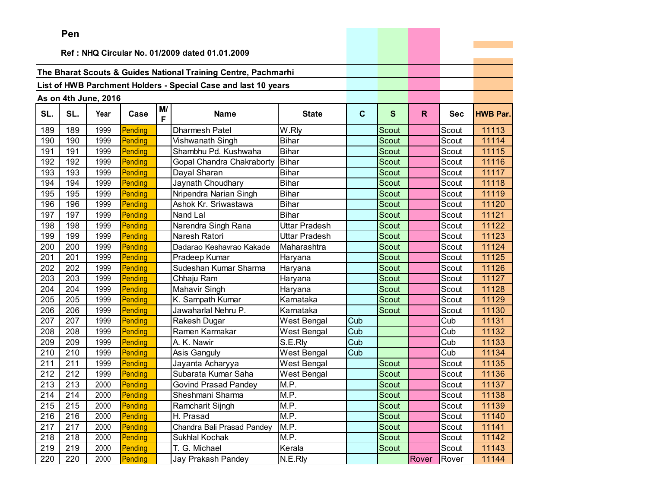|     | ren |                      |         |         |                                                                |                    |                         |              |       |            |                 |
|-----|-----|----------------------|---------|---------|----------------------------------------------------------------|--------------------|-------------------------|--------------|-------|------------|-----------------|
|     |     |                      |         |         | Ref: NHQ Circular No. 01/2009 dated 01.01.2009                 |                    |                         |              |       |            |                 |
|     |     |                      |         |         |                                                                |                    |                         |              |       |            |                 |
|     |     |                      |         |         | The Bharat Scouts & Guides National Training Centre, Pachmarhi |                    |                         |              |       |            |                 |
|     |     |                      |         |         | List of HWB Parchment Holders - Special Case and last 10 years |                    |                         |              |       |            |                 |
|     |     |                      |         |         |                                                                |                    |                         |              |       |            |                 |
|     |     | As on 4th June, 2016 |         |         |                                                                |                    |                         |              |       |            |                 |
| SL. | SL. | Year                 | Case    | M/<br>F | <b>Name</b>                                                    | <b>State</b>       | $\mathbf{C}$            | $\mathbf{s}$ | R.    | <b>Sec</b> | <b>HWB Par.</b> |
| 189 | 189 | 1999                 | Pending |         | <b>Dharmesh Patel</b>                                          | W.Rly              |                         | Scout        |       | Scout      | 11113           |
| 190 | 190 | 1999                 | Pending |         | Vishwanath Singh                                               | <b>Bihar</b>       |                         | Scout        |       | Scout      | 11114           |
| 191 | 191 | 1999                 | Pending |         | Shambhu Pd. Kushwaha                                           | <b>Bihar</b>       |                         | Scout        |       | Scout      | 11115           |
| 192 | 192 | 1999                 | Pending |         | Gopal Chandra Chakraborty                                      | <b>Bihar</b>       |                         | Scout        |       | Scout      | 11116           |
| 193 | 193 | 1999                 | Pending |         | Dayal Sharan                                                   | <b>Bihar</b>       |                         | Scout        |       | Scout      | 11117           |
| 194 | 194 | 1999                 | Pending |         | Jaynath Choudhary                                              | <b>Bihar</b>       |                         | <b>Scout</b> |       | Scout      | 11118           |
| 195 | 195 | 1999                 | Pending |         | Nripendra Narian Singh                                         | <b>Bihar</b>       |                         | Scout        |       | Scout      | 11119           |
| 196 | 196 | 1999                 | Pending |         | Ashok Kr. Sriwastawa                                           | <b>Bihar</b>       |                         | Scout        |       | Scout      | 11120           |
| 197 | 197 | 1999                 | Pending |         | Nand Lal                                                       | <b>Bihar</b>       |                         | Scout        |       | Scout      | 11121           |
| 198 | 198 | 1999                 | Pending |         | Narendra Singh Rana                                            | Uttar Pradesh      |                         | Scout        |       | Scout      | 11122           |
| 199 | 199 | 1999                 | Pending |         | Naresh Ratori                                                  | Uttar Pradesh      |                         | Scout        |       | Scout      | 11123           |
| 200 | 200 | 1999                 | Pending |         | Dadarao Keshavrao Kakade                                       | Maharashtra        |                         | Scout        |       | Scout      | 11124           |
| 201 | 201 | 1999                 | Pending |         | Pradeep Kumar                                                  | Haryana            |                         | Scout        |       | Scout      | 11125           |
| 202 | 202 | 1999                 | Pending |         | Sudeshan Kumar Sharma                                          | Haryana            |                         | Scout        |       | Scout      | 11126           |
| 203 | 203 | 1999                 | Pending |         | Chhaju Ram                                                     | Haryana            |                         | <b>Scout</b> |       | Scout      | 11127           |
| 204 | 204 | 1999                 | Pending |         | Mahavir Singh                                                  | Haryana            |                         | Scout        |       | Scout      | 11128           |
| 205 | 205 | 1999                 | Pending |         | K. Sampath Kumar                                               | Karnataka          |                         | <b>Scout</b> |       | Scout      | 11129           |
| 206 | 206 | 1999                 | Pending |         | Jawaharlal Nehru P.                                            | Karnataka          |                         | Scout        |       | Scout      | 11130           |
| 207 | 207 | 1999                 | Pending |         | Rakesh Dugar                                                   | West Bengal        | Cub                     |              |       | Cub        | 11131           |
| 208 | 208 | 1999                 | Pending |         | Ramen Karmakar                                                 | <b>West Bengal</b> | Cub                     |              |       | Cub        | 11132           |
| 209 | 209 | 1999                 | Pending |         | A. K. Nawir                                                    | S.E.Rly            | $\overline{\text{Cub}}$ |              |       | Cub        | 11133           |
| 210 | 210 | 1999                 | Pending |         | Asis Ganguly                                                   | West Bengal        | Cub                     |              |       | Cub        | 11134           |
| 211 | 211 | 1999                 | Pending |         | Jayanta Acharyya                                               | West Bengal        |                         | <b>Scout</b> |       | Scout      | 11135           |
| 212 | 212 | 1999                 | Pending |         | Subarata Kumar Saha                                            | West Bengal        |                         | Scout        |       | Scout      | 11136           |
| 213 | 213 | 2000                 | Pending |         | <b>Govind Prasad Pandey</b>                                    | M.P.               |                         | Scout        |       | Scout      | 11137           |
| 214 | 214 | 2000                 | Pending |         | Sheshmani Sharma                                               | M.P.               |                         | Scout        |       | Scout      | 11138           |
| 215 | 215 | 2000                 | Pending |         | Ramcharit Sijngh                                               | M.P.               |                         | Scout        |       | Scout      | 11139           |
| 216 | 216 | 2000                 | Pending |         | H. Prasad                                                      | M.P.               |                         | Scout        |       | Scout      | 11140           |
| 217 | 217 | 2000                 | Pending |         | Chandra Bali Prasad Pandey                                     | M.P.               |                         | Scout        |       | Scout      | 11141           |
| 218 | 218 | 2000                 | Pending |         | Sukhlal Kochak                                                 | M.P.               |                         | Scout        |       | Scout      | 11142           |
| 219 | 219 | 2000                 | Pending |         | T. G. Michael                                                  | Kerala             |                         | Scout        |       | Scout      | 11143           |
| 220 | 220 | 2000                 | Pending |         | Jay Prakash Pandey                                             | N.E.Rly            |                         |              | Rover | Rover      | 11144           |

the control of the control of the con-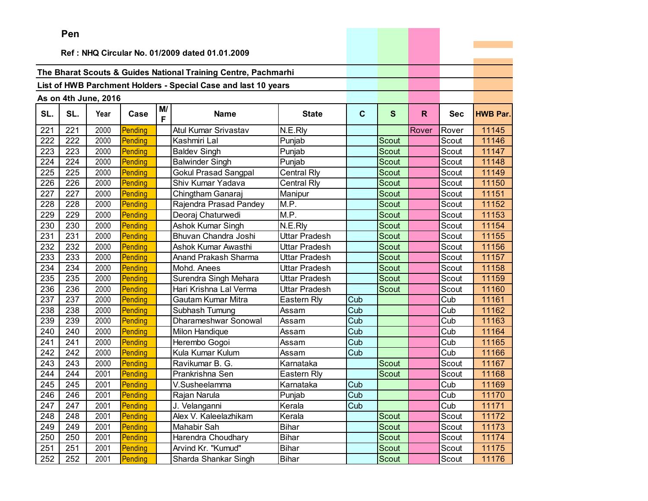|     | ren |                      |         |         |                                                                |               |             |              |              |            |                 |
|-----|-----|----------------------|---------|---------|----------------------------------------------------------------|---------------|-------------|--------------|--------------|------------|-----------------|
|     |     |                      |         |         | Ref: NHQ Circular No. 01/2009 dated 01.01.2009                 |               |             |              |              |            |                 |
|     |     |                      |         |         |                                                                |               |             |              |              |            |                 |
|     |     |                      |         |         | The Bharat Scouts & Guides National Training Centre, Pachmarhi |               |             |              |              |            |                 |
|     |     |                      |         |         | List of HWB Parchment Holders - Special Case and last 10 years |               |             |              |              |            |                 |
|     |     |                      |         |         |                                                                |               |             |              |              |            |                 |
|     |     | As on 4th June, 2016 |         |         |                                                                |               |             |              |              |            |                 |
| SL. | SL. | Year                 | Case    | M/<br>F | <b>Name</b>                                                    | <b>State</b>  | $\mathbf c$ | $\mathbf{s}$ | $\mathsf{R}$ | <b>Sec</b> | <b>HWB Par.</b> |
| 221 | 221 | 2000                 | Pending |         | Atul Kumar Srivastav                                           | N.E.Rly       |             |              | Rover        | Rover      | 11145           |
| 222 | 222 | 2000                 | Pending |         | Kashmiri Lal                                                   | Punjab        |             | <b>Scout</b> |              | Scout      | 11146           |
| 223 | 223 | 2000                 | Pending |         | <b>Baldev Singh</b>                                            | Punjab        |             | <b>Scout</b> |              | Scout      | 11147           |
| 224 | 224 | 2000                 | Pending |         | <b>Balwinder Singh</b>                                         | Punjab        |             | Scout        |              | Scout      | 11148           |
| 225 | 225 | 2000                 | Pending |         | <b>Gokul Prasad Sangpal</b>                                    | Central Rly   |             | <b>Scout</b> |              | Scout      | 11149           |
| 226 | 226 | 2000                 | Pending |         | Shiv Kumar Yadava                                              | Central Rly   |             | Scout        |              | Scout      | 11150           |
| 227 | 227 | 2000                 | Pending |         | Chingtham Ganaraj                                              | Manipur       |             | Scout        |              | Scout      | 11151           |
| 228 | 228 | 2000                 | Pending |         | Rajendra Prasad Pandey                                         | M.P.          |             | <b>Scout</b> |              | Scout      | 11152           |
| 229 | 229 | 2000                 | Pending |         | Deoraj Chaturwedi                                              | M.P.          |             | Scout        |              | Scout      | 11153           |
| 230 | 230 | 2000                 | Pending |         | <b>Ashok Kumar Singh</b>                                       | N.E.Rly       |             | Scout        |              | Scout      | 11154           |
| 231 | 231 | 2000                 | Pending |         | Bhuvan Chandra Joshi                                           | Uttar Pradesh |             | <b>Scout</b> |              | Scout      | 11155           |
| 232 | 232 | 2000                 | Pending |         | Ashok Kumar Awasthi                                            | Uttar Pradesh |             | Scout        |              | Scout      | 11156           |
| 233 | 233 | 2000                 | Pending |         | Anand Prakash Sharma                                           | Uttar Pradesh |             | <b>Scout</b> |              | Scout      | 11157           |
| 234 | 234 | 2000                 | Pending |         | Mohd. Anees                                                    | Uttar Pradesh |             | <b>Scout</b> |              | Scout      | 11158           |
| 235 | 235 | 2000                 | Pending |         | Surendra Singh Mehara                                          | Uttar Pradesh |             | Scout        |              | Scout      | 11159           |
| 236 | 236 | 2000                 | Pending |         | Hari Krishna Lal Verma                                         | Uttar Pradesh |             | Scout        |              | Scout      | 11160           |
| 237 | 237 | 2000                 | Pending |         | Gautam Kumar Mitra                                             | Eastern Rly   | Cub         |              |              | Cub        | 11161           |
| 238 | 238 | 2000                 | Pending |         | Subhash Tumung                                                 | Assam         | Cub         |              |              | Cub        | 11162           |
| 239 | 239 | 2000                 | Pending |         | Dharameshwar Sonowal                                           | Assam         | Cub         |              |              | Cub        | 11163           |
| 240 | 240 | 2000                 | Pending |         | Milon Handique                                                 | Assam         | Cub         |              |              | Cub        | 11164           |
| 241 | 241 | 2000                 | Pending |         | Herembo Gogoi                                                  | Assam         | Cub         |              |              | Cub        | 11165           |
| 242 | 242 | 2000                 | Pending |         | Kula Kumar Kulum                                               | Assam         | Cub         |              |              | Cub        | 11166           |
| 243 | 243 | 2000                 | Pending |         | Ravikumar B. G.                                                | Karnataka     |             | Scout        |              | Scout      | 11167           |
| 244 | 244 | 2001                 | Pending |         | Prankrishna Sen                                                | Eastern Rly   |             | Scout        |              | Scout      | 11168           |
| 245 | 245 | 2001                 | Pending |         | V.Susheelamma                                                  | Karnataka     | Cub         |              |              | Cub        | 11169           |
| 246 | 246 | 2001                 | Pending |         | Rajan Narula                                                   | Punjab        | Cub         |              |              | Cub        | 11170           |
| 247 | 247 | 2001                 | Pending |         | J. Velanganni                                                  | Kerala        | Cub         |              |              | Cub        | 11171           |
| 248 | 248 | 2001                 | Pending |         | Alex V. Kaleelazhikam                                          | Kerala        |             | Scout        |              | Scout      | 11172           |
| 249 | 249 | 2001                 | Pending |         | Mahabir Sah                                                    | <b>Bihar</b>  |             | Scout        |              | Scout      | 11173           |
| 250 | 250 | 2001                 | Pending |         | Harendra Choudhary                                             | <b>Bihar</b>  |             | Scout        |              | Scout      | 11174           |
| 251 | 251 | 2001                 | Pending |         | Arvind Kr. "Kumud"                                             | <b>Bihar</b>  |             | Scout        |              | Scout      | 11175           |
| 252 | 252 | 2001                 | Pending |         | Sharda Shankar Singh                                           | <b>Bihar</b>  |             | Scout        |              | Scout      | 11176           |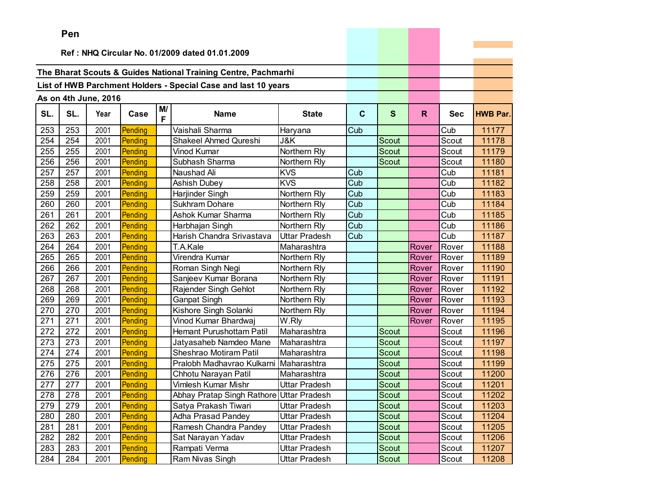|     | ren |                      |         |         |                                                                |               |             |              |       |            |                 |
|-----|-----|----------------------|---------|---------|----------------------------------------------------------------|---------------|-------------|--------------|-------|------------|-----------------|
|     |     |                      |         |         | Ref: NHQ Circular No. 01/2009 dated 01.01.2009                 |               |             |              |       |            |                 |
|     |     |                      |         |         |                                                                |               |             |              |       |            |                 |
|     |     |                      |         |         | The Bharat Scouts & Guides National Training Centre, Pachmarhi |               |             |              |       |            |                 |
|     |     |                      |         |         | List of HWB Parchment Holders - Special Case and last 10 years |               |             |              |       |            |                 |
|     |     |                      |         |         |                                                                |               |             |              |       |            |                 |
|     |     | As on 4th June, 2016 |         |         |                                                                |               |             |              |       |            |                 |
| SL. | SL. | Year                 | Case    | M/<br>F | <b>Name</b>                                                    | <b>State</b>  | $\mathbf c$ | $\mathbf{s}$ | R.    | <b>Sec</b> | <b>HWB Par.</b> |
| 253 | 253 | 2001                 | Pending |         | Vaishali Sharma                                                | Haryana       | Cub         |              |       | Cub        | 11177           |
| 254 | 254 | 2001                 | Pending |         | Shakeel Ahmed Qureshi                                          | J&K           |             | Scout        |       | Scout      | 11178           |
| 255 | 255 | 2001                 | Pending |         | Vinod Kumar                                                    | Northern Rly  |             | <b>Scout</b> |       | Scout      | 11179           |
| 256 | 256 | 2001                 | Pending |         | Subhash Sharma                                                 | Northern Rly  |             | Scout        |       | Scout      | 11180           |
| 257 | 257 | 2001                 | Pending |         | Naushad Ali                                                    | <b>KVS</b>    | Cub         |              |       | Cub        | 11181           |
| 258 | 258 | 2001                 | Pending |         | <b>Ashish Dubey</b>                                            | <b>KVS</b>    | Cub         |              |       | Cub        | 11182           |
| 259 | 259 | 2001                 | Pending |         | Harjinder Singh                                                | Northern Rly  | Cub         |              |       | Cub        | 11183           |
| 260 | 260 | 2001                 | Pending |         | Sukhram Dohare                                                 | Northern Rly  | Cub         |              |       | Cub        | 11184           |
| 261 | 261 | 2001                 | Pending |         | Ashok Kumar Sharma                                             | Northern Rly  | Cub         |              |       | Cub        | 11185           |
| 262 | 262 | 2001                 | Pending |         | Harbhajan Singh                                                | Northern Rly  | Cub         |              |       | Cub        | 11186           |
| 263 | 263 | 2001                 | Pending |         | Harish Chandra Srivastava                                      | Uttar Pradesh | Cub         |              |       | Cub        | 11187           |
| 264 | 264 | 2001                 | Pending |         | T.A.Kale                                                       | Maharashtra   |             |              | Rover | Rover      | 11188           |
| 265 | 265 | 2001                 | Pending |         | Virendra Kumar                                                 | Northern Rly  |             |              | Rover | Rover      | 11189           |
| 266 | 266 | 2001                 | Pending |         | Roman Singh Negi                                               | Northern Rly  |             |              | Rover | Rover      | 11190           |
| 267 | 267 | 2001                 | Pending |         | Sanjeev Kumar Borana                                           | Northern Rly  |             |              | Rover | Rover      | 11191           |
| 268 | 268 | 2001                 | Pending |         | Rajender Singh Gehlot                                          | Northern Rly  |             |              | Rover | Rover      | 11192           |
| 269 | 269 | 2001                 | Pending |         | Ganpat Singh                                                   | Northern Rly  |             |              | Rover | Rover      | 11193           |
| 270 | 270 | 2001                 | Pending |         | Kishore Singh Solanki                                          | Northern Rly  |             |              | Rover | Rover      | 11194           |
| 271 | 271 | 2001                 | Pending |         | Vinod Kumar Bhardwaj                                           | W.Rly         |             |              | Rover | Rover      | 11195           |
| 272 | 272 | 2001                 | Pending |         | Hemant Purushottam Patil                                       | Maharashtra   |             | <b>Scout</b> |       | Scout      | 11196           |
| 273 | 273 | 2001                 | Pending |         | Jatyasaheb Namdeo Mane                                         | Maharashtra   |             | <b>Scout</b> |       | Scout      | 11197           |
| 274 | 274 | 2001                 | Pending |         | Sheshrao Motiram Patil                                         | Maharashtra   |             | Scout        |       | Scout      | 11198           |
| 275 | 275 | 2001                 | Pending |         | Pralobh Madhavrao Kulkarni                                     | Maharashtra   |             | <b>Scout</b> |       | Scout      | 11199           |
| 276 | 276 | 2001                 | Pending |         | Chhotu Narayan Patil                                           | Maharashtra   |             | Scout        |       | Scout      | 11200           |
| 277 | 277 | 2001                 | Pending |         | Vimlesh Kumar Mishr                                            | Uttar Pradesh |             | Scout        |       | Scout      | 11201           |
| 278 | 278 | 2001                 | Pending |         | Abhay Pratap Singh Rathore Uttar Pradesh                       |               |             | Scout        |       | Scout      | 11202           |
| 279 | 279 | 2001                 | Pending |         | Satya Prakash Tiwari                                           | Uttar Pradesh |             | Scout        |       | Scout      | 11203           |
| 280 | 280 | 2001                 | Pending |         | <b>Adha Prasad Pandey</b>                                      | Uttar Pradesh |             | Scout        |       | Scout      | 11204           |
| 281 | 281 | 2001                 | Pending |         | Ramesh Chandra Pandey                                          | Uttar Pradesh |             | Scout        |       | Scout      | 11205           |
| 282 | 282 | 2001                 | Pending |         | Sat Narayan Yadav                                              | Uttar Pradesh |             | Scout        |       | Scout      | 11206           |
| 283 | 283 | 2001                 | Pending |         | Rampati Verma                                                  | Uttar Pradesh |             | Scout        |       | Scout      | 11207           |
| 284 | 284 | 2001                 | Pending |         | Ram Nivas Singh                                                | Uttar Pradesh |             | Scout        |       | Scout      | 11208           |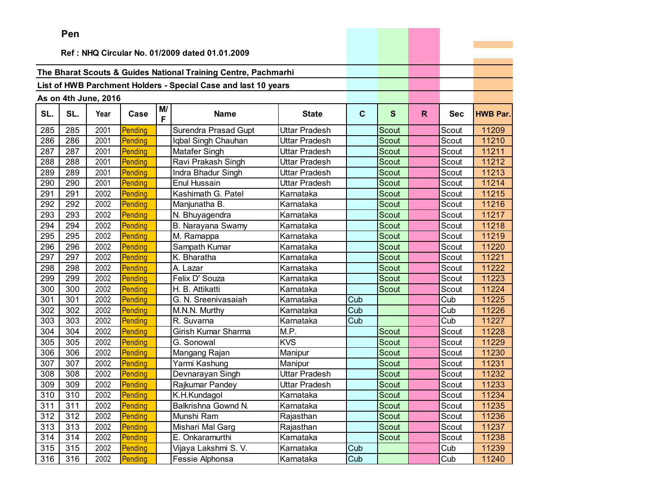|     | Pen |                      |         |         |                                                                |                      |             |              |    |            |                 |
|-----|-----|----------------------|---------|---------|----------------------------------------------------------------|----------------------|-------------|--------------|----|------------|-----------------|
|     |     |                      |         |         |                                                                |                      |             |              |    |            |                 |
|     |     |                      |         |         | Ref: NHQ Circular No. 01/2009 dated 01.01.2009                 |                      |             |              |    |            |                 |
|     |     |                      |         |         | The Bharat Scouts & Guides National Training Centre, Pachmarhi |                      |             |              |    |            |                 |
|     |     |                      |         |         | List of HWB Parchment Holders - Special Case and last 10 years |                      |             |              |    |            |                 |
|     |     |                      |         |         |                                                                |                      |             |              |    |            |                 |
|     |     | As on 4th June, 2016 |         |         |                                                                |                      |             |              |    |            |                 |
| SL. | SL. | Year                 | Case    | M/<br>F | <b>Name</b>                                                    | <b>State</b>         | $\mathbf c$ | $\mathbf{s}$ | R. | <b>Sec</b> | <b>HWB Par.</b> |
| 285 | 285 | 2001                 | Pending |         | Surendra Prasad Gupt                                           | Uttar Pradesh        |             | Scout        |    | Scout      | 11209           |
| 286 | 286 | 2001                 | Pending |         | Iqbal Singh Chauhan                                            | Uttar Pradesh        |             | Scout        |    | Scout      | 11210           |
| 287 | 287 | 2001                 | Pending |         | Matafer Singh                                                  | Uttar Pradesh        |             | <b>Scout</b> |    | Scout      | 11211           |
| 288 | 288 | 2001                 | Pending |         | Ravi Prakash Singh                                             | Uttar Pradesh        |             | <b>Scout</b> |    | Scout      | 11212           |
| 289 | 289 | 2001                 | Pending |         | Indra Bhadur Singh                                             | Uttar Pradesh        |             | Scout        |    | Scout      | 11213           |
| 290 | 290 | 2001                 | Pending |         | Enul Hussain                                                   | Uttar Pradesh        |             | <b>Scout</b> |    | Scout      | 11214           |
| 291 | 291 | 2002                 | Pending |         | Kashimath G. Patel                                             | Karnataka            |             | <b>Scout</b> |    | Scout      | 11215           |
| 292 | 292 | 2002                 | Pending |         | Manjunatha B.                                                  | Karnataka            |             | <b>Scout</b> |    | Scout      | 11216           |
| 293 | 293 | 2002                 | Pending |         | N. Bhuyagendra                                                 | Karnataka            |             | <b>Scout</b> |    | Scout      | 11217           |
| 294 | 294 | 2002                 | Pending |         | B. Narayana Swamy                                              | Karnataka            |             | Scout        |    | Scout      | 11218           |
| 295 | 295 | 2002                 | Pending |         | M. Ramappa                                                     | Karnataka            |             | Scout        |    | Scout      | 11219           |
| 296 | 296 | 2002                 | Pending |         | Sampath Kumar                                                  | Karnataka            |             | Scout        |    | Scout      | 11220           |
| 297 | 297 | 2002                 | Pending |         | K. Bharatha                                                    | Karnataka            |             | Scout        |    | Scout      | 11221           |
| 298 | 298 | 2002                 | Pending |         | A. Lazar                                                       | Karnataka            |             | Scout        |    | Scout      | 11222           |
| 299 | 299 | 2002                 | Pending |         | Felix D' Souza                                                 | Karnataka            |             | Scout        |    | Scout      | 11223           |
| 300 | 300 | 2002                 | Pending |         | H. B. Attikatti                                                | Karnataka            |             | <b>Scout</b> |    | Scout      | 11224           |
| 301 | 301 | 2002                 | Pending |         | G. N. Sreenivasaiah                                            | Karnataka            | Cub         |              |    | Cub        | 11225           |
| 302 | 302 | 2002                 | Pending |         | M.N.N. Murthy                                                  | Karnataka            | Cub         |              |    | Cub        | 11226           |
| 303 | 303 | 2002                 | Pending |         | R. Suvarna                                                     | Karnataka            | Cub         |              |    | Cub        | 11227           |
| 304 | 304 | 2002                 | Pending |         | Girish Kumar Sharma                                            | M.P.                 |             | Scout        |    | Scout      | 11228           |
| 305 | 305 | 2002                 | Pending |         | G. Sonowal                                                     | <b>KVS</b>           |             | Scout        |    | Scout      | 11229           |
| 306 | 306 | 2002                 | Pending |         | Mangang Rajan                                                  | Manipur              |             | Scout        |    | Scout      | 11230           |
| 307 | 307 | 2002                 | Pending |         | Yarmi Kashung                                                  | Manipur              |             | Scout        |    | Scout      | 11231           |
| 308 | 308 | 2002                 | Pending |         | Devnarayan Singh                                               | <b>Uttar Pradesh</b> |             | Scout        |    | Scout      | 11232           |
| 309 | 309 | 2002                 | Pending |         | Rajkumar Pandey                                                | Uttar Pradesh        |             | Scout        |    | Scout      | 11233           |
| 310 | 310 | 2002                 | Pending |         | K.H.Kundagol                                                   | Karnataka            |             | Scout        |    | Scout      | 11234           |
| 311 | 311 | 2002                 | Pending |         | Balkrishna Gownd N.                                            | Karnataka            |             | Scout        |    | Scout      | 11235           |
| 312 | 312 | 2002                 | Pending |         | Munshi Ram                                                     | Rajasthan            |             | Scout        |    | Scout      | 11236           |
| 313 | 313 | 2002                 | Pending |         | Mishari Mal Garg                                               | Rajasthan            |             | Scout        |    | Scout      | 11237           |
| 314 | 314 | 2002                 | Pending |         | E. Onkaramurthi                                                | Karnataka            |             | Scout        |    | Scout      | 11238           |
| 315 | 315 | 2002                 | Pending |         | Vijaya Lakshmi S. V.                                           | Karnataka            | Cub         |              |    | Cub        | 11239           |
| 316 | 316 | 2002                 | Pending |         | Fessie Alphonsa                                                | Karnataka            | Cub         |              |    | Cub        | 11240           |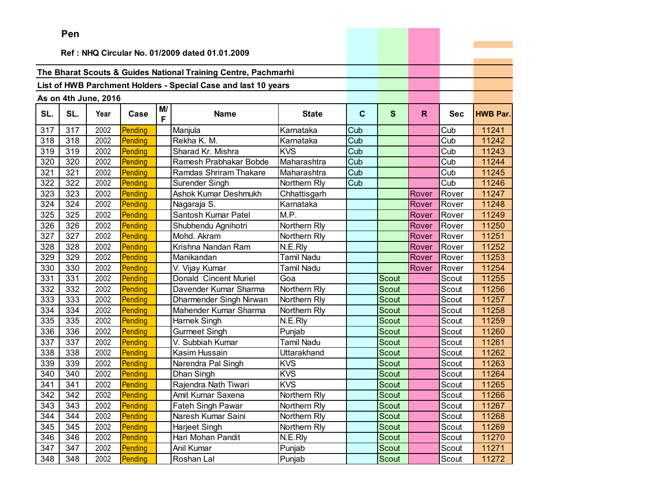|     | <b>Fell</b>                                    |                      |         |         |                                                                |                   |                         |              |       |            |                 |
|-----|------------------------------------------------|----------------------|---------|---------|----------------------------------------------------------------|-------------------|-------------------------|--------------|-------|------------|-----------------|
|     | Ref: NHQ Circular No. 01/2009 dated 01.01.2009 |                      |         |         |                                                                |                   |                         |              |       |            |                 |
|     |                                                |                      |         |         |                                                                |                   |                         |              |       |            |                 |
|     |                                                |                      |         |         | The Bharat Scouts & Guides National Training Centre, Pachmarhi |                   |                         |              |       |            |                 |
|     |                                                |                      |         |         | List of HWB Parchment Holders - Special Case and last 10 years |                   |                         |              |       |            |                 |
|     |                                                |                      |         |         |                                                                |                   |                         |              |       |            |                 |
|     |                                                | As on 4th June, 2016 |         |         |                                                                |                   |                         |              |       |            |                 |
| SL. | SL.                                            | Year                 | Case    | M/<br>F | <b>Name</b>                                                    | <b>State</b>      | $\mathbf c$             | S            | R.    | <b>Sec</b> | <b>HWB Par.</b> |
| 317 | 317                                            | 2002                 | Pending |         | Manjula                                                        | Karnataka         | Cub                     |              |       | Cub        | 11241           |
| 318 | 318                                            | 2002                 | Pending |         | Rekha K. M.                                                    | Karnataka         | Cub                     |              |       | Cub        | 11242           |
| 319 | 319                                            | 2002                 | Pending |         | Sharad Kr. Mishra                                              | <b>KVS</b>        | $\overline{\text{Cub}}$ |              |       | Cub        | 11243           |
| 320 | 320                                            | 2002                 | Pending |         | Ramesh Prabhakar Bobde                                         | Maharashtra       | Cub                     |              |       | Cub        | 11244           |
| 321 | 321                                            | 2002                 | Pending |         | Ramdas Shriram Thakare                                         | Maharashtra       | Cub                     |              |       | Cub        | 11245           |
| 322 | 322                                            | 2002                 | Pending |         | Surender Singh                                                 | Northern Rly      | Cub                     |              |       | Cub        | 11246           |
| 323 | 323                                            | 2002                 | Pending |         | Ashok Kumar Deshmukh                                           | Chhattisgarh      |                         |              | Rover | Rover      | 11247           |
| 324 | 324                                            | 2002                 | Pending |         | Nagaraja S.                                                    | Karnataka         |                         |              | Rover | Rover      | 11248           |
| 325 | 325                                            | 2002                 | Pending |         | Santosh Kumar Patel                                            | M.P.              |                         |              | Rover | Rover      | 11249           |
| 326 | 326                                            | 2002                 | Pending |         | Shubhendu Agnihotri                                            | Northern Rly      |                         |              | Rover | Rover      | 11250           |
| 327 | 327                                            | 2002                 | Pending |         | Mohd. Akram                                                    | Northern Rly      |                         |              | Rover | Rover      | 11251           |
| 328 | 328                                            | 2002                 | Pending |         | Krishna Nandan Ram                                             | N.E.Rly           |                         |              | Rover | Rover      | 11252           |
| 329 | 329                                            | 2002                 | Pending |         | Manikandan                                                     | <b>Tamil Nadu</b> |                         |              | Rover | Rover      | 11253           |
| 330 | 330                                            | 2002                 | Pending |         | V. Vijay Kumar                                                 | Tamil Nadu        |                         |              | Rover | Rover      | 11254           |
| 331 | 331                                            | 2002                 | Pending |         | Donald Cincent Muriel                                          | Goa               |                         | Scout        |       | Scout      | 11255           |
| 332 | 332                                            | 2002                 | Pending |         | Davender Kumar Sharma                                          | Northern Rly      |                         | Scout        |       | Scout      | 11256           |
| 333 | 333                                            | 2002                 | Pending |         | Dharmender Singh Nirwan                                        | Northern Rly      |                         | Scout        |       | Scout      | 11257           |
| 334 | 334                                            | 2002                 | Pending |         | Mahender Kumar Sharma                                          | Northern Rly      |                         | Scout        |       | Scout      | 11258           |
| 335 | 335                                            | 2002                 | Pending |         | Harnek Singh                                                   | N.E.Rly           |                         | <b>Scout</b> |       | Scout      | 11259           |
| 336 | 336                                            | 2002                 | Pending |         | <b>Gurmeet Singh</b>                                           | Punjab            |                         | Scout        |       | Scout      | 11260           |
| 337 | 337                                            | 2002                 | Pending |         | V. Subbiah Kumar                                               | <b>Tamil Nadu</b> |                         | Scout        |       | Scout      | 11261           |
| 338 | 338                                            | 2002                 | Pending |         | Kasim Hussain                                                  | Uttarakhand       |                         | Scout        |       | Scout      | 11262           |
| 339 | 339                                            | 2002                 | Pending |         | Narendra Pal Singh                                             | <b>KVS</b>        |                         | Scout        |       | Scout      | 11263           |
| 340 | 340                                            | 2002                 | Pending |         | Dhan Singh                                                     | <b>KVS</b>        |                         | Scout        |       | Scout      | 11264           |
| 341 | 341                                            | 2002                 | Pending |         | Rajendra Nath Tiwari                                           | <b>KVS</b>        |                         | Scout        |       | Scout      | 11265           |
| 342 | 342                                            | 2002                 | Pending |         | Amit Kumar Saxena                                              | Northern Rly      |                         | Scout        |       | Scout      | 11266           |
| 343 | 343                                            | 2002                 | Pending |         | Fateh Singh Pawar                                              | Northern Rly      |                         | Scout        |       | Scout      | 11267           |
| 344 | 344                                            | 2002                 | Pending |         | Naresh Kumar Saini                                             | Northern Rly      |                         | Scout        |       | Scout      | 11268           |
| 345 | 345                                            | 2002                 | Pending |         | Harjeet Singh                                                  | Northern Rly      |                         | Scout        |       | Scout      | 11269           |
| 346 | 346                                            | 2002                 | Pending |         | Hari Mohan Pandit                                              | N.E.Rly           |                         | Scout        |       | Scout      | 11270           |
| 347 | 347                                            | 2002                 | Pending |         | Anil Kumar                                                     | Punjab            |                         | Scout        |       | Scout      | 11271           |
| 348 | 348                                            | 2002                 | Pending |         | Roshan Lal                                                     | Punjab            |                         | Scout        |       | Scout      | 11272           |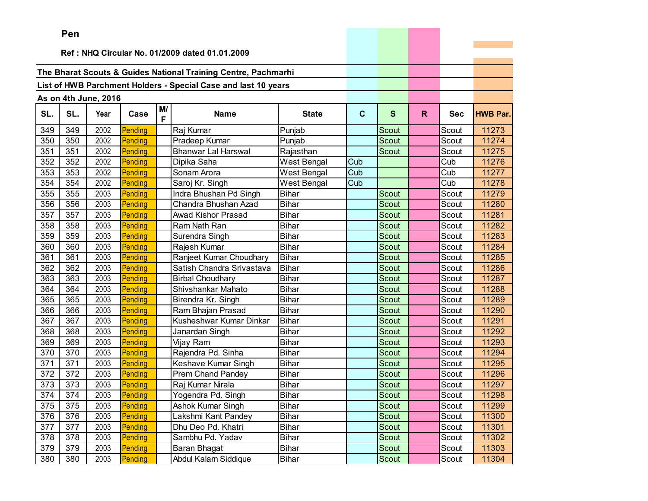|     | ren |                      |         |         |                                                                |              |              |              |    |            |                 |
|-----|-----|----------------------|---------|---------|----------------------------------------------------------------|--------------|--------------|--------------|----|------------|-----------------|
|     |     |                      |         |         | Ref: NHQ Circular No. 01/2009 dated 01.01.2009                 |              |              |              |    |            |                 |
|     |     |                      |         |         |                                                                |              |              |              |    |            |                 |
|     |     |                      |         |         | The Bharat Scouts & Guides National Training Centre, Pachmarhi |              |              |              |    |            |                 |
|     |     |                      |         |         | List of HWB Parchment Holders - Special Case and last 10 years |              |              |              |    |            |                 |
|     |     |                      |         |         |                                                                |              |              |              |    |            |                 |
|     |     | As on 4th June, 2016 |         |         |                                                                |              |              |              |    |            |                 |
| SL. | SL. | Year                 | Case    | M/<br>F | <b>Name</b>                                                    | <b>State</b> | $\mathbf{C}$ | $\mathbf{s}$ | R. | <b>Sec</b> | <b>HWB Par.</b> |
| 349 | 349 | 2002                 | Pending |         | Raj Kumar                                                      | Punjab       |              | Scout        |    | Scout      | 11273           |
| 350 | 350 | 2002                 | Pending |         | Pradeep Kumar                                                  | Punjab       |              | Scout        |    | Scout      | 11274           |
| 351 | 351 | 2002                 | Pending |         | <b>Bhanwar Lal Harswal</b>                                     | Rajasthan    |              | Scout        |    | Scout      | 11275           |
| 352 | 352 | 2002                 | Pending |         | Dipika Saha                                                    | West Bengal  | Cub          |              |    | Cub        | 11276           |
| 353 | 353 | 2002                 | Pending |         | Sonam Arora                                                    | West Bengal  | Cub          |              |    | Cub        | 11277           |
| 354 | 354 | 2002                 | Pending |         | Saroj Kr. Singh                                                | West Bengal  | Cub          |              |    | Cub        | 11278           |
| 355 | 355 | 2003                 | Pending |         | Indra Bhushan Pd Singh                                         | Bihar        |              | Scout        |    | Scout      | 11279           |
| 356 | 356 | 2003                 | Pending |         | Chandra Bhushan Azad                                           | <b>Bihar</b> |              | Scout        |    | Scout      | 11280           |
| 357 | 357 | 2003                 | Pending |         | Awad Kishor Prasad                                             | <b>Bihar</b> |              | <b>Scout</b> |    | Scout      | 11281           |
| 358 | 358 | 2003                 | Pending |         | Ram Nath Ran                                                   | <b>Bihar</b> |              | Scout        |    | Scout      | 11282           |
| 359 | 359 | 2003                 | Pending |         | Surendra Singh                                                 | <b>Bihar</b> |              | Scout        |    | Scout      | 11283           |
| 360 | 360 | 2003                 | Pending |         | Rajesh Kumar                                                   | <b>Bihar</b> |              | Scout        |    | Scout      | 11284           |
| 361 | 361 | 2003                 | Pending |         | Ranjeet Kumar Choudhary                                        | <b>Bihar</b> |              | Scout        |    | Scout      | 11285           |
| 362 | 362 | 2003                 | Pending |         | Satish Chandra Srivastava                                      | <b>Bihar</b> |              | Scout        |    | Scout      | 11286           |
| 363 | 363 | 2003                 | Pending |         | <b>Birbal Choudhary</b>                                        | <b>Bihar</b> |              | <b>Scout</b> |    | Scout      | 11287           |
| 364 | 364 | 2003                 | Pending |         | Shivshankar Mahato                                             | <b>Bihar</b> |              | Scout        |    | Scout      | 11288           |
| 365 | 365 | 2003                 | Pending |         | Birendra Kr. Singh                                             | <b>Bihar</b> |              | <b>Scout</b> |    | Scout      | 11289           |
| 366 | 366 | 2003                 | Pending |         | Ram Bhajan Prasad                                              | <b>Bihar</b> |              | Scout        |    | Scout      | 11290           |
| 367 | 367 | 2003                 | Pending |         | Kusheshwar Kumar Dinkar                                        | <b>Bihar</b> |              | Scout        |    | Scout      | 11291           |
| 368 | 368 | 2003                 | Pending |         | Janardan Singh                                                 | <b>Bihar</b> |              | <b>Scout</b> |    | Scout      | 11292           |
| 369 | 369 | 2003                 | Pending |         | Vijay Ram                                                      | <b>Bihar</b> |              | <b>Scout</b> |    | Scout      | 11293           |
| 370 | 370 | 2003                 | Pending |         | Rajendra Pd. Sinha                                             | <b>Bihar</b> |              | <b>Scout</b> |    | Scout      | 11294           |
| 371 | 371 | 2003                 | Pending |         | Keshave Kumar Singh                                            | <b>Bihar</b> |              | <b>Scout</b> |    | Scout      | 11295           |
| 372 | 372 | 2003                 | Pending |         | Prem Chand Pandey                                              | <b>Bihar</b> |              | Scout        |    | Scout      | 11296           |
| 373 | 373 | 2003                 | Pending |         | Raj Kumar Nirala                                               | <b>Bihar</b> |              | Scout        |    | Scout      | 11297           |
| 374 | 374 | 2003                 | Pending |         | Yogendra Pd. Singh                                             | <b>Bihar</b> |              | Scout        |    | Scout      | 11298           |
| 375 | 375 | 2003                 | Pending |         | Ashok Kumar Singh                                              | <b>Bihar</b> |              | Scout        |    | Scout      | 11299           |
| 376 | 376 | 2003                 | Pending |         | Lakshmi Kant Pandey                                            | <b>Bihar</b> |              | Scout        |    | Scout      | 11300           |
| 377 | 377 | 2003                 | Pending |         | Dhu Deo Pd. Khatri                                             | <b>Bihar</b> |              | Scout        |    | Scout      | 11301           |
| 378 | 378 | 2003                 | Pending |         | Sambhu Pd. Yadav                                               | <b>Bihar</b> |              | Scout        |    | Scout      | 11302           |
| 379 | 379 | 2003                 | Pending |         | Baran Bhagat                                                   | <b>Bihar</b> |              | Scout        |    | Scout      | 11303           |
| 380 | 380 | 2003                 | Pending |         | Abdul Kalam Siddique                                           | <b>Bihar</b> |              | Scout        |    | Scout      | 11304           |

the control of the control of the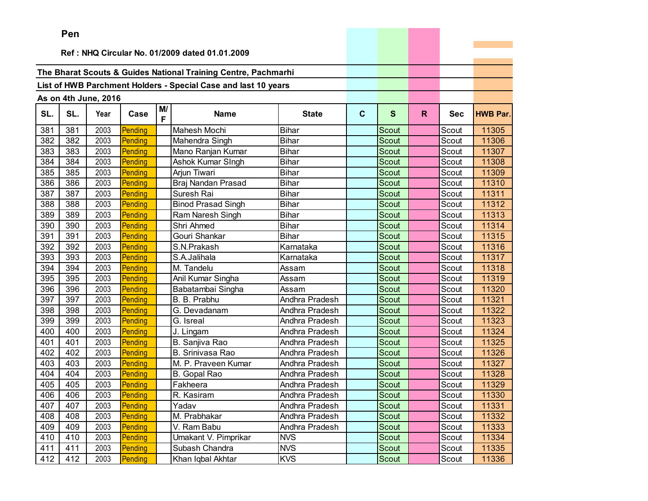|     | Pen                                            |                      |         |         |                                                                |                |             |              |    |            |                 |
|-----|------------------------------------------------|----------------------|---------|---------|----------------------------------------------------------------|----------------|-------------|--------------|----|------------|-----------------|
|     | Ref: NHQ Circular No. 01/2009 dated 01.01.2009 |                      |         |         |                                                                |                |             |              |    |            |                 |
|     |                                                |                      |         |         |                                                                |                |             |              |    |            |                 |
|     |                                                |                      |         |         | The Bharat Scouts & Guides National Training Centre, Pachmarhi |                |             |              |    |            |                 |
|     |                                                |                      |         |         | List of HWB Parchment Holders - Special Case and last 10 years |                |             |              |    |            |                 |
|     |                                                |                      |         |         |                                                                |                |             |              |    |            |                 |
|     |                                                | As on 4th June, 2016 |         |         |                                                                |                |             |              |    |            |                 |
| SL. | SL.                                            | Year                 | Case    | M/<br>F | <b>Name</b>                                                    | <b>State</b>   | $\mathbf c$ | $\mathbf{s}$ | R. | <b>Sec</b> | <b>HWB Par.</b> |
| 381 | 381                                            | 2003                 | Pending |         | Mahesh Mochi                                                   | <b>Bihar</b>   |             | Scout        |    | Scout      | 11305           |
| 382 | 382                                            | 2003                 | Pending |         | Mahendra Singh                                                 | <b>Bihar</b>   |             | Scout        |    | Scout      | 11306           |
| 383 | 383                                            | 2003                 | Pending |         | Mano Ranjan Kumar                                              | <b>Bihar</b>   |             | <b>Scout</b> |    | Scout      | 11307           |
| 384 | 384                                            | 2003                 | Pending |         | Ashok Kumar SIngh                                              | <b>Bihar</b>   |             | Scout        |    | Scout      | 11308           |
| 385 | 385                                            | 2003                 | Pending |         | Arjun Tiwari                                                   | <b>Bihar</b>   |             | Scout        |    | Scout      | 11309           |
| 386 | 386                                            | 2003                 | Pending |         | Braj Nandan Prasad                                             | <b>Bihar</b>   |             | <b>Scout</b> |    | Scout      | 11310           |
| 387 | 387                                            | 2003                 | Pending |         | Suresh Rai                                                     | <b>Bihar</b>   |             | <b>Scout</b> |    | Scout      | 11311           |
| 388 | 388                                            | 2003                 | Pending |         | <b>Binod Prasad Singh</b>                                      | <b>Bihar</b>   |             | <b>Scout</b> |    | Scout      | 11312           |
| 389 | 389                                            | 2003                 | Pending |         | Ram Naresh Singh                                               | <b>Bihar</b>   |             | <b>Scout</b> |    | Scout      | 11313           |
| 390 | 390                                            | 2003                 | Pending |         | Shri Ahmed                                                     | <b>Bihar</b>   |             | <b>Scout</b> |    | Scout      | 11314           |
| 391 | 391                                            | 2003                 | Pending |         | Gouri Shankar                                                  | <b>Bihar</b>   |             | Scout        |    | Scout      | 11315           |
| 392 | 392                                            | 2003                 | Pending |         | S.N.Prakash                                                    | Karnataka      |             | Scout        |    | Scout      | 11316           |
| 393 | 393                                            | 2003                 | Pending |         | S.A.Jalihala                                                   | Karnataka      |             | <b>Scout</b> |    | Scout      | 11317           |
| 394 | 394                                            | 2003                 | Pending |         | M. Tandelu                                                     | Assam          |             | Scout        |    | Scout      | 11318           |
| 395 | 395                                            | 2003                 | Pending |         | Anil Kumar Singha                                              | Assam          |             | <b>Scout</b> |    | Scout      | 11319           |
| 396 | 396                                            | 2003                 | Pending |         | Babatambai Singha                                              | Assam          |             | <b>Scout</b> |    | Scout      | 11320           |
| 397 | 397                                            | 2003                 | Pending |         | B. B. Prabhu                                                   | Andhra Pradesh |             | Scout        |    | Scout      | 11321           |
| 398 | 398                                            | 2003                 | Pending |         | G. Devadanam                                                   | Andhra Pradesh |             | <b>Scout</b> |    | Scout      | 11322           |
| 399 | 399                                            | 2003                 | Pending |         | G. Isreal                                                      | Andhra Pradesh |             | <b>Scout</b> |    | Scout      | 11323           |
| 400 | 400                                            | 2003                 | Pending |         | J. Lingam                                                      | Andhra Pradesh |             | Scout        |    | Scout      | 11324           |
| 401 | 401                                            | 2003                 | Pending |         | B. Sanjiva Rao                                                 | Andhra Pradesh |             | <b>Scout</b> |    | Scout      | 11325           |
| 402 | 402                                            | 2003                 | Pending |         | <b>B. Srinivasa Rao</b>                                        | Andhra Pradesh |             | Scout        |    | Scout      | 11326           |
| 403 | 403                                            | 2003                 | Pending |         | M. P. Praveen Kumar                                            | Andhra Pradesh |             | Scout        |    | Scout      | 11327           |
| 404 | 404                                            | 2003                 | Pending |         | B. Gopal Rao                                                   | Andhra Pradesh |             | Scout        |    | Scout      | 11328           |
| 405 | 405                                            | 2003                 | Pending |         | Fakheera                                                       | Andhra Pradesh |             | Scout        |    | Scout      | 11329           |
| 406 | 406                                            | 2003                 | Pending |         | R. Kasiram                                                     | Andhra Pradesh |             | Scout        |    | Scout      | 11330           |
| 407 | 407                                            | 2003                 | Pending |         | Yadav                                                          | Andhra Pradesh |             | Scout        |    | Scout      | 11331           |
| 408 | 408                                            | 2003                 | Pending |         | M. Prabhakar                                                   | Andhra Pradesh |             | Scout        |    | Scout      | 11332           |
| 409 | 409                                            | 2003                 | Pending |         | V. Ram Babu                                                    | Andhra Pradesh |             | Scout        |    | Scout      | 11333           |
| 410 | 410                                            | 2003                 | Pending |         | Umakant V. Pimprikar                                           | <b>NVS</b>     |             | Scout        |    | Scout      | 11334           |
| 411 | 411                                            | 2003                 | Pending |         | Subash Chandra                                                 | <b>NVS</b>     |             | Scout        |    | Scout      | 11335           |
| 412 | 412                                            | 2003                 | Pending |         | Khan Iqbal Akhtar                                              | <b>KVS</b>     |             | Scout        |    | Scout      | 11336           |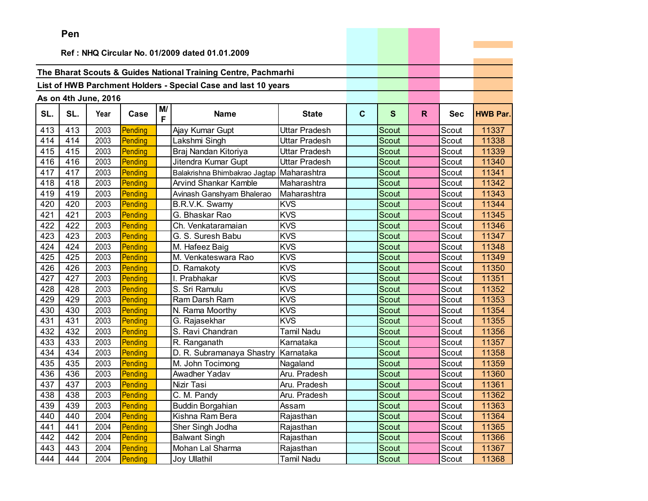|     | Pen                                            |                      |         |          |                                                                |                   |             |              |    |            |                 |
|-----|------------------------------------------------|----------------------|---------|----------|----------------------------------------------------------------|-------------------|-------------|--------------|----|------------|-----------------|
|     | Ref: NHQ Circular No. 01/2009 dated 01.01.2009 |                      |         |          |                                                                |                   |             |              |    |            |                 |
|     |                                                |                      |         |          |                                                                |                   |             |              |    |            |                 |
|     |                                                |                      |         |          | The Bharat Scouts & Guides National Training Centre, Pachmarhi |                   |             |              |    |            |                 |
|     |                                                |                      |         |          | List of HWB Parchment Holders - Special Case and last 10 years |                   |             |              |    |            |                 |
|     |                                                |                      |         |          |                                                                |                   |             |              |    |            |                 |
|     |                                                | As on 4th June, 2016 |         |          |                                                                |                   |             |              |    |            |                 |
| SL. | SL.                                            | Year                 | Case    | M/<br>F. | <b>Name</b>                                                    | <b>State</b>      | $\mathbf c$ | S            | R. | <b>Sec</b> | <b>HWB Par.</b> |
| 413 | 413                                            | 2003                 | Pending |          | Ajay Kumar Gupt                                                | Uttar Pradesh     |             | <b>Scout</b> |    | Scout      | 11337           |
| 414 | 414                                            | 2003                 | Pending |          | Lakshmi Singh                                                  | Uttar Pradesh     |             | <b>Scout</b> |    | Scout      | 11338           |
| 415 | 415                                            | 2003                 | Pending |          | Braj Nandan Kitoriya                                           | Uttar Pradesh     |             | Scout        |    | Scout      | 11339           |
| 416 | 416                                            | 2003                 | Pending |          | Jitendra Kumar Gupt                                            | Uttar Pradesh     |             | Scout        |    | Scout      | 11340           |
| 417 | 417                                            | 2003                 | Pending |          | Balakrishna Bhimbakrao Jagtap Maharashtra                      |                   |             | Scout        |    | Scout      | 11341           |
| 418 | 418                                            | 2003                 | Pending |          | <b>Arvind Shankar Kamble</b>                                   | Maharashtra       |             | <b>Scout</b> |    | Scout      | 11342           |
| 419 | 419                                            | 2003                 | Pending |          | Avinash Ganshyam Bhalerao                                      | Maharashtra       |             | Scout        |    | Scout      | 11343           |
| 420 | 420                                            | 2003                 | Pending |          | B.R.V.K. Swamy                                                 | <b>KVS</b>        |             | Scout        |    | Scout      | 11344           |
| 421 | 421                                            | 2003                 | Pending |          | G. Bhaskar Rao                                                 | <b>KVS</b>        |             | Scout        |    | Scout      | 11345           |
| 422 | 422                                            | 2003                 | Pending |          | Ch. Venkataramaian                                             | <b>KVS</b>        |             | Scout        |    | Scout      | 11346           |
| 423 | 423                                            | 2003                 | Pending |          | G. S. Suresh Babu                                              | <b>KVS</b>        |             | Scout        |    | Scout      | 11347           |
| 424 | 424                                            | 2003                 | Pending |          | M. Hafeez Baig                                                 | <b>KVS</b>        |             | Scout        |    | Scout      | 11348           |
| 425 | 425                                            | 2003                 | Pending |          | M. Venkateswara Rao                                            | <b>KVS</b>        |             | Scout        |    | Scout      | 11349           |
| 426 | 426                                            | 2003                 | Pending |          | D. Ramakoty                                                    | <b>KVS</b>        |             | <b>Scout</b> |    | Scout      | 11350           |
| 427 | 427                                            | 2003                 | Pending |          | I. Prabhakar                                                   | <b>KVS</b>        |             | Scout        |    | Scout      | 11351           |
| 428 | 428                                            | 2003                 | Pending |          | S. Sri Ramulu                                                  | <b>KVS</b>        |             | Scout        |    | Scout      | 11352           |
| 429 | 429                                            | 2003                 | Pending |          | Ram Darsh Ram                                                  | <b>KVS</b>        |             | <b>Scout</b> |    | Scout      | 11353           |
| 430 | 430                                            | 2003                 | Pending |          | N. Rama Moorthy                                                | <b>KVS</b>        |             | Scout        |    | Scout      | 11354           |
| 431 | 431                                            | 2003                 | Pending |          | G. Rajasekhar                                                  | <b>KVS</b>        |             | Scout        |    | Scout      | 11355           |
| 432 | 432                                            | 2003                 | Pending |          | S. Ravi Chandran                                               | <b>Tamil Nadu</b> |             | <b>Scout</b> |    | Scout      | 11356           |
| 433 | 433                                            | 2003                 | Pending |          | R. Ranganath                                                   | Karnataka         |             | Scout        |    | Scout      | 11357           |
| 434 | 434                                            | 2003                 | Pending |          | D. R. Subramanaya Shastry                                      | Karnataka         |             | Scout        |    | Scout      | 11358           |
| 435 | 435                                            | 2003                 | Pending |          | M. John Tocimong                                               | Nagaland          |             | Scout        |    | Scout      | 11359           |
| 436 | 436                                            | 2003                 | Pending |          | Awadher Yadav                                                  | Aru. Pradesh      |             | Scout        |    | Scout      | 11360           |
| 437 | 437                                            | 2003                 | Pending |          | Nizir Tasi                                                     | Aru. Pradesh      |             | Scout        |    | Scout      | 11361           |
| 438 | 438                                            | 2003                 | Pending |          | C. M. Pandy                                                    | Aru. Pradesh      |             | Scout        |    | Scout      | 11362           |
| 439 | 439                                            | 2003                 | Pending |          | <b>Buddin Borgahian</b>                                        | Assam             |             | Scout        |    | Scout      | 11363           |
| 440 | 440                                            | 2004                 | Pending |          | Kishna Ram Bera                                                | Rajasthan         |             | Scout        |    | Scout      | 11364           |
| 441 | 441                                            | 2004                 | Pending |          | Sher Singh Jodha                                               | Rajasthan         |             | Scout        |    | Scout      | 11365           |
| 442 | 442                                            | 2004                 | Pending |          | <b>Balwant Singh</b>                                           | Rajasthan         |             | Scout        |    | Scout      | 11366           |
| 443 | 443                                            | 2004                 | Pending |          | Mohan Lal Sharma                                               | Rajasthan         |             | Scout        |    | Scout      | 11367           |
| 444 | 444                                            | 2004                 | Pending |          | <b>Joy Ullathil</b>                                            | <b>Tamil Nadu</b> |             | Scout        |    | Scout      | 11368           |

and the control of the control of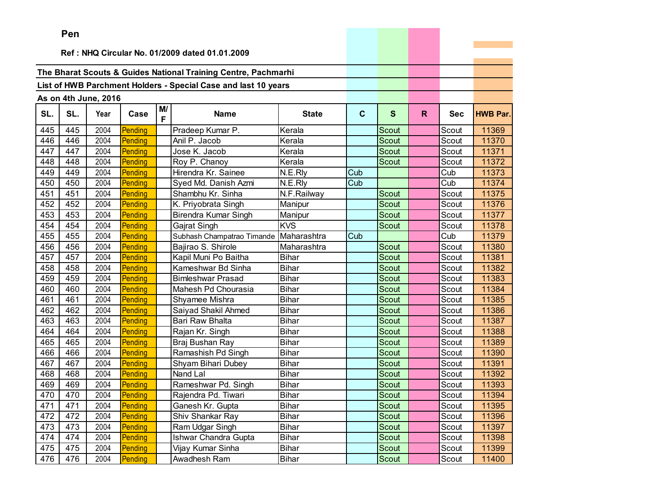|     | Pen |                      |         |         |                                                                |              |             |              |    |            |                 |
|-----|-----|----------------------|---------|---------|----------------------------------------------------------------|--------------|-------------|--------------|----|------------|-----------------|
|     |     |                      |         |         |                                                                |              |             |              |    |            |                 |
|     |     |                      |         |         | Ref: NHQ Circular No. 01/2009 dated 01.01.2009                 |              |             |              |    |            |                 |
|     |     |                      |         |         | The Bharat Scouts & Guides National Training Centre, Pachmarhi |              |             |              |    |            |                 |
|     |     |                      |         |         | List of HWB Parchment Holders - Special Case and last 10 years |              |             |              |    |            |                 |
|     |     |                      |         |         |                                                                |              |             |              |    |            |                 |
|     |     | As on 4th June, 2016 |         |         |                                                                |              |             |              |    |            |                 |
| SL. | SL. | Year                 | Case    | M/<br>F | <b>Name</b>                                                    | <b>State</b> | $\mathbf c$ | $\mathbf{s}$ | R. | <b>Sec</b> | <b>HWB Par.</b> |
| 445 | 445 | 2004                 | Pending |         | Pradeep Kumar P.                                               | Kerala       |             | Scout        |    | Scout      | 11369           |
| 446 | 446 | 2004                 | Pending |         | Anil P. Jacob                                                  | Kerala       |             | Scout        |    | Scout      | 11370           |
| 447 | 447 | 2004                 | Pending |         | Jose K. Jacob                                                  | Kerala       |             | <b>Scout</b> |    | Scout      | 11371           |
| 448 | 448 | 2004                 | Pending |         | Roy P. Chanoy                                                  | Kerala       |             | Scout        |    | Scout      | 11372           |
| 449 | 449 | 2004                 | Pending |         | Hirendra Kr. Sainee                                            | N.E.Rly      | Cub         |              |    | Cub        | 11373           |
| 450 | 450 | 2004                 | Pending |         | Syed Md. Danish Azmi                                           | N.E.Rly      | Cub         |              |    | Cub        | 11374           |
| 451 | 451 | 2004                 | Pending |         | Shambhu Kr. Sinha                                              | N.F.Railway  |             | Scout        |    | Scout      | 11375           |
| 452 | 452 | 2004                 | Pending |         | K. Priyobrata Singh                                            | Manipur      |             | <b>Scout</b> |    | Scout      | 11376           |
| 453 | 453 | 2004                 | Pending |         | Birendra Kumar Singh                                           | Manipur      |             | <b>Scout</b> |    | Scout      | 11377           |
| 454 | 454 | 2004                 | Pending |         | Gajrat Singh                                                   | <b>KVS</b>   |             | Scout        |    | Scout      | 11378           |
| 455 | 455 | 2004                 | Pending |         | Subhash Champatrao Timande                                     | Maharashtra  | Cub         |              |    | Cub        | 11379           |
| 456 | 456 | 2004                 | Pending |         | Bajirao S. Shirole                                             | Maharashtra  |             | Scout        |    | Scout      | 11380           |
| 457 | 457 | 2004                 | Pending |         | Kapil Muni Po Baitha                                           | <b>Bihar</b> |             | Scout        |    | Scout      | 11381           |
| 458 | 458 | 2004                 | Pending |         | Kameshwar Bd Sinha                                             | <b>Bihar</b> |             | Scout        |    | Scout      | 11382           |
| 459 | 459 | 2004                 | Pending |         | <b>Bimleshwar Prasad</b>                                       | <b>Bihar</b> |             | Scout        |    | Scout      | 11383           |
| 460 | 460 | 2004                 | Pending |         | Mahesh Pd Chourasia                                            | <b>Bihar</b> |             | Scout        |    | Scout      | 11384           |
| 461 | 461 | 2004                 | Pending |         | Shyamee Mishra                                                 | <b>Bihar</b> |             | Scout        |    | Scout      | 11385           |
| 462 | 462 | 2004                 | Pending |         | Saiyad Shakil Ahmed                                            | <b>Bihar</b> |             | Scout        |    | Scout      | 11386           |
| 463 | 463 | 2004                 | Pending |         | Bari Raw Bhalta                                                | <b>Bihar</b> |             | Scout        |    | Scout      | 11387           |
| 464 | 464 | 2004                 | Pending |         | Rajan Kr. Singh                                                | <b>Bihar</b> |             | Scout        |    | Scout      | 11388           |
| 465 | 465 | 2004                 | Pending |         | Braj Bushan Ray                                                | <b>Bihar</b> |             | Scout        |    | Scout      | 11389           |
| 466 | 466 | 2004                 | Pending |         | Ramashish Pd Singh                                             | <b>Bihar</b> |             | Scout        |    | Scout      | 11390           |
| 467 | 467 | 2004                 | Pending |         | Shyam Bihari Dubey                                             | <b>Bihar</b> |             | Scout        |    | Scout      | 11391           |
| 468 | 468 | 2004                 | Pending |         | Nand Lal                                                       | <b>Bihar</b> |             | <b>Scout</b> |    | Scout      | 11392           |
| 469 | 469 | 2004                 | Pending |         | Rameshwar Pd. Singh                                            | <b>Bihar</b> |             | Scout        |    | Scout      | 11393           |
| 470 | 470 | 2004                 | Pending |         | Rajendra Pd. Tiwari                                            | <b>Bihar</b> |             | Scout        |    | Scout      | 11394           |
| 471 | 471 | 2004                 | Pending |         | Ganesh Kr. Gupta                                               | Bihar        |             | Scout        |    | Scout      | 11395           |
| 472 | 472 | 2004                 | Pending |         | Shiv Shankar Ray                                               | <b>Bihar</b> |             | Scout        |    | Scout      | 11396           |
| 473 | 473 | 2004                 | Pending |         | Ram Udgar Singh                                                | <b>Bihar</b> |             | Scout        |    | Scout      | 11397           |
| 474 | 474 | 2004                 | Pending |         | <b>Ishwar Chandra Gupta</b>                                    | <b>Bihar</b> |             | Scout        |    | Scout      | 11398           |
| 475 | 475 | 2004                 | Pending |         | Vijay Kumar Sinha                                              | <b>Bihar</b> |             | Scout        |    | Scout      | 11399           |
| 476 | 476 | 2004                 | Pending |         | Awadhesh Ram                                                   | Bihar        |             | Scout        |    | Scout      | 11400           |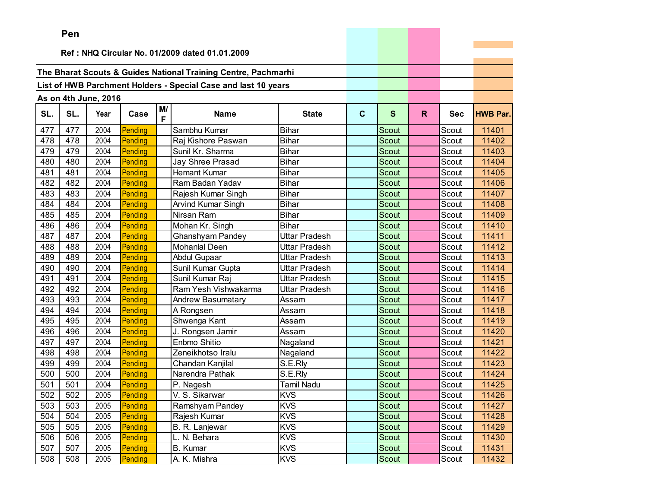|     | ren |                      |         |         |                                                                |               |             |              |    |            |                 |
|-----|-----|----------------------|---------|---------|----------------------------------------------------------------|---------------|-------------|--------------|----|------------|-----------------|
|     |     |                      |         |         | Ref: NHQ Circular No. 01/2009 dated 01.01.2009                 |               |             |              |    |            |                 |
|     |     |                      |         |         |                                                                |               |             |              |    |            |                 |
|     |     |                      |         |         | The Bharat Scouts & Guides National Training Centre, Pachmarhi |               |             |              |    |            |                 |
|     |     |                      |         |         |                                                                |               |             |              |    |            |                 |
|     |     |                      |         |         | List of HWB Parchment Holders - Special Case and last 10 years |               |             |              |    |            |                 |
|     |     | As on 4th June, 2016 |         |         |                                                                |               |             |              |    |            |                 |
| SL. | SL. | Year                 | Case    | M/<br>F | <b>Name</b>                                                    | <b>State</b>  | $\mathbf c$ | $\mathbf{s}$ | R. | <b>Sec</b> | <b>HWB Par.</b> |
| 477 | 477 | 2004                 | Pending |         | Sambhu Kumar                                                   | <b>Bihar</b>  |             | Scout        |    | Scout      | 11401           |
| 478 | 478 | 2004                 | Pending |         | Raj Kishore Paswan                                             | <b>Bihar</b>  |             | Scout        |    | Scout      | 11402           |
| 479 | 479 | 2004                 | Pending |         | Sunil Kr. Sharma                                               | <b>Bihar</b>  |             | Scout        |    | Scout      | 11403           |
| 480 | 480 | 2004                 | Pending |         | Jay Shree Prasad                                               | <b>Bihar</b>  |             | Scout        |    | Scout      | 11404           |
| 481 | 481 | 2004                 | Pending |         | <b>Hemant Kumar</b>                                            | <b>Bihar</b>  |             | Scout        |    | Scout      | 11405           |
| 482 | 482 | 2004                 | Pending |         | Ram Badan Yadav                                                | <b>Bihar</b>  |             | Scout        |    | Scout      | 11406           |
| 483 | 483 | 2004                 | Pending |         | Rajesh Kumar Singh                                             | <b>Bihar</b>  |             | Scout        |    | Scout      | 11407           |
| 484 | 484 | 2004                 | Pending |         | Arvind Kumar Singh                                             | <b>Bihar</b>  |             | Scout        |    | Scout      | 11408           |
| 485 | 485 | 2004                 | Pending |         | Nirsan Ram                                                     | <b>Bihar</b>  |             | Scout        |    | Scout      | 11409           |
| 486 | 486 | 2004                 | Pending |         | Mohan Kr. Singh                                                | <b>Bihar</b>  |             | Scout        |    | Scout      | 11410           |
| 487 | 487 | 2004                 | Pending |         | <b>Ghanshyam Pandey</b>                                        | Uttar Pradesh |             | Scout        |    | Scout      | 11411           |
| 488 | 488 | 2004                 | Pending |         | <b>Mohanlal Deen</b>                                           | Uttar Pradesh |             | Scout        |    | Scout      | 11412           |
| 489 | 489 | 2004                 | Pending |         | <b>Abdul Gupaar</b>                                            | Uttar Pradesh |             | Scout        |    | Scout      | 11413           |
| 490 | 490 | 2004                 | Pending |         | Sunil Kumar Gupta                                              | Uttar Pradesh |             | Scout        |    | Scout      | 11414           |
| 491 | 491 | 2004                 | Pending |         | Sunil Kumar Raj                                                | Uttar Pradesh |             | <b>Scout</b> |    | Scout      | 11415           |
| 492 | 492 | 2004                 | Pending |         | Ram Yesh Vishwakarma                                           | Uttar Pradesh |             | Scout        |    | Scout      | 11416           |
| 493 | 493 | 2004                 | Pending |         | <b>Andrew Basumatary</b>                                       | Assam         |             | <b>Scout</b> |    | Scout      | 11417           |
| 494 | 494 | 2004                 | Pending |         | A Rongsen                                                      | Assam         |             | Scout        |    | Scout      | 11418           |
| 495 | 495 | 2004                 | Pending |         | Shwenga Kant                                                   | Assam         |             | Scout        |    | Scout      | 11419           |
| 496 | 496 | 2004                 | Pending |         | J. Rongsen Jamir                                               | Assam         |             | <b>Scout</b> |    | Scout      | 11420           |
| 497 | 497 | 2004                 | Pending |         | Enbmo Shitio                                                   | Nagaland      |             | Scout        |    | Scout      | 11421           |
| 498 | 498 | 2004                 | Pending |         | Zeneikhotso Iralu                                              | Nagaland      |             | Scout        |    | Scout      | 11422           |
| 499 | 499 | 2004                 | Pending |         | Chandan Kanjilal                                               | S.E.Rly       |             | Scout        |    | Scout      | 11423           |
| 500 | 500 | 2004                 | Pending |         | Narendra Pathak                                                | S.E.Rly       |             | Scout        |    | Scout      | 11424           |
| 501 | 501 | 2004                 | Pending |         | P. Nagesh                                                      | Tamil Nadu    |             | Scout        |    | Scout      | 11425           |
| 502 | 502 | 2005                 | Pending |         | $\overline{V}$ . S. Sikarwar                                   | <b>KVS</b>    |             | Scout        |    | Scout      | 11426           |
| 503 | 503 | 2005                 | Pending |         | Ramshyam Pandey                                                | <b>KVS</b>    |             | Scout        |    | Scout      | 11427           |
| 504 | 504 | 2005                 | Pending |         | Rajesh Kumar                                                   | <b>KVS</b>    |             | Scout        |    | Scout      | 11428           |
| 505 | 505 | 2005                 | Pending |         | B. R. Lanjewar                                                 | <b>KVS</b>    |             | Scout        |    | Scout      | 11429           |
| 506 | 506 | 2005                 | Pending |         | L. N. Behara                                                   | <b>KVS</b>    |             | Scout        |    | Scout      | 11430           |
| 507 | 507 | 2005                 | Pending |         | <b>B.</b> Kumar                                                | <b>KVS</b>    |             | Scout        |    | Scout      | 11431           |
| 508 | 508 | 2005                 | Pending |         | A. K. Mishra                                                   | <b>KVS</b>    |             | Scout        |    | Scout      | 11432           |

the control of the control of the con-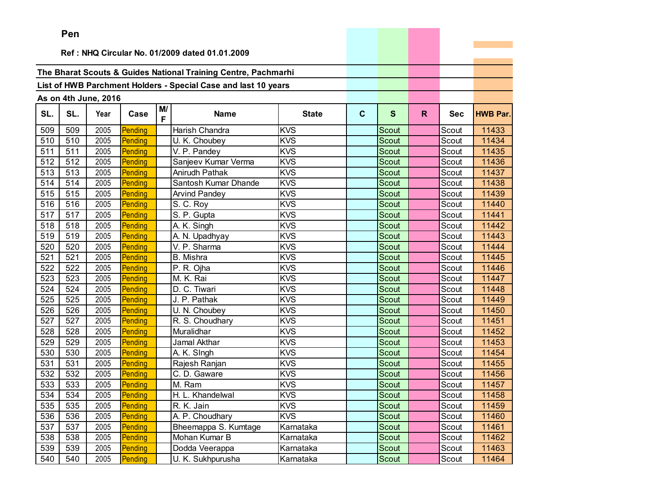|     | Pen                                            |                      |         |         |                                                                |              |              |              |    |            |                 |
|-----|------------------------------------------------|----------------------|---------|---------|----------------------------------------------------------------|--------------|--------------|--------------|----|------------|-----------------|
|     | Ref: NHQ Circular No. 01/2009 dated 01.01.2009 |                      |         |         |                                                                |              |              |              |    |            |                 |
|     |                                                |                      |         |         |                                                                |              |              |              |    |            |                 |
|     |                                                |                      |         |         | The Bharat Scouts & Guides National Training Centre, Pachmarhi |              |              |              |    |            |                 |
|     |                                                |                      |         |         |                                                                |              |              |              |    |            |                 |
|     |                                                |                      |         |         | List of HWB Parchment Holders - Special Case and last 10 years |              |              |              |    |            |                 |
|     |                                                | As on 4th June, 2016 |         |         |                                                                |              |              |              |    |            |                 |
| SL. | SL.                                            | Year                 | Case    | M/<br>F | <b>Name</b>                                                    | <b>State</b> | $\mathbf{C}$ | $\mathbf{s}$ | R. | <b>Sec</b> | <b>HWB Par.</b> |
| 509 | 509                                            | 2005                 | Pending |         | Harish Chandra                                                 | <b>KVS</b>   |              | Scout        |    | Scout      | 11433           |
| 510 | 510                                            | 2005                 | Pending |         | U. K. Choubey                                                  | <b>KVS</b>   |              | Scout        |    | Scout      | 11434           |
| 511 | 511                                            | 2005                 | Pending |         | V. P. Pandey                                                   | <b>KVS</b>   |              | Scout        |    | Scout      | 11435           |
| 512 | 512                                            | 2005                 | Pending |         | Sanjeev Kumar Verma                                            | <b>KVS</b>   |              | Scout        |    | Scout      | 11436           |
| 513 | 513                                            | 2005                 | Pending |         | Anirudh Pathak                                                 | <b>KVS</b>   |              | Scout        |    | Scout      | 11437           |
| 514 | 514                                            | 2005                 | Pending |         | Santosh Kumar Dhande                                           | <b>KVS</b>   |              | Scout        |    | Scout      | 11438           |
| 515 | 515                                            | 2005                 | Pending |         | <b>Arvind Pandey</b>                                           | <b>KVS</b>   |              | <b>Scout</b> |    | Scout      | 11439           |
| 516 | 516                                            | 2005                 | Pending |         | S. C. Roy                                                      | <b>KVS</b>   |              | Scout        |    | Scout      | 11440           |
| 517 | 517                                            | 2005                 | Pending |         | S. P. Gupta                                                    | <b>KVS</b>   |              | Scout        |    | Scout      | 11441           |
| 518 | 518                                            | 2005                 | Pending |         | A. K. Singh                                                    | <b>KVS</b>   |              | Scout        |    | Scout      | 11442           |
| 519 | 519                                            | 2005                 | Pending |         | A. N. Upadhyay                                                 | <b>KVS</b>   |              | Scout        |    | Scout      | 11443           |
| 520 | 520                                            | 2005                 | Pending |         | V. P. Sharma                                                   | <b>KVS</b>   |              | Scout        |    | Scout      | 11444           |
| 521 | 521                                            | 2005                 | Pending |         | B. Mishra                                                      | <b>KVS</b>   |              | Scout        |    | Scout      | 11445           |
| 522 | 522                                            | 2005                 | Pending |         | P. R. Ojha                                                     | <b>KVS</b>   |              | Scout        |    | Scout      | 11446           |
| 523 | 523                                            | 2005                 | Pending |         | M. K. Rai                                                      | <b>KVS</b>   |              | Scout        |    | Scout      | 11447           |
| 524 | 524                                            | 2005                 | Pending |         | D. C. Tiwari                                                   | <b>KVS</b>   |              | Scout        |    | Scout      | 11448           |
| 525 | 525                                            | 2005                 | Pending |         | J. P. Pathak                                                   | <b>KVS</b>   |              | Scout        |    | Scout      | 11449           |
| 526 | 526                                            | 2005                 | Pending |         | U. N. Choubey                                                  | <b>KVS</b>   |              | Scout        |    | Scout      | 11450           |
| 527 | 527                                            | 2005                 | Pending |         | R. S. Choudhary                                                | <b>KVS</b>   |              | Scout        |    | Scout      | 11451           |
| 528 | 528                                            | 2005                 | Pending |         | Muralidhar                                                     | <b>KVS</b>   |              | Scout        |    | Scout      | 11452           |
| 529 | 529                                            | 2005                 | Pending |         | Jamal Akthar                                                   | <b>KVS</b>   |              | Scout        |    | Scout      | 11453           |
| 530 | 530                                            | 2005                 | Pending |         | A. K. Singh                                                    | <b>KVS</b>   |              | Scout        |    | Scout      | 11454           |
| 531 | 531                                            | 2005                 | Pending |         | Rajesh Ranjan                                                  | <b>KVS</b>   |              | Scout        |    | Scout      | 11455           |
| 532 | 532                                            | 2005                 | Pending |         | C. D. Gaware                                                   | <b>KVS</b>   |              | Scout        |    | Scout      | 11456           |
| 533 | 533                                            | 2005                 | Pending |         | M. Ram                                                         | <b>KVS</b>   |              | Scout        |    | Scout      | 11457           |
| 534 | 534                                            | 2005                 | Pending |         | H. L. Khandelwal                                               | <b>KVS</b>   |              | Scout        |    | Scout      | 11458           |
| 535 | 535                                            | 2005                 | Pending |         | R. K. Jain                                                     | <b>KVS</b>   |              | Scout        |    | Scout      | 11459           |
| 536 | 536                                            | 2005                 | Pending |         | A. P. Choudhary                                                | <b>KVS</b>   |              | Scout        |    | Scout      | 11460           |
| 537 | 537                                            | 2005                 | Pending |         | Bheemappa S. Kumtage                                           | Karnataka    |              | Scout        |    | Scout      | 11461           |
| 538 | 538                                            | 2005                 | Pending |         | Mohan Kumar B                                                  | Karnataka    |              | Scout        |    | Scout      | 11462           |
| 539 | 539                                            | 2005                 | Pending |         | Dodda Veerappa                                                 | Karnataka    |              | Scout        |    | Scout      | 11463           |
| 540 | 540                                            | 2005                 | Pending |         | U. K. Sukhpurusha                                              | Karnataka    |              | Scout        |    | Scout      | 11464           |

the company of the company of the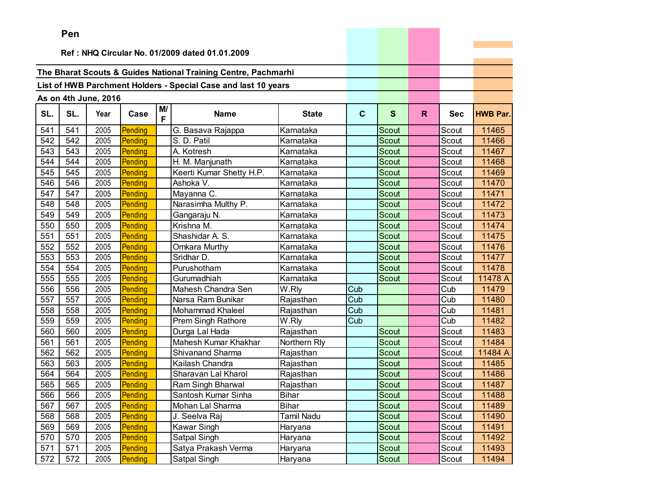|     | Pen |                      |         |         |                                                                |              |     |              |    |            |                 |
|-----|-----|----------------------|---------|---------|----------------------------------------------------------------|--------------|-----|--------------|----|------------|-----------------|
|     |     |                      |         |         |                                                                |              |     |              |    |            |                 |
|     |     |                      |         |         | Ref: NHQ Circular No. 01/2009 dated 01.01.2009                 |              |     |              |    |            |                 |
|     |     |                      |         |         | The Bharat Scouts & Guides National Training Centre, Pachmarhi |              |     |              |    |            |                 |
|     |     |                      |         |         |                                                                |              |     |              |    |            |                 |
|     |     |                      |         |         | List of HWB Parchment Holders - Special Case and last 10 years |              |     |              |    |            |                 |
|     |     | As on 4th June, 2016 |         |         |                                                                |              |     |              |    |            |                 |
| SL. | SL. | Year                 | Case    | M/<br>F | <b>Name</b>                                                    | <b>State</b> | C   | $\mathbf{s}$ | R. | <b>Sec</b> | <b>HWB Par.</b> |
| 541 | 541 | 2005                 | Pending |         | G. Basava Rajappa                                              | Karnataka    |     | Scout        |    | Scout      | 11465           |
| 542 | 542 | 2005                 | Pending |         | S. D. Patil                                                    | Karnataka    |     | Scout        |    | Scout      | 11466           |
| 543 | 543 | 2005                 | Pending |         | A. Kotresh                                                     | Karnataka    |     | Scout        |    | Scout      | 11467           |
| 544 | 544 | 2005                 | Pending |         | H. M. Manjunath                                                | Karnataka    |     | Scout        |    | Scout      | 11468           |
| 545 | 545 | 2005                 | Pending |         | Keerti Kumar Shetty H.P.                                       | Karnataka    |     | Scout        |    | Scout      | 11469           |
| 546 | 546 | 2005                 | Pending |         | Ashoka V.                                                      | Karnataka    |     | <b>Scout</b> |    | Scout      | 11470           |
| 547 | 547 | 2005                 | Pending |         | Mayanna C.                                                     | Karnataka    |     | Scout        |    | Scout      | 11471           |
| 548 | 548 | 2005                 | Pending |         | Narasimha Multhy P.                                            | Karnataka    |     | Scout        |    | Scout      | 11472           |
| 549 | 549 | 2005                 | Pending |         | Gangaraju N.                                                   | Karnataka    |     | Scout        |    | Scout      | 11473           |
| 550 | 550 | 2005                 | Pending |         | Krishna M.                                                     | Karnataka    |     | Scout        |    | Scout      | 11474           |
| 551 | 551 | 2005                 | Pending |         | Shashidar A. S.                                                | Karnataka    |     | Scout        |    | Scout      | 11475           |
| 552 | 552 | 2005                 | Pending |         | Omkara Murthy                                                  | Karnataka    |     | Scout        |    | Scout      | 11476           |
| 553 | 553 | 2005                 | Pending |         | Sridhar D.                                                     | Karnataka    |     | Scout        |    | Scout      | 11477           |
| 554 | 554 | 2005                 | Pending |         | Purushotham                                                    | Karnataka    |     | Scout        |    | Scout      | 11478           |
| 555 | 555 | 2005                 | Pending |         | Gurumadhiah                                                    | Karnataka    |     | Scout        |    | Scout      | 11478 A         |
| 556 | 556 | 2005                 | Pending |         | Mahesh Chandra Sen                                             | W.Rly        | Cub |              |    | Cub        | 11479           |
| 557 | 557 | 2005                 | Pending |         | Narsa Ram Bunikar                                              | Rajasthan    | Cub |              |    | Cub        | 11480           |
| 558 | 558 | 2005                 | Pending |         | <b>Mohammad Khaleel</b>                                        | Rajasthan    | Cub |              |    | Cub        | 11481           |
| 559 | 559 | 2005                 | Pending |         | <b>Prem Singh Rathore</b>                                      | W.Rly        | Cub |              |    | Cub        | 11482           |
| 560 | 560 | 2005                 | Pending |         | Durga Lal Hada                                                 | Rajasthan    |     | Scout        |    | Scout      | 11483           |
| 561 | 561 | 2005                 | Pending |         | Mahesh Kumar Khakhar                                           | Northern Rly |     | <b>Scout</b> |    | Scout      | 11484           |
| 562 | 562 | 2005                 | Pending |         | <b>Shivanand Sharma</b>                                        | Rajasthan    |     | Scout        |    | Scout      | 11484 A         |
| 563 | 563 | 2005                 | Pending |         | Kailash Chandra                                                | Rajasthan    |     | Scout        |    | Scout      | 11485           |
| 564 | 564 | 2005                 | Pending |         | Sharavan Lal Kharol                                            | Rajasthan    |     | Scout        |    | Scout      | 11486           |
| 565 | 565 | 2005                 | Pending |         | Ram Singh Bharwal                                              | Rajasthan    |     | Scout        |    | Scout      | 11487           |
| 566 | 566 | 2005                 | Pending |         | Santosh Kumar Sinha                                            | <b>Bihar</b> |     | Scout        |    | Scout      | 11488           |
| 567 | 567 | 2005                 | Pending |         | Mohan Lal Sharma                                               | <b>Bihar</b> |     | Scout        |    | Scout      | 11489           |
| 568 | 568 | 2005                 | Pending |         | J. Seelva Raj                                                  | Tamil Nadu   |     | Scout        |    | Scout      | 11490           |
| 569 | 569 | 2005                 | Pending |         | Kawar Singh                                                    | Haryana      |     | Scout        |    | Scout      | 11491           |
| 570 | 570 | 2005                 | Pending |         | Satpal Singh                                                   | Haryana      |     | Scout        |    | Scout      | 11492           |
| 571 | 571 | 2005                 | Pending |         | Satya Prakash Verma                                            | Haryana      |     | Scout        |    | Scout      | 11493           |
| 572 | 572 | 2005                 | Pending |         | Satpal Singh                                                   | Haryana      |     | Scout        |    | Scout      | 11494           |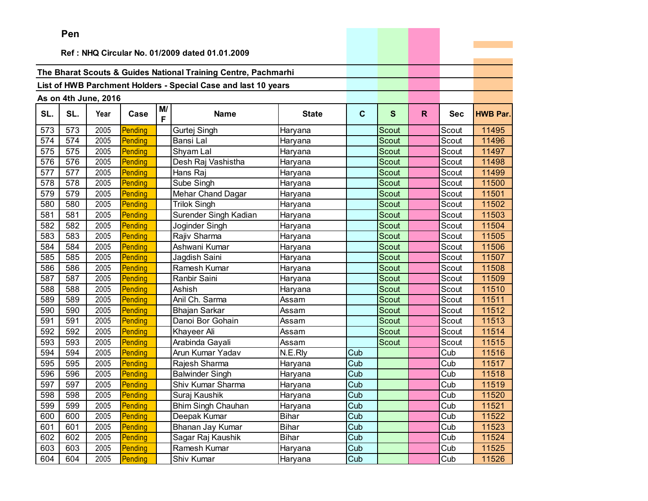|     | Pen |                      |         |         |                                                                |              |             |              |    |            |                 |
|-----|-----|----------------------|---------|---------|----------------------------------------------------------------|--------------|-------------|--------------|----|------------|-----------------|
|     |     |                      |         |         |                                                                |              |             |              |    |            |                 |
|     |     |                      |         |         | Ref: NHQ Circular No. 01/2009 dated 01.01.2009                 |              |             |              |    |            |                 |
|     |     |                      |         |         | The Bharat Scouts & Guides National Training Centre, Pachmarhi |              |             |              |    |            |                 |
|     |     |                      |         |         |                                                                |              |             |              |    |            |                 |
|     |     |                      |         |         | List of HWB Parchment Holders - Special Case and last 10 years |              |             |              |    |            |                 |
|     |     | As on 4th June, 2016 |         |         |                                                                |              |             |              |    |            |                 |
| SL. | SL. | Year                 | Case    | M/<br>F | <b>Name</b>                                                    | <b>State</b> | $\mathbf c$ | S            | R. | <b>Sec</b> | <b>HWB Par.</b> |
| 573 | 573 | 2005                 | Pending |         | Gurtej Singh                                                   | Haryana      |             | Scout        |    | Scout      | 11495           |
| 574 | 574 | 2005                 | Pending |         | Bansi Lal                                                      | Haryana      |             | Scout        |    | Scout      | 11496           |
| 575 | 575 | 2005                 | Pending |         | Shyam Lal                                                      | Haryana      |             | <b>Scout</b> |    | Scout      | 11497           |
| 576 | 576 | 2005                 | Pending |         | Desh Raj Vashistha                                             | Haryana      |             | Scout        |    | Scout      | 11498           |
| 577 | 577 | 2005                 | Pending |         | Hans Raj                                                       | Haryana      |             | Scout        |    | Scout      | 11499           |
| 578 | 578 | 2005                 | Pending |         | Sube Singh                                                     | Haryana      |             | <b>Scout</b> |    | Scout      | 11500           |
| 579 | 579 | 2005                 | Pending |         | Mehar Chand Dagar                                              | Haryana      |             | <b>Scout</b> |    | Scout      | 11501           |
| 580 | 580 | 2005                 | Pending |         | <b>Trilok Singh</b>                                            | Haryana      |             | Scout        |    | Scout      | 11502           |
| 581 | 581 | 2005                 | Pending |         | Surender Singh Kadian                                          | Haryana      |             | <b>Scout</b> |    | Scout      | 11503           |
| 582 | 582 | 2005                 | Pending |         | Joginder Singh                                                 | Haryana      |             | Scout        |    | Scout      | 11504           |
| 583 | 583 | 2005                 | Pending |         | Rajiv Sharma                                                   | Haryana      |             | Scout        |    | Scout      | 11505           |
| 584 | 584 | 2005                 | Pending |         | Ashwani Kumar                                                  | Haryana      |             | Scout        |    | Scout      | 11506           |
| 585 | 585 | 2005                 | Pending |         | Jagdish Saini                                                  | Haryana      |             | Scout        |    | Scout      | 11507           |
| 586 | 586 | 2005                 | Pending |         | Ramesh Kumar                                                   | Haryana      |             | Scout        |    | Scout      | 11508           |
| 587 | 587 | 2005                 | Pending |         | Ranbir Saini                                                   | Haryana      |             | Scout        |    | Scout      | 11509           |
| 588 | 588 | 2005                 | Pending |         | Ashish                                                         | Haryana      |             | Scout        |    | Scout      | 11510           |
| 589 | 589 | 2005                 | Pending |         | Anil Ch. Sarma                                                 | Assam        |             | Scout        |    | Scout      | 11511           |
| 590 | 590 | 2005                 | Pending |         | <b>Bhajan Sarkar</b>                                           | Assam        |             | Scout        |    | Scout      | 11512           |
| 591 | 591 | 2005                 | Pending |         | Danoi Bor Gohain                                               | Assam        |             | Scout        |    | Scout      | 11513           |
| 592 | 592 | 2005                 | Pending |         | Khayeer Ali                                                    | Assam        |             | Scout        |    | Scout      | 11514           |
| 593 | 593 | 2005                 | Pending |         | Arabinda Gayali                                                | Assam        |             | Scout        |    | Scout      | 11515           |
| 594 | 594 | 2005                 | Pending |         | Arun Kumar Yadav                                               | N.E.Rly      | Cub         |              |    | Cub        | 11516           |
| 595 | 595 | 2005                 | Pending |         | Rajesh Sharma                                                  | Haryana      | Cub         |              |    | Cub        | 11517           |
| 596 | 596 | 2005                 | Pending |         | <b>Balwinder Singh</b>                                         | Haryana      | Cub         |              |    | Cub        | 11518           |
| 597 | 597 | 2005                 | Pending |         | Shiv Kumar Sharma                                              | Haryana      | Cub         |              |    | Cub        | 11519           |
| 598 | 598 | 2005                 | Pending |         | Suraj Kaushik                                                  | Haryana      | Cub         |              |    | Cub        | 11520           |
| 599 | 599 | 2005                 | Pending |         | <b>Bhim Singh Chauhan</b>                                      | Haryana      | Cub         |              |    | Cub        | 11521           |
| 600 | 600 | 2005                 | Pending |         | Deepak Kumar                                                   | <b>Bihar</b> | Cub         |              |    | Cub        | 11522           |
| 601 | 601 | 2005                 | Pending |         | Bhanan Jay Kumar                                               | <b>Bihar</b> | Cub         |              |    | Cub        | 11523           |
| 602 | 602 | 2005                 | Pending |         | Sagar Raj Kaushik                                              | <b>Bihar</b> | Cub         |              |    | Cub        | 11524           |
| 603 | 603 | 2005                 | Pending |         | Ramesh Kumar                                                   | Haryana      | Cub         |              |    | Cub        | 11525           |
| 604 | 604 | 2005                 | Pending |         | Shiv Kumar                                                     | Haryana      | Cub         |              |    | Cub        | 11526           |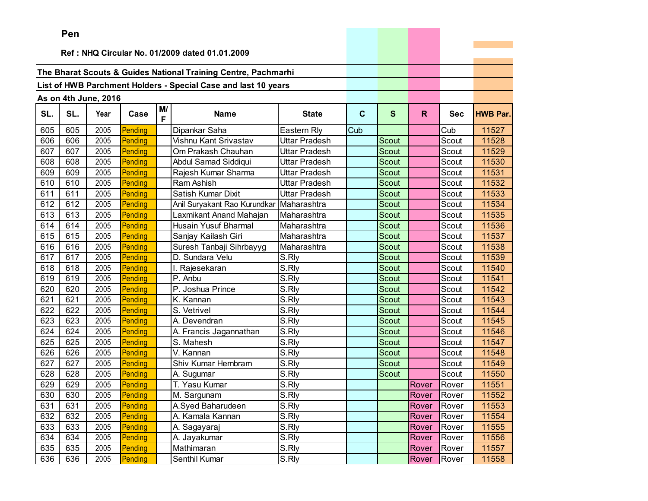|     | ren |                      |         |         |                                                                |                     |             |              |       |            |                 |
|-----|-----|----------------------|---------|---------|----------------------------------------------------------------|---------------------|-------------|--------------|-------|------------|-----------------|
|     |     |                      |         |         | Ref: NHQ Circular No. 01/2009 dated 01.01.2009                 |                     |             |              |       |            |                 |
|     |     |                      |         |         |                                                                |                     |             |              |       |            |                 |
|     |     |                      |         |         | The Bharat Scouts & Guides National Training Centre, Pachmarhi |                     |             |              |       |            |                 |
|     |     |                      |         |         | List of HWB Parchment Holders - Special Case and last 10 years |                     |             |              |       |            |                 |
|     |     |                      |         |         |                                                                |                     |             |              |       |            |                 |
|     |     | As on 4th June, 2016 |         |         |                                                                |                     |             |              |       |            |                 |
| SL. | SL. | Year                 | Case    | M/<br>F | <b>Name</b>                                                    | <b>State</b>        | $\mathbf c$ | $\mathbf{s}$ | R.    | <b>Sec</b> | <b>HWB Par.</b> |
| 605 | 605 | 2005                 | Pending |         | Dipankar Saha                                                  | Eastern Rly         | Cub         |              |       | Cub        | 11527           |
| 606 | 606 | 2005                 | Pending |         | Vishnu Kant Srivastav                                          | Uttar Pradesh       |             | Scout        |       | Scout      | 11528           |
| 607 | 607 | 2005                 | Pending |         | Om Prakash Chauhan                                             | Uttar Pradesh       |             | <b>Scout</b> |       | Scout      | 11529           |
| 608 | 608 | 2005                 | Pending |         | Abdul Samad Siddiqui                                           | Uttar Pradesh       |             | Scout        |       | Scout      | 11530           |
| 609 | 609 | 2005                 | Pending |         | Rajesh Kumar Sharma                                            | Uttar Pradesh       |             | Scout        |       | Scout      | 11531           |
| 610 | 610 | 2005                 | Pending |         | Ram Ashish                                                     | Uttar Pradesh       |             | Scout        |       | Scout      | 11532           |
| 611 | 611 | 2005                 | Pending |         | Satish Kumar Dixit                                             | Uttar Pradesh       |             | Scout        |       | Scout      | 11533           |
| 612 | 612 | 2005                 | Pending |         | Anil Suryakant Rao Kurundkar                                   | Maharashtra         |             | Scout        |       | Scout      | 11534           |
| 613 | 613 | 2005                 | Pending |         | Laxmikant Anand Mahajan                                        | Maharashtra         |             | <b>Scout</b> |       | Scout      | 11535           |
| 614 | 614 | 2005                 | Pending |         | Husain Yusuf Bharmal                                           | Maharashtra         |             | Scout        |       | Scout      | 11536           |
| 615 | 615 | 2005                 | Pending |         | Sanjay Kailash Giri                                            | Maharashtra         |             | Scout        |       | Scout      | 11537           |
| 616 | 616 | 2005                 | Pending |         | Suresh Tanbaji Sihrbayyg                                       | Maharashtra         |             | Scout        |       | Scout      | 11538           |
| 617 | 617 | 2005                 | Pending |         | D. Sundara Velu                                                | S.Rly               |             | Scout        |       | Scout      | 11539           |
| 618 | 618 | 2005                 | Pending |         | I. Rajesekaran                                                 | $\overline{S}$ .Rly |             | Scout        |       | Scout      | 11540           |
| 619 | 619 | 2005                 | Pending |         | P. Anbu                                                        | S.Rly               |             | Scout        |       | Scout      | 11541           |
| 620 | 620 | 2005                 | Pending |         | P. Joshua Prince                                               | S.Rly               |             | Scout        |       | Scout      | 11542           |
| 621 | 621 | 2005                 | Pending |         | K. Kannan                                                      | S.Rly               |             | <b>Scout</b> |       | Scout      | 11543           |
| 622 | 622 | 2005                 | Pending |         | S. Vetrivel                                                    | S.Rly               |             | Scout        |       | Scout      | 11544           |
| 623 | 623 | 2005                 | Pending |         | A. Devendran                                                   | S.Rly               |             | Scout        |       | Scout      | 11545           |
| 624 | 624 | 2005                 | Pending |         | A. Francis Jagannathan                                         | S.Rly               |             | <b>Scout</b> |       | Scout      | 11546           |
| 625 | 625 | 2005                 | Pending |         | S. Mahesh                                                      | S.Rly               |             | Scout        |       | Scout      | 11547           |
| 626 | 626 | 2005                 | Pending |         | V. Kannan                                                      | S.Rly               |             | Scout        |       | Scout      | 11548           |
| 627 | 627 | 2005                 | Pending |         | Shiv Kumar Hembram                                             | S.Rly               |             | Scout        |       | Scout      | 11549           |
| 628 | 628 | 2005                 | Pending |         | A. Sugumar                                                     | S.Rly               |             | Scout        |       | Scout      | 11550           |
| 629 | 629 | 2005                 | Pending |         | T. Yasu Kumar                                                  | S.Rly               |             |              | Rover | Rover      | 11551           |
| 630 | 630 | 2005                 | Pending |         | M. Sargunam                                                    | S.Rly               |             |              | Rover | Rover      | 11552           |
| 631 | 631 | 2005                 | Pending |         | A.Syed Baharudeen                                              | S.Rly               |             |              | Rover | Rover      | 11553           |
| 632 | 632 | 2005                 | Pending |         | A. Kamala Kannan                                               | $\overline{S}$ .Rly |             |              | Rover | Rover      | 11554           |
| 633 | 633 | 2005                 | Pending |         | A. Sagayaraj                                                   | S.Rly               |             |              | Rover | Rover      | 11555           |
| 634 | 634 | 2005                 | Pending |         | A. Jayakumar                                                   | S.Rly               |             |              | Rover | Rover      | 11556           |
| 635 | 635 | 2005                 | Pending |         | Mathimaran                                                     | S.Rly               |             |              | Rover | Rover      | 11557           |
| 636 | 636 | 2005                 | Pending |         | Senthil Kumar                                                  | S.Rly               |             |              | Rover | Rover      | 11558           |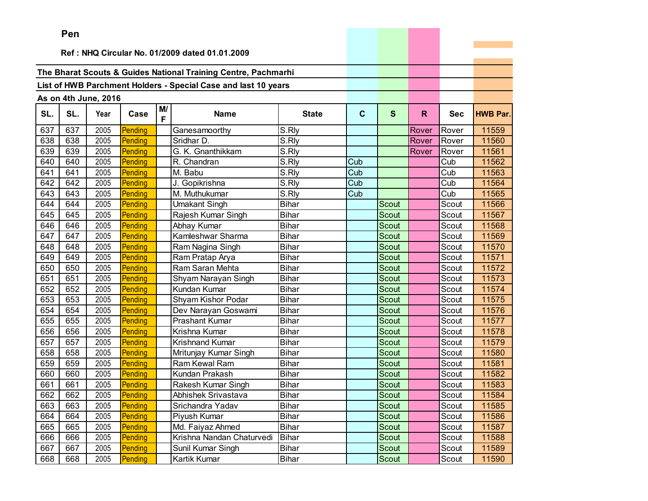|     | Pen |                      |         |    |                                                                |                     |             |              |       |            |                 |
|-----|-----|----------------------|---------|----|----------------------------------------------------------------|---------------------|-------------|--------------|-------|------------|-----------------|
|     |     |                      |         |    | Ref: NHQ Circular No. 01/2009 dated 01.01.2009                 |                     |             |              |       |            |                 |
|     |     |                      |         |    |                                                                |                     |             |              |       |            |                 |
|     |     |                      |         |    | The Bharat Scouts & Guides National Training Centre, Pachmarhi |                     |             |              |       |            |                 |
|     |     |                      |         |    | List of HWB Parchment Holders - Special Case and last 10 years |                     |             |              |       |            |                 |
|     |     | As on 4th June, 2016 |         |    |                                                                |                     |             |              |       |            |                 |
|     |     |                      |         | M/ |                                                                |                     |             |              |       |            |                 |
| SL. | SL. | Year                 | Case    | F  | <b>Name</b>                                                    | <b>State</b>        | $\mathbf c$ | $\mathbf{s}$ | R.    | <b>Sec</b> | <b>HWB Par.</b> |
| 637 | 637 | 2005                 | Pending |    | Ganesamoorthy                                                  | S.Rly               |             |              | Rover | Rover      | 11559           |
| 638 | 638 | 2005                 | Pending |    | Sridhar D.                                                     | $\overline{S}$ .Rly |             |              | Rover | Rover      | 11560           |
| 639 | 639 | 2005                 | Pending |    | G. K. Gnanthikkam                                              | S.Rly               |             |              | Rover | Rover      | 11561           |
| 640 | 640 | 2005                 | Pending |    | R. Chandran                                                    | S.Rly               | Cub         |              |       | Cub        | 11562           |
| 641 | 641 | 2005                 | Pending |    | M. Babu                                                        | S.Rly               | Cub         |              |       | Cub        | 11563           |
| 642 | 642 | 2005                 | Pending |    | J. Gopikrishna                                                 | S.Rly               | Cub         |              |       | Cub        | 11564           |
| 643 | 643 | 2005                 | Pending |    | M. Muthukumar                                                  | S.Rly               | Cub         |              |       | Cub        | 11565           |
| 644 | 644 | 2005                 | Pending |    | <b>Umakant Singh</b>                                           | <b>Bihar</b>        |             | Scout        |       | Scout      | 11566           |
| 645 | 645 | 2005                 | Pending |    | Rajesh Kumar Singh                                             | <b>Bihar</b>        |             | <b>Scout</b> |       | Scout      | 11567           |
| 646 | 646 | 2005                 | Pending |    | Abhay Kumar                                                    | <b>Bihar</b>        |             | <b>Scout</b> |       | Scout      | 11568           |
| 647 | 647 | 2005                 | Pending |    | Kamleshwar Sharma                                              | <b>Bihar</b>        |             | Scout        |       | Scout      | 11569           |
| 648 | 648 | 2005                 | Pending |    | Ram Nagina Singh                                               | <b>Bihar</b>        |             | Scout        |       | Scout      | 11570           |
| 649 | 649 | 2005                 | Pending |    | Ram Pratap Arya                                                | Bihar               |             | Scout        |       | Scout      | 11571           |
| 650 | 650 | 2005                 | Pending |    | Ram Saran Mehta                                                | <b>Bihar</b>        |             | Scout        |       | Scout      | 11572           |
| 651 | 651 | 2005                 | Pending |    | Shyam Narayan Singh                                            | <b>Bihar</b>        |             | Scout        |       | Scout      | 11573           |
| 652 | 652 | 2005                 | Pending |    | Kundan Kumar                                                   | <b>Bihar</b>        |             | <b>Scout</b> |       | Scout      | 11574           |
| 653 | 653 | 2005                 | Pending |    | Shyam Kishor Podar                                             | <b>Bihar</b>        |             | Scout        |       | Scout      | 11575           |
| 654 | 654 | 2005                 | Pending |    | Dev Narayan Goswami                                            | <b>Bihar</b>        |             | Scout        |       | Scout      | 11576           |
| 655 | 655 | 2005                 | Pending |    | Prashant Kumar                                                 | <b>Bihar</b>        |             | <b>Scout</b> |       | Scout      | 11577           |
| 656 | 656 | 2005                 | Pending |    | Krishna Kumar                                                  | <b>Bihar</b>        |             | Scout        |       | Scout      | 11578           |
| 657 | 657 | 2005                 | Pending |    | Krishnand Kumar                                                | <b>Bihar</b>        |             | <b>Scout</b> |       | Scout      | 11579           |
| 658 | 658 | 2005                 | Pending |    | Mritunjay Kumar Singh                                          | <b>Bihar</b>        |             | Scout        |       | Scout      | 11580           |
| 659 | 659 | 2005                 | Pending |    | Ram Kewal Ram                                                  | <b>Bihar</b>        |             | Scout        |       | Scout      | 11581           |
| 660 | 660 | 2005                 | Pending |    | Kundan Prakash                                                 | <b>Bihar</b>        |             | Scout        |       | Scout      | 11582           |
| 661 | 661 | 2005                 | Pending |    | Rakesh Kumar Singh                                             | <b>Bihar</b>        |             | Scout        |       | Scout      | 11583           |
| 662 | 662 | 2005                 | Pending |    | Abhishek Srivastava                                            | <b>Bihar</b>        |             | Scout        |       | Scout      | 11584           |
| 663 | 663 | 2005                 | Pending |    | Srichandra Yadav                                               | <b>Bihar</b>        |             | Scout        |       | Scout      | 11585           |
| 664 | 664 | 2005                 | Pending |    | Piyush Kumar                                                   | <b>Bihar</b>        |             | Scout        |       | Scout      | 11586           |
| 665 | 665 | 2005                 | Pending |    | Md. Faiyaz Ahmed                                               | <b>Bihar</b>        |             | Scout        |       | Scout      | 11587           |
| 666 | 666 | 2005                 | Pending |    | Krishna Nandan Chaturvedi                                      | <b>Bihar</b>        |             | Scout        |       | Scout      | 11588           |
| 667 | 667 | 2005                 | Pending |    | Sunil Kumar Singh                                              | Bihar               |             | Scout        |       | Scout      | 11589           |
| 668 | 668 | 2005                 | Pending |    | Kartik Kumar                                                   | <b>Bihar</b>        |             | Scout        |       | Scout      | 11590           |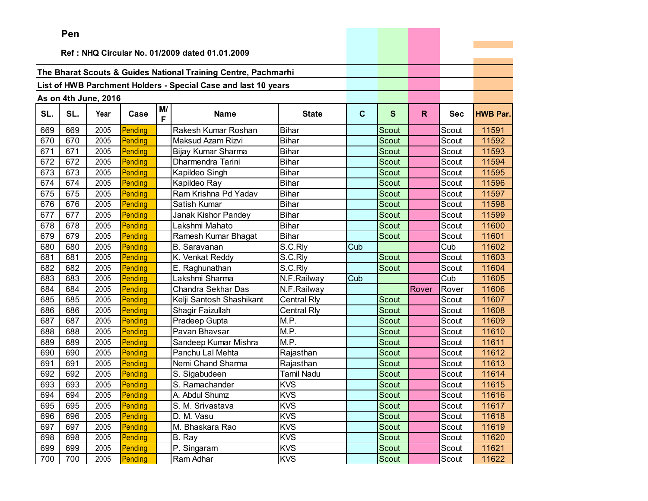|     | Pen |                      |         |         |                                                                |                    |             |              |       |            |                 |
|-----|-----|----------------------|---------|---------|----------------------------------------------------------------|--------------------|-------------|--------------|-------|------------|-----------------|
|     |     |                      |         |         |                                                                |                    |             |              |       |            |                 |
|     |     |                      |         |         | Ref: NHQ Circular No. 01/2009 dated 01.01.2009                 |                    |             |              |       |            |                 |
|     |     |                      |         |         | The Bharat Scouts & Guides National Training Centre, Pachmarhi |                    |             |              |       |            |                 |
|     |     |                      |         |         | List of HWB Parchment Holders - Special Case and last 10 years |                    |             |              |       |            |                 |
|     |     |                      |         |         |                                                                |                    |             |              |       |            |                 |
|     |     | As on 4th June, 2016 |         |         |                                                                |                    |             |              |       |            |                 |
| SL. | SL. | Year                 | Case    | M/<br>F | <b>Name</b>                                                    | <b>State</b>       | $\mathbf c$ | $\mathbf{s}$ | R.    | <b>Sec</b> | <b>HWB Par.</b> |
| 669 | 669 | 2005                 | Pending |         | Rakesh Kumar Roshan                                            | <b>Bihar</b>       |             | Scout        |       | Scout      | 11591           |
| 670 | 670 | 2005                 | Pending |         | Maksud Azam Rizvi                                              | <b>Bihar</b>       |             | Scout        |       | Scout      | 11592           |
| 671 | 671 | 2005                 | Pending |         | Bijay Kumar Sharma                                             | <b>Bihar</b>       |             | <b>Scout</b> |       | Scout      | 11593           |
| 672 | 672 | 2005                 | Pending |         | Dharmendra Tarini                                              | <b>Bihar</b>       |             | Scout        |       | Scout      | 11594           |
| 673 | 673 | 2005                 | Pending |         | Kapildeo Singh                                                 | <b>Bihar</b>       |             | Scout        |       | Scout      | 11595           |
| 674 | 674 | 2005                 | Pending |         | Kapildeo Ray                                                   | <b>Bihar</b>       |             | <b>Scout</b> |       | Scout      | 11596           |
| 675 | 675 | 2005                 | Pending |         | Ram Krishna Pd Yadav                                           | <b>Bihar</b>       |             | <b>Scout</b> |       | Scout      | 11597           |
| 676 | 676 | 2005                 | Pending |         | Satish Kumar                                                   | <b>Bihar</b>       |             | Scout        |       | Scout      | 11598           |
| 677 | 677 | 2005                 | Pending |         | Janak Kishor Pandey                                            | <b>Bihar</b>       |             | <b>Scout</b> |       | Scout      | 11599           |
| 678 | 678 | 2005                 | Pending |         | Lakshmi Mahato                                                 | <b>Bihar</b>       |             | <b>Scout</b> |       | Scout      | 11600           |
| 679 | 679 | 2005                 | Pending |         | Ramesh Kumar Bhagat                                            | <b>Bihar</b>       |             | Scout        |       | Scout      | 11601           |
| 680 | 680 | 2005                 | Pending |         | B. Saravanan                                                   | S.C.Rly            | Cub         |              |       | Cub        | 11602           |
| 681 | 681 | 2005                 | Pending |         | K. Venkat Reddy                                                | S.C.Rly            |             | <b>Scout</b> |       | Scout      | 11603           |
| 682 | 682 | 2005                 | Pending |         | E. Raghunathan                                                 | S.C.Rly            |             | Scout        |       | Scout      | 11604           |
| 683 | 683 | 2005                 | Pending |         | Lakshmi Sharma                                                 | N.F.Railway        | Cub         |              |       | Cub        | 11605           |
| 684 | 684 | 2005                 | Pending |         | Chandra Sekhar Das                                             | N.F.Railway        |             |              | Rover | Rover      | 11606           |
| 685 | 685 | 2005                 | Pending |         | Kelji Santosh Shashikant                                       | <b>Central Rly</b> |             | <b>Scout</b> |       | Scout      | 11607           |
| 686 | 686 | 2005                 | Pending |         | Shagir Faizullah                                               | <b>Central Rly</b> |             | Scout        |       | Scout      | 11608           |
| 687 | 687 | 2005                 | Pending |         | Pradeep Gupta                                                  | M.P.               |             | <b>Scout</b> |       | Scout      | 11609           |
| 688 | 688 | 2005                 | Pending |         | Pavan Bhavsar                                                  | M.P.               |             | Scout        |       | Scout      | 11610           |
| 689 | 689 | 2005                 | Pending |         | Sandeep Kumar Mishra                                           | M.P.               |             | Scout        |       | Scout      | 11611           |
| 690 | 690 | 2005                 | Pending |         | Panchu Lal Mehta                                               | Rajasthan          |             | Scout        |       | Scout      | 11612           |
| 691 | 691 | 2005                 | Pending |         | Nemi Chand Sharma                                              | Rajasthan          |             | Scout        |       | Scout      | 11613           |
| 692 | 692 | 2005                 | Pending |         | S. Sigabudeen                                                  | <b>Tamil Nadu</b>  |             | <b>Scout</b> |       | Scout      | 11614           |
| 693 | 693 | 2005                 | Pending |         | S. Ramachander                                                 | <b>KVS</b>         |             | Scout        |       | Scout      | 11615           |
| 694 | 694 | 2005                 | Pending |         | A. Abdul Shumz                                                 | <b>KVS</b>         |             | Scout        |       | Scout      | 11616           |
| 695 | 695 | 2005                 | Pending |         | S. M. Srivastava                                               | <b>KVS</b>         |             | Scout        |       | Scout      | 11617           |
| 696 | 696 | 2005                 | Pending |         | D. M. Vasu                                                     | <b>KVS</b>         |             | Scout        |       | Scout      | 11618           |
| 697 | 697 | 2005                 | Pending |         | M. Bhaskara Rao                                                | <b>KVS</b>         |             | Scout        |       | Scout      | 11619           |
| 698 | 698 | 2005                 | Pending |         | B. Ray                                                         | <b>KVS</b>         |             | Scout        |       | Scout      | 11620           |
| 699 | 699 | 2005                 | Pending |         | P. Singaram                                                    | <b>KVS</b>         |             | Scout        |       | Scout      | 11621           |
| 700 | 700 | 2005                 | Pending |         | Ram Adhar                                                      | <b>KVS</b>         |             | Scout        |       | Scout      | 11622           |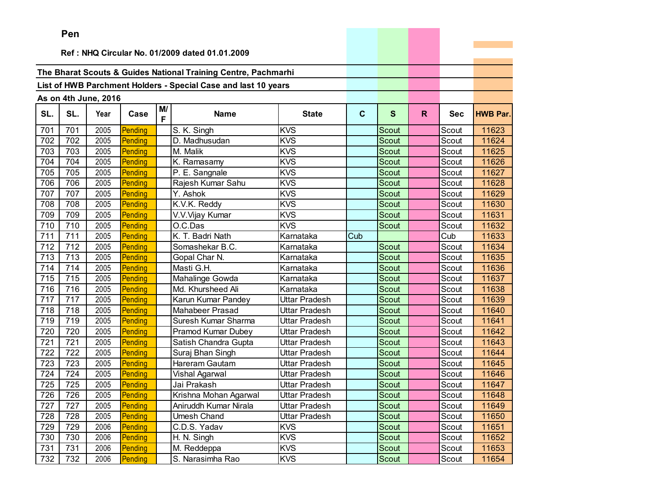|     | Pen |                      |         |         |                                                                |                      |              |              |    |            |                 |
|-----|-----|----------------------|---------|---------|----------------------------------------------------------------|----------------------|--------------|--------------|----|------------|-----------------|
|     |     |                      |         |         | Ref: NHQ Circular No. 01/2009 dated 01.01.2009                 |                      |              |              |    |            |                 |
|     |     |                      |         |         |                                                                |                      |              |              |    |            |                 |
|     |     |                      |         |         | The Bharat Scouts & Guides National Training Centre, Pachmarhi |                      |              |              |    |            |                 |
|     |     |                      |         |         | List of HWB Parchment Holders - Special Case and last 10 years |                      |              |              |    |            |                 |
|     |     |                      |         |         |                                                                |                      |              |              |    |            |                 |
|     |     | As on 4th June, 2016 |         |         |                                                                |                      |              |              |    |            |                 |
| SL. | SL. | Year                 | Case    | M/<br>F | <b>Name</b>                                                    | <b>State</b>         | $\mathbf{C}$ | S            | R. | <b>Sec</b> | <b>HWB Par.</b> |
| 701 | 701 | 2005                 | Pending |         | S. K. Singh                                                    | <b>KVS</b>           |              | Scout        |    | Scout      | 11623           |
| 702 | 702 | 2005                 | Pending |         | D. Madhusudan                                                  | <b>KVS</b>           |              | <b>Scout</b> |    | Scout      | 11624           |
| 703 | 703 | 2005                 | Pending |         | M. Malik                                                       | <b>KVS</b>           |              | Scout        |    | Scout      | 11625           |
| 704 | 704 | 2005                 | Pending |         | K. Ramasamy                                                    | <b>KVS</b>           |              | Scout        |    | Scout      | 11626           |
| 705 | 705 | 2005                 | Pending |         | P. E. Sangnale                                                 | <b>KVS</b>           |              | Scout        |    | Scout      | 11627           |
| 706 | 706 | 2005                 | Pending |         | Rajesh Kumar Sahu                                              | <b>KVS</b>           |              | Scout        |    | Scout      | 11628           |
| 707 | 707 | 2005                 | Pending |         | Y. Ashok                                                       | <b>KVS</b>           |              | Scout        |    | Scout      | 11629           |
| 708 | 708 | 2005                 | Pending |         | K.V.K. Reddy                                                   | <b>KVS</b>           |              | <b>Scout</b> |    | Scout      | 11630           |
| 709 | 709 | 2005                 | Pending |         | V.V.Vijay Kumar                                                | <b>KVS</b>           |              | Scout        |    | Scout      | 11631           |
| 710 | 710 | 2005                 | Pending |         | O.C.Das                                                        | <b>KVS</b>           |              | Scout        |    | Scout      | 11632           |
| 711 | 711 | 2005                 | Pending |         | K. T. Badri Nath                                               | Karnataka            | Cub          |              |    | Cub        | 11633           |
| 712 | 712 | 2005                 | Pending |         | Somashekar B.C.                                                | Karnataka            |              | Scout        |    | Scout      | 11634           |
| 713 | 713 | 2005                 | Pending |         | Gopal Char N.                                                  | Karnataka            |              | Scout        |    | Scout      | 11635           |
| 714 | 714 | 2005                 | Pending |         | Masti G.H.                                                     | Karnataka            |              | Scout        |    | Scout      | 11636           |
| 715 | 715 | 2005                 | Pending |         | Mahalinge Gowda                                                | Karnataka            |              | Scout        |    | Scout      | 11637           |
| 716 | 716 | 2005                 | Pending |         | Md. Khursheed Ali                                              | Karnataka            |              | Scout        |    | Scout      | 11638           |
| 717 | 717 | 2005                 | Pending |         | Karun Kumar Pandey                                             | Uttar Pradesh        |              | <b>Scout</b> |    | Scout      | 11639           |
| 718 | 718 | 2005                 | Pending |         | <b>Mahabeer Prasad</b>                                         | <b>Uttar Pradesh</b> |              | Scout        |    | Scout      | 11640           |
| 719 | 719 | 2005                 | Pending |         | Suresh Kumar Sharma                                            | <b>Uttar Pradesh</b> |              | Scout        |    | Scout      | 11641           |
| 720 | 720 | 2005                 | Pending |         | Pramod Kumar Dubey                                             | Uttar Pradesh        |              | <b>Scout</b> |    | Scout      | 11642           |
| 721 | 721 | 2005                 | Pending |         | Satish Chandra Gupta                                           | Uttar Pradesh        |              | Scout        |    | Scout      | 11643           |
| 722 | 722 | 2005                 | Pending |         | Suraj Bhan Singh                                               | Uttar Pradesh        |              | Scout        |    | Scout      | 11644           |
| 723 | 723 | 2005                 | Pending |         | Hareram Gautam                                                 | Uttar Pradesh        |              | Scout        |    | Scout      | 11645           |
| 724 | 724 | 2005                 | Pending |         | Vishal Agarwal                                                 | Uttar Pradesh        |              | Scout        |    | Scout      | 11646           |
| 725 | 725 | 2005                 | Pending |         | Jai Prakash                                                    | Uttar Pradesh        |              | Scout        |    | Scout      | 11647           |
| 726 | 726 | 2005                 | Pending |         | Krishna Mohan Agarwal                                          | Uttar Pradesh        |              | Scout        |    | Scout      | 11648           |
| 727 | 727 | 2005                 | Pending |         | Aniruddh Kumar Nirala                                          | <b>Uttar Pradesh</b> |              | Scout        |    | Scout      | 11649           |
| 728 | 728 | 2005                 | Pending |         | <b>Umesh Chand</b>                                             | Uttar Pradesh        |              | Scout        |    | Scout      | 11650           |
| 729 | 729 | 2006                 | Pending |         | C.D.S. Yadav                                                   | <b>KVS</b>           |              | Scout        |    | Scout      | 11651           |
| 730 | 730 | 2006                 | Pending |         | H. N. Singh                                                    | <b>KVS</b>           |              | Scout        |    | Scout      | 11652           |
| 731 | 731 | 2006                 | Pending |         | M. Reddeppa                                                    | <b>KVS</b>           |              | Scout        |    | Scout      | 11653           |
| 732 | 732 | 2006                 | Pending |         | S. Narasimha Rao                                               | <b>KVS</b>           |              | Scout        |    | Scout      | 11654           |

and the control of the control of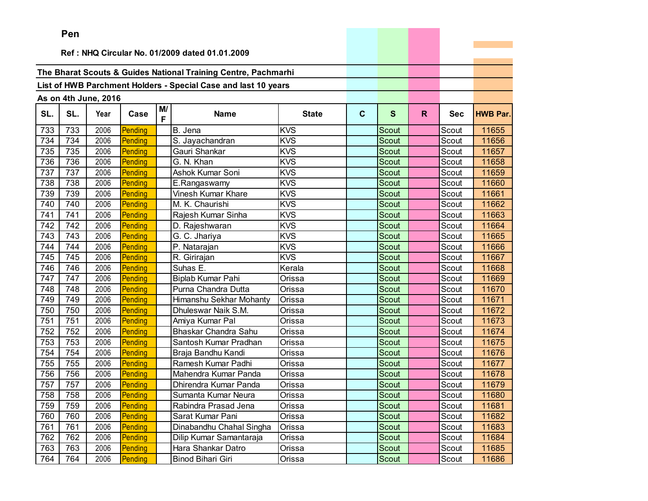|     | ren |                      |         |         |                                                                |              |              |              |    |            |                 |
|-----|-----|----------------------|---------|---------|----------------------------------------------------------------|--------------|--------------|--------------|----|------------|-----------------|
|     |     |                      |         |         | Ref: NHQ Circular No. 01/2009 dated 01.01.2009                 |              |              |              |    |            |                 |
|     |     |                      |         |         |                                                                |              |              |              |    |            |                 |
|     |     |                      |         |         | The Bharat Scouts & Guides National Training Centre, Pachmarhi |              |              |              |    |            |                 |
|     |     |                      |         |         |                                                                |              |              |              |    |            |                 |
|     |     |                      |         |         | List of HWB Parchment Holders - Special Case and last 10 years |              |              |              |    |            |                 |
|     |     | As on 4th June, 2016 |         |         |                                                                |              |              |              |    |            |                 |
| SL. | SL. | Year                 | Case    | M/<br>F | <b>Name</b>                                                    | <b>State</b> | $\mathbf{C}$ | $\mathbf{s}$ | R. | <b>Sec</b> | <b>HWB Par.</b> |
| 733 | 733 | 2006                 | Pending |         | B. Jena                                                        | <b>KVS</b>   |              | Scout        |    | Scout      | 11655           |
| 734 | 734 | 2006                 | Pending |         | S. Jayachandran                                                | <b>KVS</b>   |              | Scout        |    | Scout      | 11656           |
| 735 | 735 | 2006                 | Pending |         | Gauri Shankar                                                  | <b>KVS</b>   |              | Scout        |    | Scout      | 11657           |
| 736 | 736 | 2006                 | Pending |         | G. N. Khan                                                     | <b>KVS</b>   |              | Scout        |    | Scout      | 11658           |
| 737 | 737 | 2006                 | Pending |         | Ashok Kumar Soni                                               | <b>KVS</b>   |              | Scout        |    | Scout      | 11659           |
| 738 | 738 | 2006                 | Pending |         | E.Rangaswamy                                                   | <b>KVS</b>   |              | Scout        |    | Scout      | 11660           |
| 739 | 739 | 2006                 | Pending |         | Vinesh Kumar Khare                                             | <b>KVS</b>   |              | Scout        |    | Scout      | 11661           |
| 740 | 740 | 2006                 | Pending |         | M. K. Chaurishi                                                | <b>KVS</b>   |              | Scout        |    | Scout      | 11662           |
| 741 | 741 | 2006                 | Pending |         | Rajesh Kumar Sinha                                             | <b>KVS</b>   |              | Scout        |    | Scout      | 11663           |
| 742 | 742 | 2006                 | Pending |         | D. Rajeshwaran                                                 | <b>KVS</b>   |              | Scout        |    | Scout      | 11664           |
| 743 | 743 | 2006                 | Pending |         | G. C. Jhariya                                                  | <b>KVS</b>   |              | Scout        |    | Scout      | 11665           |
| 744 | 744 | 2006                 | Pending |         | P. Natarajan                                                   | <b>KVS</b>   |              | Scout        |    | Scout      | 11666           |
| 745 | 745 | 2006                 | Pending |         | R. Girirajan                                                   | <b>KVS</b>   |              | Scout        |    | Scout      | 11667           |
| 746 | 746 | 2006                 | Pending |         | Suhas E.                                                       | Kerala       |              | Scout        |    | Scout      | 11668           |
| 747 | 747 | 2006                 | Pending |         | Biplab Kumar Pahi                                              | Orissa       |              | Scout        |    | Scout      | 11669           |
| 748 | 748 | 2006                 | Pending |         | Purna Chandra Dutta                                            | Orissa       |              | Scout        |    | Scout      | 11670           |
| 749 | 749 | 2006                 | Pending |         | Himanshu Sekhar Mohanty                                        | Orissa       |              | <b>Scout</b> |    | Scout      | 11671           |
| 750 | 750 | 2006                 | Pending |         | Dhuleswar Naik S.M.                                            | Orissa       |              | Scout        |    | Scout      | 11672           |
| 751 | 751 | 2006                 | Pending |         | Amiya Kumar Pal                                                | Orissa       |              | Scout        |    | Scout      | 11673           |
| 752 | 752 | 2006                 | Pending |         | Bhaskar Chandra Sahu                                           | Orissa       |              | <b>Scout</b> |    | Scout      | 11674           |
| 753 | 753 | 2006                 | Pending |         | Santosh Kumar Pradhan                                          | Orissa       |              | Scout        |    | Scout      | 11675           |
| 754 | 754 | 2006                 | Pending |         | Braja Bandhu Kandi                                             | Orissa       |              | Scout        |    | Scout      | 11676           |
| 755 | 755 | 2006                 | Pending |         | Ramesh Kumar Padhi                                             | Orissa       |              | Scout        |    | Scout      | 11677           |
| 756 | 756 | 2006                 | Pending |         | Mahendra Kumar Panda                                           | Orissa       |              | Scout        |    | Scout      | 11678           |
| 757 | 757 | 2006                 | Pending |         | Dhirendra Kumar Panda                                          | Orissa       |              | Scout        |    | Scout      | 11679           |
| 758 | 758 | 2006                 | Pending |         | Sumanta Kumar Neura                                            | Orissa       |              | Scout        |    | Scout      | 11680           |
| 759 | 759 | 2006                 | Pending |         | Rabindra Prasad Jena                                           | Orissa       |              | Scout        |    | Scout      | 11681           |
| 760 | 760 | 2006                 | Pending |         | Sarat Kumar Pani                                               | Orissa       |              | Scout        |    | Scout      | 11682           |
| 761 | 761 | 2006                 | Pending |         | Dinabandhu Chahal Singha                                       | Orissa       |              | Scout        |    | Scout      | 11683           |
| 762 | 762 | 2006                 | Pending |         | Dilip Kumar Samantaraja                                        | Orissa       |              | Scout        |    | Scout      | 11684           |
| 763 | 763 | 2006                 | Pending |         | Hara Shankar Datro                                             | Orissa       |              | Scout        |    | Scout      | 11685           |
| 764 | 764 | 2006                 | Pending |         | Binod Bihari Giri                                              | Orissa       |              | Scout        |    | Scout      | 11686           |

the property of the con-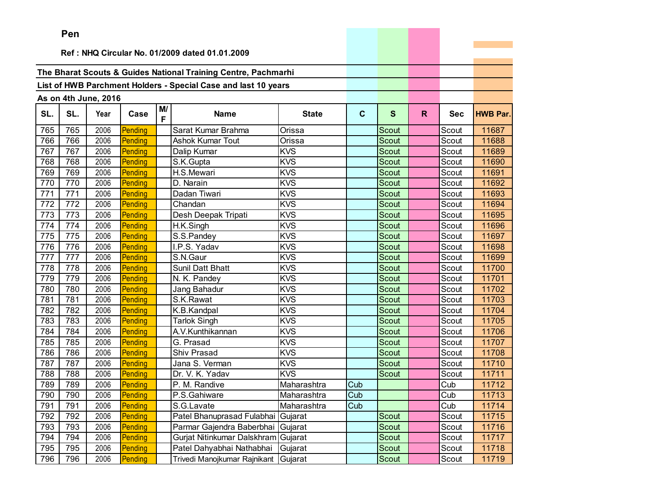|     | Pen |                      |         |         |                                                                |              |             |              |    |            |                 |
|-----|-----|----------------------|---------|---------|----------------------------------------------------------------|--------------|-------------|--------------|----|------------|-----------------|
|     |     |                      |         |         |                                                                |              |             |              |    |            |                 |
|     |     |                      |         |         | Ref: NHQ Circular No. 01/2009 dated 01.01.2009                 |              |             |              |    |            |                 |
|     |     |                      |         |         | The Bharat Scouts & Guides National Training Centre, Pachmarhi |              |             |              |    |            |                 |
|     |     |                      |         |         | List of HWB Parchment Holders - Special Case and last 10 years |              |             |              |    |            |                 |
|     |     |                      |         |         |                                                                |              |             |              |    |            |                 |
|     |     | As on 4th June, 2016 |         |         |                                                                |              |             |              |    |            |                 |
| SL. | SL. | Year                 | Case    | M/<br>F | <b>Name</b>                                                    | <b>State</b> | $\mathbf c$ | S            | R. | <b>Sec</b> | <b>HWB Par.</b> |
| 765 | 765 | 2006                 | Pending |         | Sarat Kumar Brahma                                             | Orissa       |             | Scout        |    | Scout      | 11687           |
| 766 | 766 | 2006                 | Pending |         | Ashok Kumar Tout                                               | Orissa       |             | Scout        |    | Scout      | 11688           |
| 767 | 767 | 2006                 | Pending |         | Dalip Kumar                                                    | <b>KVS</b>   |             | <b>Scout</b> |    | Scout      | 11689           |
| 768 | 768 | 2006                 | Pending |         | S.K.Gupta                                                      | <b>KVS</b>   |             | Scout        |    | Scout      | 11690           |
| 769 | 769 | 2006                 | Pending |         | H.S.Mewari                                                     | <b>KVS</b>   |             | Scout        |    | Scout      | 11691           |
| 770 | 770 | 2006                 | Pending |         | D. Narain                                                      | <b>KVS</b>   |             | <b>Scout</b> |    | Scout      | 11692           |
| 771 | 771 | 2006                 | Pending |         | Dadan Tiwari                                                   | <b>KVS</b>   |             | <b>Scout</b> |    | Scout      | 11693           |
| 772 | 772 | 2006                 | Pending |         | Chandan                                                        | <b>KVS</b>   |             | Scout        |    | Scout      | 11694           |
| 773 | 773 | 2006                 | Pending |         | Desh Deepak Tripati                                            | <b>KVS</b>   |             | <b>Scout</b> |    | Scout      | 11695           |
| 774 | 774 | 2006                 | Pending |         | H.K.Singh                                                      | <b>KVS</b>   |             | Scout        |    | Scout      | 11696           |
| 775 | 775 | 2006                 | Pending |         | S.S.Pandey                                                     | <b>KVS</b>   |             | Scout        |    | Scout      | 11697           |
| 776 | 776 | 2006                 | Pending |         | I.P.S. Yadav                                                   | <b>KVS</b>   |             | Scout        |    | Scout      | 11698           |
| 777 | 777 | 2006                 | Pending |         | S.N.Gaur                                                       | <b>KVS</b>   |             | Scout        |    | Scout      | 11699           |
| 778 | 778 | 2006                 | Pending |         | Sunil Datt Bhatt                                               | <b>KVS</b>   |             | Scout        |    | Scout      | 11700           |
| 779 | 779 | 2006                 | Pending |         | N. K. Pandey                                                   | <b>KVS</b>   |             | Scout        |    | Scout      | 11701           |
| 780 | 780 | 2006                 | Pending |         | Jang Bahadur                                                   | <b>KVS</b>   |             | Scout        |    | Scout      | 11702           |
| 781 | 781 | 2006                 | Pending |         | S.K.Rawat                                                      | <b>KVS</b>   |             | Scout        |    | Scout      | 11703           |
| 782 | 782 | 2006                 | Pending |         | K.B.Kandpal                                                    | <b>KVS</b>   |             | Scout        |    | Scout      | 11704           |
| 783 | 783 | 2006                 | Pending |         | <b>Tarlok Singh</b>                                            | KVS          |             | Scout        |    | Scout      | 11705           |
| 784 | 784 | 2006                 | Pending |         | A.V.Kunthikannan                                               | <b>KVS</b>   |             | Scout        |    | Scout      | 11706           |
| 785 | 785 | 2006                 | Pending |         | G. Prasad                                                      | <b>KVS</b>   |             | Scout        |    | Scout      | 11707           |
| 786 | 786 | 2006                 | Pending |         | Shiv Prasad                                                    | <b>KVS</b>   |             | Scout        |    | Scout      | 11708           |
| 787 | 787 | 2006                 | Pending |         | Jana S. Verman                                                 | <b>KVS</b>   |             | <b>Scout</b> |    | Scout      | 11710           |
| 788 | 788 | 2006                 | Pending |         | Dr. V. K. Yadav                                                | <b>KVS</b>   |             | <b>Scout</b> |    | Scout      | 11711           |
| 789 | 789 | 2006                 | Pending |         | P. M. Randive                                                  | Maharashtra  | Cub         |              |    | Cub        | 11712           |
| 790 | 790 | 2006                 | Pending |         | P.S.Gahiware                                                   | Maharashtra  | Cub         |              |    | Cub        | 11713           |
| 791 | 791 | 2006                 | Pending |         | S.G.Lavate                                                     | Maharashtra  | Cub         |              |    | Cub        | 11714           |
| 792 | 792 | 2006                 | Pending |         | Patel Bhanuprasad Fulabhai                                     | Gujarat      |             | Scout        |    | Scout      | 11715           |
| 793 | 793 | 2006                 | Pending |         | Parmar Gajendra Baberbhai                                      | Gujarat      |             | Scout        |    | Scout      | 11716           |
| 794 | 794 | 2006                 | Pending |         | Gurjat Nitinkumar Dalskhram Gujarat                            |              |             | Scout        |    | Scout      | 11717           |
| 795 | 795 | 2006                 | Pending |         | Patel Dahyabhai Nathabhai                                      | Gujarat      |             | Scout        |    | Scout      | 11718           |
| 796 | 796 | 2006                 | Pending |         | Trivedi Manojkumar Rajnikant Gujarat                           |              |             | Scout        |    | Scout      | 11719           |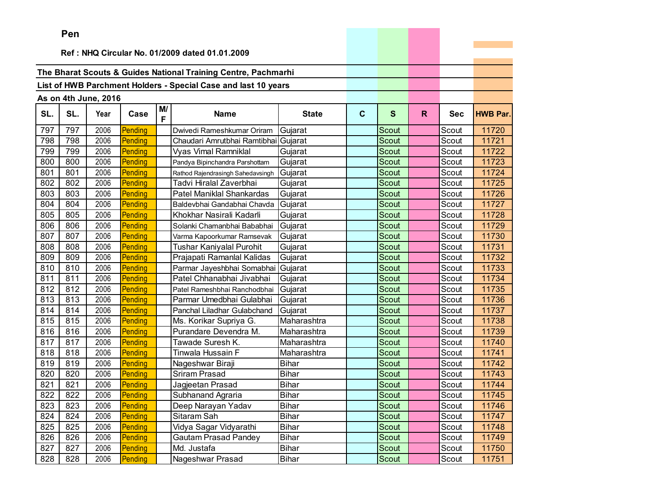|     | ren |                      |         |         |                                                                |              |             |       |              |            |                 |
|-----|-----|----------------------|---------|---------|----------------------------------------------------------------|--------------|-------------|-------|--------------|------------|-----------------|
|     |     |                      |         |         |                                                                |              |             |       |              |            |                 |
|     |     |                      |         |         | Ref: NHQ Circular No. 01/2009 dated 01.01.2009                 |              |             |       |              |            |                 |
|     |     |                      |         |         | The Bharat Scouts & Guides National Training Centre, Pachmarhi |              |             |       |              |            |                 |
|     |     |                      |         |         |                                                                |              |             |       |              |            |                 |
|     |     |                      |         |         | List of HWB Parchment Holders - Special Case and last 10 years |              |             |       |              |            |                 |
|     |     | As on 4th June, 2016 |         |         |                                                                |              |             |       |              |            |                 |
| SL. | SL. | Year                 | Case    | M/<br>F | <b>Name</b>                                                    | <b>State</b> | $\mathbf c$ | S     | $\mathsf{R}$ | <b>Sec</b> | <b>HWB Par.</b> |
| 797 | 797 | 2006                 | Pending |         | Dwivedi Rameshkumar Oriram                                     | Gujarat      |             | Scout |              | Scout      | 11720           |
| 798 | 798 | 2006                 | Pending |         | Chaudari Amrutbhai Ramtibhai                                   | Gujarat      |             | Scout |              | Scout      | 11721           |
| 799 | 799 | 2006                 | Pending |         | <b>Vyas Vimal Ramniklal</b>                                    | Gujarat      |             | Scout |              | Scout      | 11722           |
| 800 | 800 | 2006                 | Pending |         | Pandya Bipinchandra Parshottam                                 | Gujarat      |             | Scout |              | Scout      | 11723           |
| 801 | 801 | 2006                 | Pending |         | Rathod Rajendrasingh Sahedavsingh                              | Gujarat      |             | Scout |              | Scout      | 11724           |
| 802 | 802 | 2006                 | Pending |         | Tadvi Hiralal Zaverbhai                                        | Gujarat      |             | Scout |              | Scout      | 11725           |
| 803 | 803 | 2006                 | Pending |         | Patel Maniklal Shankardas                                      | Gujarat      |             | Scout |              | Scout      | 11726           |
| 804 | 804 | 2006                 | Pending |         | Baldevbhai Gandabhai Chavda                                    | Gujarat      |             | Scout |              | Scout      | 11727           |
| 805 | 805 | 2006                 | Pending |         | Khokhar Nasirali Kadarli                                       | Gujarat      |             | Scout |              | Scout      | 11728           |
| 806 | 806 | 2006                 | Pending |         | Solanki Chamanbhai Bababhai                                    | Gujarat      |             | Scout |              | Scout      | 11729           |
| 807 | 807 | 2006                 | Pending |         | Varma Kapoorkumar Ramsevak                                     | Gujarat      |             | Scout |              | Scout      | 11730           |
| 808 | 808 | 2006                 | Pending |         | Tushar Kaniyalal Purohit                                       | Gujarat      |             | Scout |              | Scout      | 11731           |
| 809 | 809 | 2006                 | Pending |         | Prajapati Ramanlal Kalidas                                     | Gujarat      |             | Scout |              | Scout      | 11732           |
| 810 | 810 | 2006                 | Pending |         | Parmar Jayeshbhai Somabhai                                     | Gujarat      |             | Scout |              | Scout      | 11733           |
| 811 | 811 | 2006                 | Pending |         | Patel Chhanabhai Jivabhai                                      | Gujarat      |             | Scout |              | Scout      | 11734           |
| 812 | 812 | 2006                 | Pending |         | Patel Rameshbhai Ranchodbhai                                   | Gujarat      |             | Scout |              | Scout      | 11735           |
| 813 | 813 | 2006                 | Pending |         | Parmar Umedbhai Gulabhai                                       | Gujarat      |             | Scout |              | Scout      | 11736           |
| 814 | 814 | 2006                 | Pending |         | Panchal Liladhar Gulabchand                                    | Gujarat      |             | Scout |              | Scout      | 11737           |
| 815 | 815 | 2006                 | Pending |         | Ms. Korikar Supriya G.                                         | Maharashtra  |             | Scout |              | Scout      | 11738           |
| 816 | 816 | 2006                 | Pending |         | Purandare Devendra M.                                          | Maharashtra  |             | Scout |              | Scout      | 11739           |
| 817 | 817 | 2006                 | Pending |         | Tawade Suresh K.                                               | Maharashtra  |             | Scout |              | Scout      | 11740           |
| 818 | 818 | 2006                 | Pending |         | Tinwala Hussain F                                              | Maharashtra  |             | Scout |              | Scout      | 11741           |
| 819 | 819 | 2006                 | Pending |         | Nageshwar Biraji                                               | <b>Bihar</b> |             | Scout |              | Scout      | 11742           |
| 820 | 820 | 2006                 | Pending |         | <b>Sriram Prasad</b>                                           | <b>Bihar</b> |             | Scout |              | Scout      | 11743           |
| 821 | 821 | 2006                 | Pending |         | Jagjeetan Prasad                                               | <b>Bihar</b> |             | Scout |              | Scout      | 11744           |
| 822 | 822 | 2006                 | Pending |         | Subhanand Agraria                                              | <b>Bihar</b> |             | Scout |              | Scout      | 11745           |
| 823 | 823 | 2006                 | Pending |         | Deep Narayan Yadav                                             | Bihar        |             | Scout |              | Scout      | 11746           |
| 824 | 824 | 2006                 | Pending |         | Sitaram Sah                                                    | <b>Bihar</b> |             | Scout |              | Scout      | 11747           |
| 825 | 825 | 2006                 | Pending |         | Vidya Sagar Vidyarathi                                         | <b>Bihar</b> |             | Scout |              | Scout      | 11748           |
| 826 | 826 | 2006                 | Pending |         | <b>Gautam Prasad Pandey</b>                                    | <b>Bihar</b> |             | Scout |              | Scout      | 11749           |
| 827 | 827 | 2006                 | Pending |         | Md. Justafa                                                    | Bihar        |             | Scout |              | Scout      | 11750           |
| 828 | 828 | 2006                 | Pending |         | Nageshwar Prasad                                               | <b>Bihar</b> |             | Scout |              | Scout      | 11751           |

the company's company's company's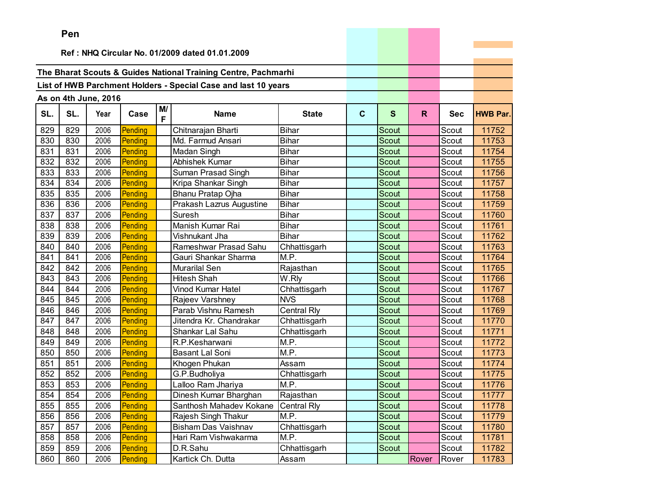|     | Pen |                      |         |         |                                                                |                    |              |              |       |            |                 |
|-----|-----|----------------------|---------|---------|----------------------------------------------------------------|--------------------|--------------|--------------|-------|------------|-----------------|
|     |     |                      |         |         | Ref: NHQ Circular No. 01/2009 dated 01.01.2009                 |                    |              |              |       |            |                 |
|     |     |                      |         |         |                                                                |                    |              |              |       |            |                 |
|     |     |                      |         |         | The Bharat Scouts & Guides National Training Centre, Pachmarhi |                    |              |              |       |            |                 |
|     |     |                      |         |         |                                                                |                    |              |              |       |            |                 |
|     |     |                      |         |         | List of HWB Parchment Holders - Special Case and last 10 years |                    |              |              |       |            |                 |
|     |     | As on 4th June, 2016 |         |         |                                                                |                    |              |              |       |            |                 |
| SL. | SL. | Year                 | Case    | M/<br>F | <b>Name</b>                                                    | <b>State</b>       | $\mathbf{C}$ | S            | R.    | <b>Sec</b> | <b>HWB Par.</b> |
| 829 | 829 | 2006                 | Pending |         | Chitnarajan Bharti                                             | <b>Bihar</b>       |              | Scout        |       | Scout      | 11752           |
| 830 | 830 | 2006                 | Pending |         | Md. Farmud Ansari                                              | <b>Bihar</b>       |              | <b>Scout</b> |       | Scout      | 11753           |
| 831 | 831 | 2006                 | Pending |         | Madan Singh                                                    | <b>Bihar</b>       |              | Scout        |       | Scout      | 11754           |
| 832 | 832 | 2006                 | Pending |         | Abhishek Kumar                                                 | <b>Bihar</b>       |              | Scout        |       | Scout      | 11755           |
| 833 | 833 | 2006                 | Pending |         | Suman Prasad Singh                                             | <b>Bihar</b>       |              | Scout        |       | Scout      | 11756           |
| 834 | 834 | 2006                 | Pending |         | Kripa Shankar Singh                                            | <b>Bihar</b>       |              | Scout        |       | Scout      | 11757           |
| 835 | 835 | 2006                 | Pending |         | Bhanu Pratap Ojha                                              | <b>Bihar</b>       |              | Scout        |       | Scout      | 11758           |
| 836 | 836 | 2006                 | Pending |         | Prakash Lazrus Augustine                                       | <b>Bihar</b>       |              | Scout        |       | Scout      | 11759           |
| 837 | 837 | 2006                 | Pending |         | Suresh                                                         | <b>Bihar</b>       |              | Scout        |       | Scout      | 11760           |
| 838 | 838 | 2006                 | Pending |         | Manish Kumar Rai                                               | <b>Bihar</b>       |              | Scout        |       | Scout      | 11761           |
| 839 | 839 | 2006                 | Pending |         | Vishnukant Jha                                                 | <b>Bihar</b>       |              | Scout        |       | Scout      | 11762           |
| 840 | 840 | 2006                 | Pending |         | Rameshwar Prasad Sahu                                          | Chhattisgarh       |              | Scout        |       | Scout      | 11763           |
| 841 | 841 | 2006                 | Pending |         | Gauri Shankar Sharma                                           | M.P.               |              | <b>Scout</b> |       | Scout      | 11764           |
| 842 | 842 | 2006                 | Pending |         | Murarilal Sen                                                  | Rajasthan          |              | Scout        |       | Scout      | 11765           |
| 843 | 843 | 2006                 | Pending |         | <b>Hitesh Shah</b>                                             | W.Rly              |              | <b>Scout</b> |       | Scout      | 11766           |
| 844 | 844 | 2006                 | Pending |         | Vinod Kumar Hatel                                              | Chhattisgarh       |              | <b>Scout</b> |       | Scout      | 11767           |
| 845 | 845 | 2006                 | Pending |         | Rajeev Varshney                                                | <b>NVS</b>         |              | <b>Scout</b> |       | Scout      | 11768           |
| 846 | 846 | 2006                 | Pending |         | Parab Vishnu Ramesh                                            | Central Rly        |              | Scout        |       | Scout      | 11769           |
| 847 | 847 | 2006                 | Pending |         | Jitendra Kr. Chandrakar                                        | Chhattisgarh       |              | Scout        |       | Scout      | 11770           |
| 848 | 848 | 2006                 | Pending |         | Shankar Lal Sahu                                               | Chhattisgarh       |              | <b>Scout</b> |       | Scout      | 11771           |
| 849 | 849 | 2006                 | Pending |         | R.P.Kesharwani                                                 | M.P.               |              | <b>Scout</b> |       | Scout      | 11772           |
| 850 | 850 | 2006                 | Pending |         | <b>Basant Lal Soni</b>                                         | M.P.               |              | <b>Scout</b> |       | Scout      | 11773           |
| 851 | 851 | 2006                 | Pending |         | Khogen Phukan                                                  | Assam              |              | Scout        |       | Scout      | 11774           |
| 852 | 852 | 2006                 | Pending |         | G.P.Budholiya                                                  | Chhattisgarh       |              | Scout        |       | Scout      | 11775           |
| 853 | 853 | 2006                 | Pending |         | Lalloo Ram Jhariya                                             | M.P.               |              | Scout        |       | Scout      | 11776           |
| 854 | 854 | 2006                 | Pending |         | Dinesh Kumar Bharghan                                          | Rajasthan          |              | Scout        |       | Scout      | 11777           |
| 855 | 855 | 2006                 | Pending |         | Santhosh Mahadev Kokane                                        | <b>Central Rly</b> |              | Scout        |       | Scout      | 11778           |
| 856 | 856 | 2006                 | Pending |         | Rajesh Singh Thakur                                            | M.P.               |              | Scout        |       | Scout      | 11779           |
| 857 | 857 | 2006                 | Pending |         | Bisham Das Vaishnav                                            | Chhattisgarh       |              | Scout        |       | Scout      | 11780           |
| 858 | 858 | 2006                 | Pending |         | Hari Ram Vishwakarma                                           | M.P.               |              | Scout        |       | Scout      | 11781           |
| 859 | 859 | 2006                 | Pending |         | D.R.Sahu                                                       | Chhattisgarh       |              | Scout        |       | Scout      | 11782           |
| 860 | 860 | 2006                 | Pending |         | Kartick Ch. Dutta                                              | Assam              |              |              | Rover | Rover      | 11783           |

the control of the control of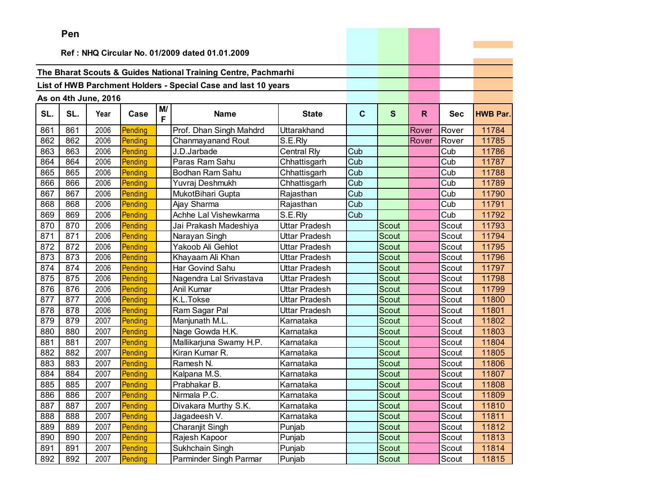|     | <b>Fell</b>                                    |                      |         |         |                                                                |                      |                         |              |       |            |                 |
|-----|------------------------------------------------|----------------------|---------|---------|----------------------------------------------------------------|----------------------|-------------------------|--------------|-------|------------|-----------------|
|     | Ref: NHQ Circular No. 01/2009 dated 01.01.2009 |                      |         |         |                                                                |                      |                         |              |       |            |                 |
|     |                                                |                      |         |         |                                                                |                      |                         |              |       |            |                 |
|     |                                                |                      |         |         | The Bharat Scouts & Guides National Training Centre, Pachmarhi |                      |                         |              |       |            |                 |
|     |                                                |                      |         |         | List of HWB Parchment Holders - Special Case and last 10 years |                      |                         |              |       |            |                 |
|     |                                                |                      |         |         |                                                                |                      |                         |              |       |            |                 |
|     |                                                | As on 4th June, 2016 |         |         |                                                                |                      |                         |              |       |            |                 |
| SL. | SL.                                            | Year                 | Case    | M/<br>F | <b>Name</b>                                                    | <b>State</b>         | $\mathbf c$             | $\mathbf{s}$ | R.    | <b>Sec</b> | <b>HWB Par.</b> |
| 861 | 861                                            | 2006                 | Pending |         | Prof. Dhan Singh Mahdrd                                        | Uttarakhand          |                         |              | Rover | Rover      | 11784           |
| 862 | 862                                            | 2006                 | Pending |         | Chanmayanand Rout                                              | S.E.Rly              |                         |              | Rover | Rover      | 11785           |
| 863 | 863                                            | 2006                 | Pending |         | J.D.Jarbade                                                    | <b>Central Rly</b>   | Cub                     |              |       | Cub        | 11786           |
| 864 | 864                                            | 2006                 | Pending |         | Paras Ram Sahu                                                 | Chhattisgarh         | Cub                     |              |       | Cub        | 11787           |
| 865 | 865                                            | 2006                 | Pending |         | Bodhan Ram Sahu                                                | Chhattisgarh         | Cub                     |              |       | Cub        | 11788           |
| 866 | 866                                            | 2006                 | Pending |         | Yuvraj Deshmukh                                                | Chhattisgarh         | Cub                     |              |       | Cub        | 11789           |
| 867 | 867                                            | 2006                 | Pending |         | MukotBihari Gupta                                              | Rajasthan            | Cub                     |              |       | Cub        | 11790           |
| 868 | 868                                            | 2006                 | Pending |         | Ajay Sharma                                                    | Rajasthan            | Cub                     |              |       | Cub        | 11791           |
| 869 | 869                                            | 2006                 | Pending |         | Achhe Lal Vishewkarma                                          | S.E.Rly              | $\overline{\text{Cub}}$ |              |       | Cub        | 11792           |
| 870 | 870                                            | 2006                 | Pending |         | Jai Prakash Madeshiya                                          | Uttar Pradesh        |                         | Scout        |       | Scout      | 11793           |
| 871 | 871                                            | 2006                 | Pending |         | Narayan Singh                                                  | Uttar Pradesh        |                         | <b>Scout</b> |       | Scout      | 11794           |
| 872 | 872                                            | 2006                 | Pending |         | Yakoob Ali Gehlot                                              | Uttar Pradesh        |                         | Scout        |       | Scout      | 11795           |
| 873 | 873                                            | 2006                 | Pending |         | Khayaam Ali Khan                                               | Uttar Pradesh        |                         | Scout        |       | Scout      | 11796           |
| 874 | 874                                            | 2006                 | Pending |         | Har Govind Sahu                                                | Uttar Pradesh        |                         | Scout        |       | Scout      | 11797           |
| 875 | 875                                            | 2006                 | Pending |         | Nagendra Lal Srivastava                                        | Uttar Pradesh        |                         | Scout        |       | Scout      | 11798           |
| 876 | 876                                            | 2006                 | Pending |         | Anil Kumar                                                     | <b>Uttar Pradesh</b> |                         | Scout        |       | Scout      | 11799           |
| 877 | 877                                            | 2006                 | Pending |         | K.L.Tokse                                                      | Uttar Pradesh        |                         | Scout        |       | Scout      | 11800           |
| 878 | 878                                            | 2006                 | Pending |         | Ram Sagar Pal                                                  | Uttar Pradesh        |                         | <b>Scout</b> |       | Scout      | 11801           |
| 879 | 879                                            | 2007                 | Pending |         | Manjunath M.L.                                                 | Karnataka            |                         | <b>Scout</b> |       | Scout      | 11802           |
| 880 | 880                                            | 2007                 | Pending |         | Nage Gowda H.K.                                                | Karnataka            |                         | Scout        |       | Scout      | 11803           |
| 881 | 881                                            | 2007                 | Pending |         | Mallikarjuna Swamy H.P.                                        | Karnataka            |                         | Scout        |       | Scout      | 11804           |
| 882 | 882                                            | 2007                 | Pending |         | Kiran Kumar R.                                                 | Karnataka            |                         | Scout        |       | Scout      | 11805           |
| 883 | 883                                            | 2007                 | Pending |         | Ramesh N.                                                      | Karnataka            |                         | Scout        |       | Scout      | 11806           |
| 884 | 884                                            | 2007                 | Pending |         | Kalpana M.S.                                                   | Karnataka            |                         | Scout        |       | Scout      | 11807           |
| 885 | 885                                            | 2007                 | Pending |         | Prabhakar B.                                                   | Karnataka            |                         | Scout        |       | Scout      | 11808           |
| 886 | 886                                            | 2007                 | Pending |         | Nirmala P.C.                                                   | Karnataka            |                         | Scout        |       | Scout      | 11809           |
| 887 | 887                                            | 2007                 | Pending |         | Divakara Murthy S.K.                                           | Karnataka            |                         | Scout        |       | Scout      | 11810           |
| 888 | 888                                            | 2007                 | Pending |         | Jagadeesh V.                                                   | Karnataka            |                         | Scout        |       | Scout      | 11811           |
| 889 | 889                                            | 2007                 | Pending |         | Charanjit Singh                                                | Punjab               |                         | Scout        |       | Scout      | 11812           |
| 890 | 890                                            | 2007                 | Pending |         | Rajesh Kapoor                                                  | Punjab               |                         | Scout        |       | Scout      | 11813           |
| 891 | 891                                            | 2007                 | Pending |         | Sukhchain Singh                                                | Punjab               |                         | Scout        |       | Scout      | 11814           |
| 892 | 892                                            | 2007                 | Pending |         | Parminder Singh Parmar                                         | Punjab               |                         | Scout        |       | Scout      | 11815           |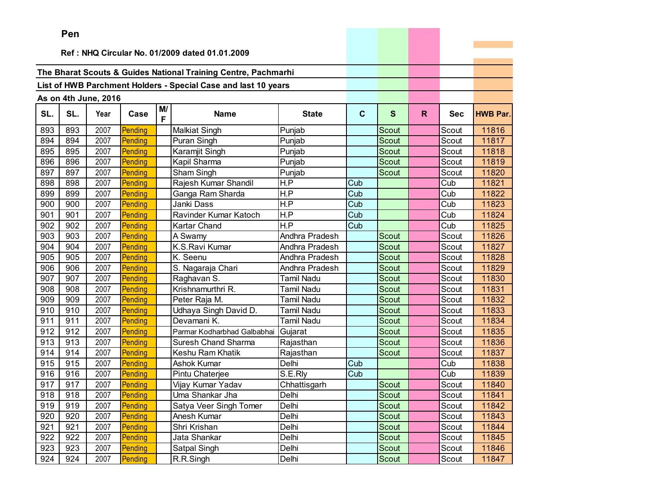|     | ren |                      |         |         |                                                                |                   |              |              |    |            |                 |
|-----|-----|----------------------|---------|---------|----------------------------------------------------------------|-------------------|--------------|--------------|----|------------|-----------------|
|     |     |                      |         |         | Ref: NHQ Circular No. 01/2009 dated 01.01.2009                 |                   |              |              |    |            |                 |
|     |     |                      |         |         |                                                                |                   |              |              |    |            |                 |
|     |     |                      |         |         | The Bharat Scouts & Guides National Training Centre, Pachmarhi |                   |              |              |    |            |                 |
|     |     |                      |         |         | List of HWB Parchment Holders - Special Case and last 10 years |                   |              |              |    |            |                 |
|     |     |                      |         |         |                                                                |                   |              |              |    |            |                 |
|     |     | As on 4th June, 2016 |         |         |                                                                |                   |              |              |    |            |                 |
| SL. | SL. | Year                 | Case    | M/<br>F | <b>Name</b>                                                    | <b>State</b>      | $\mathbf{C}$ | $\mathbf{s}$ | R. | <b>Sec</b> | <b>HWB Par.</b> |
| 893 | 893 | 2007                 | Pending |         | <b>Malkiat Singh</b>                                           | Punjab            |              | Scout        |    | Scout      | 11816           |
| 894 | 894 | 2007                 | Pending |         | Puran Singh                                                    | Punjab            |              | Scout        |    | Scout      | 11817           |
| 895 | 895 | 2007                 | Pending |         | Karamjit Singh                                                 | Punjab            |              | Scout        |    | Scout      | 11818           |
| 896 | 896 | 2007                 | Pending |         | Kapil Sharma                                                   | Punjab            |              | Scout        |    | Scout      | 11819           |
| 897 | 897 | 2007                 | Pending |         | Sham Singh                                                     | Punjab            |              | Scout        |    | Scout      | 11820           |
| 898 | 898 | 2007                 | Pending |         | Rajesh Kumar Shandil                                           | H.P               | Cub          |              |    | Cub        | 11821           |
| 899 | 899 | 2007                 | Pending |         | Ganga Ram Sharda                                               | H.P               | Cub          |              |    | Cub        | 11822           |
| 900 | 900 | 2007                 | Pending |         | Janki Dass                                                     | H.P               | Cub          |              |    | Cub        | 11823           |
| 901 | 901 | 2007                 | Pending |         | Ravinder Kumar Katoch                                          | H.P               | Cub          |              |    | Cub        | 11824           |
| 902 | 902 | 2007                 | Pending |         | Kartar Chand                                                   | H.P               | Cub          |              |    | Cub        | 11825           |
| 903 | 903 | 2007                 | Pending |         | A Swamy                                                        | Andhra Pradesh    |              | Scout        |    | Scout      | 11826           |
| 904 | 904 | 2007                 | Pending |         | K.S.Ravi Kumar                                                 | Andhra Pradesh    |              | Scout        |    | Scout      | 11827           |
| 905 | 905 | 2007                 | Pending |         | K. Seenu                                                       | Andhra Pradesh    |              | Scout        |    | Scout      | 11828           |
| 906 | 906 | 2007                 | Pending |         | S. Nagaraja Chari                                              | Andhra Pradesh    |              | <b>Scout</b> |    | Scout      | 11829           |
| 907 | 907 | 2007                 | Pending |         | Raghavan S.                                                    | <b>Tamil Nadu</b> |              | Scout        |    | Scout      | 11830           |
| 908 | 908 | 2007                 | Pending |         | Krishnamurthri R.                                              | <b>Tamil Nadu</b> |              | Scout        |    | Scout      | 11831           |
| 909 | 909 | 2007                 | Pending |         | Peter Raja M.                                                  | <b>Tamil Nadu</b> |              | <b>Scout</b> |    | Scout      | 11832           |
| 910 | 910 | 2007                 | Pending |         | Udhaya Singh David D.                                          | Tamil Nadu        |              | Scout        |    | Scout      | 11833           |
| 911 | 911 | 2007                 | Pending |         | Devamani K.                                                    | <b>Tamil Nadu</b> |              | Scout        |    | Scout      | 11834           |
| 912 | 912 | 2007                 | Pending |         | Parmar Kodharbhad Galbabhai                                    | Gujarat           |              | <b>Scout</b> |    | Scout      | 11835           |
| 913 | 913 | 2007                 | Pending |         | Suresh Chand Sharma                                            | Rajasthan         |              | <b>Scout</b> |    | Scout      | 11836           |
| 914 | 914 | 2007                 | Pending |         | Keshu Ram Khatik                                               | Rajasthan         |              | Scout        |    | Scout      | 11837           |
| 915 | 915 | 2007                 | Pending |         | Ashok Kumar                                                    | Delhi             | Cub          |              |    | Cub        | 11838           |
| 916 | 916 | 2007                 | Pending |         | Pintu Chaterjee                                                | S.E.Rly           | Cub          |              |    | Cub        | 11839           |
| 917 | 917 | 2007                 | Pending |         | Vijay Kumar Yadav                                              | Chhattisgarh      |              | Scout        |    | Scout      | 11840           |
| 918 | 918 | 2007                 | Pending |         | Uma Shankar Jha                                                | Delhi             |              | Scout        |    | Scout      | 11841           |
| 919 | 919 | 2007                 | Pending |         | Satya Veer Singh Tomer                                         | Delhi             |              | Scout        |    | Scout      | 11842           |
| 920 | 920 | 2007                 | Pending |         | Anesh Kumar                                                    | Delhi             |              | Scout        |    | Scout      | 11843           |
| 921 | 921 | 2007                 | Pending |         | Shri Krishan                                                   | Delhi             |              | Scout        |    | Scout      | 11844           |
| 922 | 922 | 2007                 | Pending |         | Jata Shankar                                                   | Delhi             |              | Scout        |    | Scout      | 11845           |
| 923 | 923 | 2007                 | Pending |         | Satpal Singh                                                   | Delhi             |              | Scout        |    | Scout      | 11846           |
| 924 | 924 | 2007                 | Pending |         | R.R.Singh                                                      | Delhi             |              | Scout        |    | Scout      | 11847           |

the control of the control of the con-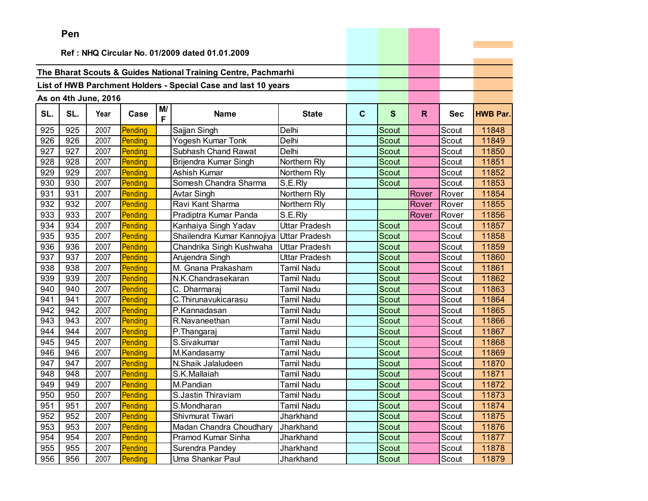|     | Pen |                      |         |         |                                                                |                      |              |              |       |            |                 |
|-----|-----|----------------------|---------|---------|----------------------------------------------------------------|----------------------|--------------|--------------|-------|------------|-----------------|
|     |     |                      |         |         | Ref: NHQ Circular No. 01/2009 dated 01.01.2009                 |                      |              |              |       |            |                 |
|     |     |                      |         |         |                                                                |                      |              |              |       |            |                 |
|     |     |                      |         |         | The Bharat Scouts & Guides National Training Centre, Pachmarhi |                      |              |              |       |            |                 |
|     |     |                      |         |         |                                                                |                      |              |              |       |            |                 |
|     |     |                      |         |         | List of HWB Parchment Holders - Special Case and last 10 years |                      |              |              |       |            |                 |
|     |     | As on 4th June, 2016 |         |         |                                                                |                      |              |              |       |            |                 |
| SL. | SL. | Year                 | Case    | M/<br>F | <b>Name</b>                                                    | <b>State</b>         | $\mathbf{C}$ | S            | R.    | <b>Sec</b> | <b>HWB Par.</b> |
| 925 | 925 | 2007                 | Pending |         | Sajjan Singh                                                   | Delhi                |              | Scout        |       | Scout      | 11848           |
| 926 | 926 | 2007                 | Pending |         | Yogesh Kumar Tonk                                              | Delhi                |              | <b>Scout</b> |       | Scout      | 11849           |
| 927 | 927 | 2007                 | Pending |         | Subhash Chand Rawat                                            | Delhi                |              | Scout        |       | Scout      | 11850           |
| 928 | 928 | 2007                 | Pending |         | Brijendra Kumar Singh                                          | Northern Rly         |              | Scout        |       | Scout      | 11851           |
| 929 | 929 | 2007                 | Pending |         | Ashish Kumar                                                   | Northern Rly         |              | Scout        |       | Scout      | 11852           |
| 930 | 930 | 2007                 | Pending |         | Somesh Chandra Sharma                                          | S.E.Rly              |              | <b>Scout</b> |       | Scout      | 11853           |
| 931 | 931 | 2007                 | Pending |         | <b>Avtar Singh</b>                                             | Northern Rly         |              |              | Rover | Rover      | 11854           |
| 932 | 932 | 2007                 | Pending |         | Ravi Kant Sharma                                               | Northern Rly         |              |              | Rover | Rover      | 11855           |
| 933 | 933 | 2007                 | Pending |         | Pradiptra Kumar Panda                                          | S.E.Rly              |              |              | Rover | Rover      | 11856           |
| 934 | 934 | 2007                 | Pending |         | Kanhaiya Singh Yadav                                           | <b>Uttar Pradesh</b> |              | Scout        |       | Scout      | 11857           |
| 935 | 935 | 2007                 | Pending |         | Shailendra Kumar Kannojiya                                     | <b>Uttar Pradesh</b> |              | Scout        |       | Scout      | 11858           |
| 936 | 936 | 2007                 | Pending |         | Chandrika Singh Kushwaha                                       | <b>Uttar Pradesh</b> |              | Scout        |       | Scout      | 11859           |
| 937 | 937 | 2007                 | Pending |         | Arujendra Singh                                                | <b>Uttar Pradesh</b> |              | Scout        |       | Scout      | 11860           |
| 938 | 938 | 2007                 | Pending |         | M. Gnana Prakasham                                             | <b>Tamil Nadu</b>    |              | <b>Scout</b> |       | Scout      | 11861           |
| 939 | 939 | 2007                 | Pending |         | N.K.Chandrasekaran                                             | Tamil Nadu           |              | Scout        |       | Scout      | 11862           |
| 940 | 940 | 2007                 | Pending |         | C. Dharmaraj                                                   | <b>Tamil Nadu</b>    |              | Scout        |       | Scout      | 11863           |
| 941 | 941 | 2007                 | Pending |         | C. Thirunavukicarasu                                           | Tamil Nadu           |              | <b>Scout</b> |       | Scout      | 11864           |
| 942 | 942 | 2007                 | Pending |         | P.Kannadasan                                                   | <b>Tamil Nadu</b>    |              | Scout        |       | Scout      | 11865           |
| 943 | 943 | 2007                 | Pending |         | R.Navaneethan                                                  | <b>Tamil Nadu</b>    |              | Scout        |       | Scout      | 11866           |
| 944 | 944 | 2007                 | Pending |         | P.Thangaraj                                                    | <b>Tamil Nadu</b>    |              | <b>Scout</b> |       | Scout      | 11867           |
| 945 | 945 | 2007                 | Pending |         | S.Sivakumar                                                    | <b>Tamil Nadu</b>    |              | Scout        |       | Scout      | 11868           |
| 946 | 946 | 2007                 | Pending |         | M.Kandasamy                                                    | <b>Tamil Nadu</b>    |              | Scout        |       | Scout      | 11869           |
| 947 | 947 | 2007                 | Pending |         | N.Shaik Jalaludeen                                             | <b>Tamil Nadu</b>    |              | Scout        |       | Scout      | 11870           |
| 948 | 948 | 2007                 | Pending |         | S.K.Mallaiah                                                   | Tamil Nadu           |              | Scout        |       | Scout      | 11871           |
| 949 | 949 | 2007                 | Pending |         | M.Pandian                                                      | <b>Tamil Nadu</b>    |              | Scout        |       | Scout      | 11872           |
| 950 | 950 | 2007                 | Pending |         | S.Jastin Thiraviam                                             | <b>Tamil Nadu</b>    |              | Scout        |       | Scout      | 11873           |
| 951 | 951 | 2007                 | Pending |         | S.Mondharan                                                    | <b>Tamil Nadu</b>    |              | Scout        |       | Scout      | 11874           |
| 952 | 952 | 2007                 | Pending |         | Shivmurat Tiwari                                               | Jharkhand            |              | Scout        |       | Scout      | 11875           |
| 953 | 953 | 2007                 | Pending |         | Madan Chandra Choudhary                                        | Jharkhand            |              | Scout        |       | Scout      | 11876           |
| 954 | 954 | 2007                 | Pending |         | Pramod Kumar Sinha                                             | Jharkhand            |              | Scout        |       | Scout      | 11877           |
| 955 | 955 | 2007                 | Pending |         | Surendra Pandey                                                | Jharkhand            |              | Scout        |       | Scout      | 11878           |
| 956 | 956 | 2007                 | Pending |         | Uma Shankar Paul                                               | Jharkhand            |              | Scout        |       | Scout      | 11879           |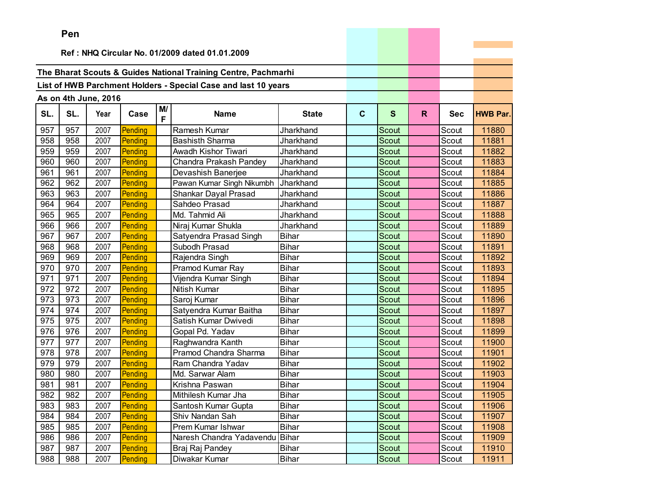|     | Pen                                            |                      |         |         |                                                                |              |             |              |    |            |                 |
|-----|------------------------------------------------|----------------------|---------|---------|----------------------------------------------------------------|--------------|-------------|--------------|----|------------|-----------------|
|     | Ref: NHQ Circular No. 01/2009 dated 01.01.2009 |                      |         |         |                                                                |              |             |              |    |            |                 |
|     |                                                |                      |         |         |                                                                |              |             |              |    |            |                 |
|     |                                                |                      |         |         | The Bharat Scouts & Guides National Training Centre, Pachmarhi |              |             |              |    |            |                 |
|     |                                                |                      |         |         | List of HWB Parchment Holders - Special Case and last 10 years |              |             |              |    |            |                 |
|     |                                                |                      |         |         |                                                                |              |             |              |    |            |                 |
|     |                                                | As on 4th June, 2016 |         |         |                                                                |              |             |              |    |            |                 |
| SL. | SL.                                            | Year                 | Case    | M/<br>F | <b>Name</b>                                                    | <b>State</b> | $\mathbf c$ | $\mathbf{s}$ | R. | <b>Sec</b> | <b>HWB Par.</b> |
| 957 | 957                                            | 2007                 | Pending |         | Ramesh Kumar                                                   | Jharkhand    |             | Scout        |    | Scout      | 11880           |
| 958 | 958                                            | 2007                 | Pending |         | <b>Bashisth Sharma</b>                                         | Jharkhand    |             | Scout        |    | Scout      | 11881           |
| 959 | 959                                            | 2007                 | Pending |         | Awadh Kishor Tiwari                                            | Jharkhand    |             | <b>Scout</b> |    | Scout      | 11882           |
| 960 | 960                                            | 2007                 | Pending |         | Chandra Prakash Pandey                                         | Jharkhand    |             | Scout        |    | Scout      | 11883           |
| 961 | 961                                            | 2007                 | Pending |         | Devashish Banerjee                                             | Jharkhand    |             | Scout        |    | Scout      | 11884           |
| 962 | 962                                            | 2007                 | Pending |         | Pawan Kumar Singh Nikumbh                                      | Jharkhand    |             | <b>Scout</b> |    | Scout      | 11885           |
| 963 | 963                                            | 2007                 | Pending |         | Shankar Dayal Prasad                                           | Jharkhand    |             | <b>Scout</b> |    | Scout      | 11886           |
| 964 | 964                                            | 2007                 | Pending |         | Sahdeo Prasad                                                  | Jharkhand    |             | <b>Scout</b> |    | Scout      | 11887           |
| 965 | 965                                            | 2007                 | Pending |         | Md. Tahmid Ali                                                 | Jharkhand    |             | <b>Scout</b> |    | Scout      | 11888           |
| 966 | 966                                            | 2007                 | Pending |         | Niraj Kumar Shukla                                             | Jharkhand    |             | <b>Scout</b> |    | Scout      | 11889           |
| 967 | 967                                            | 2007                 | Pending |         | Satyendra Prasad Singh                                         | Bihar        |             | Scout        |    | Scout      | 11890           |
| 968 | 968                                            | 2007                 | Pending |         | Subodh Prasad                                                  | <b>Bihar</b> |             | Scout        |    | Scout      | 11891           |
| 969 | 969                                            | 2007                 | Pending |         | Rajendra Singh                                                 | Bihar        |             | <b>Scout</b> |    | Scout      | 11892           |
| 970 | 970                                            | 2007                 | Pending |         | Pramod Kumar Ray                                               | <b>Bihar</b> |             | Scout        |    | Scout      | 11893           |
| 971 | 971                                            | 2007                 | Pending |         | Vijendra Kumar Singh                                           | <b>Bihar</b> |             | Scout        |    | Scout      | 11894           |
| 972 | 972                                            | 2007                 | Pending |         | Nitish Kumar                                                   | <b>Bihar</b> |             | <b>Scout</b> |    | Scout      | 11895           |
| 973 | 973                                            | 2007                 | Pending |         | Saroj Kumar                                                    | Bihar        |             | Scout        |    | Scout      | 11896           |
| 974 | 974                                            | 2007                 | Pending |         | Satyendra Kumar Baitha                                         | <b>Bihar</b> |             | Scout        |    | Scout      | 11897           |
| 975 | 975                                            | 2007                 | Pending |         | Satish Kumar Dwivedi                                           | <b>Bihar</b> |             | <b>Scout</b> |    | Scout      | 11898           |
| 976 | 976                                            | 2007                 | Pending |         | Gopal Pd. Yadav                                                | <b>Bihar</b> |             | Scout        |    | Scout      | 11899           |
| 977 | 977                                            | 2007                 | Pending |         | Raghwandra Kanth                                               | <b>Bihar</b> |             | <b>Scout</b> |    | Scout      | 11900           |
| 978 | 978                                            | 2007                 | Pending |         | Pramod Chandra Sharma                                          | <b>Bihar</b> |             | Scout        |    | Scout      | 11901           |
| 979 | 979                                            | 2007                 | Pending |         | Ram Chandra Yadav                                              | <b>Bihar</b> |             | Scout        |    | Scout      | 11902           |
| 980 | 980                                            | 2007                 | Pending |         | Md. Sarwar Alam                                                | <b>Bihar</b> |             | Scout        |    | Scout      | 11903           |
| 981 | 981                                            | 2007                 | Pending |         | Krishna Paswan                                                 | <b>Bihar</b> |             | Scout        |    | Scout      | 11904           |
| 982 | 982                                            | 2007                 | Pending |         | Mithilesh Kumar Jha                                            | Bihar        |             | Scout        |    | Scout      | 11905           |
| 983 | 983                                            | 2007                 | Pending |         | Santosh Kumar Gupta                                            | Bihar        |             | Scout        |    | Scout      | 11906           |
| 984 | 984                                            | 2007                 | Pending |         | Shiv Nandan Sah                                                | <b>Bihar</b> |             | Scout        |    | Scout      | 11907           |
| 985 | 985                                            | 2007                 | Pending |         | Prem Kumar Ishwar                                              | Bihar        |             | Scout        |    | Scout      | 11908           |
| 986 | 986                                            | 2007                 | Pending |         | Naresh Chandra Yadavendu                                       | Bihar        |             | Scout        |    | Scout      | 11909           |
| 987 | 987                                            | 2007                 | Pending |         | Braj Raj Pandey                                                | Bihar        |             | Scout        |    | Scout      | 11910           |
| 988 | 988                                            | 2007                 | Pending |         | Diwakar Kumar                                                  | <b>Bihar</b> |             | Scout        |    | Scout      | 11911           |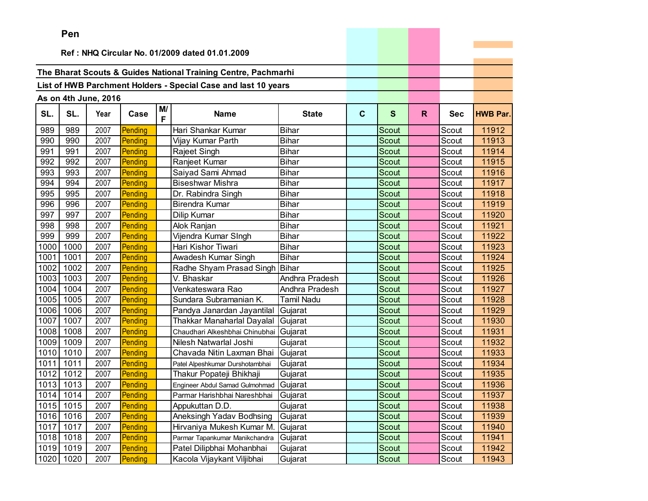|      | Pen       |                      |         |         |                                                                |                |             |              |              |            |                 |
|------|-----------|----------------------|---------|---------|----------------------------------------------------------------|----------------|-------------|--------------|--------------|------------|-----------------|
|      |           |                      |         |         |                                                                |                |             |              |              |            |                 |
|      |           |                      |         |         | Ref: NHQ Circular No. 01/2009 dated 01.01.2009                 |                |             |              |              |            |                 |
|      |           |                      |         |         | The Bharat Scouts & Guides National Training Centre, Pachmarhi |                |             |              |              |            |                 |
|      |           |                      |         |         |                                                                |                |             |              |              |            |                 |
|      |           |                      |         |         | List of HWB Parchment Holders - Special Case and last 10 years |                |             |              |              |            |                 |
|      |           | As on 4th June, 2016 |         |         |                                                                |                |             |              |              |            |                 |
| SL.  | SL.       | Year                 | Case    | M/<br>F | <b>Name</b>                                                    | <b>State</b>   | $\mathbf c$ | S            | $\mathsf{R}$ | <b>Sec</b> | <b>HWB Par.</b> |
| 989  | 989       | 2007                 | Pending |         | Hari Shankar Kumar                                             | <b>Bihar</b>   |             | Scout        |              | Scout      | 11912           |
| 990  | 990       | 2007                 | Pending |         | Vijay Kumar Parth                                              | <b>Bihar</b>   |             | <b>Scout</b> |              | Scout      | 11913           |
| 991  | 991       | 2007                 | Pending |         | Rajeet Singh                                                   | <b>Bihar</b>   |             | Scout        |              | Scout      | 11914           |
| 992  | 992       | 2007                 | Pending |         | Ranjeet Kumar                                                  | <b>Bihar</b>   |             | <b>Scout</b> |              | Scout      | 11915           |
| 993  | 993       | 2007                 | Pending |         | Saiyad Sami Ahmad                                              | <b>Bihar</b>   |             | Scout        |              | Scout      | 11916           |
| 994  | 994       | 2007                 | Pending |         | <b>Biseshwar Mishra</b>                                        | <b>Bihar</b>   |             | Scout        |              | Scout      | 11917           |
| 995  | 995       | 2007                 | Pending |         | Dr. Rabindra Singh                                             | <b>Bihar</b>   |             | Scout        |              | Scout      | 11918           |
| 996  | 996       | 2007                 | Pending |         | <b>Birendra Kumar</b>                                          | <b>Bihar</b>   |             | Scout        |              | Scout      | 11919           |
| 997  | 997       | 2007                 | Pending |         | Dilip Kumar                                                    | <b>Bihar</b>   |             | Scout        |              | Scout      | 11920           |
| 998  | 998       | 2007                 | Pending |         | Alok Ranjan                                                    | <b>Bihar</b>   |             | Scout        |              | Scout      | 11921           |
| 999  | 999       | 2007                 | Pending |         | Vijendra Kumar SIngh                                           | <b>Bihar</b>   |             | Scout        |              | Scout      | 11922           |
| 1000 | 1000      | 2007                 | Pending |         | Hari Kishor Tiwari                                             | <b>Bihar</b>   |             | Scout        |              | Scout      | 11923           |
| 1001 | 1001      | 2007                 | Pending |         | Awadesh Kumar Singh                                            | <b>Bihar</b>   |             | <b>Scout</b> |              | Scout      | 11924           |
| 1002 | 1002      | 2007                 | Pending |         | Radhe Shyam Prasad Singh                                       | Bihar          |             | <b>Scout</b> |              | Scout      | 11925           |
| 1003 | 1003      | 2007                 | Pending |         | V. Bhaskar                                                     | Andhra Pradesh |             | Scout        |              | Scout      | 11926           |
| 1004 | 1004      | 2007                 | Pending |         | Venkateswara Rao                                               | Andhra Pradesh |             | Scout        |              | Scout      | 11927           |
| 1005 | 1005      | 2007                 | Pending |         | Sundara Subramanian K.                                         | Tamil Nadu     |             | Scout        |              | Scout      | 11928           |
| 1006 | 1006      | 2007                 | Pending |         | Pandya Janardan Jayantilal                                     | Gujarat        |             | Scout        |              | Scout      | 11929           |
| 1007 | 1007      | 2007                 | Pending |         | Thakkar Manaharlal Dayalal                                     | Gujarat        |             | Scout        |              | Scout      | 11930           |
| 1008 | 1008      | 2007                 | Pending |         | Chaudhari Alkeshbhai Chinubhai                                 | Gujarat        |             | <b>Scout</b> |              | Scout      | 11931           |
| 1009 | 1009      | 2007                 | Pending |         | Nilesh Natwarlal Joshi                                         | Gujarat        |             | Scout        |              | Scout      | 11932           |
| 1010 | 1010      | 2007                 | Pending |         | Chavada Nitin Laxman Bhai                                      | Gujarat        |             | Scout        |              | Scout      | 11933           |
| 1011 | 1011      | 2007                 | Pending |         | Patel Alpeshkumar Durshotambhai                                | Gujarat        |             | Scout        |              | Scout      | 11934           |
| 1012 | 1012      | 2007                 | Pending |         | Thakur Popateji Bhikhaji                                       | Gujarat        |             | Scout        |              | Scout      | 11935           |
| 1013 | 1013      | 2007                 | Pending |         | Engineer Abdul Samad Gulmohmad Gujarat                         |                |             | Scout        |              | Scout      | 11936           |
|      | 1014 1014 | 2007                 | Pending |         | Parmar Harishbhai Nareshbhai Gujarat                           |                |             | Scout        |              | Scout      | 11937           |
| 1015 | 1015      | 2007                 | Pending |         | Appukuttan D.D.                                                | Gujarat        |             | Scout        |              | Scout      | 11938           |
| 1016 | 1016      | 2007                 | Pending |         | Aneksingh Yadav Bodhsing                                       | Gujarat        |             | Scout        |              | Scout      | 11939           |
| 1017 | 1017      | 2007                 | Pending |         | Hirvaniya Mukesh Kumar M.                                      | Gujarat        |             | Scout        |              | Scout      | 11940           |
| 1018 | 1018      | 2007                 | Pending |         | Parmar Tapankumar Manikchandra                                 | Gujarat        |             | Scout        |              | Scout      | 11941           |
|      | 1019 1019 | 2007                 | Pending |         | Patel Dilipbhai Mohanbhai                                      | Gujarat        |             | Scout        |              | Scout      | 11942           |
| 1020 | 1020      | 2007                 | Pending |         | Kacola Vijaykant Viljibhai                                     | Gujarat        |             | Scout        |              | Scout      | 11943           |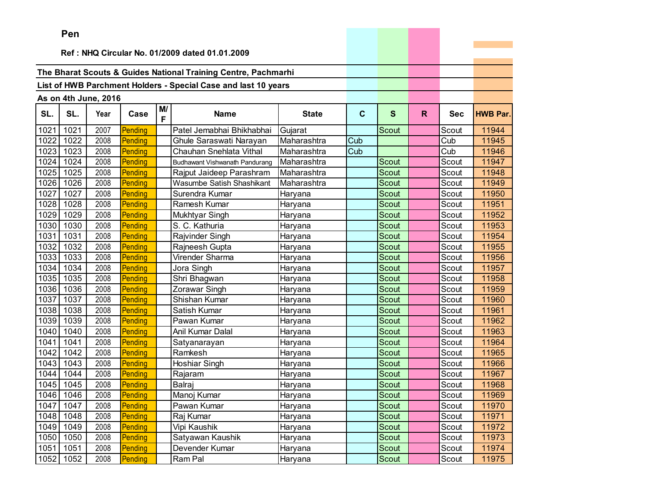|      | ren  |                      |         |         |                                                                |              |             |              |    |            |                 |
|------|------|----------------------|---------|---------|----------------------------------------------------------------|--------------|-------------|--------------|----|------------|-----------------|
|      |      |                      |         |         | Ref: NHQ Circular No. 01/2009 dated 01.01.2009                 |              |             |              |    |            |                 |
|      |      |                      |         |         |                                                                |              |             |              |    |            |                 |
|      |      |                      |         |         | The Bharat Scouts & Guides National Training Centre, Pachmarhi |              |             |              |    |            |                 |
|      |      |                      |         |         |                                                                |              |             |              |    |            |                 |
|      |      |                      |         |         | List of HWB Parchment Holders - Special Case and last 10 years |              |             |              |    |            |                 |
|      |      | As on 4th June, 2016 |         |         |                                                                |              |             |              |    |            |                 |
| SL.  | SL.  | Year                 | Case    | M/<br>F | <b>Name</b>                                                    | <b>State</b> | $\mathbf c$ | S            | R. | <b>Sec</b> | <b>HWB Par.</b> |
| 1021 | 1021 | 2007                 | Pending |         | Patel Jemabhai Bhikhabhai                                      | Gujarat      |             | <b>Scout</b> |    | Scout      | 11944           |
| 1022 | 1022 | 2008                 | Pending |         | Ghule Saraswati Narayan                                        | Maharashtra  | Cub         |              |    | Cub        | 11945           |
| 1023 | 1023 | 2008                 | Pending |         | Chauhan Snehlata Vithal                                        | Maharashtra  | Cub         |              |    | Cub        | 11946           |
| 1024 | 1024 | 2008                 | Pending |         | Budhawant Vishwanath Pandurang                                 | Maharashtra  |             | <b>Scout</b> |    | Scout      | 11947           |
| 1025 | 1025 | 2008                 | Pending |         | Rajput Jaideep Parashram                                       | Maharashtra  |             | Scout        |    | Scout      | 11948           |
| 1026 | 1026 | 2008                 | Pending |         | Wasumbe Satish Shashikant                                      | Maharashtra  |             | Scout        |    | Scout      | 11949           |
| 1027 | 1027 | 2008                 | Pending |         | Surendra Kumar                                                 | Haryana      |             | Scout        |    | Scout      | 11950           |
| 1028 | 1028 | 2008                 | Pending |         | Ramesh Kumar                                                   | Haryana      |             | Scout        |    | Scout      | 11951           |
| 1029 | 1029 | 2008                 | Pending |         | Mukhtyar Singh                                                 | Haryana      |             | Scout        |    | Scout      | 11952           |
| 1030 | 1030 | 2008                 | Pending |         | S. C. Kathuria                                                 | Haryana      |             | Scout        |    | Scout      | 11953           |
| 1031 | 1031 | 2008                 | Pending |         | Rajvinder Singh                                                | Haryana      |             | Scout        |    | Scout      | 11954           |
| 1032 | 1032 | 2008                 | Pending |         | Rajneesh Gupta                                                 | Haryana      |             | Scout        |    | Scout      | 11955           |
| 1033 | 1033 | 2008                 | Pending |         | Virender Sharma                                                | Haryana      |             | Scout        |    | Scout      | 11956           |
| 1034 | 1034 | 2008                 | Pending |         | Jora Singh                                                     | Haryana      |             | Scout        |    | Scout      | 11957           |
| 1035 | 1035 | 2008                 | Pending |         | Shri Bhagwan                                                   | Haryana      |             | Scout        |    | Scout      | 11958           |
| 1036 | 1036 | 2008                 | Pending |         | Zorawar Singh                                                  | Haryana      |             | Scout        |    | Scout      | 11959           |
| 1037 | 1037 | 2008                 | Pending |         | Shishan Kumar                                                  | Haryana      |             | Scout        |    | Scout      | 11960           |
| 1038 | 1038 | 2008                 | Pending |         | Satish Kumar                                                   | Haryana      |             | Scout        |    | Scout      | 11961           |
| 1039 | 1039 | 2008                 | Pending |         | Pawan Kumar                                                    | Haryana      |             | Scout        |    | Scout      | 11962           |
| 1040 | 1040 | 2008                 | Pending |         | Anil Kumar Dalal                                               | Haryana      |             | Scout        |    | Scout      | 11963           |
| 1041 | 1041 | 2008                 | Pending |         | Satyanarayan                                                   | Haryana      |             | Scout        |    | Scout      | 11964           |
| 1042 | 1042 | 2008                 | Pending |         | Ramkesh                                                        | Haryana      |             | <b>Scout</b> |    | Scout      | 11965           |
| 1043 | 1043 | 2008                 | Pending |         | Hoshiar Singh                                                  | Haryana      |             | Scout        |    | Scout      | 11966           |
| 1044 | 1044 | 2008                 | Pending |         | Rajaram                                                        | Haryana      |             | Scout        |    | Scout      | 11967           |
| 1045 | 1045 | 2008                 | Pending |         | Balraj                                                         | Haryana      |             | Scout        |    | Scout      | 11968           |
| 1046 | 1046 | 2008                 | Pending |         | Manoj Kumar                                                    | Haryana      |             | Scout        |    | Scout      | 11969           |
| 1047 | 1047 | 2008                 | Pending |         | Pawan Kumar                                                    | Haryana      |             | Scout        |    | Scout      | 11970           |
| 1048 | 1048 | 2008                 | Pending |         | Raj Kumar                                                      | Haryana      |             | Scout        |    | Scout      | 11971           |
| 1049 | 1049 | 2008                 | Pending |         | Vipi Kaushik                                                   | Haryana      |             | Scout        |    | Scout      | 11972           |
| 1050 | 1050 | 2008                 | Pending |         | Satyawan Kaushik                                               | Haryana      |             | Scout        |    | Scout      | 11973           |
| 1051 | 1051 | 2008                 | Pending |         | Devender Kumar                                                 | Haryana      |             | Scout        |    | Scout      | 11974           |
| 1052 | 1052 | 2008                 | Pending |         | Ram Pal                                                        | Haryana      |             | Scout        |    | Scout      | 11975           |

the company's company's com-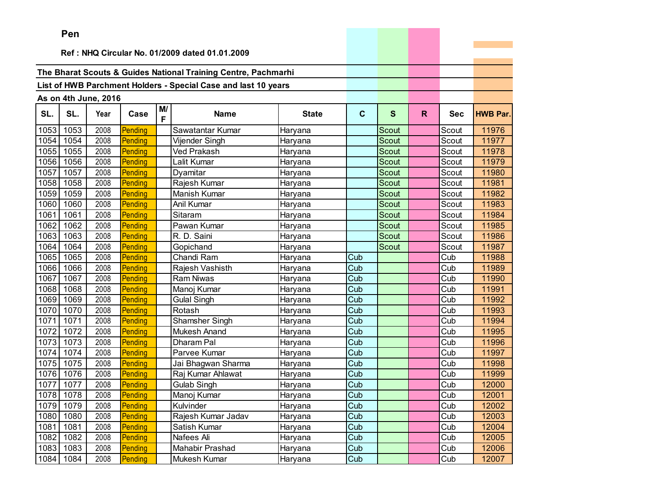|      | ren  |                      |         |         |                                                                |              |             |              |    |            |                 |
|------|------|----------------------|---------|---------|----------------------------------------------------------------|--------------|-------------|--------------|----|------------|-----------------|
|      |      |                      |         |         | Ref: NHQ Circular No. 01/2009 dated 01.01.2009                 |              |             |              |    |            |                 |
|      |      |                      |         |         |                                                                |              |             |              |    |            |                 |
|      |      |                      |         |         | The Bharat Scouts & Guides National Training Centre, Pachmarhi |              |             |              |    |            |                 |
|      |      |                      |         |         | List of HWB Parchment Holders - Special Case and last 10 years |              |             |              |    |            |                 |
|      |      |                      |         |         |                                                                |              |             |              |    |            |                 |
|      |      | As on 4th June, 2016 |         |         |                                                                |              |             |              |    |            |                 |
| SL.  | SL.  | Year                 | Case    | M/<br>F | <b>Name</b>                                                    | <b>State</b> | $\mathbf c$ | S            | R. | <b>Sec</b> | <b>HWB Par.</b> |
| 1053 | 1053 | 2008                 | Pending |         | Sawatantar Kumar                                               | Haryana      |             | Scout        |    | Scout      | 11976           |
| 1054 | 1054 | 2008                 | Pending |         | Vijender Singh                                                 | Haryana      |             | Scout        |    | Scout      | 11977           |
| 1055 | 1055 | 2008                 | Pending |         | Ved Prakash                                                    | Haryana      |             | Scout        |    | Scout      | 11978           |
| 1056 | 1056 | 2008                 | Pending |         | Lalit Kumar                                                    | Haryana      |             | <b>Scout</b> |    | Scout      | 11979           |
| 1057 | 1057 | 2008                 | Pending |         | Dyamitar                                                       | Haryana      |             | Scout        |    | Scout      | 11980           |
| 1058 | 1058 | 2008                 | Pending |         | Rajesh Kumar                                                   | Haryana      |             | Scout        |    | Scout      | 11981           |
| 1059 | 1059 | 2008                 | Pending |         | Manish Kumar                                                   | Haryana      |             | <b>Scout</b> |    | Scout      | 11982           |
| 1060 | 1060 | 2008                 | Pending |         | Anil Kumar                                                     | Haryana      |             | Scout        |    | Scout      | 11983           |
| 1061 | 1061 | 2008                 | Pending |         | Sitaram                                                        | Haryana      |             | Scout        |    | Scout      | 11984           |
| 1062 | 1062 | 2008                 | Pending |         | Pawan Kumar                                                    | Haryana      |             | Scout        |    | Scout      | 11985           |
| 1063 | 1063 | 2008                 | Pending |         | R. D. Saini                                                    | Haryana      |             | Scout        |    | Scout      | 11986           |
| 1064 | 1064 | 2008                 | Pending |         | Gopichand                                                      | Haryana      |             | Scout        |    | Scout      | 11987           |
| 1065 | 1065 | 2008                 | Pending |         | Chandi Ram                                                     | Haryana      | Cub         |              |    | Cub        | 11988           |
| 1066 | 1066 | 2008                 | Pending |         | Rajesh Vashisth                                                | Haryana      | Cub         |              |    | Cub        | 11989           |
| 1067 | 1067 | 2008                 | Pending |         | <b>Ram Niwas</b>                                               | Haryana      | Cub         |              |    | Cub        | 11990           |
| 1068 | 1068 | 2008                 | Pending |         | Manoj Kumar                                                    | Haryana      | Cub         |              |    | Cub        | 11991           |
| 1069 | 1069 | 2008                 | Pending |         | <b>Gulal Singh</b>                                             | Haryana      | Cub         |              |    | Cub        | 11992           |
| 1070 | 1070 | 2008                 | Pending |         | Rotash                                                         | Haryana      | Cub         |              |    | Cub        | 11993           |
| 1071 | 1071 | 2008                 | Pending |         | Shamsher Singh                                                 | Haryana      | Cub         |              |    | Cub        | 11994           |
| 1072 | 1072 | 2008                 | Pending |         | <b>Mukesh Anand</b>                                            | Haryana      | Cub         |              |    | Cub        | 11995           |
| 1073 | 1073 | 2008                 | Pending |         | Dharam Pal                                                     | Haryana      | Cub         |              |    | Cub        | 11996           |
| 1074 | 1074 | 2008                 | Pending |         | Parvee Kumar                                                   | Haryana      | Cub         |              |    | Cub        | 11997           |
| 1075 | 1075 | 2008                 | Pending |         | Jai Bhagwan Sharma                                             | Haryana      | Cub         |              |    | Cub        | 11998           |
| 1076 | 1076 | 2008                 | Pending |         | Raj Kumar Ahlawat                                              | Haryana      | Cub         |              |    | Cub        | 11999           |
| 1077 | 1077 | 2008                 | Pending |         | <b>Gulab Singh</b>                                             | Haryana      | Cub         |              |    | Cub        | 12000           |
| 1078 | 1078 | 2008                 | Pending |         | Manoj Kumar                                                    | Haryana      | Cub         |              |    | Cub        | 12001           |
| 1079 | 1079 | 2008                 | Pending |         | Kulvinder                                                      | Haryana      | Cub         |              |    | Cub        | 12002           |
| 1080 | 1080 | 2008                 | Pending |         | Rajesh Kumar Jadav                                             | Haryana      | Cub         |              |    | Cub        | 12003           |
| 1081 | 1081 | 2008                 | Pending |         | Satish Kumar                                                   | Haryana      | Cub         |              |    | Cub        | 12004           |
| 1082 | 1082 | 2008                 | Pending |         | Nafees Ali                                                     | Haryana      | Cub         |              |    | Cub        | 12005           |
| 1083 | 1083 | 2008                 | Pending |         | Mahabir Prashad                                                | Haryana      | Cub         |              |    | Cub        | 12006           |
| 1084 | 1084 | 2008                 | Pending |         | Mukesh Kumar                                                   | Haryana      | Cub         |              |    | Cub        | 12007           |

the control of the control of the control of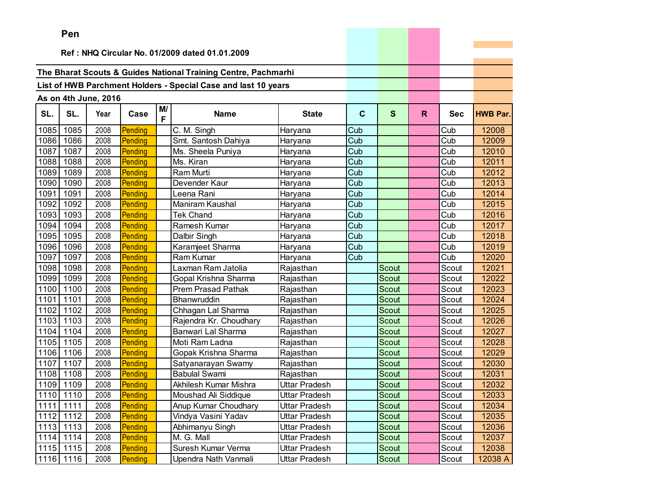|      | Pen       |                      |         |         |                                                                |                      |     |              |    |            |                 |
|------|-----------|----------------------|---------|---------|----------------------------------------------------------------|----------------------|-----|--------------|----|------------|-----------------|
|      |           |                      |         |         |                                                                |                      |     |              |    |            |                 |
|      |           |                      |         |         | Ref: NHQ Circular No. 01/2009 dated 01.01.2009                 |                      |     |              |    |            |                 |
|      |           |                      |         |         | The Bharat Scouts & Guides National Training Centre, Pachmarhi |                      |     |              |    |            |                 |
|      |           |                      |         |         |                                                                |                      |     |              |    |            |                 |
|      |           |                      |         |         | List of HWB Parchment Holders - Special Case and last 10 years |                      |     |              |    |            |                 |
|      |           | As on 4th June, 2016 |         |         |                                                                |                      |     |              |    |            |                 |
| SL.  | SL.       | Year                 | Case    | M/<br>F | <b>Name</b>                                                    | <b>State</b>         | C   | S            | R. | <b>Sec</b> | <b>HWB Par.</b> |
| 1085 | 1085      | 2008                 | Pending |         | C. M. Singh                                                    | Haryana              | Cub |              |    | Cub        | 12008           |
| 1086 | 1086      | 2008                 | Pending |         | Smt. Santosh Dahiya                                            | Haryana              | Cub |              |    | Cub        | 12009           |
| 1087 | 1087      | 2008                 | Pending |         | Ms. Sheela Puniya                                              | Haryana              | Cub |              |    | Cub        | 12010           |
| 1088 | 1088      | 2008                 | Pending |         | Ms. Kiran                                                      | Haryana              | Cub |              |    | Cub        | 12011           |
| 1089 | 1089      | 2008                 | Pending |         | Ram Murti                                                      | Haryana              | Cub |              |    | Cub        | 12012           |
| 1090 | 1090      | 2008                 | Pending |         | Devender Kaur                                                  | Haryana              | Cub |              |    | Cub        | 12013           |
| 1091 | 1091      | 2008                 | Pending |         | Leena Rani                                                     | Haryana              | Cub |              |    | Cub        | 12014           |
| 1092 | 1092      | 2008                 | Pending |         | Maniram Kaushal                                                | Haryana              | Cub |              |    | Cub        | 12015           |
| 1093 | 1093      | 2008                 | Pending |         | <b>Tek Chand</b>                                               | Haryana              | Cub |              |    | Cub        | 12016           |
| 1094 | 1094      | 2008                 | Pending |         | Ramesh Kumar                                                   | Haryana              | Cub |              |    | Cub        | 12017           |
| 1095 | 1095      | 2008                 | Pending |         | Dalbir Singh                                                   | Haryana              | Cub |              |    | Cub        | 12018           |
| 1096 | 1096      | 2008                 | Pending |         | Karamjeet Sharma                                               | Haryana              | Cub |              |    | Cub        | 12019           |
| 1097 | 1097      | 2008                 | Pending |         | Ram Kumar                                                      | Haryana              | Cub |              |    | Cub        | 12020           |
| 1098 | 1098      | 2008                 | Pending |         | Laxman Ram Jatolia                                             | Rajasthan            |     | Scout        |    | Scout      | 12021           |
| 1099 | 1099      | 2008                 | Pending |         | Gopal Krishna Sharma                                           | Rajasthan            |     | Scout        |    | Scout      | 12022           |
| 1100 | 1100      | 2008                 | Pending |         | Prem Prasad Pathak                                             | Rajasthan            |     | <b>Scout</b> |    | Scout      | 12023           |
| 1101 | 1101      | 2008                 | Pending |         | Bhanwruddin                                                    | Rajasthan            |     | <b>Scout</b> |    | Scout      | 12024           |
| 1102 | 1102      | 2008                 | Pending |         | Chhagan Lal Sharma                                             | Rajasthan            |     | <b>Scout</b> |    | Scout      | 12025           |
| 1103 | 1103      | 2008                 | Pending |         | Rajendra Kr. Choudhary                                         | Rajasthan            |     | Scout        |    | Scout      | 12026           |
| 1104 | 1104      | 2008                 | Pending |         | Banwari Lal Sharma                                             | Rajasthan            |     | Scout        |    | Scout      | 12027           |
| 1105 | 1105      | 2008                 | Pending |         | Moti Ram Ladna                                                 | Rajasthan            |     | <b>Scout</b> |    | Scout      | 12028           |
| 1106 | 1106      | 2008                 | Pending |         | Gopak Krishna Sharma                                           | Rajasthan            |     | Scout        |    | Scout      | 12029           |
| 1107 | 1107      | 2008                 | Pending |         | Satyanarayan Swamy                                             | Rajasthan            |     | <b>Scout</b> |    | Scout      | 12030           |
| 1108 | 1108      | 2008                 | Pending |         | <b>Babulal Swami</b>                                           | Rajasthan            |     | <b>Scout</b> |    | Scout      | 12031           |
|      | 1109 1109 | 2008                 | Pending |         | Akhilesh Kumar Mishra                                          | Uttar Pradesh        |     | Scout        |    | Scout      | 12032           |
|      | 1110 1110 | 2008                 | Pending |         | Moushad Ali Siddique                                           | <b>Uttar Pradesh</b> |     | Scout        |    | Scout      | 12033           |
|      | 1111 1111 | 2008                 | Pending |         | Anup Kumar Choudhary                                           | Uttar Pradesh        |     | Scout        |    | Scout      | 12034           |
|      | 1112 1112 | 2008                 | Pending |         | Vindya Vasini Yadav                                            | Uttar Pradesh        |     | Scout        |    | Scout      | 12035           |
|      | 1113 1113 | 2008                 | Pending |         | Abhimanyu Singh                                                | Uttar Pradesh        |     | Scout        |    | Scout      | 12036           |
|      | 1114 1114 | 2008                 | Pending |         | M. G. Mall                                                     | Uttar Pradesh        |     | Scout        |    | Scout      | 12037           |
|      | 1115 1115 | 2008                 | Pending |         | Suresh Kumar Verma                                             | Uttar Pradesh        |     | Scout        |    | Scout      | 12038           |
| 1116 | 1116      | 2008                 | Pending |         | Upendra Nath Vanmali                                           | Uttar Pradesh        |     | Scout        |    | Scout      | 12038 A         |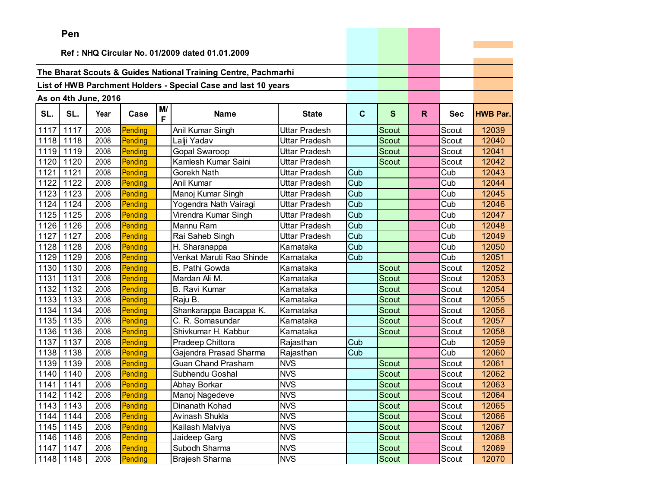|      | Pen                                            |                      |         |         |                                                                |                      |                         |              |    |            |                 |
|------|------------------------------------------------|----------------------|---------|---------|----------------------------------------------------------------|----------------------|-------------------------|--------------|----|------------|-----------------|
|      | Ref: NHQ Circular No. 01/2009 dated 01.01.2009 |                      |         |         |                                                                |                      |                         |              |    |            |                 |
|      |                                                |                      |         |         |                                                                |                      |                         |              |    |            |                 |
|      |                                                |                      |         |         | The Bharat Scouts & Guides National Training Centre, Pachmarhi |                      |                         |              |    |            |                 |
|      |                                                |                      |         |         |                                                                |                      |                         |              |    |            |                 |
|      |                                                |                      |         |         | List of HWB Parchment Holders - Special Case and last 10 years |                      |                         |              |    |            |                 |
|      |                                                | As on 4th June, 2016 |         |         |                                                                |                      |                         |              |    |            |                 |
| SL.  | SL.                                            | Year                 | Case    | M/<br>F | <b>Name</b>                                                    | <b>State</b>         | $\mathbf{C}$            | $\mathbf{s}$ | R. | <b>Sec</b> | <b>HWB Par.</b> |
| 1117 | 1117                                           | 2008                 | Pending |         | Anil Kumar Singh                                               | <b>Uttar Pradesh</b> |                         | Scout        |    | Scout      | 12039           |
| 1118 | 1118                                           | 2008                 | Pending |         | Lalji Yadav                                                    | <b>Uttar Pradesh</b> |                         | Scout        |    | Scout      | 12040           |
| 1119 | 1119                                           | 2008                 | Pending |         | <b>Gopal Swaroop</b>                                           | Uttar Pradesh        |                         | Scout        |    | Scout      | 12041           |
| 1120 | 1120                                           | 2008                 | Pending |         | Kamlesh Kumar Saini                                            | Uttar Pradesh        |                         | Scout        |    | Scout      | 12042           |
| 1121 | 1121                                           | 2008                 | Pending |         | Gorekh Nath                                                    | Uttar Pradesh        | Cub                     |              |    | Cub        | 12043           |
| 1122 | 1122                                           | 2008                 | Pending |         | Anil Kumar                                                     | <b>Uttar Pradesh</b> | Cub                     |              |    | Cub        | 12044           |
| 1123 | 1123                                           | 2008                 | Pending |         | Manoj Kumar Singh                                              | Uttar Pradesh        | Cub                     |              |    | Cub        | 12045           |
| 1124 | 1124                                           | 2008                 | Pending |         | Yogendra Nath Vairagi                                          | Uttar Pradesh        | Cub                     |              |    | Cub        | 12046           |
| 1125 | 1125                                           | 2008                 | Pending |         | Virendra Kumar Singh                                           | <b>Uttar Pradesh</b> | $\overline{\text{Cub}}$ |              |    | Cub        | 12047           |
| 1126 | 1126                                           | 2008                 | Pending |         | Mannu Ram                                                      | Uttar Pradesh        | Cub                     |              |    | Cub        | 12048           |
| 1127 | 1127                                           | 2008                 | Pending |         | Rai Saheb Singh                                                | Uttar Pradesh        | Cub                     |              |    | Cub        | 12049           |
| 1128 | 1128                                           | 2008                 | Pending |         | $\overline{H}$ . Sharanappa                                    | Karnataka            | Cub                     |              |    | Cub        | 12050           |
| 1129 | 1129                                           | 2008                 | Pending |         | Venkat Maruti Rao Shinde                                       | Karnataka            | Cub                     |              |    | Cub        | 12051           |
| 1130 | 1130                                           | 2008                 | Pending |         | B. Pathi Gowda                                                 | Karnataka            |                         | Scout        |    | Scout      | 12052           |
| 1131 | 1131                                           | 2008                 | Pending |         | Mardan Ali M.                                                  | Karnataka            |                         | Scout        |    | Scout      | 12053           |
| 1132 | 1132                                           | 2008                 | Pending |         | <b>B.</b> Ravi Kumar                                           | Karnataka            |                         | <b>Scout</b> |    | Scout      | 12054           |
| 1133 | 1133                                           | 2008                 | Pending |         | Raju B.                                                        | Karnataka            |                         | Scout        |    | Scout      | 12055           |
| 1134 | 1134                                           | 2008                 | Pending |         | Shankarappa Bacappa K.                                         | Karnataka            |                         | Scout        |    | Scout      | 12056           |
| 1135 | 1135                                           | 2008                 | Pending |         | C. R. Somasundar                                               | Karnataka            |                         | Scout        |    | Scout      | 12057           |
| 1136 | 1136                                           | 2008                 | Pending |         | Shivkumar H. Kabbur                                            | Karnataka            |                         | Scout        |    | Scout      | 12058           |
| 1137 | 1137                                           | 2008                 | Pending |         | Pradeep Chittora                                               | Rajasthan            | Cub                     |              |    | Cub        | 12059           |
| 1138 | 1138                                           | 2008                 | Pending |         | Gajendra Prasad Sharma                                         | Rajasthan            | Cub                     |              |    | Cub        | 12060           |
| 1139 | 1139                                           | 2008                 | Pending |         | <b>Guan Chand Prasham</b>                                      | <b>NVS</b>           |                         | Scout        |    | Scout      | 12061           |
| 1140 | 1140                                           | 2008                 | Pending |         | Subhendu Goshal                                                | <b>NVS</b>           |                         | Scout        |    | Scout      | 12062           |
| 1141 | 1141                                           | 2008                 | Pending |         | Abhay Borkar                                                   | <b>NVS</b>           |                         | Scout        |    | Scout      | 12063           |
|      | 1142 1142                                      | 2008                 | Pending |         | Manoj Nagedeve                                                 | <b>NVS</b>           |                         | Scout        |    | Scout      | 12064           |
|      | 1143 1143                                      | 2008                 | Pending |         | Dinanath Kohad                                                 | <b>NVS</b>           |                         | Scout        |    | Scout      | 12065           |
|      | 1144 1144                                      | 2008                 | Pending |         | Avinash Shukla                                                 | <b>NVS</b>           |                         | Scout        |    | Scout      | 12066           |
|      | 1145 1145                                      | 2008                 | Pending |         | Kailash Malviya                                                | <b>NVS</b>           |                         | Scout        |    | Scout      | 12067           |
|      | 1146 1146                                      | 2008                 | Pending |         | Jaideep Garg                                                   | <b>NVS</b>           |                         | Scout        |    | Scout      | 12068           |
|      | 1147 1147                                      | 2008                 | Pending |         | Subodh Sharma                                                  | <b>NVS</b>           |                         | Scout        |    | Scout      | 12069           |
|      | 1148 1148                                      | 2008                 | Pending |         | Brajesh Sharma                                                 | <b>NVS</b>           |                         | Scout        |    | Scout      | 12070           |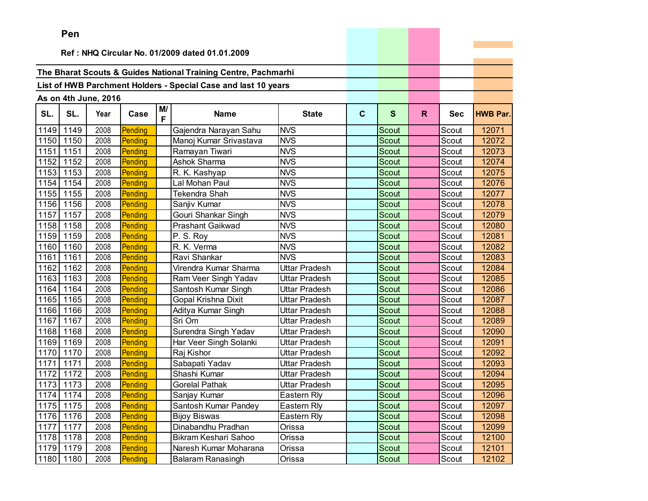|      | Pen                                            |                      |         |         |                                                                |                      |             |              |    |            |                 |
|------|------------------------------------------------|----------------------|---------|---------|----------------------------------------------------------------|----------------------|-------------|--------------|----|------------|-----------------|
|      | Ref: NHQ Circular No. 01/2009 dated 01.01.2009 |                      |         |         |                                                                |                      |             |              |    |            |                 |
|      |                                                |                      |         |         |                                                                |                      |             |              |    |            |                 |
|      |                                                |                      |         |         | The Bharat Scouts & Guides National Training Centre, Pachmarhi |                      |             |              |    |            |                 |
|      |                                                |                      |         |         | List of HWB Parchment Holders - Special Case and last 10 years |                      |             |              |    |            |                 |
|      |                                                |                      |         |         |                                                                |                      |             |              |    |            |                 |
|      |                                                | As on 4th June, 2016 |         |         |                                                                |                      |             |              |    |            |                 |
| SL.  | SL.                                            | Year                 | Case    | M/<br>F | <b>Name</b>                                                    | <b>State</b>         | $\mathbf c$ | $\mathbf{s}$ | R. | <b>Sec</b> | <b>HWB Par.</b> |
| 1149 | 1149                                           | 2008                 | Pending |         | Gajendra Narayan Sahu                                          | <b>NVS</b>           |             | Scout        |    | Scout      | 12071           |
| 1150 | 1150                                           | 2008                 | Pending |         | Manoj Kumar Srivastava                                         | <b>NVS</b>           |             | Scout        |    | Scout      | 12072           |
| 1151 | 1151                                           | 2008                 | Pending |         | Ramayan Tiwari                                                 | <b>NVS</b>           |             | <b>Scout</b> |    | Scout      | 12073           |
| 1152 | 1152                                           | 2008                 | Pending |         | Ashok Sharma                                                   | <b>NVS</b>           |             | Scout        |    | Scout      | 12074           |
| 1153 | 1153                                           | 2008                 | Pending |         | R. K. Kashyap                                                  | <b>NVS</b>           |             | Scout        |    | Scout      | 12075           |
| 1154 | 1154                                           | 2008                 | Pending |         | Lal Mohan Paul                                                 | <b>NVS</b>           |             | <b>Scout</b> |    | Scout      | 12076           |
| 1155 | 1155                                           | 2008                 | Pending |         | Tekendra Shah                                                  | <b>NVS</b>           |             | <b>Scout</b> |    | Scout      | 12077           |
| 1156 | 1156                                           | 2008                 | Pending |         | Sanjiv Kumar                                                   | <b>NVS</b>           |             | Scout        |    | Scout      | 12078           |
| 1157 | 1157                                           | 2008                 | Pending |         | Gouri Shankar Singh                                            | <b>NVS</b>           |             | <b>Scout</b> |    | Scout      | 12079           |
| 1158 | 1158                                           | 2008                 | Pending |         | <b>Prashant Gaikwad</b>                                        | <b>NVS</b>           |             | Scout        |    | Scout      | 12080           |
| 1159 | 1159                                           | 2008                 | Pending |         | P. S. Roy                                                      | <b>NVS</b>           |             | Scout        |    | Scout      | 12081           |
| 1160 | 1160                                           | 2008                 | Pending |         | R. K. Verma                                                    | <b>NVS</b>           |             | Scout        |    | Scout      | 12082           |
| 1161 | 1161                                           | 2008                 | Pending |         | Ravi Shankar                                                   | <b>NVS</b>           |             | Scout        |    | Scout      | 12083           |
| 1162 | 1162                                           | 2008                 | Pending |         | Virendra Kumar Sharma                                          | <b>Uttar Pradesh</b> |             | <b>Scout</b> |    | Scout      | 12084           |
| 1163 | 1163                                           | 2008                 | Pending |         | Ram Veer Singh Yadav                                           | Uttar Pradesh        |             | Scout        |    | Scout      | 12085           |
| 1164 | 1164                                           | 2008                 | Pending |         | Santosh Kumar Singh                                            | Uttar Pradesh        |             | Scout        |    | Scout      | 12086           |
| 1165 | 1165                                           | 2008                 | Pending |         | Gopal Krishna Dixit                                            | Uttar Pradesh        |             | Scout        |    | Scout      | 12087           |
| 1166 | 1166                                           | 2008                 | Pending |         | Aditya Kumar Singh                                             | Uttar Pradesh        |             | Scout        |    | Scout      | 12088           |
| 1167 | 1167                                           | 2008                 | Pending |         | Sri Om                                                         | Uttar Pradesh        |             | <b>Scout</b> |    | Scout      | 12089           |
| 1168 | 1168                                           | 2008                 | Pending |         | Surendra Singh Yadav                                           | Uttar Pradesh        |             | Scout        |    | Scout      | 12090           |
| 1169 | 1169                                           | 2008                 | Pending |         | Har Veer Singh Solanki                                         | Uttar Pradesh        |             | Scout        |    | Scout      | 12091           |
| 1170 | 1170                                           | 2008                 | Pending |         | Raj Kishor                                                     | Uttar Pradesh        |             | Scout        |    | Scout      | 12092           |
| 1171 | 1171                                           | 2008                 | Pending |         | Sabapati Yadav                                                 | Uttar Pradesh        |             | Scout        |    | Scout      | 12093           |
| 1172 | 1172                                           | 2008                 | Pending |         | Shashi Kumar                                                   | Uttar Pradesh        |             | Scout        |    | Scout      | 12094           |
|      | 1173 1173                                      | 2008                 | Pending |         | <b>Gorelal Pathak</b>                                          | Uttar Pradesh        |             | Scout        |    | Scout      | 12095           |
|      | 1174 1174                                      | 2008                 | Pending |         | Sanjay Kumar                                                   | Eastern Rly          |             | Scout        |    | Scout      | 12096           |
|      | 1175 1175                                      | 2008                 | Pending |         | Santosh Kumar Pandey                                           | Eastern Rly          |             | Scout        |    | Scout      | 12097           |
|      | 1176 1176                                      | 2008                 | Pending |         | <b>Bijoy Biswas</b>                                            | Eastern Rly          |             | Scout        |    | Scout      | 12098           |
| 1177 | 1177                                           | 2008                 | Pending |         | Dinabandhu Pradhan                                             | Orissa               |             | Scout        |    | Scout      | 12099           |
|      | 1178 1178                                      | 2008                 | Pending |         | Bikram Keshari Sahoo                                           | Orissa               |             | Scout        |    | Scout      | 12100           |
|      | 1179 1179                                      | 2008                 | Pending |         | Naresh Kumar Moharana                                          | Orissa               |             | Scout        |    | Scout      | 12101           |
| 1180 | 1180                                           | 2008                 | Pending |         | <b>Balaram Ranasingh</b>                                       | Orissa               |             | Scout        |    | Scout      | 12102           |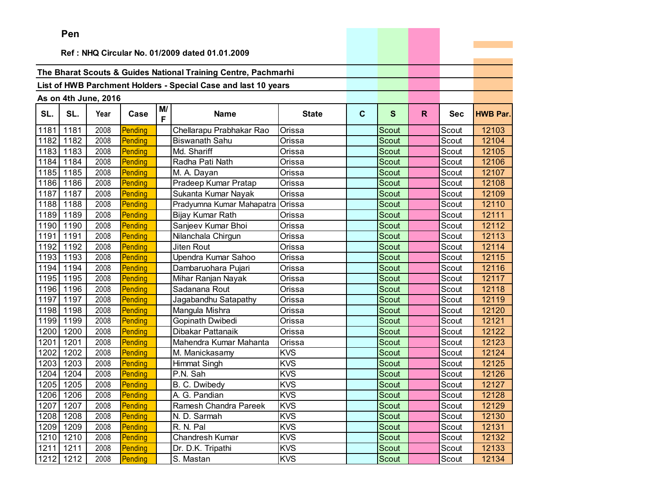|      | Pen       |                      |         |         |                                                                |              |              |              |    |            |                 |
|------|-----------|----------------------|---------|---------|----------------------------------------------------------------|--------------|--------------|--------------|----|------------|-----------------|
|      |           |                      |         |         | Ref: NHQ Circular No. 01/2009 dated 01.01.2009                 |              |              |              |    |            |                 |
|      |           |                      |         |         |                                                                |              |              |              |    |            |                 |
|      |           |                      |         |         | The Bharat Scouts & Guides National Training Centre, Pachmarhi |              |              |              |    |            |                 |
|      |           |                      |         |         | List of HWB Parchment Holders - Special Case and last 10 years |              |              |              |    |            |                 |
|      |           |                      |         |         |                                                                |              |              |              |    |            |                 |
|      |           | As on 4th June, 2016 |         |         |                                                                |              |              |              |    |            |                 |
| SL.  | SL.       | Year                 | Case    | M/<br>F | <b>Name</b>                                                    | <b>State</b> | $\mathbf{C}$ | $\mathbf{s}$ | R. | <b>Sec</b> | <b>HWB Par.</b> |
| 1181 | 1181      | 2008                 | Pending |         | Chellarapu Prabhakar Rao                                       | Orissa       |              | Scout        |    | Scout      | 12103           |
| 1182 | 1182      | 2008                 | Pending |         | <b>Biswanath Sahu</b>                                          | Orissa       |              | Scout        |    | Scout      | 12104           |
| 1183 | 1183      | 2008                 | Pending |         | Md. Shariff                                                    | Orissa       |              | <b>Scout</b> |    | Scout      | 12105           |
| 1184 | 1184      | 2008                 | Pending |         | Radha Pati Nath                                                | Orissa       |              | Scout        |    | Scout      | 12106           |
| 1185 | 1185      | 2008                 | Pending |         | M. A. Dayan                                                    | Orissa       |              | Scout        |    | Scout      | 12107           |
|      | 1186 1186 | 2008                 | Pending |         | Pradeep Kumar Pratap                                           | Orissa       |              | Scout        |    | Scout      | 12108           |
| 1187 | 1187      | 2008                 | Pending |         | Sukanta Kumar Nayak                                            | Orissa       |              | Scout        |    | Scout      | 12109           |
| 1188 | 1188      | 2008                 | Pending |         | Pradyumna Kumar Mahapatra                                      | Orissa       |              | Scout        |    | Scout      | 12110           |
| 1189 | 1189      | 2008                 | Pending |         | Bijay Kumar Rath                                               | Orissa       |              | Scout        |    | Scout      | 12111           |
| 1190 | 1190      | 2008                 | Pending |         | Sanjeev Kumar Bhoi                                             | Orissa       |              | Scout        |    | Scout      | 12112           |
| 1191 | 1191      | 2008                 | Pending |         | Nilanchala Chirgun                                             | Orissa       |              | Scout        |    | Scout      | 12113           |
| 1192 | 1192      | 2008                 | Pending |         | Jiten Rout                                                     | Orissa       |              | Scout        |    | Scout      | 12114           |
| 1193 | 1193      | 2008                 | Pending |         | Upendra Kumar Sahoo                                            | Orissa       |              | Scout        |    | Scout      | 12115           |
| 1194 | 1194      | 2008                 | Pending |         | Dambaruohara Pujari                                            | Orissa       |              | Scout        |    | Scout      | 12116           |
| 1195 | 1195      | 2008                 | Pending |         | Mihar Ranjan Nayak                                             | Orissa       |              | Scout        |    | Scout      | 12117           |
| 1196 | 1196      | 2008                 | Pending |         | Sadanana Rout                                                  | Orissa       |              | <b>Scout</b> |    | Scout      | 12118           |
| 1197 | 1197      | 2008                 | Pending |         | Jagabandhu Satapathy                                           | Orissa       |              | <b>Scout</b> |    | Scout      | 12119           |
| 1198 | 1198      | 2008                 | Pending |         | Mangula Mishra                                                 | Orissa       |              | <b>Scout</b> |    | Scout      | 12120           |
| 1199 | 1199      | 2008                 | Pending |         | Gopinath Dwibedi                                               | Orissa       |              | Scout        |    | Scout      | 12121           |
| 1200 | 1200      | 2008                 | Pending |         | Dibakar Pattanaik                                              | Orissa       |              | <b>Scout</b> |    | Scout      | 12122           |
| 1201 | 1201      | 2008                 | Pending |         | Mahendra Kumar Mahanta                                         | Orissa       |              | <b>Scout</b> |    | Scout      | 12123           |
| 1202 | 1202      | 2008                 | Pending |         | M. Manickasamy                                                 | <b>KVS</b>   |              | <b>Scout</b> |    | Scout      | 12124           |
| 1203 | 1203      | 2008                 | Pending |         | <b>Himmat Singh</b>                                            | <b>KVS</b>   |              | <b>Scout</b> |    | Scout      | 12125           |
| 1204 | 1204      | 2008                 | Pending |         | P.N. Sah                                                       | <b>KVS</b>   |              | Scout        |    | Scout      | 12126           |
| 1205 | 1205      | 2008                 | Pending |         | B. C. Dwibedy                                                  | <b>KVS</b>   |              | Scout        |    | Scout      | 12127           |
| 1206 | 1206      | 2008                 | Pending |         | A. G. Pandian                                                  | <b>KVS</b>   |              | Scout        |    | Scout      | 12128           |
| 1207 | 1207      | 2008                 | Pending |         | Ramesh Chandra Pareek                                          | <b>KVS</b>   |              | Scout        |    | Scout      | 12129           |
| 1208 | 1208      | 2008                 | Pending |         | N. D. Sarmah                                                   | <b>KVS</b>   |              | Scout        |    | Scout      | 12130           |
| 1209 | 1209      | 2008                 | Pending |         | R. N. Pal                                                      | <b>KVS</b>   |              | Scout        |    | Scout      | 12131           |
| 1210 | 1210      | 2008                 | Pending |         | Chandresh Kumar                                                | <b>KVS</b>   |              | Scout        |    | Scout      | 12132           |
| 1211 | 1211      | 2008                 | Pending |         | Dr. D.K. Tripathi                                              | <b>KVS</b>   |              | Scout        |    | Scout      | 12133           |
| 1212 | 1212      | 2008                 | Pending |         | S. Mastan                                                      | <b>KVS</b>   |              | Scout        |    | Scout      | 12134           |

the control of the control of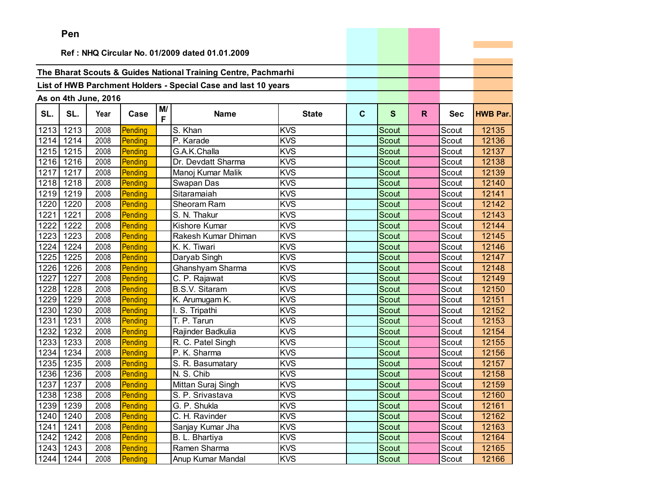|      | Pen  |                      |         |         |                                                                |              |              |              |    |            |                 |
|------|------|----------------------|---------|---------|----------------------------------------------------------------|--------------|--------------|--------------|----|------------|-----------------|
|      |      |                      |         |         | Ref: NHQ Circular No. 01/2009 dated 01.01.2009                 |              |              |              |    |            |                 |
|      |      |                      |         |         |                                                                |              |              |              |    |            |                 |
|      |      |                      |         |         | The Bharat Scouts & Guides National Training Centre, Pachmarhi |              |              |              |    |            |                 |
|      |      |                      |         |         | List of HWB Parchment Holders - Special Case and last 10 years |              |              |              |    |            |                 |
|      |      |                      |         |         |                                                                |              |              |              |    |            |                 |
|      |      | As on 4th June, 2016 |         |         |                                                                |              |              |              |    |            |                 |
| SL.  | SL.  | Year                 | Case    | M/<br>F | <b>Name</b>                                                    | <b>State</b> | $\mathbf{C}$ | S            | R. | <b>Sec</b> | <b>HWB Par.</b> |
| 1213 | 1213 | 2008                 | Pending |         | S. Khan                                                        | <b>KVS</b>   |              | Scout        |    | Scout      | 12135           |
| 1214 | 1214 | 2008                 | Pending |         | P. Karade                                                      | <b>KVS</b>   |              | <b>Scout</b> |    | Scout      | 12136           |
| 1215 | 1215 | 2008                 | Pending |         | G.A.K.Challa                                                   | <b>KVS</b>   |              | <b>Scout</b> |    | Scout      | 12137           |
| 1216 | 1216 | 2008                 | Pending |         | Dr. Devdatt Sharma                                             | <b>KVS</b>   |              | Scout        |    | Scout      | 12138           |
| 1217 | 1217 | 2008                 | Pending |         | Manoj Kumar Malik                                              | <b>KVS</b>   |              | <b>Scout</b> |    | Scout      | 12139           |
| 1218 | 1218 | 2008                 | Pending |         | Swapan Das                                                     | <b>KVS</b>   |              | Scout        |    | Scout      | 12140           |
| 1219 | 1219 | 2008                 | Pending |         | Sitaramaiah                                                    | <b>KVS</b>   |              | Scout        |    | Scout      | 12141           |
| 1220 | 1220 | 2008                 | Pending |         | Sheoram Ram                                                    | <b>KVS</b>   |              | <b>Scout</b> |    | Scout      | 12142           |
| 1221 | 1221 | 2008                 | Pending |         | S. N. Thakur                                                   | <b>KVS</b>   |              | Scout        |    | Scout      | 12143           |
| 1222 | 1222 | 2008                 | Pending |         | Kishore Kumar                                                  | <b>KVS</b>   |              | Scout        |    | Scout      | 12144           |
| 1223 | 1223 | 2008                 | Pending |         | Rakesh Kumar Dhiman                                            | <b>KVS</b>   |              | <b>Scout</b> |    | Scout      | 12145           |
| 1224 | 1224 | 2008                 | Pending |         | K. K. Tiwari                                                   | <b>KVS</b>   |              | Scout        |    | Scout      | 12146           |
| 1225 | 1225 | 2008                 | Pending |         | Daryab Singh                                                   | <b>KVS</b>   |              | Scout        |    | Scout      | 12147           |
| 1226 | 1226 | 2008                 | Pending |         | Ghanshyam Sharma                                               | <b>KVS</b>   |              | Scout        |    | Scout      | 12148           |
| 1227 | 1227 | 2008                 | Pending |         | C. P. Rajawat                                                  | <b>KVS</b>   |              | <b>Scout</b> |    | Scout      | 12149           |
| 1228 | 1228 | 2008                 | Pending |         | <b>B.S.V. Sitaram</b>                                          | KVS          |              | Scout        |    | Scout      | 12150           |
| 1229 | 1229 | 2008                 | Pending |         | K. Arumugam K.                                                 | <b>KVS</b>   |              | <b>Scout</b> |    | Scout      | 12151           |
| 1230 | 1230 | 2008                 | Pending |         | I. S. Tripathi                                                 | <b>KVS</b>   |              | Scout        |    | Scout      | 12152           |
| 1231 | 1231 | 2008                 | Pending |         | T. P. Tarun                                                    | <b>KVS</b>   |              | Scout        |    | Scout      | 12153           |
| 1232 | 1232 | 2008                 | Pending |         | Rajinder Badkulia                                              | <b>KVS</b>   |              | Scout        |    | Scout      | 12154           |
| 1233 | 1233 | 2008                 | Pending |         | R. C. Patel Singh                                              | <b>KVS</b>   |              | <b>Scout</b> |    | Scout      | 12155           |
| 1234 | 1234 | 2008                 | Pending |         | P. K. Sharma                                                   | <b>KVS</b>   |              | <b>Scout</b> |    | Scout      | 12156           |
| 1235 | 1235 | 2008                 | Pending |         | S. R. Basumatary                                               | <b>KVS</b>   |              | <b>Scout</b> |    | Scout      | 12157           |
| 1236 | 1236 | 2008                 | Pending |         | N. S. Chib                                                     | <b>KVS</b>   |              | Scout        |    | Scout      | 12158           |
| 1237 | 1237 | 2008                 | Pending |         | Mittan Suraj Singh                                             | <b>KVS</b>   |              | Scout        |    | Scout      | 12159           |
| 1238 | 1238 | 2008                 | Pending |         | S. P. Srivastava                                               | <b>KVS</b>   |              | Scout        |    | Scout      | 12160           |
| 1239 | 1239 | 2008                 | Pending |         | G. P. Shukla                                                   | <b>KVS</b>   |              | Scout        |    | Scout      | 12161           |
| 1240 | 1240 | 2008                 | Pending |         | C. H. Ravinder                                                 | <b>KVS</b>   |              | Scout        |    | Scout      | 12162           |
| 1241 | 1241 | 2008                 | Pending |         | Sanjay Kumar Jha                                               | <b>KVS</b>   |              | Scout        |    | Scout      | 12163           |
| 1242 | 1242 | 2008                 | Pending |         | B. L. Bhartiya                                                 | <b>KVS</b>   |              | Scout        |    | Scout      | 12164           |
| 1243 | 1243 | 2008                 | Pending |         | Ramen Sharma                                                   | <b>KVS</b>   |              | Scout        |    | Scout      | 12165           |
| 1244 | 1244 | 2008                 | Pending |         | Anup Kumar Mandal                                              | <b>KVS</b>   |              | Scout        |    | Scout      | 12166           |

the control of the control of the con-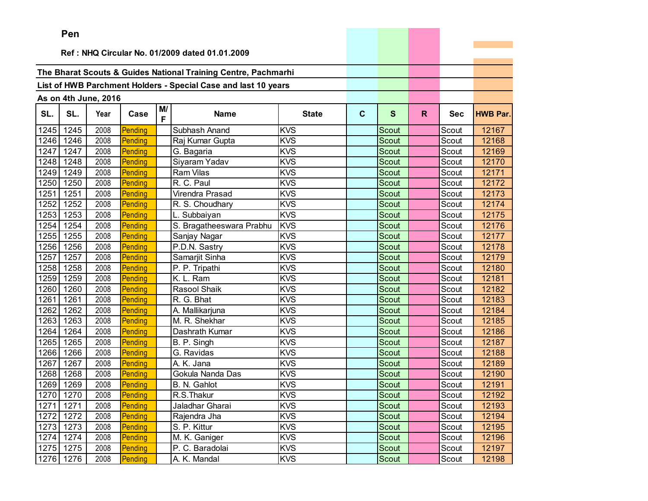|      | Pen                                            |                      |         |    |                                                                |              |             |              |    |            |                 |
|------|------------------------------------------------|----------------------|---------|----|----------------------------------------------------------------|--------------|-------------|--------------|----|------------|-----------------|
|      | Ref: NHQ Circular No. 01/2009 dated 01.01.2009 |                      |         |    |                                                                |              |             |              |    |            |                 |
|      |                                                |                      |         |    |                                                                |              |             |              |    |            |                 |
|      |                                                |                      |         |    | The Bharat Scouts & Guides National Training Centre, Pachmarhi |              |             |              |    |            |                 |
|      |                                                |                      |         |    | List of HWB Parchment Holders - Special Case and last 10 years |              |             |              |    |            |                 |
|      |                                                |                      |         |    |                                                                |              |             |              |    |            |                 |
|      |                                                | As on 4th June, 2016 |         | M/ |                                                                |              |             |              |    |            |                 |
| SL.  | SL.                                            | Year                 | Case    | F  | <b>Name</b>                                                    | <b>State</b> | $\mathbf c$ | S            | R. | <b>Sec</b> | <b>HWB Par.</b> |
| 1245 | 1245                                           | 2008                 | Pending |    | Subhash Anand                                                  | <b>KVS</b>   |             | Scout        |    | Scout      | 12167           |
| 1246 | 1246                                           | 2008                 | Pending |    | Raj Kumar Gupta                                                | <b>KVS</b>   |             | Scout        |    | Scout      | 12168           |
| 1247 | 1247                                           | 2008                 | Pending |    | G. Bagaria                                                     | <b>KVS</b>   |             | <b>Scout</b> |    | Scout      | 12169           |
| 1248 | 1248                                           | 2008                 | Pending |    | Siyaram Yadav                                                  | <b>KVS</b>   |             | Scout        |    | Scout      | 12170           |
| 1249 | 1249                                           | 2008                 | Pending |    | Ram Vilas                                                      | <b>KVS</b>   |             | Scout        |    | Scout      | 12171           |
| 1250 | 1250                                           | 2008                 | Pending |    | R. C. Paul                                                     | <b>KVS</b>   |             | <b>Scout</b> |    | Scout      | 12172           |
| 1251 | 1251                                           | 2008                 | Pending |    | Virendra Prasad                                                | <b>KVS</b>   |             | <b>Scout</b> |    | Scout      | 12173           |
| 1252 | 1252                                           | 2008                 | Pending |    | R. S. Choudhary                                                | <b>KVS</b>   |             | Scout        |    | Scout      | 12174           |
| 1253 | 1253                                           | 2008                 | Pending |    | L. Subbaiyan                                                   | <b>KVS</b>   |             | <b>Scout</b> |    | Scout      | 12175           |
| 1254 | 1254                                           | 2008                 | Pending |    | S. Bragatheeswara Prabhu                                       | <b>KVS</b>   |             | Scout        |    | Scout      | 12176           |
| 1255 | 1255                                           | 2008                 | Pending |    | Sanjay Nagar                                                   | <b>KVS</b>   |             | Scout        |    | Scout      | 12177           |
| 1256 | 1256                                           | 2008                 | Pending |    | P.D.N. Sastry                                                  | <b>KVS</b>   |             | Scout        |    | Scout      | 12178           |
| 1257 | 1257                                           | 2008                 | Pending |    | Samarjit Sinha                                                 | <b>KVS</b>   |             | Scout        |    | Scout      | 12179           |
| 1258 | 1258                                           | 2008                 | Pending |    | P. P. Tripathi                                                 | <b>KVS</b>   |             | Scout        |    | Scout      | 12180           |
| 1259 | 1259                                           | 2008                 | Pending |    | K. L. Ram                                                      | <b>KVS</b>   |             | Scout        |    | Scout      | 12181           |
| 1260 | 1260                                           | 2008                 | Pending |    | Rasool Shaik                                                   | <b>KVS</b>   |             | Scout        |    | Scout      | 12182           |
| 1261 | 1261                                           | 2008                 | Pending |    | R. G. Bhat                                                     | <b>KVS</b>   |             | Scout        |    | Scout      | 12183           |
| 1262 | 1262                                           | 2008                 | Pending |    | A. Mallikarjuna                                                | <b>KVS</b>   |             | Scout        |    | Scout      | 12184           |
| 1263 | 1263                                           | 2008                 | Pending |    | M. R. Shekhar                                                  | KVS          |             | Scout        |    | Scout      | 12185           |
| 1264 | 1264                                           | 2008                 | Pending |    | Dashrath Kumar                                                 | <b>KVS</b>   |             | Scout        |    | Scout      | 12186           |
| 1265 | 1265                                           | 2008                 | Pending |    | B. P. Singh                                                    | <b>KVS</b>   |             | Scout        |    | Scout      | 12187           |
| 1266 | 1266                                           | 2008                 | Pending |    | G. Ravidas                                                     | <b>KVS</b>   |             | Scout        |    | Scout      | 12188           |
| 1267 | 1267                                           | 2008                 | Pending |    | A. K. Jana                                                     | <b>KVS</b>   |             | Scout        |    | Scout      | 12189           |
| 1268 | 1268                                           | 2008                 | Pending |    | Gokula Nanda Das                                               | <b>KVS</b>   |             | <b>Scout</b> |    | Scout      | 12190           |
| 1269 | 1269                                           | 2008                 | Pending |    | B. N. Gahlot                                                   | <b>KVS</b>   |             | Scout        |    | Scout      | 12191           |
|      | 1270 1270                                      | 2008                 | Pending |    | R.S.Thakur                                                     | <b>KVS</b>   |             | Scout        |    | Scout      | 12192           |
| 1271 | 1271                                           | 2008                 | Pending |    | Jaladhar Gharai                                                | <b>KVS</b>   |             | Scout        |    | Scout      | 12193           |
| 1272 | 1272                                           | 2008                 | Pending |    | Rajendra Jha                                                   | <b>KVS</b>   |             | Scout        |    | Scout      | 12194           |
| 1273 | 1273                                           | 2008                 | Pending |    | S. P. Kittur                                                   | <b>KVS</b>   |             | Scout        |    | Scout      | 12195           |
| 1274 | 1274                                           | 2008                 | Pending |    | M. K. Ganiger                                                  | <b>KVS</b>   |             | Scout        |    | Scout      | 12196           |
| 1275 | 1275                                           | 2008                 | Pending |    | P. C. Baradolai                                                | <b>KVS</b>   |             | Scout        |    | Scout      | 12197           |
| 1276 | 1276                                           | 2008                 | Pending |    | A. K. Mandal                                                   | <b>KVS</b>   |             | Scout        |    | Scout      | 12198           |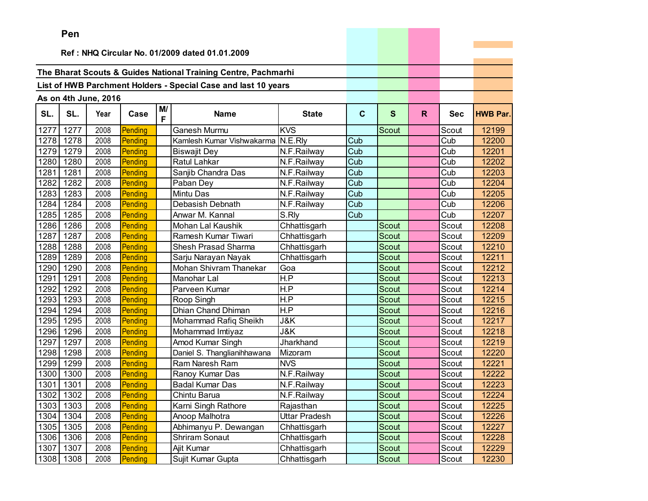|      | Pen       |                      |         |         |                                                                |                |             |              |              |            |                 |
|------|-----------|----------------------|---------|---------|----------------------------------------------------------------|----------------|-------------|--------------|--------------|------------|-----------------|
|      |           |                      |         |         |                                                                |                |             |              |              |            |                 |
|      |           |                      |         |         | Ref: NHQ Circular No. 01/2009 dated 01.01.2009                 |                |             |              |              |            |                 |
|      |           |                      |         |         | The Bharat Scouts & Guides National Training Centre, Pachmarhi |                |             |              |              |            |                 |
|      |           |                      |         |         |                                                                |                |             |              |              |            |                 |
|      |           |                      |         |         | List of HWB Parchment Holders - Special Case and last 10 years |                |             |              |              |            |                 |
|      |           | As on 4th June, 2016 |         |         |                                                                |                |             |              |              |            |                 |
| SL.  | SL.       | Year                 | Case    | M/<br>F | <b>Name</b>                                                    | <b>State</b>   | $\mathbf c$ | S            | $\mathsf{R}$ | <b>Sec</b> | <b>HWB Par.</b> |
| 1277 | 1277      | 2008                 | Pending |         | <b>Ganesh Murmu</b>                                            | <b>KVS</b>     |             | <b>Scout</b> |              | Scout      | 12199           |
| 1278 | 1278      | 2008                 | Pending |         | Kamlesh Kumar Vishwakarma                                      | N.E.Rly        | Cub         |              |              | Cub        | 12200           |
| 1279 | 1279      | 2008                 | Pending |         | <b>Biswajit Dey</b>                                            | N.F.Railway    | Cub         |              |              | Cub        | 12201           |
| 1280 | 1280      | 2008                 | Pending |         | Ratul Lahkar                                                   | N.F.Railway    | Cub         |              |              | Cub        | 12202           |
| 1281 | 1281      | 2008                 | Pending |         | Sanjib Chandra Das                                             | N.F.Railway    | Cub         |              |              | Cub        | 12203           |
| 1282 | 1282      | 2008                 | Pending |         | Paban Dey                                                      | N.F.Railway    | Cub         |              |              | Cub        | 12204           |
| 1283 | 1283      | 2008                 | Pending |         | <b>Mintu Das</b>                                               | N.F.Railway    | Cub         |              |              | Cub        | 12205           |
| 1284 | 1284      | 2008                 | Pending |         | Debasish Debnath                                               | N.F.Railway    | Cub         |              |              | Cub        | 12206           |
| 1285 | 1285      | 2008                 | Pending |         | Anwar M. Kannal                                                | S.Rly          | Cub         |              |              | Cub        | 12207           |
| 1286 | 1286      | 2008                 | Pending |         | Mohan Lal Kaushik                                              | Chhattisgarh   |             | Scout        |              | Scout      | 12208           |
| 1287 | 1287      | 2008                 | Pending |         | Ramesh Kumar Tiwari                                            | Chhattisgarh   |             | Scout        |              | Scout      | 12209           |
| 1288 | 1288      | 2008                 | Pending |         | Shesh Prasad Sharma                                            | Chhattisgarh   |             | Scout        |              | Scout      | 12210           |
| 1289 | 1289      | 2008                 | Pending |         | Sarju Narayan Nayak                                            | Chhattisgarh   |             | Scout        |              | Scout      | 12211           |
| 1290 | 1290      | 2008                 | Pending |         | Mohan Shivram Thanekar                                         | Goa            |             | <b>Scout</b> |              | Scout      | 12212           |
| 1291 | 1291      | 2008                 | Pending |         | Manohar Lal                                                    | H.P            |             | Scout        |              | Scout      | 12213           |
| 1292 | 1292      | 2008                 | Pending |         | Parveen Kumar                                                  | H.P            |             | Scout        |              | Scout      | 12214           |
| 1293 | 1293      | 2008                 | Pending |         | Roop Singh                                                     | H.P            |             | <b>Scout</b> |              | Scout      | 12215           |
| 1294 | 1294      | 2008                 | Pending |         | Dhian Chand Dhiman                                             | H.P            |             | Scout        |              | Scout      | 12216           |
| 1295 | 1295      | 2008                 | Pending |         | Mohammad Rafiq Sheikh                                          | J&K            |             | Scout        |              | Scout      | 12217           |
| 1296 | 1296      | 2008                 | Pending |         | Mohammad Imtiyaz                                               | <b>J&amp;K</b> |             | <b>Scout</b> |              | Scout      | 12218           |
| 1297 | 1297      | 2008                 | Pending |         | Amod Kumar Singh                                               | Jharkhand      |             | <b>Scout</b> |              | Scout      | 12219           |
| 1298 | 1298      | 2008                 | Pending |         | Daniel S. Thanglianihhawana                                    | Mizoram        |             | Scout        |              | Scout      | 12220           |
| 1299 | 1299      | 2008                 | Pending |         | Ram Naresh Ram                                                 | <b>NVS</b>     |             | Scout        |              | Scout      | 12221           |
| 1300 | 1300      | 2008                 | Pending |         | Ranoy Kumar Das                                                | N.F.Railway    |             | Scout        |              | Scout      | 12222           |
| 1301 | 1301      | 2008                 | Pending |         | <b>Badal Kumar Das</b>                                         | N.F.Railway    |             | Scout        |              | Scout      | 12223           |
|      | 1302 1302 | 2008                 | Pending |         | Chintu Barua                                                   | N.F.Railway    |             | Scout        |              | Scout      | 12224           |
| 1303 | 1303      | 2008                 | Pending |         | Karni Singh Rathore                                            | Rajasthan      |             | Scout        |              | Scout      | 12225           |
| 1304 | 1304      | 2008                 | Pending |         | Anoop Malhotra                                                 | Uttar Pradesh  |             | Scout        |              | Scout      | 12226           |
| 1305 | 1305      | 2008                 | Pending |         | Abhimanyu P. Dewangan                                          | Chhattisgarh   |             | Scout        |              | Scout      | 12227           |
| 1306 | 1306      | 2008                 | Pending |         | <b>Shriram Sonaut</b>                                          | Chhattisgarh   |             | Scout        |              | Scout      | 12228           |
| 1307 | 1307      | 2008                 | Pending |         | Ajit Kumar                                                     | Chhattisgarh   |             | Scout        |              | Scout      | 12229           |
| 1308 | 1308      | 2008                 | Pending |         | Sujit Kumar Gupta                                              | Chhattisgarh   |             | Scout        |              | Scout      | 12230           |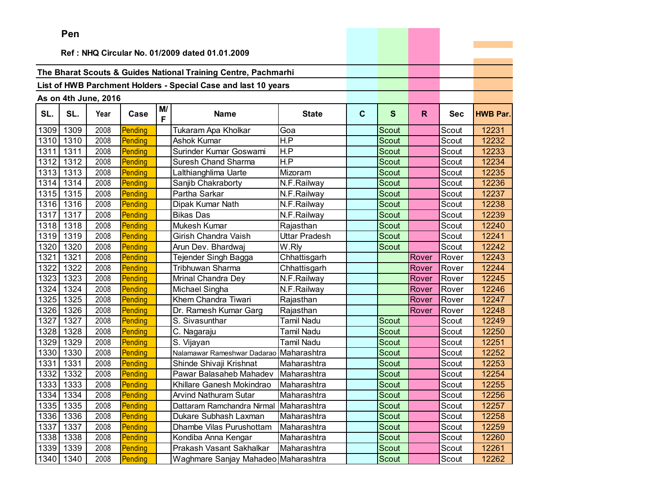|      | ren  |                      |         |         |                                                                |                   |             |              |       |            |                 |
|------|------|----------------------|---------|---------|----------------------------------------------------------------|-------------------|-------------|--------------|-------|------------|-----------------|
|      |      |                      |         |         | Ref: NHQ Circular No. 01/2009 dated 01.01.2009                 |                   |             |              |       |            |                 |
|      |      |                      |         |         |                                                                |                   |             |              |       |            |                 |
|      |      |                      |         |         | The Bharat Scouts & Guides National Training Centre, Pachmarhi |                   |             |              |       |            |                 |
|      |      |                      |         |         | List of HWB Parchment Holders - Special Case and last 10 years |                   |             |              |       |            |                 |
|      |      |                      |         |         |                                                                |                   |             |              |       |            |                 |
|      |      | As on 4th June, 2016 |         |         |                                                                |                   |             |              |       |            |                 |
| SL.  | SL.  | Year                 | Case    | M/<br>F | <b>Name</b>                                                    | <b>State</b>      | $\mathbf c$ | $\mathbf{s}$ | R.    | <b>Sec</b> | <b>HWB Par.</b> |
| 1309 | 1309 | 2008                 | Pending |         | Tukaram Apa Kholkar                                            | Goa               |             | Scout        |       | Scout      | 12231           |
| 1310 | 1310 | 2008                 | Pending |         | Ashok Kumar                                                    | H.P               |             | Scout        |       | Scout      | 12232           |
| 1311 | 1311 | 2008                 | Pending |         | Surinder Kumar Goswami                                         | H.P               |             | Scout        |       | Scout      | 12233           |
| 1312 | 1312 | 2008                 | Pending |         | Suresh Chand Sharma                                            | H.P               |             | Scout        |       | Scout      | 12234           |
| 1313 | 1313 | 2008                 | Pending |         | Lalthianghlima Uarte                                           | Mizoram           |             | Scout        |       | Scout      | 12235           |
| 1314 | 1314 | 2008                 | Pending |         | Sanjib Chakraborty                                             | N.F.Railway       |             | Scout        |       | Scout      | 12236           |
| 1315 | 1315 | 2008                 | Pending |         | Partha Sarkar                                                  | N.F.Railway       |             | Scout        |       | Scout      | 12237           |
| 1316 | 1316 | 2008                 | Pending |         | Dipak Kumar Nath                                               | N.F.Railway       |             | Scout        |       | Scout      | 12238           |
| 1317 | 1317 | 2008                 | Pending |         | <b>Bikas Das</b>                                               | N.F.Railway       |             | <b>Scout</b> |       | Scout      | 12239           |
| 1318 | 1318 | 2008                 | Pending |         | Mukesh Kumar                                                   | Rajasthan         |             | Scout        |       | Scout      | 12240           |
| 1319 | 1319 | 2008                 | Pending |         | Girish Chandra Vaish                                           | Uttar Pradesh     |             | Scout        |       | Scout      | 12241           |
| 1320 | 1320 | 2008                 | Pending |         | Arun Dev. Bhardwaj                                             | W.Rly             |             | Scout        |       | Scout      | 12242           |
| 1321 | 1321 | 2008                 | Pending |         | Tejender Singh Bagga                                           | Chhattisgarh      |             |              | Rover | Rover      | 12243           |
| 1322 | 1322 | 2008                 | Pending |         | Tribhuwan Sharma                                               | Chhattisgarh      |             |              | Rover | Rover      | 12244           |
| 1323 | 1323 | 2008                 | Pending |         | Mrinal Chandra Dey                                             | N.F.Railway       |             |              | Rover | Rover      | 12245           |
| 1324 | 1324 | 2008                 | Pending |         | Michael Singha                                                 | N.F.Railway       |             |              | Rover | Rover      | 12246           |
| 1325 | 1325 | 2008                 | Pending |         | Khem Chandra Tiwari                                            | Rajasthan         |             |              | Rover | Rover      | 12247           |
| 1326 | 1326 | 2008                 | Pending |         | Dr. Ramesh Kumar Garg                                          | Rajasthan         |             |              | Rover | Rover      | 12248           |
| 1327 | 1327 | 2008                 | Pending |         | S. Sivasunthar                                                 | <b>Tamil Nadu</b> |             | Scout        |       | Scout      | 12249           |
| 1328 | 1328 | 2008                 | Pending |         | C. Nagaraju                                                    | Tamil Nadu        |             | <b>Scout</b> |       | Scout      | 12250           |
| 1329 | 1329 | 2008                 | Pending |         | S. Vijayan                                                     | <b>Tamil Nadu</b> |             | <b>Scout</b> |       | Scout      | 12251           |
| 1330 | 1330 | 2008                 | Pending |         | Nalamawar Rameshwar Dadarao Maharashtra                        |                   |             | Scout        |       | Scout      | 12252           |
| 1331 | 1331 | 2008                 | Pending |         | Shinde Shivaji Krishnat                                        | Maharashtra       |             | Scout        |       | Scout      | 12253           |
| 1332 | 1332 | 2008                 | Pending |         | Pawar Balasaheb Mahadev                                        | Maharashtra       |             | Scout        |       | Scout      | 12254           |
| 1333 | 1333 | 2008                 | Pending |         | Khillare Ganesh Mokindrao                                      | Maharashtra       |             | Scout        |       | Scout      | 12255           |
| 1334 | 1334 | 2008                 | Pending |         | <b>Arvind Nathuram Sutar</b>                                   | Maharashtra       |             | Scout        |       | Scout      | 12256           |
| 1335 | 1335 | 2008                 | Pending |         | Dattaram Ramchandra Nirmal Maharashtra                         |                   |             | Scout        |       | Scout      | 12257           |
| 1336 | 1336 | 2008                 | Pending |         | Dukare Subhash Laxman                                          | Maharashtra       |             | Scout        |       | Scout      | 12258           |
| 1337 | 1337 | 2008                 | Pending |         | Dhambe Vilas Purushottam                                       | Maharashtra       |             | Scout        |       | Scout      | 12259           |
| 1338 | 1338 | 2008                 | Pending |         | Kondiba Anna Kengar                                            | Maharashtra       |             | Scout        |       | Scout      | 12260           |
| 1339 | 1339 | 2008                 | Pending |         | Prakash Vasant Sakhalkar                                       | Maharashtra       |             | Scout        |       | Scout      | 12261           |
| 1340 | 1340 | 2008                 | Pending |         | Waghmare Sanjay Mahadeo Maharashtra                            |                   |             | Scout        |       | Scout      | 12262           |

the control of the control of the control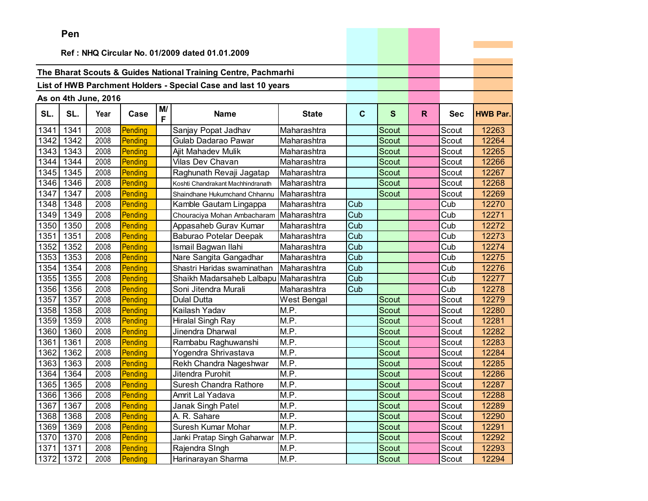|      | <b>Fell</b>                                    |                      |         |         |                                                                |              |              |              |              |            |                 |
|------|------------------------------------------------|----------------------|---------|---------|----------------------------------------------------------------|--------------|--------------|--------------|--------------|------------|-----------------|
|      | Ref: NHQ Circular No. 01/2009 dated 01.01.2009 |                      |         |         |                                                                |              |              |              |              |            |                 |
|      |                                                |                      |         |         |                                                                |              |              |              |              |            |                 |
|      |                                                |                      |         |         | The Bharat Scouts & Guides National Training Centre, Pachmarhi |              |              |              |              |            |                 |
|      |                                                |                      |         |         | List of HWB Parchment Holders - Special Case and last 10 years |              |              |              |              |            |                 |
|      |                                                | As on 4th June, 2016 |         |         |                                                                |              |              |              |              |            |                 |
| SL.  | SL.                                            | Year                 | Case    | M/<br>F | <b>Name</b>                                                    | <b>State</b> | $\mathbf{C}$ | $\mathbf{s}$ | $\mathsf{R}$ | <b>Sec</b> | <b>HWB Par.</b> |
| 1341 | 1341                                           | 2008                 | Pending |         | Sanjay Popat Jadhav                                            | Maharashtra  |              | Scout        |              | Scout      | 12263           |
| 1342 | 1342                                           | 2008                 | Pending |         | Gulab Dadarao Pawar                                            | Maharashtra  |              | <b>Scout</b> |              | Scout      | 12264           |
| 1343 | 1343                                           | 2008                 | Pending |         | Ajit Mahadev Mulik                                             | Maharashtra  |              | Scout        |              | Scout      | 12265           |
| 1344 | 1344                                           | 2008                 | Pending |         | Vilas Dev Chavan                                               | Maharashtra  |              | Scout        |              | Scout      | 12266           |
| 1345 | 1345                                           | 2008                 | Pending |         | Raghunath Revaji Jagatap                                       | Maharashtra  |              | <b>Scout</b> |              | Scout      | 12267           |
| 1346 | 1346                                           | 2008                 | Pending |         | Koshti Chandrakant Machhindranath                              | Maharashtra  |              | Scout        |              | Scout      | 12268           |
| 1347 | 1347                                           | 2008                 | Pending |         | Shaindhane Hukumchand Chhannu                                  | Maharashtra  |              | Scout        |              | Scout      | 12269           |
| 1348 | 1348                                           | 2008                 | Pending |         | Kamble Gautam Lingappa                                         | Maharashtra  | Cub          |              |              | Cub        | 12270           |
| 1349 | 1349                                           | 2008                 | Pending |         | Chouraciya Mohan Ambacharam                                    | Maharashtra  | Cub          |              |              | Cub        | 12271           |
| 1350 | 1350                                           | 2008                 | Pending |         | Appasaheb Gurav Kumar                                          | Maharashtra  | Cub          |              |              | Cub        | 12272           |
| 1351 | 1351                                           | 2008                 | Pending |         | <b>Baburao Potelar Deepak</b>                                  | Maharashtra  | Cub          |              |              | Cub        | 12273           |
| 1352 | 1352                                           | 2008                 | Pending |         | Ismail Bagwan Ilahi                                            | Maharashtra  | Cub          |              |              | Cub        | 12274           |
| 1353 | 1353                                           | 2008                 | Pending |         | Nare Sangita Gangadhar                                         | Maharashtra  | Cub          |              |              | Cub        | 12275           |
| 1354 | 1354                                           | 2008                 | Pending |         | Shastri Haridas swaminathan                                    | Maharashtra  | Cub          |              |              | Cub        | 12276           |
| 1355 | 1355                                           | 2008                 | Pending |         | Shaikh Madarsaheb Lalbapu                                      | Maharashtra  | Cub          |              |              | Cub        | 12277           |
| 1356 | 1356                                           | 2008                 | Pending |         | Soni Jitendra Murali                                           | Maharashtra  | Cub          |              |              | Cub        | 12278           |
| 1357 | 1357                                           | 2008                 | Pending |         | <b>Dulal Dutta</b>                                             | West Bengal  |              | Scout        |              | Scout      | 12279           |
| 1358 | 1358                                           | 2008                 | Pending |         | Kailash Yadav                                                  | M.P.         |              | Scout        |              | Scout      | 12280           |
| 1359 | 1359                                           | 2008                 | Pending |         | <b>Hiralal Singh Ray</b>                                       | M.P.         |              | Scout        |              | Scout      | 12281           |
| 1360 | 1360                                           | 2008                 | Pending |         | Jinendra Dharwal                                               | M.P.         |              | Scout        |              | Scout      | 12282           |
| 1361 | 1361                                           | 2008                 | Pending |         | Rambabu Raghuwanshi                                            | M.P.         |              | Scout        |              | Scout      | 12283           |
| 1362 | 1362                                           | 2008                 | Pending |         | Yogendra Shrivastava                                           | M.P.         |              | Scout        |              | Scout      | 12284           |
| 1363 | 1363                                           | 2008                 | Pending |         | Rekh Chandra Nageshwar                                         | M.P.         |              | Scout        |              | Scout      | 12285           |
| 1364 | 1364                                           | 2008                 | Pending |         | Jitendra Purohit                                               | M.P.         |              | Scout        |              | Scout      | 12286           |
| 1365 | 1365                                           | 2008                 | Pending |         | Suresh Chandra Rathore                                         | M.P.         |              | Scout        |              | Scout      | 12287           |
| 1366 | 1366                                           | 2008                 | Pending |         | Amrit Lal Yadava                                               | M.P.         |              | Scout        |              | Scout      | 12288           |
| 1367 | 1367                                           | 2008                 | Pending |         | Janak Singh Patel                                              | M.P.         |              | Scout        |              | Scout      | 12289           |
| 1368 | 1368                                           | 2008                 | Pending |         | A. R. Sahare                                                   | M.P.         |              | Scout        |              | Scout      | 12290           |
| 1369 | 1369                                           | 2008                 | Pending |         | Suresh Kumar Mohar                                             | M.P.         |              | Scout        |              | Scout      | 12291           |
| 1370 | 1370                                           | 2008                 | Pending |         | Janki Pratap Singh Gaharwar                                    | M.P.         |              | Scout        |              | Scout      | 12292           |
| 1371 | 1371                                           | 2008                 | Pending |         | Rajendra SIngh                                                 | M.P.         |              | Scout        |              | Scout      | 12293           |
| 1372 | 1372                                           | 2008                 | Pending |         | Harinarayan Sharma                                             | M.P.         |              | Scout        |              | Scout      | 12294           |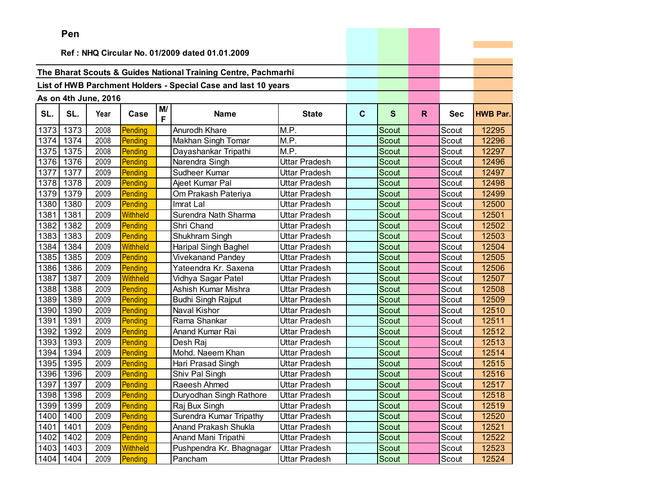|      | Pen                                            |                      |                 |         |                                                                |                      |             |              |    |            |                 |
|------|------------------------------------------------|----------------------|-----------------|---------|----------------------------------------------------------------|----------------------|-------------|--------------|----|------------|-----------------|
|      | Ref: NHQ Circular No. 01/2009 dated 01.01.2009 |                      |                 |         |                                                                |                      |             |              |    |            |                 |
|      |                                                |                      |                 |         |                                                                |                      |             |              |    |            |                 |
|      |                                                |                      |                 |         | The Bharat Scouts & Guides National Training Centre, Pachmarhi |                      |             |              |    |            |                 |
|      |                                                |                      |                 |         | List of HWB Parchment Holders - Special Case and last 10 years |                      |             |              |    |            |                 |
|      |                                                |                      |                 |         |                                                                |                      |             |              |    |            |                 |
|      |                                                | As on 4th June, 2016 |                 |         |                                                                |                      |             |              |    |            |                 |
| SL.  | SL.                                            | Year                 | Case            | M/<br>F | <b>Name</b>                                                    | <b>State</b>         | $\mathbf C$ | $\mathbf{s}$ | R. | <b>Sec</b> | <b>HWB Par.</b> |
| 1373 | 1373                                           | 2008                 | Pending         |         | Anurodh Khare                                                  | M.P.                 |             | Scout        |    | Scout      | 12295           |
| 1374 | 1374                                           | 2008                 | Pending         |         | Makhan Singh Tomar                                             | M.P.                 |             | <b>Scout</b> |    | Scout      | 12296           |
| 1375 | 1375                                           | 2008                 | Pending         |         | Dayashankar Tripathi                                           | M.P.                 |             | Scout        |    | Scout      | 12297           |
| 1376 | 1376                                           | 2009                 | Pending         |         | Narendra Singh                                                 | Uttar Pradesh        |             | Scout        |    | Scout      | 12496           |
| 1377 | 1377                                           | 2009                 | Pending         |         | Sudheer Kumar                                                  | Uttar Pradesh        |             | Scout        |    | Scout      | 12497           |
| 1378 | 1378                                           | 2009                 | Pending         |         | Ajeet Kumar Pal                                                | Uttar Pradesh        |             | Scout        |    | Scout      | 12498           |
| 1379 | 1379                                           | 2009                 | Pending         |         | Om Prakash Pateriya                                            | Uttar Pradesh        |             | <b>Scout</b> |    | Scout      | 12499           |
| 1380 | 1380                                           | 2009                 | Pending         |         | Imrat Lal                                                      | <b>Uttar Pradesh</b> |             | Scout        |    | Scout      | 12500           |
| 1381 | 1381                                           | 2009                 | Withheld        |         | Surendra Nath Sharma                                           | Uttar Pradesh        |             | Scout        |    | Scout      | 12501           |
| 1382 | 1382                                           | 2009                 | Pending         |         | Shri Chand                                                     | Uttar Pradesh        |             | Scout        |    | Scout      | 12502           |
| 1383 | 1383                                           | 2009                 | Pending         |         | Shukhram Singh                                                 | <b>Uttar Pradesh</b> |             | <b>Scout</b> |    | Scout      | 12503           |
| 1384 | 1384                                           | 2009                 | <b>Withheld</b> |         | Haripal Singh Baghel                                           | Uttar Pradesh        |             | Scout        |    | Scout      | 12504           |
| 1385 | 1385                                           | 2009                 | Pending         |         | <b>Vivekanand Pandey</b>                                       | Uttar Pradesh        |             | <b>Scout</b> |    | Scout      | 12505           |
| 1386 | 1386                                           | 2009                 | Pending         |         | Yateendra Kr. Saxena                                           | <b>Uttar Pradesh</b> |             | Scout        |    | Scout      | 12506           |
| 1387 | 1387                                           | 2009                 | <b>Withheld</b> |         | Vidhya Sagar Patel                                             | <b>Uttar Pradesh</b> |             | Scout        |    | Scout      | 12507           |
| 1388 | 1388                                           | 2009                 | Pending         |         | Ashish Kumar Mishra                                            | Uttar Pradesh        |             | Scout        |    | Scout      | 12508           |
| 1389 | 1389                                           | 2009                 | Pending         |         | <b>Budhi Singh Rajput</b>                                      | Uttar Pradesh        |             | <b>Scout</b> |    | Scout      | 12509           |
| 1390 | 1390                                           | 2009                 | Pending         |         | Naval Kishor                                                   | <b>Uttar Pradesh</b> |             | Scout        |    | Scout      | 12510           |
| 1391 | 1391                                           | 2009                 | Pending         |         | Rama Shankar                                                   | Uttar Pradesh        |             | <b>Scout</b> |    | Scout      | 12511           |
| 1392 | 1392                                           | 2009                 | Pending         |         | Anand Kumar Rai                                                | Uttar Pradesh        |             | Scout        |    | Scout      | 12512           |
| 1393 | 1393                                           | 2009                 | Pending         |         | Desh Raj                                                       | Uttar Pradesh        |             | Scout        |    | Scout      | 12513           |
| 1394 | 1394                                           | 2009                 | Pending         |         | Mohd. Naeem Khan                                               | Uttar Pradesh        |             | Scout        |    | Scout      | 12514           |
| 1395 | 1395                                           | 2009                 | Pending         |         | Hari Prasad Singh                                              | Uttar Pradesh        |             | Scout        |    | Scout      | 12515           |
| 1396 | 1396                                           | 2009                 | Pending         |         | Shiv Pal Singh                                                 | <b>Uttar Pradesh</b> |             | Scout        |    | Scout      | 12516           |
| 1397 | 1397                                           | 2009                 | Pending         |         | Raeesh Ahmed                                                   | <b>Uttar Pradesh</b> |             | Scout        |    | Scout      | 12517           |
|      | 1398 1398                                      | 2009                 | Pending         |         | Duryodhan Singh Rathore                                        | <b>Uttar Pradesh</b> |             | Scout        |    | Scout      | 12518           |
| 1399 | 1399                                           | 2009                 | Pending         |         | Raj Bux Singh                                                  | Uttar Pradesh        |             | Scout        |    | Scout      | 12519           |
| 1400 | 1400                                           | 2009                 | Pending         |         | Surendra Kumar Tripathy                                        | Uttar Pradesh        |             | Scout        |    | Scout      | 12520           |
| 1401 | 1401                                           | 2009                 | Pending         |         | Anand Prakash Shukla                                           | Uttar Pradesh        |             | Scout        |    | Scout      | 12521           |
| 1402 | 1402                                           | 2009                 | Pending         |         | Anand Mani Tripathi                                            | Uttar Pradesh        |             | Scout        |    | Scout      | 12522           |
|      | 1403 1403                                      | 2009                 | Withheld        |         | Pushpendra Kr. Bhagnagar                                       | <b>Uttar Pradesh</b> |             | Scout        |    | Scout      | 12523           |
| 1404 | 1404                                           | 2009                 | Pending         |         | Pancham                                                        | Uttar Pradesh        |             | Scout        |    | Scout      | 12524           |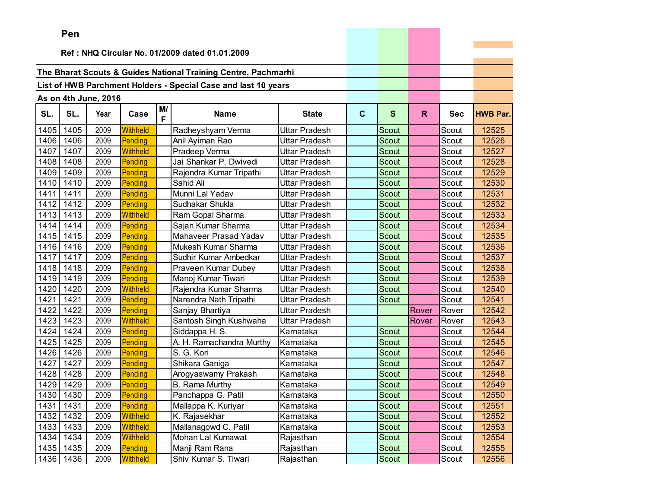|      | ren       |                      |          |         |                                                                |                      |              |              |              |            |                 |
|------|-----------|----------------------|----------|---------|----------------------------------------------------------------|----------------------|--------------|--------------|--------------|------------|-----------------|
|      |           |                      |          |         | Ref: NHQ Circular No. 01/2009 dated 01.01.2009                 |                      |              |              |              |            |                 |
|      |           |                      |          |         |                                                                |                      |              |              |              |            |                 |
|      |           |                      |          |         | The Bharat Scouts & Guides National Training Centre, Pachmarhi |                      |              |              |              |            |                 |
|      |           |                      |          |         | List of HWB Parchment Holders - Special Case and last 10 years |                      |              |              |              |            |                 |
|      |           |                      |          |         |                                                                |                      |              |              |              |            |                 |
|      |           | As on 4th June, 2016 |          |         |                                                                |                      |              |              |              |            |                 |
| SL.  | SL.       | Year                 | Case     | M/<br>F | <b>Name</b>                                                    | <b>State</b>         | $\mathbf{C}$ | $\mathbf{s}$ | $\mathsf{R}$ | <b>Sec</b> | <b>HWB Par.</b> |
| 1405 | 1405      | 2009                 | Withheld |         | Radheyshyam Verma                                              | Uttar Pradesh        |              | Scout        |              | Scout      | 12525           |
| 1406 | 1406      | 2009                 | Pending  |         | Anil Ayiman Rao                                                | Uttar Pradesh        |              | Scout        |              | Scout      | 12526           |
| 1407 | 1407      | 2009                 | Withheld |         | Pradeep Verma                                                  | Uttar Pradesh        |              | Scout        |              | Scout      | 12527           |
| 1408 | 1408      | 2009                 | Pending  |         | Jai Shankar P. Dwivedi                                         | Uttar Pradesh        |              | Scout        |              | Scout      | 12528           |
| 1409 | 1409      | 2009                 | Pending  |         | Rajendra Kumar Tripathi                                        | Uttar Pradesh        |              | <b>Scout</b> |              | Scout      | 12529           |
| 1410 | 1410      | 2009                 | Pending  |         | Sahid Ali                                                      | Uttar Pradesh        |              | Scout        |              | Scout      | 12530           |
| 1411 | 1411      | 2009                 | Pending  |         | Munni Lal Yadav                                                | Uttar Pradesh        |              | Scout        |              | Scout      | 12531           |
| 1412 | 1412      | 2009                 | Pending  |         | Sudhakar Shukla                                                | Uttar Pradesh        |              | <b>Scout</b> |              | Scout      | 12532           |
| 1413 | 1413      | 2009                 | Withheld |         | Ram Gopal Sharma                                               | Uttar Pradesh        |              | Scout        |              | Scout      | 12533           |
| 1414 | 1414      | 2009                 | Pending  |         | Sajan Kumar Sharma                                             | Uttar Pradesh        |              | Scout        |              | Scout      | 12534           |
| 1415 | 1415      | 2009                 | Pending  |         | Mahaveer Prasad Yadav                                          | Uttar Pradesh        |              | <b>Scout</b> |              | Scout      | 12535           |
| 1416 | 1416      | 2009                 | Pending  |         | Mukesh Kumar Sharma                                            | Uttar Pradesh        |              | Scout        |              | Scout      | 12536           |
| 1417 | 1417      | 2009                 | Pending  |         | Sudhir Kumar Ambedkar                                          | <b>Uttar Pradesh</b> |              | Scout        |              | Scout      | 12537           |
| 1418 | 1418      | 2009                 | Pending  |         | Praveen Kumar Dubey                                            | Uttar Pradesh        |              | Scout        |              | Scout      | 12538           |
| 1419 | 1419      | 2009                 | Pending  |         | Manoj Kumar Tiwari                                             | Uttar Pradesh        |              | Scout        |              | Scout      | 12539           |
| 1420 | 1420      | 2009                 | Withheld |         | Rajendra Kumar Sharma                                          | Uttar Pradesh        |              | Scout        |              | Scout      | 12540           |
| 1421 | 1421      | 2009                 | Pending  |         | Narendra Nath Tripathi                                         | Uttar Pradesh        |              | Scout        |              | Scout      | 12541           |
| 1422 | 1422      | 2009                 | Pending  |         | Sanjay Bhartiya                                                | Uttar Pradesh        |              |              | Rover        | Rover      | 12542           |
| 1423 | 1423      | 2009                 | Withheld |         | Santosh Singh Kushwaha                                         | <b>Uttar Pradesh</b> |              |              | Rover        | Rover      | 12543           |
| 1424 | 1424      | 2009                 | Pending  |         | Siddappa H. S.                                                 | Karnataka            |              | <b>Scout</b> |              | Scout      | 12544           |
| 1425 | 1425      | 2009                 | Pending  |         | A. H. Ramachandra Murthy                                       | Karnataka            |              | Scout        |              | Scout      | 12545           |
| 1426 | 1426      | 2009                 | Pending  |         | S. G. Kori                                                     | Karnataka            |              | Scout        |              | Scout      | 12546           |
| 1427 | 1427      | 2009                 | Pending  |         | Shikara Ganiga                                                 | Karnataka            |              | <b>Scout</b> |              | Scout      | 12547           |
| 1428 | 1428      | 2009                 | Pending  |         | Arogyaswamy Prakash                                            | Karnataka            |              | Scout        |              | Scout      | 12548           |
| 1429 | 1429      | 2009                 | Pending  |         | <b>B.</b> Rama Murthy                                          | Karnataka            |              | Scout        |              | Scout      | 12549           |
| 1430 | 1430      | 2009                 | Pending  |         | Panchappa G. Patil                                             | Karnataka            |              | Scout        |              | Scout      | 12550           |
|      | 1431 1431 | 2009                 | Pending  |         | Mallappa K. Kuriyar                                            | Karnataka            |              | Scout        |              | Scout      | 12551           |
| 1432 | 1432      | 2009                 | Withheld |         | K. Rajasekhar                                                  | Karnataka            |              | Scout        |              | Scout      | 12552           |
| 1433 | 1433      | 2009                 | Withheld |         | Mallanagowd C. Patil                                           | Karnataka            |              | Scout        |              | Scout      | 12553           |
| 1434 | 1434      | 2009                 | Withheld |         | Mohan Lal Kumawat                                              | Rajasthan            |              | Scout        |              | Scout      | 12554           |
| 1435 | 1435      | 2009                 | Pending  |         | Manji Ram Rana                                                 | Rajasthan            |              | Scout        |              | Scout      | 12555           |
| 1436 | 1436      | 2009                 | Withheld |         | Shiv Kumar S. Tiwari                                           | Rajasthan            |              | Scout        |              | Scout      | 12556           |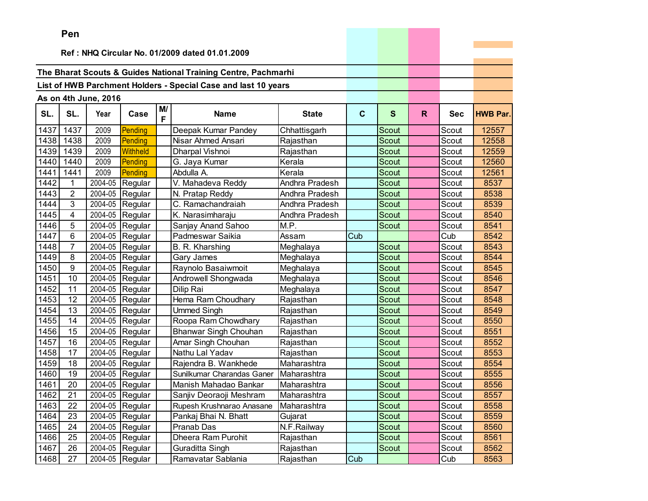|      | ren            |                      |                   |         |                                                                |                |              |              |    |            |                 |
|------|----------------|----------------------|-------------------|---------|----------------------------------------------------------------|----------------|--------------|--------------|----|------------|-----------------|
|      |                |                      |                   |         | Ref: NHQ Circular No. 01/2009 dated 01.01.2009                 |                |              |              |    |            |                 |
|      |                |                      |                   |         |                                                                |                |              |              |    |            |                 |
|      |                |                      |                   |         | The Bharat Scouts & Guides National Training Centre, Pachmarhi |                |              |              |    |            |                 |
|      |                |                      |                   |         | List of HWB Parchment Holders - Special Case and last 10 years |                |              |              |    |            |                 |
|      |                |                      |                   |         |                                                                |                |              |              |    |            |                 |
|      |                | As on 4th June, 2016 |                   |         |                                                                |                |              |              |    |            |                 |
| SL.  | SL.            | Year                 | Case              | M/<br>F | <b>Name</b>                                                    | <b>State</b>   | $\mathbf{C}$ | $\mathbf{s}$ | R. | <b>Sec</b> | <b>HWB Par.</b> |
| 1437 | 1437           | 2009                 | Pending           |         | Deepak Kumar Pandey                                            | Chhattisgarh   |              | Scout        |    | Scout      | 12557           |
| 1438 | 1438           | 2009                 | Pending           |         | Nisar Ahmed Ansari                                             | Rajasthan      |              | Scout        |    | Scout      | 12558           |
| 1439 | 1439           | 2009                 | Withheld          |         | Dharpal Vishnoi                                                | Rajasthan      |              | Scout        |    | Scout      | 12559           |
| 1440 | 1440           | 2009                 | Pending           |         | G. Jaya Kumar                                                  | Kerala         |              | Scout        |    | Scout      | 12560           |
| 1441 | 1441           | 2009                 | Pending           |         | Abdulla A.                                                     | Kerala         |              | <b>Scout</b> |    | Scout      | 12561           |
| 1442 | 1              | 2004-05              | Regular           |         | V. Mahadeva Reddy                                              | Andhra Pradesh |              | Scout        |    | Scout      | 8537            |
| 1443 | $\overline{2}$ | 2004-05              | Regular           |         | N. Pratap Reddy                                                | Andhra Pradesh |              | Scout        |    | Scout      | 8538            |
| 1444 | 3              | 2004-05              | Regular           |         | C. Ramachandraiah                                              | Andhra Pradesh |              | Scout        |    | Scout      | 8539            |
| 1445 | 4              | 2004-05              | Regular           |         | K. Narasimharaju                                               | Andhra Pradesh |              | Scout        |    | Scout      | 8540            |
| 1446 | 5              |                      | 2004-05 Regular   |         | Sanjay Anand Sahoo                                             | M.P.           |              | Scout        |    | Scout      | 8541            |
| 1447 | 6              | 2004-05              | Regular           |         | Padmeswar Saikia                                               | Assam          | Cub          |              |    | Cub        | 8542            |
| 1448 | 7              | 2004-05              | Regular           |         | B. R. Kharshing                                                | Meghalaya      |              | Scout        |    | Scout      | 8543            |
| 1449 | 8              | 2004-05              | Regular           |         | Gary James                                                     | Meghalaya      |              | Scout        |    | Scout      | 8544            |
| 1450 | 9              | 2004-05              | Regular           |         | Raynolo Basaiwmoit                                             | Meghalaya      |              | Scout        |    | Scout      | 8545            |
| 1451 | 10             | 2004-05              | Regular           |         | Androwell Shongwada                                            | Meghalaya      |              | Scout        |    | Scout      | 8546            |
| 1452 | 11             | 2004-05              | Regular           |         | Dilip Rai                                                      | Meghalaya      |              | Scout        |    | Scout      | 8547            |
| 1453 | 12             | 2004-05              | Regular           |         | Hema Ram Choudhary                                             | Rajasthan      |              | <b>Scout</b> |    | Scout      | 8548            |
| 1454 | 13             | 2004-05              | Regular           |         | <b>Ummed Singh</b>                                             | Rajasthan      |              | Scout        |    | Scout      | 8549            |
| 1455 | 14             | 2004-05              | Regular           |         | Roopa Ram Chowdhary                                            | Rajasthan      |              | Scout        |    | Scout      | 8550            |
| 1456 | 15             | 2004-05              | Regular           |         | Bhanwar Singh Chouhan                                          | Rajasthan      |              | <b>Scout</b> |    | Scout      | 8551            |
| 1457 | 16             | 2004-05              | Regular           |         | Amar Singh Chouhan                                             | Rajasthan      |              | Scout        |    | Scout      | 8552            |
| 1458 | 17             | 2004-05              | Regular           |         | Nathu Lal Yadav                                                | Rajasthan      |              | Scout        |    | Scout      | 8553            |
| 1459 | 18             |                      | 2004-05 Regular   |         | Rajendra B. Wankhede                                           | Maharashtra    |              | Scout        |    | Scout      | 8554            |
| 1460 | 19             | 2004-05              | Regular           |         | Sunilkumar Charandas Ganer                                     | Maharashtra    |              | Scout        |    | Scout      | 8555            |
| 1461 | 20             | 2004-05              | Regular           |         | Manish Mahadao Bankar                                          | Maharashtra    |              | Scout        |    | Scout      | 8556            |
| 1462 | 21             |                      | $2004-05$ Regular |         | Sanjiv Deoraoji Meshram                                        | Maharashtra    |              | Scout        |    | Scout      | 8557            |
| 1463 | 22             |                      | 2004-05 Regular   |         | Rupesh Krushnarao Anasane                                      | Maharashtra    |              | Scout        |    | Scout      | 8558            |
| 1464 | 23             |                      | 2004-05 Regular   |         | Pankaj Bhai N. Bhatt                                           | Gujarat        |              | Scout        |    | Scout      | 8559            |
| 1465 | 24             |                      | 2004-05 Regular   |         | Pranab Das                                                     | N.F.Railway    |              | Scout        |    | Scout      | 8560            |
| 1466 | 25             |                      | 2004-05 Regular   |         | Dheera Ram Purohit                                             | Rajasthan      |              | Scout        |    | Scout      | 8561            |
| 1467 | 26             |                      | 2004-05 Regular   |         | Guraditta Singh                                                | Rajasthan      |              | Scout        |    | Scout      | 8562            |
| 1468 | 27             |                      | 2004-05 Regular   |         | Ramavatar Sablania                                             | Rajasthan      | Cub          |              |    | Cub        | 8563            |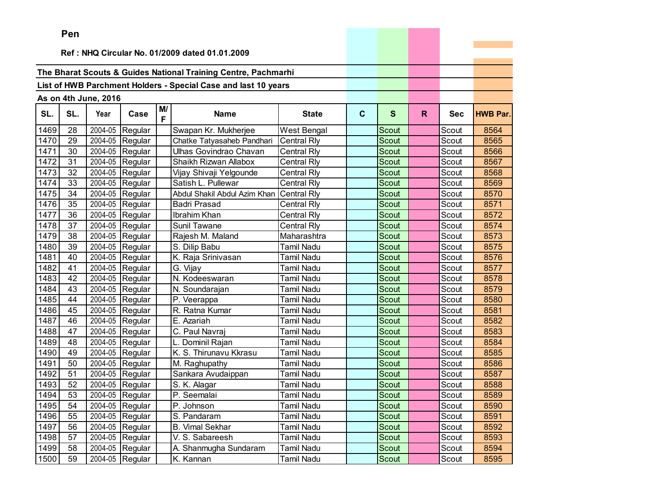|      | ren |                      |                   |         |                                                                |                    |             |              |    |            |                 |
|------|-----|----------------------|-------------------|---------|----------------------------------------------------------------|--------------------|-------------|--------------|----|------------|-----------------|
|      |     |                      |                   |         |                                                                |                    |             |              |    |            |                 |
|      |     |                      |                   |         | Ref: NHQ Circular No. 01/2009 dated 01.01.2009                 |                    |             |              |    |            |                 |
|      |     |                      |                   |         | The Bharat Scouts & Guides National Training Centre, Pachmarhi |                    |             |              |    |            |                 |
|      |     |                      |                   |         |                                                                |                    |             |              |    |            |                 |
|      |     |                      |                   |         | List of HWB Parchment Holders - Special Case and last 10 years |                    |             |              |    |            |                 |
|      |     | As on 4th June, 2016 |                   |         |                                                                |                    |             |              |    |            |                 |
| SL.  | SL. | Year                 | Case              | M/<br>F | <b>Name</b>                                                    | <b>State</b>       | $\mathbf c$ | S            | R. | <b>Sec</b> | <b>HWB Par.</b> |
| 1469 | 28  | 2004-05              | Regular           |         | Swapan Kr. Mukherjee                                           | West Bengal        |             | Scout        |    | Scout      | 8564            |
| 1470 | 29  | 2004-05              | Regular           |         | Chatke Tatyasaheb Pandhari                                     | <b>Central Rly</b> |             | Scout        |    | Scout      | 8565            |
| 1471 | 30  | 2004-05              | Regular           |         | Ulhas Govindrao Chavan                                         | Central Rly        |             | <b>Scout</b> |    | Scout      | 8566            |
| 1472 | 31  | 2004-05              | Regular           |         | Shaikh Rizwan Allabox                                          | Central Rly        |             | <b>Scout</b> |    | Scout      | 8567            |
| 1473 | 32  | 2004-05              | Regular           |         | Vijay Shivaji Yelgounde                                        | Central Rly        |             | Scout        |    | Scout      | 8568            |
| 1474 | 33  | 2004-05              | Regular           |         | Satish L. Pullewar                                             | <b>Central Rly</b> |             | Scout        |    | Scout      | 8569            |
| 1475 | 34  | 2004-05              | Regular           |         | Abdul Shakil Abdul Azim Khan                                   | <b>Central Rly</b> |             | Scout        |    | Scout      | 8570            |
| 1476 | 35  | 2004-05              | Regular           |         | <b>Badri Prasad</b>                                            | Central Rly        |             | Scout        |    | Scout      | 8571            |
| 1477 | 36  |                      | 2004-05 Regular   |         | Ibrahim Khan                                                   | Central Rly        |             | Scout        |    | Scout      | 8572            |
| 1478 | 37  |                      | 2004-05 Regular   |         | Sunil Tawane                                                   | Central Rly        |             | Scout        |    | Scout      | 8574            |
| 1479 | 38  | 2004-05              | Regular           |         | Rajesh M. Maland                                               | Maharashtra        |             | Scout        |    | Scout      | 8573            |
| 1480 | 39  | 2004-05              | Regular           |         | S. Dilip Babu                                                  | Tamil Nadu         |             | Scout        |    | Scout      | 8575            |
| 1481 | 40  | 2004-05              | Regular           |         | K. Raja Srinivasan                                             | Tamil Nadu         |             | Scout        |    | Scout      | 8576            |
| 1482 | 41  | 2004-05              | Regular           |         | G. Vijay                                                       | Tamil Nadu         |             | <b>Scout</b> |    | Scout      | 8577            |
| 1483 | 42  | 2004-05              | Regular           |         | N. Kodeeswaran                                                 | Tamil Nadu         |             | Scout        |    | Scout      | 8578            |
| 1484 | 43  |                      | 2004-05 Regular   |         | N. Soundarajan                                                 | Tamil Nadu         |             | Scout        |    | Scout      | 8579            |
| 1485 | 44  | 2004-05              | Regular           |         | P. Veerappa                                                    | Tamil Nadu         |             | <b>Scout</b> |    | Scout      | 8580            |
| 1486 | 45  | 2004-05              | Regular           |         | R. Ratna Kumar                                                 | Tamil Nadu         |             | Scout        |    | Scout      | 8581            |
| 1487 | 46  | 2004-05              | Regular           |         | E. Azariah                                                     | Tamil Nadu         |             | Scout        |    | Scout      | 8582            |
| 1488 | 47  | 2004-05              | Regular           |         | C. Paul Navraj                                                 | Tamil Nadu         |             | Scout        |    | Scout      | 8583            |
| 1489 | 48  | 2004-05              | Regular           |         | L. Dominil Rajan                                               | Tamil Nadu         |             | <b>Scout</b> |    | Scout      | 8584            |
| 1490 | 49  |                      | 2004-05 Regular   |         | K. S. Thirunavu Kkrasu                                         | <b>Tamil Nadu</b>  |             | Scout        |    | Scout      | 8585            |
| 1491 | 50  | 2004-05              | Regular           |         | M. Raghupathy                                                  | Tamil Nadu         |             | Scout        |    | Scout      | 8586            |
| 1492 | 51  | 2004-05              | Regular           |         | Sankara Avudaippan                                             | Tamil Nadu         |             | Scout        |    | Scout      | 8587            |
| 1493 | 52  | 2004-05              | Regular           |         | S. K. Alagar                                                   | <b>Tamil Nadu</b>  |             | Scout        |    | Scout      | 8588            |
| 1494 | 53  |                      | 2004-05 Regular   |         | P. Seemalai                                                    | <b>Tamil Nadu</b>  |             | Scout        |    | Scout      | 8589            |
| 1495 | 54  |                      | 2004-05 Regular   |         | P. Johnson                                                     | Tamil Nadu         |             | Scout        |    | Scout      | 8590            |
| 1496 | 55  |                      | $2004-05$ Regular |         | S. Pandaram                                                    | Tamil Nadu         |             | Scout        |    | Scout      | 8591            |
| 1497 | 56  |                      | 2004-05 Regular   |         | <b>B. Vimal Sekhar</b>                                         | Tamil Nadu         |             | Scout        |    | Scout      | 8592            |
| 1498 | 57  |                      | 2004-05 Regular   |         | V. S. Sabareesh                                                | Tamil Nadu         |             | Scout        |    | Scout      | 8593            |
| 1499 | 58  |                      | 2004-05 Regular   |         | A. Shanmugha Sundaram                                          | Tamil Nadu         |             | Scout        |    | Scout      | 8594            |
| 1500 | 59  |                      | 2004-05 Regular   |         | K. Kannan                                                      | Tamil Nadu         |             | Scout        |    | Scout      | 8595            |

the control of the control of the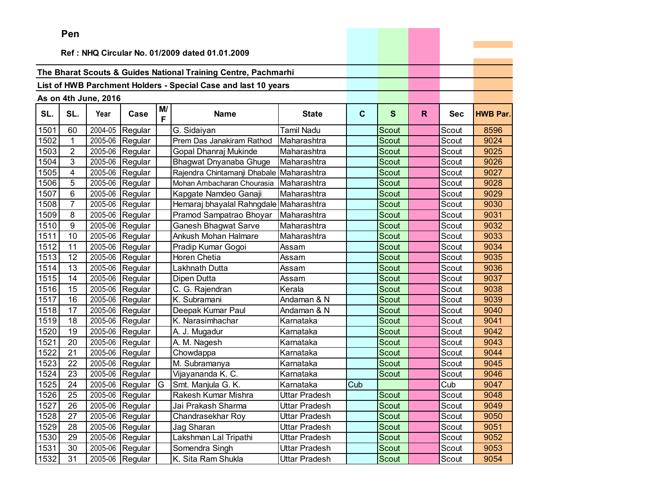|      | Pen             |                      |                 |         |                                                                |                      |              |              |    |            |                 |
|------|-----------------|----------------------|-----------------|---------|----------------------------------------------------------------|----------------------|--------------|--------------|----|------------|-----------------|
|      |                 |                      |                 |         | Ref: NHQ Circular No. 01/2009 dated 01.01.2009                 |                      |              |              |    |            |                 |
|      |                 |                      |                 |         |                                                                |                      |              |              |    |            |                 |
|      |                 |                      |                 |         | The Bharat Scouts & Guides National Training Centre, Pachmarhi |                      |              |              |    |            |                 |
|      |                 |                      |                 |         | List of HWB Parchment Holders - Special Case and last 10 years |                      |              |              |    |            |                 |
|      |                 |                      |                 |         |                                                                |                      |              |              |    |            |                 |
|      |                 | As on 4th June, 2016 |                 |         |                                                                |                      |              |              |    |            |                 |
| SL.  | SL.             | Year                 | Case            | M/<br>F | <b>Name</b>                                                    | <b>State</b>         | $\mathbf{C}$ | $\mathbf{s}$ | R. | <b>Sec</b> | <b>HWB Par.</b> |
| 1501 | 60              | 2004-05              | Regular         |         | G. Sidaiyan                                                    | <b>Tamil Nadu</b>    |              | Scout        |    | Scout      | 8596            |
| 1502 | $\mathbf{1}$    | 2005-06              | Regular         |         | Prem Das Janakiram Rathod                                      | Maharashtra          |              | <b>Scout</b> |    | Scout      | 9024            |
| 1503 | $\overline{2}$  | 2005-06              | Regular         |         | Gopal Dhanraj Mukinde                                          | Maharashtra          |              | <b>Scout</b> |    | Scout      | 9025            |
| 1504 | 3               | 2005-06              | Regular         |         | Bhagwat Dnyanaba Ghuge                                         | Maharashtra          |              | Scout        |    | Scout      | 9026            |
| 1505 | 4               | 2005-06              | Regular         |         | Rajendra Chintamanji Dhabale                                   | Maharashtra          |              | Scout        |    | Scout      | 9027            |
| 1506 | 5               | 2005-06              | Regular         |         | Mohan Ambacharan Chourasia                                     | Maharashtra          |              | Scout        |    | Scout      | 9028            |
| 1507 | $6\phantom{1}6$ | 2005-06              | Regular         |         | Kapgate Namdeo Ganaji                                          | Maharashtra          |              | <b>Scout</b> |    | Scout      | 9029            |
| 1508 | $\overline{7}$  | 2005-06              | Regular         |         | Hemaraj bhayalal Rahngdale Maharashtra                         |                      |              | Scout        |    | Scout      | 9030            |
| 1509 | 8               | 2005-06              | Regular         |         | Pramod Sampatrao Bhoyar                                        | Maharashtra          |              | <b>Scout</b> |    | Scout      | 9031            |
| 1510 | 9               | 2005-06              | Regular         |         | <b>Ganesh Bhagwat Sarve</b>                                    | Maharashtra          |              | Scout        |    | Scout      | 9032            |
| 1511 | 10              | 2005-06              | Regular         |         | Ankush Mohan Halmare                                           | Maharashtra          |              | <b>Scout</b> |    | Scout      | 9033            |
| 1512 | 11              | 2005-06              | Regular         |         | Pradip Kumar Gogoi                                             | Assam                |              | <b>Scout</b> |    | Scout      | 9034            |
| 1513 | 12              | 2005-06              | Regular         |         | Horen Chetia                                                   | Assam                |              | <b>Scout</b> |    | Scout      | 9035            |
| 1514 | 13              | 2005-06              | Regular         |         | Lakhnath Dutta                                                 | Assam                |              | Scout        |    | Scout      | 9036            |
| 1515 | 14              | 2005-06              | Regular         |         | Dipen Dutta                                                    | Assam                |              | <b>Scout</b> |    | Scout      | 9037            |
| 1516 | 15              | 2005-06              | Regular         |         | C. G. Rajendran                                                | Kerala               |              | <b>Scout</b> |    | Scout      | 9038            |
| 1517 | 16              | 2005-06              | Regular         |         | K. Subramani                                                   | Andaman & N          |              | <b>Scout</b> |    | Scout      | 9039            |
| 1518 | 17              | 2005-06              | Regular         |         | Deepak Kumar Paul                                              | Andaman & N          |              | <b>Scout</b> |    | Scout      | 9040            |
| 1519 | 18              | 2005-06              | Regular         |         | K. Narasimhachar                                               | Karnataka            |              | Scout        |    | Scout      | 9041            |
| 1520 | 19              | 2005-06              | Regular         |         | A. J. Mugadur                                                  | Karnataka            |              | <b>Scout</b> |    | Scout      | 9042            |
| 1521 | 20              | 2005-06              | Regular         |         | A. M. Nagesh                                                   | Karnataka            |              | <b>Scout</b> |    | Scout      | 9043            |
| 1522 | 21              | 2005-06              | Regular         |         | Chowdappa                                                      | Karnataka            |              | <b>Scout</b> |    | Scout      | 9044            |
| 1523 | 22              | 2005-06              | Regular         |         | M. Subramanya                                                  | Karnataka            |              | <b>Scout</b> |    | Scout      | 9045            |
| 1524 | 23              | 2005-06              | Regular         |         | Vijayananda K. C.                                              | Karnataka            |              | <b>Scout</b> |    | Scout      | 9046            |
| 1525 | 24              | 2005-06              | Regular         | G       | Smt. Manjula G. K.                                             | Karnataka            | Cub          |              |    | Cub        | 9047            |
| 1526 | 25              | 2005-06              | Regular         |         | Rakesh Kumar Mishra                                            | <b>Uttar Pradesh</b> |              | Scout        |    | Scout      | 9048            |
| 1527 | 26              |                      | 2005-06 Regular |         | Jai Prakash Sharma                                             | Uttar Pradesh        |              | Scout        |    | Scout      | 9049            |
| 1528 | 27              | 2005-06              | Regular         |         | Chandrasekhar Roy                                              | Uttar Pradesh        |              | Scout        |    | Scout      | 9050            |
| 1529 | 28              |                      | 2005-06 Regular |         | Jag Sharan                                                     | Uttar Pradesh        |              | Scout        |    | Scout      | 9051            |
| 1530 | 29              | 2005-06              | Regular         |         | Lakshman Lal Tripathi                                          | Uttar Pradesh        |              | Scout        |    | Scout      | 9052            |
| 1531 | 30              | 2005-06              | Regular         |         | Somendra Singh                                                 | Uttar Pradesh        |              | Scout        |    | Scout      | 9053            |
| 1532 | 31              |                      | 2005-06 Regular |         | K. Sita Ram Shukla                                             | Uttar Pradesh        |              | Scout        |    | Scout      | 9054            |

the control of the control of the con-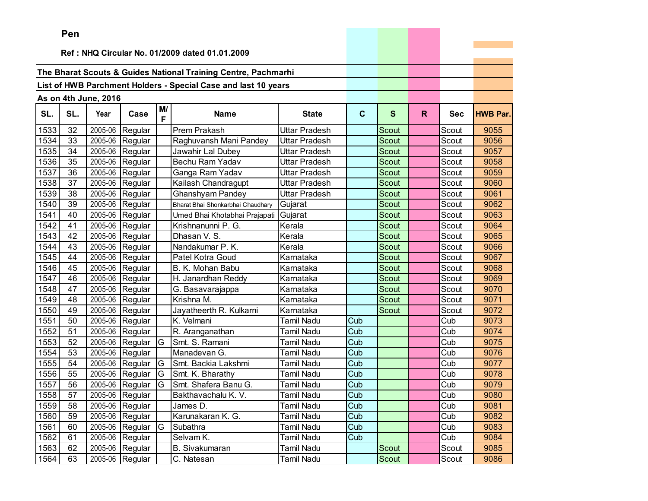|      | Pen |                      |                   |          |                                                                |                      |             |              |    |            |                 |
|------|-----|----------------------|-------------------|----------|----------------------------------------------------------------|----------------------|-------------|--------------|----|------------|-----------------|
|      |     |                      |                   |          | Ref: NHQ Circular No. 01/2009 dated 01.01.2009                 |                      |             |              |    |            |                 |
|      |     |                      |                   |          |                                                                |                      |             |              |    |            |                 |
|      |     |                      |                   |          | The Bharat Scouts & Guides National Training Centre, Pachmarhi |                      |             |              |    |            |                 |
|      |     |                      |                   |          |                                                                |                      |             |              |    |            |                 |
|      |     |                      |                   |          | List of HWB Parchment Holders - Special Case and last 10 years |                      |             |              |    |            |                 |
|      |     | As on 4th June, 2016 |                   |          |                                                                |                      |             |              |    |            |                 |
| SL.  | SL. | Year                 | Case              | M/<br>F  | <b>Name</b>                                                    | <b>State</b>         | $\mathbf c$ | $\mathbf{s}$ | R. | <b>Sec</b> | <b>HWB Par.</b> |
| 1533 | 32  | 2005-06              | Regular           |          | Prem Prakash                                                   | <b>Uttar Pradesh</b> |             | Scout        |    | Scout      | 9055            |
| 1534 | 33  | 2005-06              | Regular           |          | Raghuvansh Mani Pandey                                         | Uttar Pradesh        |             | Scout        |    | Scout      | 9056            |
| 1535 | 34  | 2005-06              | Regular           |          | Jawahir Lal Dubey                                              | Uttar Pradesh        |             | Scout        |    | Scout      | 9057            |
| 1536 | 35  | 2005-06              | Regular           |          | Bechu Ram Yadav                                                | Uttar Pradesh        |             | Scout        |    | Scout      | 9058            |
| 1537 | 36  | 2005-06              | Regular           |          | Ganga Ram Yadav                                                | Uttar Pradesh        |             | Scout        |    | Scout      | 9059            |
| 1538 | 37  | 2005-06              | Regular           |          | Kailash Chandragupt                                            | Uttar Pradesh        |             | Scout        |    | Scout      | 9060            |
| 1539 | 38  | 2005-06              | Regular           |          | <b>Ghanshyam Pandey</b>                                        | Uttar Pradesh        |             | Scout        |    | Scout      | 9061            |
| 1540 | 39  | 2005-06              | Regular           |          | Bharat Bhai Shonkarbhai Chaudhary                              | Gujarat              |             | Scout        |    | Scout      | 9062            |
| 1541 | 40  | 2005-06              | Regular           |          | Umed Bhai Khotabhai Prajapati                                  | Gujarat              |             | <b>Scout</b> |    | Scout      | 9063            |
| 1542 | 41  | 2005-06              | Regular           |          | Krishnanunni P. G.                                             | Kerala               |             | Scout        |    | Scout      | 9064            |
| 1543 | 42  | 2005-06              | Regular           |          | Dhasan V. S.                                                   | Kerala               |             | Scout        |    | Scout      | 9065            |
| 1544 | 43  | 2005-06              | Regular           |          | Nandakumar P. K.                                               | Kerala               |             | Scout        |    | Scout      | 9066            |
| 1545 | 44  | 2005-06              | Regular           |          | Patel Kotra Goud                                               | Karnataka            |             | Scout        |    | Scout      | 9067            |
| 1546 | 45  | 2005-06              | Regular           |          | B. K. Mohan Babu                                               | Karnataka            |             | Scout        |    | Scout      | 9068            |
| 1547 | 46  | 2005-06              | Regular           |          | H. Janardhan Reddy                                             | Karnataka            |             | Scout        |    | Scout      | 9069            |
| 1548 | 47  | 2005-06              | Regular           |          | G. Basavarajappa                                               | Karnataka            |             | Scout        |    | Scout      | 9070            |
| 1549 | 48  | 2005-06              | Regular           |          | Krishna M.                                                     | Karnataka            |             | <b>Scout</b> |    | Scout      | 9071            |
| 1550 | 49  | 2005-06              | Regular           |          | Jayatheerth R. Kulkarni                                        | Karnataka            |             | Scout        |    | Scout      | 9072            |
| 1551 | 50  | 2005-06              | Regular           |          | K. Velmani                                                     | Tamil Nadu           | Cub         |              |    | Cub        | 9073            |
| 1552 | 51  | 2005-06              | Regular           |          | R. Aranganathan                                                | Tamil Nadu           | Cub         |              |    | Cub        | 9074            |
| 1553 | 52  | 2005-06              | Regular           | G        | Smt. S. Ramani                                                 | Tamil Nadu           | Cub         |              |    | Cub        | 9075            |
| 1554 | 53  | 2005-06              | Regular           |          | Manadevan G.                                                   | Tamil Nadu           | Cub         |              |    | Cub        | 9076            |
| 1555 | 54  | 2005-06              | Regular           | G        | Smt. Backia Lakshmi                                            | Tamil Nadu           | Cub         |              |    | Cub        | 9077            |
| 1556 | 55  | 2005-06              | Regular           | G        | Smt. K. Bharathy                                               | Tamil Nadu           | Cub         |              |    | Cub        | 9078            |
| 1557 | 56  | 2005-06              | Regular           | G        | Smt. Shafera Banu G.                                           | Tamil Nadu           | Cub         |              |    | Cub        | 9079            |
| 1558 | 57  |                      | $2005-06$ Regular |          | Bakthavachalu K. V.                                            | <b>Tamil Nadu</b>    | Cub         |              |    | Cub        | 9080            |
| 1559 | 58  |                      | 2005-06 Regular   |          | James D.                                                       | <b>Tamil Nadu</b>    | Cub         |              |    | Cub        | 9081            |
| 1560 | 59  |                      | 2005-06 Regular   |          | Karunakaran K. G.                                              | Tamil Nadu           | Cub         |              |    | Cub        | 9082            |
| 1561 | 60  |                      | 2005-06 Regular   | <b>G</b> | Subathra                                                       | Tamil Nadu           | Cub         |              |    | Cub        | 9083            |
| 1562 | 61  |                      | 2005-06 Regular   |          | Selvam K.                                                      | Tamil Nadu           | Cub         |              |    | Cub        | 9084            |
| 1563 | 62  |                      | 2005-06 Regular   |          | <b>B.</b> Sivakumaran                                          | Tamil Nadu           |             | Scout        |    | Scout      | 9085            |
| 1564 | 63  |                      | 2005-06 Regular   |          | C. Natesan                                                     | Tamil Nadu           |             | Scout        |    | Scout      | 9086            |

the control of the control of the control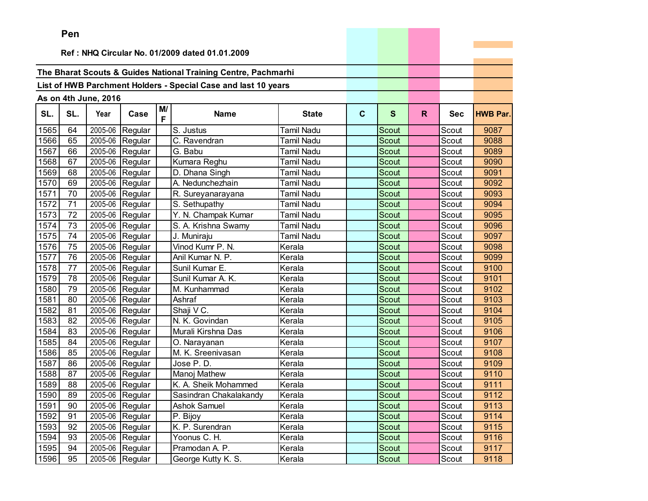|      | Pen |                      |                   |         |                                                                |                   |              |              |    |            |                 |
|------|-----|----------------------|-------------------|---------|----------------------------------------------------------------|-------------------|--------------|--------------|----|------------|-----------------|
|      |     |                      |                   |         |                                                                |                   |              |              |    |            |                 |
|      |     |                      |                   |         | Ref: NHQ Circular No. 01/2009 dated 01.01.2009                 |                   |              |              |    |            |                 |
|      |     |                      |                   |         | The Bharat Scouts & Guides National Training Centre, Pachmarhi |                   |              |              |    |            |                 |
|      |     |                      |                   |         |                                                                |                   |              |              |    |            |                 |
|      |     |                      |                   |         | List of HWB Parchment Holders - Special Case and last 10 years |                   |              |              |    |            |                 |
|      |     | As on 4th June, 2016 |                   |         |                                                                |                   |              |              |    |            |                 |
| SL.  | SL. | Year                 | Case              | M/<br>F | <b>Name</b>                                                    | <b>State</b>      | $\mathbf{C}$ | $\mathbf{s}$ | R. | <b>Sec</b> | <b>HWB Par.</b> |
| 1565 | 64  | 2005-06              | Regular           |         | S. Justus                                                      | <b>Tamil Nadu</b> |              | Scout        |    | Scout      | 9087            |
| 1566 | 65  | 2005-06              | Regular           |         | C. Ravendran                                                   | Tamil Nadu        |              | Scout        |    | Scout      | 9088            |
| 1567 | 66  | 2005-06              | Regular           |         | G. Babu                                                        | Tamil Nadu        |              | Scout        |    | Scout      | 9089            |
| 1568 | 67  | 2005-06              | Regular           |         | Kumara Reghu                                                   | Tamil Nadu        |              | Scout        |    | Scout      | 9090            |
| 1569 | 68  | 2005-06              | Regular           |         | D. Dhana Singh                                                 | Tamil Nadu        |              | Scout        |    | Scout      | 9091            |
| 1570 | 69  | 2005-06              | Regular           |         | A. Nedunchezhain                                               | Tamil Nadu        |              | Scout        |    | Scout      | 9092            |
| 1571 | 70  | 2005-06              | Regular           |         | R. Sureyanarayana                                              | Tamil Nadu        |              | Scout        |    | Scout      | 9093            |
| 1572 | 71  | 2005-06              | Regular           |         | S. Sethupathy                                                  | Tamil Nadu        |              | Scout        |    | Scout      | 9094            |
| 1573 | 72  | 2005-06              | Regular           |         | Y. N. Champak Kumar                                            | Tamil Nadu        |              | Scout        |    | Scout      | 9095            |
| 1574 | 73  | 2005-06              | Regular           |         | S. A. Krishna Swamy                                            | <b>Tamil Nadu</b> |              | Scout        |    | Scout      | 9096            |
| 1575 | 74  | 2005-06              | Regular           |         | J. Muniraju                                                    | Tamil Nadu        |              | Scout        |    | Scout      | 9097            |
| 1576 | 75  | 2005-06              | Regular           |         | Vinod Kumr P. N.                                               | Kerala            |              | Scout        |    | Scout      | 9098            |
| 1577 | 76  | 2005-06              | Regular           |         | Anil Kumar N. P.                                               | Kerala            |              | Scout        |    | Scout      | 9099            |
| 1578 | 77  | 2005-06              | Regular           |         | Sunil Kumar E.                                                 | Kerala            |              | Scout        |    | Scout      | 9100            |
| 1579 | 78  | 2005-06              | Regular           |         | Sunil Kumar A. K.                                              | Kerala            |              | <b>Scout</b> |    | Scout      | 9101            |
| 1580 | 79  | 2005-06              | Regular           |         | M. Kunhammad                                                   | Kerala            |              | Scout        |    | Scout      | 9102            |
| 1581 | 80  | 2005-06              | Regular           |         | Ashraf                                                         | Kerala            |              | <b>Scout</b> |    | Scout      | 9103            |
| 1582 | 81  | 2005-06              | Regular           |         | Shaji V C.                                                     | Kerala            |              | Scout        |    | Scout      | 9104            |
| 1583 | 82  | 2005-06              | Regular           |         | N. K. Govindan                                                 | Kerala            |              | Scout        |    | Scout      | 9105            |
| 1584 | 83  | 2005-06              | Regular           |         | Murali Kirshna Das                                             | Kerala            |              | <b>Scout</b> |    | Scout      | 9106            |
| 1585 | 84  | 2005-06              | Regular           |         | O. Narayanan                                                   | Kerala            |              | Scout        |    | Scout      | 9107            |
| 1586 | 85  | 2005-06              | Regular           |         | M. K. Sreenivasan                                              | Kerala            |              | Scout        |    | Scout      | 9108            |
| 1587 | 86  | 2005-06              | Regular           |         | Jose P.D.                                                      | Kerala            |              | Scout        |    | Scout      | 9109            |
| 1588 | 87  | 2005-06              | Regular           |         | Manoj Mathew                                                   | Kerala            |              | Scout        |    | Scout      | 9110            |
| 1589 | 88  | 2005-06              | Regular           |         | K. A. Sheik Mohammed                                           | Kerala            |              | Scout        |    | Scout      | 9111            |
| 1590 | 89  |                      | $2005-06$ Regular |         | Sasindran Chakalakandy                                         | Kerala            |              | Scout        |    | Scout      | 9112            |
| 1591 | 90  |                      | 2005-06 Regular   |         | <b>Ashok Samuel</b>                                            | Kerala            |              | Scout        |    | Scout      | 9113            |
| 1592 | 91  |                      | $2005-06$ Regular |         | P. Bijoy                                                       | Kerala            |              | Scout        |    | Scout      | 9114            |
| 1593 | 92  |                      | 2005-06 Regular   |         | K. P. Surendran                                                | Kerala            |              | Scout        |    | Scout      | 9115            |
| 1594 | 93  |                      | 2005-06 Regular   |         | Yoonus C. H.                                                   | Kerala            |              | Scout        |    | Scout      | 9116            |
| 1595 | 94  |                      | 2005-06 Regular   |         | Pramodan A. P.                                                 | Kerala            |              | Scout        |    | Scout      | 9117            |
| 1596 | 95  |                      | 2005-06 Regular   |         | George Kutty K. S.                                             | Kerala            |              | Scout        |    | Scout      | 9118            |

the company of the company of the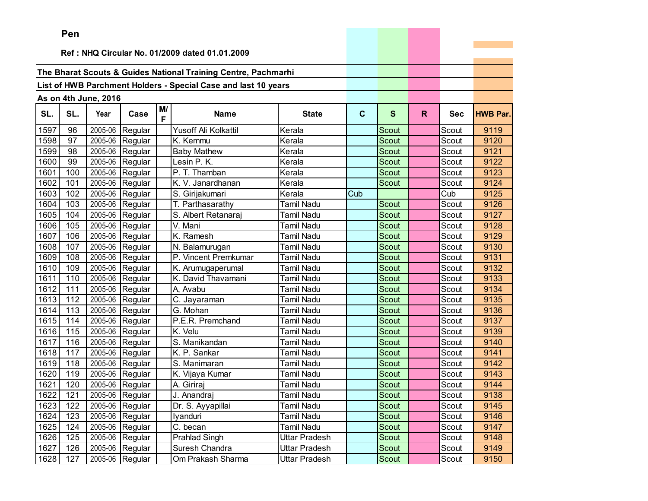|      | ren |                      |                   |         |                                                                |                   |             |              |    |            |                 |
|------|-----|----------------------|-------------------|---------|----------------------------------------------------------------|-------------------|-------------|--------------|----|------------|-----------------|
|      |     |                      |                   |         | Ref: NHQ Circular No. 01/2009 dated 01.01.2009                 |                   |             |              |    |            |                 |
|      |     |                      |                   |         |                                                                |                   |             |              |    |            |                 |
|      |     |                      |                   |         | The Bharat Scouts & Guides National Training Centre, Pachmarhi |                   |             |              |    |            |                 |
|      |     |                      |                   |         |                                                                |                   |             |              |    |            |                 |
|      |     |                      |                   |         | List of HWB Parchment Holders - Special Case and last 10 years |                   |             |              |    |            |                 |
|      |     | As on 4th June, 2016 |                   |         |                                                                |                   |             |              |    |            |                 |
| SL.  | SL. | Year                 | Case              | M/<br>F | <b>Name</b>                                                    | <b>State</b>      | $\mathbf c$ | S            | R. | <b>Sec</b> | <b>HWB Par.</b> |
| 1597 | 96  | 2005-06              | Regular           |         | Yusoff Ali Kolkattil                                           | Kerala            |             | Scout        |    | Scout      | 9119            |
| 1598 | 97  | 2005-06              | Regular           |         | K. Kemmu                                                       | Kerala            |             | Scout        |    | Scout      | 9120            |
| 1599 | 98  | 2005-06              | Regular           |         | <b>Baby Mathew</b>                                             | Kerala            |             | Scout        |    | Scout      | 9121            |
| 1600 | 99  | 2005-06              | Regular           |         | Lesin P. K.                                                    | Kerala            |             | <b>Scout</b> |    | Scout      | 9122            |
| 1601 | 100 | 2005-06              | Regular           |         | P. T. Thamban                                                  | Kerala            |             | Scout        |    | Scout      | 9123            |
| 1602 | 101 | 2005-06              | Regular           |         | K. V. Janardhanan                                              | Kerala            |             | Scout        |    | Scout      | 9124            |
| 1603 | 102 | 2005-06              | Regular           |         | S. Girijakumari                                                | Kerala            | Cub         |              |    | Cub        | 9125            |
| 1604 | 103 | 2005-06              | Regular           |         | T. Parthasarathy                                               | Tamil Nadu        |             | Scout        |    | Scout      | 9126            |
| 1605 | 104 | 2005-06              | Regular           |         | S. Albert Retanaraj                                            | Tamil Nadu        |             | Scout        |    | Scout      | 9127            |
| 1606 | 105 | 2005-06              | Regular           |         | V. Mani                                                        | Tamil Nadu        |             | Scout        |    | Scout      | 9128            |
| 1607 | 106 | 2005-06              | Regular           |         | K. Ramesh                                                      | Tamil Nadu        |             | Scout        |    | Scout      | 9129            |
| 1608 | 107 | 2005-06              | Regular           |         | N. Balamurugan                                                 | Tamil Nadu        |             | Scout        |    | Scout      | 9130            |
| 1609 | 108 | 2005-06              | Regular           |         | P. Vincent Premkumar                                           | Tamil Nadu        |             | Scout        |    | Scout      | 9131            |
| 1610 | 109 | 2005-06              | Regular           |         | K. Arumugaperumal                                              | Tamil Nadu        |             | Scout        |    | Scout      | 9132            |
| 1611 | 110 | 2005-06              | Regular           |         | K. David Thavamani                                             | Tamil Nadu        |             | Scout        |    | Scout      | 9133            |
| 1612 | 111 | 2005-06              | Regular           |         | A, Avabu                                                       | Tamil Nadu        |             | Scout        |    | Scout      | 9134            |
| 1613 | 112 | 2005-06              | Regular           |         | C. Jayaraman                                                   | Tamil Nadu        |             | Scout        |    | Scout      | 9135            |
| 1614 | 113 | 2005-06              | Regular           |         | G. Mohan                                                       | Tamil Nadu        |             | Scout        |    | Scout      | 9136            |
| 1615 | 114 | 2005-06              | Regular           |         | P.E.R. Premchand                                               | Tamil Nadu        |             | Scout        |    | Scout      | 9137            |
| 1616 | 115 | 2005-06              | Regular           |         | K. Velu                                                        | Tamil Nadu        |             | Scout        |    | Scout      | 9139            |
| 1617 | 116 | 2005-06              | Regular           |         | S. Manikandan                                                  | Tamil Nadu        |             | <b>Scout</b> |    | Scout      | 9140            |
| 1618 | 117 | 2005-06              | Regular           |         | K. P. Sankar                                                   | <b>Tamil Nadu</b> |             | Scout        |    | Scout      | 9141            |
| 1619 | 118 | 2005-06              | Regular           |         | S. Manimaran                                                   | Tamil Nadu        |             | <b>Scout</b> |    | Scout      | 9142            |
| 1620 | 119 | 2005-06              | Regular           |         | K. Vijaya Kumar                                                | Tamil Nadu        |             | Scout        |    | Scout      | 9143            |
| 1621 | 120 | 2005-06              | Regular           |         | A. Giriraj                                                     | <b>Tamil Nadu</b> |             | Scout        |    | Scout      | 9144            |
| 1622 | 121 |                      | $2005-06$ Regular |         | J. Anandraj                                                    | Tamil Nadu        |             | Scout        |    | Scout      | 9138            |
| 1623 | 122 |                      | 2005-06 Regular   |         | Dr. S. Ayyapillai                                              | Tamil Nadu        |             | Scout        |    | Scout      | 9145            |
| 1624 | 123 |                      | 2005-06 Regular   |         | lyanduri                                                       | Tamil Nadu        |             | Scout        |    | Scout      | 9146            |
| 1625 | 124 |                      | 2005-06 Regular   |         | C. becan                                                       | Tamil Nadu        |             | Scout        |    | Scout      | 9147            |
| 1626 | 125 |                      | 2005-06 Regular   |         | Prahlad Singh                                                  | Uttar Pradesh     |             | Scout        |    | Scout      | 9148            |
| 1627 | 126 |                      | 2005-06 Regular   |         | Suresh Chandra                                                 | Uttar Pradesh     |             | Scout        |    | Scout      | 9149            |
| 1628 | 127 |                      | 2005-06 Regular   |         | Om Prakash Sharma                                              | Uttar Pradesh     |             | Scout        |    | Scout      | 9150            |

the control of the control of the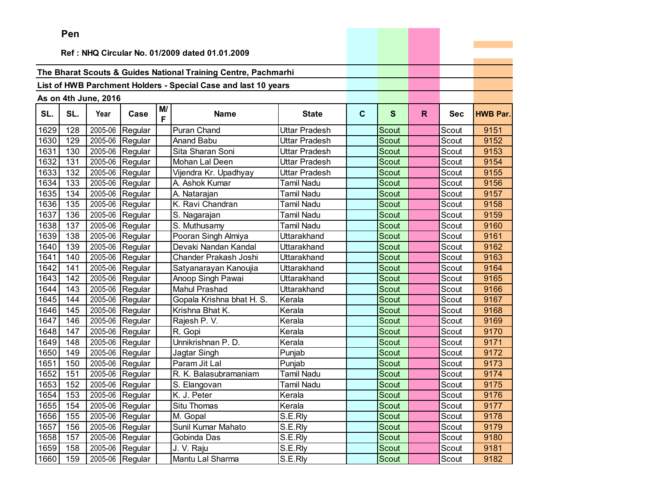|      | <b>Fell</b>                                    |                      |                   |         |                                                                |                      |              |              |    |            |                 |
|------|------------------------------------------------|----------------------|-------------------|---------|----------------------------------------------------------------|----------------------|--------------|--------------|----|------------|-----------------|
|      | Ref: NHQ Circular No. 01/2009 dated 01.01.2009 |                      |                   |         |                                                                |                      |              |              |    |            |                 |
|      |                                                |                      |                   |         |                                                                |                      |              |              |    |            |                 |
|      |                                                |                      |                   |         | The Bharat Scouts & Guides National Training Centre, Pachmarhi |                      |              |              |    |            |                 |
|      |                                                |                      |                   |         | List of HWB Parchment Holders - Special Case and last 10 years |                      |              |              |    |            |                 |
|      |                                                |                      |                   |         |                                                                |                      |              |              |    |            |                 |
|      |                                                | As on 4th June, 2016 |                   |         |                                                                |                      |              |              |    |            |                 |
| SL.  | SL.                                            | Year                 | Case              | M/<br>F | <b>Name</b>                                                    | <b>State</b>         | $\mathbf{C}$ | $\mathbf{s}$ | R. | <b>Sec</b> | <b>HWB Par.</b> |
| 1629 | 128                                            | 2005-06              | Regular           |         | <b>Puran Chand</b>                                             | <b>Uttar Pradesh</b> |              | Scout        |    | Scout      | 9151            |
| 1630 | 129                                            | 2005-06              | Regular           |         | Anand Babu                                                     | Uttar Pradesh        |              | Scout        |    | Scout      | 9152            |
| 1631 | 130                                            | 2005-06              | Regular           |         | Sita Sharan Soni                                               | <b>Uttar Pradesh</b> |              | Scout        |    | Scout      | 9153            |
| 1632 | 131                                            | 2005-06              | Regular           |         | Mohan Lal Deen                                                 | Uttar Pradesh        |              | Scout        |    | Scout      | 9154            |
| 1633 | 132                                            | 2005-06              | Regular           |         | Vijendra Kr. Upadhyay                                          | Uttar Pradesh        |              | Scout        |    | Scout      | 9155            |
| 1634 | 133                                            | 2005-06              | Regular           |         | A. Ashok Kumar                                                 | <b>Tamil Nadu</b>    |              | Scout        |    | Scout      | 9156            |
| 1635 | 134                                            | 2005-06              | Regular           |         | A. Natarajan                                                   | <b>Tamil Nadu</b>    |              | Scout        |    | Scout      | 9157            |
| 1636 | 135                                            | 2005-06              | Regular           |         | K. Ravi Chandran                                               | <b>Tamil Nadu</b>    |              | Scout        |    | Scout      | 9158            |
| 1637 | 136                                            | 2005-06              | Regular           |         | S. Nagarajan                                                   | <b>Tamil Nadu</b>    |              | Scout        |    | Scout      | 9159            |
| 1638 | 137                                            | 2005-06              | Regular           |         | S. Muthusamy                                                   | <b>Tamil Nadu</b>    |              | <b>Scout</b> |    | Scout      | 9160            |
| 1639 | 138                                            | 2005-06              | Regular           |         | Pooran Singh Almiya                                            | Uttarakhand          |              | Scout        |    | Scout      | 9161            |
| 1640 | 139                                            | 2005-06              | Regular           |         | Devaki Nandan Kandal                                           | Uttarakhand          |              | Scout        |    | Scout      | 9162            |
| 1641 | 140                                            | 2005-06              | Regular           |         | Chander Prakash Joshi                                          | Uttarakhand          |              | Scout        |    | Scout      | 9163            |
| 1642 | 141                                            | 2005-06              | Regular           |         | Satyanarayan Kanoujia                                          | Uttarakhand          |              | Scout        |    | Scout      | 9164            |
| 1643 | 142                                            | 2005-06              | Regular           |         | Anoop Singh Pawai                                              | Uttarakhand          |              | Scout        |    | Scout      | 9165            |
| 1644 | 143                                            | 2005-06              | Regular           |         | <b>Mahul Prashad</b>                                           | Uttarakhand          |              | Scout        |    | Scout      | 9166            |
| 1645 | 144                                            | 2005-06              | Regular           |         | Gopala Krishna bhat H. S.                                      | Kerala               |              | Scout        |    | Scout      | 9167            |
| 1646 | 145                                            | 2005-06              | Regular           |         | Krishna Bhat K.                                                | Kerala               |              | <b>Scout</b> |    | Scout      | 9168            |
| 1647 | 146                                            | 2005-06              | Regular           |         | Rajesh P.V.                                                    | Kerala               |              | Scout        |    | Scout      | 9169            |
| 1648 | 147                                            | 2005-06              | Regular           |         | R. Gopi                                                        | Kerala               |              | Scout        |    | Scout      | 9170            |
| 1649 | 148                                            | 2005-06              | Regular           |         | Unnikrishnan P. D.                                             | Kerala               |              | Scout        |    | Scout      | 9171            |
| 1650 | 149                                            | 2005-06              | Regular           |         | Jagtar Singh                                                   | Punjab               |              | Scout        |    | Scout      | 9172            |
| 1651 | 150                                            | 2005-06              | Regular           |         | Param Jit Lal                                                  | Punjab               |              | Scout        |    | Scout      | 9173            |
| 1652 | 151                                            | 2005-06              | Regular           |         | R. K. Balasubramaniam                                          | Tamil Nadu           |              | Scout        |    | Scout      | 9174            |
| 1653 | 152                                            | 2005-06              | Regular           |         | S. Elangovan                                                   | <b>Tamil Nadu</b>    |              | Scout        |    | Scout      | 9175            |
| 1654 | 153                                            |                      | $2005-06$ Regular |         | K. J. Peter                                                    | Kerala               |              | Scout        |    | Scout      | 9176            |
| 1655 | 154                                            |                      | 2005-06 Regular   |         | Situ Thomas                                                    | Kerala               |              | Scout        |    | Scout      | 9177            |
| 1656 | 155                                            |                      | 2005-06 Regular   |         | M. Gopal                                                       | S.E.Rly              |              | Scout        |    | Scout      | 9178            |
| 1657 | 156                                            |                      | 2005-06 Regular   |         | Sunil Kumar Mahato                                             | S.E.Rly              |              | Scout        |    | Scout      | 9179            |
| 1658 | 157                                            |                      | 2005-06 Regular   |         | Gobinda Das                                                    | S.E.Rly              |              | Scout        |    | Scout      | 9180            |
| 1659 | 158                                            | 2005-06              | Regular           |         | J. V. Raju                                                     | S.E.Rly              |              | Scout        |    | Scout      | 9181            |
| 1660 | 159                                            |                      | 2005-06 Regular   |         | Mantu Lal Sharma                                               | S.E.Rly              |              | Scout        |    | Scout      | 9182            |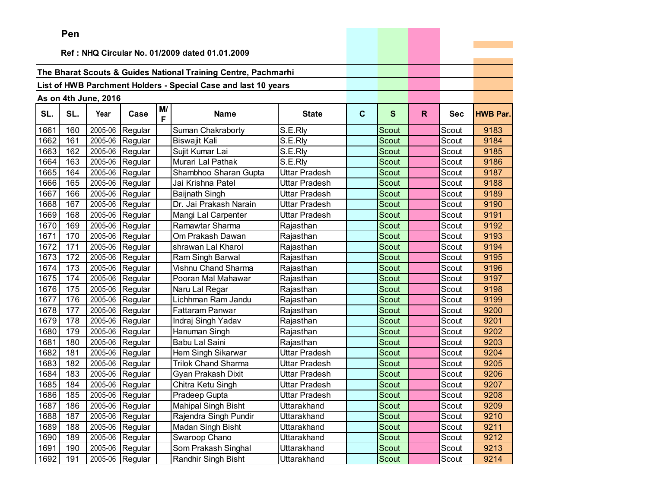|      | ren |                      |                   |         |                                                                |               |              |              |    |            |                 |
|------|-----|----------------------|-------------------|---------|----------------------------------------------------------------|---------------|--------------|--------------|----|------------|-----------------|
|      |     |                      |                   |         | Ref: NHQ Circular No. 01/2009 dated 01.01.2009                 |               |              |              |    |            |                 |
|      |     |                      |                   |         |                                                                |               |              |              |    |            |                 |
|      |     |                      |                   |         | The Bharat Scouts & Guides National Training Centre, Pachmarhi |               |              |              |    |            |                 |
|      |     |                      |                   |         |                                                                |               |              |              |    |            |                 |
|      |     |                      |                   |         | List of HWB Parchment Holders - Special Case and last 10 years |               |              |              |    |            |                 |
|      |     | As on 4th June, 2016 |                   |         |                                                                |               |              |              |    |            |                 |
| SL.  | SL. | Year                 | Case              | M/<br>F | <b>Name</b>                                                    | <b>State</b>  | $\mathbf{C}$ | $\mathbf{s}$ | R. | <b>Sec</b> | <b>HWB Par.</b> |
| 1661 | 160 | 2005-06              | Regular           |         | Suman Chakraborty                                              | S.E.Rly       |              | Scout        |    | Scout      | 9183            |
| 1662 | 161 | 2005-06              | Regular           |         | <b>Biswajit Kali</b>                                           | S.E.Rly       |              | Scout        |    | Scout      | 9184            |
| 1663 | 162 | 2005-06              | Regular           |         | Sujit Kumar Lai                                                | S.E.Rly       |              | Scout        |    | Scout      | 9185            |
| 1664 | 163 | 2005-06              | Regular           |         | Murari Lal Pathak                                              | S.E.Rly       |              | Scout        |    | Scout      | 9186            |
| 1665 | 164 | 2005-06              | Regular           |         | Shambhoo Sharan Gupta                                          | Uttar Pradesh |              | Scout        |    | Scout      | 9187            |
| 1666 | 165 | 2005-06              | Regular           |         | Jai Krishna Patel                                              | Uttar Pradesh |              | Scout        |    | Scout      | 9188            |
| 1667 | 166 | 2005-06              | Regular           |         | <b>Baijnath Singh</b>                                          | Uttar Pradesh |              | Scout        |    | Scout      | 9189            |
| 1668 | 167 | 2005-06              | Regular           |         | Dr. Jai Prakash Narain                                         | Uttar Pradesh |              | Scout        |    | Scout      | 9190            |
| 1669 | 168 | 2005-06              | Regular           |         | Mangi Lal Carpenter                                            | Uttar Pradesh |              | Scout        |    | Scout      | 9191            |
| 1670 | 169 | 2005-06              | Regular           |         | Ramawtar Sharma                                                | Rajasthan     |              | Scout        |    | Scout      | 9192            |
| 1671 | 170 | 2005-06              | Regular           |         | Om Prakash Dawan                                               | Rajasthan     |              | Scout        |    | Scout      | 9193            |
| 1672 | 171 | 2005-06              | Regular           |         | shrawan Lal Kharol                                             | Rajasthan     |              | Scout        |    | Scout      | 9194            |
| 1673 | 172 | 2005-06              | Regular           |         | Ram Singh Barwal                                               | Rajasthan     |              | Scout        |    | Scout      | 9195            |
| 1674 | 173 | 2005-06              | Regular           |         | Vishnu Chand Sharma                                            | Rajasthan     |              | Scout        |    | Scout      | 9196            |
| 1675 | 174 | 2005-06              | Regular           |         | Pooran Mal Mahawar                                             | Rajasthan     |              | Scout        |    | Scout      | 9197            |
| 1676 | 175 | 2005-06              | Regular           |         | Naru Lal Regar                                                 | Rajasthan     |              | Scout        |    | Scout      | 9198            |
| 1677 | 176 | 2005-06              | Regular           |         | Lichhman Ram Jandu                                             | Rajasthan     |              | <b>Scout</b> |    | Scout      | 9199            |
| 1678 | 177 | 2005-06              | Regular           |         | Fattaram Panwar                                                | Rajasthan     |              | Scout        |    | Scout      | 9200            |
| 1679 | 178 | 2005-06              | Regular           |         | Indraj Singh Yadav                                             | Rajasthan     |              | Scout        |    | Scout      | 9201            |
| 1680 | 179 | 2005-06              | Regular           |         | Hanuman Singh                                                  | Rajasthan     |              | <b>Scout</b> |    | Scout      | 9202            |
| 1681 | 180 | 2005-06              | Regular           |         | Babu Lal Saini                                                 | Rajasthan     |              | Scout        |    | Scout      | 9203            |
| 1682 | 181 | 2005-06              | Regular           |         | Hem Singh Sikarwar                                             | Uttar Pradesh |              | Scout        |    | Scout      | 9204            |
| 1683 | 182 | 2005-06              | Regular           |         | <b>Trilok Chand Sharma</b>                                     | Uttar Pradesh |              | Scout        |    | Scout      | 9205            |
| 1684 | 183 | 2005-06              | Regular           |         | Gyan Prakash Dixit                                             | Uttar Pradesh |              | Scout        |    | Scout      | 9206            |
| 1685 | 184 | 2005-06              | Regular           |         | Chitra Ketu Singh                                              | Uttar Pradesh |              | Scout        |    | Scout      | 9207            |
| 1686 | 185 |                      | $2005-06$ Regular |         | Pradeep Gupta                                                  | Uttar Pradesh |              | Scout        |    | Scout      | 9208            |
| 1687 | 186 |                      | 2005-06 Regular   |         | <b>Mahipal Singh Bisht</b>                                     | Uttarakhand   |              | Scout        |    | Scout      | 9209            |
| 1688 | 187 | 2005-06              | Regular           |         | Rajendra Singh Pundir                                          | Uttarakhand   |              | Scout        |    | Scout      | 9210            |
| 1689 | 188 | 2005-06              | Regular           |         | Madan Singh Bisht                                              | Uttarakhand   |              | Scout        |    | Scout      | 9211            |
| 1690 | 189 | 2005-06              | Regular           |         | Swaroop Chano                                                  | Uttarakhand   |              | Scout        |    | Scout      | 9212            |
| 1691 | 190 | 2005-06              | Regular           |         | Som Prakash Singhal                                            | Uttarakhand   |              | Scout        |    | Scout      | 9213            |
| 1692 | 191 | 2005-06              | Regular           |         | Randhir Singh Bisht                                            | Uttarakhand   |              | Scout        |    | Scout      | 9214            |

and the control of the control of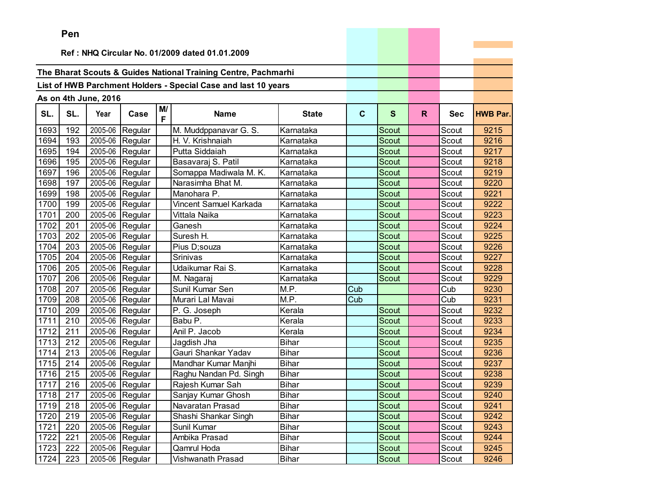|      | Pen |                      |                   |         |                                                                |              |              |              |    |            |                 |
|------|-----|----------------------|-------------------|---------|----------------------------------------------------------------|--------------|--------------|--------------|----|------------|-----------------|
|      |     |                      |                   |         | Ref: NHQ Circular No. 01/2009 dated 01.01.2009                 |              |              |              |    |            |                 |
|      |     |                      |                   |         |                                                                |              |              |              |    |            |                 |
|      |     |                      |                   |         | The Bharat Scouts & Guides National Training Centre, Pachmarhi |              |              |              |    |            |                 |
|      |     |                      |                   |         | List of HWB Parchment Holders - Special Case and last 10 years |              |              |              |    |            |                 |
|      |     |                      |                   |         |                                                                |              |              |              |    |            |                 |
|      |     | As on 4th June, 2016 |                   |         |                                                                |              |              |              |    |            |                 |
| SL.  | SL. | Year                 | Case              | M/<br>F | <b>Name</b>                                                    | <b>State</b> | $\mathbf{C}$ | $\mathbf{s}$ | R. | <b>Sec</b> | <b>HWB Par.</b> |
| 1693 | 192 | 2005-06              | Regular           |         | M. Muddppanavar G. S.                                          | Karnataka    |              | Scout        |    | Scout      | 9215            |
| 1694 | 193 | 2005-06              | Regular           |         | H. V. Krishnaiah                                               | Karnataka    |              | Scout        |    | Scout      | 9216            |
| 1695 | 194 | 2005-06              | Regular           |         | Putta Siddaiah                                                 | Karnataka    |              | Scout        |    | Scout      | 9217            |
| 1696 | 195 | 2005-06              | Regular           |         | Basavaraj S. Patil                                             | Karnataka    |              | Scout        |    | Scout      | 9218            |
| 1697 | 196 | 2005-06              | Regular           |         | Somappa Madiwala M. K.                                         | Karnataka    |              | Scout        |    | Scout      | 9219            |
| 1698 | 197 | 2005-06              | Regular           |         | Narasimha Bhat M.                                              | Karnataka    |              | <b>Scout</b> |    | Scout      | 9220            |
| 1699 | 198 | 2005-06              | Regular           |         | Manohara P.                                                    | Karnataka    |              | Scout        |    | Scout      | 9221            |
| 1700 | 199 | 2005-06              | Regular           |         | Vincent Samuel Karkada                                         | Karnataka    |              | Scout        |    | Scout      | 9222            |
| 1701 | 200 | 2005-06              | Regular           |         | Vittala Naika                                                  | Karnataka    |              | Scout        |    | Scout      | 9223            |
| 1702 | 201 | 2005-06              | Regular           |         | Ganesh                                                         | Karnataka    |              | Scout        |    | Scout      | 9224            |
| 1703 | 202 | 2005-06              | Regular           |         | Suresh H.                                                      | Karnataka    |              | Scout        |    | Scout      | 9225            |
| 1704 | 203 | 2005-06              | Regular           |         | Pius D;souza                                                   | Karnataka    |              | Scout        |    | Scout      | 9226            |
| 1705 | 204 | 2005-06              | Regular           |         | Srinivas                                                       | Karnataka    |              | Scout        |    | Scout      | 9227            |
| 1706 | 205 | 2005-06              | Regular           |         | Udaikumar Rai S.                                               | Karnataka    |              | Scout        |    | Scout      | 9228            |
| 1707 | 206 | 2005-06              | Regular           |         | M. Nagaraj                                                     | Karnataka    |              | Scout        |    | Scout      | 9229            |
| 1708 | 207 | 2005-06              | Regular           |         | Sunil Kumar Sen                                                | M.P.         | Cub          |              |    | Cub        | 9230            |
| 1709 | 208 | 2005-06              | Regular           |         | Murari Lal Mavai                                               | M.P.         | Cub          |              |    | Cub        | 9231            |
| 1710 | 209 | 2005-06              | Regular           |         | P. G. Joseph                                                   | Kerala       |              | Scout        |    | Scout      | 9232            |
| 1711 | 210 | 2005-06              | Regular           |         | Babu P.                                                        | Kerala       |              | Scout        |    | Scout      | 9233            |
| 1712 | 211 | 2005-06              | Regular           |         | Anil P. Jacob                                                  | Kerala       |              | <b>Scout</b> |    | Scout      | 9234            |
| 1713 | 212 | 2005-06              | Regular           |         | Jagdish Jha                                                    | <b>Bihar</b> |              | Scout        |    | Scout      | 9235            |
| 1714 | 213 | 2005-06              | Regular           |         | Gauri Shankar Yadav                                            | <b>Bihar</b> |              | Scout        |    | Scout      | 9236            |
| 1715 | 214 | 2005-06              | Regular           |         | Mandhar Kumar Manjhi                                           | <b>Bihar</b> |              | <b>Scout</b> |    | Scout      | 9237            |
| 1716 | 215 | 2005-06              | Regular           |         | Raghu Nandan Pd. Singh                                         | Bihar        |              | Scout        |    | Scout      | 9238            |
| 1717 | 216 | 2005-06              | Regular           |         | Rajesh Kumar Sah                                               | <b>Bihar</b> |              | Scout        |    | Scout      | 9239            |
| 1718 | 217 |                      | $2005-06$ Regular |         | Sanjay Kumar Ghosh                                             | <b>Bihar</b> |              | Scout        |    | Scout      | 9240            |
| 1719 | 218 |                      | 2005-06 Regular   |         | Navaratan Prasad                                               | Bihar        |              | Scout        |    | Scout      | 9241            |
| 1720 | 219 |                      | 2005-06 Regular   |         | Shashi Shankar Singh                                           | <b>Bihar</b> |              | Scout        |    | Scout      | 9242            |
| 1721 | 220 |                      | 2005-06 Regular   |         | Sunil Kumar                                                    | <b>Bihar</b> |              | Scout        |    | Scout      | 9243            |
| 1722 | 221 |                      | 2005-06 Regular   |         | Ambika Prasad                                                  | <b>Bihar</b> |              | Scout        |    | Scout      | 9244            |
| 1723 | 222 |                      | 2005-06 Regular   |         | Qamrul Hoda                                                    | <b>Bihar</b> |              | Scout        |    | Scout      | 9245            |
| 1724 | 223 |                      | 2005-06 Regular   |         | Vishwanath Prasad                                              | <b>Bihar</b> |              | Scout        |    | Scout      | 9246            |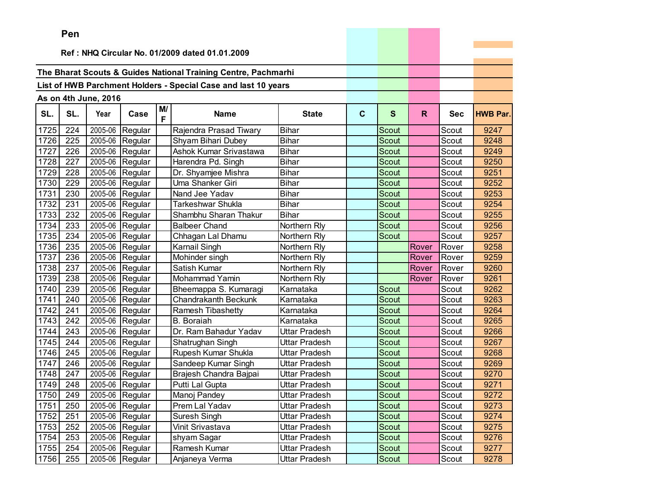|      | Pen |                      |                   |         |                                                                |               |             |              |       |            |                 |
|------|-----|----------------------|-------------------|---------|----------------------------------------------------------------|---------------|-------------|--------------|-------|------------|-----------------|
|      |     |                      |                   |         |                                                                |               |             |              |       |            |                 |
|      |     |                      |                   |         | Ref: NHQ Circular No. 01/2009 dated 01.01.2009                 |               |             |              |       |            |                 |
|      |     |                      |                   |         | The Bharat Scouts & Guides National Training Centre, Pachmarhi |               |             |              |       |            |                 |
|      |     |                      |                   |         |                                                                |               |             |              |       |            |                 |
|      |     |                      |                   |         | List of HWB Parchment Holders - Special Case and last 10 years |               |             |              |       |            |                 |
|      |     | As on 4th June, 2016 |                   |         |                                                                |               |             |              |       |            |                 |
| SL.  | SL. | Year                 | Case              | M/<br>F | <b>Name</b>                                                    | <b>State</b>  | $\mathbf c$ | $\mathbf{s}$ | R.    | <b>Sec</b> | <b>HWB Par.</b> |
| 1725 | 224 | 2005-06              | Regular           |         | Rajendra Prasad Tiwary                                         | <b>Bihar</b>  |             | Scout        |       | Scout      | 9247            |
| 1726 | 225 | 2005-06              | Regular           |         | Shyam Bihari Dubey                                             | <b>Bihar</b>  |             | Scout        |       | Scout      | 9248            |
| 1727 | 226 | 2005-06              | Regular           |         | Ashok Kumar Srivastawa                                         | <b>Bihar</b>  |             | Scout        |       | Scout      | 9249            |
| 1728 | 227 | 2005-06              | Regular           |         | Harendra Pd. Singh                                             | <b>Bihar</b>  |             | Scout        |       | Scout      | 9250            |
| 1729 | 228 | 2005-06              | Regular           |         | Dr. Shyamjee Mishra                                            | Bihar         |             | Scout        |       | Scout      | 9251            |
| 1730 | 229 | 2005-06              | Regular           |         | Uma Shanker Giri                                               | <b>Bihar</b>  |             | Scout        |       | Scout      | 9252            |
| 1731 | 230 | 2005-06              | Regular           |         | Nand Jee Yadav                                                 | <b>Bihar</b>  |             | Scout        |       | Scout      | 9253            |
| 1732 | 231 | 2005-06              | Regular           |         | Tarkeshwar Shukla                                              | <b>Bihar</b>  |             | Scout        |       | Scout      | 9254            |
| 1733 | 232 | 2005-06              | Regular           |         | Shambhu Sharan Thakur                                          | <b>Bihar</b>  |             | Scout        |       | Scout      | 9255            |
| 1734 | 233 | 2005-06              | Regular           |         | <b>Balbeer Chand</b>                                           | Northern Rly  |             | Scout        |       | Scout      | 9256            |
| 1735 | 234 | 2005-06              | Regular           |         | Chhagan Lal Dhamu                                              | Northern Rly  |             | Scout        |       | Scout      | 9257            |
| 1736 | 235 | 2005-06              | Regular           |         | Karnail Singh                                                  | Northern Rly  |             |              | Rover | Rover      | 9258            |
| 1737 | 236 | 2005-06              | Regular           |         | Mohinder singh                                                 | Northern Rly  |             |              | Rover | Rover      | 9259            |
| 1738 | 237 | 2005-06              | Regular           |         | Satish Kumar                                                   | Northern Rly  |             |              | Rover | Rover      | 9260            |
| 1739 | 238 | 2005-06              | Regular           |         | <b>Mohammad Yamin</b>                                          | Northern Rly  |             |              | Rover | Rover      | 9261            |
| 1740 | 239 | 2005-06              | Regular           |         | Bheemappa S. Kumaragi                                          | Karnataka     |             | Scout        |       | Scout      | 9262            |
| 1741 | 240 | 2005-06              | Regular           |         | <b>Chandrakanth Beckunk</b>                                    | Karnataka     |             | <b>Scout</b> |       | Scout      | 9263            |
| 1742 | 241 | 2005-06              | Regular           |         | Ramesh Tibashetty                                              | Karnataka     |             | Scout        |       | Scout      | 9264            |
| 1743 | 242 | 2005-06              | Regular           |         | <b>B.</b> Boraiah                                              | Karnataka     |             | Scout        |       | Scout      | 9265            |
| 1744 | 243 | 2005-06              | Regular           |         | Dr. Ram Bahadur Yadav                                          | Uttar Pradesh |             | <b>Scout</b> |       | Scout      | 9266            |
| 1745 | 244 | 2005-06              | Regular           |         | Shatrughan Singh                                               | Uttar Pradesh |             | Scout        |       | Scout      | 9267            |
| 1746 | 245 | 2005-06              | Regular           |         | Rupesh Kumar Shukla                                            | Uttar Pradesh |             | Scout        |       | Scout      | 9268            |
| 1747 | 246 | 2005-06              | Regular           |         | Sandeep Kumar Singh                                            | Uttar Pradesh |             | Scout        |       | Scout      | 9269            |
| 1748 | 247 | 2005-06              | Regular           |         | Brajesh Chandra Bajpai                                         | Uttar Pradesh |             | Scout        |       | Scout      | 9270            |
| 1749 | 248 | 2005-06              | Regular           |         | Putti Lal Gupta                                                | Uttar Pradesh |             | Scout        |       | Scout      | 9271            |
| 1750 | 249 |                      | $2005-06$ Regular |         | Manoj Pandey                                                   | Uttar Pradesh |             | Scout        |       | Scout      | 9272            |
| 1751 | 250 |                      | 2005-06 Regular   |         | Prem Lal Yadav                                                 | Uttar Pradesh |             | Scout        |       | Scout      | 9273            |
| 1752 | 251 |                      | 2005-06 Regular   |         | Suresh Singh                                                   | Uttar Pradesh |             | Scout        |       | Scout      | 9274            |
| 1753 | 252 |                      | 2005-06 Regular   |         | Vinit Srivastava                                               | Uttar Pradesh |             | Scout        |       | Scout      | 9275            |
| 1754 | 253 |                      | 2005-06 Regular   |         | shyam Sagar                                                    | Uttar Pradesh |             | Scout        |       | Scout      | 9276            |
| 1755 | 254 | 2005-06              | Regular           |         | Ramesh Kumar                                                   | Uttar Pradesh |             | Scout        |       | Scout      | 9277            |
| 1756 | 255 |                      | 2005-06 Regular   |         | Anjaneya Verma                                                 | Uttar Pradesh |             | Scout        |       | Scout      | 9278            |

the control of the control of the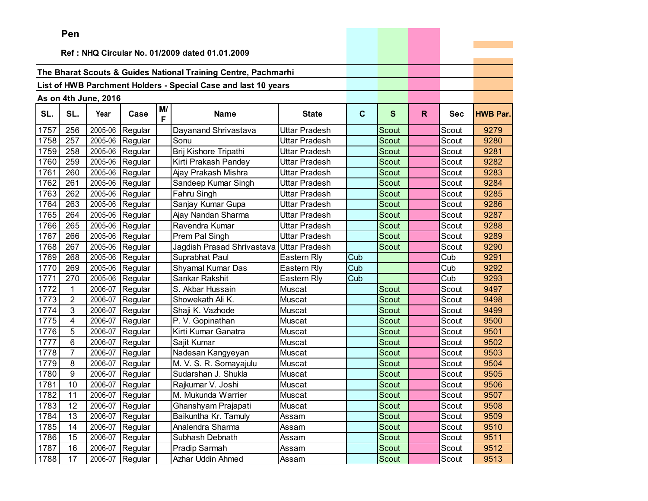|      | ren            |                      |                 |         |                                                                |                      |              |              |              |            |                 |
|------|----------------|----------------------|-----------------|---------|----------------------------------------------------------------|----------------------|--------------|--------------|--------------|------------|-----------------|
|      |                |                      |                 |         | Ref: NHQ Circular No. 01/2009 dated 01.01.2009                 |                      |              |              |              |            |                 |
|      |                |                      |                 |         |                                                                |                      |              |              |              |            |                 |
|      |                |                      |                 |         | The Bharat Scouts & Guides National Training Centre, Pachmarhi |                      |              |              |              |            |                 |
|      |                |                      |                 |         | List of HWB Parchment Holders - Special Case and last 10 years |                      |              |              |              |            |                 |
|      |                |                      |                 |         |                                                                |                      |              |              |              |            |                 |
|      |                | As on 4th June, 2016 |                 |         |                                                                |                      |              |              |              |            |                 |
| SL.  | SL.            | Year                 | Case            | M/<br>F | <b>Name</b>                                                    | <b>State</b>         | $\mathbf{C}$ | $\mathbf{s}$ | $\mathsf{R}$ | <b>Sec</b> | <b>HWB Par.</b> |
| 1757 | 256            | 2005-06              | Regular         |         | Dayanand Shrivastava                                           | Uttar Pradesh        |              | Scout        |              | Scout      | 9279            |
| 1758 | 257            | 2005-06              | Regular         |         | Sonu                                                           | Uttar Pradesh        |              | <b>Scout</b> |              | Scout      | 9280            |
| 1759 | 258            | 2005-06              | Regular         |         | Brij Kishore Tripathi                                          | Uttar Pradesh        |              | Scout        |              | Scout      | 9281            |
| 1760 | 259            | 2005-06              | Regular         |         | Kirti Prakash Pandey                                           | Uttar Pradesh        |              | Scout        |              | Scout      | 9282            |
| 1761 | 260            | 2005-06              | Regular         |         | Ajay Prakash Mishra                                            | Uttar Pradesh        |              | <b>Scout</b> |              | Scout      | 9283            |
| 1762 | 261            | 2005-06              | Regular         |         | Sandeep Kumar Singh                                            | Uttar Pradesh        |              | Scout        |              | Scout      | 9284            |
| 1763 | 262            | 2005-06              | Regular         |         | Fahru Singh                                                    | Uttar Pradesh        |              | Scout        |              | Scout      | 9285            |
| 1764 | 263            | 2005-06              | Regular         |         | Sanjay Kumar Gupa                                              | Uttar Pradesh        |              | <b>Scout</b> |              | Scout      | 9286            |
| 1765 | 264            | 2005-06              | Regular         |         | Ajay Nandan Sharma                                             | Uttar Pradesh        |              | <b>Scout</b> |              | Scout      | 9287            |
| 1766 | 265            | 2005-06              | Regular         |         | Ravendra Kumar                                                 | Uttar Pradesh        |              | Scout        |              | Scout      | 9288            |
| 1767 | 266            | 2005-06              | Regular         |         | Prem Pal Singh                                                 | Uttar Pradesh        |              | <b>Scout</b> |              | Scout      | 9289            |
| 1768 | 267            | 2005-06              | Regular         |         | Jagdish Prasad Shrivastava                                     | <b>Uttar Pradesh</b> |              | Scout        |              | Scout      | 9290            |
| 1769 | 268            | 2005-06              | Regular         |         | Suprabhat Paul                                                 | Eastern Rly          | Cub          |              |              | Cub        | 9291            |
| 1770 | 269            | 2005-06              | Regular         |         | Shyamal Kumar Das                                              | Eastern Rly          | Cub          |              |              | Cub        | 9292            |
| 1771 | 270            | 2005-06              | Regular         |         | Sankar Rakshit                                                 | Eastern Rly          | Cub          |              |              | Cub        | 9293            |
| 1772 | 1              | 2006-07              | Regular         |         | S. Akbar Hussain                                               | Muscat               |              | Scout        |              | Scout      | 9497            |
| 1773 | 2              | 2006-07              | Regular         |         | Showekath Ali K.                                               | Muscat               |              | Scout        |              | Scout      | 9498            |
| 1774 | 3              | 2006-07              | Regular         |         | Shaji K. Vazhode                                               | Muscat               |              | Scout        |              | Scout      | 9499            |
| 1775 | 4              | 2006-07              | Regular         |         | P. V. Gopinathan                                               | Muscat               |              | Scout        |              | Scout      | 9500            |
| 1776 | 5              | 2006-07              | Regular         |         | Kirti Kumar Ganatra                                            | Muscat               |              | Scout        |              | Scout      | 9501            |
| 1777 | 6              | 2006-07              | Regular         |         | Sajit Kumar                                                    | Muscat               |              | Scout        |              | Scout      | 9502            |
| 1778 | $\overline{7}$ | 2006-07              | Regular         |         | Nadesan Kangyeyan                                              | Muscat               |              | Scout        |              | Scout      | 9503            |
| 1779 | 8              | 2006-07              | Regular         |         | M. V. S. R. Somayajulu                                         | Muscat               |              | Scout        |              | Scout      | 9504            |
| 1780 | 9              | 2006-07              | Regular         |         | Sudarshan J. Shukla                                            | Muscat               |              | Scout        |              | Scout      | 9505            |
| 1781 | 10             | 2006-07              | Regular         |         | Rajkumar V. Joshi                                              | Muscat               |              | Scout        |              | Scout      | 9506            |
| 1782 | 11             | 2006-07              | Regular         |         | M. Mukunda Warrier                                             | Muscat               |              | Scout        |              | Scout      | 9507            |
| 1783 | 12             |                      | 2006-07 Regular |         | Ghanshyam Prajapati                                            | Muscat               |              | Scout        |              | Scout      | 9508            |
| 1784 | 13             | 2006-07              | Regular         |         | Baikuntha Kr. Tamuly                                           | Assam                |              | Scout        |              | Scout      | 9509            |
| 1785 | 14             | 2006-07              | Regular         |         | Analendra Sharma                                               | Assam                |              | Scout        |              | Scout      | 9510            |
| 1786 | 15             | 2006-07              | Regular         |         | Subhash Debnath                                                | Assam                |              | Scout        |              | Scout      | 9511            |
| 1787 | 16             | 2006-07              | Regular         |         | Pradip Sarmah                                                  | Assam                |              | Scout        |              | Scout      | 9512            |
| 1788 | 17             | 2006-07              | Regular         |         | Azhar Uddin Ahmed                                              | Assam                |              | Scout        |              | Scout      | 9513            |

the control of the control of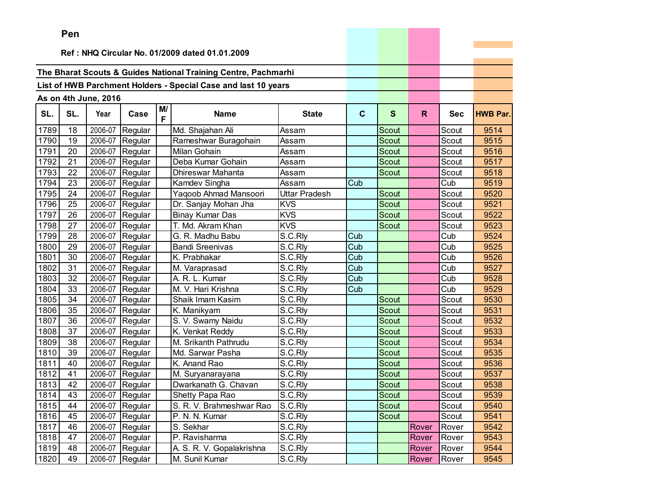|      | Pen |                      |                 |         |                                                                |                      |              |              |       |            |                 |
|------|-----|----------------------|-----------------|---------|----------------------------------------------------------------|----------------------|--------------|--------------|-------|------------|-----------------|
|      |     |                      |                 |         | Ref: NHQ Circular No. 01/2009 dated 01.01.2009                 |                      |              |              |       |            |                 |
|      |     |                      |                 |         |                                                                |                      |              |              |       |            |                 |
|      |     |                      |                 |         | The Bharat Scouts & Guides National Training Centre, Pachmarhi |                      |              |              |       |            |                 |
|      |     |                      |                 |         | List of HWB Parchment Holders - Special Case and last 10 years |                      |              |              |       |            |                 |
|      |     |                      |                 |         |                                                                |                      |              |              |       |            |                 |
|      |     | As on 4th June, 2016 |                 |         |                                                                |                      |              |              |       |            |                 |
| SL.  | SL. | Year                 | Case            | M/<br>F | <b>Name</b>                                                    | <b>State</b>         | $\mathbf{C}$ | $\mathbf{s}$ | R.    | <b>Sec</b> | <b>HWB Par.</b> |
| 1789 | 18  | 2006-07              | Regular         |         | Md. Shajahan Ali                                               | Assam                |              | Scout        |       | Scout      | 9514            |
| 1790 | 19  | 2006-07              | Regular         |         | Rameshwar Buragohain                                           | Assam                |              | Scout        |       | Scout      | 9515            |
| 1791 | 20  | 2006-07              | Regular         |         | Milan Gohain                                                   | Assam                |              | Scout        |       | Scout      | 9516            |
| 1792 | 21  | 2006-07              | Regular         |         | Deba Kumar Gohain                                              | Assam                |              | <b>Scout</b> |       | Scout      | 9517            |
| 1793 | 22  | 2006-07              | Regular         |         | Dhireswar Mahanta                                              | Assam                |              | Scout        |       | Scout      | 9518            |
| 1794 | 23  | 2006-07              | Regular         |         | Kamdev Singha                                                  | Assam                | Cub          |              |       | Cub        | 9519            |
| 1795 | 24  | 2006-07              | Regular         |         | Yaqoob Ahmad Mansoori                                          | <b>Uttar Pradesh</b> |              | Scout        |       | Scout      | 9520            |
| 1796 | 25  | 2006-07              | Regular         |         | Dr. Sanjay Mohan Jha                                           | <b>KVS</b>           |              | Scout        |       | Scout      | 9521            |
| 1797 | 26  | 2006-07              | Regular         |         | <b>Binay Kumar Das</b>                                         | <b>KVS</b>           |              | Scout        |       | Scout      | 9522            |
| 1798 | 27  | 2006-07              | Regular         |         | T. Md. Akram Khan                                              | <b>KVS</b>           |              | Scout        |       | Scout      | 9523            |
| 1799 | 28  | 2006-07              | Regular         |         | G. R. Madhu Babu                                               | S.C.Rly              | Cub          |              |       | Cub        | 9524            |
| 1800 | 29  | 2006-07              | Regular         |         | <b>Bandi Sreenivas</b>                                         | S.C.Rly              | Cub          |              |       | Cub        | 9525            |
| 1801 | 30  | 2006-07              | Regular         |         | K. Prabhakar                                                   | S.C.Rly              | Cub          |              |       | Cub        | 9526            |
| 1802 | 31  | 2006-07              | Regular         |         | M. Varaprasad                                                  | S.C.Rly              | Cub          |              |       | Cub        | 9527            |
| 1803 | 32  | 2006-07              | Regular         |         | A. R. L. Kumar                                                 | S.C.Rly              | Cub          |              |       | Cub        | 9528            |
| 1804 | 33  | 2006-07              | Regular         |         | M. V. Hari Krishna                                             | S.C.Rly              | Cub          |              |       | Cub        | 9529            |
| 1805 | 34  | 2006-07              | Regular         |         | Shaik Imam Kasim                                               | S.C.Rly              |              | <b>Scout</b> |       | Scout      | 9530            |
| 1806 | 35  | 2006-07              | Regular         |         | K. Manikyam                                                    | S.C.Rly              |              | Scout        |       | Scout      | 9531            |
| 1807 | 36  | 2006-07              | Regular         |         | S. V. Swamy Naidu                                              | S.C.Rly              |              | Scout        |       | Scout      | 9532            |
| 1808 | 37  | 2006-07              | Regular         |         | K. Venkat Reddy                                                | S.C.Rly              |              | <b>Scout</b> |       | Scout      | 9533            |
| 1809 | 38  | 2006-07              | Regular         |         | M. Srikanth Pathrudu                                           | S.C.Rly              |              | <b>Scout</b> |       | Scout      | 9534            |
| 1810 | 39  | 2006-07              | Regular         |         | Md. Sarwar Pasha                                               | S.C.Rly              |              | Scout        |       | Scout      | 9535            |
| 1811 | 40  | 2006-07              | Regular         |         | K. Anand Rao                                                   | S.C.Rly              |              | Scout        |       | Scout      | 9536            |
| 1812 | 41  | 2006-07              | Regular         |         | M. Suryanarayana                                               | S.C.Rly              |              | Scout        |       | Scout      | 9537            |
| 1813 | 42  | 2006-07              | Regular         |         | Dwarkanath G. Chavan                                           | S.C.Rly              |              | Scout        |       | Scout      | 9538            |
| 1814 | 43  |                      | 2006-07 Regular |         | Shetty Papa Rao                                                | S.C.Rly              |              | Scout        |       | Scout      | 9539            |
| 1815 | 44  |                      | 2006-07 Regular |         | S. R. V. Brahmeshwar Rao                                       | S.C.Rly              |              | Scout        |       | Scout      | 9540            |
| 1816 | 45  |                      | 2006-07 Regular |         | P. N. N. Kumar                                                 | S.C.Rly              |              | <b>Scout</b> |       | Scout      | 9541            |
| 1817 | 46  | 2006-07              | Regular         |         | S. Sekhar                                                      | S.C.Rly              |              |              | Rover | Rover      | 9542            |
| 1818 | 47  | 2006-07              | Regular         |         | P. Ravisharma                                                  | S.C.Rly              |              |              | Rover | Rover      | 9543            |
| 1819 | 48  | 2006-07              | Regular         |         | A. S. R. V. Gopalakrishna                                      | S.C.Rly              |              |              | Rover | Rover      | 9544            |
| 1820 | 49  | 2006-07              | Regular         |         | M. Sunil Kumar                                                 | S.C.Rly              |              |              | Rover | Rover      | 9545            |

the company's company's company's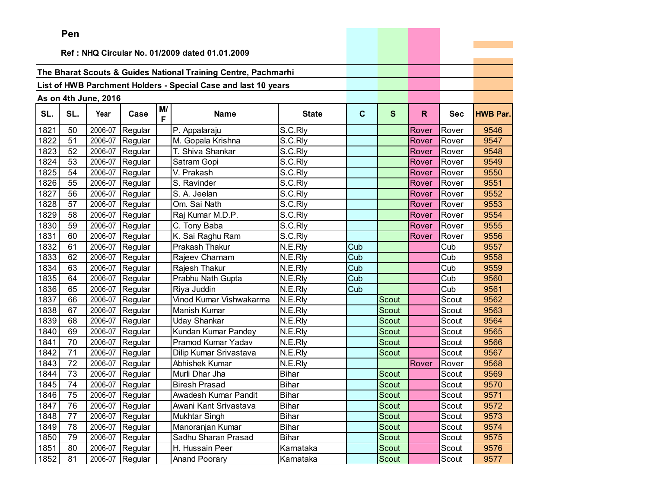|      | <b>Pen</b>                                     |                      |                 |         |                                                                |              |                         |              |              |            |                 |
|------|------------------------------------------------|----------------------|-----------------|---------|----------------------------------------------------------------|--------------|-------------------------|--------------|--------------|------------|-----------------|
|      | Ref: NHQ Circular No. 01/2009 dated 01.01.2009 |                      |                 |         |                                                                |              |                         |              |              |            |                 |
|      |                                                |                      |                 |         |                                                                |              |                         |              |              |            |                 |
|      |                                                |                      |                 |         | The Bharat Scouts & Guides National Training Centre, Pachmarhi |              |                         |              |              |            |                 |
|      |                                                |                      |                 |         | List of HWB Parchment Holders - Special Case and last 10 years |              |                         |              |              |            |                 |
|      |                                                |                      |                 |         |                                                                |              |                         |              |              |            |                 |
|      |                                                | As on 4th June, 2016 |                 |         |                                                                |              |                         |              |              |            |                 |
| SL.  | SL.                                            | Year                 | Case            | M/<br>F | Name                                                           | <b>State</b> | $\mathbf{C}$            | $\mathbf{s}$ | R.           | <b>Sec</b> | <b>HWB Par.</b> |
| 1821 | 50                                             | 2006-07              | Regular         |         | P. Appalaraju                                                  | S.C.Rly      |                         |              | Rover        | Rover      | 9546            |
| 1822 | 51                                             | 2006-07              | Regular         |         | M. Gopala Krishna                                              | S.C.Rly      |                         |              | <b>Rover</b> | Rover      | 9547            |
| 1823 | 52                                             | 2006-07              | Regular         |         | T. Shiva Shankar                                               | S.C.Rly      |                         |              | Rover        | Rover      | 9548            |
| 1824 | 53                                             | 2006-07              | Regular         |         | Satram Gopi                                                    | S.C.Rly      |                         |              | Rover        | Rover      | 9549            |
| 1825 | 54                                             | 2006-07              | Regular         |         | V. Prakash                                                     | S.C.Rly      |                         |              | Rover        | Rover      | 9550            |
| 1826 | 55                                             | 2006-07              | Regular         |         | S. Ravinder                                                    | S.C.Rly      |                         |              | Rover        | Rover      | 9551            |
| 1827 | 56                                             | 2006-07              | Regular         |         | S. A. Jeelan                                                   | S.C.Rly      |                         |              | Rover        | Rover      | 9552            |
| 1828 | 57                                             | 2006-07              | Regular         |         | Om. Sai Nath                                                   | S.C.Rly      |                         |              | Rover        | Rover      | 9553            |
| 1829 | 58                                             | 2006-07              | Regular         |         | Raj Kumar M.D.P.                                               | S.C.Rly      |                         |              | Rover        | Rover      | 9554            |
| 1830 | 59                                             | 2006-07              | Regular         |         | C. Tony Baba                                                   | S.C.Rly      |                         |              | Rover        | Rover      | 9555            |
| 1831 | 60                                             | 2006-07              | Regular         |         | K. Sai Raghu Ram                                               | S.C.Rly      |                         |              | Rover        | Rover      | 9556            |
| 1832 | 61                                             | 2006-07              | Regular         |         | Prakash Thakur                                                 | N.E.Rly      | Cub                     |              |              | Cub        | 9557            |
| 1833 | 62                                             | 2006-07              | Regular         |         | Rajeev Charnam                                                 | N.E.Rly      | Cub                     |              |              | Cub        | 9558            |
| 1834 | 63                                             | 2006-07              | Regular         |         | Rajesh Thakur                                                  | N.E.Rly      | Cub                     |              |              | Cub        | 9559            |
| 1835 | 64                                             | 2006-07              | Regular         |         | Prabhu Nath Gupta                                              | N.E.Rly      | Cub                     |              |              | Cub        | 9560            |
| 1836 | 65                                             | 2006-07              | Regular         |         | Riya Juddin                                                    | N.E.Rly      | $\overline{\text{Cub}}$ |              |              | Cub        | 9561            |
| 1837 | 66                                             | 2006-07              | Regular         |         | Vinod Kumar Vishwakarma                                        | N.E.Rly      |                         | Scout        |              | Scout      | 9562            |
| 1838 | 67                                             | 2006-07              | Regular         |         | <b>Manish Kumar</b>                                            | N.E.Rly      |                         | Scout        |              | Scout      | 9563            |
| 1839 | 68                                             | 2006-07              | Regular         |         | <b>Uday Shankar</b>                                            | N.E.Rly      |                         | Scout        |              | Scout      | 9564            |
| 1840 | 69                                             | 2006-07              | Regular         |         | Kundan Kumar Pandey                                            | N.E.Rly      |                         | Scout        |              | Scout      | 9565            |
| 1841 | 70                                             | 2006-07              | Regular         |         | Pramod Kumar Yadav                                             | N.E.Rly      |                         | Scout        |              | Scout      | 9566            |
| 1842 | 71                                             | 2006-07              | Regular         |         | Dilip Kumar Srivastava                                         | N.E.Rly      |                         | Scout        |              | Scout      | 9567            |
| 1843 | 72                                             | 2006-07              | Regular         |         | Abhishek Kumar                                                 | N.E.Rly      |                         |              | Rover        | Rover      | 9568            |
| 1844 | 73                                             | 2006-07              | Regular         |         | Murli Dhar Jha                                                 | <b>Bihar</b> |                         | Scout        |              | Scout      | 9569            |
| 1845 | 74                                             | 2006-07              | Regular         |         | <b>Biresh Prasad</b>                                           | <b>Bihar</b> |                         | Scout        |              | Scout      | 9570            |
| 1846 | 75                                             |                      | 2006-07 Regular |         | Awadesh Kumar Pandit                                           | <b>Bihar</b> |                         | Scout        |              | Scout      | 9571            |
| 1847 | 76                                             |                      | 2006-07 Regular |         | Awani Kant Srivastava                                          | <b>Bihar</b> |                         | Scout        |              | Scout      | 9572            |
| 1848 | 77                                             | 2006-07              | Regular         |         | <b>Mukhtar Singh</b>                                           | <b>Bihar</b> |                         | Scout        |              | Scout      | 9573            |
| 1849 | 78                                             | 2006-07              | Regular         |         | Manoranjan Kumar                                               | Bihar        |                         | Scout        |              | Scout      | 9574            |
| 1850 | 79                                             | 2006-07              | Regular         |         | Sadhu Sharan Prasad                                            | Bihar        |                         | Scout        |              | Scout      | 9575            |
| 1851 | 80                                             | 2006-07              | Regular         |         | H. Hussain Peer                                                | Karnataka    |                         | Scout        |              | Scout      | 9576            |
| 1852 | 81                                             | 2006-07              | Regular         |         | <b>Anand Poorary</b>                                           | Karnataka    |                         | Scout        |              | Scout      | 9577            |

the control of the control of the control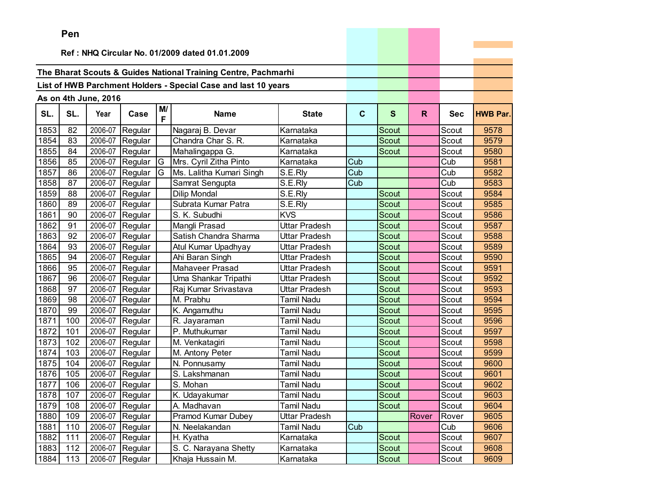|      | <b>Fell</b> |                      |                 |         |                                                                |                      |             |              |              |            |                 |
|------|-------------|----------------------|-----------------|---------|----------------------------------------------------------------|----------------------|-------------|--------------|--------------|------------|-----------------|
|      |             |                      |                 |         | Ref: NHQ Circular No. 01/2009 dated 01.01.2009                 |                      |             |              |              |            |                 |
|      |             |                      |                 |         |                                                                |                      |             |              |              |            |                 |
|      |             |                      |                 |         | The Bharat Scouts & Guides National Training Centre, Pachmarhi |                      |             |              |              |            |                 |
|      |             |                      |                 |         | List of HWB Parchment Holders - Special Case and last 10 years |                      |             |              |              |            |                 |
|      |             |                      |                 |         |                                                                |                      |             |              |              |            |                 |
|      |             | As on 4th June, 2016 |                 |         |                                                                |                      |             |              |              |            |                 |
| SL.  | SL.         | Year                 | Case            | M/<br>F | <b>Name</b>                                                    | <b>State</b>         | $\mathbf c$ | S            | $\mathsf{R}$ | <b>Sec</b> | <b>HWB Par.</b> |
| 1853 | 82          | 2006-07              | Regular         |         | Nagaraj B. Devar                                               | Karnataka            |             | Scout        |              | Scout      | 9578            |
| 1854 | 83          | 2006-07              | Regular         |         | Chandra Char S. R.                                             | Karnataka            |             | <b>Scout</b> |              | Scout      | 9579            |
| 1855 | 84          | 2006-07              | Regular         |         | Mahalingappa G.                                                | Karnataka            |             | Scout        |              | Scout      | 9580            |
| 1856 | 85          | 2006-07              | Regular         | G       | Mrs. Cyril Zitha Pinto                                         | Karnataka            | Cub         |              |              | Cub        | 9581            |
| 1857 | 86          | 2006-07              | Regular         | G       | Ms. Lalitha Kumari Singh                                       | S.E.Rly              | Cub         |              |              | Cub        | 9582            |
| 1858 | 87          | 2006-07              | Regular         |         | Samrat Sengupta                                                | S.E.Rly              | Cub         |              |              | Cub        | 9583            |
| 1859 | 88          | 2006-07              | Regular         |         | <b>Dilip Mondal</b>                                            | S.E.Rly              |             | Scout        |              | Scout      | 9584            |
| 1860 | 89          | 2006-07              | Regular         |         | Subrata Kumar Patra                                            | S.E.Rly              |             | <b>Scout</b> |              | Scout      | 9585            |
| 1861 | 90          | 2006-07              | Regular         |         | S. K. Subudhi                                                  | <b>KVS</b>           |             | Scout        |              | Scout      | 9586            |
| 1862 | 91          | 2006-07              | Regular         |         | Mangli Prasad                                                  | Uttar Pradesh        |             | <b>Scout</b> |              | Scout      | 9587            |
| 1863 | 92          | 2006-07              | Regular         |         | Satish Chandra Sharma                                          | Uttar Pradesh        |             | <b>Scout</b> |              | Scout      | 9588            |
| 1864 | 93          | 2006-07              | Regular         |         | Atul Kumar Upadhyay                                            | Uttar Pradesh        |             | Scout        |              | Scout      | 9589            |
| 1865 | 94          | 2006-07              | Regular         |         | Ahi Baran Singh                                                | <b>Uttar Pradesh</b> |             | <b>Scout</b> |              | Scout      | 9590            |
| 1866 | 95          | 2006-07              | Regular         |         | <b>Mahaveer Prasad</b>                                         | Uttar Pradesh        |             | Scout        |              | Scout      | 9591            |
| 1867 | 96          | 2006-07              | Regular         |         | Uma Shankar Tripathi                                           | Uttar Pradesh        |             | <b>Scout</b> |              | Scout      | 9592            |
| 1868 | 97          | 2006-07              | Regular         |         | Raj Kumar Srivastava                                           | Uttar Pradesh        |             | Scout        |              | Scout      | 9593            |
| 1869 | 98          | 2006-07              | Regular         |         | M. Prabhu                                                      | <b>Tamil Nadu</b>    |             | Scout        |              | Scout      | 9594            |
| 1870 | 99          | 2006-07              | Regular         |         | K. Angamuthu                                                   | Tamil Nadu           |             | Scout        |              | Scout      | 9595            |
| 1871 | 100         | 2006-07              | Regular         |         | R. Jayaraman                                                   | <b>Tamil Nadu</b>    |             | Scout        |              | Scout      | 9596            |
| 1872 | 101         | 2006-07              | Regular         |         | P. Muthukumar                                                  | <b>Tamil Nadu</b>    |             | Scout        |              | Scout      | 9597            |
| 1873 | 102         | 2006-07              | Regular         |         | M. Venkatagiri                                                 | Tamil Nadu           |             | <b>Scout</b> |              | Scout      | 9598            |
| 1874 | 103         | 2006-07              | Regular         |         | M. Antony Peter                                                | <b>Tamil Nadu</b>    |             | Scout        |              | Scout      | 9599            |
| 1875 | 104         | 2006-07              | Regular         |         | N. Ponnusamy                                                   | <b>Tamil Nadu</b>    |             | Scout        |              | Scout      | 9600            |
| 1876 | 105         | 2006-07              | Regular         |         | S. Lakshmanan                                                  | Tamil Nadu           |             | <b>Scout</b> |              | Scout      | 9601            |
| 1877 | 106         | 2006-07              | Regular         |         | S. Mohan                                                       | <b>Tamil Nadu</b>    |             | Scout        |              | Scout      | 9602            |
| 1878 | 107         |                      | 2006-07 Regular |         | K. Udayakumar                                                  | <b>Tamil Nadu</b>    |             | Scout        |              | Scout      | 9603            |
| 1879 | 108         |                      | 2006-07 Regular |         | A. Madhavan                                                    | <b>Tamil Nadu</b>    |             | <b>Scout</b> |              | Scout      | 9604            |
| 1880 | 109         |                      | 2006-07 Regular |         | Pramod Kumar Dubey                                             | Uttar Pradesh        |             |              | Rover        | Rover      | 9605            |
| 1881 | 110         |                      | 2006-07 Regular |         | N. Neelakandan                                                 | <b>Tamil Nadu</b>    | Cub         |              |              | Cub        | 9606            |
| 1882 | 111         |                      | 2006-07 Regular |         | H. Kyatha                                                      | Karnataka            |             | Scout        |              | Scout      | 9607            |
| 1883 | 112         | 2006-07              | Regular         |         | S. C. Narayana Shetty                                          | Karnataka            |             | Scout        |              | Scout      | 9608            |
| 1884 | 113         |                      | 2006-07 Regular |         | Khaja Hussain M.                                               | Karnataka            |             | Scout        |              | Scout      | 9609            |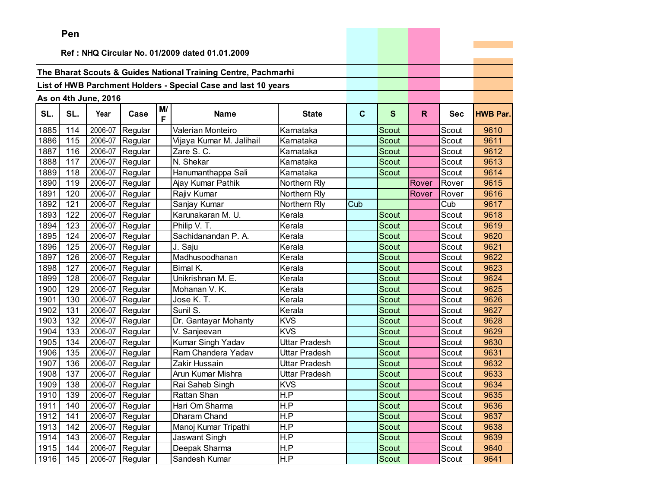|      | Pen |                      |                 |         |                                                                |               |             |              |       |            |                 |
|------|-----|----------------------|-----------------|---------|----------------------------------------------------------------|---------------|-------------|--------------|-------|------------|-----------------|
|      |     |                      |                 |         | Ref: NHQ Circular No. 01/2009 dated 01.01.2009                 |               |             |              |       |            |                 |
|      |     |                      |                 |         |                                                                |               |             |              |       |            |                 |
|      |     |                      |                 |         | The Bharat Scouts & Guides National Training Centre, Pachmarhi |               |             |              |       |            |                 |
|      |     |                      |                 |         | List of HWB Parchment Holders - Special Case and last 10 years |               |             |              |       |            |                 |
|      |     |                      |                 |         |                                                                |               |             |              |       |            |                 |
|      |     | As on 4th June, 2016 |                 |         |                                                                |               |             |              |       |            |                 |
| SL.  | SL. | Year                 | Case            | M/<br>F | <b>Name</b>                                                    | <b>State</b>  | $\mathbf c$ | $\mathbf{s}$ | R.    | <b>Sec</b> | <b>HWB Par.</b> |
| 1885 | 114 | 2006-07              | Regular         |         | Valerian Monteiro                                              | Karnataka     |             | Scout        |       | Scout      | 9610            |
| 1886 | 115 | 2006-07              | Regular         |         | Vijaya Kumar M. Jalihail                                       | Karnataka     |             | Scout        |       | Scout      | 9611            |
| 1887 | 116 | 2006-07              | Regular         |         | Zare S. C.                                                     | Karnataka     |             | Scout        |       | Scout      | 9612            |
| 1888 | 117 | 2006-07              | Regular         |         | N. Shekar                                                      | Karnataka     |             | Scout        |       | Scout      | 9613            |
| 1889 | 118 | 2006-07              | Regular         |         | Hanumanthappa Sali                                             | Karnataka     |             | Scout        |       | Scout      | 9614            |
| 1890 | 119 | 2006-07              | Regular         |         | Ajay Kumar Pathik                                              | Northern Rly  |             |              | Rover | Rover      | 9615            |
| 1891 | 120 | 2006-07              | Regular         |         | Rajiv Kumar                                                    | Northern Rly  |             |              | Rover | Rover      | 9616            |
| 1892 | 121 | 2006-07              | Regular         |         | Sanjay Kumar                                                   | Northern Rly  | Cub         |              |       | Cub        | 9617            |
| 1893 | 122 | 2006-07              | Regular         |         | Karunakaran M. U.                                              | Kerala        |             | Scout        |       | Scout      | 9618            |
| 1894 | 123 | 2006-07              | Regular         |         | Philip V. T.                                                   | Kerala        |             | Scout        |       | Scout      | 9619            |
| 1895 | 124 | 2006-07              | Regular         |         | Sachidanandan P. A.                                            | Kerala        |             | Scout        |       | Scout      | 9620            |
| 1896 | 125 | 2006-07              | Regular         |         | J. Saju                                                        | Kerala        |             | Scout        |       | Scout      | 9621            |
| 1897 | 126 | 2006-07              | Regular         |         | Madhusoodhanan                                                 | Kerala        |             | Scout        |       | Scout      | 9622            |
| 1898 | 127 | 2006-07              | Regular         |         | Bimal K.                                                       | Kerala        |             | Scout        |       | Scout      | 9623            |
| 1899 | 128 | 2006-07              | Regular         |         | Unikrishnan M. E.                                              | Kerala        |             | Scout        |       | Scout      | 9624            |
| 1900 | 129 | 2006-07              | Regular         |         | Mohanan V. K.                                                  | Kerala        |             | Scout        |       | Scout      | 9625            |
| 1901 | 130 | 2006-07              | Regular         |         | Jose K. T.                                                     | Kerala        |             | <b>Scout</b> |       | Scout      | 9626            |
| 1902 | 131 | 2006-07              | Regular         |         | Sunil S.                                                       | Kerala        |             | Scout        |       | Scout      | 9627            |
| 1903 | 132 | 2006-07              | Regular         |         | Dr. Gantayar Mohanty                                           | <b>KVS</b>    |             | Scout        |       | Scout      | 9628            |
| 1904 | 133 | 2006-07              | Regular         |         | V. Sanjeevan                                                   | <b>KVS</b>    |             | <b>Scout</b> |       | Scout      | 9629            |
| 1905 | 134 | 2006-07              | Regular         |         | Kumar Singh Yadav                                              | Uttar Pradesh |             | <b>Scout</b> |       | Scout      | 9630            |
| 1906 | 135 | 2006-07              | Regular         |         | Ram Chandera Yadav                                             | Uttar Pradesh |             | <b>Scout</b> |       | Scout      | 9631            |
| 1907 | 136 | 2006-07              | Regular         |         | Zakir Hussain                                                  | Uttar Pradesh |             | Scout        |       | Scout      | 9632            |
| 1908 | 137 | 2006-07              | Regular         |         | Arun Kumar Mishra                                              | Uttar Pradesh |             | Scout        |       | Scout      | 9633            |
| 1909 | 138 | 2006-07              | Regular         |         | Rai Saheb Singh                                                | <b>KVS</b>    |             | Scout        |       | Scout      | 9634            |
| 1910 | 139 |                      | 2006-07 Regular |         | Rattan Shan                                                    | H.P           |             | Scout        |       | Scout      | 9635            |
| 1911 | 140 |                      | 2006-07 Regular |         | Hari Om Sharma                                                 | H.P           |             | Scout        |       | Scout      | 9636            |
| 1912 | 141 |                      | 2006-07 Regular |         | Dharam Chand                                                   | H.P           |             | Scout        |       | Scout      | 9637            |
| 1913 | 142 | 2006-07              | Regular         |         | Manoj Kumar Tripathi                                           | H.P           |             | Scout        |       | Scout      | 9638            |
| 1914 | 143 | 2006-07              | Regular         |         | Jaswant Singh                                                  | H.P           |             | Scout        |       | Scout      | 9639            |
| 1915 | 144 | 2006-07              | Regular         |         | Deepak Sharma                                                  | H.P           |             | Scout        |       | Scout      | 9640            |
| 1916 | 145 | 2006-07              | Regular         |         | Sandesh Kumar                                                  | H.P           |             | Scout        |       | Scout      | 9641            |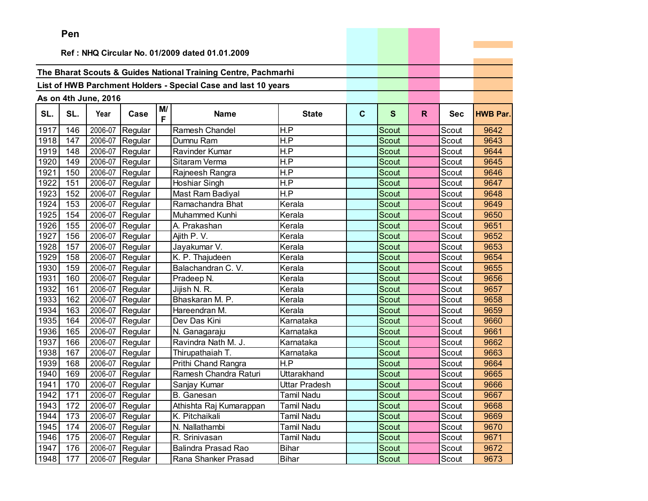|      | Pen      |                      |                   |         |                                                                |                   |   |              |              |            |                 |
|------|----------|----------------------|-------------------|---------|----------------------------------------------------------------|-------------------|---|--------------|--------------|------------|-----------------|
|      |          |                      |                   |         |                                                                |                   |   |              |              |            |                 |
|      |          |                      |                   |         | Ref: NHQ Circular No. 01/2009 dated 01.01.2009                 |                   |   |              |              |            |                 |
|      |          |                      |                   |         | The Bharat Scouts & Guides National Training Centre, Pachmarhi |                   |   |              |              |            |                 |
|      |          |                      |                   |         |                                                                |                   |   |              |              |            |                 |
|      |          |                      |                   |         | List of HWB Parchment Holders - Special Case and last 10 years |                   |   |              |              |            |                 |
|      |          | As on 4th June, 2016 |                   |         |                                                                |                   |   |              |              |            |                 |
| SL.  | SL.      | Year                 | Case              | M/<br>F | <b>Name</b>                                                    | <b>State</b>      | C | S            | $\mathsf{R}$ | <b>Sec</b> | <b>HWB Par.</b> |
| 1917 | 146      | 2006-07              | Regular           |         | Ramesh Chandel                                                 | H.P               |   | Scout        |              | Scout      | 9642            |
| 1918 | 147      | 2006-07              | Regular           |         | Dumnu Ram                                                      | H.P               |   | Scout        |              | Scout      | 9643            |
| 1919 | 148      | 2006-07              | Regular           |         | Ravinder Kumar                                                 | H.P               |   | Scout        |              | Scout      | 9644            |
| 1920 | 149      | 2006-07              | Regular           |         | Sitaram Verma                                                  | H.P               |   | <b>Scout</b> |              | Scout      | 9645            |
| 1921 | 150      | 2006-07              | Regular           |         | Rajneesh Rangra                                                | H.P               |   | Scout        |              | Scout      | 9646            |
| 1922 | 151      | 2006-07              | Regular           |         | Hoshiar Singh                                                  | H.P               |   | Scout        |              | Scout      | 9647            |
| 1923 | 152      | 2006-07              | Regular           |         | Mast Ram Badiyal                                               | H.P               |   | <b>Scout</b> |              | Scout      | 9648            |
| 1924 | 153      | 2006-07              | Regular           |         | Ramachandra Bhat                                               | Kerala            |   | <b>Scout</b> |              | Scout      | 9649            |
| 1925 | 154      |                      | 2006-07 Regular   |         | Muhammed Kunhi                                                 | Kerala            |   | Scout        |              | Scout      | 9650            |
| 1926 | 155      | 2006-07              | Regular           |         | A. Prakashan                                                   | Kerala            |   | <b>Scout</b> |              | Scout      | 9651            |
| 1927 | 156      | 2006-07              | Regular           |         | Ajith P. V.                                                    | Kerala            |   | <b>Scout</b> |              | Scout      | 9652            |
| 1928 | 157      | 2006-07              | Regular           |         | Jayakumar V.                                                   | Kerala            |   | Scout        |              | Scout      | 9653            |
| 1929 | 158      | 2006-07              | Regular           |         | K. P. Thajudeen                                                | Kerala            |   | Scout        |              | Scout      | 9654            |
| 1930 | 159      | 2006-07              | Regular           |         | Balachandran C. V.                                             | Kerala            |   | Scout        |              | Scout      | 9655            |
| 1931 | 160      |                      | 2006-07 Regular   |         | Pradeep N.                                                     | Kerala            |   | <b>Scout</b> |              | Scout      | 9656            |
| 1932 | 161      | 2006-07              | Regular           |         | Jijish N. R.                                                   | Kerala            |   | <b>Scout</b> |              | Scout      | 9657            |
| 1933 | 162      | 2006-07              | Regular           |         | Bhaskaran M. P.                                                | Kerala            |   | Scout        |              | Scout      | 9658            |
| 1934 | 163      | 2006-07              | Regular           |         | Hareendran M.                                                  | Kerala            |   | Scout        |              | Scout      | 9659            |
| 1935 | 164      | 2006-07              | Regular           |         | Dev Das Kini                                                   | Karnataka         |   | Scout        |              | Scout      | 9660            |
| 1936 | 165      | 2006-07              | Regular           |         | N. Ganagaraju                                                  | Karnataka         |   | Scout        |              | Scout      | 9661            |
| 1937 | 166      | 2006-07              | Regular           |         | Ravindra Nath M. J.                                            | Karnataka         |   | Scout        |              | Scout      | 9662            |
| 1938 | 167      | 2006-07              | Regular           |         | Thirupathaiah T.                                               | Karnataka         |   | Scout        |              | Scout      | 9663            |
| 1939 | 168      | 2006-07              | Regular           |         | Prithi Chand Rangra                                            | H.P               |   | Scout        |              | Scout      | 9664            |
| 1940 | 169      | 2006-07              | Regular           |         | Ramesh Chandra Raturi                                          | Uttarakhand       |   | Scout        |              | Scout      | 9665            |
| 1941 | 170      |                      | 2006-07 Regular   |         | Sanjay Kumar                                                   | Uttar Pradesh     |   | Scout        |              | Scout      | 9666            |
|      | 1942 171 |                      | 2006-07 Regular   |         | <b>B.</b> Ganesan                                              | <b>Tamil Nadu</b> |   | Scout        |              | Scout      | 9667            |
| 1943 | 172      |                      | $2006-07$ Regular |         | Athishta Raj Kumarappan                                        | Tamil Nadu        |   | Scout        |              | Scout      | 9668            |
| 1944 | 173      |                      | 2006-07 Regular   |         | K. Pitchaikali                                                 | Tamil Nadu        |   | Scout        |              | Scout      | 9669            |
| 1945 | 174      | 2006-07              | Regular           |         | N. Nallathambi                                                 | Tamil Nadu        |   | Scout        |              | Scout      | 9670            |
| 1946 | 175      | 2006-07              | Regular           |         | R. Srinivasan                                                  | Tamil Nadu        |   | Scout        |              | Scout      | 9671            |
| 1947 | 176      | 2006-07              | Regular           |         | <b>Balindra Prasad Rao</b>                                     | <b>Bihar</b>      |   | Scout        |              | Scout      | 9672            |
| 1948 | 177      |                      | 2006-07 Regular   |         | Rana Shanker Prasad                                            | <b>Bihar</b>      |   | Scout        |              | Scout      | 9673            |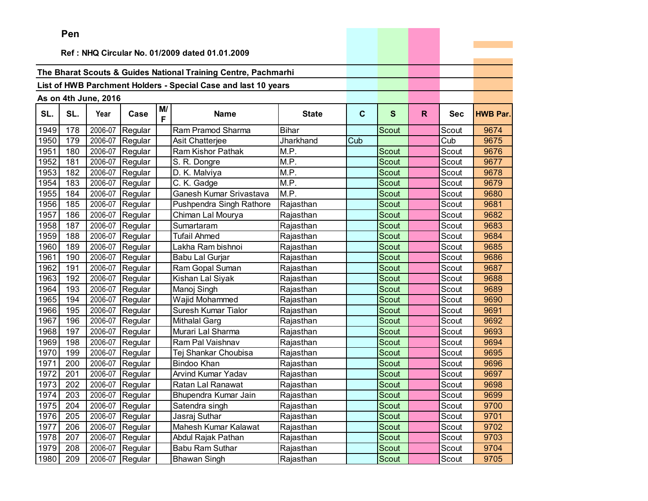|      | Pen |                      |                 |         |                                                                |              |             |              |    |            |                 |
|------|-----|----------------------|-----------------|---------|----------------------------------------------------------------|--------------|-------------|--------------|----|------------|-----------------|
|      |     |                      |                 |         | Ref: NHQ Circular No. 01/2009 dated 01.01.2009                 |              |             |              |    |            |                 |
|      |     |                      |                 |         |                                                                |              |             |              |    |            |                 |
|      |     |                      |                 |         | The Bharat Scouts & Guides National Training Centre, Pachmarhi |              |             |              |    |            |                 |
|      |     |                      |                 |         | List of HWB Parchment Holders - Special Case and last 10 years |              |             |              |    |            |                 |
|      |     |                      |                 |         |                                                                |              |             |              |    |            |                 |
|      |     | As on 4th June, 2016 |                 |         |                                                                |              |             |              |    |            |                 |
| SL.  | SL. | Year                 | Case            | M/<br>F | <b>Name</b>                                                    | <b>State</b> | $\mathbf c$ | $\mathbf{s}$ | R. | <b>Sec</b> | <b>HWB Par.</b> |
| 1949 | 178 | 2006-07              | Regular         |         | Ram Pramod Sharma                                              | <b>Bihar</b> |             | <b>Scout</b> |    | Scout      | 9674            |
| 1950 | 179 | 2006-07              | Regular         |         | Asit Chatterjee                                                | Jharkhand    | Cub         |              |    | Cub        | 9675            |
| 1951 | 180 | 2006-07              | Regular         |         | Ram Kishor Pathak                                              | M.P.         |             | Scout        |    | Scout      | 9676            |
| 1952 | 181 | 2006-07              | Regular         |         | S. R. Dongre                                                   | M.P.         |             | Scout        |    | Scout      | 9677            |
| 1953 | 182 | 2006-07              | Regular         |         | D. K. Malviya                                                  | M.P.         |             | Scout        |    | Scout      | 9678            |
| 1954 | 183 | 2006-07              | Regular         |         | C. K. Gadge                                                    | M.P.         |             | Scout        |    | Scout      | 9679            |
| 1955 | 184 | 2006-07              | Regular         |         | Ganesh Kumar Srivastava                                        | M.P.         |             | Scout        |    | Scout      | 9680            |
| 1956 | 185 | 2006-07              | Regular         |         | Pushpendra Singh Rathore                                       | Rajasthan    |             | Scout        |    | Scout      | 9681            |
| 1957 | 186 | 2006-07              | Regular         |         | Chiman Lal Mourya                                              | Rajasthan    |             | <b>Scout</b> |    | Scout      | 9682            |
| 1958 | 187 | 2006-07              | Regular         |         | Sumartaram                                                     | Rajasthan    |             | Scout        |    | Scout      | 9683            |
| 1959 | 188 | 2006-07              | Regular         |         | Tufail Ahmed                                                   | Rajasthan    |             | Scout        |    | Scout      | 9684            |
| 1960 | 189 | 2006-07              | Regular         |         | Lakha Ram bishnoi                                              | Rajasthan    |             | Scout        |    | Scout      | 9685            |
| 1961 | 190 | 2006-07              | Regular         |         | Babu Lal Gurjar                                                | Rajasthan    |             | Scout        |    | Scout      | 9686            |
| 1962 | 191 | 2006-07              | Regular         |         | Ram Gopal Suman                                                | Rajasthan    |             | Scout        |    | Scout      | 9687            |
| 1963 | 192 | 2006-07              | Regular         |         | Kishan Lal Siyak                                               | Rajasthan    |             | Scout        |    | Scout      | 9688            |
| 1964 | 193 | 2006-07              | Regular         |         | Manoj Singh                                                    | Rajasthan    |             | Scout        |    | Scout      | 9689            |
| 1965 | 194 | 2006-07              | Regular         |         | Wajid Mohammed                                                 | Rajasthan    |             | <b>Scout</b> |    | Scout      | 9690            |
| 1966 | 195 | 2006-07              | Regular         |         | Suresh Kumar Tialor                                            | Rajasthan    |             | Scout        |    | Scout      | 9691            |
| 1967 | 196 | 2006-07              | Regular         |         | <b>Mithalal Garg</b>                                           | Rajasthan    |             | Scout        |    | Scout      | 9692            |
| 1968 | 197 | 2006-07              | Regular         |         | Murari Lal Sharma                                              | Rajasthan    |             | <b>Scout</b> |    | Scout      | 9693            |
| 1969 | 198 | 2006-07              | Regular         |         | Ram Pal Vaishnav                                               | Rajasthan    |             | <b>Scout</b> |    | Scout      | 9694            |
| 1970 | 199 | 2006-07              | Regular         |         | Tej Shankar Choubisa                                           | Rajasthan    |             | Scout        |    | Scout      | 9695            |
| 1971 | 200 | 2006-07              | Regular         |         | <b>Bindoo Khan</b>                                             | Rajasthan    |             | Scout        |    | Scout      | 9696            |
| 1972 | 201 | 2006-07              | Regular         |         | <b>Arvind Kumar Yadav</b>                                      | Rajasthan    |             | Scout        |    | Scout      | 9697            |
| 1973 | 202 | 2006-07              | Regular         |         | Ratan Lal Ranawat                                              | Rajasthan    |             | Scout        |    | Scout      | 9698            |
| 1974 | 203 |                      | 2006-07 Regular |         | Bhupendra Kumar Jain                                           | Rajasthan    |             | Scout        |    | Scout      | 9699            |
| 1975 | 204 |                      | 2006-07 Regular |         | Satendra singh                                                 | Rajasthan    |             | Scout        |    | Scout      | 9700            |
| 1976 | 205 | 2006-07              | Regular         |         | Jasraj Suthar                                                  | Rajasthan    |             | Scout        |    | Scout      | 9701            |
| 1977 | 206 | 2006-07              | Regular         |         | Mahesh Kumar Kalawat                                           | Rajasthan    |             | Scout        |    | Scout      | 9702            |
| 1978 | 207 | 2006-07              | Regular         |         | Abdul Rajak Pathan                                             | Rajasthan    |             | Scout        |    | Scout      | 9703            |
| 1979 | 208 | 2006-07              | Regular         |         | Babu Ram Suthar                                                | Rajasthan    |             | Scout        |    | Scout      | 9704            |
| 1980 | 209 | 2006-07              | Regular         |         | <b>Bhawan Singh</b>                                            | Rajasthan    |             | Scout        |    | Scout      | 9705            |

the control of the control of the control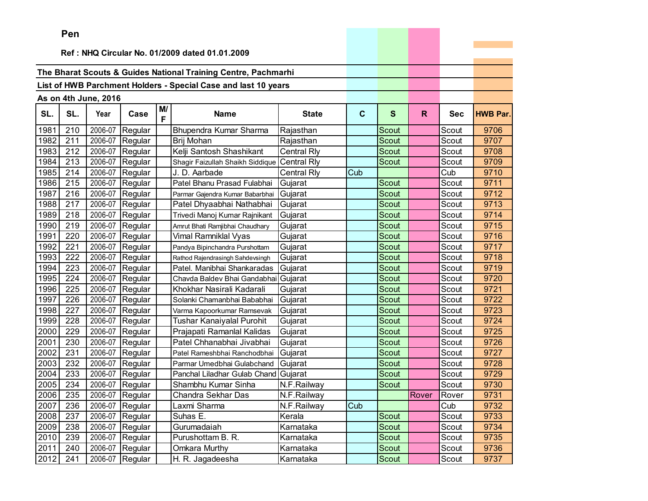|      | Pen      |                      |                 |         |                                                                |                    |             |              |       |            |                 |
|------|----------|----------------------|-----------------|---------|----------------------------------------------------------------|--------------------|-------------|--------------|-------|------------|-----------------|
|      |          |                      |                 |         |                                                                |                    |             |              |       |            |                 |
|      |          |                      |                 |         | Ref: NHQ Circular No. 01/2009 dated 01.01.2009                 |                    |             |              |       |            |                 |
|      |          |                      |                 |         | The Bharat Scouts & Guides National Training Centre, Pachmarhi |                    |             |              |       |            |                 |
|      |          |                      |                 |         | List of HWB Parchment Holders - Special Case and last 10 years |                    |             |              |       |            |                 |
|      |          |                      |                 |         |                                                                |                    |             |              |       |            |                 |
|      |          | As on 4th June, 2016 |                 |         |                                                                |                    |             |              |       |            |                 |
| SL.  | SL.      | Year                 | Case            | M/<br>F | <b>Name</b>                                                    | <b>State</b>       | $\mathbf c$ | S            | R.    | <b>Sec</b> | <b>HWB Par.</b> |
| 1981 | 210      | 2006-07              | Regular         |         | Bhupendra Kumar Sharma                                         | Rajasthan          |             | Scout        |       | Scout      | 9706            |
| 1982 | 211      |                      | 2006-07 Regular |         | Brij Mohan                                                     | Rajasthan          |             | Scout        |       | Scout      | 9707            |
| 1983 | 212      | 2006-07              | Regular         |         | Kelji Santosh Shashikant                                       | Central Rly        |             | Scout        |       | Scout      | 9708            |
| 1984 | 213      | 2006-07              | Regular         |         | Shagir Faizullah Shaikh Siddique                               | <b>Central Rly</b> |             | Scout        |       | Scout      | 9709            |
| 1985 | 214      | 2006-07              | Regular         |         | J. D. Aarbade                                                  | <b>Central Rly</b> | Cub         |              |       | Cub        | 9710            |
| 1986 | 215      | 2006-07              | Regular         |         | Patel Bhanu Prasad Fulabhai                                    | Gujarat            |             | Scout        |       | Scout      | 9711            |
| 1987 | 216      | 2006-07              | Regular         |         | Parmar Gajendra Kumar Babarbhai                                | Gujarat            |             | <b>Scout</b> |       | Scout      | 9712            |
| 1988 | 217      | 2006-07              | Regular         |         | Patel Dhyaabhai Nathabhai                                      | Gujarat            |             | Scout        |       | Scout      | 9713            |
| 1989 | 218      | 2006-07              | Regular         |         | Trivedi Manoj Kumar Rajnikant                                  | Gujarat            |             | <b>Scout</b> |       | Scout      | 9714            |
| 1990 | 219      | 2006-07              | Regular         |         | Amrut Bhati Ramjibhai Chaudhary                                | Gujarat            |             | Scout        |       | Scout      | 9715            |
| 1991 | 220      | 2006-07              | Regular         |         | Vimal Ramniklal Vyas                                           | Gujarat            |             | Scout        |       | Scout      | 9716            |
| 1992 | 221      | 2006-07              | Regular         |         | Pandya Bipinchandra Purshottam                                 | Gujarat            |             | Scout        |       | Scout      | 9717            |
| 1993 | 222      | 2006-07              | Regular         |         | Rathod Rajendrasingh Sahdevsingh                               | Gujarat            |             | Scout        |       | Scout      | 9718            |
| 1994 | 223      | 2006-07              | Regular         |         | Patel. Manibhai Shankaradas                                    | Gujarat            |             | Scout        |       | Scout      | 9719            |
| 1995 | 224      | 2006-07              | Regular         |         | Chavda Baldev Bhai Gandabhai                                   | Gujarat            |             | Scout        |       | Scout      | 9720            |
| 1996 | 225      | 2006-07              | Regular         |         | Khokhar Nasirali Kadarali                                      | Gujarat            |             | Scout        |       | Scout      | 9721            |
| 1997 | 226      | 2006-07              | Regular         |         | Solanki Chamanbhai Bababhai                                    | Gujarat            |             | Scout        |       | Scout      | 9722            |
| 1998 | 227      | 2006-07              | Regular         |         | Varma Kapoorkumar Ramsevak                                     | Gujarat            |             | Scout        |       | Scout      | 9723            |
| 1999 | 228      | 2006-07              | Regular         |         | Tushar Kanaiyalal Purohit                                      | Gujarat            |             | Scout        |       | Scout      | 9724            |
| 2000 | 229      | 2006-07              | Regular         |         | Prajapati Ramanlal Kalidas                                     | Gujarat            |             | Scout        |       | Scout      | 9725            |
| 2001 | 230      | 2006-07              | Regular         |         | Patel Chhanabhai Jivabhai                                      | Gujarat            |             | Scout        |       | Scout      | 9726            |
| 2002 | 231      | 2006-07              | Regular         |         | Patel Rameshbhai Ranchodbhai                                   | Gujarat            |             | Scout        |       | Scout      | 9727            |
| 2003 | 232      | 2006-07              | Regular         |         | Parmar Umedbhai Gulabchand                                     | Gujarat            |             | Scout        |       | Scout      | 9728            |
| 2004 | 233      | 2006-07              | Regular         |         | Panchal Liladhar Gulab Chand                                   | Gujarat            |             | <b>Scout</b> |       | Scout      | 9729            |
| 2005 | 234      | 2006-07              | Regular         |         | Shambhu Kumar Sinha                                            | N.F.Railway        |             | Scout        |       | Scout      | 9730            |
|      | 2006 235 |                      | 2006-07 Regular |         | Chandra Sekhar Das                                             | N.F.Railway        |             |              | Rover | Rover      | 9731            |
| 2007 | 236      |                      | 2006-07 Regular |         | Laxmi Sharma                                                   | N.F.Railway        | Cub         |              |       | Cub        | 9732            |
| 2008 | 237      | 2006-07              | Regular         |         | Suhas E.                                                       | Kerala             |             | Scout        |       | Scout      | 9733            |
| 2009 | 238      | 2006-07              | Regular         |         | Gurumadaiah                                                    | Karnataka          |             | Scout        |       | Scout      | 9734            |
| 2010 | 239      | 2006-07              | Regular         |         | Purushottam B. R.                                              | Karnataka          |             | Scout        |       | Scout      | 9735            |
| 2011 | 240      | 2006-07              | Regular         |         | Omkara Murthy                                                  | Karnataka          |             | Scout        |       | Scout      | 9736            |
| 2012 | 241      | 2006-07              | Regular         |         | H. R. Jagadeesha                                               | Karnataka          |             | Scout        |       | Scout      | 9737            |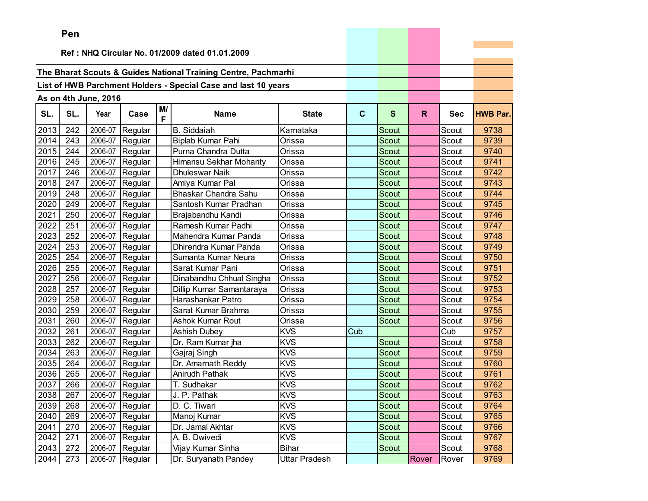|      | Pen |                      |                 |         |                                                                |               |             |              |       |            |                 |
|------|-----|----------------------|-----------------|---------|----------------------------------------------------------------|---------------|-------------|--------------|-------|------------|-----------------|
|      |     |                      |                 |         | Ref: NHQ Circular No. 01/2009 dated 01.01.2009                 |               |             |              |       |            |                 |
|      |     |                      |                 |         |                                                                |               |             |              |       |            |                 |
|      |     |                      |                 |         | The Bharat Scouts & Guides National Training Centre, Pachmarhi |               |             |              |       |            |                 |
|      |     |                      |                 |         | List of HWB Parchment Holders - Special Case and last 10 years |               |             |              |       |            |                 |
|      |     |                      |                 |         |                                                                |               |             |              |       |            |                 |
|      |     | As on 4th June, 2016 |                 |         |                                                                |               |             |              |       |            |                 |
| SL.  | SL. | Year                 | Case            | M/<br>F | <b>Name</b>                                                    | <b>State</b>  | $\mathbf c$ | S            | R.    | <b>Sec</b> | <b>HWB Par.</b> |
| 2013 | 242 | 2006-07              | Regular         |         | <b>B.</b> Siddaiah                                             | Karnataka     |             | Scout        |       | Scout      | 9738            |
| 2014 | 243 | 2006-07              | Regular         |         | Biplab Kumar Pahi                                              | Orissa        |             | Scout        |       | Scout      | 9739            |
| 2015 | 244 | 2006-07              | Regular         |         | Purna Chandra Dutta                                            | Orissa        |             | Scout        |       | Scout      | 9740            |
| 2016 | 245 | 2006-07              | Regular         |         | Himansu Sekhar Mohanty                                         | Orissa        |             | Scout        |       | Scout      | 9741            |
| 2017 | 246 | 2006-07              | Regular         |         | Dhuleswar Naik                                                 | Orissa        |             | Scout        |       | Scout      | 9742            |
| 2018 | 247 | 2006-07              | Regular         |         | Amiya Kumar Pal                                                | Orissa        |             | Scout        |       | Scout      | 9743            |
| 2019 | 248 | 2006-07              | Regular         |         | Bhaskar Chandra Sahu                                           | Orissa        |             | Scout        |       | Scout      | 9744            |
| 2020 | 249 | 2006-07              | Regular         |         | Santosh Kumar Pradhan                                          | Orissa        |             | Scout        |       | Scout      | 9745            |
| 2021 | 250 | 2006-07              | Regular         |         | Brajabandhu Kandi                                              | Orissa        |             | Scout        |       | Scout      | 9746            |
| 2022 | 251 | 2006-07              | Regular         |         | Ramesh Kumar Padhi                                             | Orissa        |             | Scout        |       | Scout      | 9747            |
| 2023 | 252 | 2006-07              | Regular         |         | Mahendra Kumar Panda                                           | Orissa        |             | Scout        |       | Scout      | 9748            |
| 2024 | 253 | 2006-07              | Regular         |         | Dhirendra Kumar Panda                                          | Orissa        |             | Scout        |       | Scout      | 9749            |
| 2025 | 254 | 2006-07              | Regular         |         | Sumanta Kumar Neura                                            | Orissa        |             | Scout        |       | Scout      | 9750            |
| 2026 | 255 | 2006-07              | Regular         |         | Sarat Kumar Pani                                               | Orissa        |             | Scout        |       | Scout      | 9751            |
| 2027 | 256 | 2006-07              | Regular         |         | Dinabandhu Chhual Singha                                       | Orissa        |             | Scout        |       | Scout      | 9752            |
| 2028 | 257 | 2006-07              | Regular         |         | Dillip Kumar Samantaraya                                       | Orissa        |             | Scout        |       | Scout      | 9753            |
| 2029 | 258 | 2006-07              | Regular         |         | Harashankar Patro                                              | Orissa        |             | <b>Scout</b> |       | Scout      | 9754            |
| 2030 | 259 | 2006-07              | Regular         |         | Sarat Kumar Brahma                                             | Orissa        |             | Scout        |       | Scout      | 9755            |
| 2031 | 260 | 2006-07              | Regular         |         | Ashok Kumar Rout                                               | Orissa        |             | Scout        |       | Scout      | 9756            |
| 2032 | 261 | 2006-07              | Regular         |         | <b>Ashish Dubey</b>                                            | <b>KVS</b>    | Cub         |              |       | Cub        | 9757            |
| 2033 | 262 | 2006-07              | Regular         |         | Dr. Ram Kumar jha                                              | <b>KVS</b>    |             | Scout        |       | Scout      | 9758            |
| 2034 | 263 | 2006-07              | Regular         |         | Gajraj Singh                                                   | <b>KVS</b>    |             | Scout        |       | Scout      | 9759            |
| 2035 | 264 | 2006-07              | Regular         |         | Dr. Amarnath Reddy                                             | <b>KVS</b>    |             | Scout        |       | Scout      | 9760            |
| 2036 | 265 | 2006-07              | Regular         |         | Anirudh Pathak                                                 | <b>KVS</b>    |             | Scout        |       | Scout      | 9761            |
| 2037 | 266 | 2006-07              | Regular         |         | T. Sudhakar                                                    | <b>KVS</b>    |             | Scout        |       | Scout      | 9762            |
| 2038 | 267 |                      | 2006-07 Regular |         | J. P. Pathak                                                   | <b>KVS</b>    |             | Scout        |       | Scout      | 9763            |
| 2039 | 268 |                      | 2006-07 Regular |         | D. C. Tiwari                                                   | <b>KVS</b>    |             | Scout        |       | Scout      | 9764            |
| 2040 | 269 | 2006-07              | Regular         |         | Manoj Kumar                                                    | <b>KVS</b>    |             | Scout        |       | Scout      | 9765            |
| 2041 | 270 | 2006-07              | Regular         |         | Dr. Jamal Akhtar                                               | <b>KVS</b>    |             | Scout        |       | Scout      | 9766            |
| 2042 | 271 | 2006-07              | Regular         |         | A. B. Dwivedi                                                  | <b>KVS</b>    |             | Scout        |       | Scout      | 9767            |
| 2043 | 272 | 2006-07              | Regular         |         | Vijay Kumar Sinha                                              | <b>Bihar</b>  |             | Scout        |       | Scout      | 9768            |
| 2044 | 273 | 2006-07              | Regular         |         | Dr. Suryanath Pandey                                           | Uttar Pradesh |             |              | Rover | Rover      | 9769            |

the property of the control of the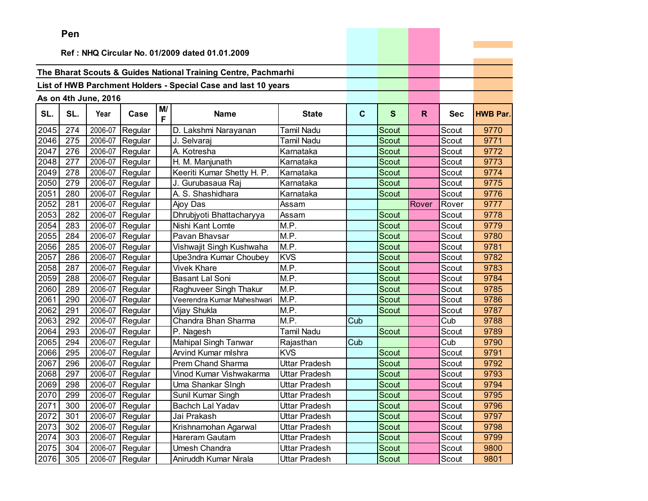|      | <b>Fell</b> |                      |                 |    |                                                                |                            |              |              |       |            |                 |
|------|-------------|----------------------|-----------------|----|----------------------------------------------------------------|----------------------------|--------------|--------------|-------|------------|-----------------|
|      |             |                      |                 |    | Ref: NHQ Circular No. 01/2009 dated 01.01.2009                 |                            |              |              |       |            |                 |
|      |             |                      |                 |    |                                                                |                            |              |              |       |            |                 |
|      |             |                      |                 |    | The Bharat Scouts & Guides National Training Centre, Pachmarhi |                            |              |              |       |            |                 |
|      |             |                      |                 |    | List of HWB Parchment Holders - Special Case and last 10 years |                            |              |              |       |            |                 |
|      |             | As on 4th June, 2016 |                 |    |                                                                |                            |              |              |       |            |                 |
|      |             |                      |                 | M/ |                                                                |                            |              |              |       |            |                 |
| SL.  | SL.         | Year                 | Case            | F  | <b>Name</b>                                                    | <b>State</b>               | $\mathbf{C}$ | $\mathbf{s}$ | R.    | <b>Sec</b> | <b>HWB Par.</b> |
| 2045 | 274         | 2006-07              | Regular         |    | D. Lakshmi Narayanan                                           | <b>Tamil Nadu</b>          |              | Scout        |       | Scout      | 9770            |
| 2046 | 275         | 2006-07              | Regular         |    | J. Selvaraj                                                    | <b>Tamil Nadu</b>          |              | Scout        |       | Scout      | 9771            |
| 2047 | 276         | 2006-07              | Regular         |    | A. Kotresha                                                    | Karnataka                  |              | Scout        |       | Scout      | 9772            |
| 2048 | 277         | 2006-07              | Regular         |    | H. M. Manjunath                                                | Karnataka                  |              | Scout        |       | Scout      | 9773            |
| 2049 | 278         | 2006-07              | Regular         |    | Keeriti Kumar Shetty H. P.                                     | Karnataka                  |              | <b>Scout</b> |       | Scout      | 9774            |
| 2050 | 279         | 2006-07              | Regular         |    | J. Gurubasaua Raj                                              | Karnataka                  |              | Scout        |       | Scout      | 9775            |
| 2051 | 280         | 2006-07              | Regular         |    | A. S. Shashidhara                                              | Karnataka                  |              | Scout        |       | Scout      | 9776            |
| 2052 | 281         | 2006-07              | Regular         |    | Ajoy Das                                                       | Assam                      |              |              | Rover | Rover      | 9777            |
| 2053 | 282         | 2006-07              | Regular         |    | Dhrubjyoti Bhattacharyya                                       | Assam                      |              | Scout        |       | Scout      | 9778            |
| 2054 | 283         | 2006-07              | Regular         |    | Nishi Kant Lomte                                               | $\overline{\mathsf{M.P.}}$ |              | Scout        |       | Scout      | 9779            |
| 2055 | 284         | 2006-07              | Regular         |    | Pavan Bhavsar                                                  | M.P.                       |              | <b>Scout</b> |       | Scout      | 9780            |
| 2056 | 285         | 2006-07              | Regular         |    | Vishwajit Singh Kushwaha                                       | M.P.                       |              | Scout        |       | Scout      | 9781            |
| 2057 | 286         | 2006-07              | Regular         |    | Upe3ndra Kumar Choubey                                         | <b>KVS</b>                 |              | Scout        |       | Scout      | 9782            |
| 2058 | 287         | 2006-07              | Regular         |    | <b>Vivek Khare</b>                                             | M.P.                       |              | Scout        |       | Scout      | 9783            |
| 2059 | 288         | 2006-07              | Regular         |    | <b>Basant Lal Soni</b>                                         | M.P.                       |              | Scout        |       | Scout      | 9784            |
| 2060 | 289         | 2006-07              | Regular         |    | Raghuveer Singh Thakur                                         | M.P.                       |              | Scout        |       | Scout      | 9785            |
| 2061 | 290         | 2006-07              | Regular         |    | Veerendra Kumar Maheshwari                                     | M.P.                       |              | Scout        |       | Scout      | 9786            |
| 2062 | 291         | 2006-07              | Regular         |    | Vijay Shukla                                                   | M.P.                       |              | Scout        |       | Scout      | 9787            |
| 2063 | 292         | 2006-07              | Regular         |    | Chandra Bhan Sharma                                            | M.P.                       | Cub          |              |       | Cub        | 9788            |
| 2064 | 293         | 2006-07              | Regular         |    | P. Nagesh                                                      | <b>Tamil Nadu</b>          |              | Scout        |       | Scout      | 9789            |
| 2065 | 294         | 2006-07              | Regular         |    | <b>Mahipal Singh Tanwar</b>                                    | Rajasthan                  | Cub          |              |       | Cub        | 9790            |
| 2066 | 295         | 2006-07              | Regular         |    | Arvind Kumar mlshra                                            | <b>KVS</b>                 |              | Scout        |       | Scout      | 9791            |
| 2067 | 296         | 2006-07              | Regular         |    | <b>Prem Chand Sharma</b>                                       | <b>Uttar Pradesh</b>       |              | Scout        |       | Scout      | 9792            |
| 2068 | 297         | 2006-07              | Regular         |    | Vinod Kumar Vishwakarma                                        | Uttar Pradesh              |              | Scout        |       | Scout      | 9793            |
| 2069 | 298         | 2006-07              | Regular         |    | Uma Shankar SIngh                                              | Uttar Pradesh              |              | Scout        |       | Scout      | 9794            |
| 2070 | 299         | 2006-07              | Regular         |    | Sunil Kumar Singh                                              | Uttar Pradesh              |              | Scout        |       | Scout      | 9795            |
| 2071 | 300         |                      | 2006-07 Regular |    | Bachch Lal Yadav                                               | Uttar Pradesh              |              | Scout        |       | Scout      | 9796            |
| 2072 | 301         | 2006-07              | Regular         |    | Jai Prakash                                                    | Uttar Pradesh              |              | Scout        |       | Scout      | 9797            |
| 2073 | 302         |                      | 2006-07 Regular |    | Krishnamohan Agarwal                                           | <b>Uttar Pradesh</b>       |              | Scout        |       | Scout      | 9798            |
| 2074 | 303         | 2006-07              | Regular         |    | Hareram Gautam                                                 | Uttar Pradesh              |              | Scout        |       | Scout      | 9799            |
| 2075 | 304         | 2006-07              | Regular         |    | Umesh Chandra                                                  | <b>Uttar Pradesh</b>       |              | Scout        |       | Scout      | 9800            |
| 2076 | 305         | 2006-07              | Regular         |    | Aniruddh Kumar Nirala                                          | Uttar Pradesh              |              | Scout        |       | Scout      | 9801            |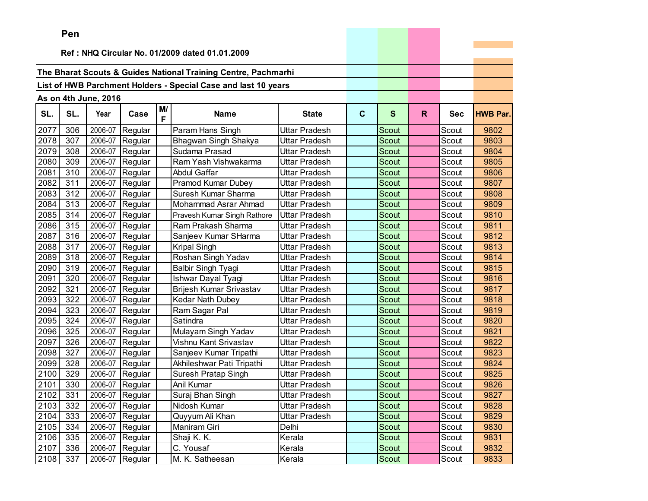| Ref: NHQ Circular No. 01/2009 dated 01.01.2009<br>The Bharat Scouts & Guides National Training Centre, Pachmarhi<br>List of HWB Parchment Holders - Special Case and last 10 years<br>As on 4th June, 2016<br>M/<br>SL.<br>SL.<br>$\mathbf{C}$<br>$\mathbf{s}$<br>$\mathsf{R}$<br>Year<br>Case<br><b>Name</b><br><b>State</b><br><b>Sec</b><br><b>HWB Par.</b><br>F<br>2077<br>2006-07<br>306<br>Regular<br>Param Hans Singh<br>Uttar Pradesh<br>9802<br>Scout<br>Scout<br>2078<br>307<br>2006-07<br>Bhagwan Singh Shakya<br><b>Scout</b><br>Scout<br>9803<br>Regular<br>Uttar Pradesh<br>2006-07<br>2079<br>308<br>Regular<br>Sudama Prasad<br>Scout<br>9804<br>Uttar Pradesh<br>Scout<br>2080<br>2006-07<br>309<br>Regular<br>Ram Yash Vishwakarma<br>Uttar Pradesh<br>9805<br>Scout<br>Scout<br>2081<br>310<br>2006-07<br>Regular<br>Abdul Gaffar<br><b>Scout</b><br>9806<br>Uttar Pradesh<br>Scout<br>2082<br>311<br>2006-07<br>Regular<br>Pramod Kumar Dubey<br>Uttar Pradesh<br>Scout<br>9807<br>Scout<br>2083<br>312<br>2006-07<br>Suresh Kumar Sharma<br>9808<br>Regular<br>Uttar Pradesh<br>Scout<br>Scout<br>2084<br>313<br>2006-07<br>Mohammad Asrar Ahmad<br><b>Scout</b><br>Regular<br><b>Uttar Pradesh</b><br>Scout<br>9809<br>2085<br>314<br>2006-07<br>Scout<br>9810<br>Regular<br>Pravesh Kumar Singh Rathore<br><b>Uttar Pradesh</b><br>Scout<br>2086<br>315<br>2006-07<br>9811<br>Regular<br>Ram Prakash Sharma<br>Uttar Pradesh<br>Scout<br>Scout<br>2087<br>316<br>2006-07<br>Regular<br>Sanjeev Kumar SHarma<br><b>Scout</b><br>Scout<br>9812<br>Uttar Pradesh<br>2088<br>317<br>2006-07<br>Regular<br>Scout<br>9813<br>Kripal Singh<br>Uttar Pradesh<br>Scout<br>2089<br>2006-07<br>318<br>Roshan Singh Yadav<br>9814<br>Regular<br>Uttar Pradesh<br>Scout<br>Scout<br>2090<br>2006-07<br>9815<br>319<br>Regular<br><b>Balbir Singh Tyagi</b><br>Scout<br>Scout<br>Uttar Pradesh<br>2091<br>2006-07<br>9816<br>320<br>Scout<br>Regular<br>Ishwar Dayal Tyagi<br>Uttar Pradesh<br>Scout<br>2092<br>321<br>2006-07<br>Regular<br>Brijesh Kumar Srivastav<br>Scout<br>9817<br>Uttar Pradesh<br>Scout<br>2093<br>322<br>2006-07<br>Regular<br>Kedar Nath Dubey<br>9818<br>Uttar Pradesh<br>Scout<br>Scout<br>2094<br>9819<br>323<br>2006-07<br>Ram Sagar Pal<br><b>Scout</b><br>Regular<br>Uttar Pradesh<br>Scout |
|--------------------------------------------------------------------------------------------------------------------------------------------------------------------------------------------------------------------------------------------------------------------------------------------------------------------------------------------------------------------------------------------------------------------------------------------------------------------------------------------------------------------------------------------------------------------------------------------------------------------------------------------------------------------------------------------------------------------------------------------------------------------------------------------------------------------------------------------------------------------------------------------------------------------------------------------------------------------------------------------------------------------------------------------------------------------------------------------------------------------------------------------------------------------------------------------------------------------------------------------------------------------------------------------------------------------------------------------------------------------------------------------------------------------------------------------------------------------------------------------------------------------------------------------------------------------------------------------------------------------------------------------------------------------------------------------------------------------------------------------------------------------------------------------------------------------------------------------------------------------------------------------------------------------------------------------------------------------------------------------------------------------------------------------------------------------------------------------------------------------------------------------------------------------------------------------------------------------------------------------------------------------------------------------------------------------------------------|
|                                                                                                                                                                                                                                                                                                                                                                                                                                                                                                                                                                                                                                                                                                                                                                                                                                                                                                                                                                                                                                                                                                                                                                                                                                                                                                                                                                                                                                                                                                                                                                                                                                                                                                                                                                                                                                                                                                                                                                                                                                                                                                                                                                                                                                                                                                                                      |
|                                                                                                                                                                                                                                                                                                                                                                                                                                                                                                                                                                                                                                                                                                                                                                                                                                                                                                                                                                                                                                                                                                                                                                                                                                                                                                                                                                                                                                                                                                                                                                                                                                                                                                                                                                                                                                                                                                                                                                                                                                                                                                                                                                                                                                                                                                                                      |
|                                                                                                                                                                                                                                                                                                                                                                                                                                                                                                                                                                                                                                                                                                                                                                                                                                                                                                                                                                                                                                                                                                                                                                                                                                                                                                                                                                                                                                                                                                                                                                                                                                                                                                                                                                                                                                                                                                                                                                                                                                                                                                                                                                                                                                                                                                                                      |
|                                                                                                                                                                                                                                                                                                                                                                                                                                                                                                                                                                                                                                                                                                                                                                                                                                                                                                                                                                                                                                                                                                                                                                                                                                                                                                                                                                                                                                                                                                                                                                                                                                                                                                                                                                                                                                                                                                                                                                                                                                                                                                                                                                                                                                                                                                                                      |
|                                                                                                                                                                                                                                                                                                                                                                                                                                                                                                                                                                                                                                                                                                                                                                                                                                                                                                                                                                                                                                                                                                                                                                                                                                                                                                                                                                                                                                                                                                                                                                                                                                                                                                                                                                                                                                                                                                                                                                                                                                                                                                                                                                                                                                                                                                                                      |
|                                                                                                                                                                                                                                                                                                                                                                                                                                                                                                                                                                                                                                                                                                                                                                                                                                                                                                                                                                                                                                                                                                                                                                                                                                                                                                                                                                                                                                                                                                                                                                                                                                                                                                                                                                                                                                                                                                                                                                                                                                                                                                                                                                                                                                                                                                                                      |
|                                                                                                                                                                                                                                                                                                                                                                                                                                                                                                                                                                                                                                                                                                                                                                                                                                                                                                                                                                                                                                                                                                                                                                                                                                                                                                                                                                                                                                                                                                                                                                                                                                                                                                                                                                                                                                                                                                                                                                                                                                                                                                                                                                                                                                                                                                                                      |
|                                                                                                                                                                                                                                                                                                                                                                                                                                                                                                                                                                                                                                                                                                                                                                                                                                                                                                                                                                                                                                                                                                                                                                                                                                                                                                                                                                                                                                                                                                                                                                                                                                                                                                                                                                                                                                                                                                                                                                                                                                                                                                                                                                                                                                                                                                                                      |
|                                                                                                                                                                                                                                                                                                                                                                                                                                                                                                                                                                                                                                                                                                                                                                                                                                                                                                                                                                                                                                                                                                                                                                                                                                                                                                                                                                                                                                                                                                                                                                                                                                                                                                                                                                                                                                                                                                                                                                                                                                                                                                                                                                                                                                                                                                                                      |
|                                                                                                                                                                                                                                                                                                                                                                                                                                                                                                                                                                                                                                                                                                                                                                                                                                                                                                                                                                                                                                                                                                                                                                                                                                                                                                                                                                                                                                                                                                                                                                                                                                                                                                                                                                                                                                                                                                                                                                                                                                                                                                                                                                                                                                                                                                                                      |
|                                                                                                                                                                                                                                                                                                                                                                                                                                                                                                                                                                                                                                                                                                                                                                                                                                                                                                                                                                                                                                                                                                                                                                                                                                                                                                                                                                                                                                                                                                                                                                                                                                                                                                                                                                                                                                                                                                                                                                                                                                                                                                                                                                                                                                                                                                                                      |
|                                                                                                                                                                                                                                                                                                                                                                                                                                                                                                                                                                                                                                                                                                                                                                                                                                                                                                                                                                                                                                                                                                                                                                                                                                                                                                                                                                                                                                                                                                                                                                                                                                                                                                                                                                                                                                                                                                                                                                                                                                                                                                                                                                                                                                                                                                                                      |
|                                                                                                                                                                                                                                                                                                                                                                                                                                                                                                                                                                                                                                                                                                                                                                                                                                                                                                                                                                                                                                                                                                                                                                                                                                                                                                                                                                                                                                                                                                                                                                                                                                                                                                                                                                                                                                                                                                                                                                                                                                                                                                                                                                                                                                                                                                                                      |
|                                                                                                                                                                                                                                                                                                                                                                                                                                                                                                                                                                                                                                                                                                                                                                                                                                                                                                                                                                                                                                                                                                                                                                                                                                                                                                                                                                                                                                                                                                                                                                                                                                                                                                                                                                                                                                                                                                                                                                                                                                                                                                                                                                                                                                                                                                                                      |
|                                                                                                                                                                                                                                                                                                                                                                                                                                                                                                                                                                                                                                                                                                                                                                                                                                                                                                                                                                                                                                                                                                                                                                                                                                                                                                                                                                                                                                                                                                                                                                                                                                                                                                                                                                                                                                                                                                                                                                                                                                                                                                                                                                                                                                                                                                                                      |
|                                                                                                                                                                                                                                                                                                                                                                                                                                                                                                                                                                                                                                                                                                                                                                                                                                                                                                                                                                                                                                                                                                                                                                                                                                                                                                                                                                                                                                                                                                                                                                                                                                                                                                                                                                                                                                                                                                                                                                                                                                                                                                                                                                                                                                                                                                                                      |
|                                                                                                                                                                                                                                                                                                                                                                                                                                                                                                                                                                                                                                                                                                                                                                                                                                                                                                                                                                                                                                                                                                                                                                                                                                                                                                                                                                                                                                                                                                                                                                                                                                                                                                                                                                                                                                                                                                                                                                                                                                                                                                                                                                                                                                                                                                                                      |
|                                                                                                                                                                                                                                                                                                                                                                                                                                                                                                                                                                                                                                                                                                                                                                                                                                                                                                                                                                                                                                                                                                                                                                                                                                                                                                                                                                                                                                                                                                                                                                                                                                                                                                                                                                                                                                                                                                                                                                                                                                                                                                                                                                                                                                                                                                                                      |
|                                                                                                                                                                                                                                                                                                                                                                                                                                                                                                                                                                                                                                                                                                                                                                                                                                                                                                                                                                                                                                                                                                                                                                                                                                                                                                                                                                                                                                                                                                                                                                                                                                                                                                                                                                                                                                                                                                                                                                                                                                                                                                                                                                                                                                                                                                                                      |
|                                                                                                                                                                                                                                                                                                                                                                                                                                                                                                                                                                                                                                                                                                                                                                                                                                                                                                                                                                                                                                                                                                                                                                                                                                                                                                                                                                                                                                                                                                                                                                                                                                                                                                                                                                                                                                                                                                                                                                                                                                                                                                                                                                                                                                                                                                                                      |
|                                                                                                                                                                                                                                                                                                                                                                                                                                                                                                                                                                                                                                                                                                                                                                                                                                                                                                                                                                                                                                                                                                                                                                                                                                                                                                                                                                                                                                                                                                                                                                                                                                                                                                                                                                                                                                                                                                                                                                                                                                                                                                                                                                                                                                                                                                                                      |
|                                                                                                                                                                                                                                                                                                                                                                                                                                                                                                                                                                                                                                                                                                                                                                                                                                                                                                                                                                                                                                                                                                                                                                                                                                                                                                                                                                                                                                                                                                                                                                                                                                                                                                                                                                                                                                                                                                                                                                                                                                                                                                                                                                                                                                                                                                                                      |
|                                                                                                                                                                                                                                                                                                                                                                                                                                                                                                                                                                                                                                                                                                                                                                                                                                                                                                                                                                                                                                                                                                                                                                                                                                                                                                                                                                                                                                                                                                                                                                                                                                                                                                                                                                                                                                                                                                                                                                                                                                                                                                                                                                                                                                                                                                                                      |
|                                                                                                                                                                                                                                                                                                                                                                                                                                                                                                                                                                                                                                                                                                                                                                                                                                                                                                                                                                                                                                                                                                                                                                                                                                                                                                                                                                                                                                                                                                                                                                                                                                                                                                                                                                                                                                                                                                                                                                                                                                                                                                                                                                                                                                                                                                                                      |
|                                                                                                                                                                                                                                                                                                                                                                                                                                                                                                                                                                                                                                                                                                                                                                                                                                                                                                                                                                                                                                                                                                                                                                                                                                                                                                                                                                                                                                                                                                                                                                                                                                                                                                                                                                                                                                                                                                                                                                                                                                                                                                                                                                                                                                                                                                                                      |
| 2095<br>324<br>2006-07<br>Satindra<br>9820<br>Regular<br>Uttar Pradesh<br>Scout<br>Scout                                                                                                                                                                                                                                                                                                                                                                                                                                                                                                                                                                                                                                                                                                                                                                                                                                                                                                                                                                                                                                                                                                                                                                                                                                                                                                                                                                                                                                                                                                                                                                                                                                                                                                                                                                                                                                                                                                                                                                                                                                                                                                                                                                                                                                             |
| 2096<br>325<br>2006-07<br>Mulayam Singh Yadav<br>9821<br>Regular<br>Uttar Pradesh<br>Scout<br>Scout                                                                                                                                                                                                                                                                                                                                                                                                                                                                                                                                                                                                                                                                                                                                                                                                                                                                                                                                                                                                                                                                                                                                                                                                                                                                                                                                                                                                                                                                                                                                                                                                                                                                                                                                                                                                                                                                                                                                                                                                                                                                                                                                                                                                                                  |
| 2097<br>326<br>2006-07<br>Vishnu Kant Srivastav<br>9822<br><b>Scout</b><br>Regular<br>Uttar Pradesh<br>Scout                                                                                                                                                                                                                                                                                                                                                                                                                                                                                                                                                                                                                                                                                                                                                                                                                                                                                                                                                                                                                                                                                                                                                                                                                                                                                                                                                                                                                                                                                                                                                                                                                                                                                                                                                                                                                                                                                                                                                                                                                                                                                                                                                                                                                         |
| 2098<br>327<br>2006-07<br>Regular<br>Sanjeev Kumar Tripathi<br>Uttar Pradesh<br><b>Scout</b><br>9823<br>Scout                                                                                                                                                                                                                                                                                                                                                                                                                                                                                                                                                                                                                                                                                                                                                                                                                                                                                                                                                                                                                                                                                                                                                                                                                                                                                                                                                                                                                                                                                                                                                                                                                                                                                                                                                                                                                                                                                                                                                                                                                                                                                                                                                                                                                        |
| 2099<br>328<br>2006-07<br>Regular<br>Akhileshwar Pati Tripathi<br>9824<br>Uttar Pradesh<br>Scout<br>Scout                                                                                                                                                                                                                                                                                                                                                                                                                                                                                                                                                                                                                                                                                                                                                                                                                                                                                                                                                                                                                                                                                                                                                                                                                                                                                                                                                                                                                                                                                                                                                                                                                                                                                                                                                                                                                                                                                                                                                                                                                                                                                                                                                                                                                            |
| 2100<br>329<br>2006-07<br>Scout<br>9825<br>Regular<br>Suresh Pratap Singh<br>Uttar Pradesh<br>Scout                                                                                                                                                                                                                                                                                                                                                                                                                                                                                                                                                                                                                                                                                                                                                                                                                                                                                                                                                                                                                                                                                                                                                                                                                                                                                                                                                                                                                                                                                                                                                                                                                                                                                                                                                                                                                                                                                                                                                                                                                                                                                                                                                                                                                                  |
| 2101<br>Anil Kumar<br>330<br>2006-07<br>Uttar Pradesh<br>Scout<br>9826<br>Regular<br>Scout                                                                                                                                                                                                                                                                                                                                                                                                                                                                                                                                                                                                                                                                                                                                                                                                                                                                                                                                                                                                                                                                                                                                                                                                                                                                                                                                                                                                                                                                                                                                                                                                                                                                                                                                                                                                                                                                                                                                                                                                                                                                                                                                                                                                                                           |
| 2102<br>331<br>2006-07<br>Regular<br>Suraj Bhan Singh<br>9827<br>Uttar Pradesh<br>Scout<br>Scout                                                                                                                                                                                                                                                                                                                                                                                                                                                                                                                                                                                                                                                                                                                                                                                                                                                                                                                                                                                                                                                                                                                                                                                                                                                                                                                                                                                                                                                                                                                                                                                                                                                                                                                                                                                                                                                                                                                                                                                                                                                                                                                                                                                                                                     |
| Scout<br>2103<br>332<br>2006-07 Regular<br>Scout<br>9828<br>Nidosh Kumar<br>Uttar Pradesh                                                                                                                                                                                                                                                                                                                                                                                                                                                                                                                                                                                                                                                                                                                                                                                                                                                                                                                                                                                                                                                                                                                                                                                                                                                                                                                                                                                                                                                                                                                                                                                                                                                                                                                                                                                                                                                                                                                                                                                                                                                                                                                                                                                                                                            |
| 333<br>2006-07<br>Scout<br>2104<br>Regular<br>Uttar Pradesh<br>Scout<br>9829<br>Quyyum Ali Khan                                                                                                                                                                                                                                                                                                                                                                                                                                                                                                                                                                                                                                                                                                                                                                                                                                                                                                                                                                                                                                                                                                                                                                                                                                                                                                                                                                                                                                                                                                                                                                                                                                                                                                                                                                                                                                                                                                                                                                                                                                                                                                                                                                                                                                      |
| 2105<br>334<br>2006-07 Regular<br>Maniram Giri<br>Delhi<br>9830<br>Scout<br>Scout                                                                                                                                                                                                                                                                                                                                                                                                                                                                                                                                                                                                                                                                                                                                                                                                                                                                                                                                                                                                                                                                                                                                                                                                                                                                                                                                                                                                                                                                                                                                                                                                                                                                                                                                                                                                                                                                                                                                                                                                                                                                                                                                                                                                                                                    |
| 2106<br>335<br>2006-07<br>Regular<br>Shaji K. K.<br>Kerala<br>Scout<br>Scout<br>9831                                                                                                                                                                                                                                                                                                                                                                                                                                                                                                                                                                                                                                                                                                                                                                                                                                                                                                                                                                                                                                                                                                                                                                                                                                                                                                                                                                                                                                                                                                                                                                                                                                                                                                                                                                                                                                                                                                                                                                                                                                                                                                                                                                                                                                                 |
| C. Yousaf<br>2107<br>336<br>2006-07<br>Regular<br>Kerala<br>Scout<br>Scout<br>9832                                                                                                                                                                                                                                                                                                                                                                                                                                                                                                                                                                                                                                                                                                                                                                                                                                                                                                                                                                                                                                                                                                                                                                                                                                                                                                                                                                                                                                                                                                                                                                                                                                                                                                                                                                                                                                                                                                                                                                                                                                                                                                                                                                                                                                                   |
| 2108<br>337<br>2006-07<br>M. K. Satheesan<br>Regular<br>Kerala<br>Scout<br>9833<br>Scout                                                                                                                                                                                                                                                                                                                                                                                                                                                                                                                                                                                                                                                                                                                                                                                                                                                                                                                                                                                                                                                                                                                                                                                                                                                                                                                                                                                                                                                                                                                                                                                                                                                                                                                                                                                                                                                                                                                                                                                                                                                                                                                                                                                                                                             |

**Service State**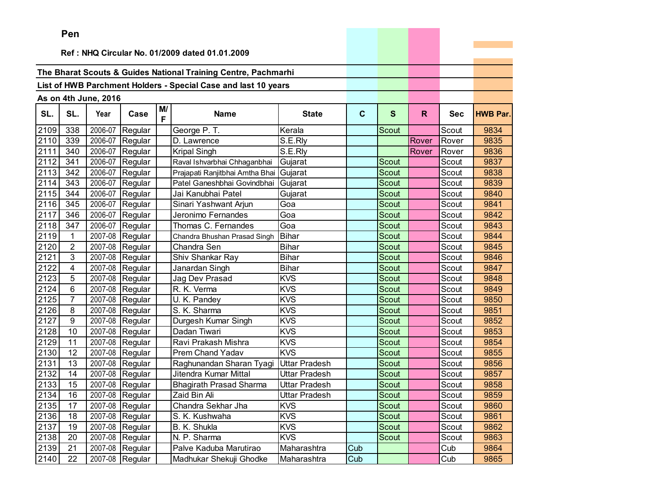|      | Pen            |                      |                   |         |                                                                |                      |             |              |       |            |                 |
|------|----------------|----------------------|-------------------|---------|----------------------------------------------------------------|----------------------|-------------|--------------|-------|------------|-----------------|
|      |                |                      |                   |         |                                                                |                      |             |              |       |            |                 |
|      |                |                      |                   |         | Ref: NHQ Circular No. 01/2009 dated 01.01.2009                 |                      |             |              |       |            |                 |
|      |                |                      |                   |         | The Bharat Scouts & Guides National Training Centre, Pachmarhi |                      |             |              |       |            |                 |
|      |                |                      |                   |         |                                                                |                      |             |              |       |            |                 |
|      |                |                      |                   |         | List of HWB Parchment Holders - Special Case and last 10 years |                      |             |              |       |            |                 |
|      |                | As on 4th June, 2016 |                   |         |                                                                |                      |             |              |       |            |                 |
| SL.  | SL.            | Year                 | Case              | M/<br>F | <b>Name</b>                                                    | <b>State</b>         | $\mathbf c$ | $\mathbf{s}$ | R.    | <b>Sec</b> | <b>HWB Par.</b> |
| 2109 | 338            | 2006-07              | Regular           |         | George P. T.                                                   | Kerala               |             | Scout        |       | Scout      | 9834            |
| 2110 | 339            | 2006-07              | Regular           |         | D. Lawrence                                                    | S.E.Rly              |             |              | Rover | Rover      | 9835            |
| 2111 | 340            | 2006-07              | Regular           |         | <b>Kripal Singh</b>                                            | S.E.Rly              |             |              | Rover | Rover      | 9836            |
| 2112 | 341            | 2006-07              | Regular           |         | Raval Ishvarbhai Chhaganbhai                                   | Gujarat              |             | Scout        |       | Scout      | 9837            |
| 2113 | 342            | 2006-07              | Regular           |         | Prajapati Ranjitbhai Amtha Bhai                                | Gujarat              |             | Scout        |       | Scout      | 9838            |
| 2114 | 343            | 2006-07              | Regular           |         | Patel Ganeshbhai Govindbhai                                    | Gujarat              |             | Scout        |       | Scout      | 9839            |
| 2115 | 344            | 2006-07              | Regular           |         | Jai Kanubhai Patel                                             | Gujarat              |             | Scout        |       | Scout      | 9840            |
| 2116 | 345            | 2006-07              | Regular           |         | Sinari Yashwant Arjun                                          | Goa                  |             | Scout        |       | Scout      | 9841            |
| 2117 | 346            | 2006-07              | Regular           |         | Jeronimo Fernandes                                             | Goa                  |             | Scout        |       | Scout      | 9842            |
| 2118 | 347            | 2006-07              | Regular           |         | Thomas C. Fernandes                                            | Goa                  |             | Scout        |       | Scout      | 9843            |
| 2119 | 1              | 2007-08              | Regular           |         | Chandra Bhushan Prasad Singh                                   | <b>Bihar</b>         |             | Scout        |       | Scout      | 9844            |
| 2120 | 2              | 2007-08              | Regular           |         | Chandra Sen                                                    | <b>Bihar</b>         |             | Scout        |       | Scout      | 9845            |
| 2121 | 3              | 2007-08              | Regular           |         | Shiv Shankar Ray                                               | <b>Bihar</b>         |             | Scout        |       | Scout      | 9846            |
| 2122 | 4              | 2007-08              | Regular           |         | Janardan Singh                                                 | <b>Bihar</b>         |             | <b>Scout</b> |       | Scout      | 9847            |
| 2123 | 5              | 2007-08              | Regular           |         | Jag Dev Prasad                                                 | <b>KVS</b>           |             | Scout        |       | Scout      | 9848            |
| 2124 | 6              |                      | 2007-08 Regular   |         | R. K. Verma                                                    | <b>KVS</b>           |             | Scout        |       | Scout      | 9849            |
| 2125 | $\overline{7}$ | 2007-08              | Regular           |         | U. K. Pandey                                                   | <b>KVS</b>           |             | <b>Scout</b> |       | Scout      | 9850            |
| 2126 | 8              | 2007-08              | Regular           |         | S. K. Sharma                                                   | <b>KVS</b>           |             | Scout        |       | Scout      | 9851            |
| 2127 | 9              | 2007-08              | Regular           |         | Durgesh Kumar Singh                                            | <b>KVS</b>           |             | Scout        |       | Scout      | 9852            |
| 2128 | 10             | 2007-08              | Regular           |         | Dadan Tiwari                                                   | <b>KVS</b>           |             | <b>Scout</b> |       | Scout      | 9853            |
| 2129 | 11             | 2007-08              | Regular           |         | Ravi Prakash Mishra                                            | <b>KVS</b>           |             | <b>Scout</b> |       | Scout      | 9854            |
| 2130 | 12             | 2007-08              | Regular           |         | <b>Prem Chand Yadav</b>                                        | <b>KVS</b>           |             | <b>Scout</b> |       | Scout      | 9855            |
| 2131 | 13             | 2007-08              | Regular           |         | Raghunandan Sharan Tyagi                                       | <b>Uttar Pradesh</b> |             | Scout        |       | Scout      | 9856            |
| 2132 | 14             | 2007-08              | Regular           |         | Jitendra Kumar Mittal                                          | <b>Uttar Pradesh</b> |             | Scout        |       | Scout      | 9857            |
| 2133 | 15             |                      | 2007-08 Regular   |         | <b>Bhagirath Prasad Sharma</b>                                 | Uttar Pradesh        |             | Scout        |       | Scout      | 9858            |
| 2134 | 16             |                      | 2007-08 Regular   |         | Zaid Bin Ali                                                   | <b>Uttar Pradesh</b> |             | Scout        |       | Scout      | 9859            |
| 2135 | 17             |                      | 2007-08 Regular   |         | Chandra Sekhar Jha                                             | <b>KVS</b>           |             | Scout        |       | Scout      | 9860            |
| 2136 | 18             |                      | 2007-08 Regular   |         | S. K. Kushwaha                                                 | <b>KVS</b>           |             | Scout        |       | Scout      | 9861            |
| 2137 | 19             |                      | 2007-08 Regular   |         | B. K. Shukla                                                   | <b>KVS</b>           |             | Scout        |       | Scout      | 9862            |
| 2138 | 20             |                      | 2007-08 Regular   |         | N. P. Sharma                                                   | <b>KVS</b>           |             | Scout        |       | Scout      | 9863            |
| 2139 | 21             |                      | 2007-08 Regular   |         | Palve Kaduba Marutirao                                         | Maharashtra          | Cub         |              |       | Cub        | 9864            |
| 2140 | 22             |                      | $2007-08$ Regular |         | Madhukar Shekuji Ghodke                                        | Maharashtra          | Cub         |              |       | Cub        | 9865            |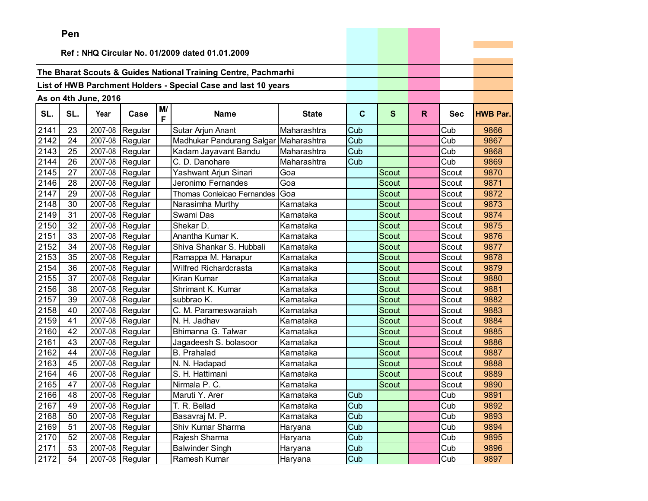|      | Pen |                      |                 |         |                                                                |              |     |              |    |            |                 |
|------|-----|----------------------|-----------------|---------|----------------------------------------------------------------|--------------|-----|--------------|----|------------|-----------------|
|      |     |                      |                 |         |                                                                |              |     |              |    |            |                 |
|      |     |                      |                 |         | Ref: NHQ Circular No. 01/2009 dated 01.01.2009                 |              |     |              |    |            |                 |
|      |     |                      |                 |         |                                                                |              |     |              |    |            |                 |
|      |     |                      |                 |         | The Bharat Scouts & Guides National Training Centre, Pachmarhi |              |     |              |    |            |                 |
|      |     |                      |                 |         | List of HWB Parchment Holders - Special Case and last 10 years |              |     |              |    |            |                 |
|      |     | As on 4th June, 2016 |                 |         |                                                                |              |     |              |    |            |                 |
| SL.  | SL. | Year                 | Case            | M/<br>F | <b>Name</b>                                                    | <b>State</b> | C   | $\mathbf{s}$ | R. | <b>Sec</b> | <b>HWB Par.</b> |
| 2141 | 23  |                      | 2007-08 Regular |         | Sutar Arjun Anant                                              | Maharashtra  | Cub |              |    | Cub        | 9866            |
| 2142 | 24  |                      | 2007-08 Regular |         | Madhukar Pandurang Salgar                                      | Maharashtra  | Cub |              |    | Cub        | 9867            |
| 2143 | 25  | 2007-08              | Regular         |         | Kadam Jayavant Bandu                                           | Maharashtra  | Cub |              |    | Cub        | 9868            |
| 2144 | 26  | 2007-08              | Regular         |         | C. D. Danohare                                                 | Maharashtra  | Cub |              |    | Cub        | 9869            |
| 2145 | 27  | 2007-08              | Regular         |         | Yashwant Arjun Sinari                                          | Goa          |     | <b>Scout</b> |    | Scout      | 9870            |
| 2146 | 28  | 2007-08              | Regular         |         | Jeronimo Fernandes                                             | Goa          |     | Scout        |    | Scout      | 9871            |
| 2147 | 29  |                      | 2007-08 Regular |         | Thomas Conleicao Fernandes                                     | Goa          |     | Scout        |    | Scout      | 9872            |
| 2148 | 30  |                      | 2007-08 Regular |         | Narasimha Murthy                                               | Karnataka    |     | Scout        |    | Scout      | 9873            |
| 2149 | 31  |                      | 2007-08 Regular |         | Swami Das                                                      | Karnataka    |     | <b>Scout</b> |    | Scout      | 9874            |
| 2150 | 32  | 2007-08              | Regular         |         | Shekar D.                                                      | Karnataka    |     | Scout        |    | Scout      | 9875            |
| 2151 | 33  | 2007-08              | Regular         |         | Anantha Kumar K.                                               | Karnataka    |     | Scout        |    | Scout      | 9876            |
| 2152 | 34  | 2007-08              | Regular         |         | Shiva Shankar S. Hubbali                                       | Karnataka    |     | Scout        |    | Scout      | 9877            |
| 2153 | 35  |                      | 2007-08 Regular |         | Ramappa M. Hanapur                                             | Karnataka    |     | Scout        |    | Scout      | 9878            |
| 2154 | 36  |                      | 2007-08 Regular |         | Wilfred Richardcrasta                                          | Karnataka    |     | Scout        |    | Scout      | 9879            |
| 2155 | 37  | 2007-08              | Regular         |         | Kiran Kumar                                                    | Karnataka    |     | Scout        |    | Scout      | 9880            |
| 2156 | 38  | 2007-08              | Regular         |         | Shrimant K. Kumar                                              | Karnataka    |     | Scout        |    | Scout      | 9881            |
| 2157 | 39  | 2007-08              | Regular         |         | subbrao K.                                                     | Karnataka    |     | Scout        |    | Scout      | 9882            |
| 2158 | 40  | 2007-08              | Regular         |         | C. M. Parameswaraiah                                           | Karnataka    |     | Scout        |    | Scout      | 9883            |
| 2159 | 41  | 2007-08              | Regular         |         | N. H. Jadhav                                                   | Karnataka    |     | Scout        |    | Scout      | 9884            |
| 2160 | 42  |                      | 2007-08 Regular |         | Bhimanna G. Talwar                                             | Karnataka    |     | Scout        |    | Scout      | 9885            |
| 2161 | 43  | 2007-08              | Regular         |         | Jagadeesh S. bolasoor                                          | Karnataka    |     | <b>Scout</b> |    | Scout      | 9886            |
| 2162 | 44  | 2007-08              | Regular         |         | <b>B.</b> Prahalad                                             | Karnataka    |     | Scout        |    | Scout      | 9887            |
| 2163 | 45  | 2007-08              | Regular         |         | N. N. Hadapad                                                  | Karnataka    |     | Scout        |    | Scout      | 9888            |
| 2164 | 46  | 2007-08              | Regular         |         | S. H. Hattimani                                                | Karnataka    |     | Scout        |    | Scout      | 9889            |
| 2165 | 47  |                      | 2007-08 Regular |         | Nirmala P. C.                                                  | Karnataka    |     | Scout        |    | Scout      | 9890            |
| 2166 | 48  |                      | 2007-08 Regular |         | Maruti Y. Arer                                                 | Karnataka    | Cub |              |    | Cub        | 9891            |
| 2167 | 49  |                      | 2007-08 Regular |         | T. R. Bellad                                                   | Karnataka    | Cub |              |    | Cub        | 9892            |
| 2168 | 50  | 2007-08              | Regular         |         | Basavraj M. P.                                                 | Karnataka    | Cub |              |    | Cub        | 9893            |
| 2169 | 51  | 2007-08              | Regular         |         | Shiv Kumar Sharma                                              | Haryana      | Cub |              |    | Cub        | 9894            |
| 2170 | 52  | 2007-08              | Regular         |         | Rajesh Sharma                                                  | Haryana      | Cub |              |    | Cub        | 9895            |
| 2171 | 53  | 2007-08              | Regular         |         | <b>Balwinder Singh</b>                                         | Haryana      | Cub |              |    | Cub        | 9896            |
| 2172 | 54  |                      | 2007-08 Regular |         | Ramesh Kumar                                                   | Haryana      | Cub |              |    | Cub        | 9897            |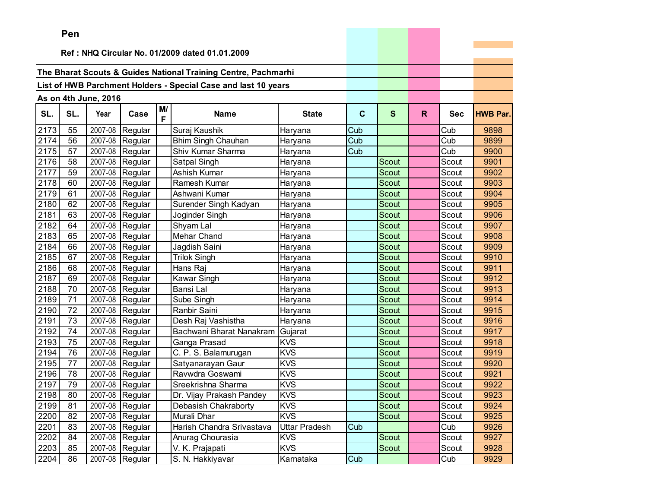|      | Pen |                      |                 |    |                                                                |               |             |              |    |            |                 |
|------|-----|----------------------|-----------------|----|----------------------------------------------------------------|---------------|-------------|--------------|----|------------|-----------------|
|      |     |                      |                 |    | Ref: NHQ Circular No. 01/2009 dated 01.01.2009                 |               |             |              |    |            |                 |
|      |     |                      |                 |    |                                                                |               |             |              |    |            |                 |
|      |     |                      |                 |    | The Bharat Scouts & Guides National Training Centre, Pachmarhi |               |             |              |    |            |                 |
|      |     |                      |                 |    | List of HWB Parchment Holders - Special Case and last 10 years |               |             |              |    |            |                 |
|      |     |                      |                 |    |                                                                |               |             |              |    |            |                 |
|      |     | As on 4th June, 2016 |                 | M/ |                                                                |               |             |              |    |            |                 |
| SL.  | SL. | Year                 | Case            | F  | <b>Name</b>                                                    | <b>State</b>  | $\mathbf c$ | S            | R. | <b>Sec</b> | <b>HWB Par.</b> |
| 2173 | 55  | $2007 - 08$          | Regular         |    | Suraj Kaushik                                                  | Haryana       | Cub         |              |    | Cub        | 9898            |
| 2174 | 56  | 2007-08              | Regular         |    | <b>Bhim Singh Chauhan</b>                                      | Haryana       | Cub         |              |    | Cub        | 9899            |
| 2175 | 57  | 2007-08              | Regular         |    | Shiv Kumar Sharma                                              | Haryana       | Cub         |              |    | Cub        | 9900            |
| 2176 | 58  | 2007-08              | Regular         |    | Satpal Singh                                                   | Haryana       |             | Scout        |    | Scout      | 9901            |
| 2177 | 59  | 2007-08              | Regular         |    | Ashish Kumar                                                   | Haryana       |             | Scout        |    | Scout      | 9902            |
| 2178 | 60  | 2007-08              | Regular         |    | Ramesh Kumar                                                   | Haryana       |             | Scout        |    | Scout      | 9903            |
| 2179 | 61  | 2007-08              | Regular         |    | Ashwani Kumar                                                  | Haryana       |             | Scout        |    | Scout      | 9904            |
| 2180 | 62  | 2007-08              | Regular         |    | Surender Singh Kadyan                                          | Haryana       |             | <b>Scout</b> |    | Scout      | 9905            |
| 2181 | 63  | 2007-08              | Regular         |    | Joginder Singh                                                 | Haryana       |             | Scout        |    | Scout      | 9906            |
| 2182 | 64  | 2007-08              | Regular         |    | Shyam Lal                                                      | Haryana       |             | <b>Scout</b> |    | Scout      | 9907            |
| 2183 | 65  | 2007-08              | Regular         |    | Mehar Chand                                                    | Haryana       |             | <b>Scout</b> |    | Scout      | 9908            |
| 2184 | 66  | 2007-08              | Regular         |    | Jagdish Saini                                                  | Haryana       |             | Scout        |    | Scout      | 9909            |
| 2185 | 67  | 2007-08              | Regular         |    | <b>Trilok Singh</b>                                            | Haryana       |             | Scout        |    | Scout      | 9910            |
| 2186 | 68  | 2007-08              | Regular         |    | Hans Raj                                                       | Haryana       |             | Scout        |    | Scout      | 9911            |
| 2187 | 69  | 2007-08              | Regular         |    | Kawar Singh                                                    | Haryana       |             | Scout        |    | Scout      | 9912            |
| 2188 | 70  | 2007-08              | Regular         |    | Bansi Lal                                                      | Haryana       |             | Scout        |    | Scout      | 9913            |
| 2189 | 71  | 2007-08              | Regular         |    | Sube Singh                                                     | Haryana       |             | <b>Scout</b> |    | Scout      | 9914            |
| 2190 | 72  | 2007-08              | Regular         |    | Ranbir Saini                                                   | Haryana       |             | Scout        |    | Scout      | 9915            |
| 2191 | 73  | 2007-08              | Regular         |    | Desh Raj Vashistha                                             | Haryana       |             | Scout        |    | Scout      | 9916            |
| 2192 | 74  | 2007-08              | Regular         |    | Bachwani Bharat Nanakram                                       | Gujarat       |             | Scout        |    | Scout      | 9917            |
| 2193 | 75  | 2007-08              | Regular         |    | Ganga Prasad                                                   | <b>KVS</b>    |             | <b>Scout</b> |    | Scout      | 9918            |
| 2194 | 76  | 2007-08              | Regular         |    | C. P. S. Balamurugan                                           | <b>KVS</b>    |             | Scout        |    | Scout      | 9919            |
| 2195 | 77  | 2007-08              | Regular         |    | Satyanarayan Gaur                                              | <b>KVS</b>    |             | Scout        |    | Scout      | 9920            |
| 2196 | 78  | 2007-08              | Regular         |    | Ravwdra Goswami                                                | <b>KVS</b>    |             | Scout        |    | Scout      | 9921            |
| 2197 | 79  | 2007-08              | Regular         |    | Sreekrishna Sharma                                             | <b>KVS</b>    |             | Scout        |    | Scout      | 9922            |
| 2198 | 80  |                      | 2007-08 Regular |    | Dr. Vijay Prakash Pandey                                       | <b>KVS</b>    |             | Scout        |    | Scout      | 9923            |
| 2199 | 81  |                      | 2007-08 Regular |    | Debasish Chakraborty                                           | <b>KVS</b>    |             | Scout        |    | Scout      | 9924            |
| 2200 | 82  |                      | 2007-08 Regular |    | Murali Dhar                                                    | <b>KVS</b>    |             | Scout        |    | Scout      | 9925            |
| 2201 | 83  |                      | 2007-08 Regular |    | Harish Chandra Srivastava                                      | Uttar Pradesh | Cub         |              |    | Cub        | 9926            |
| 2202 | 84  |                      | 2007-08 Regular |    | Anurag Chourasia                                               | <b>KVS</b>    |             | Scout        |    | Scout      | 9927            |
| 2203 | 85  |                      | 2007-08 Regular |    | V. K. Prajapati                                                | <b>KVS</b>    |             | Scout        |    | Scout      | 9928            |
| 2204 | 86  |                      | 2007-08 Regular |    | S. N. Hakkiyavar                                               | Karnataka     | Cub         |              |    | Cub        | 9929            |

the company of the company of the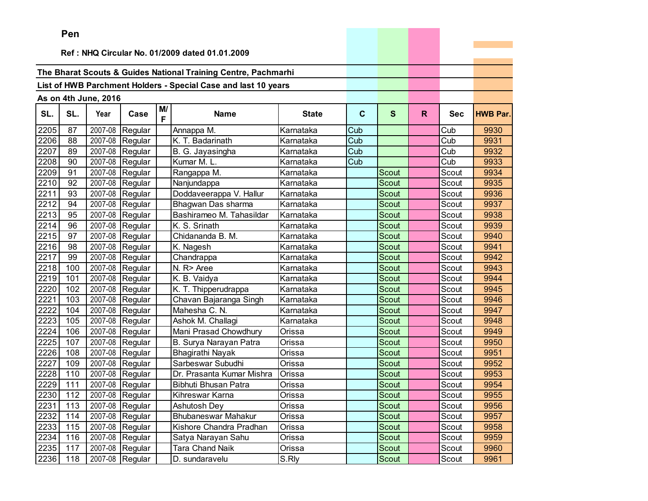|                   | Pen |                      |                               |         |                                                                |              |             |              |    |            |                 |
|-------------------|-----|----------------------|-------------------------------|---------|----------------------------------------------------------------|--------------|-------------|--------------|----|------------|-----------------|
|                   |     |                      |                               |         |                                                                |              |             |              |    |            |                 |
|                   |     |                      |                               |         | Ref: NHQ Circular No. 01/2009 dated 01.01.2009                 |              |             |              |    |            |                 |
|                   |     |                      |                               |         | The Bharat Scouts & Guides National Training Centre, Pachmarhi |              |             |              |    |            |                 |
|                   |     |                      |                               |         | List of HWB Parchment Holders - Special Case and last 10 years |              |             |              |    |            |                 |
|                   |     |                      |                               |         |                                                                |              |             |              |    |            |                 |
|                   |     | As on 4th June, 2016 |                               |         |                                                                |              |             |              |    |            |                 |
| SL.               | SL. | Year                 | Case                          | M/<br>F | <b>Name</b>                                                    | <b>State</b> | $\mathbf c$ | $\mathbf{s}$ | R. | <b>Sec</b> | <b>HWB Par.</b> |
| 2205              | 87  |                      | 2007-08 Regular               |         | Annappa M.                                                     | Karnataka    | Cub         |              |    | Cub        | 9930            |
| 2206              | 88  |                      | 2007-08 Regular               |         | K. T. Badarinath                                               | Karnataka    | Cub         |              |    | Cub        | 9931            |
| 2207              | 89  | 2007-08              | Regular                       |         | B. G. Jayasingha                                               | Karnataka    | Cub         |              |    | Cub        | 9932            |
| 2208              | 90  |                      | 2007-08 Regular               |         | Kumar M. L.                                                    | Karnataka    | Cub         |              |    | Cub        | 9933            |
| 2209              | 91  | 2007-08              | Regular                       |         | Rangappa M.                                                    | Karnataka    |             | Scout        |    | Scout      | 9934            |
| 2210              | 92  | 2007-08              | Regular                       |         | Nanjundappa                                                    | Karnataka    |             | <b>Scout</b> |    | Scout      | 9935            |
| 2211              | 93  |                      | 2007-08 Regular               |         | Doddaveerappa V. Hallur                                        | Karnataka    |             | <b>Scout</b> |    | Scout      | 9936            |
| 2212              | 94  | 2007-08              | Regular                       |         | Bhagwan Das sharma                                             | Karnataka    |             | <b>Scout</b> |    | Scout      | 9937            |
| $22\overline{13}$ | 95  | 2007-08              | Regular                       |         | Bashirameo M. Tahasildar                                       | Karnataka    |             | <b>Scout</b> |    | Scout      | 9938            |
| 2214              | 96  | 2007-08              | Regular                       |         | K. S. Srinath                                                  | Karnataka    |             | Scout        |    | Scout      | 9939            |
| 2215              | 97  | 2007-08              | Regular                       |         | Chidananda B. M.                                               | Karnataka    |             | Scout        |    | Scout      | 9940            |
| 2216              | 98  | 2007-08              | Regular                       |         | K. Nagesh                                                      | Karnataka    |             | Scout        |    | Scout      | 9941            |
| 2217              | 99  |                      | 2007-08 Regular               |         | Chandrappa                                                     | Karnataka    |             | <b>Scout</b> |    | Scout      | 9942            |
| 2218              | 100 |                      | 2007-08 Regular               |         | N. R> Aree                                                     | Karnataka    |             | Scout        |    | Scout      | 9943            |
| 2219              | 101 |                      | 2007-08 Regular               |         | K. B. Vaidya                                                   | Karnataka    |             | <b>Scout</b> |    | Scout      | 9944            |
| 2220              | 102 |                      | 2007-08 Regular               |         | K. T. Thipperudrappa                                           | Karnataka    |             | Scout        |    | Scout      | 9945            |
| 2221              | 103 | 2007-08              | Regular                       |         | Chavan Bajaranga Singh                                         | Karnataka    |             | Scout        |    | Scout      | 9946            |
| 2222              | 104 | 2007-08              | Regular                       |         | Mahesha C. N.                                                  | Karnataka    |             | <b>Scout</b> |    | Scout      | 9947            |
| 2223              | 105 | 2007-08              | Regular                       |         | Ashok M. Challagi                                              | Karnataka    |             | <b>Scout</b> |    | Scout      | 9948            |
| 2224              | 106 | 2007-08              | Regular                       |         | Mani Prasad Chowdhury                                          | Orissa       |             | Scout        |    | Scout      | 9949            |
| 2225              | 107 | 2007-08              | Regular                       |         | B. Surya Narayan Patra                                         | Orissa       |             | Scout        |    | Scout      | 9950            |
| 2226              | 108 | 2007-08              | Regular                       |         | Bhagirathi Nayak                                               | Orissa       |             | Scout        |    | Scout      | 9951            |
| 2227              | 109 | 2007-08              | Regular                       |         | Sarbeswar Subudhi                                              | Orissa       |             | Scout        |    | Scout      | 9952            |
| 2228              | 110 | 2007-08              | Regular                       |         | Dr. Prasanta Kumar Mishra                                      | Orissa       |             | Scout        |    | Scout      | 9953            |
| 2229              | 111 |                      | $\overline{2007}$ -08 Regular |         | Bibhuti Bhusan Patra                                           | Orissa       |             | <b>Scout</b> |    | Scout      | 9954            |
| 2230 112          |     |                      | 2007-08 Regular               |         | Kihreswar Karna                                                | Orissa       |             | Scout        |    | Scout      | 9955            |
| 2231              | 113 |                      | 2007-08 Regular               |         | Ashutosh Dey                                                   | Orissa       |             | Scout        |    | Scout      | 9956            |
| 2232              | 114 |                      | 2007-08 Regular               |         | <b>Bhubaneswar Mahakur</b>                                     | Orissa       |             | Scout        |    | Scout      | 9957            |
| 2233              | 115 |                      | 2007-08 Regular               |         | Kishore Chandra Pradhan                                        | Orissa       |             | Scout        |    | Scout      | 9958            |
| 2234              | 116 |                      | 2007-08 Regular               |         | Satya Narayan Sahu                                             | Orissa       |             | Scout        |    | Scout      | 9959            |
| 2235              | 117 |                      | 2007-08 Regular               |         | <b>Tara Chand Naik</b>                                         | Orissa       |             | Scout        |    | Scout      | 9960            |
| 2236              | 118 |                      | 2007-08 Regular               |         | D. sundaravelu                                                 | S.Rly        |             | Scout        |    | Scout      | 9961            |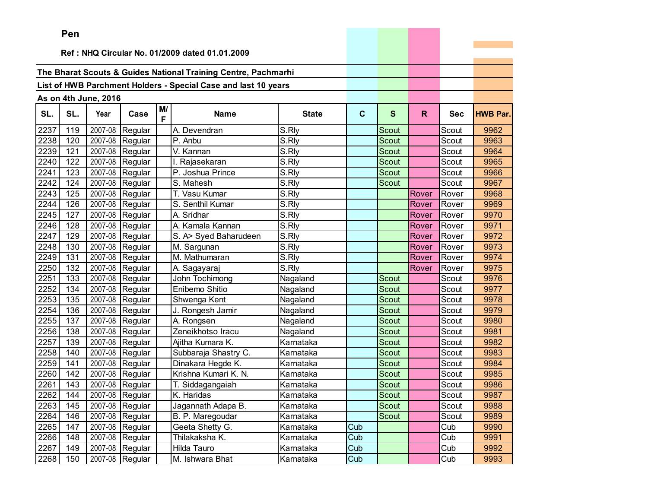|      | Pen   |                      |                 |         |                                                                |              |              |              |       |            |                 |
|------|-------|----------------------|-----------------|---------|----------------------------------------------------------------|--------------|--------------|--------------|-------|------------|-----------------|
|      |       |                      |                 |         |                                                                |              |              |              |       |            |                 |
|      |       |                      |                 |         | Ref: NHQ Circular No. 01/2009 dated 01.01.2009                 |              |              |              |       |            |                 |
|      |       |                      |                 |         | The Bharat Scouts & Guides National Training Centre, Pachmarhi |              |              |              |       |            |                 |
|      |       |                      |                 |         |                                                                |              |              |              |       |            |                 |
|      |       |                      |                 |         | List of HWB Parchment Holders - Special Case and last 10 years |              |              |              |       |            |                 |
|      |       | As on 4th June, 2016 |                 |         |                                                                |              |              |              |       |            |                 |
| SL.  | SL.   | Year                 | Case            | M/<br>F | <b>Name</b>                                                    | <b>State</b> | $\mathbf{C}$ | $\mathbf{s}$ | R.    | <b>Sec</b> | <b>HWB Par.</b> |
| 2237 | 119   | 2007-08              | Regular         |         | A. Devendran                                                   | S.Rly        |              | Scout        |       | Scout      | 9962            |
| 2238 | 120   | 2007-08              | Regular         |         | P. Anbu                                                        | S.Rly        |              | <b>Scout</b> |       | Scout      | 9963            |
| 2239 | 121   | 2007-08              | Regular         |         | V. Kannan                                                      | S.Rly        |              | Scout        |       | Scout      | 9964            |
| 2240 | 122   | 2007-08              | Regular         |         | I. Rajasekaran                                                 | S.Rly        |              | <b>Scout</b> |       | Scout      | 9965            |
| 2241 | 123   | 2007-08              | Regular         |         | P. Joshua Prince                                               | S.Rly        |              | Scout        |       | Scout      | 9966            |
| 2242 | 124   | 2007-08              | Regular         |         | S. Mahesh                                                      | S.Rly        |              | Scout        |       | Scout      | 9967            |
| 2243 | 125   | 2007-08              | Regular         |         | T. Vasu Kumar                                                  | S.Rly        |              |              | Rover | Rover      | 9968            |
| 2244 | 126   | 2007-08              | Regular         |         | S. Senthil Kumar                                               | S.Rly        |              |              | Rover | Rover      | 9969            |
| 2245 | 127   | 2007-08              | Regular         |         | A. Sridhar                                                     | S.Rly        |              |              | Rover | Rover      | 9970            |
| 2246 | 128   | 2007-08              | Regular         |         | A. Kamala Kannan                                               | S.Rly        |              |              | Rover | Rover      | 9971            |
| 2247 | 129   | 2007-08              | Regular         |         | S. A> Syed Baharudeen                                          | S.Rly        |              |              | Rover | Rover      | 9972            |
| 2248 | 130   | 2007-08              | Regular         |         | M. Sargunan                                                    | S.Rly        |              |              | Rover | Rover      | 9973            |
| 2249 | 131   | 2007-08              | Regular         |         | M. Mathumaran                                                  | S.Rly        |              |              | Rover | Rover      | 9974            |
| 2250 | 132   | 2007-08              | Regular         |         | A. Sagayaraj                                                   | S.Rly        |              |              | Rover | Rover      | 9975            |
| 2251 | 133   | 2007-08              | Regular         |         | John Tochimong                                                 | Nagaland     |              | Scout        |       | Scout      | 9976            |
| 2252 | 134   | 2007-08              | Regular         |         | Enibemo Shitio                                                 | Nagaland     |              | Scout        |       | Scout      | 9977            |
| 2253 | 135   | 2007-08              | Regular         |         | Shwenga Kent                                                   | Nagaland     |              | <b>Scout</b> |       | Scout      | 9978            |
| 2254 | 136   | 2007-08              | Regular         |         | J. Rongesh Jamir                                               | Nagaland     |              | Scout        |       | Scout      | 9979            |
| 2255 | 137   | 2007-08              | Regular         |         | A. Rongsen                                                     | Nagaland     |              | Scout        |       | Scout      | 9980            |
| 2256 | 138   | 2007-08              | Regular         |         | Zeneikhotso Iracu                                              | Nagaland     |              | <b>Scout</b> |       | Scout      | 9981            |
| 2257 | 139   | 2007-08              | Regular         |         | Ajitha Kumara K.                                               | Karnataka    |              | Scout        |       | Scout      | 9982            |
| 2258 | 140   | 2007-08              | Regular         |         | Subbaraja Shastry C.                                           | Karnataka    |              | Scout        |       | Scout      | 9983            |
| 2259 | 141   | 2007-08              | Regular         |         | Dinakara Hegde K.                                              | Karnataka    |              | Scout        |       | Scout      | 9984            |
| 2260 | 142   | 2007-08              | Regular         |         | Krishna Kumari K. N.                                           | Karnataka    |              | Scout        |       | Scout      | 9985            |
| 2261 | 143   | 2007-08              | Regular         |         | T. Siddagangaiah                                               | Karnataka    |              | Scout        |       | Scout      | 9986            |
| 2262 | $144$ |                      | 2007-08 Regular |         | K. Haridas                                                     | Karnataka    |              | Scout        |       | Scout      | 9987            |
| 2263 | 145   |                      | 2007-08 Regular |         | Jagannath Adapa B.                                             | Karnataka    |              | Scout        |       | Scout      | 9988            |
| 2264 | 146   |                      | 2007-08 Regular |         | B. P. Maregoudar                                               | Karnataka    |              | Scout        |       | Scout      | 9989            |
| 2265 | 147   |                      | 2007-08 Regular |         | Geeta Shetty G.                                                | Karnataka    | Cub          |              |       | Cub        | 9990            |
| 2266 | 148   |                      | 2007-08 Regular |         | Thilakaksha K.                                                 | Karnataka    | Cub          |              |       | Cub        | 9991            |
| 2267 | 149   |                      | 2007-08 Regular |         | Hilda Tauro                                                    | Karnataka    | Cub          |              |       | Cub        | 9992            |
| 2268 | 150   |                      | 2007-08 Regular |         | M. Ishwara Bhat                                                | Karnataka    | Cub          |              |       | Cub        | 9993            |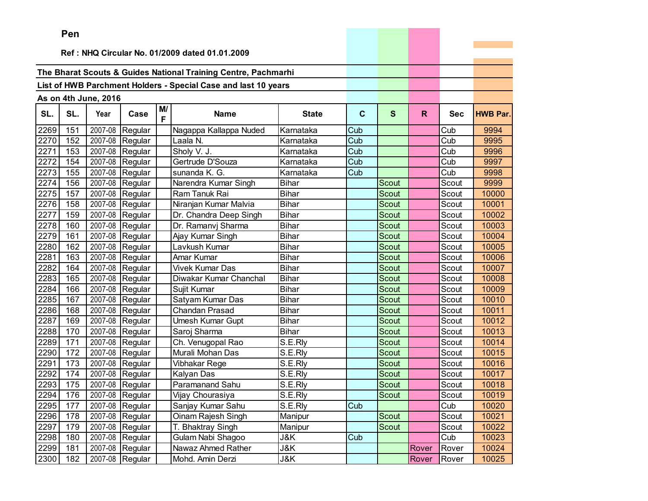|      | Pen |                      |                               |         |                                                                |              |     |              |       |            |                 |
|------|-----|----------------------|-------------------------------|---------|----------------------------------------------------------------|--------------|-----|--------------|-------|------------|-----------------|
|      |     |                      |                               |         |                                                                |              |     |              |       |            |                 |
|      |     |                      |                               |         | Ref: NHQ Circular No. 01/2009 dated 01.01.2009                 |              |     |              |       |            |                 |
|      |     |                      |                               |         | The Bharat Scouts & Guides National Training Centre, Pachmarhi |              |     |              |       |            |                 |
|      |     |                      |                               |         |                                                                |              |     |              |       |            |                 |
|      |     |                      |                               |         | List of HWB Parchment Holders - Special Case and last 10 years |              |     |              |       |            |                 |
|      |     | As on 4th June, 2016 |                               |         |                                                                |              |     |              |       |            |                 |
| SL.  | SL. | Year                 | Case                          | M/<br>F | <b>Name</b>                                                    | <b>State</b> | C   | S            | R.    | <b>Sec</b> | <b>HWB Par.</b> |
| 2269 | 151 | 2007-08              | Regular                       |         | Nagappa Kallappa Nuded                                         | Karnataka    | Cub |              |       | Cub        | 9994            |
| 2270 | 152 |                      | 2007-08 Regular               |         | Laala N.                                                       | Karnataka    | Cub |              |       | Cub        | 9995            |
| 2271 | 153 | 2007-08              | Regular                       |         | Sholy V. J.                                                    | Karnataka    | Cub |              |       | Cub        | 9996            |
| 2272 | 154 | 2007-08              | Regular                       |         | Gertrude D'Souza                                               | Karnataka    | Cub |              |       | Cub        | 9997            |
| 2273 | 155 | 2007-08              | Regular                       |         | sunanda K. G.                                                  | Karnataka    | Cub |              |       | Cub        | 9998            |
| 2274 | 156 | 2007-08              | Regular                       |         | Narendra Kumar Singh                                           | <b>Bihar</b> |     | Scout        |       | Scout      | 9999            |
| 2275 | 157 | 2007-08              | Regular                       |         | Ram Tanuk Rai                                                  | <b>Bihar</b> |     | <b>Scout</b> |       | Scout      | 10000           |
| 2276 | 158 |                      | 2007-08 Regular               |         | Niranjan Kumar Malvia                                          | <b>Bihar</b> |     | Scout        |       | Scout      | 10001           |
| 2277 | 159 | 2007-08              | Regular                       |         | Dr. Chandra Deep Singh                                         | <b>Bihar</b> |     | Scout        |       | Scout      | 10002           |
| 2278 | 160 | 2007-08              | Regular                       |         | Dr. Ramanvj Sharma                                             | <b>Bihar</b> |     | <b>Scout</b> |       | Scout      | 10003           |
| 2279 | 161 | 2007-08              | Regular                       |         | Ajay Kumar Singh                                               | <b>Bihar</b> |     | Scout        |       | Scout      | 10004           |
| 2280 | 162 | $\overline{2007-08}$ | Regular                       |         | Lavkush Kumar                                                  | <b>Bihar</b> |     | Scout        |       | Scout      | 10005           |
| 2281 | 163 | 2007-08              | Regular                       |         | Amar Kumar                                                     | <b>Bihar</b> |     | <b>Scout</b> |       | Scout      | 10006           |
| 2282 | 164 |                      | 2007-08 Regular               |         | <b>Vivek Kumar Das</b>                                         | Bihar        |     | Scout        |       | Scout      | 10007           |
| 2283 | 165 | 2007-08              | Regular                       |         | Diwakar Kumar Chanchal                                         | <b>Bihar</b> |     | Scout        |       | Scout      | 10008           |
| 2284 | 166 |                      | 2007-08 Regular               |         | Sujit Kumar                                                    | <b>Bihar</b> |     | <b>Scout</b> |       | Scout      | 10009           |
| 2285 | 167 | 2007-08              | Regular                       |         | Satyam Kumar Das                                               | <b>Bihar</b> |     | Scout        |       | Scout      | 10010           |
| 2286 | 168 | 2007-08              | Regular                       |         | Chandan Prasad                                                 | <b>Bihar</b> |     | Scout        |       | Scout      | 10011           |
| 2287 | 169 | 2007-08              | Regular                       |         | Umesh Kumar Gupt                                               | <b>Bihar</b> |     | Scout        |       | Scout      | 10012           |
| 2288 | 170 | 2007-08              | Regular                       |         | Saroj Sharma                                                   | <b>Bihar</b> |     | Scout        |       | Scout      | 10013           |
| 2289 | 171 | 2007-08              | Regular                       |         | Ch. Venugopal Rao                                              | S.E.Rly      |     | Scout        |       | Scout      | 10014           |
| 2290 | 172 | 2007-08              | Regular                       |         | Murali Mohan Das                                               | S.E.Rly      |     | Scout        |       | Scout      | 10015           |
| 2291 | 173 | 2007-08              | Regular                       |         | Vibhakar Rege                                                  | S.E.Rly      |     | Scout        |       | Scout      | 10016           |
| 2292 | 174 | 2007-08              | Regular                       |         | Kalyan Das                                                     | S.E.Rly      |     | Scout        |       | Scout      | 10017           |
| 2293 | 175 |                      | $\overline{2007}$ -08 Regular |         | <b>Paramanand Sahu</b>                                         | S.E.Rly      |     | Scout        |       | Scout      | 10018           |
| 2294 | 176 |                      | 2007-08 Regular               |         | Vijay Chourasiya                                               | S.E.Rly      |     | Scout        |       | Scout      | 10019           |
| 2295 | 177 |                      | 2007-08 Regular               |         | Sanjay Kumar Sahu                                              | S.E.Rly      | Cub |              |       | Cub        | 10020           |
| 2296 | 178 |                      | 2007-08 Regular               |         | Oinam Rajesh Singh                                             | Manipur      |     | Scout        |       | Scout      | 10021           |
| 2297 | 179 |                      | 2007-08 Regular               |         | T. Bhaktray Singh                                              | Manipur      |     | Scout        |       | Scout      | 10022           |
| 2298 | 180 |                      | 2007-08 Regular               |         | Gulam Nabi Shagoo                                              | J&K          | Cub |              |       | Cub        | 10023           |
| 2299 | 181 |                      | 2007-08 Regular               |         | Nawaz Ahmed Rather                                             | J&K          |     |              | Rover | Rover      | 10024           |
| 2300 | 182 |                      | 2007-08 Regular               |         | Mohd. Amin Derzi                                               | J&K          |     |              | Rover | Rover      | 10025           |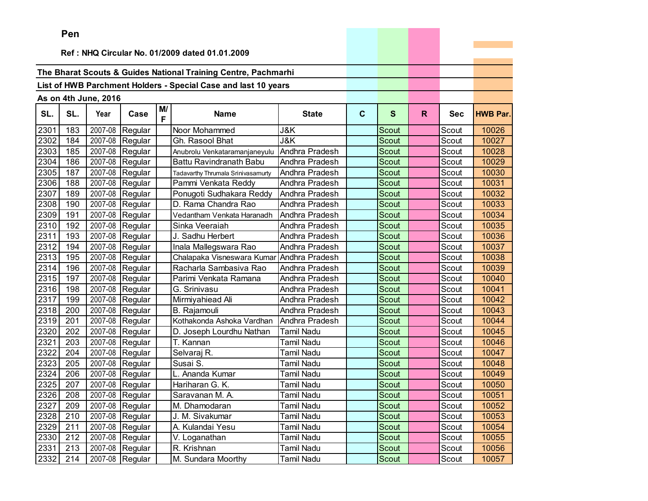|      | <b>Fell</b>                                    |                      |                 |    |                                                                |                   |              |              |    |            |                 |
|------|------------------------------------------------|----------------------|-----------------|----|----------------------------------------------------------------|-------------------|--------------|--------------|----|------------|-----------------|
|      | Ref: NHQ Circular No. 01/2009 dated 01.01.2009 |                      |                 |    |                                                                |                   |              |              |    |            |                 |
|      |                                                |                      |                 |    |                                                                |                   |              |              |    |            |                 |
|      |                                                |                      |                 |    | The Bharat Scouts & Guides National Training Centre, Pachmarhi |                   |              |              |    |            |                 |
|      |                                                |                      |                 |    | List of HWB Parchment Holders - Special Case and last 10 years |                   |              |              |    |            |                 |
|      |                                                |                      |                 |    |                                                                |                   |              |              |    |            |                 |
|      |                                                | As on 4th June, 2016 |                 | M/ |                                                                |                   |              |              |    |            |                 |
| SL.  | SL.                                            | Year                 | Case            | F  | <b>Name</b>                                                    | <b>State</b>      | $\mathbf{C}$ | $\mathbf{s}$ | R. | <b>Sec</b> | <b>HWB Par.</b> |
| 2301 | 183                                            | 2007-08              | Regular         |    | Noor Mohammed                                                  | J&K               |              | Scout        |    | Scout      | 10026           |
| 2302 | 184                                            | 2007-08              | Regular         |    | Gh. Rasool Bhat                                                | J&K               |              | Scout        |    | Scout      | 10027           |
| 2303 | 185                                            | 2007-08              | Regular         |    | Anubrolu Venkataramanjaneyulu                                  | Andhra Pradesh    |              | Scout        |    | Scout      | 10028           |
| 2304 | 186                                            | 2007-08              | Regular         |    | <b>Battu Ravindranath Babu</b>                                 | Andhra Pradesh    |              | Scout        |    | Scout      | 10029           |
| 2305 | 187                                            | 2007-08              | Regular         |    | Tadavarthy Thrumala Srinivasamurty                             | Andhra Pradesh    |              | Scout        |    | Scout      | 10030           |
| 2306 | 188                                            | 2007-08              | Regular         |    | Pammi Venkata Reddy                                            | Andhra Pradesh    |              | Scout        |    | Scout      | 10031           |
| 2307 | 189                                            | 2007-08              | Regular         |    | Ponugoti Sudhakara Reddy                                       | Andhra Pradesh    |              | Scout        |    | Scout      | 10032           |
| 2308 | 190                                            | 2007-08              | Regular         |    | D. Rama Chandra Rao                                            | Andhra Pradesh    |              | <b>Scout</b> |    | Scout      | 10033           |
| 2309 | 191                                            | 2007-08              | Regular         |    | Vedantham Venkata Haranadh                                     | Andhra Pradesh    |              | Scout        |    | Scout      | 10034           |
| 2310 | 192                                            | 2007-08              | Regular         |    | Sinka Veeraiah                                                 | Andhra Pradesh    |              | Scout        |    | Scout      | 10035           |
| 2311 | 193                                            | 2007-08              | Regular         |    | J. Sadhu Herbert                                               | Andhra Pradesh    |              | Scout        |    | Scout      | 10036           |
| 2312 | 194                                            | 2007-08              | Regular         |    | Inala Mallegswara Rao                                          | Andhra Pradesh    |              | Scout        |    | Scout      | 10037           |
| 2313 | 195                                            | 2007-08              | Regular         |    | Chalapaka Visneswara Kumar Andhra Pradesh                      |                   |              | Scout        |    | Scout      | 10038           |
| 2314 | 196                                            | 2007-08              | Regular         |    | Racharla Sambasiva Rao                                         | Andhra Pradesh    |              | Scout        |    | Scout      | 10039           |
| 2315 | 197                                            | 2007-08              | Regular         |    | Parimi Venkata Ramana                                          | Andhra Pradesh    |              | Scout        |    | Scout      | 10040           |
| 2316 | 198                                            | 2007-08              | Regular         |    | G. Srinivasu                                                   | Andhra Pradesh    |              | Scout        |    | Scout      | 10041           |
| 2317 | 199                                            | 2007-08              | Regular         |    | Mirmiyahiead Ali                                               | Andhra Pradesh    |              | Scout        |    | Scout      | 10042           |
| 2318 | 200                                            | 2007-08              | Regular         |    | B. Rajamouli                                                   | Andhra Pradesh    |              | Scout        |    | Scout      | 10043           |
| 2319 | 201                                            | 2007-08              | Regular         |    | Kothakonda Ashoka Vardhan                                      | Andhra Pradesh    |              | Scout        |    | Scout      | 10044           |
| 2320 | 202                                            | 2007-08              | Regular         |    | D. Joseph Lourdhu Nathan                                       | <b>Tamil Nadu</b> |              | Scout        |    | Scout      | 10045           |
| 2321 | 203                                            | 2007-08              | Regular         |    | $\overline{\mathsf{T}}$ . Kannan                               | <b>Tamil Nadu</b> |              | Scout        |    | Scout      | 10046           |
| 2322 | 204                                            | 2007-08              | Regular         |    | Selvaraj R.                                                    | <b>Tamil Nadu</b> |              | Scout        |    | Scout      | 10047           |
| 2323 | 205                                            | 2007-08              | Regular         |    | Susai S.                                                       | Tamil Nadu        |              | Scout        |    | Scout      | 10048           |
| 2324 | 206                                            | 2007-08              | Regular         |    | L. Ananda Kumar                                                | Tamil Nadu        |              | Scout        |    | Scout      | 10049           |
| 2325 | 207                                            | 2007-08              | Regular         |    | Hariharan G. K.                                                | <b>Tamil Nadu</b> |              | Scout        |    | Scout      | 10050           |
| 2326 | 208                                            |                      | 2007-08 Regular |    | Saravanan M. A.                                                | <b>Tamil Nadu</b> |              | Scout        |    | Scout      | 10051           |
| 2327 | 209                                            |                      | 2007-08 Regular |    | M. Dhamodaran                                                  | Tamil Nadu        |              | Scout        |    | Scout      | 10052           |
| 2328 | 210                                            | 2007-08              | Regular         |    | J. M. Sivakumar                                                | <b>Tamil Nadu</b> |              | Scout        |    | Scout      | 10053           |
| 2329 | 211                                            |                      | 2007-08 Regular |    | A. Kulandai Yesu                                               | <b>Tamil Nadu</b> |              | Scout        |    | Scout      | 10054           |
| 2330 | 212                                            | 2007-08              | Regular         |    | V. Loganathan                                                  | <b>Tamil Nadu</b> |              | Scout        |    | Scout      | 10055           |
| 2331 | 213                                            | 2007-08              | Regular         |    | R. Krishnan                                                    | <b>Tamil Nadu</b> |              | Scout        |    | Scout      | 10056           |
| 2332 | 214                                            |                      | 2007-08 Regular |    | M. Sundara Moorthy                                             | <b>Tamil Nadu</b> |              | Scout        |    | Scout      | 10057           |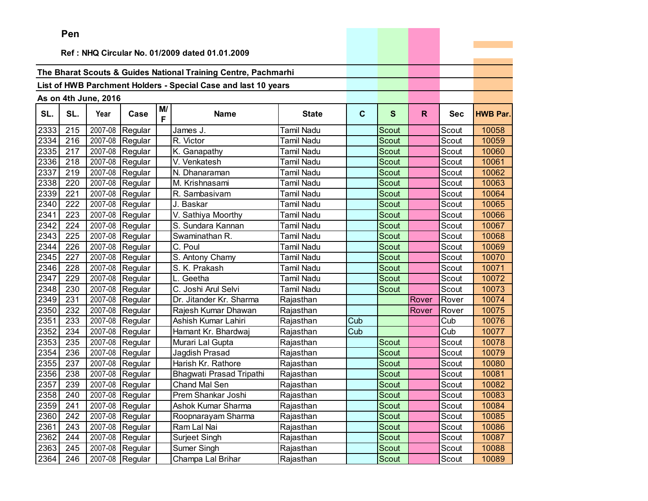|      | <b>Fell</b>                                    |                      |                 |         |                                                                |                   |              |              |       |            |                 |
|------|------------------------------------------------|----------------------|-----------------|---------|----------------------------------------------------------------|-------------------|--------------|--------------|-------|------------|-----------------|
|      | Ref: NHQ Circular No. 01/2009 dated 01.01.2009 |                      |                 |         |                                                                |                   |              |              |       |            |                 |
|      |                                                |                      |                 |         |                                                                |                   |              |              |       |            |                 |
|      |                                                |                      |                 |         | The Bharat Scouts & Guides National Training Centre, Pachmarhi |                   |              |              |       |            |                 |
|      |                                                |                      |                 |         | List of HWB Parchment Holders - Special Case and last 10 years |                   |              |              |       |            |                 |
|      |                                                |                      |                 |         |                                                                |                   |              |              |       |            |                 |
|      |                                                | As on 4th June, 2016 |                 |         |                                                                |                   |              |              |       |            |                 |
| SL.  | SL.                                            | Year                 | Case            | M/<br>F | <b>Name</b>                                                    | <b>State</b>      | $\mathbf{C}$ | $\mathbf{s}$ | R.    | <b>Sec</b> | <b>HWB Par.</b> |
| 2333 | 215                                            | 2007-08              | Regular         |         | James J.                                                       | <b>Tamil Nadu</b> |              | Scout        |       | Scout      | 10058           |
| 2334 | 216                                            | 2007-08              | Regular         |         | R. Victor                                                      | <b>Tamil Nadu</b> |              | Scout        |       | Scout      | 10059           |
| 2335 | 217                                            | 2007-08              | Regular         |         | K. Ganapathy                                                   | <b>Tamil Nadu</b> |              | Scout        |       | Scout      | 10060           |
| 2336 | 218                                            | 2007-08              | Regular         |         | V. Venkatesh                                                   | <b>Tamil Nadu</b> |              | Scout        |       | Scout      | 10061           |
| 2337 | 219                                            | 2007-08              | Regular         |         | N. Dhanaraman                                                  | Tamil Nadu        |              | Scout        |       | Scout      | 10062           |
| 2338 | 220                                            | 2007-08              | Regular         |         | M. Krishnasami                                                 | <b>Tamil Nadu</b> |              | Scout        |       | Scout      | 10063           |
| 2339 | 221                                            | 2007-08              | Regular         |         | R. Sambasivam                                                  | <b>Tamil Nadu</b> |              | Scout        |       | Scout      | 10064           |
| 2340 | 222                                            | 2007-08              | Regular         |         | J. Baskar                                                      | <b>Tamil Nadu</b> |              | Scout        |       | Scout      | 10065           |
| 2341 | 223                                            | 2007-08              | Regular         |         | V. Sathiya Moorthy                                             | <b>Tamil Nadu</b> |              | Scout        |       | Scout      | 10066           |
| 2342 | 224                                            | 2007-08              | Regular         |         | S. Sundara Kannan                                              | <b>Tamil Nadu</b> |              | Scout        |       | Scout      | 10067           |
| 2343 | 225                                            | 2007-08              | Regular         |         | Swaminathan R.                                                 | Tamil Nadu        |              | Scout        |       | Scout      | 10068           |
| 2344 | 226                                            | 2007-08              | Regular         |         | C. Poul                                                        | Tamil Nadu        |              | Scout        |       | Scout      | 10069           |
| 2345 | 227                                            | 2007-08              | Regular         |         | S. Antony Chamy                                                | <b>Tamil Nadu</b> |              | Scout        |       | Scout      | 10070           |
| 2346 | 228                                            | 2007-08              | Regular         |         | S. K. Prakash                                                  | <b>Tamil Nadu</b> |              | Scout        |       | Scout      | 10071           |
| 2347 | 229                                            | 2007-08              | Regular         |         | L. Geetha                                                      | Tamil Nadu        |              | Scout        |       | Scout      | 10072           |
| 2348 | 230                                            | 2007-08              | Regular         |         | C. Joshi Arul Selvi                                            | <b>Tamil Nadu</b> |              | Scout        |       | Scout      | 10073           |
| 2349 | 231                                            | 2007-08              | Regular         |         | Dr. Jitander Kr. Sharma                                        | Rajasthan         |              |              | Rover | Rover      | 10074           |
| 2350 | 232                                            | 2007-08              | Regular         |         | Rajesh Kumar Dhawan                                            | Rajasthan         |              |              | Rover | Rover      | 10075           |
| 2351 | 233                                            | 2007-08              | Regular         |         | Ashish Kumar Lahiri                                            | Rajasthan         | Cub          |              |       | Cub        | 10076           |
| 2352 | 234                                            | 2007-08              | Regular         |         | Hamant Kr. Bhardwaj                                            | Rajasthan         | Cub          |              |       | Cub        | 10077           |
| 2353 | 235                                            | 2007-08              | Regular         |         | Murari Lal Gupta                                               | Rajasthan         |              | Scout        |       | Scout      | 10078           |
| 2354 | 236                                            | 2007-08              | Regular         |         | Jagdish Prasad                                                 | Rajasthan         |              | Scout        |       | Scout      | 10079           |
| 2355 | 237                                            | 2007-08              | Regular         |         | Harish Kr. Rathore                                             | Rajasthan         |              | Scout        |       | Scout      | 10080           |
| 2356 | 238                                            | 2007-08              | Regular         |         | Bhagwati Prasad Tripathi                                       | Rajasthan         |              | Scout        |       | Scout      | 10081           |
| 2357 | 239                                            | 2007-08              | Regular         |         | Chand Mal Sen                                                  | Rajasthan         |              | Scout        |       | Scout      | 10082           |
| 2358 | 240                                            | 2007-08              | Regular         |         | Prem Shankar Joshi                                             | Rajasthan         |              | Scout        |       | Scout      | 10083           |
| 2359 | 241                                            |                      | 2007-08 Regular |         | Ashok Kumar Sharma                                             | Rajasthan         |              | Scout        |       | Scout      | 10084           |
| 2360 | 242                                            | 2007-08              | Regular         |         | Roopnarayam Sharma                                             | Rajasthan         |              | Scout        |       | Scout      | 10085           |
| 2361 | 243                                            |                      | 2007-08 Regular |         | Ram Lal Nai                                                    | Rajasthan         |              | Scout        |       | Scout      | 10086           |
| 2362 | 244                                            | 2007-08              | Regular         |         | Surjeet Singh                                                  | Rajasthan         |              | Scout        |       | Scout      | 10087           |
| 2363 | 245                                            | 2007-08              | Regular         |         | Sumer Singh                                                    | Rajasthan         |              | Scout        |       | Scout      | 10088           |
| 2364 | 246                                            |                      | 2007-08 Regular |         | Champa Lal Brihar                                              | Rajasthan         |              | Scout        |       | Scout      | 10089           |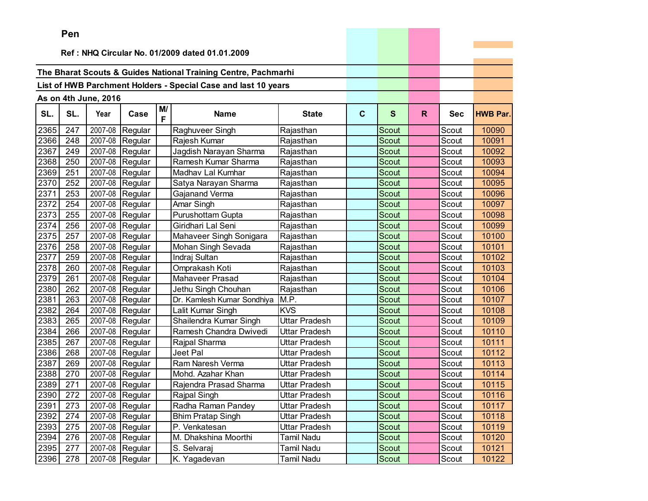|      | ren |                      |                 |         |                                                                |                      |             |              |              |            |                 |
|------|-----|----------------------|-----------------|---------|----------------------------------------------------------------|----------------------|-------------|--------------|--------------|------------|-----------------|
|      |     |                      |                 |         | Ref: NHQ Circular No. 01/2009 dated 01.01.2009                 |                      |             |              |              |            |                 |
|      |     |                      |                 |         |                                                                |                      |             |              |              |            |                 |
|      |     |                      |                 |         | The Bharat Scouts & Guides National Training Centre, Pachmarhi |                      |             |              |              |            |                 |
|      |     |                      |                 |         | List of HWB Parchment Holders - Special Case and last 10 years |                      |             |              |              |            |                 |
|      |     |                      |                 |         |                                                                |                      |             |              |              |            |                 |
|      |     | As on 4th June, 2016 |                 |         |                                                                |                      |             |              |              |            |                 |
| SL.  | SL. | Year                 | Case            | M/<br>F | <b>Name</b>                                                    | <b>State</b>         | $\mathbf c$ | $\mathbf{s}$ | $\mathsf{R}$ | <b>Sec</b> | <b>HWB Par.</b> |
| 2365 | 247 | 2007-08              | Regular         |         | Raghuveer Singh                                                | Rajasthan            |             | Scout        |              | Scout      | 10090           |
| 2366 | 248 | 2007-08              | Regular         |         | Rajesh Kumar                                                   | Rajasthan            |             | Scout        |              | Scout      | 10091           |
| 2367 | 249 | 2007-08              | Regular         |         | Jagdish Narayan Sharma                                         | Rajasthan            |             | Scout        |              | Scout      | 10092           |
| 2368 | 250 | 2007-08              | Regular         |         | Ramesh Kumar Sharma                                            | Rajasthan            |             | Scout        |              | Scout      | 10093           |
| 2369 | 251 | 2007-08              | Regular         |         | Madhav Lal Kumhar                                              | Rajasthan            |             | <b>Scout</b> |              | Scout      | 10094           |
| 2370 | 252 | 2007-08              | Regular         |         | Satya Narayan Sharma                                           | Rajasthan            |             | Scout        |              | Scout      | 10095           |
| 2371 | 253 | 2007-08              | Regular         |         | Gajanand Verma                                                 | Rajasthan            |             | Scout        |              | Scout      | 10096           |
| 2372 | 254 | 2007-08              | Regular         |         | Amar Singh                                                     | Rajasthan            |             | <b>Scout</b> |              | Scout      | 10097           |
| 2373 | 255 | 2007-08              | Regular         |         | Purushottam Gupta                                              | Rajasthan            |             | <b>Scout</b> |              | Scout      | 10098           |
| 2374 | 256 | 2007-08              | Regular         |         | Giridhari Lal Seni                                             | Rajasthan            |             | <b>Scout</b> |              | Scout      | 10099           |
| 2375 | 257 | 2007-08              | Regular         |         | Mahaveer Singh Sonigara                                        | Rajasthan            |             | <b>Scout</b> |              | Scout      | 10100           |
| 2376 | 258 | 2007-08              | Regular         |         | Mohan Singh Sevada                                             | Rajasthan            |             | Scout        |              | Scout      | 10101           |
| 2377 | 259 | 2007-08              | Regular         |         | Indraj Sultan                                                  | Rajasthan            |             | Scout        |              | Scout      | 10102           |
| 2378 | 260 | 2007-08              | Regular         |         | Omprakash Koti                                                 | Rajasthan            |             | <b>Scout</b> |              | Scout      | 10103           |
| 2379 | 261 | 2007-08              | Regular         |         | <b>Mahaveer Prasad</b>                                         | Rajasthan            |             | Scout        |              | Scout      | 10104           |
| 2380 | 262 | 2007-08              | Regular         |         | Jethu Singh Chouhan                                            | Rajasthan            |             | Scout        |              | Scout      | 10106           |
| 2381 | 263 | 2007-08              | Regular         |         | Dr. Kamlesh Kumar Sondhiya                                     | M.P.                 |             | Scout        |              | Scout      | 10107           |
| 2382 | 264 | 2007-08              | Regular         |         | Lalit Kumar Singh                                              | <b>KVS</b>           |             | Scout        |              | Scout      | 10108           |
| 2383 | 265 | 2007-08              | Regular         |         | Shailendra Kumar Singh                                         | <b>Uttar Pradesh</b> |             | Scout        |              | Scout      | 10109           |
| 2384 | 266 | 2007-08              | Regular         |         | Ramesh Chandra Dwivedi                                         | <b>Uttar Pradesh</b> |             | Scout        |              | Scout      | 10110           |
| 2385 | 267 | 2007-08              | Regular         |         | Rajpal Sharma                                                  | Uttar Pradesh        |             | <b>Scout</b> |              | Scout      | 10111           |
| 2386 | 268 | 2007-08              | Regular         |         | Jeet Pal                                                       | Uttar Pradesh        |             | Scout        |              | Scout      | 10112           |
| 2387 | 269 | 2007-08              | Regular         |         | Ram Naresh Verma                                               | Uttar Pradesh        |             | Scout        |              | Scout      | 10113           |
| 2388 | 270 | 2007-08              | Regular         |         | Mohd. Azahar Khan                                              | Uttar Pradesh        |             | Scout        |              | Scout      | 10114           |
| 2389 | 271 | 2007-08              | Regular         |         | Rajendra Prasad Sharma                                         | Uttar Pradesh        |             | Scout        |              | Scout      | 10115           |
| 2390 | 272 | 2007-08              | Regular         |         | Rajpal Singh                                                   | Uttar Pradesh        |             | Scout        |              | Scout      | 10116           |
| 2391 | 273 |                      | 2007-08 Regular |         | Radha Raman Pandey                                             | Uttar Pradesh        |             | Scout        |              | Scout      | 10117           |
| 2392 | 274 | 2007-08              | Regular         |         | <b>Bhim Pratap Singh</b>                                       | Uttar Pradesh        |             | Scout        |              | Scout      | 10118           |
| 2393 | 275 |                      | 2007-08 Regular |         | P. Venkatesan                                                  | Uttar Pradesh        |             | Scout        |              | Scout      | 10119           |
| 2394 | 276 |                      | 2007-08 Regular |         | M. Dhakshina Moorthi                                           | Tamil Nadu           |             | Scout        |              | Scout      | 10120           |
| 2395 | 277 | 2007-08              | Regular         |         | S. Selvaraj                                                    | Tamil Nadu           |             | Scout        |              | Scout      | 10121           |
| 2396 | 278 |                      | 2007-08 Regular |         | K. Yagadevan                                                   | <b>Tamil Nadu</b>    |             | Scout        |              | Scout      | 10122           |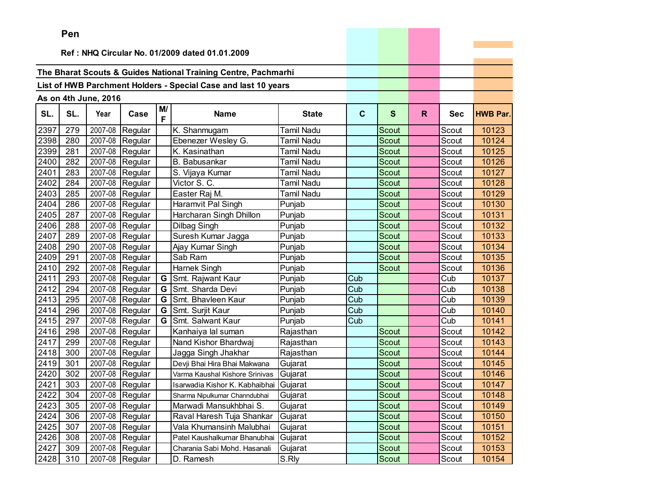|      | Pen |                      |                   |         |                                                                |              |             |              |              |            |                 |
|------|-----|----------------------|-------------------|---------|----------------------------------------------------------------|--------------|-------------|--------------|--------------|------------|-----------------|
|      |     |                      |                   |         |                                                                |              |             |              |              |            |                 |
|      |     |                      |                   |         | Ref: NHQ Circular No. 01/2009 dated 01.01.2009                 |              |             |              |              |            |                 |
|      |     |                      |                   |         | The Bharat Scouts & Guides National Training Centre, Pachmarhi |              |             |              |              |            |                 |
|      |     |                      |                   |         |                                                                |              |             |              |              |            |                 |
|      |     |                      |                   |         | List of HWB Parchment Holders - Special Case and last 10 years |              |             |              |              |            |                 |
|      |     | As on 4th June, 2016 |                   |         |                                                                |              |             |              |              |            |                 |
| SL.  | SL. | Year                 | Case              | M/<br>F | <b>Name</b>                                                    | <b>State</b> | $\mathbf c$ | $\mathbf{s}$ | $\mathsf{R}$ | <b>Sec</b> | <b>HWB Par.</b> |
| 2397 | 279 | 2007-08              | Regular           |         | K. Shanmugam                                                   | Tamil Nadu   |             | Scout        |              | Scout      | 10123           |
| 2398 | 280 |                      | 2007-08 Regular   |         | Ebenezer Wesley G.                                             | Tamil Nadu   |             | <b>Scout</b> |              | Scout      | 10124           |
| 2399 | 281 | 2007-08              | Regular           |         | K. Kasinathan                                                  | Tamil Nadu   |             | Scout        |              | Scout      | 10125           |
| 2400 | 282 | 2007-08              | Regular           |         | <b>B.</b> Babusankar                                           | Tamil Nadu   |             | Scout        |              | Scout      | 10126           |
| 2401 | 283 | 2007-08              | Regular           |         | S. Vijaya Kumar                                                | Tamil Nadu   |             | Scout        |              | Scout      | 10127           |
| 2402 | 284 | 2007-08              | Regular           |         | Victor S. C.                                                   | Tamil Nadu   |             | Scout        |              | Scout      | 10128           |
| 2403 | 285 | 2007-08              | Regular           |         | Easter Raj M.                                                  | Tamil Nadu   |             | Scout        |              | Scout      | 10129           |
| 2404 | 286 | 2007-08              | Regular           |         | Haramvit Pal Singh                                             | Punjab       |             | Scout        |              | Scout      | 10130           |
| 2405 | 287 |                      | 2007-08 Regular   |         | Harcharan Singh Dhillon                                        | Punjab       |             | Scout        |              | Scout      | 10131           |
| 2406 | 288 | 2007-08              | Regular           |         | Dilbag Singh                                                   | Punjab       |             | Scout        |              | Scout      | 10132           |
| 2407 | 289 | 2007-08              | Regular           |         | Suresh Kumar Jagga                                             | Punjab       |             | Scout        |              | Scout      | 10133           |
| 2408 | 290 | 2007-08              | Regular           |         | Ajay Kumar Singh                                               | Punjab       |             | Scout        |              | Scout      | 10134           |
| 2409 | 291 | 2007-08              | Regular           |         | Sab Ram                                                        | Punjab       |             | <b>Scout</b> |              | Scout      | 10135           |
| 2410 | 292 | 2007-08              | Regular           |         | Harnek Singh                                                   | Punjab       |             | Scout        |              | Scout      | 10136           |
| 2411 | 293 |                      | 2007-08 Regular   | G       | Smt. Rajwant Kaur                                              | Punjab       | Cub         |              |              | Cub        | 10137           |
| 2412 | 294 |                      | 2007-08 Regular   | G       | Smt. Sharda Devi                                               | Punjab       | Cub         |              |              | Cub        | 10138           |
| 2413 | 295 | 2007-08              | Regular           | G       | Smt. Bhavleen Kaur                                             | Punjab       | Cub         |              |              | Cub        | 10139           |
| 2414 | 296 | 2007-08              | Regular           | G       | Smt. Surjit Kaur                                               | Punjab       | Cub         |              |              | Cub        | 10140           |
| 2415 | 297 | 2007-08              | Regular           | G       | Smt. Salwant Kaur                                              | Punjab       | Cub         |              |              | Cub        | 10141           |
| 2416 | 298 | 2007-08              | Regular           |         | Kanhaiya lal suman                                             | Rajasthan    |             | Scout        |              | Scout      | 10142           |
| 2417 | 299 | 2007-08              | Regular           |         | Nand Kishor Bhardwaj                                           | Rajasthan    |             | Scout        |              | Scout      | 10143           |
| 2418 | 300 | 2007-08              | Regular           |         | Jagga Singh Jhakhar                                            | Rajasthan    |             | Scout        |              | Scout      | 10144           |
| 2419 | 301 | 2007-08              | Regular           |         | Devji Bhai Hira Bhai Makwana                                   | Gujarat      |             | Scout        |              | Scout      | 10145           |
| 2420 | 302 | 2007-08              | Regular           |         | Varma Kaushal Kishore Srinivas                                 | Gujarat      |             | Scout        |              | Scout      | 10146           |
| 2421 | 303 |                      | $2007-08$ Regular |         | Isarwadia Kishor K. Kabhaibhai Gujarat                         |              |             | Scout        |              | Scout      | 10147           |
| 2422 | 304 |                      | 2007-08 Regular   |         | Sharma Nipulkumar Channdubhai                                  | Gujarat      |             | Scout        |              | Scout      | 10148           |
| 2423 | 305 |                      | 2007-08   Regular |         | Marwadi Mansukhbhai S.                                         | Gujarat      |             | Scout        |              | Scout      | 10149           |
| 2424 | 306 |                      | 2007-08 Regular   |         | Raval Haresh Tuja Shankar                                      | Gujarat      |             | Scout        |              | Scout      | 10150           |
| 2425 | 307 |                      | 2007-08 Regular   |         | Vala Khumansinh Malubhai                                       | Gujarat      |             | Scout        |              | Scout      | 10151           |
| 2426 | 308 |                      | 2007-08 Regular   |         | Patel Kaushalkumar Bhanubhai                                   | Gujarat      |             | Scout        |              | Scout      | 10152           |
| 2427 | 309 |                      | 2007-08 Regular   |         | Charania Sabi Mohd. Hasanali                                   | Gujarat      |             | Scout        |              | Scout      | 10153           |
| 2428 | 310 |                      | 2007-08 Regular   |         | D. Ramesh                                                      | S.Rly        |             | Scout        |              | Scout      | 10154           |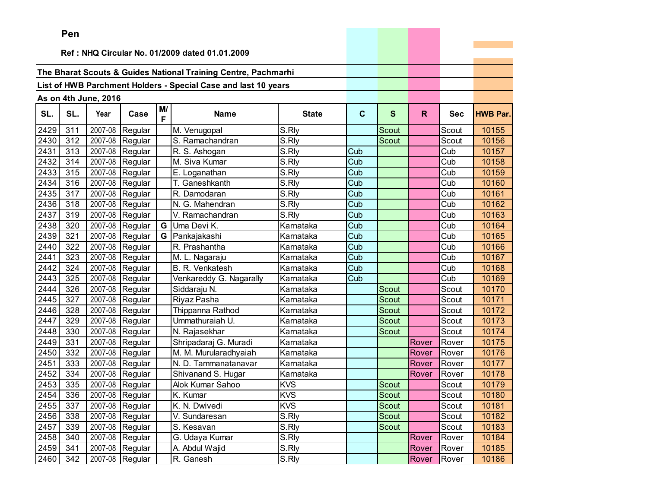|        | Pen |                      |                 |    |                                                                |                     |             |              |       |            |                 |
|--------|-----|----------------------|-----------------|----|----------------------------------------------------------------|---------------------|-------------|--------------|-------|------------|-----------------|
|        |     |                      |                 |    |                                                                |                     |             |              |       |            |                 |
|        |     |                      |                 |    | Ref: NHQ Circular No. 01/2009 dated 01.01.2009                 |                     |             |              |       |            |                 |
|        |     |                      |                 |    | The Bharat Scouts & Guides National Training Centre, Pachmarhi |                     |             |              |       |            |                 |
|        |     |                      |                 |    | List of HWB Parchment Holders - Special Case and last 10 years |                     |             |              |       |            |                 |
|        |     |                      |                 |    |                                                                |                     |             |              |       |            |                 |
|        |     | As on 4th June, 2016 |                 | M/ |                                                                |                     |             |              |       |            |                 |
| SL.    | SL. | Year                 | Case            | F  | <b>Name</b>                                                    | <b>State</b>        | $\mathbf c$ | $\mathbf{s}$ | R.    | <b>Sec</b> | <b>HWB Par.</b> |
| 2429   | 311 |                      | 2007-08 Regular |    | M. Venugopal                                                   | S.Rly               |             | Scout        |       | Scout      | 10155           |
| 2430   | 312 | 2007-08              | Regular         |    | S. Ramachandran                                                | $\overline{S}$ .Rly |             | Scout        |       | Scout      | 10156           |
| 2431   | 313 | 2007-08              | Regular         |    | R. S. Ashogan                                                  | S.Rly               | Cub         |              |       | Cub        | 10157           |
| 2432   | 314 | 2007-08              | Regular         |    | M. Siva Kumar                                                  | S.Rly               | Cub         |              |       | Cub        | 10158           |
| 2433   | 315 | 2007-08              | Regular         |    | E. Loganathan                                                  | S.Rly               | Cub         |              |       | Cub        | 10159           |
| 2434   | 316 | 2007-08              | Regular         |    | T. Ganeshkanth                                                 | S.Rly               | Cub         |              |       | Cub        | 10160           |
| 2435   | 317 | 2007-08              | Regular         |    | R. Damodaran                                                   | S.Rly               | Cub         |              |       | Cub        | 10161           |
| 2436   | 318 | 2007-08              | Regular         |    | N. G. Mahendran                                                | S.Rly               | Cub         |              |       | Cub        | 10162           |
| 2437   | 319 | 2007-08              | Regular         |    | V. Ramachandran                                                | S.Rly               | Cub         |              |       | Cub        | 10163           |
| 2438   | 320 | 2007-08              | Regular         | G  | Uma Devi K.                                                    | Karnataka           | Cub         |              |       | Cub        | 10164           |
| 2439   | 321 | 2007-08              | Regular         | G  | Pankajakashi                                                   | Karnataka           | Cub         |              |       | Cub        | 10165           |
| 2440   | 322 | 2007-08              | Regular         |    | R. Prashantha                                                  | Karnataka           | Cub         |              |       | Cub        | 10166           |
| 2441   | 323 |                      | 2007-08 Regular |    | M. L. Nagaraju                                                 | Karnataka           | Cub         |              |       | Cub        | 10167           |
| 2442   | 324 |                      | 2007-08 Regular |    | B. R. Venkatesh                                                | Karnataka           | Cub         |              |       | Cub        | 10168           |
| 2443   | 325 | 2007-08              | Regular         |    | Venkareddy G. Nagarally                                        | Karnataka           | Cub         |              |       | Cub        | 10169           |
| 2444   | 326 | 2007-08              | Regular         |    | Siddaraju N.                                                   | Karnataka           |             | Scout        |       | Scout      | 10170           |
| 2445   | 327 | 2007-08              | Regular         |    | Riyaz Pasha                                                    | Karnataka           |             | <b>Scout</b> |       | Scout      | 10171           |
| 2446   | 328 | 2007-08              | Regular         |    | Thippanna Rathod                                               | Karnataka           |             | Scout        |       | Scout      | 10172           |
| 2447   | 329 | 2007-08              | Regular         |    | Ummathuraiah U.                                                | Karnataka           |             | Scout        |       | Scout      | 10173           |
| 2448   | 330 | 2007-08              | Regular         |    | N. Rajasekhar                                                  | Karnataka           |             | Scout        |       | Scout      | 10174           |
| 2449   | 331 | 2007-08              | Regular         |    | Shripadaraj G. Muradi                                          | Karnataka           |             |              | Rover | Rover      | 10175           |
| 2450   | 332 | 2007-08              | Regular         |    | M. M. Murularadhyaiah                                          | Karnataka           |             |              | Rover | Rover      | 10176           |
| 2451   | 333 | 2007-08              | Regular         |    | N. D. Tammanatanavar                                           | Karnataka           |             |              | Rover | Rover      | 10177           |
| 2452   | 334 | 2007-08              | Regular         |    | Shivanand S. Hugar                                             | Karnataka           |             |              | Rover | Rover      | 10178           |
| 2453   | 335 |                      | 2007-08 Regular |    | Alok Kumar Sahoo                                               | <b>KVS</b>          |             | <b>Scout</b> |       | Scout      | 10179           |
| $2454$ | 336 |                      | 2007-08 Regular |    | K. Kumar                                                       | <b>KVS</b>          |             | Scout        |       | Scout      | 10180           |
| 2455   | 337 |                      | 2007-08 Regular |    | K. N. Dwivedi                                                  | <b>KVS</b>          |             | Scout        |       | Scout      | 10181           |
| 2456   | 338 |                      | 2007-08 Regular |    | V. Sundaresan                                                  | S.Rly               |             | <b>Scout</b> |       | Scout      | 10182           |
| 2457   | 339 |                      | 2007-08 Regular |    | S. Kesavan                                                     | S.Rly               |             | <b>Scout</b> |       | Scout      | 10183           |
| 2458   | 340 |                      | 2007-08 Regular |    | G. Udaya Kumar                                                 | S.Rly               |             |              | Rover | Rover      | 10184           |
| 2459   | 341 |                      | 2007-08 Regular |    | A. Abdul Wajid                                                 | S.Rly               |             |              | Rover | Rover      | 10185           |
| 2460   | 342 |                      | 2007-08 Regular |    | R. Ganesh                                                      | S.Rly               |             |              | Rover | Rover      | 10186           |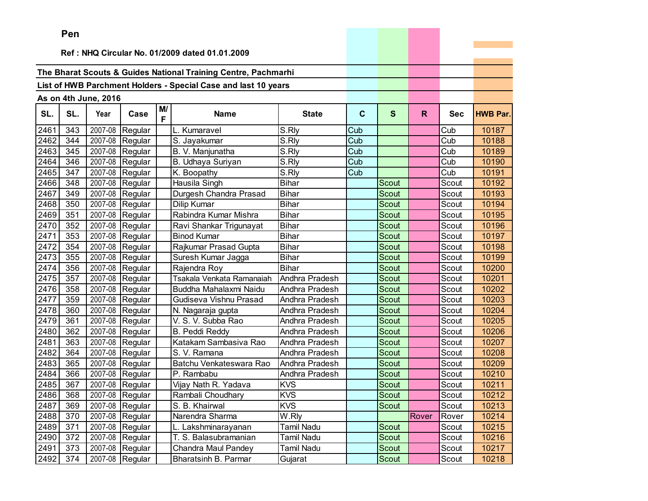|      | Pen |                       |                 |    |                                                                |                   |             |              |       |            |                 |
|------|-----|-----------------------|-----------------|----|----------------------------------------------------------------|-------------------|-------------|--------------|-------|------------|-----------------|
|      |     |                       |                 |    | Ref: NHQ Circular No. 01/2009 dated 01.01.2009                 |                   |             |              |       |            |                 |
|      |     |                       |                 |    |                                                                |                   |             |              |       |            |                 |
|      |     |                       |                 |    | The Bharat Scouts & Guides National Training Centre, Pachmarhi |                   |             |              |       |            |                 |
|      |     |                       |                 |    | List of HWB Parchment Holders - Special Case and last 10 years |                   |             |              |       |            |                 |
|      |     |                       |                 |    |                                                                |                   |             |              |       |            |                 |
|      |     | As on 4th June, 2016  |                 | M/ |                                                                |                   |             |              |       |            |                 |
| SL.  | SL. | Year                  | Case            | F  | <b>Name</b>                                                    | <b>State</b>      | $\mathbf c$ | S            | R.    | <b>Sec</b> | <b>HWB Par.</b> |
| 2461 | 343 | $\overline{2007} -08$ | Regular         |    | L. Kumaravel                                                   | S.Rly             | Cub         |              |       | Cub        | 10187           |
| 2462 | 344 | 2007-08               | Regular         |    | S. Jayakumar                                                   | S.Rly             | Cub         |              |       | Cub        | 10188           |
| 2463 | 345 | 2007-08               | Regular         |    | B. V. Manjunatha                                               | S.Rly             | Cub         |              |       | Cub        | 10189           |
| 2464 | 346 | 2007-08               | Regular         |    | B. Udhaya Suriyan                                              | S.Rly             | Cub         |              |       | Cub        | 10190           |
| 2465 | 347 | 2007-08               | Regular         |    | K. Boopathy                                                    | S.Rly             | Cub         |              |       | Cub        | 10191           |
| 2466 | 348 | 2007-08               | Regular         |    | Hausila Singh                                                  | <b>Bihar</b>      |             | Scout        |       | Scout      | 10192           |
| 2467 | 349 | 2007-08               | Regular         |    | Durgesh Chandra Prasad                                         | <b>Bihar</b>      |             | Scout        |       | Scout      | 10193           |
| 2468 | 350 | 2007-08               | Regular         |    | Dilip Kumar                                                    | <b>Bihar</b>      |             | Scout        |       | Scout      | 10194           |
| 2469 | 351 |                       | 2007-08 Regular |    | Rabindra Kumar Mishra                                          | <b>Bihar</b>      |             | Scout        |       | Scout      | 10195           |
| 2470 | 352 | 2007-08               | Regular         |    | Ravi Shankar Trigunayat                                        | <b>Bihar</b>      |             | <b>Scout</b> |       | Scout      | 10196           |
| 2471 | 353 | 2007-08               | Regular         |    | <b>Binod Kumar</b>                                             | <b>Bihar</b>      |             | Scout        |       | Scout      | 10197           |
| 2472 | 354 | 2007-08               | Regular         |    | Rajkumar Prasad Gupta                                          | <b>Bihar</b>      |             | <b>Scout</b> |       | Scout      | 10198           |
| 2473 | 355 | 2007-08               | Regular         |    | Suresh Kumar Jagga                                             | <b>Bihar</b>      |             | Scout        |       | Scout      | 10199           |
| 2474 | 356 | 2007-08               | Regular         |    | Rajendra Roy                                                   | <b>Bihar</b>      |             | <b>Scout</b> |       | Scout      | 10200           |
| 2475 | 357 | 2007-08               | Regular         |    | Tsakala Venkata Ramanaiah                                      | Andhra Pradesh    |             | Scout        |       | Scout      | 10201           |
| 2476 | 358 | 2007-08               | Regular         |    | Buddha Mahalaxmi Naidu                                         | Andhra Pradesh    |             | Scout        |       | Scout      | 10202           |
| 2477 | 359 | 2007-08               | Regular         |    | Gudiseva Vishnu Prasad                                         | Andhra Pradesh    |             | <b>Scout</b> |       | Scout      | 10203           |
| 2478 | 360 | 2007-08               | Regular         |    | N. Nagaraja gupta                                              | Andhra Pradesh    |             | Scout        |       | Scout      | 10204           |
| 2479 | 361 | 2007-08               | Regular         |    | V. S. V. Subba Rao                                             | Andhra Pradesh    |             | Scout        |       | Scout      | 10205           |
| 2480 | 362 | 2007-08               | Regular         |    | <b>B. Peddi Reddy</b>                                          | Andhra Pradesh    |             | <b>Scout</b> |       | Scout      | 10206           |
| 2481 | 363 | 2007-08               | Regular         |    | Katakam Sambasiva Rao                                          | Andhra Pradesh    |             | <b>Scout</b> |       | Scout      | 10207           |
| 2482 | 364 | 2007-08               | Regular         |    | S. V. Ramana                                                   | Andhra Pradesh    |             | Scout        |       | Scout      | 10208           |
| 2483 | 365 | 2007-08               | Regular         |    | Batchu Venkateswara Rao                                        | Andhra Pradesh    |             | Scout        |       | Scout      | 10209           |
| 2484 | 366 | 2007-08               | Regular         |    | P. Rambabu                                                     | Andhra Pradesh    |             | Scout        |       | Scout      | 10210           |
| 2485 | 367 | 2007-08               | Regular         |    | Vijay Nath R. Yadava                                           | <b>KVS</b>        |             | Scout        |       | Scout      | 10211           |
| 2486 | 368 |                       | 2007-08 Regular |    | Rambali Choudhary                                              | <b>KVS</b>        |             | Scout        |       | Scout      | 10212           |
| 2487 | 369 |                       | 2007-08 Regular |    | S. B. Khairwal                                                 | <b>KVS</b>        |             | Scout        |       | Scout      | 10213           |
| 2488 | 370 |                       | 2007-08 Regular |    | Narendra Sharma                                                | W.Rly             |             |              | Rover | Rover      | 10214           |
| 2489 | 371 |                       | 2007-08 Regular |    | L. Lakshminarayanan                                            | <b>Tamil Nadu</b> |             | Scout        |       | Scout      | 10215           |
| 2490 | 372 |                       | 2007-08 Regular |    | T. S. Balasubramanian                                          | Tamil Nadu        |             | Scout        |       | Scout      | 10216           |
| 2491 | 373 |                       | 2007-08 Regular |    | Chandra Maul Pandey                                            | <b>Tamil Nadu</b> |             | Scout        |       | Scout      | 10217           |
| 2492 | 374 |                       | 2007-08 Regular |    | Bharatsinh B. Parmar                                           | Gujarat           |             | Scout        |       | Scout      | 10218           |

the company's company's company's company's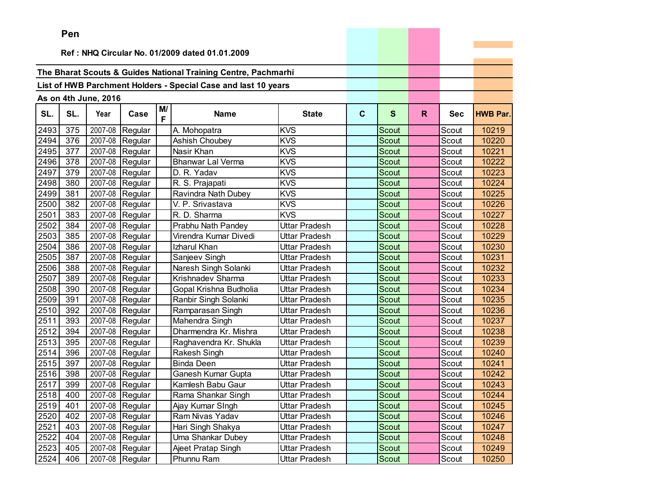|      | Pen      |                      |                   |         |                                                                |                      |             |              |    |            |                 |
|------|----------|----------------------|-------------------|---------|----------------------------------------------------------------|----------------------|-------------|--------------|----|------------|-----------------|
|      |          |                      |                   |         |                                                                |                      |             |              |    |            |                 |
|      |          |                      |                   |         | Ref: NHQ Circular No. 01/2009 dated 01.01.2009                 |                      |             |              |    |            |                 |
|      |          |                      |                   |         | The Bharat Scouts & Guides National Training Centre, Pachmarhi |                      |             |              |    |            |                 |
|      |          |                      |                   |         |                                                                |                      |             |              |    |            |                 |
|      |          |                      |                   |         | List of HWB Parchment Holders - Special Case and last 10 years |                      |             |              |    |            |                 |
|      |          | As on 4th June, 2016 |                   |         |                                                                |                      |             |              |    |            |                 |
| SL.  | SL.      | Year                 | Case              | M/<br>F | <b>Name</b>                                                    | <b>State</b>         | $\mathbf c$ | S            | R. | <b>Sec</b> | <b>HWB Par.</b> |
| 2493 | 375      | 2007-08              | Regular           |         | A. Mohopatra                                                   | <b>KVS</b>           |             | Scout        |    | Scout      | 10219           |
| 2494 | 376      |                      | 2007-08 Regular   |         | Ashish Choubey                                                 | <b>KVS</b>           |             | Scout        |    | Scout      | 10220           |
| 2495 | 377      |                      | 2007-08 Regular   |         | Nasir Khan                                                     | <b>KVS</b>           |             | Scout        |    | Scout      | 10221           |
| 2496 | 378      | 2007-08              | Regular           |         | <b>Bhanwar Lal Verma</b>                                       | <b>KVS</b>           |             | <b>Scout</b> |    | Scout      | 10222           |
| 2497 | 379      | 2007-08              | Regular           |         | D. R. Yadav                                                    | <b>KVS</b>           |             | Scout        |    | Scout      | 10223           |
| 2498 | 380      | 2007-08              | Regular           |         | R. S. Prajapati                                                | <b>KVS</b>           |             | Scout        |    | Scout      | 10224           |
| 2499 | 381      | 2007-08              | Regular           |         | Ravindra Nath Dubey                                            | <b>KVS</b>           |             | <b>Scout</b> |    | Scout      | 10225           |
| 2500 | 382      | 2007-08              | Regular           |         | V. P. Srivastava                                               | <b>KVS</b>           |             | Scout        |    | Scout      | 10226           |
| 2501 | 383      |                      | 2007-08 Regular   |         | R. D. Sharma                                                   | <b>KVS</b>           |             | Scout        |    | Scout      | 10227           |
| 2502 | 384      | 2007-08              | Regular           |         | Prabhu Nath Pandey                                             | Uttar Pradesh        |             | Scout        |    | Scout      | 10228           |
| 2503 | 385      | 2007-08              | Regular           |         | Virendra Kumar Divedi                                          | Uttar Pradesh        |             | <b>Scout</b> |    | Scout      | 10229           |
| 2504 | 386      | 2007-08              | Regular           |         | Izharul Khan                                                   | Uttar Pradesh        |             | Scout        |    | Scout      | 10230           |
| 2505 | 387      | 2007-08              | Regular           |         | Sanjeev Singh                                                  | Uttar Pradesh        |             | <b>Scout</b> |    | Scout      | 10231           |
| 2506 | 388      |                      | 2007-08 Regular   |         | Naresh Singh Solanki                                           | Uttar Pradesh        |             | <b>Scout</b> |    | Scout      | 10232           |
| 2507 | 389      |                      | 2007-08 Regular   |         | Krishnadev Sharma                                              | Uttar Pradesh        |             | Scout        |    | Scout      | 10233           |
| 2508 | 390      |                      | 2007-08 Regular   |         | Gopal Krishna Budholia                                         | Uttar Pradesh        |             | <b>Scout</b> |    | Scout      | 10234           |
| 2509 | 391      | 2007-08              | Regular           |         | Ranbir Singh Solanki                                           | Uttar Pradesh        |             | Scout        |    | Scout      | 10235           |
| 2510 | 392      | 2007-08              | Regular           |         | Ramparasan Singh                                               | Uttar Pradesh        |             | Scout        |    | Scout      | 10236           |
| 2511 | 393      | 2007-08              | Regular           |         | Mahendra Singh                                                 | Uttar Pradesh        |             | Scout        |    | Scout      | 10237           |
| 2512 | 394      | 2007-08              | Regular           |         | Dharmendra Kr. Mishra                                          | Uttar Pradesh        |             | Scout        |    | Scout      | 10238           |
| 2513 | 395      | 2007-08              | Regular           |         | Raghavendra Kr. Shukla                                         | Uttar Pradesh        |             | Scout        |    | Scout      | 10239           |
| 2514 | 396      |                      | 2007-08 Regular   |         | Rakesh Singh                                                   | Uttar Pradesh        |             | Scout        |    | Scout      | 10240           |
| 2515 | 397      | 2007-08              | Regular           |         | <b>Binda Deen</b>                                              | Uttar Pradesh        |             | Scout        |    | Scout      | 10241           |
| 2516 | 398      | 2007-08              | Regular           |         | Ganesh Kumar Gupta                                             | Uttar Pradesh        |             | Scout        |    | Scout      | 10242           |
| 2517 | 399      |                      | $2007-08$ Regular |         | Kamlesh Babu Gaur                                              | Uttar Pradesh        |             | Scout        |    | Scout      | 10243           |
|      | 2518 400 |                      | 2007-08 Regular   |         | Rama Shankar Singh                                             | <b>Uttar Pradesh</b> |             | Scout        |    | Scout      | 10244           |
| 2519 | 401      |                      | 2007-08 Regular   |         | Ajay Kumar Singh                                               | Uttar Pradesh        |             | Scout        |    | Scout      | 10245           |
| 2520 | 402      |                      | 2007-08 Regular   |         | Ram Nivas Yadav                                                | Uttar Pradesh        |             | Scout        |    | Scout      | 10246           |
| 2521 | 403      |                      | 2007-08 Regular   |         | Hari Singh Shakya                                              | Uttar Pradesh        |             | Scout        |    | Scout      | 10247           |
| 2522 | 404      |                      | 2007-08 Regular   |         | Uma Shankar Dubey                                              | Uttar Pradesh        |             | Scout        |    | Scout      | 10248           |
| 2523 | 405      |                      | 2007-08 Regular   |         | Ajeet Pratap Singh                                             | Uttar Pradesh        |             | Scout        |    | Scout      | 10249           |
| 2524 | 406      |                      | 2007-08 Regular   |         | Phunnu Ram                                                     | Uttar Pradesh        |             | Scout        |    | Scout      | 10250           |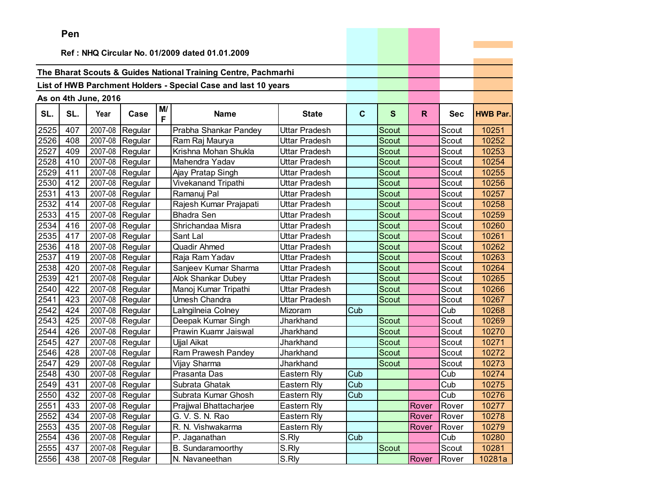|      | <b>Fell</b>                                    |                      |                 |    |                                                                |                      |              |              |       |            |                 |
|------|------------------------------------------------|----------------------|-----------------|----|----------------------------------------------------------------|----------------------|--------------|--------------|-------|------------|-----------------|
|      | Ref: NHQ Circular No. 01/2009 dated 01.01.2009 |                      |                 |    |                                                                |                      |              |              |       |            |                 |
|      |                                                |                      |                 |    |                                                                |                      |              |              |       |            |                 |
|      |                                                |                      |                 |    | The Bharat Scouts & Guides National Training Centre, Pachmarhi |                      |              |              |       |            |                 |
|      |                                                |                      |                 |    | List of HWB Parchment Holders - Special Case and last 10 years |                      |              |              |       |            |                 |
|      |                                                | As on 4th June, 2016 |                 |    |                                                                |                      |              |              |       |            |                 |
|      |                                                |                      |                 | M/ |                                                                |                      |              |              |       |            |                 |
| SL.  | SL.                                            | Year                 | Case            | F  | <b>Name</b>                                                    | <b>State</b>         | $\mathbf{C}$ | $\mathbf{s}$ | R.    | <b>Sec</b> | <b>HWB Par.</b> |
| 2525 | 407                                            | 2007-08              | Regular         |    | Prabha Shankar Pandey                                          | <b>Uttar Pradesh</b> |              | Scout        |       | Scout      | 10251           |
| 2526 | 408                                            | 2007-08              | Regular         |    | Ram Raj Maurya                                                 | Uttar Pradesh        |              | Scout        |       | Scout      | 10252           |
| 2527 | 409                                            | 2007-08              | Regular         |    | Krishna Mohan Shukla                                           | Uttar Pradesh        |              | Scout        |       | Scout      | 10253           |
| 2528 | 410                                            | 2007-08              | Regular         |    | Mahendra Yadav                                                 | Uttar Pradesh        |              | Scout        |       | Scout      | 10254           |
| 2529 | 411                                            | 2007-08              | Regular         |    | Ajay Pratap Singh                                              | Uttar Pradesh        |              | Scout        |       | Scout      | 10255           |
| 2530 | 412                                            | 2007-08              | Regular         |    | Vivekanand Tripathi                                            | Uttar Pradesh        |              | Scout        |       | Scout      | 10256           |
| 2531 | 413                                            | 2007-08              | Regular         |    | Ramanuj Pal                                                    | Uttar Pradesh        |              | Scout        |       | Scout      | 10257           |
| 2532 | 414                                            | 2007-08              | Regular         |    | Rajesh Kumar Prajapati                                         | Uttar Pradesh        |              | <b>Scout</b> |       | Scout      | 10258           |
| 2533 | 415                                            | 2007-08              | Regular         |    | <b>Bhadra Sen</b>                                              | Uttar Pradesh        |              | Scout        |       | Scout      | 10259           |
| 2534 | 416                                            | 2007-08              | Regular         |    | Shrichandaa Misra                                              | Uttar Pradesh        |              | Scout        |       | Scout      | 10260           |
| 2535 | 417                                            | 2007-08              | Regular         |    | Sant Lal                                                       | Uttar Pradesh        |              | Scout        |       | Scout      | 10261           |
| 2536 | 418                                            | 2007-08              | Regular         |    | <b>Quadir Ahmed</b>                                            | Uttar Pradesh        |              | Scout        |       | Scout      | 10262           |
| 2537 | 419                                            | 2007-08              | Regular         |    | Raja Ram Yadav                                                 | Uttar Pradesh        |              | Scout        |       | Scout      | 10263           |
| 2538 | 420                                            | 2007-08              | Regular         |    | Sanjeev Kumar Sharma                                           | Uttar Pradesh        |              | Scout        |       | Scout      | 10264           |
| 2539 | 421                                            | 2007-08              | Regular         |    | Alok Shankar Dubey                                             | Uttar Pradesh        |              | Scout        |       | Scout      | 10265           |
| 2540 | 422                                            | 2007-08              | Regular         |    | Manoj Kumar Tripathi                                           | Uttar Pradesh        |              | Scout        |       | Scout      | 10266           |
| 2541 | 423                                            | 2007-08              | Regular         |    | <b>Umesh Chandra</b>                                           | Uttar Pradesh        |              | Scout        |       | Scout      | 10267           |
| 2542 | 424                                            | 2007-08              | Regular         |    | Lalngilneia Colney                                             | Mizoram              | Cub          |              |       | Cub        | 10268           |
| 2543 | 425                                            | 2007-08              | Regular         |    | Deepak Kumar Singh                                             | Jharkhand            |              | Scout        |       | Scout      | 10269           |
| 2544 | 426                                            | 2007-08              | Regular         |    | Prawin Kuamr Jaiswal                                           | Jharkhand            |              | Scout        |       | Scout      | 10270           |
| 2545 | 427                                            | 2007-08              | Regular         |    | Ujjal Aikat                                                    | Jharkhand            |              | Scout        |       | Scout      | 10271           |
| 2546 | 428                                            | 2007-08              | Regular         |    | Ram Prawesh Pandey                                             | Jharkhand            |              | Scout        |       | Scout      | 10272           |
| 2547 | 429                                            | 2007-08              | Regular         |    | Vijay Sharma                                                   | Jharkhand            |              | Scout        |       | Scout      | 10273           |
| 2548 | 430                                            | 2007-08              | Regular         |    | Prasanta Das                                                   | Eastern Rly          | Cub          |              |       | Cub        | 10274           |
| 2549 | 431                                            | 2007-08              | Regular         |    | Subrata Ghatak                                                 | Eastern Rly          | Cub          |              |       | Cub        | 10275           |
| 2550 | 432                                            |                      | 2007-08 Regular |    | Subrata Kumar Ghosh                                            | Eastern Rly          | Cub          |              |       | Cub        | 10276           |
| 2551 | 433                                            |                      | 2007-08 Regular |    | Prajjwal Bhattacharjee                                         | Eastern Rly          |              |              | Rover | Rover      | 10277           |
| 2552 | 434                                            | 2007-08              | Regular         |    | G. V. S. N. Rao                                                | Eastern Rly          |              |              | Rover | Rover      | 10278           |
| 2553 | 435                                            |                      | 2007-08 Regular |    | R. N. Vishwakarma                                              | Eastern Rly          |              |              | Rover | Rover      | 10279           |
| 2554 | 436                                            | 2007-08              | Regular         |    | P. Jaganathan                                                  | S.Rly                | Cub          |              |       | Cub        | 10280           |
| 2555 | 437                                            | 2007-08              | Regular         |    | <b>B.</b> Sundaramoorthy                                       | S.Rly                |              | Scout        |       | Scout      | 10281           |
| 2556 | 438                                            |                      | 2007-08 Regular |    | N. Navaneethan                                                 | S.Rly                |              |              | Rover | Rover      | 10281a          |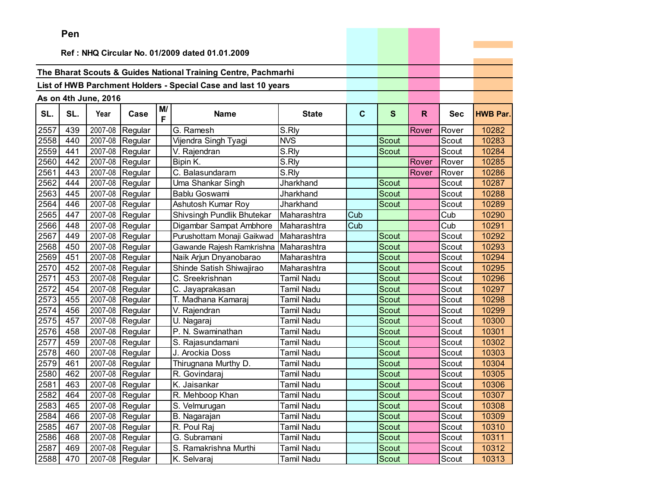|      | Pen |                      |                   |         |                                                                |                   |             |              |       |            |                 |
|------|-----|----------------------|-------------------|---------|----------------------------------------------------------------|-------------------|-------------|--------------|-------|------------|-----------------|
|      |     |                      |                   |         |                                                                |                   |             |              |       |            |                 |
|      |     |                      |                   |         | Ref: NHQ Circular No. 01/2009 dated 01.01.2009                 |                   |             |              |       |            |                 |
|      |     |                      |                   |         |                                                                |                   |             |              |       |            |                 |
|      |     |                      |                   |         | The Bharat Scouts & Guides National Training Centre, Pachmarhi |                   |             |              |       |            |                 |
|      |     |                      |                   |         | List of HWB Parchment Holders - Special Case and last 10 years |                   |             |              |       |            |                 |
|      |     | As on 4th June, 2016 |                   |         |                                                                |                   |             |              |       |            |                 |
| SL.  | SL. | Year                 | Case              | M/<br>F | <b>Name</b>                                                    | <b>State</b>      | $\mathbf c$ | $\mathbf{s}$ | R.    | <b>Sec</b> | <b>HWB Par.</b> |
| 2557 | 439 | 2007-08              | Regular           |         | G. Ramesh                                                      | S.Rly             |             |              | Rover | Rover      | 10282           |
| 2558 | 440 |                      | 2007-08 Regular   |         | Vijendra Singh Tyagi                                           | <b>NVS</b>        |             | Scout        |       | Scout      | 10283           |
| 2559 | 441 | 2007-08              | Regular           |         | V. Rajendran                                                   | S.Rly             |             | Scout        |       | Scout      | 10284           |
| 2560 | 442 | 2007-08              | Regular           |         | Bipin K.                                                       | S.Rly             |             |              | Rover | Rover      | 10285           |
| 2561 | 443 | 2007-08              | Regular           |         | C. Balasundaram                                                | S.Rly             |             |              | Rover | Rover      | 10286           |
| 2562 | 444 | 2007-08              | Regular           |         | Uma Shankar Singh                                              | Jharkhand         |             | Scout        |       | Scout      | 10287           |
| 2563 | 445 | 2007-08              | Regular           |         | <b>Bablu Goswami</b>                                           | Jharkhand         |             | <b>Scout</b> |       | Scout      | 10288           |
| 2564 | 446 | 2007-08              | Regular           |         | Ashutosh Kumar Roy                                             | Jharkhand         |             | Scout        |       | Scout      | 10289           |
| 2565 | 447 |                      | 2007-08 Regular   |         | Shivsingh Pundlik Bhutekar                                     | Maharashtra       | Cub         |              |       | Cub        | 10290           |
| 2566 | 448 | 2007-08              | Regular           |         | Digambar Sampat Ambhore                                        | Maharashtra       | Cub         |              |       | Cub        | 10291           |
| 2567 | 449 | 2007-08              | Regular           |         | Purushottam Monaji Gaikwad                                     | Maharashtra       |             | <b>Scout</b> |       | Scout      | 10292           |
| 2568 | 450 | 2007-08              | Regular           |         | Gawande Rajesh Ramkrishna                                      | Maharashtra       |             | Scout        |       | Scout      | 10293           |
| 2569 | 451 | 2007-08              | Regular           |         | Naik Arjun Dnyanobarao                                         | Maharashtra       |             | <b>Scout</b> |       | Scout      | 10294           |
| 2570 | 452 | 2007-08              | Regular           |         | Shinde Satish Shiwajirao                                       | Maharashtra       |             | <b>Scout</b> |       | Scout      | 10295           |
| 2571 | 453 |                      | 2007-08 Regular   |         | C. Sreekrishnan                                                | Tamil Nadu        |             | <b>Scout</b> |       | Scout      | 10296           |
| 2572 | 454 |                      | 2007-08 Regular   |         | C. Jayaprakasan                                                | Tamil Nadu        |             | <b>Scout</b> |       | Scout      | 10297           |
| 2573 | 455 | 2007-08              | Regular           |         | T. Madhana Kamaraj                                             | Tamil Nadu        |             | Scout        |       | Scout      | 10298           |
| 2574 | 456 | 2007-08              | Regular           |         | V. Rajendran                                                   | Tamil Nadu        |             | Scout        |       | Scout      | 10299           |
| 2575 | 457 | 2007-08              | Regular           |         | U. Nagaraj                                                     | Tamil Nadu        |             | Scout        |       | Scout      | 10300           |
| 2576 | 458 | 2007-08              | Regular           |         | P. N. Swaminathan                                              | Tamil Nadu        |             | <b>Scout</b> |       | Scout      | 10301           |
| 2577 | 459 | 2007-08              | Regular           |         | S. Rajasundamani                                               | Tamil Nadu        |             | Scout        |       | Scout      | 10302           |
| 2578 | 460 | 2007-08              | Regular           |         | J. Arockia Doss                                                | <b>Tamil Nadu</b> |             | Scout        |       | Scout      | 10303           |
| 2579 | 461 | 2007-08              | Regular           |         | Thirugnana Murthy D.                                           | Tamil Nadu        |             | Scout        |       | Scout      | 10304           |
| 2580 | 462 | 2007-08              | Regular           |         | R. Govindaraj                                                  | Tamil Nadu        |             | Scout        |       | Scout      | 10305           |
| 2581 | 463 |                      | $2007-08$ Regular |         | K. Jaisankar                                                   | Tamil Nadu        |             | Scout        |       | Scout      | 10306           |
| 2582 | 464 |                      | 2007-08 Regular   |         | R. Mehboop Khan                                                | <b>Tamil Nadu</b> |             | Scout        |       | Scout      | 10307           |
| 2583 | 465 |                      | 2007-08 Regular   |         | S. Velmurugan                                                  | Tamil Nadu        |             | Scout        |       | Scout      | 10308           |
| 2584 | 466 |                      | 2007-08 Regular   |         | B. Nagarajan                                                   | Tamil Nadu        |             | Scout        |       | Scout      | 10309           |
| 2585 | 467 |                      | 2007-08 Regular   |         | R. Poul Raj                                                    | Tamil Nadu        |             | Scout        |       | Scout      | 10310           |
| 2586 | 468 |                      | 2007-08 Regular   |         | G. Subramani                                                   | Tamil Nadu        |             | Scout        |       | Scout      | 10311           |
| 2587 | 469 |                      | 2007-08 Regular   |         | S. Ramakrishna Murthi                                          | Tamil Nadu        |             | Scout        |       | Scout      | 10312           |
| 2588 | 470 |                      | $2007-08$ Regular |         | K. Selvaraj                                                    | Tamil Nadu        |             | Scout        |       | Scout      | 10313           |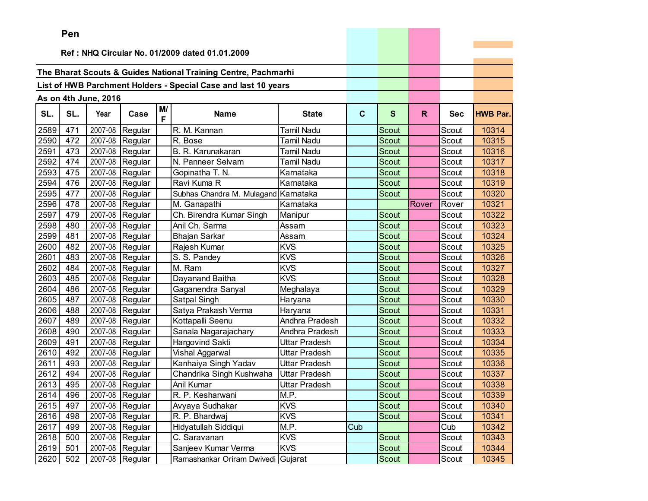|      | Pen |                      |                   |         |                                                                |                      |              |              |       |            |                 |
|------|-----|----------------------|-------------------|---------|----------------------------------------------------------------|----------------------|--------------|--------------|-------|------------|-----------------|
|      |     |                      |                   |         |                                                                |                      |              |              |       |            |                 |
|      |     |                      |                   |         | Ref: NHQ Circular No. 01/2009 dated 01.01.2009                 |                      |              |              |       |            |                 |
|      |     |                      |                   |         | The Bharat Scouts & Guides National Training Centre, Pachmarhi |                      |              |              |       |            |                 |
|      |     |                      |                   |         |                                                                |                      |              |              |       |            |                 |
|      |     |                      |                   |         | List of HWB Parchment Holders - Special Case and last 10 years |                      |              |              |       |            |                 |
|      |     | As on 4th June, 2016 |                   |         |                                                                |                      |              |              |       |            |                 |
| SL.  | SL. | Year                 | Case              | M/<br>F | <b>Name</b>                                                    | <b>State</b>         | $\mathbf{C}$ | S            | R.    | <b>Sec</b> | <b>HWB Par.</b> |
| 2589 | 471 | 2007-08              | Regular           |         | R. M. Kannan                                                   | Tamil Nadu           |              | Scout        |       | Scout      | 10314           |
| 2590 | 472 | 2007-08              | Regular           |         | R. Bose                                                        | Tamil Nadu           |              | <b>Scout</b> |       | Scout      | 10315           |
| 2591 | 473 | 2007-08              | Regular           |         | B. R. Karunakaran                                              | Tamil Nadu           |              | Scout        |       | Scout      | 10316           |
| 2592 | 474 | 2007-08              | Regular           |         | N. Panneer Selvam                                              | Tamil Nadu           |              | Scout        |       | Scout      | 10317           |
| 2593 | 475 | 2007-08              | Regular           |         | Gopinatha T. N.                                                | Karnataka            |              | Scout        |       | Scout      | 10318           |
| 2594 | 476 | 2007-08              | Regular           |         | Ravi Kuma R                                                    | Karnataka            |              | Scout        |       | Scout      | 10319           |
| 2595 | 477 | 2007-08              | Regular           |         | Subhas Chandra M. Mulagand Karnataka                           |                      |              | Scout        |       | Scout      | 10320           |
| 2596 | 478 | 2007-08              | Regular           |         | M. Ganapathi                                                   | Karnataka            |              |              | Rover | Rover      | 10321           |
| 2597 | 479 | 2007-08              | Regular           |         | Ch. Birendra Kumar Singh                                       | Manipur              |              | <b>Scout</b> |       | Scout      | 10322           |
| 2598 | 480 | 2007-08              | Regular           |         | Anil Ch. Sarma                                                 | Assam                |              | Scout        |       | Scout      | 10323           |
| 2599 | 481 | 2007-08              | Regular           |         | <b>Bhajan Sarkar</b>                                           | Assam                |              | Scout        |       | Scout      | 10324           |
| 2600 | 482 | 2007-08              | Regular           |         | Rajesh Kumar                                                   | <b>KVS</b>           |              | Scout        |       | Scout      | 10325           |
| 2601 | 483 | 2007-08              | Regular           |         | S. S. Pandey                                                   | <b>KVS</b>           |              | Scout        |       | Scout      | 10326           |
| 2602 | 484 | 2007-08              | Regular           |         | M. Ram                                                         | <b>KVS</b>           |              | <b>Scout</b> |       | Scout      | 10327           |
| 2603 | 485 | 2007-08              | Regular           |         | Dayanand Baitha                                                | <b>KVS</b>           |              | Scout        |       | Scout      | 10328           |
| 2604 | 486 | 2007-08              | Regular           |         | Gaganendra Sanyal                                              | Meghalaya            |              | Scout        |       | Scout      | 10329           |
| 2605 | 487 | 2007-08              | Regular           |         | Satpal Singh                                                   | Haryana              |              | <b>Scout</b> |       | Scout      | 10330           |
| 2606 | 488 | 2007-08              | Regular           |         | Satya Prakash Verma                                            | Haryana              |              | <b>Scout</b> |       | Scout      | 10331           |
| 2607 | 489 | 2007-08              | Regular           |         | Kottapalli Seenu                                               | Andhra Pradesh       |              | Scout        |       | Scout      | 10332           |
| 2608 | 490 | 2007-08              | Regular           |         | Sanala Nagarajachary                                           | Andhra Pradesh       |              | <b>Scout</b> |       | Scout      | 10333           |
| 2609 | 491 | 2007-08              | Regular           |         | Hargovind Sakti                                                | Uttar Pradesh        |              | <b>Scout</b> |       | Scout      | 10334           |
| 2610 | 492 | 2007-08              | Regular           |         | Vishal Aggarwal                                                | Uttar Pradesh        |              | <b>Scout</b> |       | Scout      | 10335           |
| 2611 | 493 | 2007-08              | Regular           |         | Kanhaiya Singh Yadav                                           | Uttar Pradesh        |              | Scout        |       | Scout      | 10336           |
| 2612 | 494 | 2007-08              | Regular           |         | Chandrika Singh Kushwaha                                       | <b>Uttar Pradesh</b> |              | Scout        |       | Scout      | 10337           |
| 2613 | 495 |                      | $2007-08$ Regular |         | Anil Kumar                                                     | <b>Uttar Pradesh</b> |              | Scout        |       | Scout      | 10338           |
| 2614 | 496 |                      | 2007-08 Regular   |         | R. P. Kesharwani                                               | M.P.                 |              | Scout        |       | Scout      | 10339           |
| 2615 | 497 |                      | 2007-08 Regular   |         | Avyaya Sudhakar                                                | <b>KVS</b>           |              | Scout        |       | Scout      | 10340           |
| 2616 | 498 |                      | 2007-08 Regular   |         | R. P. Bhardwaj                                                 | <b>KVS</b>           |              | Scout        |       | Scout      | 10341           |
| 2617 | 499 |                      | 2007-08 Regular   |         | Hidyatullah Siddiqui                                           | M.P.                 | Cub          |              |       | Cub        | 10342           |
| 2618 | 500 |                      | 2007-08 Regular   |         | C. Saravanan                                                   | <b>KVS</b>           |              | Scout        |       | Scout      | 10343           |
| 2619 | 501 |                      | 2007-08 Regular   |         | Sanjeev Kumar Verma                                            | <b>KVS</b>           |              | Scout        |       | Scout      | 10344           |
| 2620 | 502 |                      | 2007-08 Regular   |         | Ramashankar Oriram Dwivedi Gujarat                             |                      |              | Scout        |       | Scout      | 10345           |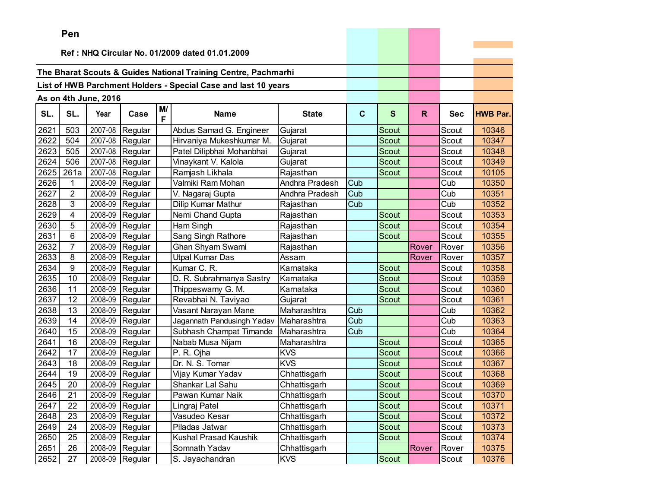|      | ren            |                      |                 |         |                                                                |                |              |              |              |            |                 |
|------|----------------|----------------------|-----------------|---------|----------------------------------------------------------------|----------------|--------------|--------------|--------------|------------|-----------------|
|      |                |                      |                 |         | Ref: NHQ Circular No. 01/2009 dated 01.01.2009                 |                |              |              |              |            |                 |
|      |                |                      |                 |         |                                                                |                |              |              |              |            |                 |
|      |                |                      |                 |         | The Bharat Scouts & Guides National Training Centre, Pachmarhi |                |              |              |              |            |                 |
|      |                |                      |                 |         | List of HWB Parchment Holders - Special Case and last 10 years |                |              |              |              |            |                 |
|      |                |                      |                 |         |                                                                |                |              |              |              |            |                 |
|      |                | As on 4th June, 2016 |                 |         |                                                                |                |              |              |              |            |                 |
| SL.  | SL.            | Year                 | Case            | M/<br>F | <b>Name</b>                                                    | <b>State</b>   | $\mathbf{C}$ | $\mathbf{s}$ | $\mathsf{R}$ | <b>Sec</b> | <b>HWB Par.</b> |
| 2621 | 503            | 2007-08              | Regular         |         | Abdus Samad G. Engineer                                        | Gujarat        |              | Scout        |              | Scout      | 10346           |
| 2622 | 504            | 2007-08              | Regular         |         | Hirvaniya Mukeshkumar M.                                       | Gujarat        |              | Scout        |              | Scout      | 10347           |
| 2623 | 505            | 2007-08              | Regular         |         | Patel Dilipbhai Mohanbhai                                      | Gujarat        |              | Scout        |              | Scout      | 10348           |
| 2624 | 506            | 2007-08              | Regular         |         | Vinaykant V. Kalola                                            | Gujarat        |              | Scout        |              | Scout      | 10349           |
| 2625 | 261a           | 2007-08              | Regular         |         | Ramjash Likhala                                                | Rajasthan      |              | Scout        |              | Scout      | 10105           |
| 2626 | 1              | 2008-09              | Regular         |         | Valmiki Ram Mohan                                              | Andhra Pradesh | Cub          |              |              | Cub        | 10350           |
| 2627 | $\overline{c}$ | 2008-09              | Regular         |         | V. Nagaraj Gupta                                               | Andhra Pradesh | Cub          |              |              | Cub        | 10351           |
| 2628 | 3              | 2008-09              | Regular         |         | Dilip Kumar Mathur                                             | Rajasthan      | Cub          |              |              | Cub        | 10352           |
| 2629 | 4              | 2008-09              | Regular         |         | Nemi Chand Gupta                                               | Rajasthan      |              | Scout        |              | Scout      | 10353           |
| 2630 | 5              | 2008-09              | Regular         |         | Ham Singh                                                      | Rajasthan      |              | Scout        |              | Scout      | 10354           |
| 2631 | 6              | 2008-09              | Regular         |         | Sang Singh Rathore                                             | Rajasthan      |              | <b>Scout</b> |              | Scout      | 10355           |
| 2632 | 7              | 2008-09              | Regular         |         | Ghan Shyam Swami                                               | Rajasthan      |              |              | Rover        | Rover      | 10356           |
| 2633 | 8              | 2008-09              | Regular         |         | <b>Utpal Kumar Das</b>                                         | Assam          |              |              | Rover        | Rover      | 10357           |
| 2634 | 9              | 2008-09              | Regular         |         | Kumar C. R.                                                    | Karnataka      |              | <b>Scout</b> |              | Scout      | 10358           |
| 2635 | 10             | 2008-09              | Regular         |         | D. R. Subrahmanya Sastry                                       | Karnataka      |              | Scout        |              | Scout      | 10359           |
| 2636 | 11             | 2008-09              | Regular         |         | Thippeswamy G. M.                                              | Karnataka      |              | Scout        |              | Scout      | 10360           |
| 2637 | 12             | 2008-09              | Regular         |         | Revabhai N. Taviyao                                            | Gujarat        |              | Scout        |              | Scout      | 10361           |
| 2638 | 13             | 2008-09              | Regular         |         | Vasant Narayan Mane                                            | Maharashtra    | Cub          |              |              | Cub        | 10362           |
| 2639 | 14             | 2008-09              | Regular         |         | Jagannath Pandusingh Yadav                                     | Maharashtra    | Cub          |              |              | Cub        | 10363           |
| 2640 | 15             | 2008-09              | Regular         |         | Subhash Champat Timande                                        | Maharashtra    | Cub          |              |              | Cub        | 10364           |
| 2641 | 16             | 2008-09              | Regular         |         | Nabab Musa Nijam                                               | Maharashtra    |              | Scout        |              | Scout      | 10365           |
| 2642 | 17             | 2008-09              | Regular         |         | P. R. Ojha                                                     | <b>KVS</b>     |              | Scout        |              | Scout      | 10366           |
| 2643 | 18             | 2008-09              | Regular         |         | Dr. N. S. Tomar                                                | <b>KVS</b>     |              | <b>Scout</b> |              | Scout      | 10367           |
| 2644 | 19             | 2008-09              | Regular         |         | Vijay Kumar Yadav                                              | Chhattisgarh   |              | Scout        |              | Scout      | 10368           |
| 2645 | 20             | 2008-09              | Regular         |         | Shankar Lal Sahu                                               | Chhattisgarh   |              | Scout        |              | Scout      | 10369           |
| 2646 | 21             | 2008-09              | Regular         |         | Pawan Kumar Naik                                               | Chhattisgarh   |              | Scout        |              | Scout      | 10370           |
| 2647 | 22             |                      | 2008-09 Regular |         | Lingraj Patel                                                  | Chhattisgarh   |              | Scout        |              | Scout      | 10371           |
| 2648 | 23             | 2008-09              | Regular         |         | Vasudeo Kesar                                                  | Chhattisgarh   |              | Scout        |              | Scout      | 10372           |
| 2649 | 24             | 2008-09              | Regular         |         | Piladas Jatwar                                                 | Chhattisgarh   |              | Scout        |              | Scout      | 10373           |
| 2650 | 25             | 2008-09              | Regular         |         | Kushal Prasad Kaushik                                          | Chhattisgarh   |              | Scout        |              | Scout      | 10374           |
| 2651 | 26             | 2008-09              | Regular         |         | Somnath Yadav                                                  | Chhattisgarh   |              |              | Rover        | Rover      | 10375           |
| 2652 | 27             |                      | 2008-09 Regular |         | S. Jayachandran                                                | <b>KVS</b>     |              | Scout        |              | Scout      | 10376           |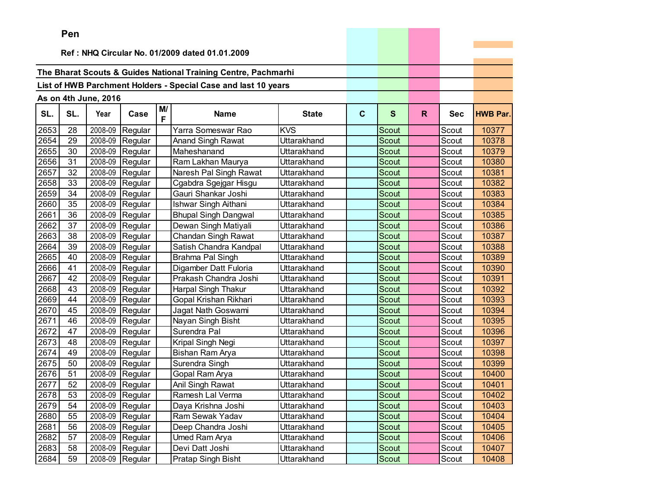|      | Pen |                      |                 |         |                                                                |              |              |              |    |            |                 |
|------|-----|----------------------|-----------------|---------|----------------------------------------------------------------|--------------|--------------|--------------|----|------------|-----------------|
|      |     |                      |                 |         | Ref: NHQ Circular No. 01/2009 dated 01.01.2009                 |              |              |              |    |            |                 |
|      |     |                      |                 |         |                                                                |              |              |              |    |            |                 |
|      |     |                      |                 |         | The Bharat Scouts & Guides National Training Centre, Pachmarhi |              |              |              |    |            |                 |
|      |     |                      |                 |         | List of HWB Parchment Holders - Special Case and last 10 years |              |              |              |    |            |                 |
|      |     |                      |                 |         |                                                                |              |              |              |    |            |                 |
|      |     | As on 4th June, 2016 |                 |         |                                                                |              |              |              |    |            |                 |
| SL.  | SL. | Year                 | Case            | M/<br>F | <b>Name</b>                                                    | <b>State</b> | $\mathbf{C}$ | S            | R. | <b>Sec</b> | <b>HWB Par.</b> |
| 2653 | 28  | 2008-09              | Regular         |         | Yarra Someswar Rao                                             | <b>KVS</b>   |              | Scout        |    | Scout      | 10377           |
| 2654 | 29  | 2008-09              | Regular         |         | Anand Singh Rawat                                              | Uttarakhand  |              | <b>Scout</b> |    | Scout      | 10378           |
| 2655 | 30  | 2008-09              | Regular         |         | Maheshanand                                                    | Uttarakhand  |              | <b>Scout</b> |    | Scout      | 10379           |
| 2656 | 31  | 2008-09              | Regular         |         | Ram Lakhan Maurya                                              | Uttarakhand  |              | Scout        |    | Scout      | 10380           |
| 2657 | 32  | 2008-09              | Regular         |         | Naresh Pal Singh Rawat                                         | Uttarakhand  |              | Scout        |    | Scout      | 10381           |
| 2658 | 33  | 2008-09              | Regular         |         | Cgabdra Sgejgar Hisgu                                          | Uttarakhand  |              | Scout        |    | Scout      | 10382           |
| 2659 | 34  | 2008-09              | Regular         |         | Gauri Shankar Joshi                                            | Uttarakhand  |              | <b>Scout</b> |    | Scout      | 10383           |
| 2660 | 35  | 2008-09              | Regular         |         | Ishwar Singh Aithani                                           | Uttarakhand  |              | Scout        |    | Scout      | 10384           |
| 2661 | 36  | 2008-09              | Regular         |         | <b>Bhupal Singh Dangwal</b>                                    | Uttarakhand  |              | Scout        |    | Scout      | 10385           |
| 2662 | 37  | 2008-09              | Regular         |         | Dewan Singh Matiyali                                           | Uttarakhand  |              | Scout        |    | Scout      | 10386           |
| 2663 | 38  | 2008-09              | Regular         |         | Chandan Singh Rawat                                            | Uttarakhand  |              | <b>Scout</b> |    | Scout      | 10387           |
| 2664 | 39  | 2008-09              | Regular         |         | Satish Chandra Kandpal                                         | Uttarakhand  |              | Scout        |    | Scout      | 10388           |
| 2665 | 40  | 2008-09              | Regular         |         | Brahma Pal Singh                                               | Uttarakhand  |              | Scout        |    | Scout      | 10389           |
| 2666 | 41  | 2008-09              | Regular         |         | Digamber Datt Fuloria                                          | Uttarakhand  |              | <b>Scout</b> |    | Scout      | 10390           |
| 2667 | 42  | 2008-09              | Regular         |         | Prakash Chandra Joshi                                          | Uttarakhand  |              | <b>Scout</b> |    | Scout      | 10391           |
| 2668 | 43  | 2008-09              | Regular         |         | <b>Harpal Singh Thakur</b>                                     | Uttarakhand  |              | <b>Scout</b> |    | Scout      | 10392           |
| 2669 | 44  | 2008-09              | Regular         |         | Gopal Krishan Rikhari                                          | Uttarakhand  |              | <b>Scout</b> |    | Scout      | 10393           |
| 2670 | 45  | 2008-09              | Regular         |         | Jagat Nath Goswami                                             | Uttarakhand  |              | Scout        |    | Scout      | 10394           |
| 2671 | 46  | 2008-09              | Regular         |         | Nayan Singh Bisht                                              | Uttarakhand  |              | Scout        |    | Scout      | 10395           |
| 2672 | 47  | 2008-09              | Regular         |         | Surendra Pal                                                   | Uttarakhand  |              | <b>Scout</b> |    | Scout      | 10396           |
| 2673 | 48  | 2008-09              | Regular         |         | Kripal Singh Negi                                              | Uttarakhand  |              | <b>Scout</b> |    | Scout      | 10397           |
| 2674 | 49  | 2008-09              | Regular         |         | Bishan Ram Arya                                                | Uttarakhand  |              | <b>Scout</b> |    | Scout      | 10398           |
| 2675 | 50  | 2008-09              | Regular         |         | Surendra Singh                                                 | Uttarakhand  |              | <b>Scout</b> |    | Scout      | 10399           |
| 2676 | 51  | 2008-09              | Regular         |         | Gopal Ram Arya                                                 | Uttarakhand  |              | Scout        |    | Scout      | 10400           |
| 2677 | 52  | 2008-09              | Regular         |         | Anil Singh Rawat                                               | Uttarakhand  |              | Scout        |    | Scout      | 10401           |
| 2678 | 53  |                      | 2008-09 Regular |         | Ramesh Lal Verma                                               | Uttarakhand  |              | Scout        |    | Scout      | 10402           |
| 2679 | 54  |                      | 2008-09 Regular |         | Daya Krishna Joshi                                             | Uttarakhand  |              | Scout        |    | Scout      | 10403           |
| 2680 | 55  |                      | 2008-09 Regular |         | Ram Sewak Yadav                                                | Uttarakhand  |              | Scout        |    | Scout      | 10404           |
| 2681 | 56  |                      | 2008-09 Regular |         | Deep Chandra Joshi                                             | Uttarakhand  |              | <b>Scout</b> |    | Scout      | 10405           |
| 2682 | 57  |                      | 2008-09 Regular |         | Umed Ram Arya                                                  | Uttarakhand  |              | Scout        |    | Scout      | 10406           |
| 2683 | 58  |                      | 2008-09 Regular |         | Devi Datt Joshi                                                | Uttarakhand  |              | Scout        |    | Scout      | 10407           |
| 2684 | 59  |                      | 2008-09 Regular |         | Pratap Singh Bisht                                             | Uttarakhand  |              | Scout        |    | Scout      | 10408           |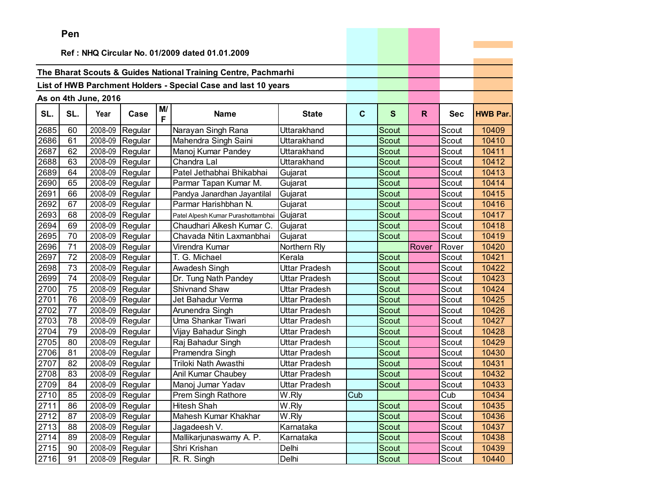|      | Pen |                      |                 |         |                                                                |               |             |              |              |            |                 |
|------|-----|----------------------|-----------------|---------|----------------------------------------------------------------|---------------|-------------|--------------|--------------|------------|-----------------|
|      |     |                      |                 |         |                                                                |               |             |              |              |            |                 |
|      |     |                      |                 |         | Ref: NHQ Circular No. 01/2009 dated 01.01.2009                 |               |             |              |              |            |                 |
|      |     |                      |                 |         | The Bharat Scouts & Guides National Training Centre, Pachmarhi |               |             |              |              |            |                 |
|      |     |                      |                 |         |                                                                |               |             |              |              |            |                 |
|      |     |                      |                 |         | List of HWB Parchment Holders - Special Case and last 10 years |               |             |              |              |            |                 |
|      |     | As on 4th June, 2016 |                 |         |                                                                |               |             |              |              |            |                 |
| SL.  | SL. | Year                 | Case            | M/<br>F | <b>Name</b>                                                    | <b>State</b>  | $\mathbf c$ | $\mathbf{s}$ | $\mathsf{R}$ | <b>Sec</b> | <b>HWB Par.</b> |
| 2685 | 60  | 2008-09              | Regular         |         | Narayan Singh Rana                                             | Uttarakhand   |             | Scout        |              | Scout      | 10409           |
| 2686 | 61  | 2008-09              | Regular         |         | Mahendra Singh Saini                                           | Uttarakhand   |             | Scout        |              | Scout      | 10410           |
| 2687 | 62  | 2008-09              | Regular         |         | Manoj Kumar Pandey                                             | Uttarakhand   |             | Scout        |              | Scout      | 10411           |
| 2688 | 63  | 2008-09              | Regular         |         | Chandra Lal                                                    | Uttarakhand   |             | Scout        |              | Scout      | 10412           |
| 2689 | 64  | 2008-09              | Regular         |         | Patel Jethabhai Bhikabhai                                      | Gujarat       |             | <b>Scout</b> |              | Scout      | 10413           |
| 2690 | 65  | 2008-09              | Regular         |         | Parmar Tapan Kumar M.                                          | Gujarat       |             | Scout        |              | Scout      | 10414           |
| 2691 | 66  | 2008-09              | Regular         |         | Pandya Janardhan Jayantilal                                    | Gujarat       |             | Scout        |              | Scout      | 10415           |
| 2692 | 67  | 2008-09              | Regular         |         | Parmar Harishbhan N.                                           | Gujarat       |             | Scout        |              | Scout      | 10416           |
| 2693 | 68  |                      | 2008-09 Regular |         | Patel Alpesh Kumar Purashottambhai                             | Gujarat       |             | Scout        |              | Scout      | 10417           |
| 2694 | 69  | 2008-09              | Regular         |         | Chaudhari Alkesh Kumar C.                                      | Gujarat       |             | Scout        |              | Scout      | 10418           |
| 2695 | 70  | 2008-09              | Regular         |         | Chavada Nitin Laxmanbhai                                       | Gujarat       |             | Scout        |              | Scout      | 10419           |
| 2696 | 71  | 2008-09              | Regular         |         | Virendra Kumar                                                 | Northern Rly  |             |              | Rover        | Rover      | 10420           |
| 2697 | 72  | 2008-09              | Regular         |         | T. G. Michael                                                  | Kerala        |             | <b>Scout</b> |              | Scout      | 10421           |
| 2698 | 73  | 2008-09              | Regular         |         | Awadesh Singh                                                  | Uttar Pradesh |             | <b>Scout</b> |              | Scout      | 10422           |
| 2699 | 74  | 2008-09              | Regular         |         | Dr. Tung Nath Pandey                                           | Uttar Pradesh |             | Scout        |              | Scout      | 10423           |
| 2700 | 75  |                      | 2008-09 Regular |         | <b>Shivnand Shaw</b>                                           | Uttar Pradesh |             | Scout        |              | Scout      | 10424           |
| 2701 | 76  | 2008-09              | Regular         |         | Jet Bahadur Verma                                              | Uttar Pradesh |             | Scout        |              | Scout      | 10425           |
| 2702 | 77  | 2008-09              | Regular         |         | Arunendra Singh                                                | Uttar Pradesh |             | Scout        |              | Scout      | 10426           |
| 2703 | 78  | 2008-09              | Regular         |         | Uma Shankar Tiwari                                             | Uttar Pradesh |             | Scout        |              | Scout      | 10427           |
| 2704 | 79  | 2008-09              | Regular         |         | Vijay Bahadur Singh                                            | Uttar Pradesh |             | Scout        |              | Scout      | 10428           |
| 2705 | 80  | 2008-09              | Regular         |         | Raj Bahadur Singh                                              | Uttar Pradesh |             | Scout        |              | Scout      | 10429           |
| 2706 | 81  | 2008-09              | Regular         |         | Pramendra Singh                                                | Uttar Pradesh |             | Scout        |              | Scout      | 10430           |
| 2707 | 82  | 2008-09              | Regular         |         | Triloki Nath Awasthi                                           | Uttar Pradesh |             | Scout        |              | Scout      | 10431           |
| 2708 | 83  | 2008-09              | Regular         |         | Anil Kumar Chaubey                                             | Uttar Pradesh |             | Scout        |              | Scout      | 10432           |
| 2709 | 84  |                      | 2008-09 Regular |         | Manoj Jumar Yadav                                              | Uttar Pradesh |             | Scout        |              | Scout      | 10433           |
| 2710 | 85  |                      | 2008-09 Regular |         | Prem Singh Rathore                                             | W.Rly         | Cub         |              |              | Cub        | 10434           |
| 2711 | 86  |                      | 2008-09 Regular |         | Hitesh Shah                                                    | W.Rly         |             | Scout        |              | Scout      | 10435           |
| 2712 | 87  |                      | 2008-09 Regular |         | Mahesh Kumar Khakhar                                           | W.Rly         |             | Scout        |              | Scout      | 10436           |
| 2713 | 88  |                      | 2008-09 Regular |         | Jagadeesh V.                                                   | Karnataka     |             | Scout        |              | Scout      | 10437           |
| 2714 | 89  |                      | 2008-09 Regular |         | Mallikarjunaswamy A. P.                                        | Karnataka     |             | Scout        |              | Scout      | 10438           |
| 2715 | 90  |                      | 2008-09 Regular |         | Shri Krishan                                                   | Delhi         |             | Scout        |              | Scout      | 10439           |
| 2716 | 91  |                      | 2008-09 Regular |         | R. R. Singh                                                    | Delhi         |             | Scout        |              | Scout      | 10440           |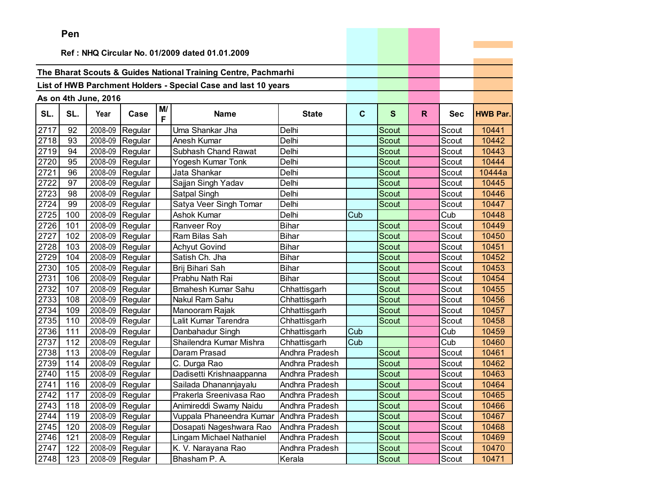|      | Pen      |                      |                 |         |                                                                |                |              |              |    |            |                 |
|------|----------|----------------------|-----------------|---------|----------------------------------------------------------------|----------------|--------------|--------------|----|------------|-----------------|
|      |          |                      |                 |         |                                                                |                |              |              |    |            |                 |
|      |          |                      |                 |         | Ref: NHQ Circular No. 01/2009 dated 01.01.2009                 |                |              |              |    |            |                 |
|      |          |                      |                 |         | The Bharat Scouts & Guides National Training Centre, Pachmarhi |                |              |              |    |            |                 |
|      |          |                      |                 |         | List of HWB Parchment Holders - Special Case and last 10 years |                |              |              |    |            |                 |
|      |          |                      |                 |         |                                                                |                |              |              |    |            |                 |
|      |          | As on 4th June, 2016 |                 |         |                                                                |                |              |              |    |            |                 |
| SL.  | SL.      | Year                 | Case            | M/<br>F | <b>Name</b>                                                    | <b>State</b>   | $\mathbf{C}$ | S            | R. | <b>Sec</b> | <b>HWB Par.</b> |
| 2717 | 92       | 2008-09              | Regular         |         | Uma Shankar Jha                                                | Delhi          |              | Scout        |    | Scout      | 10441           |
| 2718 | 93       | 2008-09              | Regular         |         | Anesh Kumar                                                    | Delhi          |              | <b>Scout</b> |    | Scout      | 10442           |
| 2719 | 94       | 2008-09              | Regular         |         | Subhash Chand Rawat                                            | Delhi          |              | Scout        |    | Scout      | 10443           |
| 2720 | 95       | 2008-09              | Regular         |         | Yogesh Kumar Tonk                                              | Delhi          |              | <b>Scout</b> |    | Scout      | 10444           |
| 2721 | 96       | 2008-09              | Regular         |         | Jata Shankar                                                   | Delhi          |              | Scout        |    | Scout      | 10444a          |
| 2722 | 97       | 2008-09              | Regular         |         | Sajjan Singh Yadav                                             | Delhi          |              | Scout        |    | Scout      | 10445           |
| 2723 | 98       | 2008-09              | Regular         |         | Satpal Singh                                                   | Delhi          |              | Scout        |    | Scout      | 10446           |
| 2724 | 99       | 2008-09              | Regular         |         | Satya Veer Singh Tomar                                         | Delhi          |              | <b>Scout</b> |    | Scout      | 10447           |
| 2725 | 100      | 2008-09              | Regular         |         | Ashok Kumar                                                    | Delhi          | Cub          |              |    | Cub        | 10448           |
| 2726 | 101      | 2008-09              | Regular         |         | Ranveer Roy                                                    | <b>Bihar</b>   |              | Scout        |    | Scout      | 10449           |
| 2727 | 102      | 2008-09              | Regular         |         | Ram Bilas Sah                                                  | <b>Bihar</b>   |              | Scout        |    | Scout      | 10450           |
| 2728 | 103      | 2008-09              | Regular         |         | <b>Achyut Govind</b>                                           | <b>Bihar</b>   |              | Scout        |    | Scout      | 10451           |
| 2729 | 104      | 2008-09              | Regular         |         | Satish Ch. Jha                                                 | <b>Bihar</b>   |              | Scout        |    | Scout      | 10452           |
| 2730 | 105      | 2008-09              | Regular         |         | Brij Bihari Sah                                                | <b>Bihar</b>   |              | <b>Scout</b> |    | Scout      | 10453           |
| 2731 | 106      | 2008-09              | Regular         |         | Prabhu Nath Rai                                                | <b>Bihar</b>   |              | Scout        |    | Scout      | 10454           |
| 2732 | 107      | 2008-09              | Regular         |         | <b>Bmahesh Kumar Sahu</b>                                      | Chhattisgarh   |              | Scout        |    | Scout      | 10455           |
| 2733 | 108      | 2008-09              | Regular         |         | Nakul Ram Sahu                                                 | Chhattisgarh   |              | <b>Scout</b> |    | Scout      | 10456           |
| 2734 | 109      | 2008-09              | Regular         |         | Manooram Rajak                                                 | Chhattisgarh   |              | Scout        |    | Scout      | 10457           |
| 2735 | 110      | 2008-09              | Regular         |         | Lalit Kumar Tarendra                                           | Chhattisgarh   |              | Scout        |    | Scout      | 10458           |
| 2736 | 111      | 2008-09              | Regular         |         | Danbahadur Singh                                               | Chhattisgarh   | Cub          |              |    | Cub        | 10459           |
| 2737 | 112      | 2008-09              | Regular         |         | Shailendra Kumar Mishra                                        | Chhattisgarh   | Cub          |              |    | Cub        | 10460           |
| 2738 | 113      | 2008-09              | Regular         |         | Daram Prasad                                                   | Andhra Pradesh |              | Scout        |    | Scout      | 10461           |
| 2739 | 114      | 2008-09              | Regular         |         | C. Durga Rao                                                   | Andhra Pradesh |              | <b>Scout</b> |    | Scout      | 10462           |
| 2740 | 115      | 2008-09              | Regular         |         | Dadisetti Krishnaappanna                                       | Andhra Pradesh |              | Scout        |    | Scout      | 10463           |
| 2741 | 116      | 2008-09              | Regular         |         | Sailada Dhanannjayalu                                          | Andhra Pradesh |              | Scout        |    | Scout      | 10464           |
|      | 2742 117 |                      | 2008-09 Regular |         | Prakerla Sreenivasa Rao                                        | Andhra Pradesh |              | Scout        |    | Scout      | 10465           |
| 2743 | 118      |                      | 2008-09 Regular |         | Animireddi Swamy Naidu                                         | Andhra Pradesh |              | Scout        |    | Scout      | 10466           |
| 2744 | 119      |                      | 2008-09 Regular |         | Vuppala Phaneendra Kumar                                       | Andhra Pradesh |              | Scout        |    | Scout      | 10467           |
| 2745 | 120      |                      | 2008-09 Regular |         | Dosapati Nageshwara Rao                                        | Andhra Pradesh |              | Scout        |    | Scout      | 10468           |
| 2746 | 121      |                      | 2008-09 Regular |         | Lingam Michael Nathaniel                                       | Andhra Pradesh |              | Scout        |    | Scout      | 10469           |
| 2747 | 122      |                      | 2008-09 Regular |         | K. V. Narayana Rao                                             | Andhra Pradesh |              | Scout        |    | Scout      | 10470           |
| 2748 | 123      |                      | 2008-09 Regular |         | Bhasham P. A.                                                  | Kerala         |              | Scout        |    | Scout      | 10471           |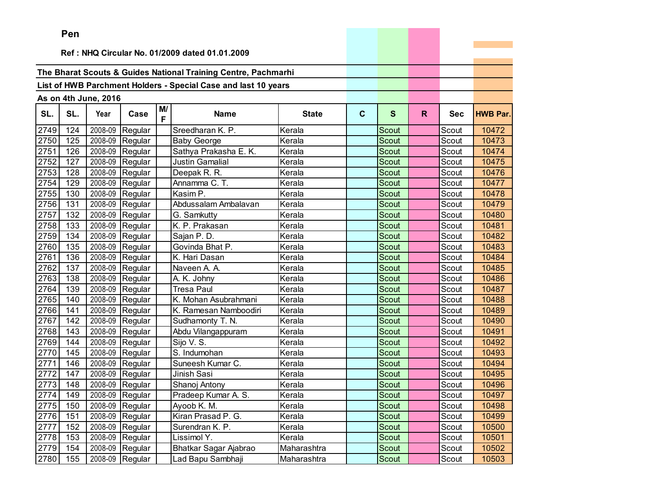|      | ren |                      |                 |         |                                                                |              |             |              |    |            |                 |
|------|-----|----------------------|-----------------|---------|----------------------------------------------------------------|--------------|-------------|--------------|----|------------|-----------------|
|      |     |                      |                 |         | Ref: NHQ Circular No. 01/2009 dated 01.01.2009                 |              |             |              |    |            |                 |
|      |     |                      |                 |         |                                                                |              |             |              |    |            |                 |
|      |     |                      |                 |         | The Bharat Scouts & Guides National Training Centre, Pachmarhi |              |             |              |    |            |                 |
|      |     |                      |                 |         |                                                                |              |             |              |    |            |                 |
|      |     |                      |                 |         | List of HWB Parchment Holders - Special Case and last 10 years |              |             |              |    |            |                 |
|      |     | As on 4th June, 2016 |                 |         |                                                                |              |             |              |    |            |                 |
| SL.  | SL. | Year                 | Case            | M/<br>F | <b>Name</b>                                                    | <b>State</b> | $\mathbf c$ | S            | R. | <b>Sec</b> | <b>HWB Par.</b> |
| 2749 | 124 | 2008-09              | Regular         |         | Sreedharan K. P.                                               | Kerala       |             | Scout        |    | Scout      | 10472           |
| 2750 | 125 | 2008-09              | Regular         |         | <b>Baby George</b>                                             | Kerala       |             | Scout        |    | Scout      | 10473           |
| 2751 | 126 | 2008-09              | Regular         |         | Sathya Prakasha E. K.                                          | Kerala       |             | Scout        |    | Scout      | 10474           |
| 2752 | 127 | 2008-09              | Regular         |         | Justin Gamalial                                                | Kerala       |             | <b>Scout</b> |    | Scout      | 10475           |
| 2753 | 128 | 2008-09              | Regular         |         | Deepak R. R.                                                   | Kerala       |             | Scout        |    | Scout      | 10476           |
| 2754 | 129 | 2008-09              | Regular         |         | Annamma C. T.                                                  | Kerala       |             | Scout        |    | Scout      | 10477           |
| 2755 | 130 | 2008-09              | Regular         |         | Kasim P.                                                       | Kerala       |             | Scout        |    | Scout      | 10478           |
| 2756 | 131 | 2008-09              | Regular         |         | Abdussalam Ambalavan                                           | Kerala       |             | Scout        |    | Scout      | 10479           |
| 2757 | 132 | 2008-09              | Regular         |         | G. Samkutty                                                    | Kerala       |             | Scout        |    | Scout      | 10480           |
| 2758 | 133 | 2008-09              | Regular         |         | K. P. Prakasan                                                 | Kerala       |             | Scout        |    | Scout      | 10481           |
| 2759 | 134 | 2008-09              | Regular         |         | Sajan P.D.                                                     | Kerala       |             | Scout        |    | Scout      | 10482           |
| 2760 | 135 | 2008-09              | Regular         |         | Govinda Bhat P.                                                | Kerala       |             | Scout        |    | Scout      | 10483           |
| 2761 | 136 | 2008-09              | Regular         |         | K. Hari Dasan                                                  | Kerala       |             | Scout        |    | Scout      | 10484           |
| 2762 | 137 | 2008-09              | Regular         |         | Naveen A. A.                                                   | Kerala       |             | Scout        |    | Scout      | 10485           |
| 2763 | 138 | 2008-09              | Regular         |         | A. K. Johny                                                    | Kerala       |             | Scout        |    | Scout      | 10486           |
| 2764 | 139 | 2008-09              | Regular         |         | <b>Tresa Paul</b>                                              | Kerala       |             | Scout        |    | Scout      | 10487           |
| 2765 | 140 | 2008-09              | Regular         |         | K. Mohan Asubrahmani                                           | Kerala       |             | Scout        |    | Scout      | 10488           |
| 2766 | 141 | 2008-09              | Regular         |         | K. Ramesan Namboodiri                                          | Kerala       |             | Scout        |    | Scout      | 10489           |
| 2767 | 142 | 2008-09              | Regular         |         | Sudhamonty T. N.                                               | Kerala       |             | Scout        |    | Scout      | 10490           |
| 2768 | 143 | 2008-09              | Regular         |         | Abdu Vilangappuram                                             | Kerala       |             | Scout        |    | Scout      | 10491           |
| 2769 | 144 | 2008-09              | Regular         |         | Sijo V. S.                                                     | Kerala       |             | <b>Scout</b> |    | Scout      | 10492           |
| 2770 | 145 | 2008-09              | Regular         |         | S. Indumohan                                                   | Kerala       |             | Scout        |    | Scout      | 10493           |
| 2771 | 146 | 2008-09              | Regular         |         | Suneesh Kumar C.                                               | Kerala       |             | <b>Scout</b> |    | Scout      | 10494           |
| 2772 | 147 | 2008-09              | Regular         |         | Jinish Sasi                                                    | Kerala       |             | Scout        |    | Scout      | 10495           |
| 2773 | 148 | 2008-09              | Regular         |         | Shanoj Antony                                                  | Kerala       |             | Scout        |    | Scout      | 10496           |
| 2774 | 149 |                      | 2008-09 Regular |         | Pradeep Kumar A. S.                                            | Kerala       |             | Scout        |    | Scout      | 10497           |
| 2775 | 150 |                      | 2008-09 Regular |         | Ayoob K. M.                                                    | Kerala       |             | Scout        |    | Scout      | 10498           |
| 2776 | 151 | 2008-09              | Regular         |         | Kiran Prasad P. G.                                             | Kerala       |             | Scout        |    | Scout      | 10499           |
| 2777 | 152 |                      | 2008-09 Regular |         | Surendran K. P.                                                | Kerala       |             | Scout        |    | Scout      | 10500           |
| 2778 | 153 | 2008-09              | Regular         |         | Lissimol Y.                                                    | Kerala       |             | Scout        |    | Scout      | 10501           |
| 2779 | 154 |                      | 2008-09 Regular |         | Bhatkar Sagar Ajabrao                                          | Maharashtra  |             | Scout        |    | Scout      | 10502           |
| 2780 | 155 |                      | 2008-09 Regular |         | Lad Bapu Sambhaji                                              | Maharashtra  |             | Scout        |    | Scout      | 10503           |

the control of the control of the control of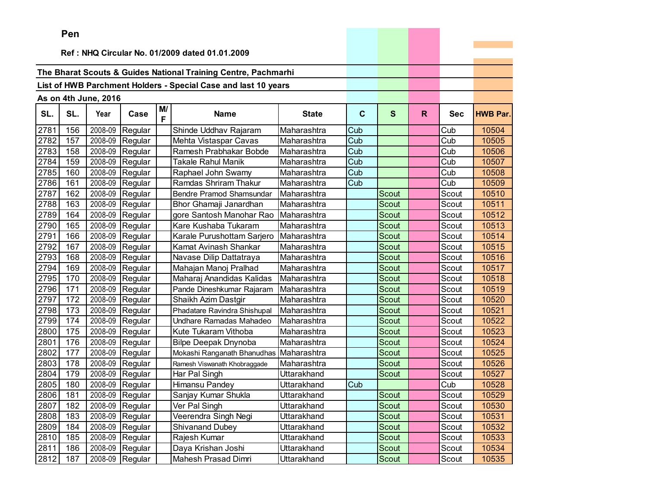|      | ren |                      |                   |         |                                                                |                    |             |              |    |            |                 |
|------|-----|----------------------|-------------------|---------|----------------------------------------------------------------|--------------------|-------------|--------------|----|------------|-----------------|
|      |     |                      |                   |         | Ref: NHQ Circular No. 01/2009 dated 01.01.2009                 |                    |             |              |    |            |                 |
|      |     |                      |                   |         |                                                                |                    |             |              |    |            |                 |
|      |     |                      |                   |         | The Bharat Scouts & Guides National Training Centre, Pachmarhi |                    |             |              |    |            |                 |
|      |     |                      |                   |         | List of HWB Parchment Holders - Special Case and last 10 years |                    |             |              |    |            |                 |
|      |     |                      |                   |         |                                                                |                    |             |              |    |            |                 |
|      |     | As on 4th June, 2016 |                   |         |                                                                |                    |             |              |    |            |                 |
| SL.  | SL. | Year                 | Case              | M/<br>F | <b>Name</b>                                                    | <b>State</b>       | $\mathbf c$ | $\mathbf{s}$ | R. | <b>Sec</b> | <b>HWB Par.</b> |
| 2781 | 156 | 2008-09              | Regular           |         | Shinde Uddhav Rajaram                                          | Maharashtra        | Cub         |              |    | Cub        | 10504           |
| 2782 | 157 | 2008-09              | Regular           |         | Mehta Vistaspar Cavas                                          | Maharashtra        | Cub         |              |    | Cub        | 10505           |
| 2783 | 158 | 2008-09              | Regular           |         | Ramesh Prabhakar Bobde                                         | Maharashtra        | Cub         |              |    | Cub        | 10506           |
| 2784 | 159 | 2008-09              | Regular           |         | <b>Takale Rahul Manik</b>                                      | Maharashtra        | Cub         |              |    | Cub        | 10507           |
| 2785 | 160 | 2008-09              | Regular           |         | Raphael John Swamy                                             | Maharashtra        | Cub         |              |    | Cub        | 10508           |
| 2786 | 161 | 2008-09              | Regular           |         | Ramdas Shriram Thakur                                          | Maharashtra        | Cub         |              |    | Cub        | 10509           |
| 2787 | 162 | 2008-09              | Regular           |         | Bendre Pramod Shamsundar                                       | Maharashtra        |             | Scout        |    | Scout      | 10510           |
| 2788 | 163 | 2008-09              | Regular           |         | Bhor Ghamaji Janardhan                                         | Maharashtra        |             | Scout        |    | Scout      | 10511           |
| 2789 | 164 | 2008-09              | Regular           |         | gore Santosh Manohar Rao                                       | Maharashtra        |             | <b>Scout</b> |    | Scout      | 10512           |
| 2790 | 165 | 2008-09              | Regular           |         | Kare Kushaba Tukaram                                           | Maharashtra        |             | Scout        |    | Scout      | 10513           |
| 2791 | 166 | 2008-09              | Regular           |         | Karale Purushottam Sarjero                                     | Maharashtra        |             | Scout        |    | Scout      | 10514           |
| 2792 | 167 | 2008-09              | Regular           |         | Kamat Avinash Shankar                                          | Maharashtra        |             | Scout        |    | Scout      | 10515           |
| 2793 | 168 | 2008-09              | Regular           |         | Navase Dilip Dattatraya                                        | Maharashtra        |             | Scout        |    | Scout      | 10516           |
| 2794 | 169 | 2008-09              | Regular           |         | Mahajan Manoj Pralhad                                          | Maharashtra        |             | Scout        |    | Scout      | 10517           |
| 2795 | 170 | 2008-09              | Regular           |         | Maharaj Anandidas Kalidas                                      | Maharashtra        |             | Scout        |    | Scout      | 10518           |
| 2796 | 171 | 2008-09              | Regular           |         | Pande Dineshkumar Rajaram                                      | Maharashtra        |             | Scout        |    | Scout      | 10519           |
| 2797 | 172 | 2008-09              | Regular           |         | Shaikh Azim Dastgir                                            | Maharashtra        |             | <b>Scout</b> |    | Scout      | 10520           |
| 2798 | 173 | 2008-09              | Regular           |         | Phadatare Ravindra Shishupal                                   | Maharashtra        |             | Scout        |    | Scout      | 10521           |
| 2799 | 174 | 2008-09              | Regular           |         | Undhare Ramadas Mahadeo                                        | Maharashtra        |             | Scout        |    | Scout      | 10522           |
| 2800 | 175 | 2008-09              | Regular           |         | Kute Tukaram Vithoba                                           | Maharashtra        |             | <b>Scout</b> |    | Scout      | 10523           |
| 2801 | 176 | 2008-09              | Regular           |         | <b>Bilpe Deepak Dnynoba</b>                                    | Maharashtra        |             | <b>Scout</b> |    | Scout      | 10524           |
| 2802 | 177 | 2008-09              | Regular           |         | Mokashi Ranganath Bhanudhas                                    | Maharashtra        |             | Scout        |    | Scout      | 10525           |
| 2803 | 178 | 2008-09              | Regular           |         | Ramesh Viswanath Khobraggade                                   | Maharashtra        |             | <b>Scout</b> |    | Scout      | 10526           |
| 2804 | 179 | 2008-09              | Regular           |         | Har Pal Singh                                                  | Uttarakhand        |             | Scout        |    | Scout      | 10527           |
| 2805 | 180 | 2008-09              | Regular           |         | Himansu Pandey                                                 | Uttarakhand        | Cub         |              |    | Cub        | 10528           |
| 2806 | 181 |                      | $2008-09$ Regular |         | Sanjay Kumar Shukla                                            | Uttarakhand        |             | Scout        |    | Scout      | 10529           |
| 2807 | 182 |                      | $2008-09$ Regular |         | Ver Pal Singh                                                  | Uttarakhand        |             | Scout        |    | Scout      | 10530           |
| 2808 | 183 | 2008-09              | Regular           |         | Veerendra Singh Negi                                           | Uttarakhand        |             | Scout        |    | Scout      | 10531           |
| 2809 | 184 | 2008-09              | Regular           |         | <b>Shivanand Dubey</b>                                         | <b>Uttarakhand</b> |             | Scout        |    | Scout      | 10532           |
| 2810 | 185 | 2008-09              | Regular           |         | Rajesh Kumar                                                   | Uttarakhand        |             | Scout        |    | Scout      | 10533           |
| 2811 | 186 | 2008-09              | Regular           |         | Daya Krishan Joshi                                             | Uttarakhand        |             | Scout        |    | Scout      | 10534           |
| 2812 | 187 | 2008-09              | Regular           |         | Mahesh Prasad Dimri                                            | Uttarakhand        |             | Scout        |    | Scout      | 10535           |

and the control of the control of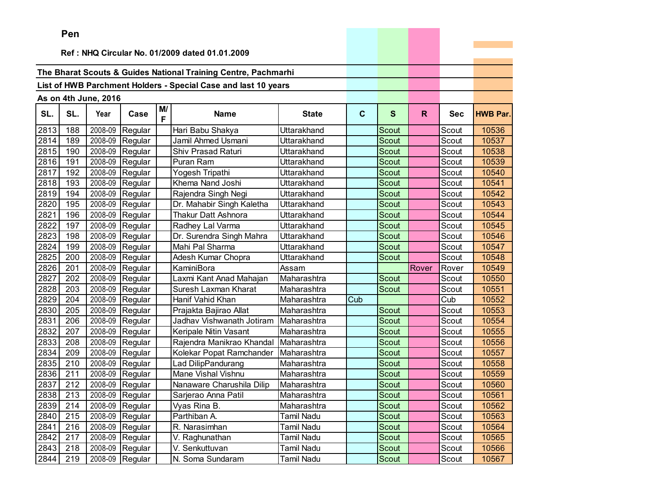|      | ren |                      |                   |         |                                                                |              |             |              |       |            |                 |
|------|-----|----------------------|-------------------|---------|----------------------------------------------------------------|--------------|-------------|--------------|-------|------------|-----------------|
|      |     |                      |                   |         | Ref: NHQ Circular No. 01/2009 dated 01.01.2009                 |              |             |              |       |            |                 |
|      |     |                      |                   |         |                                                                |              |             |              |       |            |                 |
|      |     |                      |                   |         | The Bharat Scouts & Guides National Training Centre, Pachmarhi |              |             |              |       |            |                 |
|      |     |                      |                   |         | List of HWB Parchment Holders - Special Case and last 10 years |              |             |              |       |            |                 |
|      |     |                      |                   |         |                                                                |              |             |              |       |            |                 |
|      |     | As on 4th June, 2016 |                   |         |                                                                |              |             |              |       |            |                 |
| SL.  | SL. | Year                 | Case              | M/<br>F | <b>Name</b>                                                    | <b>State</b> | $\mathbf c$ | $\mathbf{s}$ | R.    | <b>Sec</b> | <b>HWB Par.</b> |
| 2813 | 188 | 2008-09              | Regular           |         | Hari Babu Shakya                                               | Uttarakhand  |             | Scout        |       | Scout      | 10536           |
| 2814 | 189 | 2008-09              | Regular           |         | Jamil Ahmed Usmani                                             | Uttarakhand  |             | Scout        |       | Scout      | 10537           |
| 2815 | 190 | 2008-09              | Regular           |         | <b>Shiv Prasad Raturi</b>                                      | Uttarakhand  |             | Scout        |       | Scout      | 10538           |
| 2816 | 191 | 2008-09              | Regular           |         | Puran Ram                                                      | Uttarakhand  |             | Scout        |       | Scout      | 10539           |
| 2817 | 192 | 2008-09              | Regular           |         | Yogesh Tripathi                                                | Uttarakhand  |             | Scout        |       | Scout      | 10540           |
| 2818 | 193 | 2008-09              | Regular           |         | Khema Nand Joshi                                               | Uttarakhand  |             | Scout        |       | Scout      | 10541           |
| 2819 | 194 | 2008-09              | Regular           |         | Rajendra Singh Negi                                            | Uttarakhand  |             | Scout        |       | Scout      | 10542           |
| 2820 | 195 | 2008-09              | Regular           |         | Dr. Mahabir Singh Kaletha                                      | Uttarakhand  |             | Scout        |       | Scout      | 10543           |
| 2821 | 196 | 2008-09              | Regular           |         | <b>Thakur Datt Ashnora</b>                                     | Uttarakhand  |             | <b>Scout</b> |       | Scout      | 10544           |
| 2822 | 197 | 2008-09              | Regular           |         | Radhey Lal Varma                                               | Uttarakhand  |             | Scout        |       | Scout      | 10545           |
| 2823 | 198 | 2008-09              | Regular           |         | Dr. Surendra Singh Mahra                                       | Uttarakhand  |             | Scout        |       | Scout      | 10546           |
| 2824 | 199 | 2008-09              | Regular           |         | Mahi Pal Sharma                                                | Uttarakhand  |             | Scout        |       | Scout      | 10547           |
| 2825 | 200 | 2008-09              | Regular           |         | Adesh Kumar Chopra                                             | Uttarakhand  |             | Scout        |       | Scout      | 10548           |
| 2826 | 201 | 2008-09              | Regular           |         | KaminiBora                                                     | Assam        |             |              | Rover | Rover      | 10549           |
| 2827 | 202 | 2008-09              | Regular           |         | Laxmi Kant Anad Mahajan                                        | Maharashtra  |             | Scout        |       | Scout      | 10550           |
| 2828 | 203 | 2008-09              | Regular           |         | Suresh Laxman Kharat                                           | Maharashtra  |             | Scout        |       | Scout      | 10551           |
| 2829 | 204 | 2008-09              | Regular           |         | Hanif Vahid Khan                                               | Maharashtra  | Cub         |              |       | Cub        | 10552           |
| 2830 | 205 | 2008-09              | Regular           |         | Prajakta Bajirao Allat                                         | Maharashtra  |             | Scout        |       | Scout      | 10553           |
| 2831 | 206 | 2008-09              | Regular           |         | Jadhav Vishwanath Jotiram                                      | Maharashtra  |             | Scout        |       | Scout      | 10554           |
| 2832 | 207 | 2008-09              | Regular           |         | Keripale Nitin Vasant                                          | Maharashtra  |             | <b>Scout</b> |       | Scout      | 10555           |
| 2833 | 208 | 2008-09              | Regular           |         | Rajendra Manikrao Khandal                                      | Maharashtra  |             | <b>Scout</b> |       | Scout      | 10556           |
| 2834 | 209 | 2008-09              | Regular           |         | Kolekar Popat Ramchander                                       | Maharashtra  |             | Scout        |       | Scout      | 10557           |
| 2835 | 210 | 2008-09              | Regular           |         | Lad DilipPandurang                                             | Maharashtra  |             | Scout        |       | Scout      | 10558           |
| 2836 | 211 | 2008-09              | Regular           |         | Mane Vishal Vishnu                                             | Maharashtra  |             | Scout        |       | Scout      | 10559           |
| 2837 | 212 | 2008-09              | Regular           |         | Nanaware Charushila Dilip                                      | Maharashtra  |             | Scout        |       | Scout      | 10560           |
| 2838 | 213 |                      | $2008-09$ Regular |         | Sarjerao Anna Patil                                            | Maharashtra  |             | Scout        |       | Scout      | 10561           |
| 2839 | 214 |                      | $2008-09$ Regular |         | Vyas Rina B.                                                   | Maharashtra  |             | Scout        |       | Scout      | 10562           |
| 2840 | 215 |                      | 2008-09 Regular   |         | Parthiban A.                                                   | Tamil Nadu   |             | Scout        |       | Scout      | 10563           |
| 2841 | 216 |                      | 2008-09 Regular   |         | R. Narasimhan                                                  | Tamil Nadu   |             | Scout        |       | Scout      | 10564           |
| 2842 | 217 | 2008-09              | Regular           |         | V. Raghunathan                                                 | Tamil Nadu   |             | Scout        |       | Scout      | 10565           |
| 2843 | 218 | 2008-09              | Regular           |         | V. Senkuttuvan                                                 | Tamil Nadu   |             | Scout        |       | Scout      | 10566           |
| 2844 | 219 |                      | 2008-09 Regular   |         | N. Soma Sundaram                                               | Tamil Nadu   |             | Scout        |       | Scout      | 10567           |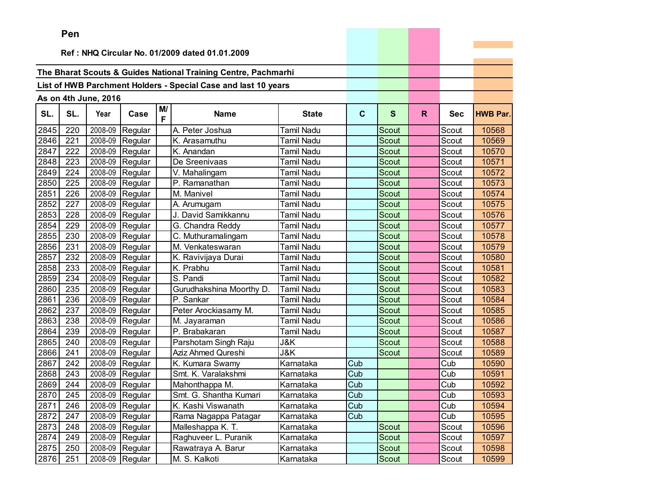|      | ren |                      |                   |         |                                                                |                   |             |              |    |            |                 |
|------|-----|----------------------|-------------------|---------|----------------------------------------------------------------|-------------------|-------------|--------------|----|------------|-----------------|
|      |     |                      |                   |         | Ref: NHQ Circular No. 01/2009 dated 01.01.2009                 |                   |             |              |    |            |                 |
|      |     |                      |                   |         |                                                                |                   |             |              |    |            |                 |
|      |     |                      |                   |         | The Bharat Scouts & Guides National Training Centre, Pachmarhi |                   |             |              |    |            |                 |
|      |     |                      |                   |         | List of HWB Parchment Holders - Special Case and last 10 years |                   |             |              |    |            |                 |
|      |     |                      |                   |         |                                                                |                   |             |              |    |            |                 |
|      |     | As on 4th June, 2016 |                   |         |                                                                |                   |             |              |    |            |                 |
| SL.  | SL. | Year                 | Case              | M/<br>F | <b>Name</b>                                                    | <b>State</b>      | $\mathbf c$ | $\mathbf{s}$ | R. | <b>Sec</b> | <b>HWB Par.</b> |
| 2845 | 220 | 2008-09              | Regular           |         | A. Peter Joshua                                                | <b>Tamil Nadu</b> |             | Scout        |    | Scout      | 10568           |
| 2846 | 221 | 2008-09              | Regular           |         | K. Arasamuthu                                                  | Tamil Nadu        |             | Scout        |    | Scout      | 10569           |
| 2847 | 222 | 2008-09              | Regular           |         | K. Anandan                                                     | Tamil Nadu        |             | <b>Scout</b> |    | Scout      | 10570           |
| 2848 | 223 | 2008-09              | Regular           |         | De Sreenivaas                                                  | Tamil Nadu        |             | Scout        |    | Scout      | 10571           |
| 2849 | 224 | 2008-09              | Regular           |         | V. Mahalingam                                                  | Tamil Nadu        |             | Scout        |    | Scout      | 10572           |
| 2850 | 225 | 2008-09              | Regular           |         | P. Ramanathan                                                  | Tamil Nadu        |             | Scout        |    | Scout      | 10573           |
| 2851 | 226 | 2008-09              | Regular           |         | M. Manivel                                                     | Tamil Nadu        |             | Scout        |    | Scout      | 10574           |
| 2852 | 227 | 2008-09              | Regular           |         | A. Arumugam                                                    | Tamil Nadu        |             | Scout        |    | Scout      | 10575           |
| 2853 | 228 | 2008-09              | Regular           |         | J. David Samikkannu                                            | Tamil Nadu        |             | Scout        |    | Scout      | 10576           |
| 2854 | 229 | 2008-09              | Regular           |         | G. Chandra Reddy                                               | <b>Tamil Nadu</b> |             | Scout        |    | Scout      | 10577           |
| 2855 | 230 | 2008-09              | Regular           |         | C. Muthuramalingam                                             | Tamil Nadu        |             | Scout        |    | Scout      | 10578           |
| 2856 | 231 | 2008-09              | Regular           |         | M. Venkateswaran                                               | Tamil Nadu        |             | Scout        |    | Scout      | 10579           |
| 2857 | 232 | 2008-09              | Regular           |         | K. Ravivijaya Durai                                            | Tamil Nadu        |             | Scout        |    | Scout      | 10580           |
| 2858 | 233 | 2008-09              | Regular           |         | K. Prabhu                                                      | Tamil Nadu        |             | Scout        |    | Scout      | 10581           |
| 2859 | 234 | 2008-09              | Regular           |         | S. Pandi                                                       | Tamil Nadu        |             | Scout        |    | Scout      | 10582           |
| 2860 | 235 | 2008-09              | Regular           |         | Gurudhakshina Moorthy D.                                       | <b>Tamil Nadu</b> |             | Scout        |    | Scout      | 10583           |
| 2861 | 236 | 2008-09              | Regular           |         | P. Sankar                                                      | Tamil Nadu        |             | <b>Scout</b> |    | Scout      | 10584           |
| 2862 | 237 | 2008-09              | Regular           |         | Peter Arockiasamy M.                                           | Tamil Nadu        |             | Scout        |    | Scout      | 10585           |
| 2863 | 238 | 2008-09              | Regular           |         | M. Jayaraman                                                   | <b>Tamil Nadu</b> |             | Scout        |    | Scout      | 10586           |
| 2864 | 239 | 2008-09              | Regular           |         | P. Brabakaran                                                  | <b>Tamil Nadu</b> |             | <b>Scout</b> |    | Scout      | 10587           |
| 2865 | 240 | 2008-09              | Regular           |         | Parshotam Singh Raju                                           | J&K               |             | <b>Scout</b> |    | Scout      | 10588           |
| 2866 | 241 | 2008-09              | Regular           |         | Aziz Ahmed Qureshi                                             | J&K               |             | Scout        |    | Scout      | 10589           |
| 2867 | 242 | 2008-09              | Regular           |         | K. Kumara Swamy                                                | Karnataka         | Cub         |              |    | Cub        | 10590           |
| 2868 | 243 | 2008-09              | Regular           |         | Smt. K. Varalakshmi                                            | Karnataka         | Cub         |              |    | Cub        | 10591           |
| 2869 | 244 | 2008-09              | Regular           |         | Mahonthappa M.                                                 | Karnataka         | Cub         |              |    | Cub        | 10592           |
| 2870 | 245 |                      | $2008-09$ Regular |         | Smt. G. Shantha Kumari                                         | Karnataka         | Cub         |              |    | Cub        | 10593           |
| 2871 | 246 |                      | $2008-09$ Regular |         | K. Kashi Viswanath                                             | Karnataka         | Cub         |              |    | Cub        | 10594           |
| 2872 | 247 | 2008-09              | Regular           |         | Rama Nagappa Patagar                                           | Karnataka         | Cub         |              |    | Cub        | 10595           |
| 2873 | 248 |                      | 2008-09 Regular   |         | Malleshappa K. T.                                              | Karnataka         |             | Scout        |    | Scout      | 10596           |
| 2874 | 249 | 2008-09              | Regular           |         | Raghuveer L. Puranik                                           | Karnataka         |             | Scout        |    | Scout      | 10597           |
| 2875 | 250 | 2008-09              | Regular           |         | Rawatraya A. Barur                                             | Karnataka         |             | Scout        |    | Scout      | 10598           |
| 2876 | 251 |                      | 2008-09 Regular   |         | M. S. Kalkoti                                                  | Karnataka         |             | Scout        |    | Scout      | 10599           |

and the control of the control of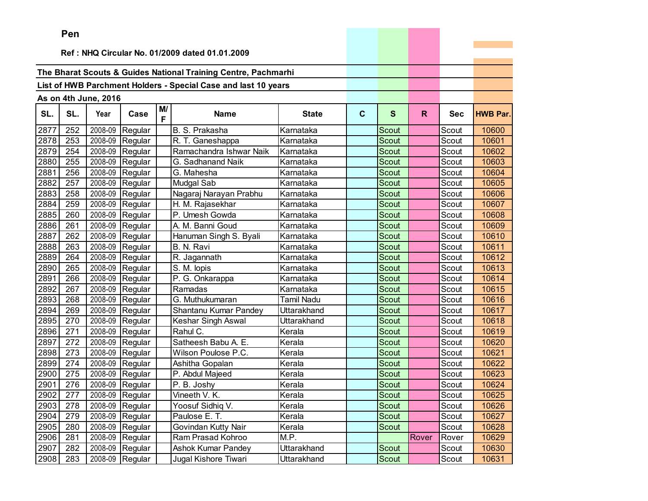|      | Pen |                      |                 |         |                                                                |                   |             |              |       |            |                 |
|------|-----|----------------------|-----------------|---------|----------------------------------------------------------------|-------------------|-------------|--------------|-------|------------|-----------------|
|      |     |                      |                 |         | Ref: NHQ Circular No. 01/2009 dated 01.01.2009                 |                   |             |              |       |            |                 |
|      |     |                      |                 |         |                                                                |                   |             |              |       |            |                 |
|      |     |                      |                 |         | The Bharat Scouts & Guides National Training Centre, Pachmarhi |                   |             |              |       |            |                 |
|      |     |                      |                 |         | List of HWB Parchment Holders - Special Case and last 10 years |                   |             |              |       |            |                 |
|      |     |                      |                 |         |                                                                |                   |             |              |       |            |                 |
|      |     | As on 4th June, 2016 |                 |         |                                                                |                   |             |              |       |            |                 |
| SL.  | SL. | Year                 | Case            | M/<br>F | <b>Name</b>                                                    | <b>State</b>      | $\mathbf c$ | S            | R.    | <b>Sec</b> | <b>HWB Par.</b> |
| 2877 | 252 | 2008-09              | Regular         |         | B. S. Prakasha                                                 | Karnataka         |             | Scout        |       | Scout      | 10600           |
| 2878 | 253 | 2008-09              | Regular         |         | R. T. Ganeshappa                                               | Karnataka         |             | <b>Scout</b> |       | Scout      | 10601           |
| 2879 | 254 | 2008-09              | Regular         |         | Ramachandra Ishwar Naik                                        | Karnataka         |             | <b>Scout</b> |       | Scout      | 10602           |
| 2880 | 255 | 2008-09              | Regular         |         | G. Sadhanand Naik                                              | Karnataka         |             | Scout        |       | Scout      | 10603           |
| 2881 | 256 | 2008-09              | Regular         |         | G. Mahesha                                                     | Karnataka         |             | Scout        |       | Scout      | 10604           |
| 2882 | 257 | 2008-09              | Regular         |         | Mudgal Sab                                                     | Karnataka         |             | Scout        |       | Scout      | 10605           |
| 2883 | 258 | 2008-09              | Regular         |         | Nagaraj Narayan Prabhu                                         | Karnataka         |             | Scout        |       | Scout      | 10606           |
| 2884 | 259 | 2008-09              | Regular         |         | H. M. Rajasekhar                                               | Karnataka         |             | Scout        |       | Scout      | 10607           |
| 2885 | 260 | 2008-09              | Regular         |         | P. Umesh Gowda                                                 | Karnataka         |             | Scout        |       | Scout      | 10608           |
| 2886 | 261 | 2008-09              | Regular         |         | A. M. Banni Goud                                               | Karnataka         |             | <b>Scout</b> |       | Scout      | 10609           |
| 2887 | 262 | 2008-09              | Regular         |         | Hanuman Singh S. Byali                                         | Karnataka         |             | <b>Scout</b> |       | Scout      | 10610           |
| 2888 | 263 | 2008-09              | Regular         |         | B. N. Ravi                                                     | Karnataka         |             | Scout        |       | Scout      | 10611           |
| 2889 | 264 | 2008-09              | Regular         |         | R. Jagannath                                                   | Karnataka         |             | Scout        |       | Scout      | 10612           |
| 2890 | 265 | 2008-09              | Regular         |         | S. M. lopis                                                    | Karnataka         |             | <b>Scout</b> |       | Scout      | 10613           |
| 2891 | 266 | 2008-09              | Regular         |         | P. G. Onkarappa                                                | Karnataka         |             | <b>Scout</b> |       | Scout      | 10614           |
| 2892 | 267 | 2008-09              | Regular         |         | Ramadas                                                        | Karnataka         |             | <b>Scout</b> |       | Scout      | 10615           |
| 2893 | 268 | 2008-09              | Regular         |         | G. Muthukumaran                                                | <b>Tamil Nadu</b> |             | <b>Scout</b> |       | Scout      | 10616           |
| 2894 | 269 | 2008-09              | Regular         |         | Shantanu Kumar Pandey                                          | Uttarakhand       |             | Scout        |       | Scout      | 10617           |
| 2895 | 270 | 2008-09              | Regular         |         | Keshar Singh Aswal                                             | Uttarakhand       |             | Scout        |       | Scout      | 10618           |
| 2896 | 271 | 2008-09              | Regular         |         | Rahul C.                                                       | Kerala            |             | <b>Scout</b> |       | Scout      | 10619           |
| 2897 | 272 | 2008-09              | Regular         |         | Satheesh Babu A. E.                                            | Kerala            |             | <b>Scout</b> |       | Scout      | 10620           |
| 2898 | 273 | 2008-09              | Regular         |         | Wilson Poulose P.C.                                            | Kerala            |             | <b>Scout</b> |       | Scout      | 10621           |
| 2899 | 274 | 2008-09              | Regular         |         | Ashitha Gopalan                                                | Kerala            |             | Scout        |       | Scout      | 10622           |
| 2900 | 275 | 2008-09              | Regular         |         | P. Abdul Majeed                                                | Kerala            |             | Scout        |       | Scout      | 10623           |
| 2901 | 276 | 2008-09              | Regular         |         | P. B. Joshy                                                    | Kerala            |             | Scout        |       | Scout      | 10624           |
| 2902 | 277 |                      | 2008-09 Regular |         | Vineeth V. K.                                                  | Kerala            |             | Scout        |       | Scout      | 10625           |
| 2903 | 278 |                      | 2008-09 Regular |         | Yoosuf Sidhiq V.                                               | Kerala            |             | Scout        |       | Scout      | 10626           |
| 2904 | 279 |                      | 2008-09 Regular |         | Paulose E. T.                                                  | Kerala            |             | Scout        |       | Scout      | 10627           |
| 2905 | 280 |                      | 2008-09 Regular |         | Govindan Kutty Nair                                            | Kerala            |             | Scout        |       | Scout      | 10628           |
| 2906 | 281 |                      | 2008-09 Regular |         | Ram Prasad Kohroo                                              | M.P.              |             |              | Rover | Rover      | 10629           |
| 2907 | 282 |                      | 2008-09 Regular |         | <b>Ashok Kumar Pandey</b>                                      | Uttarakhand       |             | Scout        |       | Scout      | 10630           |
| 2908 | 283 |                      | 2008-09 Regular |         | Jugal Kishore Tiwari                                           | Uttarakhand       |             | Scout        |       | Scout      | 10631           |

and the control of the control of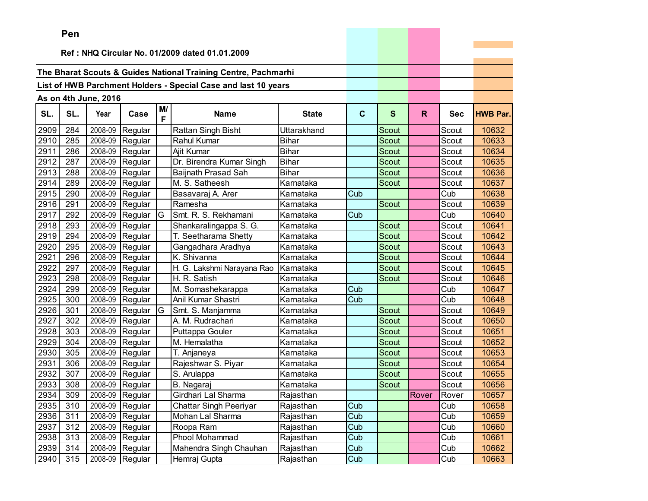|      | Pen |                      |                 |         |                                                                |              |             |              |              |            |                 |
|------|-----|----------------------|-----------------|---------|----------------------------------------------------------------|--------------|-------------|--------------|--------------|------------|-----------------|
|      |     |                      |                 |         |                                                                |              |             |              |              |            |                 |
|      |     |                      |                 |         | Ref: NHQ Circular No. 01/2009 dated 01.01.2009                 |              |             |              |              |            |                 |
|      |     |                      |                 |         | The Bharat Scouts & Guides National Training Centre, Pachmarhi |              |             |              |              |            |                 |
|      |     |                      |                 |         |                                                                |              |             |              |              |            |                 |
|      |     |                      |                 |         | List of HWB Parchment Holders - Special Case and last 10 years |              |             |              |              |            |                 |
|      |     | As on 4th June, 2016 |                 |         |                                                                |              |             |              |              |            |                 |
| SL.  | SL. | Year                 | Case            | M/<br>F | <b>Name</b>                                                    | <b>State</b> | $\mathbf c$ | S            | $\mathsf{R}$ | <b>Sec</b> | <b>HWB Par.</b> |
| 2909 | 284 | 2008-09              | Regular         |         | Rattan Singh Bisht                                             | Uttarakhand  |             | Scout        |              | Scout      | 10632           |
| 2910 | 285 | 2008-09              | Regular         |         | Rahul Kumar                                                    | <b>Bihar</b> |             | Scout        |              | Scout      | 10633           |
| 2911 | 286 | 2008-09              | Regular         |         | Ajit Kumar                                                     | <b>Bihar</b> |             | Scout        |              | Scout      | 10634           |
| 2912 | 287 | 2008-09              | Regular         |         | Dr. Birendra Kumar Singh                                       | <b>Bihar</b> |             | Scout        |              | Scout      | 10635           |
| 2913 | 288 | 2008-09              | Regular         |         | Baijnath Prasad Sah                                            | <b>Bihar</b> |             | Scout        |              | Scout      | 10636           |
| 2914 | 289 | 2008-09              | Regular         |         | M. S. Satheesh                                                 | Karnataka    |             | Scout        |              | Scout      | 10637           |
| 2915 | 290 | 2008-09              | Regular         |         | Basavaraj A. Arer                                              | Karnataka    | Cub         |              |              | Cub        | 10638           |
| 2916 | 291 | 2008-09              | Regular         |         | Ramesha                                                        | Karnataka    |             | Scout        |              | Scout      | 10639           |
| 2917 | 292 | 2008-09              | Regular         | G       | Smt. R. S. Rekhamani                                           | Karnataka    | Cub         |              |              | Cub        | 10640           |
| 2918 | 293 | 2008-09              | Regular         |         | Shankaralingappa S. G.                                         | Karnataka    |             | Scout        |              | Scout      | 10641           |
| 2919 | 294 | 2008-09              | Regular         |         | T. Seetharama Shetty                                           | Karnataka    |             | Scout        |              | Scout      | 10642           |
| 2920 | 295 | 2008-09              | Regular         |         | Gangadhara Aradhya                                             | Karnataka    |             | Scout        |              | Scout      | 10643           |
| 2921 | 296 | 2008-09              | Regular         |         | K. Shivanna                                                    | Karnataka    |             | <b>Scout</b> |              | Scout      | 10644           |
| 2922 | 297 | 2008-09              | Regular         |         | H. G. Lakshmi Narayana Rao                                     | Karnataka    |             | Scout        |              | Scout      | 10645           |
| 2923 | 298 | 2008-09              | Regular         |         | H. R. Satish                                                   | Karnataka    |             | Scout        |              | Scout      | 10646           |
| 2924 | 299 |                      | 2008-09 Regular |         | M. Somashekarappa                                              | Karnataka    | Cub         |              |              | Cub        | 10647           |
| 2925 | 300 | 2008-09              | Regular         |         | Anil Kumar Shastri                                             | Karnataka    | Cub         |              |              | Cub        | 10648           |
| 2926 | 301 | 2008-09              | Regular         | G       | Smt. S. Manjamma                                               | Karnataka    |             | Scout        |              | Scout      | 10649           |
| 2927 | 302 | 2008-09              | Regular         |         | A. M. Rudrachari                                               | Karnataka    |             | Scout        |              | Scout      | 10650           |
| 2928 | 303 | 2008-09              | Regular         |         | Puttappa Gouler                                                | Karnataka    |             | <b>Scout</b> |              | Scout      | 10651           |
| 2929 | 304 | 2008-09              | Regular         |         | M. Hemalatha                                                   | Karnataka    |             | Scout        |              | Scout      | 10652           |
| 2930 | 305 | 2008-09              | Regular         |         | T. Anjaneya                                                    | Karnataka    |             | Scout        |              | Scout      | 10653           |
| 2931 | 306 | 2008-09              | Regular         |         | Rajeshwar S. Piyar                                             | Karnataka    |             | Scout        |              | Scout      | 10654           |
| 2932 | 307 | 2008-09              | Regular         |         | S. Arulappa                                                    | Karnataka    |             | Scout        |              | Scout      | 10655           |
| 2933 | 308 |                      | 2008-09 Regular |         | B. Nagaraj                                                     | Karnataka    |             | Scout        |              | Scout      | 10656           |
| 2934 | 309 |                      | 2008-09 Regular |         | Girdhari Lal Sharma                                            | Rajasthan    |             |              | Rover        | Rover      | 10657           |
| 2935 | 310 |                      | 2008-09 Regular |         | <b>Chattar Singh Peeriyar</b>                                  | Rajasthan    | Cub         |              |              | Cub        | 10658           |
| 2936 | 311 |                      | 2008-09 Regular |         | Mohan Lal Sharma                                               | Rajasthan    | Cub         |              |              | Cub        | 10659           |
| 2937 | 312 | 2008-09              | Regular         |         | Roopa Ram                                                      | Rajasthan    | Cub         |              |              | Cub        | 10660           |
| 2938 | 313 | 2008-09              | Regular         |         | Phool Mohammad                                                 | Rajasthan    | Cub         |              |              | Cub        | 10661           |
| 2939 | 314 | 2008-09              | Regular         |         | Mahendra Singh Chauhan                                         | Rajasthan    | Cub         |              |              | Cub        | 10662           |
| 2940 | 315 |                      | 2008-09 Regular |         | Hemraj Gupta                                                   | Rajasthan    | Cub         |              |              | Cub        | 10663           |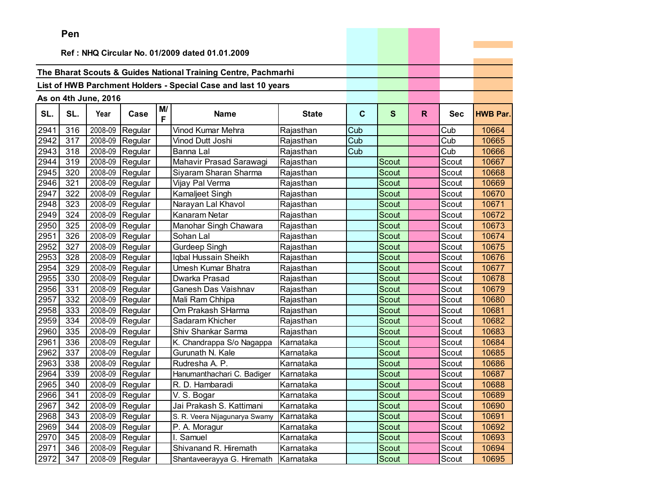|      | Pen |                      |                 |         |                                                                |              |     |              |    |            |                 |
|------|-----|----------------------|-----------------|---------|----------------------------------------------------------------|--------------|-----|--------------|----|------------|-----------------|
|      |     |                      |                 |         |                                                                |              |     |              |    |            |                 |
|      |     |                      |                 |         | Ref: NHQ Circular No. 01/2009 dated 01.01.2009                 |              |     |              |    |            |                 |
|      |     |                      |                 |         | The Bharat Scouts & Guides National Training Centre, Pachmarhi |              |     |              |    |            |                 |
|      |     |                      |                 |         | List of HWB Parchment Holders - Special Case and last 10 years |              |     |              |    |            |                 |
|      |     |                      |                 |         |                                                                |              |     |              |    |            |                 |
|      |     | As on 4th June, 2016 |                 |         |                                                                |              |     |              |    |            |                 |
| SL.  | SL. | Year                 | Case            | M/<br>F | <b>Name</b>                                                    | <b>State</b> | C   | S            | R. | <b>Sec</b> | <b>HWB Par.</b> |
| 2941 | 316 | 2008-09              | Regular         |         | Vinod Kumar Mehra                                              | Rajasthan    | Cub |              |    | Cub        | 10664           |
| 2942 | 317 |                      | 2008-09 Regular |         | Vinod Dutt Joshi                                               | Rajasthan    | Cub |              |    | Cub        | 10665           |
| 2943 | 318 | 2008-09              | Regular         |         | Banna Lal                                                      | Rajasthan    | Cub |              |    | Cub        | 10666           |
| 2944 | 319 | 2008-09              | Regular         |         | Mahavir Prasad Sarawagi                                        | Rajasthan    |     | Scout        |    | Scout      | 10667           |
| 2945 | 320 | 2008-09              | Regular         |         | Siyaram Sharan Sharma                                          | Rajasthan    |     | <b>Scout</b> |    | Scout      | 10668           |
| 2946 | 321 | 2008-09              | Regular         |         | Vijay Pal Verma                                                | Rajasthan    |     | <b>Scout</b> |    | Scout      | 10669           |
| 2947 | 322 | 2008-09              | Regular         |         | Kamaljeet Singh                                                | Rajasthan    |     | <b>Scout</b> |    | Scout      | 10670           |
| 2948 | 323 | 2008-09              | Regular         |         | Narayan Lal Khavol                                             | Rajasthan    |     | <b>Scout</b> |    | Scout      | 10671           |
| 2949 | 324 | 2008-09              | Regular         |         | Kanaram Netar                                                  | Rajasthan    |     | Scout        |    | Scout      | 10672           |
| 2950 | 325 | 2008-09              | Regular         |         | Manohar Singh Chawara                                          | Rajasthan    |     | Scout        |    | Scout      | 10673           |
| 2951 | 326 | 2008-09              | Regular         |         | Sohan Lal                                                      | Rajasthan    |     | Scout        |    | Scout      | 10674           |
| 2952 | 327 | 2008-09              | Regular         |         | <b>Gurdeep Singh</b>                                           | Rajasthan    |     | <b>Scout</b> |    | Scout      | 10675           |
| 2953 | 328 | 2008-09              | Regular         |         | Iqbal Hussain Sheikh                                           | Rajasthan    |     | <b>Scout</b> |    | Scout      | 10676           |
| 2954 | 329 | 2008-09              | Regular         |         | Umesh Kumar Bhatra                                             | Rajasthan    |     | <b>Scout</b> |    | Scout      | 10677           |
| 2955 | 330 | 2008-09              | Regular         |         | Dwarka Prasad                                                  | Rajasthan    |     | <b>Scout</b> |    | Scout      | 10678           |
| 2956 | 331 | 2008-09              | Regular         |         | Ganesh Das Vaishnav                                            | Rajasthan    |     | Scout        |    | Scout      | 10679           |
| 2957 | 332 | 2008-09              | Regular         |         | Mali Ram Chhipa                                                | Rajasthan    |     | Scout        |    | Scout      | 10680           |
| 2958 | 333 | 2008-09              | Regular         |         | Om Prakash SHarma                                              | Rajasthan    |     | <b>Scout</b> |    | Scout      | 10681           |
| 2959 | 334 | 2008-09              | Regular         |         | Sadaram Khicher                                                | Rajasthan    |     | Scout        |    | Scout      | 10682           |
| 2960 | 335 | 2008-09              | Regular         |         | Shiv Shankar Sarma                                             | Rajasthan    |     | <b>Scout</b> |    | Scout      | 10683           |
| 2961 | 336 | 2008-09              | Regular         |         | K. Chandrappa S/o Nagappa                                      | Karnataka    |     | Scout        |    | Scout      | 10684           |
| 2962 | 337 | 2008-09              | Regular         |         | Gurunath N. Kale                                               | Karnataka    |     | Scout        |    | Scout      | 10685           |
| 2963 | 338 | 2008-09              | Regular         |         | Rudresha A. P.                                                 | Karnataka    |     | Scout        |    | Scout      | 10686           |
| 2964 | 339 | 2008-09              | Regular         |         | Hanumanthachari C. Badiger                                     | Karnataka    |     | Scout        |    | Scout      | 10687           |
| 2965 | 340 |                      | 2008-09 Regular |         | R. D. Hambaradi                                                | Karnataka    |     | Scout        |    | Scout      | 10688           |
| 2966 | 341 |                      | 2008-09 Regular |         | V. S. Bogar                                                    | Karnataka    |     | Scout        |    | Scout      | 10689           |
| 2967 | 342 |                      | 2008-09 Regular |         | Jai Prakash S. Kattimani                                       | Karnataka    |     | Scout        |    | Scout      | 10690           |
| 2968 | 343 |                      | 2008-09 Regular |         | S. R. Veera Nijagunarya Swamy                                  | Karnataka    |     | Scout        |    | Scout      | 10691           |
| 2969 | 344 |                      | 2008-09 Regular |         | P. A. Moragur                                                  | Karnataka    |     | Scout        |    | Scout      | 10692           |
| 2970 | 345 |                      | 2008-09 Regular |         | I. Samuel                                                      | Karnataka    |     | Scout        |    | Scout      | 10693           |
| 2971 | 346 |                      | 2008-09 Regular |         | Shivanand R. Hiremath                                          | Karnataka    |     | Scout        |    | Scout      | 10694           |
| 2972 | 347 |                      | 2008-09 Regular |         | Shantaveerayya G. Hiremath                                     | Karnataka    |     | Scout        |    | Scout      | 10695           |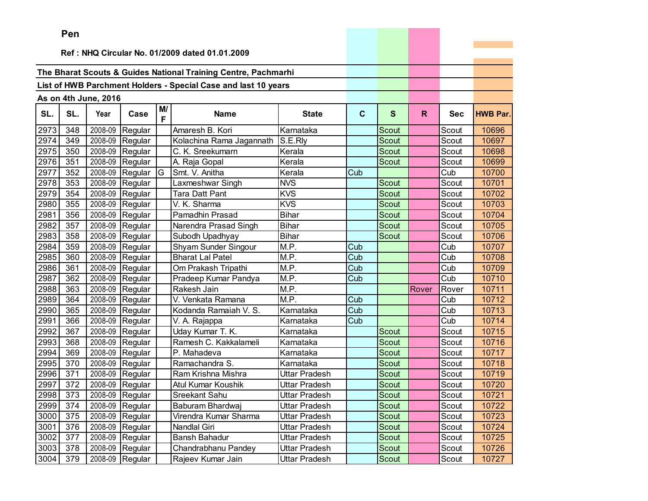| Ref: NHQ Circular No. 01/2009 dated 01.01.2009<br>The Bharat Scouts & Guides National Training Centre, Pachmarhi<br>List of HWB Parchment Holders - Special Case and last 10 years<br>As on 4th June, 2016<br>M/<br>SL.<br>SL.<br>Year<br>$\mathbf{C}$<br>$\mathbf{s}$<br>$\mathsf{R}$<br>Case<br><b>Name</b><br><b>State</b><br><b>Sec</b><br><b>HWB Par.</b><br>F<br>2008-09<br>2973<br>Amaresh B. Kori<br>Karnataka<br>348<br>Regular<br>Scout<br>10696<br>Scout<br>2974<br>2008-09<br>S.E.Rly<br>10697<br>349<br>Regular<br>Kolachina Rama Jagannath<br><b>Scout</b><br>Scout<br>2975<br>2008-09<br>Scout<br>350<br>Regular<br>C. K. Sreekumarn<br>Kerala<br>10698<br>Scout<br>2008-09<br>2976<br>351<br>Regular<br>A. Raja Gopal<br>Kerala<br>10699<br>Scout<br>Scout<br>352<br>2008-09<br>G<br>2977<br>Regular<br>Smt. V. Anitha<br>Kerala<br>Cub<br>Cub<br>10700<br>2978<br>2008-09<br>353<br>Regular<br>Laxmeshwar Singh<br><b>NVS</b><br>Scout<br>Scout<br>10701<br>2979<br>2008-09<br>354<br><b>KVS</b><br>Scout<br>10702<br>Regular<br><b>Tara Datt Pant</b><br>Scout<br>2008-09<br><b>KVS</b><br>2980<br>355<br>V. K. Sharma<br>Scout<br>Scout<br>10703<br>Regular<br>2981<br>356<br>2008-09<br><b>Bihar</b><br>Scout<br>10704<br>Regular<br>Pamadhin Prasad<br>Scout<br>2982<br>2008-09<br>357<br><b>Bihar</b><br>10705<br>Regular<br>Narendra Prasad Singh<br>Scout<br>Scout<br>2983<br>2008-09<br><b>Bihar</b><br>358<br>Regular<br>Subodh Upadhyay<br><b>Scout</b><br>Scout<br>10706<br>2984<br>2008-09<br>Shyam Sunder Singour<br>M.P.<br>359<br>Regular<br>Cub<br>Cub<br>10707<br>2985<br>2008-09<br>M.P.<br>360<br><b>Bharat Lal Patel</b><br>Cub<br>Cub<br>10708<br>Regular<br>$\overline{M}$ .P.<br>2986<br>2008-09<br>Cub<br>Cub<br>10709<br>361<br>Regular<br>Om Prakash Tripathi<br>M.P.<br>2987<br>362<br>2008-09<br>Cub<br>Cub<br>10710<br>Regular<br>Pradeep Kumar Pandya<br>2008-09<br>$\overline{M}$ .P.<br>2988<br>363<br>10711<br>Regular<br>Rakesh Jain<br>Rover<br>Rover<br>2989<br>2008-09<br>M.P.<br>364<br>Regular<br>V. Venkata Ramana<br>Cub<br>Cub<br>10712<br>2990<br>365<br>2008-09<br>Cub<br>10713<br>Kodanda Ramaiah V. S.<br>Karnataka<br>Cub<br>Regular<br>2008-09<br>2991<br>366<br>Cub<br>10714<br>Regular<br>V. A. Rajappa<br>Karnataka<br>Cub<br>2008-09<br>2992<br>367<br>Uday Kumar T. K.<br>Karnataka<br>10715<br>Regular<br>Scout<br>Scout<br>2008-09<br>10716<br>2993<br>368<br>Ramesh C. Kakkalameli<br>Scout<br>Scout<br>Regular<br>Karnataka<br>2008-09<br>2994<br>369<br>P. Mahadeva<br>Scout<br>10717<br>Regular<br>Karnataka<br>Scout<br>2995<br>370<br>2008-09<br>Regular<br>Ramachandra S.<br>Karnataka<br>10718<br>Scout<br>Scout<br>2996<br>2008-09<br>371<br>Regular<br>Scout<br>Scout<br>10719<br>Ram Krishna Mishra<br>Uttar Pradesh<br>2997<br>2008-09<br>Scout<br>10720<br>372<br>Atul Kumar Koushik<br>Uttar Pradesh<br>Regular<br>Scout<br>2998<br>373<br>2008-09<br>10721<br>Regular<br>Sreekant Sahu<br>Uttar Pradesh<br>Scout<br>Scout<br>2999<br>Scout<br>2008-09 Regular<br>Scout<br>10722<br>374<br>Baburam Bhardwaj<br>Uttar Pradesh<br>375<br>2008-09<br>3000<br>Regular<br>Virendra Kumar Sharma<br>Uttar Pradesh<br>Scout<br>Scout<br>10723<br>2008-09 Regular |      | ren |  |              |               |       |       |       |
|-------------------------------------------------------------------------------------------------------------------------------------------------------------------------------------------------------------------------------------------------------------------------------------------------------------------------------------------------------------------------------------------------------------------------------------------------------------------------------------------------------------------------------------------------------------------------------------------------------------------------------------------------------------------------------------------------------------------------------------------------------------------------------------------------------------------------------------------------------------------------------------------------------------------------------------------------------------------------------------------------------------------------------------------------------------------------------------------------------------------------------------------------------------------------------------------------------------------------------------------------------------------------------------------------------------------------------------------------------------------------------------------------------------------------------------------------------------------------------------------------------------------------------------------------------------------------------------------------------------------------------------------------------------------------------------------------------------------------------------------------------------------------------------------------------------------------------------------------------------------------------------------------------------------------------------------------------------------------------------------------------------------------------------------------------------------------------------------------------------------------------------------------------------------------------------------------------------------------------------------------------------------------------------------------------------------------------------------------------------------------------------------------------------------------------------------------------------------------------------------------------------------------------------------------------------------------------------------------------------------------------------------------------------------------------------------------------------------------------------------------------------------------------------------------------------------------------------------------------------------------------------------------------------------------------------------------------------------------------------------------------------------------------------------------------------------------------------------------------------------------------------------------------------------------------------------------------------------------------------------------|------|-----|--|--------------|---------------|-------|-------|-------|
|                                                                                                                                                                                                                                                                                                                                                                                                                                                                                                                                                                                                                                                                                                                                                                                                                                                                                                                                                                                                                                                                                                                                                                                                                                                                                                                                                                                                                                                                                                                                                                                                                                                                                                                                                                                                                                                                                                                                                                                                                                                                                                                                                                                                                                                                                                                                                                                                                                                                                                                                                                                                                                                                                                                                                                                                                                                                                                                                                                                                                                                                                                                                                                                                                                                 |      |     |  |              |               |       |       |       |
|                                                                                                                                                                                                                                                                                                                                                                                                                                                                                                                                                                                                                                                                                                                                                                                                                                                                                                                                                                                                                                                                                                                                                                                                                                                                                                                                                                                                                                                                                                                                                                                                                                                                                                                                                                                                                                                                                                                                                                                                                                                                                                                                                                                                                                                                                                                                                                                                                                                                                                                                                                                                                                                                                                                                                                                                                                                                                                                                                                                                                                                                                                                                                                                                                                                 |      |     |  |              |               |       |       |       |
|                                                                                                                                                                                                                                                                                                                                                                                                                                                                                                                                                                                                                                                                                                                                                                                                                                                                                                                                                                                                                                                                                                                                                                                                                                                                                                                                                                                                                                                                                                                                                                                                                                                                                                                                                                                                                                                                                                                                                                                                                                                                                                                                                                                                                                                                                                                                                                                                                                                                                                                                                                                                                                                                                                                                                                                                                                                                                                                                                                                                                                                                                                                                                                                                                                                 |      |     |  |              |               |       |       |       |
|                                                                                                                                                                                                                                                                                                                                                                                                                                                                                                                                                                                                                                                                                                                                                                                                                                                                                                                                                                                                                                                                                                                                                                                                                                                                                                                                                                                                                                                                                                                                                                                                                                                                                                                                                                                                                                                                                                                                                                                                                                                                                                                                                                                                                                                                                                                                                                                                                                                                                                                                                                                                                                                                                                                                                                                                                                                                                                                                                                                                                                                                                                                                                                                                                                                 |      |     |  |              |               |       |       |       |
|                                                                                                                                                                                                                                                                                                                                                                                                                                                                                                                                                                                                                                                                                                                                                                                                                                                                                                                                                                                                                                                                                                                                                                                                                                                                                                                                                                                                                                                                                                                                                                                                                                                                                                                                                                                                                                                                                                                                                                                                                                                                                                                                                                                                                                                                                                                                                                                                                                                                                                                                                                                                                                                                                                                                                                                                                                                                                                                                                                                                                                                                                                                                                                                                                                                 |      |     |  |              |               |       |       |       |
|                                                                                                                                                                                                                                                                                                                                                                                                                                                                                                                                                                                                                                                                                                                                                                                                                                                                                                                                                                                                                                                                                                                                                                                                                                                                                                                                                                                                                                                                                                                                                                                                                                                                                                                                                                                                                                                                                                                                                                                                                                                                                                                                                                                                                                                                                                                                                                                                                                                                                                                                                                                                                                                                                                                                                                                                                                                                                                                                                                                                                                                                                                                                                                                                                                                 |      |     |  |              |               |       |       |       |
|                                                                                                                                                                                                                                                                                                                                                                                                                                                                                                                                                                                                                                                                                                                                                                                                                                                                                                                                                                                                                                                                                                                                                                                                                                                                                                                                                                                                                                                                                                                                                                                                                                                                                                                                                                                                                                                                                                                                                                                                                                                                                                                                                                                                                                                                                                                                                                                                                                                                                                                                                                                                                                                                                                                                                                                                                                                                                                                                                                                                                                                                                                                                                                                                                                                 |      |     |  |              |               |       |       |       |
|                                                                                                                                                                                                                                                                                                                                                                                                                                                                                                                                                                                                                                                                                                                                                                                                                                                                                                                                                                                                                                                                                                                                                                                                                                                                                                                                                                                                                                                                                                                                                                                                                                                                                                                                                                                                                                                                                                                                                                                                                                                                                                                                                                                                                                                                                                                                                                                                                                                                                                                                                                                                                                                                                                                                                                                                                                                                                                                                                                                                                                                                                                                                                                                                                                                 |      |     |  |              |               |       |       |       |
|                                                                                                                                                                                                                                                                                                                                                                                                                                                                                                                                                                                                                                                                                                                                                                                                                                                                                                                                                                                                                                                                                                                                                                                                                                                                                                                                                                                                                                                                                                                                                                                                                                                                                                                                                                                                                                                                                                                                                                                                                                                                                                                                                                                                                                                                                                                                                                                                                                                                                                                                                                                                                                                                                                                                                                                                                                                                                                                                                                                                                                                                                                                                                                                                                                                 |      |     |  |              |               |       |       |       |
|                                                                                                                                                                                                                                                                                                                                                                                                                                                                                                                                                                                                                                                                                                                                                                                                                                                                                                                                                                                                                                                                                                                                                                                                                                                                                                                                                                                                                                                                                                                                                                                                                                                                                                                                                                                                                                                                                                                                                                                                                                                                                                                                                                                                                                                                                                                                                                                                                                                                                                                                                                                                                                                                                                                                                                                                                                                                                                                                                                                                                                                                                                                                                                                                                                                 |      |     |  |              |               |       |       |       |
|                                                                                                                                                                                                                                                                                                                                                                                                                                                                                                                                                                                                                                                                                                                                                                                                                                                                                                                                                                                                                                                                                                                                                                                                                                                                                                                                                                                                                                                                                                                                                                                                                                                                                                                                                                                                                                                                                                                                                                                                                                                                                                                                                                                                                                                                                                                                                                                                                                                                                                                                                                                                                                                                                                                                                                                                                                                                                                                                                                                                                                                                                                                                                                                                                                                 |      |     |  |              |               |       |       |       |
|                                                                                                                                                                                                                                                                                                                                                                                                                                                                                                                                                                                                                                                                                                                                                                                                                                                                                                                                                                                                                                                                                                                                                                                                                                                                                                                                                                                                                                                                                                                                                                                                                                                                                                                                                                                                                                                                                                                                                                                                                                                                                                                                                                                                                                                                                                                                                                                                                                                                                                                                                                                                                                                                                                                                                                                                                                                                                                                                                                                                                                                                                                                                                                                                                                                 |      |     |  |              |               |       |       |       |
|                                                                                                                                                                                                                                                                                                                                                                                                                                                                                                                                                                                                                                                                                                                                                                                                                                                                                                                                                                                                                                                                                                                                                                                                                                                                                                                                                                                                                                                                                                                                                                                                                                                                                                                                                                                                                                                                                                                                                                                                                                                                                                                                                                                                                                                                                                                                                                                                                                                                                                                                                                                                                                                                                                                                                                                                                                                                                                                                                                                                                                                                                                                                                                                                                                                 |      |     |  |              |               |       |       |       |
|                                                                                                                                                                                                                                                                                                                                                                                                                                                                                                                                                                                                                                                                                                                                                                                                                                                                                                                                                                                                                                                                                                                                                                                                                                                                                                                                                                                                                                                                                                                                                                                                                                                                                                                                                                                                                                                                                                                                                                                                                                                                                                                                                                                                                                                                                                                                                                                                                                                                                                                                                                                                                                                                                                                                                                                                                                                                                                                                                                                                                                                                                                                                                                                                                                                 |      |     |  |              |               |       |       |       |
|                                                                                                                                                                                                                                                                                                                                                                                                                                                                                                                                                                                                                                                                                                                                                                                                                                                                                                                                                                                                                                                                                                                                                                                                                                                                                                                                                                                                                                                                                                                                                                                                                                                                                                                                                                                                                                                                                                                                                                                                                                                                                                                                                                                                                                                                                                                                                                                                                                                                                                                                                                                                                                                                                                                                                                                                                                                                                                                                                                                                                                                                                                                                                                                                                                                 |      |     |  |              |               |       |       |       |
|                                                                                                                                                                                                                                                                                                                                                                                                                                                                                                                                                                                                                                                                                                                                                                                                                                                                                                                                                                                                                                                                                                                                                                                                                                                                                                                                                                                                                                                                                                                                                                                                                                                                                                                                                                                                                                                                                                                                                                                                                                                                                                                                                                                                                                                                                                                                                                                                                                                                                                                                                                                                                                                                                                                                                                                                                                                                                                                                                                                                                                                                                                                                                                                                                                                 |      |     |  |              |               |       |       |       |
|                                                                                                                                                                                                                                                                                                                                                                                                                                                                                                                                                                                                                                                                                                                                                                                                                                                                                                                                                                                                                                                                                                                                                                                                                                                                                                                                                                                                                                                                                                                                                                                                                                                                                                                                                                                                                                                                                                                                                                                                                                                                                                                                                                                                                                                                                                                                                                                                                                                                                                                                                                                                                                                                                                                                                                                                                                                                                                                                                                                                                                                                                                                                                                                                                                                 |      |     |  |              |               |       |       |       |
|                                                                                                                                                                                                                                                                                                                                                                                                                                                                                                                                                                                                                                                                                                                                                                                                                                                                                                                                                                                                                                                                                                                                                                                                                                                                                                                                                                                                                                                                                                                                                                                                                                                                                                                                                                                                                                                                                                                                                                                                                                                                                                                                                                                                                                                                                                                                                                                                                                                                                                                                                                                                                                                                                                                                                                                                                                                                                                                                                                                                                                                                                                                                                                                                                                                 |      |     |  |              |               |       |       |       |
|                                                                                                                                                                                                                                                                                                                                                                                                                                                                                                                                                                                                                                                                                                                                                                                                                                                                                                                                                                                                                                                                                                                                                                                                                                                                                                                                                                                                                                                                                                                                                                                                                                                                                                                                                                                                                                                                                                                                                                                                                                                                                                                                                                                                                                                                                                                                                                                                                                                                                                                                                                                                                                                                                                                                                                                                                                                                                                                                                                                                                                                                                                                                                                                                                                                 |      |     |  |              |               |       |       |       |
|                                                                                                                                                                                                                                                                                                                                                                                                                                                                                                                                                                                                                                                                                                                                                                                                                                                                                                                                                                                                                                                                                                                                                                                                                                                                                                                                                                                                                                                                                                                                                                                                                                                                                                                                                                                                                                                                                                                                                                                                                                                                                                                                                                                                                                                                                                                                                                                                                                                                                                                                                                                                                                                                                                                                                                                                                                                                                                                                                                                                                                                                                                                                                                                                                                                 |      |     |  |              |               |       |       |       |
|                                                                                                                                                                                                                                                                                                                                                                                                                                                                                                                                                                                                                                                                                                                                                                                                                                                                                                                                                                                                                                                                                                                                                                                                                                                                                                                                                                                                                                                                                                                                                                                                                                                                                                                                                                                                                                                                                                                                                                                                                                                                                                                                                                                                                                                                                                                                                                                                                                                                                                                                                                                                                                                                                                                                                                                                                                                                                                                                                                                                                                                                                                                                                                                                                                                 |      |     |  |              |               |       |       |       |
|                                                                                                                                                                                                                                                                                                                                                                                                                                                                                                                                                                                                                                                                                                                                                                                                                                                                                                                                                                                                                                                                                                                                                                                                                                                                                                                                                                                                                                                                                                                                                                                                                                                                                                                                                                                                                                                                                                                                                                                                                                                                                                                                                                                                                                                                                                                                                                                                                                                                                                                                                                                                                                                                                                                                                                                                                                                                                                                                                                                                                                                                                                                                                                                                                                                 |      |     |  |              |               |       |       |       |
|                                                                                                                                                                                                                                                                                                                                                                                                                                                                                                                                                                                                                                                                                                                                                                                                                                                                                                                                                                                                                                                                                                                                                                                                                                                                                                                                                                                                                                                                                                                                                                                                                                                                                                                                                                                                                                                                                                                                                                                                                                                                                                                                                                                                                                                                                                                                                                                                                                                                                                                                                                                                                                                                                                                                                                                                                                                                                                                                                                                                                                                                                                                                                                                                                                                 |      |     |  |              |               |       |       |       |
|                                                                                                                                                                                                                                                                                                                                                                                                                                                                                                                                                                                                                                                                                                                                                                                                                                                                                                                                                                                                                                                                                                                                                                                                                                                                                                                                                                                                                                                                                                                                                                                                                                                                                                                                                                                                                                                                                                                                                                                                                                                                                                                                                                                                                                                                                                                                                                                                                                                                                                                                                                                                                                                                                                                                                                                                                                                                                                                                                                                                                                                                                                                                                                                                                                                 |      |     |  |              |               |       |       |       |
|                                                                                                                                                                                                                                                                                                                                                                                                                                                                                                                                                                                                                                                                                                                                                                                                                                                                                                                                                                                                                                                                                                                                                                                                                                                                                                                                                                                                                                                                                                                                                                                                                                                                                                                                                                                                                                                                                                                                                                                                                                                                                                                                                                                                                                                                                                                                                                                                                                                                                                                                                                                                                                                                                                                                                                                                                                                                                                                                                                                                                                                                                                                                                                                                                                                 |      |     |  |              |               |       |       |       |
|                                                                                                                                                                                                                                                                                                                                                                                                                                                                                                                                                                                                                                                                                                                                                                                                                                                                                                                                                                                                                                                                                                                                                                                                                                                                                                                                                                                                                                                                                                                                                                                                                                                                                                                                                                                                                                                                                                                                                                                                                                                                                                                                                                                                                                                                                                                                                                                                                                                                                                                                                                                                                                                                                                                                                                                                                                                                                                                                                                                                                                                                                                                                                                                                                                                 |      |     |  |              |               |       |       |       |
|                                                                                                                                                                                                                                                                                                                                                                                                                                                                                                                                                                                                                                                                                                                                                                                                                                                                                                                                                                                                                                                                                                                                                                                                                                                                                                                                                                                                                                                                                                                                                                                                                                                                                                                                                                                                                                                                                                                                                                                                                                                                                                                                                                                                                                                                                                                                                                                                                                                                                                                                                                                                                                                                                                                                                                                                                                                                                                                                                                                                                                                                                                                                                                                                                                                 |      |     |  |              |               |       |       |       |
|                                                                                                                                                                                                                                                                                                                                                                                                                                                                                                                                                                                                                                                                                                                                                                                                                                                                                                                                                                                                                                                                                                                                                                                                                                                                                                                                                                                                                                                                                                                                                                                                                                                                                                                                                                                                                                                                                                                                                                                                                                                                                                                                                                                                                                                                                                                                                                                                                                                                                                                                                                                                                                                                                                                                                                                                                                                                                                                                                                                                                                                                                                                                                                                                                                                 |      |     |  |              |               |       |       |       |
|                                                                                                                                                                                                                                                                                                                                                                                                                                                                                                                                                                                                                                                                                                                                                                                                                                                                                                                                                                                                                                                                                                                                                                                                                                                                                                                                                                                                                                                                                                                                                                                                                                                                                                                                                                                                                                                                                                                                                                                                                                                                                                                                                                                                                                                                                                                                                                                                                                                                                                                                                                                                                                                                                                                                                                                                                                                                                                                                                                                                                                                                                                                                                                                                                                                 |      |     |  |              |               |       |       |       |
|                                                                                                                                                                                                                                                                                                                                                                                                                                                                                                                                                                                                                                                                                                                                                                                                                                                                                                                                                                                                                                                                                                                                                                                                                                                                                                                                                                                                                                                                                                                                                                                                                                                                                                                                                                                                                                                                                                                                                                                                                                                                                                                                                                                                                                                                                                                                                                                                                                                                                                                                                                                                                                                                                                                                                                                                                                                                                                                                                                                                                                                                                                                                                                                                                                                 |      |     |  |              |               |       |       |       |
|                                                                                                                                                                                                                                                                                                                                                                                                                                                                                                                                                                                                                                                                                                                                                                                                                                                                                                                                                                                                                                                                                                                                                                                                                                                                                                                                                                                                                                                                                                                                                                                                                                                                                                                                                                                                                                                                                                                                                                                                                                                                                                                                                                                                                                                                                                                                                                                                                                                                                                                                                                                                                                                                                                                                                                                                                                                                                                                                                                                                                                                                                                                                                                                                                                                 |      |     |  |              |               |       |       |       |
|                                                                                                                                                                                                                                                                                                                                                                                                                                                                                                                                                                                                                                                                                                                                                                                                                                                                                                                                                                                                                                                                                                                                                                                                                                                                                                                                                                                                                                                                                                                                                                                                                                                                                                                                                                                                                                                                                                                                                                                                                                                                                                                                                                                                                                                                                                                                                                                                                                                                                                                                                                                                                                                                                                                                                                                                                                                                                                                                                                                                                                                                                                                                                                                                                                                 |      |     |  |              |               |       |       |       |
|                                                                                                                                                                                                                                                                                                                                                                                                                                                                                                                                                                                                                                                                                                                                                                                                                                                                                                                                                                                                                                                                                                                                                                                                                                                                                                                                                                                                                                                                                                                                                                                                                                                                                                                                                                                                                                                                                                                                                                                                                                                                                                                                                                                                                                                                                                                                                                                                                                                                                                                                                                                                                                                                                                                                                                                                                                                                                                                                                                                                                                                                                                                                                                                                                                                 |      |     |  |              |               |       |       |       |
|                                                                                                                                                                                                                                                                                                                                                                                                                                                                                                                                                                                                                                                                                                                                                                                                                                                                                                                                                                                                                                                                                                                                                                                                                                                                                                                                                                                                                                                                                                                                                                                                                                                                                                                                                                                                                                                                                                                                                                                                                                                                                                                                                                                                                                                                                                                                                                                                                                                                                                                                                                                                                                                                                                                                                                                                                                                                                                                                                                                                                                                                                                                                                                                                                                                 |      |     |  |              |               |       |       |       |
|                                                                                                                                                                                                                                                                                                                                                                                                                                                                                                                                                                                                                                                                                                                                                                                                                                                                                                                                                                                                                                                                                                                                                                                                                                                                                                                                                                                                                                                                                                                                                                                                                                                                                                                                                                                                                                                                                                                                                                                                                                                                                                                                                                                                                                                                                                                                                                                                                                                                                                                                                                                                                                                                                                                                                                                                                                                                                                                                                                                                                                                                                                                                                                                                                                                 |      |     |  |              |               |       |       |       |
|                                                                                                                                                                                                                                                                                                                                                                                                                                                                                                                                                                                                                                                                                                                                                                                                                                                                                                                                                                                                                                                                                                                                                                                                                                                                                                                                                                                                                                                                                                                                                                                                                                                                                                                                                                                                                                                                                                                                                                                                                                                                                                                                                                                                                                                                                                                                                                                                                                                                                                                                                                                                                                                                                                                                                                                                                                                                                                                                                                                                                                                                                                                                                                                                                                                 | 3001 | 376 |  | Nandlal Giri | Uttar Pradesh | Scout | Scout | 10724 |
| 3002<br>2008-09<br>Regular<br>Bansh Bahadur<br>377<br>Uttar Pradesh<br>Scout<br>Scout<br>10725                                                                                                                                                                                                                                                                                                                                                                                                                                                                                                                                                                                                                                                                                                                                                                                                                                                                                                                                                                                                                                                                                                                                                                                                                                                                                                                                                                                                                                                                                                                                                                                                                                                                                                                                                                                                                                                                                                                                                                                                                                                                                                                                                                                                                                                                                                                                                                                                                                                                                                                                                                                                                                                                                                                                                                                                                                                                                                                                                                                                                                                                                                                                                  |      |     |  |              |               |       |       |       |
| 3003<br>2008-09<br>378<br>Regular<br>Chandrabhanu Pandey<br>Uttar Pradesh<br>Scout<br>10726<br>Scout                                                                                                                                                                                                                                                                                                                                                                                                                                                                                                                                                                                                                                                                                                                                                                                                                                                                                                                                                                                                                                                                                                                                                                                                                                                                                                                                                                                                                                                                                                                                                                                                                                                                                                                                                                                                                                                                                                                                                                                                                                                                                                                                                                                                                                                                                                                                                                                                                                                                                                                                                                                                                                                                                                                                                                                                                                                                                                                                                                                                                                                                                                                                            |      |     |  |              |               |       |       |       |
| 3004<br>379<br>2008-09 Regular<br>Rajeev Kumar Jain<br>10727<br>Uttar Pradesh<br>Scout<br>Scout                                                                                                                                                                                                                                                                                                                                                                                                                                                                                                                                                                                                                                                                                                                                                                                                                                                                                                                                                                                                                                                                                                                                                                                                                                                                                                                                                                                                                                                                                                                                                                                                                                                                                                                                                                                                                                                                                                                                                                                                                                                                                                                                                                                                                                                                                                                                                                                                                                                                                                                                                                                                                                                                                                                                                                                                                                                                                                                                                                                                                                                                                                                                                 |      |     |  |              |               |       |       |       |

the contract of the contract of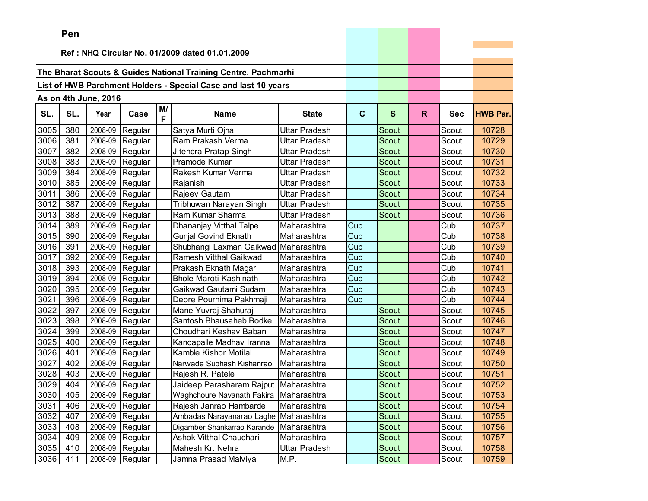|      | <b>Leil</b>                                    |                      |                   |         |                                                                |                      |              |              |              |            |                 |
|------|------------------------------------------------|----------------------|-------------------|---------|----------------------------------------------------------------|----------------------|--------------|--------------|--------------|------------|-----------------|
|      | Ref: NHQ Circular No. 01/2009 dated 01.01.2009 |                      |                   |         |                                                                |                      |              |              |              |            |                 |
|      |                                                |                      |                   |         |                                                                |                      |              |              |              |            |                 |
|      |                                                |                      |                   |         | The Bharat Scouts & Guides National Training Centre, Pachmarhi |                      |              |              |              |            |                 |
|      |                                                |                      |                   |         | List of HWB Parchment Holders - Special Case and last 10 years |                      |              |              |              |            |                 |
|      |                                                |                      |                   |         |                                                                |                      |              |              |              |            |                 |
|      |                                                | As on 4th June, 2016 |                   |         |                                                                |                      |              |              |              |            |                 |
| SL.  | SL.                                            | Year                 | Case              | M/<br>F | <b>Name</b>                                                    | <b>State</b>         | $\mathbf{C}$ | $\mathbf{s}$ | $\mathsf{R}$ | <b>Sec</b> | <b>HWB Par.</b> |
| 3005 | 380                                            | 2008-09              | Regular           |         | Satya Murti Ojha                                               | <b>Uttar Pradesh</b> |              | <b>Scout</b> |              | Scout      | 10728           |
| 3006 | 381                                            | 2008-09              | Regular           |         | Ram Prakash Verma                                              | Uttar Pradesh        |              | Scout        |              | Scout      | 10729           |
| 3007 | 382                                            | 2008-09              | Regular           |         | Jitendra Pratap Singh                                          | Uttar Pradesh        |              | Scout        |              | Scout      | 10730           |
| 3008 | 383                                            | 2008-09              | Regular           |         | Pramode Kumar                                                  | Uttar Pradesh        |              | Scout        |              | Scout      | 10731           |
| 3009 | 384                                            | 2008-09              | Regular           |         | Rakesh Kumar Verma                                             | Uttar Pradesh        |              | Scout        |              | Scout      | 10732           |
| 3010 | 385                                            | 2008-09              | Regular           |         | Rajanish                                                       | Uttar Pradesh        |              | Scout        |              | Scout      | 10733           |
| 3011 | 386                                            | 2008-09              | Regular           |         | Rajeev Gautam                                                  | <b>Uttar Pradesh</b> |              | Scout        |              | Scout      | 10734           |
| 3012 | 387                                            | 2008-09              | Regular           |         | Tribhuwan Narayan Singh                                        | <b>Uttar Pradesh</b> |              | Scout        |              | Scout      | 10735           |
| 3013 | 388                                            | 2008-09              | Regular           |         | Ram Kumar Sharma                                               | <b>Uttar Pradesh</b> |              | Scout        |              | Scout      | 10736           |
| 3014 | 389                                            | 2008-09              | Regular           |         | Dhananjay Vitthal Talpe                                        | Maharashtra          | Cub          |              |              | Cub        | 10737           |
| 3015 | 390                                            | 2008-09              | Regular           |         | <b>Gunjal Govind Eknath</b>                                    | Maharashtra          | Cub          |              |              | Cub        | 10738           |
| 3016 | 391                                            | 2008-09              | Regular           |         | Shubhangi Laxman Gaikwad                                       | Maharashtra          | Cub          |              |              | Cub        | 10739           |
| 3017 | 392                                            | 2008-09              | Regular           |         | Ramesh Vitthal Gaikwad                                         | Maharashtra          | Cub          |              |              | Cub        | 10740           |
| 3018 | 393                                            | 2008-09              | Regular           |         | Prakash Eknath Magar                                           | Maharashtra          | Cub          |              |              | Cub        | 10741           |
| 3019 | 394                                            | 2008-09              | Regular           |         | <b>Bhole Maroti Kashinath</b>                                  | Maharashtra          | Cub          |              |              | Cub        | 10742           |
| 3020 | 395                                            | 2008-09              | Regular           |         | Gaikwad Gautami Sudam                                          | Maharashtra          | Cub          |              |              | Cub        | 10743           |
| 3021 | 396                                            | 2008-09              | Regular           |         | Deore Pournima Pakhmaji                                        | Maharashtra          | Cub          |              |              | Cub        | 10744           |
| 3022 | 397                                            | 2008-09              | Regular           |         | Mane Yuvraj Shahuraj                                           | Maharashtra          |              | Scout        |              | Scout      | 10745           |
| 3023 | 398                                            | 2008-09              | Regular           |         | Santosh Bhausaheb Bodke                                        | Maharashtra          |              | Scout        |              | Scout      | 10746           |
| 3024 | 399                                            | 2008-09              | Regular           |         | Choudhari Keshav Baban                                         | Maharashtra          |              | Scout        |              | Scout      | 10747           |
| 3025 | 400                                            | 2008-09              | Regular           |         | Kandapalle Madhav Iranna                                       | Maharashtra          |              | Scout        |              | Scout      | 10748           |
| 3026 | 401                                            | 2008-09              | Regular           |         | Kamble Kishor Motilal                                          | Maharashtra          |              | Scout        |              | Scout      | 10749           |
| 3027 | 402                                            | 2008-09              | Regular           |         | Narwade Subhash Kishanrao                                      | Maharashtra          |              | Scout        |              | Scout      | 10750           |
| 3028 | 403                                            | 2008-09              | Regular           |         | Rajesh R. Patele                                               | Maharashtra          |              | Scout        |              | Scout      | 10751           |
| 3029 | 404                                            | 2008-09              | Regular           |         | Jaideep Parasharam Rajput Maharashtra                          |                      |              | Scout        |              | Scout      | 10752           |
| 3030 | 405                                            |                      | $2008-09$ Regular |         | Waghchoure Navanath Fakira Maharashtra                         |                      |              | Scout        |              | Scout      | 10753           |
| 3031 | 406                                            |                      | 2008-09 Regular   |         | Rajesh Janrao Hambarde                                         | Maharashtra          |              | Scout        |              | Scout      | 10754           |
| 3032 | 407                                            | 2008-09              | Regular           |         | Ambadas Narayanarao Laghe                                      | Maharashtra          |              | Scout        |              | Scout      | 10755           |
| 3033 | 408                                            | 2008-09              | Regular           |         | Digamber Shankarrao Karande                                    | Maharashtra          |              | Scout        |              | Scout      | 10756           |
| 3034 | 409                                            | 2008-09              | Regular           |         | Ashok Vitthal Chaudhari                                        | Maharashtra          |              | Scout        |              | Scout      | 10757           |
| 3035 | 410                                            | 2008-09              | Regular           |         | Mahesh Kr. Nehra                                               | Uttar Pradesh        |              | Scout        |              | Scout      | 10758           |
| 3036 | 411                                            | 2008-09              | Regular           |         | Jamna Prasad Malviya                                           | M.P.                 |              | Scout        |              | Scout      | 10759           |

the contract of the contract of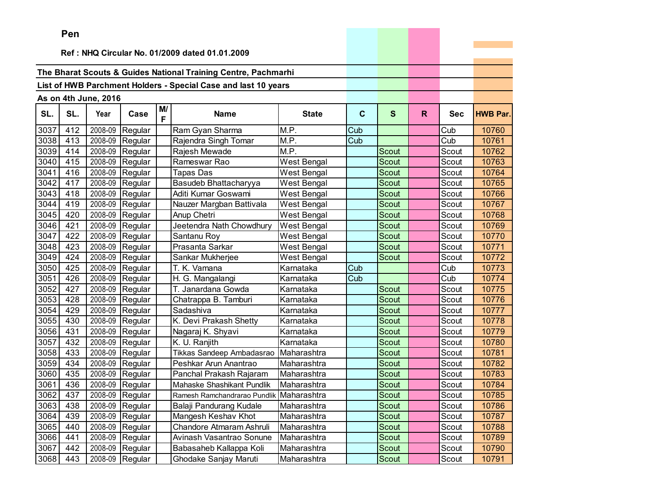|      | Pen      |                      |                 |         |                                                                |              |             |              |    |            |                 |
|------|----------|----------------------|-----------------|---------|----------------------------------------------------------------|--------------|-------------|--------------|----|------------|-----------------|
|      |          |                      |                 |         |                                                                |              |             |              |    |            |                 |
|      |          |                      |                 |         | Ref: NHQ Circular No. 01/2009 dated 01.01.2009                 |              |             |              |    |            |                 |
|      |          |                      |                 |         | The Bharat Scouts & Guides National Training Centre, Pachmarhi |              |             |              |    |            |                 |
|      |          |                      |                 |         | List of HWB Parchment Holders - Special Case and last 10 years |              |             |              |    |            |                 |
|      |          |                      |                 |         |                                                                |              |             |              |    |            |                 |
|      |          | As on 4th June, 2016 |                 |         |                                                                |              |             |              |    |            |                 |
| SL.  | SL.      | Year                 | Case            | M/<br>F | <b>Name</b>                                                    | <b>State</b> | $\mathbf c$ | $\mathbf{s}$ | R. | <b>Sec</b> | <b>HWB Par.</b> |
| 3037 | 412      | 2008-09              | Regular         |         | Ram Gyan Sharma                                                | M.P.         | Cub         |              |    | Cub        | 10760           |
| 3038 | 413      | 2008-09              | Regular         |         | Rajendra Singh Tomar                                           | M.P.         | Cub         |              |    | Cub        | 10761           |
| 3039 | 414      | 2008-09              | Regular         |         | Rajesh Mewade                                                  | M.P.         |             | Scout        |    | Scout      | 10762           |
| 3040 | 415      | 2008-09              | Regular         |         | Rameswar Rao                                                   | West Bengal  |             | Scout        |    | Scout      | 10763           |
| 3041 | 416      | 2008-09              | Regular         |         | <b>Tapas Das</b>                                               | West Bengal  |             | <b>Scout</b> |    | Scout      | 10764           |
| 3042 | 417      | 2008-09              | Regular         |         | Basudeb Bhattacharyya                                          | West Bengal  |             | <b>Scout</b> |    | Scout      | 10765           |
| 3043 | 418      | 2008-09              | Regular         |         | Aditi Kumar Goswami                                            | West Bengal  |             | <b>Scout</b> |    | Scout      | 10766           |
| 3044 | 419      | 2008-09              | Regular         |         | Nauzer Margban Battivala                                       | West Bengal  |             | Scout        |    | Scout      | 10767           |
| 3045 | 420      | 2008-09              | Regular         |         | Anup Chetri                                                    | West Bengal  |             | Scout        |    | Scout      | 10768           |
| 3046 | 421      | 2008-09              | Regular         |         | Jeetendra Nath Chowdhury                                       | West Bengal  |             | Scout        |    | Scout      | 10769           |
| 3047 | 422      | 2008-09              | Regular         |         | Santanu Roy                                                    | West Bengal  |             | <b>Scout</b> |    | Scout      | 10770           |
| 3048 | 423      | 2008-09              | Regular         |         | Prasanta Sarkar                                                | West Bengal  |             | Scout        |    | Scout      | 10771           |
| 3049 | 424      | 2008-09              | Regular         |         | Sankar Mukherjee                                               | West Bengal  |             | <b>Scout</b> |    | Scout      | 10772           |
| 3050 | 425      |                      | 2008-09 Regular |         | T. K. Vamana                                                   | Karnataka    | Cub         |              |    | Cub        | 10773           |
| 3051 | 426      | 2008-09              | Regular         |         | H. G. Mangalangi                                               | Karnataka    | Cub         |              |    | Cub        | 10774           |
| 3052 | 427      | 2008-09              | Regular         |         | T. Janardana Gowda                                             | Karnataka    |             | Scout        |    | Scout      | 10775           |
| 3053 | 428      | 2008-09              | Regular         |         | Chatrappa B. Tamburi                                           | Karnataka    |             | Scout        |    | Scout      | 10776           |
| 3054 | 429      | 2008-09              | Regular         |         | Sadashiva                                                      | Karnataka    |             | <b>Scout</b> |    | Scout      | 10777           |
| 3055 | 430      | 2008-09              | Regular         |         | K. Devi Prakash Shetty                                         | Karnataka    |             | <b>Scout</b> |    | Scout      | 10778           |
| 3056 | 431      | 2008-09              | Regular         |         | Nagaraj K. Shyavi                                              | Karnataka    |             | Scout        |    | Scout      | 10779           |
| 3057 | 432      | 2008-09              | Regular         |         | K. U. Ranjith                                                  | Karnataka    |             | Scout        |    | Scout      | 10780           |
| 3058 | 433      | 2008-09              | Regular         |         | Tikkas Sandeep Ambadasrao                                      | Maharashtra  |             | <b>Scout</b> |    | Scout      | 10781           |
| 3059 | 434      | 2008-09              | Regular         |         | Peshkar Arun Anantrao                                          | Maharashtra  |             | Scout        |    | Scout      | 10782           |
| 3060 | 435      | 2008-09              | Regular         |         | Panchal Prakash Rajaram                                        | Maharashtra  |             | Scout        |    | Scout      | 10783           |
| 3061 | 436      |                      | 2008-09 Regular |         | Mahaske Shashikant Pundlik                                     | Maharashtra  |             | Scout        |    | Scout      | 10784           |
|      | 3062 437 |                      | 2008-09 Regular |         | Ramesh Ramchandrarao Pundlik Maharashtra                       |              |             | Scout        |    | Scout      | 10785           |
| 3063 | 438      |                      | 2008-09 Regular |         | Balaji Pandurang Kudale                                        | Maharashtra  |             | Scout        |    | Scout      | 10786           |
| 3064 | 439      |                      | 2008-09 Regular |         | Mangesh Keshav Khot                                            | Maharashtra  |             | Scout        |    | Scout      | 10787           |
| 3065 | 440      |                      | 2008-09 Regular |         | Chandore Atmaram Ashruli                                       | Maharashtra  |             | Scout        |    | Scout      | 10788           |
| 3066 | 441      |                      | 2008-09 Regular |         | Avinash Vasantrao Sonune                                       | Maharashtra  |             | Scout        |    | Scout      | 10789           |
| 3067 | 442      |                      | 2008-09 Regular |         | Babasaheb Kallappa Koli                                        | Maharashtra  |             | Scout        |    | Scout      | 10790           |
| 3068 | 443      |                      | 2008-09 Regular |         | Ghodake Sanjay Maruti                                          | Maharashtra  |             | Scout        |    | Scout      | 10791           |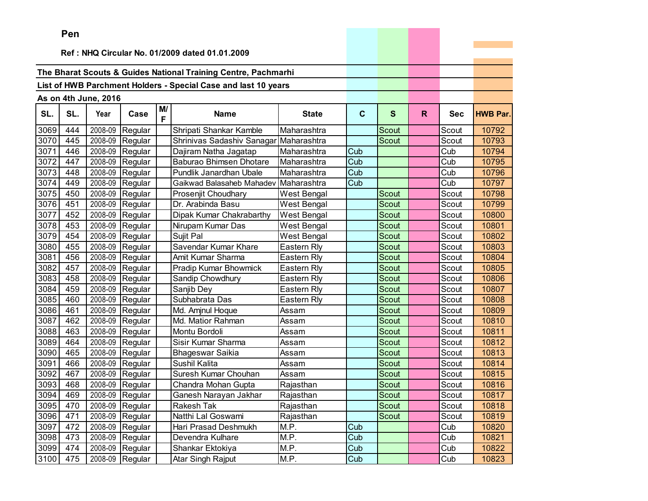|      | ren |                      |                   |         |                                                                |                    |             |              |    |            |                 |
|------|-----|----------------------|-------------------|---------|----------------------------------------------------------------|--------------------|-------------|--------------|----|------------|-----------------|
|      |     |                      |                   |         | Ref: NHQ Circular No. 01/2009 dated 01.01.2009                 |                    |             |              |    |            |                 |
|      |     |                      |                   |         |                                                                |                    |             |              |    |            |                 |
|      |     |                      |                   |         | The Bharat Scouts & Guides National Training Centre, Pachmarhi |                    |             |              |    |            |                 |
|      |     |                      |                   |         | List of HWB Parchment Holders - Special Case and last 10 years |                    |             |              |    |            |                 |
|      |     |                      |                   |         |                                                                |                    |             |              |    |            |                 |
|      |     | As on 4th June, 2016 |                   |         |                                                                |                    |             |              |    |            |                 |
| SL.  | SL. | Year                 | Case              | M/<br>F | <b>Name</b>                                                    | <b>State</b>       | $\mathbf c$ | $\mathbf{s}$ | R. | <b>Sec</b> | <b>HWB Par.</b> |
| 3069 | 444 | 2008-09              | Regular           |         | Shripati Shankar Kamble                                        | Maharashtra        |             | Scout        |    | Scout      | 10792           |
| 3070 | 445 | 2008-09              | Regular           |         | Shrinivas Sadashiv Sanagar                                     | Maharashtra        |             | <b>Scout</b> |    | Scout      | 10793           |
| 3071 | 446 | 2008-09              | Regular           |         | Dajiram Natha Jagatap                                          | Maharashtra        | Cub         |              |    | Cub        | 10794           |
| 3072 | 447 | 2008-09              | Regular           |         | Baburao Bhimsen Dhotare                                        | Maharashtra        | Cub         |              |    | Cub        | 10795           |
| 3073 | 448 | 2008-09              | Regular           |         | Pundlik Janardhan Ubale                                        | Maharashtra        | Cub         |              |    | Cub        | 10796           |
| 3074 | 449 | 2008-09              | Regular           |         | Gaikwad Balasaheb Mahadev                                      | Maharashtra        | Cub         |              |    | Cub        | 10797           |
| 3075 | 450 | 2008-09              | Regular           |         | Prosenjit Choudhary                                            | <b>West Bengal</b> |             | Scout        |    | Scout      | 10798           |
| 3076 | 451 | 2008-09              | Regular           |         | Dr. Arabinda Basu                                              | <b>West Bengal</b> |             | Scout        |    | Scout      | 10799           |
| 3077 | 452 | 2008-09              | Regular           |         | Dipak Kumar Chakrabarthy                                       | <b>West Bengal</b> |             | <b>Scout</b> |    | Scout      | 10800           |
| 3078 | 453 | 2008-09              | Regular           |         | Nirupam Kumar Das                                              | West Bengal        |             | Scout        |    | Scout      | 10801           |
| 3079 | 454 | 2008-09              | Regular           |         | Sujit Pal                                                      | West Bengal        |             | Scout        |    | Scout      | 10802           |
| 3080 | 455 | 2008-09              | Regular           |         | Savendar Kumar Khare                                           | Eastern Rly        |             | Scout        |    | Scout      | 10803           |
| 3081 | 456 | 2008-09              | Regular           |         | Amit Kumar Sharma                                              | Eastern Rly        |             | Scout        |    | Scout      | 10804           |
| 3082 | 457 | 2008-09              | Regular           |         | Pradip Kumar Bhowmick                                          | Eastern Rly        |             | Scout        |    | Scout      | 10805           |
| 3083 | 458 | 2008-09              | Regular           |         | Sandip Chowdhury                                               | Eastern Rly        |             | <b>Scout</b> |    | Scout      | 10806           |
| 3084 | 459 | 2008-09              | Regular           |         | Sanjib Dey                                                     | Eastern Rly        |             | Scout        |    | Scout      | 10807           |
| 3085 | 460 | 2008-09              | Regular           |         | Subhabrata Das                                                 | Eastern Rly        |             | <b>Scout</b> |    | Scout      | 10808           |
| 3086 | 461 | 2008-09              | Regular           |         | Md. Amjnul Hoque                                               | Assam              |             | Scout        |    | Scout      | 10809           |
| 3087 | 462 | 2008-09              | Regular           |         | Md. Matior Rahman                                              | Assam              |             | Scout        |    | Scout      | 10810           |
| 3088 | 463 | 2008-09              | Regular           |         | Montu Bordoli                                                  | Assam              |             | <b>Scout</b> |    | Scout      | 10811           |
| 3089 | 464 | 2008-09              | Regular           |         | Sisir Kumar Sharma                                             | Assam              |             | <b>Scout</b> |    | Scout      | 10812           |
| 3090 | 465 | 2008-09              | Regular           |         | <b>Bhageswar Saikia</b>                                        | Assam              |             | Scout        |    | Scout      | 10813           |
| 3091 | 466 | 2008-09              | Regular           |         | Sushil Kalita                                                  | Assam              |             | Scout        |    | Scout      | 10814           |
| 3092 | 467 | 2008-09              | Regular           |         | Suresh Kumar Chouhan                                           | Assam              |             | Scout        |    | Scout      | 10815           |
| 3093 | 468 | 2008-09              | Regular           |         | Chandra Mohan Gupta                                            | Rajasthan          |             | Scout        |    | Scout      | 10816           |
| 3094 | 469 |                      | $2008-09$ Regular |         | Ganesh Narayan Jakhar                                          | Rajasthan          |             | Scout        |    | Scout      | 10817           |
| 3095 | 470 |                      | 2008-09 Regular   |         | Rakesh Tak                                                     | Rajasthan          |             | Scout        |    | Scout      | 10818           |
| 3096 | 471 | 2008-09              | Regular           |         | Natthi Lal Goswami                                             | Rajasthan          |             | Scout        |    | Scout      | 10819           |
| 3097 | 472 | 2008-09              | Regular           |         | Hari Prasad Deshmukh                                           | M.P.               | Cub         |              |    | Cub        | 10820           |
| 3098 | 473 | 2008-09              | Regular           |         | Devendra Kulhare                                               | M.P.               | Cub         |              |    | Cub        | 10821           |
| 3099 | 474 | 2008-09              | Regular           |         | Shankar Ektokiya                                               | M.P.               | Cub         |              |    | Cub        | 10822           |
| 3100 | 475 |                      | 2008-09 Regular   |         | Atar Singh Rajput                                              | M.P.               | Cub         |              |    | Cub        | 10823           |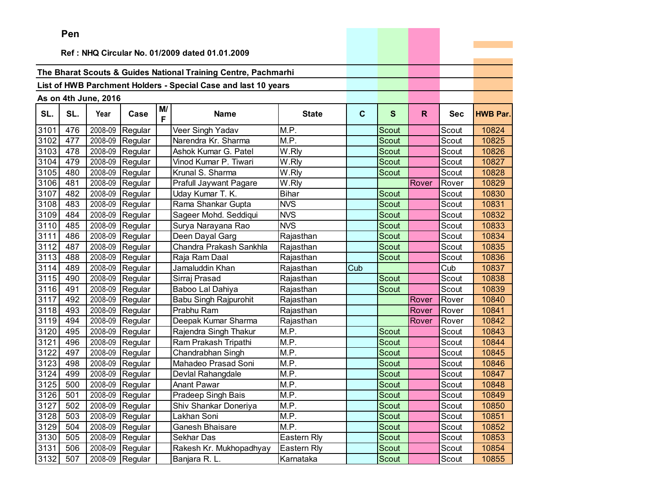|      | Pen |                      |                 |         |                                                                |              |              |              |       |            |                 |
|------|-----|----------------------|-----------------|---------|----------------------------------------------------------------|--------------|--------------|--------------|-------|------------|-----------------|
|      |     |                      |                 |         |                                                                |              |              |              |       |            |                 |
|      |     |                      |                 |         | Ref: NHQ Circular No. 01/2009 dated 01.01.2009                 |              |              |              |       |            |                 |
|      |     |                      |                 |         | The Bharat Scouts & Guides National Training Centre, Pachmarhi |              |              |              |       |            |                 |
|      |     |                      |                 |         |                                                                |              |              |              |       |            |                 |
|      |     |                      |                 |         | List of HWB Parchment Holders - Special Case and last 10 years |              |              |              |       |            |                 |
|      |     | As on 4th June, 2016 |                 |         |                                                                |              |              |              |       |            |                 |
| SL.  | SL. | Year                 | Case            | M/<br>F | <b>Name</b>                                                    | <b>State</b> | $\mathbf{C}$ | S            | R.    | <b>Sec</b> | <b>HWB Par.</b> |
| 3101 | 476 | 2008-09              | Regular         |         | Veer Singh Yadav                                               | M.P.         |              | Scout        |       | Scout      | 10824           |
| 3102 | 477 | 2008-09              | Regular         |         | Narendra Kr. Sharma                                            | M.P.         |              | <b>Scout</b> |       | Scout      | 10825           |
| 3103 | 478 | 2008-09              | Regular         |         | Ashok Kumar G. Patel                                           | W.Rly        |              | Scout        |       | Scout      | 10826           |
| 3104 | 479 | 2008-09              | Regular         |         | Vinod Kumar P. Tiwari                                          | W.Rly        |              | <b>Scout</b> |       | Scout      | 10827           |
| 3105 | 480 | 2008-09              | Regular         |         | Krunal S. Sharma                                               | W.Rly        |              | <b>Scout</b> |       | Scout      | 10828           |
| 3106 | 481 | 2008-09              | Regular         |         | Prafull Jaywant Pagare                                         | W.Rly        |              |              | Rover | Rover      | 10829           |
| 3107 | 482 | 2008-09              | Regular         |         | Uday Kumar T. K.                                               | <b>Bihar</b> |              | Scout        |       | Scout      | 10830           |
| 3108 | 483 | 2008-09              | Regular         |         | Rama Shankar Gupta                                             | <b>NVS</b>   |              | Scout        |       | Scout      | 10831           |
| 3109 | 484 | 2008-09              | Regular         |         | Sageer Mohd. Seddiqui                                          | <b>NVS</b>   |              | Scout        |       | Scout      | 10832           |
| 3110 | 485 | 2008-09              | Regular         |         | Surya Narayana Rao                                             | <b>NVS</b>   |              | Scout        |       | Scout      | 10833           |
| 3111 | 486 | 2008-09              | Regular         |         | Deen Dayal Garg                                                | Rajasthan    |              | Scout        |       | Scout      | 10834           |
| 3112 | 487 | 2008-09              | Regular         |         | Chandra Prakash Sankhla                                        | Rajasthan    |              | Scout        |       | Scout      | 10835           |
| 3113 | 488 | 2008-09              | Regular         |         | Raja Ram Daal                                                  | Rajasthan    |              | Scout        |       | Scout      | 10836           |
| 3114 | 489 | 2008-09              | Regular         |         | Jamaluddin Khan                                                | Rajasthan    | Cub          |              |       | Cub        | 10837           |
| 3115 | 490 | 2008-09              | Regular         |         | Sirraj Prasad                                                  | Rajasthan    |              | Scout        |       | Scout      | 10838           |
| 3116 | 491 | 2008-09              | Regular         |         | Baboo Lal Dahiya                                               | Rajasthan    |              | Scout        |       | Scout      | 10839           |
| 3117 | 492 | 2008-09              | Regular         |         | Babu Singh Rajpurohit                                          | Rajasthan    |              |              | Rover | Rover      | 10840           |
| 3118 | 493 | 2008-09              | Regular         |         | Prabhu Ram                                                     | Rajasthan    |              |              | Rover | Rover      | 10841           |
| 3119 | 494 | 2008-09              | Regular         |         | Deepak Kumar Sharma                                            | Rajasthan    |              |              | Rover | Rover      | 10842           |
| 3120 | 495 | 2008-09              | Regular         |         | Rajendra Singh Thakur                                          | M.P.         |              | <b>Scout</b> |       | Scout      | 10843           |
| 3121 | 496 | 2008-09              | Regular         |         | Ram Prakash Tripathi                                           | M.P.         |              | Scout        |       | Scout      | 10844           |
| 3122 | 497 | 2008-09              | Regular         |         | Chandrabhan Singh                                              | M.P.         |              | Scout        |       | Scout      | 10845           |
| 3123 | 498 | 2008-09              | Regular         |         | Mahadeo Prasad Soni                                            | M.P.         |              | Scout        |       | Scout      | 10846           |
| 3124 | 499 | 2008-09              | Regular         |         | Devlal Rahangdale                                              | M.P.         |              | Scout        |       | Scout      | 10847           |
| 3125 | 500 | 2008-09              | Regular         |         | Anant Pawar                                                    | M.P.         |              | Scout        |       | Scout      | 10848           |
| 3126 | 501 |                      | 2008-09 Regular |         | Pradeep Singh Bais                                             | M.P.         |              | Scout        |       | Scout      | 10849           |
| 3127 | 502 |                      | 2008-09 Regular |         | Shiv Shankar Doneriya                                          | M.P.         |              | Scout        |       | Scout      | 10850           |
| 3128 | 503 |                      | 2008-09 Regular |         | Lakhan Soni                                                    | M.P.         |              | Scout        |       | Scout      | 10851           |
| 3129 | 504 |                      | 2008-09 Regular |         | Ganesh Bhaisare                                                | M.P.         |              | Scout        |       | Scout      | 10852           |
| 3130 | 505 |                      | 2008-09 Regular |         | Sekhar Das                                                     | Eastern Rly  |              | Scout        |       | Scout      | 10853           |
| 3131 | 506 |                      | 2008-09 Regular |         | Rakesh Kr. Mukhopadhyay                                        | Eastern Rly  |              | Scout        |       | Scout      | 10854           |
| 3132 | 507 |                      | 2008-09 Regular |         | Banjara R. L.                                                  | Karnataka    |              | Scout        |       | Scout      | 10855           |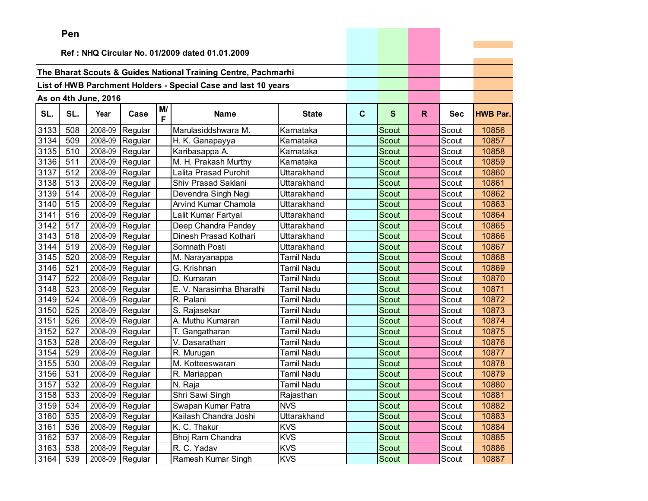|      | ren |                      |                 |         |                                                                |                   |              |              |              |            |                 |
|------|-----|----------------------|-----------------|---------|----------------------------------------------------------------|-------------------|--------------|--------------|--------------|------------|-----------------|
|      |     |                      |                 |         | Ref: NHQ Circular No. 01/2009 dated 01.01.2009                 |                   |              |              |              |            |                 |
|      |     |                      |                 |         |                                                                |                   |              |              |              |            |                 |
|      |     |                      |                 |         | The Bharat Scouts & Guides National Training Centre, Pachmarhi |                   |              |              |              |            |                 |
|      |     |                      |                 |         | List of HWB Parchment Holders - Special Case and last 10 years |                   |              |              |              |            |                 |
|      |     |                      |                 |         |                                                                |                   |              |              |              |            |                 |
|      |     | As on 4th June, 2016 |                 |         |                                                                |                   |              |              |              |            |                 |
| SL.  | SL. | Year                 | Case            | M/<br>F | <b>Name</b>                                                    | <b>State</b>      | $\mathbf{C}$ | $\mathbf{s}$ | $\mathsf{R}$ | <b>Sec</b> | <b>HWB Par.</b> |
| 3133 | 508 | 2008-09              | Regular         |         | Marulasiddshwara M.                                            | Karnataka         |              | Scout        |              | Scout      | 10856           |
| 3134 | 509 | 2008-09              | Regular         |         | H. K. Ganapayya                                                | Karnataka         |              | <b>Scout</b> |              | Scout      | 10857           |
| 3135 | 510 | 2008-09              | Regular         |         | Karibasappa A.                                                 | Karnataka         |              | <b>Scout</b> |              | Scout      | 10858           |
| 3136 | 511 | 2008-09              | Regular         |         | M. H. Prakash Murthy                                           | Karnataka         |              | Scout        |              | Scout      | 10859           |
| 3137 | 512 | 2008-09              | Regular         |         | Lalita Prasad Purohit                                          | Uttarakhand       |              | <b>Scout</b> |              | Scout      | 10860           |
| 3138 | 513 | 2008-09              | Regular         |         | Shiv Prasad Saklani                                            | Uttarakhand       |              | Scout        |              | Scout      | 10861           |
| 3139 | 514 | 2008-09              | Regular         |         | Devendra Singh Negi                                            | Uttarakhand       |              | Scout        |              | Scout      | 10862           |
| 3140 | 515 | 2008-09              | Regular         |         | Arvind Kumar Chamola                                           | Uttarakhand       |              | <b>Scout</b> |              | Scout      | 10863           |
| 3141 | 516 | 2008-09              | Regular         |         | Lalit Kumar Fartyal                                            | Uttarakhand       |              | <b>Scout</b> |              | Scout      | 10864           |
| 3142 | 517 | 2008-09              | Regular         |         | Deep Chandra Pandey                                            | Uttarakhand       |              | Scout        |              | Scout      | 10865           |
| 3143 | 518 | 2008-09              | Regular         |         | Dinesh Prasad Kothari                                          | Uttarakhand       |              | <b>Scout</b> |              | Scout      | 10866           |
| 3144 | 519 | 2008-09              | Regular         |         | Somnath Posti                                                  | Uttarakhand       |              | Scout        |              | Scout      | 10867           |
| 3145 | 520 | 2008-09              | Regular         |         | M. Narayanappa                                                 | <b>Tamil Nadu</b> |              | Scout        |              | Scout      | 10868           |
| 3146 | 521 | 2008-09              | Regular         |         | G. Krishnan                                                    | Tamil Nadu        |              | <b>Scout</b> |              | Scout      | 10869           |
| 3147 | 522 | 2008-09              | Regular         |         | D. Kumaran                                                     | <b>Tamil Nadu</b> |              | Scout        |              | Scout      | 10870           |
| 3148 | 523 | 2008-09              | Regular         |         | E. V. Narasimha Bharathi                                       | <b>Tamil Nadu</b> |              | Scout        |              | Scout      | 10871           |
| 3149 | 524 | 2008-09              | Regular         |         | R. Palani                                                      | Tamil Nadu        |              | Scout        |              | Scout      | 10872           |
| 3150 | 525 | 2008-09              | Regular         |         | S. Rajasekar                                                   | Tamil Nadu        |              | <b>Scout</b> |              | Scout      | 10873           |
| 3151 | 526 | 2008-09              | Regular         |         | A. Muthu Kumaran                                               | Tamil Nadu        |              | Scout        |              | Scout      | 10874           |
| 3152 | 527 | 2008-09              | Regular         |         | T. Gangatharan                                                 | Tamil Nadu        |              | Scout        |              | Scout      | 10875           |
| 3153 | 528 | 2008-09              | Regular         |         | V. Dasarathan                                                  | Tamil Nadu        |              | <b>Scout</b> |              | Scout      | 10876           |
| 3154 | 529 | 2008-09              | Regular         |         | R. Murugan                                                     | Tamil Nadu        |              | Scout        |              | Scout      | 10877           |
| 3155 | 530 | 2008-09              | Regular         |         | M. Kotteeswaran                                                | Tamil Nadu        |              | Scout        |              | Scout      | 10878           |
| 3156 | 531 | 2008-09              | Regular         |         | R. Mariappan                                                   | Tamil Nadu        |              | Scout        |              | Scout      | 10879           |
| 3157 | 532 | 2008-09              | Regular         |         | N. Raja                                                        | Tamil Nadu        |              | Scout        |              | Scout      | 10880           |
| 3158 | 533 | 2008-09              | Regular         |         | Shri Sawi Singh                                                | Rajasthan         |              | Scout        |              | Scout      | 10881           |
| 3159 | 534 |                      | 2008-09 Regular |         | Swapan Kumar Patra                                             | <b>NVS</b>        |              | Scout        |              | Scout      | 10882           |
| 3160 | 535 | 2008-09              | Regular         |         | Kailash Chandra Joshi                                          | Uttarakhand       |              | Scout        |              | Scout      | 10883           |
| 3161 | 536 |                      | 2008-09 Regular |         | K. C. Thakur                                                   | <b>KVS</b>        |              | Scout        |              | Scout      | 10884           |
| 3162 | 537 | 2008-09              | Regular         |         | Bhoj Ram Chandra                                               | <b>KVS</b>        |              | Scout        |              | Scout      | 10885           |
| 3163 | 538 | 2008-09              | Regular         |         | R. C. Yadav                                                    | <b>KVS</b>        |              | Scout        |              | Scout      | 10886           |
| 3164 | 539 |                      | 2008-09 Regular |         | Ramesh Kumar Singh                                             | <b>KVS</b>        |              | Scout        |              | Scout      | 10887           |

and the contract of the contract of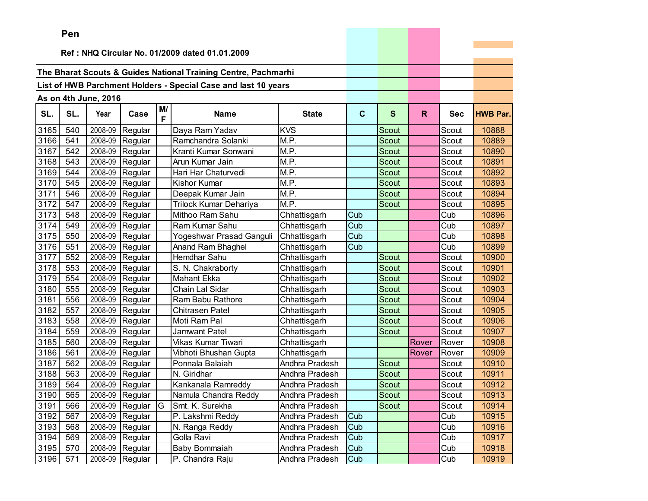|      | ren |                      |                   |    |                                                                |                |             |              |              |            |                 |
|------|-----|----------------------|-------------------|----|----------------------------------------------------------------|----------------|-------------|--------------|--------------|------------|-----------------|
|      |     |                      |                   |    | Ref: NHQ Circular No. 01/2009 dated 01.01.2009                 |                |             |              |              |            |                 |
|      |     |                      |                   |    |                                                                |                |             |              |              |            |                 |
|      |     |                      |                   |    | The Bharat Scouts & Guides National Training Centre, Pachmarhi |                |             |              |              |            |                 |
|      |     |                      |                   |    | List of HWB Parchment Holders - Special Case and last 10 years |                |             |              |              |            |                 |
|      |     |                      |                   |    |                                                                |                |             |              |              |            |                 |
|      |     | As on 4th June, 2016 |                   | M/ |                                                                |                |             |              |              |            |                 |
| SL.  | SL. | Year                 | Case              | F  | <b>Name</b>                                                    | <b>State</b>   | $\mathbf c$ | $\mathbf{s}$ | $\mathsf{R}$ | <b>Sec</b> | <b>HWB Par.</b> |
| 3165 | 540 | 2008-09              | Regular           |    | Daya Ram Yadav                                                 | <b>KVS</b>     |             | Scout        |              | Scout      | 10888           |
| 3166 | 541 | 2008-09              | Regular           |    | Ramchandra Solanki                                             | M.P.           |             | Scout        |              | Scout      | 10889           |
| 3167 | 542 | 2008-09              | Regular           |    | Kranti Kumar Sonwani                                           | M.P.           |             | Scout        |              | Scout      | 10890           |
| 3168 | 543 | 2008-09              | Regular           |    | Arun Kumar Jain                                                | M.P.           |             | Scout        |              | Scout      | 10891           |
| 3169 | 544 | 2008-09              | Regular           |    | Hari Har Chaturvedi                                            | M.P.           |             | <b>Scout</b> |              | Scout      | 10892           |
| 3170 | 545 | 2008-09              | Regular           |    | <b>Kishor Kumar</b>                                            | M.P.           |             | Scout        |              | Scout      | 10893           |
| 3171 | 546 | 2008-09              | Regular           |    | Deepak Kumar Jain                                              | M.P.           |             | Scout        |              | Scout      | 10894           |
| 3172 | 547 | 2008-09              | Regular           |    | Trilock Kumar Dehariya                                         | M.P.           |             | <b>Scout</b> |              | Scout      | 10895           |
| 3173 | 548 | 2008-09              | Regular           |    | Mithoo Ram Sahu                                                | Chhattisgarh   | Cub         |              |              | Cub        | 10896           |
| 3174 | 549 | 2008-09              | Regular           |    | Ram Kumar Sahu                                                 | Chhattisgarh   | Cub         |              |              | Cub        | 10897           |
| 3175 | 550 | 2008-09              | Regular           |    | Yogeshwar Prasad Ganguli                                       | Chhattisgarh   | Cub         |              |              | Cub        | 10898           |
| 3176 | 551 | 2008-09              | Regular           |    | Anand Ram Bhaghel                                              | Chhattisgarh   | Cub         |              |              | Cub        | 10899           |
| 3177 | 552 | 2008-09              | Regular           |    | Hemdhar Sahu                                                   | Chhattisgarh   |             | Scout        |              | Scout      | 10900           |
| 3178 | 553 | 2008-09              | Regular           |    | S. N. Chakraborty                                              | Chhattisgarh   |             | Scout        |              | Scout      | 10901           |
| 3179 | 554 | 2008-09              | Regular           |    | <b>Mahant Ekka</b>                                             | Chhattisgarh   |             | <b>Scout</b> |              | Scout      | 10902           |
| 3180 | 555 | 2008-09              | Regular           |    | Chain Lal Sidar                                                | Chhattisgarh   |             | Scout        |              | Scout      | 10903           |
| 3181 | 556 | 2008-09              | Regular           |    | Ram Babu Rathore                                               | Chhattisgarh   |             | Scout        |              | Scout      | 10904           |
| 3182 | 557 | 2008-09              | Regular           |    | Chitrasen Patel                                                | Chhattisgarh   |             | Scout        |              | Scout      | 10905           |
| 3183 | 558 | 2008-09              | Regular           |    | Moti Ram Pal                                                   | Chhattisgarh   |             | Scout        |              | Scout      | 10906           |
| 3184 | 559 | 2008-09              | Regular           |    | Jamwant Patel                                                  | Chhattisgarh   |             | Scout        |              | Scout      | 10907           |
| 3185 | 560 | 2008-09              | Regular           |    | Vikas Kumar Tiwari                                             | Chhattisgarh   |             |              | Rover        | Rover      | 10908           |
| 3186 | 561 | 2008-09              | Regular           |    | Vibhoti Bhushan Gupta                                          | Chhattisgarh   |             |              | Rover        | Rover      | 10909           |
| 3187 | 562 | 2008-09              | Regular           |    | Ponnala Balaiah                                                | Andhra Pradesh |             | Scout        |              | Scout      | 10910           |
| 3188 | 563 | 2008-09              | Regular           |    | N. Giridhar                                                    | Andhra Pradesh |             | Scout        |              | Scout      | 10911           |
| 3189 | 564 | 2008-09              | Regular           |    | Kankanala Ramreddy                                             | Andhra Pradesh |             | Scout        |              | Scout      | 10912           |
| 3190 | 565 | 2008-09              | Regular           |    | Namula Chandra Reddy                                           | Andhra Pradesh |             | Scout        |              | Scout      | 10913           |
| 3191 | 566 |                      | 2008-09 Regular G |    | Smt. K. Surekha                                                | Andhra Pradesh |             | Scout        |              | Scout      | 10914           |
| 3192 | 567 | 2008-09              | Regular           |    | P. Lakshmi Reddy                                               | Andhra Pradesh | Cub         |              |              | Cub        | 10915           |
| 3193 | 568 |                      | 2008-09 Regular   |    | N. Ranga Reddy                                                 | Andhra Pradesh | Cub         |              |              | Cub        | 10916           |
| 3194 | 569 | 2008-09              | Regular           |    | Golla Ravi                                                     | Andhra Pradesh | Cub         |              |              | Cub        | 10917           |
| 3195 | 570 | 2008-09              | Regular           |    | Baby Bommaiah                                                  | Andhra Pradesh | Cub         |              |              | Cub        | 10918           |
| 3196 | 571 |                      | 2008-09 Regular   |    | P. Chandra Raju                                                | Andhra Pradesh | Cub         |              |              | Cub        | 10919           |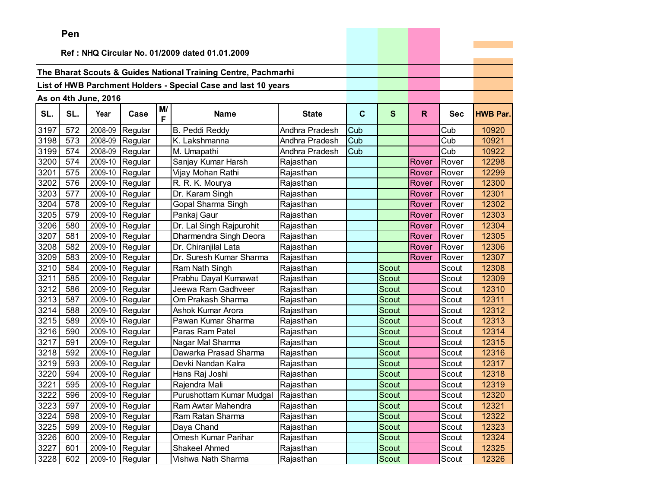|      | Pen                                            |                      |                 |         |                                                                |                |             |              |       |            |                 |
|------|------------------------------------------------|----------------------|-----------------|---------|----------------------------------------------------------------|----------------|-------------|--------------|-------|------------|-----------------|
|      | Ref: NHQ Circular No. 01/2009 dated 01.01.2009 |                      |                 |         |                                                                |                |             |              |       |            |                 |
|      |                                                |                      |                 |         |                                                                |                |             |              |       |            |                 |
|      |                                                |                      |                 |         | The Bharat Scouts & Guides National Training Centre, Pachmarhi |                |             |              |       |            |                 |
|      |                                                |                      |                 |         | List of HWB Parchment Holders - Special Case and last 10 years |                |             |              |       |            |                 |
|      |                                                |                      |                 |         |                                                                |                |             |              |       |            |                 |
|      |                                                | As on 4th June, 2016 |                 |         |                                                                |                |             |              |       |            |                 |
| SL.  | SL.                                            | Year                 | Case            | M/<br>F | <b>Name</b>                                                    | <b>State</b>   | $\mathbf c$ | $\mathbf{s}$ | R.    | <b>Sec</b> | <b>HWB Par.</b> |
| 3197 | 572                                            | 2008-09              | Regular         |         | <b>B. Peddi Reddy</b>                                          | Andhra Pradesh | Cub         |              |       | Cub        | 10920           |
| 3198 | 573                                            | 2008-09              | Regular         |         | K. Lakshmanna                                                  | Andhra Pradesh | Cub         |              |       | Cub        | 10921           |
| 3199 | 574                                            | 2008-09              | Regular         |         | M. Umapathi                                                    | Andhra Pradesh | Cub         |              |       | Cub        | 10922           |
| 3200 | 574                                            | 2009-10              | Regular         |         | Sanjay Kumar Harsh                                             | Rajasthan      |             |              | Rover | Rover      | 12298           |
| 3201 | 575                                            | 2009-10              | Regular         |         | Vijay Mohan Rathi                                              | Rajasthan      |             |              | Rover | Rover      | 12299           |
| 3202 | 576                                            | 2009-10              | Regular         |         | R. R. K. Mourya                                                | Rajasthan      |             |              | Rover | Rover      | 12300           |
| 3203 | 577                                            | 2009-10              | Regular         |         | Dr. Karam Singh                                                | Rajasthan      |             |              | Rover | Rover      | 12301           |
| 3204 | 578                                            | 2009-10              | Regular         |         | Gopal Sharma Singh                                             | Rajasthan      |             |              | Rover | Rover      | 12302           |
| 3205 | 579                                            | 2009-10              | Regular         |         | Pankaj Gaur                                                    | Rajasthan      |             |              | Rover | Rover      | 12303           |
| 3206 | 580                                            | 2009-10              | Regular         |         | Dr. Lal Singh Rajpurohit                                       | Rajasthan      |             |              | Rover | Rover      | 12304           |
| 3207 | 581                                            | 2009-10              | Regular         |         | Dharmendra Singh Deora                                         | Rajasthan      |             |              | Rover | Rover      | 12305           |
| 3208 | 582                                            | 2009-10              | Regular         |         | Dr. Chiranjilal Lata                                           | Rajasthan      |             |              | Rover | Rover      | 12306           |
| 3209 | 583                                            | 2009-10              | Regular         |         | Dr. Suresh Kumar Sharma                                        | Rajasthan      |             |              | Rover | Rover      | 12307           |
| 3210 | 584                                            | 2009-10              | Regular         |         | Ram Nath Singh                                                 | Rajasthan      |             | Scout        |       | Scout      | 12308           |
| 3211 | 585                                            | 2009-10              | Regular         |         | Prabhu Dayal Kumawat                                           | Rajasthan      |             | Scout        |       | Scout      | 12309           |
| 3212 | 586                                            | 2009-10              | Regular         |         | Jeewa Ram Gadhveer                                             | Rajasthan      |             | Scout        |       | Scout      | 12310           |
| 3213 | 587                                            | 2009-10              | Regular         |         | Om Prakash Sharma                                              | Rajasthan      |             | Scout        |       | Scout      | 12311           |
| 3214 | 588                                            | 2009-10              | Regular         |         | Ashok Kumar Arora                                              | Rajasthan      |             | Scout        |       | Scout      | 12312           |
| 3215 | 589                                            | 2009-10              | Regular         |         | Pawan Kumar Sharma                                             | Rajasthan      |             | Scout        |       | Scout      | 12313           |
| 3216 | 590                                            | 2009-10              | Regular         |         | Paras Ram Patel                                                | Rajasthan      |             | <b>Scout</b> |       | Scout      | 12314           |
| 3217 | 591                                            | 2009-10              | Regular         |         | Nagar Mal Sharma                                               | Rajasthan      |             | Scout        |       | Scout      | 12315           |
| 3218 | 592                                            | 2009-10              | Regular         |         | Dawarka Prasad Sharma                                          | Rajasthan      |             | Scout        |       | Scout      | 12316           |
| 3219 | 593                                            | 2009-10              | Regular         |         | Devki Nandan Kalra                                             | Rajasthan      |             | <b>Scout</b> |       | Scout      | 12317           |
| 3220 | 594                                            | 2009-10              | Regular         |         | Hans Raj Joshi                                                 | Rajasthan      |             | Scout        |       | Scout      | 12318           |
| 3221 | 595                                            | 2009-10              | Regular         |         | Rajendra Mali                                                  | Rajasthan      |             | Scout        |       | Scout      | 12319           |
| 3222 | 596                                            | 2009-10              | Regular         |         | Purushottam Kumar Mudgal                                       | Rajasthan      |             | Scout        |       | Scout      | 12320           |
| 3223 | 597                                            |                      | 2009-10 Regular |         | Ram Awtar Mahendra                                             | Rajasthan      |             | Scout        |       | Scout      | 12321           |
| 3224 | 598                                            | 2009-10              | Regular         |         | Ram Ratan Sharma                                               | Rajasthan      |             | Scout        |       | Scout      | 12322           |
| 3225 | 599                                            | 2009-10              | Regular         |         | Daya Chand                                                     | Rajasthan      |             | Scout        |       | Scout      | 12323           |
| 3226 | 600                                            | 2009-10              | Regular         |         | Omesh Kumar Parihar                                            | Rajasthan      |             | Scout        |       | Scout      | 12324           |
| 3227 | 601                                            | 2009-10              | Regular         |         | Shakeel Ahmed                                                  | Rajasthan      |             | Scout        |       | Scout      | 12325           |
| 3228 | 602                                            | 2009-10              | Regular         |         | Vishwa Nath Sharma                                             | Rajasthan      |             | Scout        |       | Scout      | 12326           |

the control of the control of the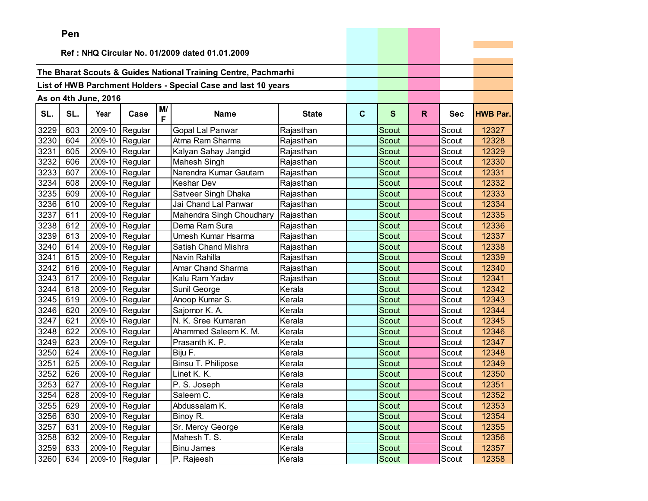|      | ren |                      |                   |         |                                                                |              |             |              |    |            |                 |
|------|-----|----------------------|-------------------|---------|----------------------------------------------------------------|--------------|-------------|--------------|----|------------|-----------------|
|      |     |                      |                   |         | Ref: NHQ Circular No. 01/2009 dated 01.01.2009                 |              |             |              |    |            |                 |
|      |     |                      |                   |         |                                                                |              |             |              |    |            |                 |
|      |     |                      |                   |         | The Bharat Scouts & Guides National Training Centre, Pachmarhi |              |             |              |    |            |                 |
|      |     |                      |                   |         | List of HWB Parchment Holders - Special Case and last 10 years |              |             |              |    |            |                 |
|      |     |                      |                   |         |                                                                |              |             |              |    |            |                 |
|      |     | As on 4th June, 2016 |                   |         |                                                                |              |             |              |    |            |                 |
| SL.  | SL. | Year                 | Case              | M/<br>F | <b>Name</b>                                                    | <b>State</b> | $\mathbf c$ | $\mathbf{s}$ | R. | <b>Sec</b> | <b>HWB Par.</b> |
| 3229 | 603 | 2009-10              | Regular           |         | Gopal Lal Panwar                                               | Rajasthan    |             | Scout        |    | Scout      | 12327           |
| 3230 | 604 | 2009-10              | Regular           |         | Atma Ram Sharma                                                | Rajasthan    |             | Scout        |    | Scout      | 12328           |
| 3231 | 605 | 2009-10              | Regular           |         | Kalyan Sahay Jangid                                            | Rajasthan    |             | Scout        |    | Scout      | 12329           |
| 3232 | 606 | 2009-10              | Regular           |         | Mahesh Singh                                                   | Rajasthan    |             | Scout        |    | Scout      | 12330           |
| 3233 | 607 | 2009-10              | Regular           |         | Narendra Kumar Gautam                                          | Rajasthan    |             | Scout        |    | Scout      | 12331           |
| 3234 | 608 | 2009-10              | Regular           |         | Keshar Dev                                                     | Rajasthan    |             | Scout        |    | Scout      | 12332           |
| 3235 | 609 | 2009-10              | Regular           |         | Satveer Singh Dhaka                                            | Rajasthan    |             | Scout        |    | Scout      | 12333           |
| 3236 | 610 | 2009-10              | Regular           |         | Jai Chand Lal Panwar                                           | Rajasthan    |             | Scout        |    | Scout      | 12334           |
| 3237 | 611 | 2009-10              | Regular           |         | Mahendra Singh Choudhary                                       | Rajasthan    |             | Scout        |    | Scout      | 12335           |
| 3238 | 612 | 2009-10              | Regular           |         | Dema Ram Sura                                                  | Rajasthan    |             | Scout        |    | Scout      | 12336           |
| 3239 | 613 | 2009-10              | Regular           |         | Umesh Kumar Hsarma                                             | Rajasthan    |             | Scout        |    | Scout      | 12337           |
| 3240 | 614 | 2009-10              | Regular           |         | Satish Chand Mishra                                            | Rajasthan    |             | Scout        |    | Scout      | 12338           |
| 3241 | 615 | 2009-10              | Regular           |         | Navin Rahilla                                                  | Rajasthan    |             | Scout        |    | Scout      | 12339           |
| 3242 | 616 | 2009-10              | Regular           |         | Amar Chand Sharma                                              | Rajasthan    |             | Scout        |    | Scout      | 12340           |
| 3243 | 617 | 2009-10              | Regular           |         | Kalu Ram Yadav                                                 | Rajasthan    |             | Scout        |    | Scout      | 12341           |
| 3244 | 618 |                      | 2009-10 Regular   |         | Sunil George                                                   | Kerala       |             | Scout        |    | Scout      | 12342           |
| 3245 | 619 | 2009-10              | Regular           |         | Anoop Kumar S.                                                 | Kerala       |             | <b>Scout</b> |    | Scout      | 12343           |
| 3246 | 620 | 2009-10              | Regular           |         | Sajomor K. A.                                                  | Kerala       |             | Scout        |    | Scout      | 12344           |
| 3247 | 621 | 2009-10              | Regular           |         | N. K. Sree Kumaran                                             | Kerala       |             | Scout        |    | Scout      | 12345           |
| 3248 | 622 | 2009-10              | Regular           |         | Ahammed Saleem K. M.                                           | Kerala       |             | <b>Scout</b> |    | Scout      | 12346           |
| 3249 | 623 | 2009-10              | Regular           |         | Prasanth K. P.                                                 | Kerala       |             | Scout        |    | Scout      | 12347           |
| 3250 | 624 | 2009-10              | Regular           |         | Biju F.                                                        | Kerala       |             | Scout        |    | Scout      | 12348           |
| 3251 | 625 |                      | 2009-10 Regular   |         | Binsu T. Philipose                                             | Kerala       |             | Scout        |    | Scout      | 12349           |
| 3252 | 626 | 2009-10              | Regular           |         | Linet K. K.                                                    | Kerala       |             | Scout        |    | Scout      | 12350           |
| 3253 | 627 | 2009-10              | Regular           |         | P. S. Joseph                                                   | Kerala       |             | Scout        |    | Scout      | 12351           |
| 3254 | 628 |                      | $2009-10$ Regular |         | Saleem C.                                                      | Kerala       |             | Scout        |    | Scout      | 12352           |
| 3255 | 629 |                      | 2009-10 Regular   |         | Abdussalam K.                                                  | Kerala       |             | Scout        |    | Scout      | 12353           |
| 3256 | 630 |                      | 2009-10 Regular   |         | Binoy R.                                                       | Kerala       |             | Scout        |    | Scout      | 12354           |
| 3257 | 631 |                      | 2009-10 Regular   |         | Sr. Mercy George                                               | Kerala       |             | Scout        |    | Scout      | 12355           |
| 3258 | 632 |                      | 2009-10 Regular   |         | Mahesh T. S.                                                   | Kerala       |             | Scout        |    | Scout      | 12356           |
| 3259 | 633 | 2009-10              | Regular           |         | <b>Binu James</b>                                              | Kerala       |             | Scout        |    | Scout      | 12357           |
| 3260 | 634 |                      | 2009-10 Regular   |         | P. Rajeesh                                                     | Kerala       |             | Scout        |    | Scout      | 12358           |

the control of the control of the control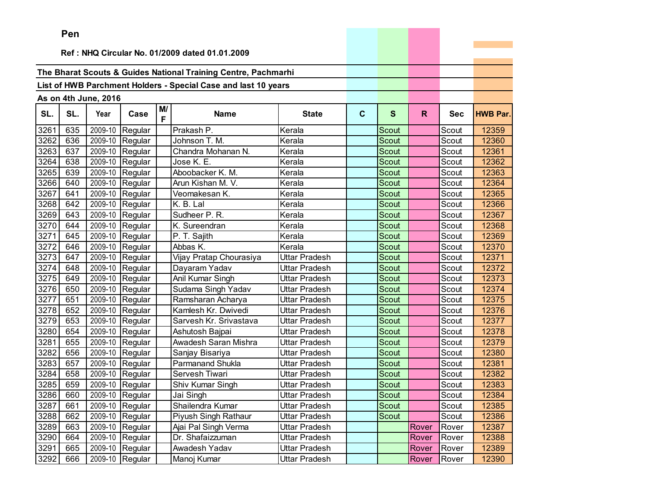|      | ren |                      |                   |         |                                                                |               |             |              |       |            |                 |
|------|-----|----------------------|-------------------|---------|----------------------------------------------------------------|---------------|-------------|--------------|-------|------------|-----------------|
|      |     |                      |                   |         | Ref: NHQ Circular No. 01/2009 dated 01.01.2009                 |               |             |              |       |            |                 |
|      |     |                      |                   |         |                                                                |               |             |              |       |            |                 |
|      |     |                      |                   |         | The Bharat Scouts & Guides National Training Centre, Pachmarhi |               |             |              |       |            |                 |
|      |     |                      |                   |         | List of HWB Parchment Holders - Special Case and last 10 years |               |             |              |       |            |                 |
|      |     |                      |                   |         |                                                                |               |             |              |       |            |                 |
|      |     | As on 4th June, 2016 |                   |         |                                                                |               |             |              |       |            |                 |
| SL.  | SL. | Year                 | Case              | M/<br>F | <b>Name</b>                                                    | <b>State</b>  | $\mathbf c$ | $\mathbf{s}$ | R.    | <b>Sec</b> | <b>HWB Par.</b> |
| 3261 | 635 | 2009-10              | Regular           |         | Prakash P.                                                     | Kerala        |             | Scout        |       | Scout      | 12359           |
| 3262 | 636 | 2009-10              | Regular           |         | Johnson T. M.                                                  | Kerala        |             | Scout        |       | Scout      | 12360           |
| 3263 | 637 | 2009-10              | Regular           |         | Chandra Mohanan N.                                             | Kerala        |             | Scout        |       | Scout      | 12361           |
| 3264 | 638 | 2009-10              | Regular           |         | Jose K. E.                                                     | Kerala        |             | Scout        |       | Scout      | 12362           |
| 3265 | 639 | 2009-10              | Regular           |         | Aboobacker K. M.                                               | Kerala        |             | Scout        |       | Scout      | 12363           |
| 3266 | 640 | 2009-10              | Regular           |         | Arun Kishan M. V.                                              | Kerala        |             | Scout        |       | Scout      | 12364           |
| 3267 | 641 | 2009-10              | Regular           |         | Veomakesan K.                                                  | Kerala        |             | Scout        |       | Scout      | 12365           |
| 3268 | 642 | 2009-10              | Regular           |         | K. B. Lal                                                      | Kerala        |             | Scout        |       | Scout      | 12366           |
| 3269 | 643 | 2009-10              | Regular           |         | Sudheer P. R.                                                  | Kerala        |             | Scout        |       | Scout      | 12367           |
| 3270 | 644 | 2009-10              | Regular           |         | K. Sureendran                                                  | Kerala        |             | Scout        |       | Scout      | 12368           |
| 3271 | 645 | 2009-10              | Regular           |         | P. T. Sajith                                                   | Kerala        |             | Scout        |       | Scout      | 12369           |
| 3272 | 646 | 2009-10              | Regular           |         | Abbas K.                                                       | Kerala        |             | Scout        |       | Scout      | 12370           |
| 3273 | 647 | 2009-10              | Regular           |         | Vijay Pratap Chourasiya                                        | Uttar Pradesh |             | Scout        |       | Scout      | 12371           |
| 3274 | 648 | 2009-10              | Regular           |         | Dayaram Yadav                                                  | Uttar Pradesh |             | Scout        |       | Scout      | 12372           |
| 3275 | 649 | 2009-10              | Regular           |         | Anil Kumar Singh                                               | Uttar Pradesh |             | Scout        |       | Scout      | 12373           |
| 3276 | 650 |                      | 2009-10 Regular   |         | Sudama Singh Yadav                                             | Uttar Pradesh |             | Scout        |       | Scout      | 12374           |
| 3277 | 651 | 2009-10              | Regular           |         | Ramsharan Acharya                                              | Uttar Pradesh |             | <b>Scout</b> |       | Scout      | 12375           |
| 3278 | 652 | 2009-10              | Regular           |         | Kamlesh Kr. Dwivedi                                            | Uttar Pradesh |             | Scout        |       | Scout      | 12376           |
| 3279 | 653 | 2009-10              | Regular           |         | Sarvesh Kr. Srivastava                                         | Uttar Pradesh |             | Scout        |       | Scout      | 12377           |
| 3280 | 654 | 2009-10              | Regular           |         | Ashutosh Bajpai                                                | Uttar Pradesh |             | <b>Scout</b> |       | Scout      | 12378           |
| 3281 | 655 | 2009-10              | Regular           |         | Awadesh Saran Mishra                                           | Uttar Pradesh |             | Scout        |       | Scout      | 12379           |
| 3282 | 656 | 2009-10              | Regular           |         | Sanjay Bisariya                                                | Uttar Pradesh |             | Scout        |       | Scout      | 12380           |
| 3283 | 657 |                      | 2009-10 Regular   |         | <b>Parmanand Shukla</b>                                        | Uttar Pradesh |             | <b>Scout</b> |       | Scout      | 12381           |
| 3284 | 658 | 2009-10              | Regular           |         | Servesh Tiwari                                                 | Uttar Pradesh |             | Scout        |       | Scout      | 12382           |
| 3285 | 659 | 2009-10              | Regular           |         | Shiv Kumar Singh                                               | Uttar Pradesh |             | Scout        |       | Scout      | 12383           |
| 3286 | 660 |                      | $2009-10$ Regular |         | Jai Singh                                                      | Uttar Pradesh |             | Scout        |       | Scout      | 12384           |
| 3287 | 661 |                      | 2009-10 Regular   |         | Shailendra Kumar                                               | Uttar Pradesh |             | Scout        |       | Scout      | 12385           |
| 3288 | 662 |                      | 2009-10 Regular   |         | Piyush Singh Rathaur                                           | Uttar Pradesh |             | Scout        |       | Scout      | 12386           |
| 3289 | 663 |                      | 2009-10 Regular   |         | Ajai Pal Singh Verma                                           | Uttar Pradesh |             |              | Rover | Rover      | 12387           |
| 3290 | 664 |                      | 2009-10 Regular   |         | Dr. Shafaizzuman                                               | Uttar Pradesh |             |              | Rover | Rover      | 12388           |
| 3291 | 665 | 2009-10              | Regular           |         | Awadesh Yadav                                                  | Uttar Pradesh |             |              | Rover | Rover      | 12389           |
| 3292 | 666 |                      | 2009-10 Regular   |         | Manoj Kumar                                                    | Uttar Pradesh |             |              | Rover | Rover      | 12390           |

the control of the control of the control of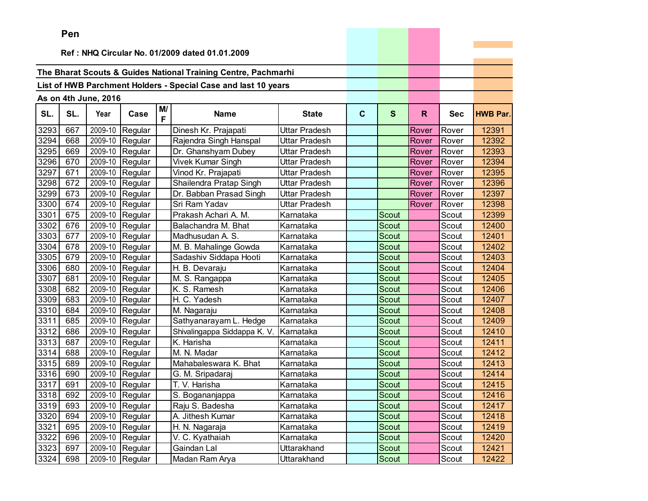|      | ren |                      |                 |         |                                                                |                      |             |              |       |            |                 |
|------|-----|----------------------|-----------------|---------|----------------------------------------------------------------|----------------------|-------------|--------------|-------|------------|-----------------|
|      |     |                      |                 |         | Ref: NHQ Circular No. 01/2009 dated 01.01.2009                 |                      |             |              |       |            |                 |
|      |     |                      |                 |         |                                                                |                      |             |              |       |            |                 |
|      |     |                      |                 |         | The Bharat Scouts & Guides National Training Centre, Pachmarhi |                      |             |              |       |            |                 |
|      |     |                      |                 |         |                                                                |                      |             |              |       |            |                 |
|      |     |                      |                 |         | List of HWB Parchment Holders - Special Case and last 10 years |                      |             |              |       |            |                 |
|      |     | As on 4th June, 2016 |                 |         |                                                                |                      |             |              |       |            |                 |
| SL.  | SL. | Year                 | Case            | M/<br>F | <b>Name</b>                                                    | <b>State</b>         | $\mathbf c$ | S            | R.    | <b>Sec</b> | <b>HWB Par.</b> |
| 3293 | 667 | 2009-10              | Regular         |         | Dinesh Kr. Prajapati                                           | <b>Uttar Pradesh</b> |             |              | Rover | Rover      | 12391           |
| 3294 | 668 | 2009-10              | Regular         |         | Rajendra Singh Hanspal                                         | Uttar Pradesh        |             |              | Rover | Rover      | 12392           |
| 3295 | 669 | 2009-10              | Regular         |         | Dr. Ghanshyam Dubey                                            | Uttar Pradesh        |             |              | Rover | Rover      | 12393           |
| 3296 | 670 | 2009-10              | Regular         |         | Vivek Kumar Singh                                              | Uttar Pradesh        |             |              | Rover | Rover      | 12394           |
| 3297 | 671 | 2009-10              | Regular         |         | Vinod Kr. Prajapati                                            | Uttar Pradesh        |             |              | Rover | Rover      | 12395           |
| 3298 | 672 | 2009-10              | Regular         |         | Shailendra Pratap Singh                                        | <b>Uttar Pradesh</b> |             |              | Rover | Rover      | 12396           |
| 3299 | 673 | 2009-10              | Regular         |         | Dr. Babban Prasad Singh                                        | <b>Uttar Pradesh</b> |             |              | Rover | Rover      | 12397           |
| 3300 | 674 | 2009-10              | Regular         |         | Sri Ram Yadav                                                  | <b>Uttar Pradesh</b> |             |              | Rover | Rover      | 12398           |
| 3301 | 675 | 2009-10              | Regular         |         | Prakash Achari A. M.                                           | Karnataka            |             | Scout        |       | Scout      | 12399           |
| 3302 | 676 | 2009-10              | Regular         |         | Balachandra M. Bhat                                            | Karnataka            |             | Scout        |       | Scout      | 12400           |
| 3303 | 677 | 2009-10              | Regular         |         | Madhusudan A. S.                                               | Karnataka            |             | Scout        |       | Scout      | 12401           |
| 3304 | 678 | 2009-10              | Regular         |         | M. B. Mahalinge Gowda                                          | Karnataka            |             | Scout        |       | Scout      | 12402           |
| 3305 | 679 | 2009-10              | Regular         |         | Sadashiv Siddapa Hooti                                         | Karnataka            |             | <b>Scout</b> |       | Scout      | 12403           |
| 3306 | 680 | 2009-10              | Regular         |         | H. B. Devaraju                                                 | Karnataka            |             | Scout        |       | Scout      | 12404           |
| 3307 | 681 | 2009-10              | Regular         |         | M. S. Rangappa                                                 | Karnataka            |             | Scout        |       | Scout      | 12405           |
| 3308 | 682 | 2009-10              | Regular         |         | K. S. Ramesh                                                   | Karnataka            |             | Scout        |       | Scout      | 12406           |
| 3309 | 683 | 2009-10              | Regular         |         | H. C. Yadesh                                                   | Karnataka            |             | Scout        |       | Scout      | 12407           |
| 3310 | 684 | 2009-10              | Regular         |         | M. Nagaraju                                                    | Karnataka            |             | Scout        |       | Scout      | 12408           |
| 3311 | 685 | 2009-10              | Regular         |         | Sathyanarayam L. Hedge                                         | Karnataka            |             | Scout        |       | Scout      | 12409           |
| 3312 | 686 | 2009-10              | Regular         |         | Shivalingappa Siddappa K. V.                                   | Karnataka            |             | Scout        |       | Scout      | 12410           |
| 3313 | 687 | 2009-10              | Regular         |         | K. Harisha                                                     | Karnataka            |             | Scout        |       | Scout      | 12411           |
| 3314 | 688 | 2009-10              | Regular         |         | M. N. Madar                                                    | Karnataka            |             | Scout        |       | Scout      | 12412           |
| 3315 | 689 | 2009-10              | Regular         |         | Mahabaleswara K. Bhat                                          | Karnataka            |             | Scout        |       | Scout      | 12413           |
| 3316 | 690 | 2009-10              | Regular         |         | G. M. Sripadaraj                                               | Karnataka            |             | Scout        |       | Scout      | 12414           |
| 3317 | 691 | 2009-10              | Regular         |         | T. V. Harisha                                                  | Karnataka            |             | Scout        |       | Scout      | 12415           |
| 3318 | 692 | 2009-10              | Regular         |         | S. Bogananjappa                                                | Karnataka            |             | Scout        |       | Scout      | 12416           |
| 3319 | 693 |                      | 2009-10 Regular |         | Raju S. Badesha                                                | Karnataka            |             | Scout        |       | Scout      | 12417           |
| 3320 | 694 | 2009-10              | Regular         |         | A. Jithesh Kumar                                               | Karnataka            |             | Scout        |       | Scout      | 12418           |
| 3321 | 695 | 2009-10              | Regular         |         | H. N. Nagaraja                                                 | Karnataka            |             | Scout        |       | Scout      | 12419           |
| 3322 | 696 | 2009-10              | Regular         |         | V. C. Kyathaiah                                                | Karnataka            |             | Scout        |       | Scout      | 12420           |
| 3323 | 697 | 2009-10              | Regular         |         | Gaindan Lal                                                    | Uttarakhand          |             | Scout        |       | Scout      | 12421           |
| 3324 | 698 |                      | 2009-10 Regular |         | Madan Ram Arya                                                 | Uttarakhand          |             | Scout        |       | Scout      | 12422           |

the property of the control of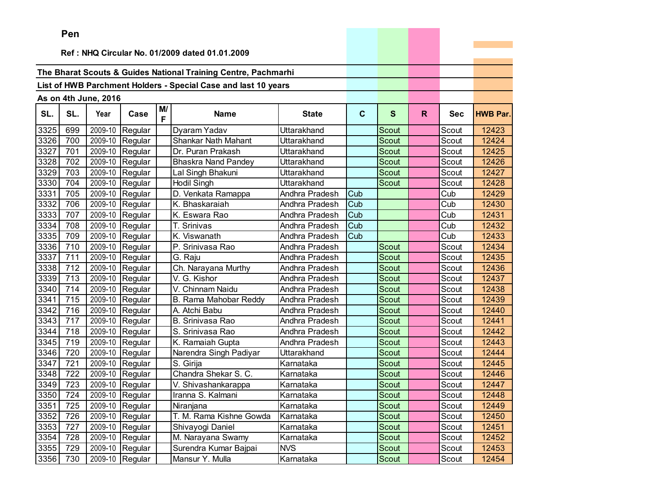|      | Pen |                      |                 |         |                                                                |                |              |              |    |            |                 |
|------|-----|----------------------|-----------------|---------|----------------------------------------------------------------|----------------|--------------|--------------|----|------------|-----------------|
|      |     |                      |                 |         |                                                                |                |              |              |    |            |                 |
|      |     |                      |                 |         | Ref: NHQ Circular No. 01/2009 dated 01.01.2009                 |                |              |              |    |            |                 |
|      |     |                      |                 |         | The Bharat Scouts & Guides National Training Centre, Pachmarhi |                |              |              |    |            |                 |
|      |     |                      |                 |         |                                                                |                |              |              |    |            |                 |
|      |     |                      |                 |         | List of HWB Parchment Holders - Special Case and last 10 years |                |              |              |    |            |                 |
|      |     | As on 4th June, 2016 |                 |         |                                                                |                |              |              |    |            |                 |
| SL.  | SL. | Year                 | Case            | M/<br>F | <b>Name</b>                                                    | <b>State</b>   | $\mathbf{C}$ | $\mathbf{s}$ | R. | <b>Sec</b> | <b>HWB Par.</b> |
| 3325 | 699 | 2009-10              | Regular         |         | Dyaram Yadav                                                   | Uttarakhand    |              | Scout        |    | Scout      | 12423           |
| 3326 | 700 | 2009-10              | Regular         |         | Shankar Nath Mahant                                            | Uttarakhand    |              | <b>Scout</b> |    | Scout      | 12424           |
| 3327 | 701 |                      | 2009-10 Regular |         | Dr. Puran Prakash                                              | Uttarakhand    |              | Scout        |    | Scout      | 12425           |
| 3328 | 702 | 2009-10              | Regular         |         | <b>Bhaskra Nand Pandey</b>                                     | Uttarakhand    |              | <b>Scout</b> |    | Scout      | 12426           |
| 3329 | 703 | 2009-10              | Regular         |         | Lal Singh Bhakuni                                              | Uttarakhand    |              | <b>Scout</b> |    | Scout      | 12427           |
| 3330 | 704 | 2009-10              | Regular         |         | <b>Hodil Singh</b>                                             | Uttarakhand    |              | Scout        |    | Scout      | 12428           |
| 3331 | 705 | 2009-10              | Regular         |         | D. Venkata Ramappa                                             | Andhra Pradesh | Cub          |              |    | Cub        | 12429           |
| 3332 | 706 | 2009-10              | Regular         |         | K. Bhaskaraiah                                                 | Andhra Pradesh | Cub          |              |    | Cub        | 12430           |
| 3333 | 707 | 2009-10              | Regular         |         | K. Eswara Rao                                                  | Andhra Pradesh | Cub          |              |    | Cub        | 12431           |
| 3334 | 708 | 2009-10              | Regular         |         | T. Srinivas                                                    | Andhra Pradesh | Cub          |              |    | Cub        | 12432           |
| 3335 | 709 | 2009-10              | Regular         |         | K. Viswanath                                                   | Andhra Pradesh | Cub          |              |    | Cub        | 12433           |
| 3336 | 710 | 2009-10              | Regular         |         | P. Srinivasa Rao                                               | Andhra Pradesh |              | Scout        |    | Scout      | 12434           |
| 3337 | 711 | 2009-10              | Regular         |         | G. Raju                                                        | Andhra Pradesh |              | Scout        |    | Scout      | 12435           |
| 3338 | 712 | 2009-10              | Regular         |         | Ch. Narayana Murthy                                            | Andhra Pradesh |              | <b>Scout</b> |    | Scout      | 12436           |
| 3339 | 713 | 2009-10              | Regular         |         | V. G. Kishor                                                   | Andhra Pradesh |              | Scout        |    | Scout      | 12437           |
| 3340 | 714 | 2009-10              | Regular         |         | V. Chinnam Naidu                                               | Andhra Pradesh |              | Scout        |    | Scout      | 12438           |
| 3341 | 715 | 2009-10              | Regular         |         | B. Rama Mahobar Reddy                                          | Andhra Pradesh |              | <b>Scout</b> |    | Scout      | 12439           |
| 3342 | 716 | 2009-10              | Regular         |         | A. Atchi Babu                                                  | Andhra Pradesh |              | Scout        |    | Scout      | 12440           |
| 3343 | 717 | 2009-10              | Regular         |         | B. Srinivasa Rao                                               | Andhra Pradesh |              | Scout        |    | Scout      | 12441           |
| 3344 | 718 | 2009-10              | Regular         |         | S. Srinivasa Rao                                               | Andhra Pradesh |              | <b>Scout</b> |    | Scout      | 12442           |
| 3345 | 719 | 2009-10              | Regular         |         | K. Ramaiah Gupta                                               | Andhra Pradesh |              | Scout        |    | Scout      | 12443           |
| 3346 | 720 | 2009-10              | Regular         |         | Narendra Singh Padiyar                                         | Uttarakhand    |              | Scout        |    | Scout      | 12444           |
| 3347 | 721 | 2009-10              | Regular         |         | S. Girija                                                      | Karnataka      |              | Scout        |    | Scout      | 12445           |
| 3348 | 722 | 2009-10              | Regular         |         | Chandra Shekar S. C.                                           | Karnataka      |              | Scout        |    | Scout      | 12446           |
| 3349 | 723 | 2009-10              | Regular         |         | V. Shivashankarappa                                            | Karnataka      |              | Scout        |    | Scout      | 12447           |
| 3350 | 724 |                      | 2009-10 Regular |         | Iranna S. Kalmani                                              | Karnataka      |              | Scout        |    | Scout      | 12448           |
| 3351 | 725 |                      | 2009-10 Regular |         | Niranjana                                                      | Karnataka      |              | Scout        |    | Scout      | 12449           |
| 3352 | 726 |                      | 2009-10 Regular |         | T. M. Rama Kishne Gowda                                        | Karnataka      |              | Scout        |    | Scout      | 12450           |
| 3353 | 727 |                      | 2009-10 Regular |         | Shivayogi Daniel                                               | Karnataka      |              | Scout        |    | Scout      | 12451           |
| 3354 | 728 |                      | 2009-10 Regular |         | M. Narayana Swamy                                              | Karnataka      |              | Scout        |    | Scout      | 12452           |
| 3355 | 729 |                      | 2009-10 Regular |         | Surendra Kumar Bajpai                                          | <b>NVS</b>     |              | Scout        |    | Scout      | 12453           |
| 3356 | 730 |                      | 2009-10 Regular |         | Mansur Y. Mulla                                                | Karnataka      |              | Scout        |    | Scout      | 12454           |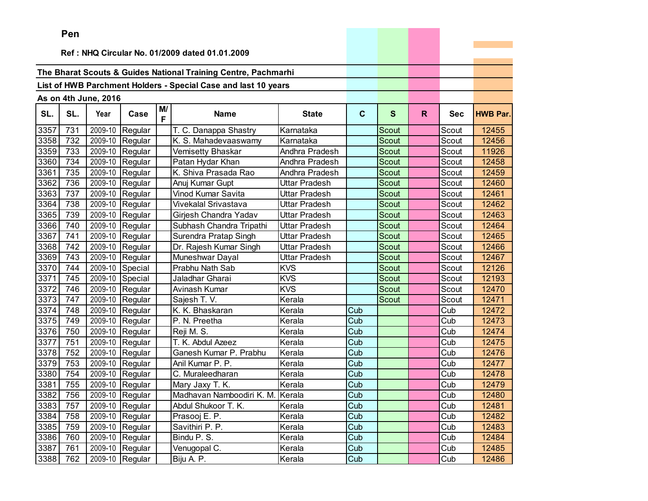|      | ren |                      |                 |    |                                                                |                |              |              |              |            |                 |
|------|-----|----------------------|-----------------|----|----------------------------------------------------------------|----------------|--------------|--------------|--------------|------------|-----------------|
|      |     |                      |                 |    | Ref: NHQ Circular No. 01/2009 dated 01.01.2009                 |                |              |              |              |            |                 |
|      |     |                      |                 |    |                                                                |                |              |              |              |            |                 |
|      |     |                      |                 |    | The Bharat Scouts & Guides National Training Centre, Pachmarhi |                |              |              |              |            |                 |
|      |     |                      |                 |    | List of HWB Parchment Holders - Special Case and last 10 years |                |              |              |              |            |                 |
|      |     |                      |                 |    |                                                                |                |              |              |              |            |                 |
|      |     | As on 4th June, 2016 |                 | M/ |                                                                |                |              |              |              |            |                 |
| SL.  | SL. | Year                 | Case            | F  | <b>Name</b>                                                    | <b>State</b>   | $\mathbf{C}$ | $\mathbf{s}$ | $\mathsf{R}$ | <b>Sec</b> | <b>HWB Par.</b> |
| 3357 | 731 | 2009-10              | Regular         |    | T. C. Danappa Shastry                                          | Karnataka      |              | Scout        |              | Scout      | 12455           |
| 3358 | 732 | 2009-10              | Regular         |    | K. S. Mahadevaaswamy                                           | Karnataka      |              | <b>Scout</b> |              | Scout      | 12456           |
| 3359 | 733 | 2009-10              | Regular         |    | Vemisetty Bhaskar                                              | Andhra Pradesh |              | <b>Scout</b> |              | Scout      | 11926           |
| 3360 | 734 | 2009-10              | Regular         |    | Patan Hydar Khan                                               | Andhra Pradesh |              | Scout        |              | Scout      | 12458           |
| 3361 | 735 | 2009-10              | Regular         |    | K. Shiva Prasada Rao                                           | Andhra Pradesh |              | <b>Scout</b> |              | Scout      | 12459           |
| 3362 | 736 | 2009-10              | Regular         |    | Anuj Kumar Gupt                                                | Uttar Pradesh  |              | Scout        |              | Scout      | 12460           |
| 3363 | 737 | 2009-10              | Regular         |    | Vinod Kumar Savita                                             | Uttar Pradesh  |              | Scout        |              | Scout      | 12461           |
| 3364 | 738 | 2009-10              | Regular         |    | Vivekalal Srivastava                                           | Uttar Pradesh  |              | <b>Scout</b> |              | Scout      | 12462           |
| 3365 | 739 | 2009-10              | Regular         |    | Girjesh Chandra Yadav                                          | Uttar Pradesh  |              | <b>Scout</b> |              | Scout      | 12463           |
| 3366 | 740 | 2009-10              | Regular         |    | Subhash Chandra Tripathi                                       | Uttar Pradesh  |              | Scout        |              | Scout      | 12464           |
| 3367 | 741 | 2009-10              | Regular         |    | Surendra Pratap Singh                                          | Uttar Pradesh  |              | <b>Scout</b> |              | Scout      | 12465           |
| 3368 | 742 | 2009-10              | Regular         |    | Dr. Rajesh Kumar Singh                                         | Uttar Pradesh  |              | Scout        |              | Scout      | 12466           |
| 3369 | 743 | 2009-10              | Regular         |    | Muneshwar Dayal                                                | Uttar Pradesh  |              | Scout        |              | Scout      | 12467           |
| 3370 | 744 | 2009-10              | Special         |    | Prabhu Nath Sab                                                | <b>KVS</b>     |              | Scout        |              | Scout      | 12126           |
| 3371 | 745 | 2009-10              | Special         |    | Jaladhar Gharai                                                | <b>KVS</b>     |              | <b>Scout</b> |              | Scout      | 12193           |
| 3372 | 746 | 2009-10              | Regular         |    | Avinash Kumar                                                  | <b>KVS</b>     |              | <b>Scout</b> |              | Scout      | 12470           |
| 3373 | 747 | 2009-10              | Regular         |    | Sajesh T. V.                                                   | Kerala         |              | Scout        |              | Scout      | 12471           |
| 3374 | 748 | 2009-10              | Regular         |    | K. K. Bhaskaran                                                | Kerala         | Cub          |              |              | Cub        | 12472           |
| 3375 | 749 | 2009-10              | Regular         |    | P. N. Preetha                                                  | Kerala         | Cub          |              |              | Cub        | 12473           |
| 3376 | 750 | 2009-10              | Regular         |    | Reji M. S.                                                     | Kerala         | Cub          |              |              | Cub        | 12474           |
| 3377 | 751 | 2009-10              | Regular         |    | T. K. Abdul Azeez                                              | Kerala         | Cub          |              |              | Cub        | 12475           |
| 3378 | 752 | 2009-10              | Regular         |    | Ganesh Kumar P. Prabhu                                         | Kerala         | Cub          |              |              | Cub        | 12476           |
| 3379 | 753 | 2009-10              | Regular         |    | Anil Kumar P. P.                                               | Kerala         | Cub          |              |              | Cub        | 12477           |
| 3380 | 754 | 2009-10              | Regular         |    | C. Muraleedharan                                               | Kerala         | Cub          |              |              | Cub        | 12478           |
| 3381 | 755 | 2009-10              | Regular         |    | Mary Jaxy T. K.                                                | Kerala         | Cub          |              |              | Cub        | 12479           |
| 3382 | 756 |                      | 2009-10 Regular |    | Madhavan Namboodiri K. M. Kerala                               |                | Cub          |              |              | Cub        | 12480           |
| 3383 | 757 |                      | 2009-10 Regular |    | Abdul Shukoor T. K.                                            | Kerala         | Cub          |              |              | Cub        | 12481           |
| 3384 | 758 |                      | 2009-10 Regular |    | Prasooj E. P.                                                  | Kerala         | Cub          |              |              | Cub        | 12482           |
| 3385 | 759 |                      | 2009-10 Regular |    | Savithiri P. P.                                                | Kerala         | Cub          |              |              | Cub        | 12483           |
| 3386 | 760 |                      | 2009-10 Regular |    | Bindu P. S.                                                    | Kerala         | Cub          |              |              | Cub        | 12484           |
| 3387 | 761 |                      | 2009-10 Regular |    | Venugopal C.                                                   | Kerala         | Cub          |              |              | Cub        | 12485           |
| 3388 | 762 |                      | 2009-10 Regular |    | Biju A. P.                                                     | Kerala         | Cub          |              |              | Cub        | 12486           |

**Service State**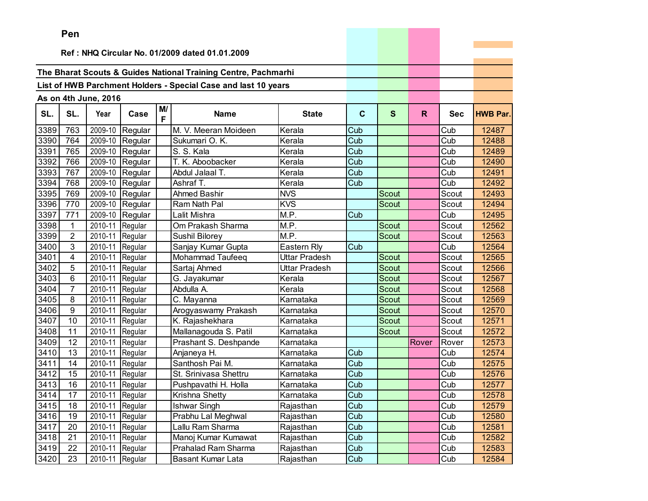|      | ren            |                      |                 |         |                                                                |                      |             |              |       |            |                 |
|------|----------------|----------------------|-----------------|---------|----------------------------------------------------------------|----------------------|-------------|--------------|-------|------------|-----------------|
|      |                |                      |                 |         | Ref: NHQ Circular No. 01/2009 dated 01.01.2009                 |                      |             |              |       |            |                 |
|      |                |                      |                 |         |                                                                |                      |             |              |       |            |                 |
|      |                |                      |                 |         | The Bharat Scouts & Guides National Training Centre, Pachmarhi |                      |             |              |       |            |                 |
|      |                |                      |                 |         |                                                                |                      |             |              |       |            |                 |
|      |                |                      |                 |         | List of HWB Parchment Holders - Special Case and last 10 years |                      |             |              |       |            |                 |
|      |                | As on 4th June, 2016 |                 |         |                                                                |                      |             |              |       |            |                 |
| SL.  | SL.            | Year                 | Case            | M/<br>F | <b>Name</b>                                                    | <b>State</b>         | $\mathbf c$ | $\mathbf{s}$ | R.    | <b>Sec</b> | <b>HWB Par.</b> |
| 3389 | 763            | 2009-10              | Regular         |         | M. V. Meeran Moideen                                           | Kerala               | Cub         |              |       | Cub        | 12487           |
| 3390 | 764            | 2009-10              | Regular         |         | Sukumari O. K.                                                 | Kerala               | Cub         |              |       | Cub        | 12488           |
| 3391 | 765            | 2009-10              | Regular         |         | S. S. Kala                                                     | Kerala               | Cub         |              |       | Cub        | 12489           |
| 3392 | 766            | 2009-10              | Regular         |         | T. K. Aboobacker                                               | Kerala               | Cub         |              |       | Cub        | 12490           |
| 3393 | 767            | 2009-10              | Regular         |         | Abdul Jalaal T.                                                | Kerala               | Cub         |              |       | Cub        | 12491           |
| 3394 | 768            | 2009-10              | Regular         |         | Ashraf T.                                                      | Kerala               | Cub         |              |       | Cub        | 12492           |
| 3395 | 769            | 2009-10              | Regular         |         | <b>Ahmed Bashir</b>                                            | <b>NVS</b>           |             | Scout        |       | Scout      | 12493           |
| 3396 | 770            | 2009-10              | Regular         |         | Ram Nath Pal                                                   | <b>KVS</b>           |             | <b>Scout</b> |       | Scout      | 12494           |
| 3397 | 771            |                      | 2009-10 Regular |         | Lalit Mishra                                                   | M.P.                 | Cub         |              |       | Cub        | 12495           |
| 3398 | 1              | 2010-11 Regular      |                 |         | Om Prakash Sharma                                              | M.P.                 |             | <b>Scout</b> |       | Scout      | 12562           |
| 3399 | $\overline{2}$ | 2010-11              | Regular         |         | Sushil Bilorey                                                 | M.P.                 |             | Scout        |       | Scout      | 12563           |
| 3400 | 3              | 2010-11              | Regular         |         | Sanjay Kumar Gupta                                             | Eastern Rly          | Cub         |              |       | Cub        | 12564           |
| 3401 | 4              | 2010-11              | Regular         |         | Mohammad Taufeeq                                               | <b>Uttar Pradesh</b> |             | Scout        |       | Scout      | 12565           |
| 3402 | 5              | 2010-11              | Regular         |         | Sartaj Ahmed                                                   | Uttar Pradesh        |             | <b>Scout</b> |       | Scout      | 12566           |
| 3403 | 6              | 2010-11              | Regular         |         | G. Jayakumar                                                   | Kerala               |             | Scout        |       | Scout      | 12567           |
| 3404 | $\overline{7}$ | 2010-11              | Regular         |         | Abdulla A.                                                     | Kerala               |             | Scout        |       | Scout      | 12568           |
| 3405 | 8              | 2010-11              | Regular         |         | C. Mayanna                                                     | Karnataka            |             | Scout        |       | Scout      | 12569           |
| 3406 | 9              | 2010-11              | Regular         |         | Arogyaswamy Prakash                                            | Karnataka            |             | Scout        |       | Scout      | 12570           |
| 3407 | 10             | 2010-11              | Regular         |         | K. Rajashekhara                                                | Karnataka            |             | Scout        |       | Scout      | 12571           |
| 3408 | 11             | 2010-11              | Regular         |         | Mallanagouda S. Patil                                          | Karnataka            |             | <b>Scout</b> |       | Scout      | 12572           |
| 3409 | 12             | 2010-11              | Regular         |         | Prashant S. Deshpande                                          | Karnataka            |             |              | Rover | Rover      | 12573           |
| 3410 | 13             | 2010-11              | Regular         |         | Anjaneya H.                                                    | Karnataka            | Cub         |              |       | Cub        | 12574           |
| 3411 | 14             | 2010-11              | Regular         |         | Santhosh Pai M.                                                | Karnataka            | Cub         |              |       | Cub        | 12575           |
| 3412 | 15             | 2010-11              | Regular         |         | St. Srinivasa Shettru                                          | Karnataka            | Cub         |              |       | Cub        | 12576           |
| 3413 | 16             | 2010-11              | Regular         |         | Pushpavathi H. Holla                                           | Karnataka            | Cub         |              |       | Cub        | 12577           |
| 3414 | 17             | 2010-11 Regular      |                 |         | Krishna Shetty                                                 | Karnataka            | Cub         |              |       | Cub        | 12578           |
| 3415 | 18             | 2010-11 Regular      |                 |         | <b>Ishwar Singh</b>                                            | Rajasthan            | Cub         |              |       | Cub        | 12579           |
| 3416 | 19             | 2010-11 Regular      |                 |         | Prabhu Lal Meghwal                                             | Rajasthan            | Cub         |              |       | Cub        | 12580           |
| 3417 | 20             | 2010-11 Regular      |                 |         | Lallu Ram Sharma                                               | Rajasthan            | Cub         |              |       | Cub        | 12581           |
| 3418 | 21             | 2010-11              | Regular         |         | Manoj Kumar Kumawat                                            | Rajasthan            | Cub         |              |       | Cub        | 12582           |
| 3419 | 22             | 2010-11              | Regular         |         | Prahalad Ram Sharma                                            | Rajasthan            | Cub         |              |       | Cub        | 12583           |
| 3420 | 23             | 2010-11 Regular      |                 |         | Basant Kumar Lata                                              | Rajasthan            | Cub         |              |       | Cub        | 12584           |

the property of the control of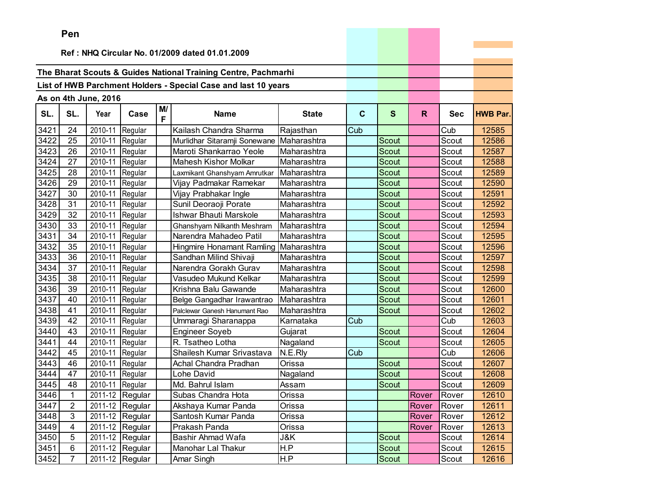|      | ren            |                      |                                 |         |                                                                |              |             |              |       |            |                 |
|------|----------------|----------------------|---------------------------------|---------|----------------------------------------------------------------|--------------|-------------|--------------|-------|------------|-----------------|
|      |                |                      |                                 |         |                                                                |              |             |              |       |            |                 |
|      |                |                      |                                 |         | Ref: NHQ Circular No. 01/2009 dated 01.01.2009                 |              |             |              |       |            |                 |
|      |                |                      |                                 |         | The Bharat Scouts & Guides National Training Centre, Pachmarhi |              |             |              |       |            |                 |
|      |                |                      |                                 |         |                                                                |              |             |              |       |            |                 |
|      |                |                      |                                 |         | List of HWB Parchment Holders - Special Case and last 10 years |              |             |              |       |            |                 |
|      |                | As on 4th June, 2016 |                                 |         |                                                                |              |             |              |       |            |                 |
| SL.  | SL.            | Year                 | Case                            | M/<br>F | <b>Name</b>                                                    | <b>State</b> | $\mathbf c$ | $\mathbf{s}$ | R.    | <b>Sec</b> | <b>HWB Par.</b> |
| 3421 | 24             | 2010-11              | Regular                         |         | Kailash Chandra Sharma                                         | Rajasthan    | Cub         |              |       | Cub        | 12585           |
| 3422 | 25             | 2010-11              | Regular                         |         | Murlidhar Sitaramji Sonewane                                   | Maharashtra  |             | Scout        |       | Scout      | 12586           |
| 3423 | 26             | 2010-11              | Regular                         |         | Maroti Shankarrao Yeole                                        | Maharashtra  |             | Scout        |       | Scout      | 12587           |
| 3424 | 27             | 2010-11              | Regular                         |         | <b>Mahesh Kishor Molkar</b>                                    | Maharashtra  |             | Scout        |       | Scout      | 12588           |
| 3425 | 28             | 2010-11              | Regular                         |         | Laxmikant Ghanshyam Amrutkar                                   | Maharashtra  |             | <b>Scout</b> |       | Scout      | 12589           |
| 3426 | 29             | 2010-11              | Regular                         |         | Vijay Padmakar Ramekar                                         | Maharashtra  |             | Scout        |       | Scout      | 12590           |
| 3427 | 30             | 2010-11              | Regular                         |         | Vijay Prabhakar Ingle                                          | Maharashtra  |             | Scout        |       | Scout      | 12591           |
| 3428 | 31             | 2010-11              | Regular                         |         | Sunil Deoraoji Porate                                          | Maharashtra  |             | Scout        |       | Scout      | 12592           |
| 3429 | 32             | 2010-11              | Regular                         |         | Ishwar Bhauti Marskole                                         | Maharashtra  |             | Scout        |       | Scout      | 12593           |
| 3430 | 33             | 2010-11              | Regular                         |         | Ghanshyam Nilkanth Meshram                                     | Maharashtra  |             | Scout        |       | Scout      | 12594           |
| 3431 | 34             | 2010-11              | Regular                         |         | Narendra Mahadeo Patil                                         | Maharashtra  |             | Scout        |       | Scout      | 12595           |
| 3432 | 35             | 2010-11              | Regular                         |         | Hingmire Honamant Ramling                                      | Maharashtra  |             | Scout        |       | Scout      | 12596           |
| 3433 | 36             | 2010-11              | Regular                         |         | Sandhan Milind Shivaji                                         | Maharashtra  |             | Scout        |       | Scout      | 12597           |
| 3434 | 37             | 2010-11              | Regular                         |         | Narendra Gorakh Gurav                                          | Maharashtra  |             | Scout        |       | Scout      | 12598           |
| 3435 | 38             | 2010-11              | Regular                         |         | Vasudeo Mukund Kelkar                                          | Maharashtra  |             | Scout        |       | Scout      | 12599           |
| 3436 | 39             | 2010-11              | Regular                         |         | Krishna Balu Gawande                                           | Maharashtra  |             | Scout        |       | Scout      | 12600           |
| 3437 | 40             | 2010-11              | Regular                         |         | Belge Gangadhar Irawantrao                                     | Maharashtra  |             | <b>Scout</b> |       | Scout      | 12601           |
| 3438 | 41             | 2010-11              | Regular                         |         | Palclewar Ganesh Hanumant Rao                                  | Maharashtra  |             | Scout        |       | Scout      | 12602           |
| 3439 | 42             | 2010-11              | Regular                         |         | Ummaragi Sharanappa                                            | Karnataka    | Cub         |              |       | Cub        | 12603           |
| 3440 | 43             | 2010-11              | Regular                         |         | <b>Engineer Soyeb</b>                                          | Gujarat      |             | <b>Scout</b> |       | Scout      | 12604           |
| 3441 | 44             | 2010-11              | Regular                         |         | R. Tsatheo Lotha                                               | Nagaland     |             | <b>Scout</b> |       | Scout      | 12605           |
| 3442 | 45             | 2010-11              | Regular                         |         | Shailesh Kumar Srivastava                                      | N.E.Rly      | Cub         |              |       | Cub        | 12606           |
| 3443 | 46             | 2010-11              | Regular                         |         | Achal Chandra Pradhan                                          | Orissa       |             | Scout        |       | Scout      | 12607           |
| 3444 | 47             | 2010-11              | Regular                         |         | Lohe David                                                     | Nagaland     |             | Scout        |       | Scout      | 12608           |
| 3445 | 48             | 2010-11              | Regular                         |         | Md. Bahrul Islam                                               | Assam        |             | Scout        |       | Scout      | 12609           |
| 3446 | $\mathbf{1}$   |                      | $\overline{2011}$ -12 Regular   |         | Subas Chandra Hota                                             | Orissa       |             |              | Rover | Rover      | 12610           |
| 3447 | 2              |                      | 2011-12 Regular                 |         | Akshaya Kumar Panda                                            | Orissa       |             |              | Rover | Rover      | 12611           |
| 3448 | 3              |                      | 2011-12 Regular                 |         | Santosh Kumar Panda                                            | Orissa       |             |              | Rover | Rover      | 12612           |
| 3449 | 4              |                      | 2011-12 Regular                 |         | Prakash Panda                                                  | Orissa       |             |              | Rover | Rover      | 12613           |
| 3450 | 5              |                      | 2011-12 Regular                 |         | Bashir Ahmad Wafa                                              | J&K          |             | Scout        |       | Scout      | 12614           |
| 3451 | 6              |                      | 2011-12 Regular                 |         | Manohar Lal Thakur                                             | H.P          |             | Scout        |       | Scout      | 12615           |
| 3452 | $\overline{7}$ |                      | $\overline{2011}$ -12   Regular |         | Amar Singh                                                     | H.P          |             | Scout        |       | Scout      | 12616           |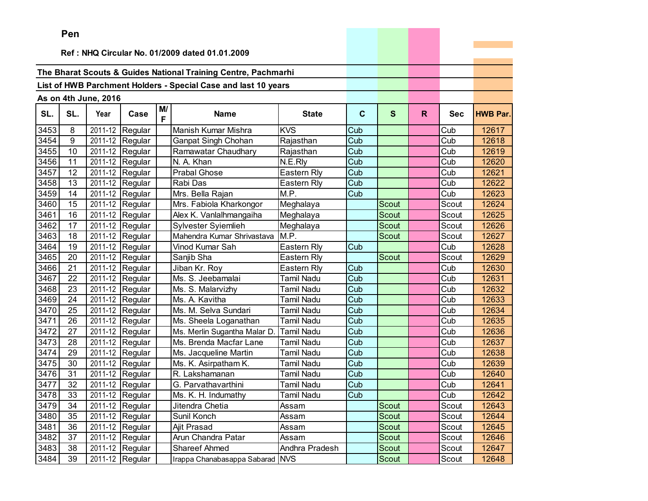|      | ren |                      |                               |         |                                                                |                   |             |              |    |            |                 |
|------|-----|----------------------|-------------------------------|---------|----------------------------------------------------------------|-------------------|-------------|--------------|----|------------|-----------------|
|      |     |                      |                               |         | Ref: NHQ Circular No. 01/2009 dated 01.01.2009                 |                   |             |              |    |            |                 |
|      |     |                      |                               |         |                                                                |                   |             |              |    |            |                 |
|      |     |                      |                               |         | The Bharat Scouts & Guides National Training Centre, Pachmarhi |                   |             |              |    |            |                 |
|      |     |                      |                               |         | List of HWB Parchment Holders - Special Case and last 10 years |                   |             |              |    |            |                 |
|      |     |                      |                               |         |                                                                |                   |             |              |    |            |                 |
|      |     | As on 4th June, 2016 |                               |         |                                                                |                   |             |              |    |            |                 |
| SL.  | SL. | Year                 | Case                          | M/<br>F | <b>Name</b>                                                    | <b>State</b>      | $\mathbf c$ | S            | R. | <b>Sec</b> | <b>HWB Par.</b> |
| 3453 | 8   | 2011-12              | Regular                       |         | Manish Kumar Mishra                                            | <b>KVS</b>        | Cub         |              |    | Cub        | 12617           |
| 3454 | 9   |                      | 2011-12 Regular               |         | Ganpat Singh Chohan                                            | Rajasthan         | Cub         |              |    | Cub        | 12618           |
| 3455 | 10  |                      | 2011-12 Regular               |         | Ramawatar Chaudhary                                            | Rajasthan         | Cub         |              |    | Cub        | 12619           |
| 3456 | 11  |                      | 2011-12 Regular               |         | N. A. Khan                                                     | N.E.Rly           | Cub         |              |    | Cub        | 12620           |
| 3457 | 12  |                      | 2011-12 Regular               |         | <b>Prabal Ghose</b>                                            | Eastern Rly       | Cub         |              |    | Cub        | 12621           |
| 3458 | 13  | 2011-12              | Regular                       |         | Rabi Das                                                       | Eastern Rly       | Cub         |              |    | Cub        | 12622           |
| 3459 | 14  | 2011-12              | Regular                       |         | Mrs. Bella Rajan                                               | M.P.              | Cub         |              |    | Cub        | 12623           |
| 3460 | 15  |                      | 2011-12 Regular               |         | Mrs. Fabiola Kharkongor                                        | Meghalaya         |             | Scout        |    | Scout      | 12624           |
| 3461 | 16  |                      | 2011-12 Regular               |         | Alex K. Vanlalhmangaiha                                        | Meghalaya         |             | Scout        |    | Scout      | 12625           |
| 3462 | 17  |                      | 2011-12 Regular               |         | Sylvester Syiemlieh                                            | Meghalaya         |             | <b>Scout</b> |    | Scout      | 12626           |
| 3463 | 18  |                      | 2011-12 Regular               |         | Mahendra Kumar Shrivastava                                     | M.P.              |             | Scout        |    | Scout      | 12627           |
| 3464 | 19  |                      | $\overline{2011}$ -12 Regular |         | Vinod Kumar Sah                                                | Eastern Rly       | Cub         |              |    | Cub        | 12628           |
| 3465 | 20  |                      | 2011-12 Regular               |         | Sanjib Sha                                                     | Eastern Rly       |             | <b>Scout</b> |    | Scout      | 12629           |
| 3466 | 21  |                      | 2011-12 Regular               |         | Jiban Kr. Roy                                                  | Eastern Rly       | Cub         |              |    | Cub        | 12630           |
| 3467 | 22  |                      | 2011-12 Regular               |         | Ms. S. Jeebamalai                                              | <b>Tamil Nadu</b> | Cub         |              |    | Cub        | 12631           |
| 3468 | 23  |                      | 2011-12 Regular               |         | Ms. S. Malarvizhy                                              | <b>Tamil Nadu</b> | Cub         |              |    | Cub        | 12632           |
| 3469 | 24  |                      | 2011-12 Regular               |         | Ms. A. Kavitha                                                 | Tamil Nadu        | Cub         |              |    | Cub        | 12633           |
| 3470 | 25  | 2011-12              | Regular                       |         | Ms. M. Selva Sundari                                           | <b>Tamil Nadu</b> | Cub         |              |    | Cub        | 12634           |
| 3471 | 26  | 2011-12              | Regular                       |         | Ms. Sheela Loganathan                                          | <b>Tamil Nadu</b> | Cub         |              |    | Cub        | 12635           |
| 3472 | 27  | 2011-12              | Regular                       |         | Ms. Merlin Sugantha Malar D.                                   | <b>Tamil Nadu</b> | Cub         |              |    | Cub        | 12636           |
| 3473 | 28  |                      | 2011-12 Regular               |         | Ms. Brenda Macfar Lane                                         | <b>Tamil Nadu</b> | Cub         |              |    | Cub        | 12637           |
| 3474 | 29  |                      | 2011-12 Regular               |         | Ms. Jacqueline Martin                                          | <b>Tamil Nadu</b> | Cub         |              |    | Cub        | 12638           |
| 3475 | 30  |                      | 2011-12 Regular               |         | Ms. K. Asirpatham K.                                           | <b>Tamil Nadu</b> | Cub         |              |    | Cub        | 12639           |
| 3476 | 31  |                      | 2011-12 Regular               |         | R. Lakshamanan                                                 | <b>Tamil Nadu</b> | Cub         |              |    | Cub        | 12640           |
| 3477 | 32  |                      | $\overline{2011}$ -12 Regular |         | G. Parvathavarthini                                            | <b>Tamil Nadu</b> | Cub         |              |    | Cub        | 12641           |
| 3478 | 33  |                      | 2011-12 Regular               |         | Ms. K. H. Indumathy                                            | <b>Tamil Nadu</b> | Cub         |              |    | Cub        | 12642           |
| 3479 | 34  |                      | 2011-12 Regular               |         | Jitendra Chetia                                                | Assam             |             | Scout        |    | Scout      | 12643           |
| 3480 | 35  |                      | 2011-12 Regular               |         | Sunil Konch                                                    | Assam             |             | Scout        |    | Scout      | 12644           |
| 3481 | 36  |                      | 2011-12 Regular               |         | Ajit Prasad                                                    | Assam             |             | Scout        |    | Scout      | 12645           |
| 3482 | 37  |                      | 2011-12 Regular               |         | Arun Chandra Patar                                             | Assam             |             | Scout        |    | Scout      | 12646           |
| 3483 | 38  |                      | 2011-12 Regular               |         | <b>Shareef Ahmed</b>                                           | Andhra Pradesh    |             | Scout        |    | Scout      | 12647           |
| 3484 | 39  |                      | 2011-12 Regular               |         | Irappa Chanabasappa Sabarad NVS                                |                   |             | Scout        |    | Scout      | 12648           |

the control of the control of the con-

m.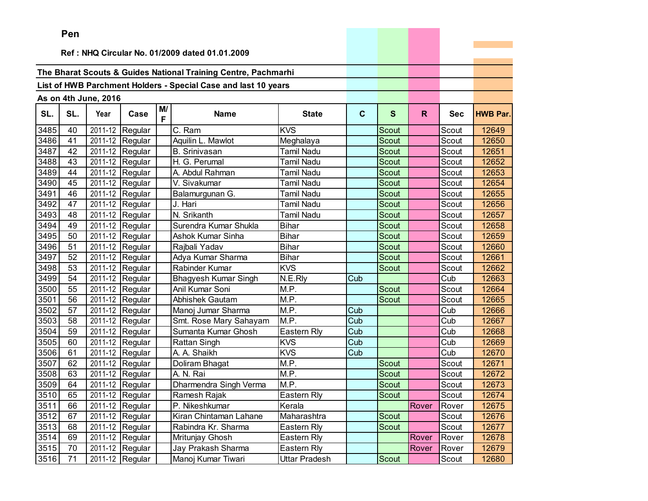|      | Pen                                            |                       |                               |         |                                                                |                   |             |              |       |            |                 |
|------|------------------------------------------------|-----------------------|-------------------------------|---------|----------------------------------------------------------------|-------------------|-------------|--------------|-------|------------|-----------------|
|      | Ref: NHQ Circular No. 01/2009 dated 01.01.2009 |                       |                               |         |                                                                |                   |             |              |       |            |                 |
|      |                                                |                       |                               |         |                                                                |                   |             |              |       |            |                 |
|      |                                                |                       |                               |         | The Bharat Scouts & Guides National Training Centre, Pachmarhi |                   |             |              |       |            |                 |
|      |                                                |                       |                               |         |                                                                |                   |             |              |       |            |                 |
|      |                                                |                       |                               |         | List of HWB Parchment Holders - Special Case and last 10 years |                   |             |              |       |            |                 |
|      |                                                | As on 4th June, 2016  |                               |         |                                                                |                   |             |              |       |            |                 |
| SL.  | SL.                                            | Year                  | Case                          | M/<br>F | <b>Name</b>                                                    | <b>State</b>      | $\mathbf C$ | $\mathbf{s}$ | R.    | <b>Sec</b> | <b>HWB Par.</b> |
| 3485 | 40                                             | $\overline{2011}$ -12 | Regular                       |         | C. Ram                                                         | <b>KVS</b>        |             | Scout        |       | Scout      | 12649           |
| 3486 | 41                                             |                       | 2011-12 Regular               |         | Aquilin L. Mawlot                                              | Meghalaya         |             | Scout        |       | Scout      | 12650           |
| 3487 | 42                                             |                       | 2011-12 Regular               |         | <b>B.</b> Srinivasan                                           | Tamil Nadu        |             | Scout        |       | Scout      | 12651           |
| 3488 | 43                                             |                       | 2011-12 Regular               |         | H. G. Perumal                                                  | Tamil Nadu        |             | Scout        |       | Scout      | 12652           |
| 3489 | 44                                             |                       | 2011-12 Regular               |         | A. Abdul Rahman                                                | <b>Tamil Nadu</b> |             | Scout        |       | Scout      | 12653           |
| 3490 | 45                                             | 2011-12               | Regular                       |         | V. Sivakumar                                                   | <b>Tamil Nadu</b> |             | <b>Scout</b> |       | Scout      | 12654           |
| 3491 | 46                                             |                       | 2011-12 Regular               |         | Balamurgunan G.                                                | <b>Tamil Nadu</b> |             | <b>Scout</b> |       | Scout      | 12655           |
| 3492 | 47                                             |                       | 2011-12 Regular               |         | J. Hari                                                        | <b>Tamil Nadu</b> |             | Scout        |       | Scout      | 12656           |
| 3493 | 48                                             |                       | 2011-12 Regular               |         | N. Srikanth                                                    | <b>Tamil Nadu</b> |             | Scout        |       | Scout      | 12657           |
| 3494 | 49                                             |                       | 2011-12 Regular               |         | Surendra Kumar Shukla                                          | <b>Bihar</b>      |             | Scout        |       | Scout      | 12658           |
| 3495 | 50                                             |                       | 2011-12 Regular               |         | Ashok Kumar Sinha                                              | <b>Bihar</b>      |             | Scout        |       | Scout      | 12659           |
| 3496 | 51                                             |                       | $\overline{2011}$ -12 Regular |         | Rajbali Yadav                                                  | <b>Bihar</b>      |             | Scout        |       | Scout      | 12660           |
| 3497 | 52                                             |                       | 2011-12 Regular               |         | Adya Kumar Sharma                                              | <b>Bihar</b>      |             | <b>Scout</b> |       | Scout      | 12661           |
| 3498 | 53                                             |                       | 2011-12 Regular               |         | Rabinder Kumar                                                 | <b>KVS</b>        |             | Scout        |       | Scout      | 12662           |
| 3499 | 54                                             |                       | 2011-12 Regular               |         | Bhagyesh Kumar Singh                                           | N.E.Rly           | Cub         |              |       | Cub        | 12663           |
| 3500 | 55                                             |                       | 2011-12 Regular               |         | Anil Kumar Soni                                                | M.P.              |             | Scout        |       | Scout      | 12664           |
| 3501 | 56                                             |                       | 2011-12 Regular               |         | Abhishek Gautam                                                | M.P.              |             | <b>Scout</b> |       | Scout      | 12665           |
| 3502 | 57                                             | 2011-12               | Regular                       |         | Manoj Jumar Sharma                                             | M.P.              | Cub         |              |       | Cub        | 12666           |
| 3503 | 58                                             | 2011-12               | Regular                       |         | Smt. Rose Mary Sahayam                                         | M.P.              | Cub         |              |       | Cub        | 12667           |
| 3504 | 59                                             |                       | 2011-12 Regular               |         | Sumanta Kumar Ghosh                                            | Eastern Rly       | Cub         |              |       | Cub        | 12668           |
| 3505 | 60                                             |                       | 2011-12 Regular               |         | <b>Rattan Singh</b>                                            | <b>KVS</b>        | Cub         |              |       | Cub        | 12669           |
| 3506 | 61                                             |                       | 2011-12 Regular               |         | A. A. Shaikh                                                   | <b>KVS</b>        | Cub         |              |       | Cub        | 12670           |
| 3507 | 62                                             |                       | 2011-12 Regular               |         | Doliram Bhagat                                                 | M.P.              |             | Scout        |       | Scout      | 12671           |
| 3508 | 63                                             | 2011-12               | Regular                       |         | A. N. Rai                                                      | M.P.              |             | <b>Scout</b> |       | Scout      | 12672           |
| 3509 | 64                                             |                       | 2011-12 Regular               |         | Dharmendra Singh Verma                                         | M.P.              |             | Scout        |       | Scout      | 12673           |
| 3510 | 65                                             |                       | 2011-12 Regular               |         | Ramesh Rajak                                                   | Eastern Rly       |             | Scout        |       | Scout      | 12674           |
| 3511 | 66                                             |                       | 2011-12 Regular               |         | P. Nikeshkumar                                                 | Kerala            |             |              | Rover | Rover      | 12675           |
| 3512 | 67                                             |                       | 2011-12 Regular               |         | Kiran Chintaman Lahane                                         | Maharashtra       |             | Scout        |       | Scout      | 12676           |
| 3513 | 68                                             |                       | 2011-12 Regular               |         | Rabindra Kr. Sharma                                            | Eastern Rly       |             | Scout        |       | Scout      | 12677           |
| 3514 | 69                                             |                       | 2011-12 Regular               |         | Mritunjay Ghosh                                                | Eastern Rly       |             |              | Rover | Rover      | 12678           |
| 3515 | 70                                             |                       | 2011-12 Regular               |         | Jay Prakash Sharma                                             | Eastern Rly       |             |              | Rover | Rover      | 12679           |
| 3516 | 71                                             |                       | 2011-12 Regular               |         | Manoj Kumar Tiwari                                             | Uttar Pradesh     |             | Scout        |       | Scout      | 12680           |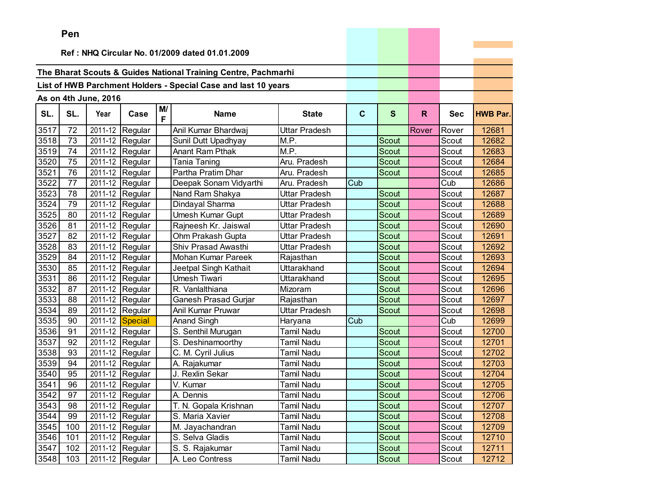|      | ren |                      |                               |         |                                                                |                   |     |              |       |            |                 |
|------|-----|----------------------|-------------------------------|---------|----------------------------------------------------------------|-------------------|-----|--------------|-------|------------|-----------------|
|      |     |                      |                               |         | Ref: NHQ Circular No. 01/2009 dated 01.01.2009                 |                   |     |              |       |            |                 |
|      |     |                      |                               |         |                                                                |                   |     |              |       |            |                 |
|      |     |                      |                               |         | The Bharat Scouts & Guides National Training Centre, Pachmarhi |                   |     |              |       |            |                 |
|      |     |                      |                               |         | List of HWB Parchment Holders - Special Case and last 10 years |                   |     |              |       |            |                 |
|      |     |                      |                               |         |                                                                |                   |     |              |       |            |                 |
|      |     | As on 4th June, 2016 |                               |         |                                                                |                   |     |              |       |            |                 |
| SL.  | SL. | Year                 | Case                          | M/<br>F | <b>Name</b>                                                    | <b>State</b>      | C   | $\mathbf{s}$ | R.    | <b>Sec</b> | <b>HWB Par.</b> |
| 3517 | 72  | 2011-12              | Regular                       |         | Anil Kumar Bhardwaj                                            | Uttar Pradesh     |     |              | Rover | Rover      | 12681           |
| 3518 | 73  | 2011-12              | Regular                       |         | Sunil Dutt Upadhyay                                            | M.P.              |     | <b>Scout</b> |       | Scout      | 12682           |
| 3519 | 74  | 2011-12              | Regular                       |         | <b>Anant Ram Pthak</b>                                         | M.P.              |     | Scout        |       | Scout      | 12683           |
| 3520 | 75  | 2011-12              | Regular                       |         | <b>Tania Taning</b>                                            | Aru. Pradesh      |     | Scout        |       | Scout      | 12684           |
| 3521 | 76  | 2011-12              | Regular                       |         | Partha Pratim Dhar                                             | Aru. Pradesh      |     | Scout        |       | Scout      | 12685           |
| 3522 | 77  | 2011-12              | Regular                       |         | Deepak Sonam Vidyarthi                                         | Aru. Pradesh      | Cub |              |       | Cub        | 12686           |
| 3523 | 78  | 2011-12              | Regular                       |         | Nand Ram Shakya                                                | Uttar Pradesh     |     | Scout        |       | Scout      | 12687           |
| 3524 | 79  | 2011-12              | Regular                       |         | Dindayal Sharma                                                | Uttar Pradesh     |     | <b>Scout</b> |       | Scout      | 12688           |
| 3525 | 80  | 2011-12              | Regular                       |         | Umesh Kumar Gupt                                               | Uttar Pradesh     |     | Scout        |       | Scout      | 12689           |
| 3526 | 81  |                      | 2011-12 Regular               |         | Rajneesh Kr. Jaiswal                                           | Uttar Pradesh     |     | Scout        |       | Scout      | 12690           |
| 3527 | 82  | 2011-12              | Regular                       |         | Ohm Prakash Gupta                                              | Uttar Pradesh     |     | <b>Scout</b> |       | Scout      | 12691           |
| 3528 | 83  | 2011-12              | Regular                       |         | Shiv Prasad Awasthi                                            | Uttar Pradesh     |     | Scout        |       | Scout      | 12692           |
| 3529 | 84  | 2011-12              | Regular                       |         | Mohan Kumar Pareek                                             | Rajasthan         |     | Scout        |       | Scout      | 12693           |
| 3530 | 85  | 2011-12              | Regular                       |         | Jeetpal Singh Kathait                                          | Uttarakhand       |     | Scout        |       | Scout      | 12694           |
| 3531 | 86  | 2011-12              | Regular                       |         | Umesh Tiwari                                                   | Uttarakhand       |     | Scout        |       | Scout      | 12695           |
| 3532 | 87  | 2011-12              | Regular                       |         | R. Vanlalthiana                                                | Mizoram           |     | Scout        |       | Scout      | 12696           |
| 3533 | 88  | 2011-12              | Regular                       |         | Ganesh Prasad Gurjar                                           | Rajasthan         |     | Scout        |       | Scout      | 12697           |
| 3534 | 89  | 2011-12              | Regular                       |         | Anil Kumar Pruwar                                              | Uttar Pradesh     |     | Scout        |       | Scout      | 12698           |
| 3535 | 90  | 2011-12              | Special                       |         | <b>Anand Singh</b>                                             | Haryana           | Cub |              |       | Cub        | 12699           |
| 3536 | 91  | 2011-12              | Regular                       |         | S. Senthil Murugan                                             | Tamil Nadu        |     | <b>Scout</b> |       | Scout      | 12700           |
| 3537 | 92  | 2011-12              | Regular                       |         | S. Deshinamoorthy                                              | Tamil Nadu        |     | Scout        |       | Scout      | 12701           |
| 3538 | 93  | 2011-12              | Regular                       |         | C. M. Cyril Julius                                             | Tamil Nadu        |     | Scout        |       | Scout      | 12702           |
| 3539 | 94  | 2011-12              | Regular                       |         | A. Rajakumar                                                   | Tamil Nadu        |     | Scout        |       | Scout      | 12703           |
| 3540 | 95  | 2011-12              | Regular                       |         | J. Rexlin Sekar                                                | Tamil Nadu        |     | Scout        |       | Scout      | 12704           |
| 3541 | 96  | 2011-12              | Regular                       |         | V. Kumar                                                       | Tamil Nadu        |     | Scout        |       | Scout      | 12705           |
| 3542 | 97  |                      | $\overline{2011}$ -12 Regular |         | A. Dennis                                                      | <b>Tamil Nadu</b> |     | Scout        |       | Scout      | 12706           |
| 3543 | 98  |                      | 2011-12 Regular               |         | T. N. Gopala Krishnan                                          | Tamil Nadu        |     | Scout        |       | Scout      | 12707           |
| 3544 | 99  |                      | 2011-12 Regular               |         | S. Maria Xavier                                                | Tamil Nadu        |     | Scout        |       | Scout      | 12708           |
| 3545 | 100 |                      | 2011-12 Regular               |         | M. Jayachandran                                                | <b>Tamil Nadu</b> |     | Scout        |       | Scout      | 12709           |
| 3546 | 101 |                      | 2011-12 Regular               |         | S. Selva Gladis                                                | Tamil Nadu        |     | Scout        |       | Scout      | 12710           |
| 3547 | 102 |                      | 2011-12 Regular               |         | S. S. Rajakumar                                                | Tamil Nadu        |     | Scout        |       | Scout      | 12711           |
| 3548 | 103 |                      | 2011-12 Regular               |         | A. Leo Contress                                                | Tamil Nadu        |     | Scout        |       | Scout      | 12712           |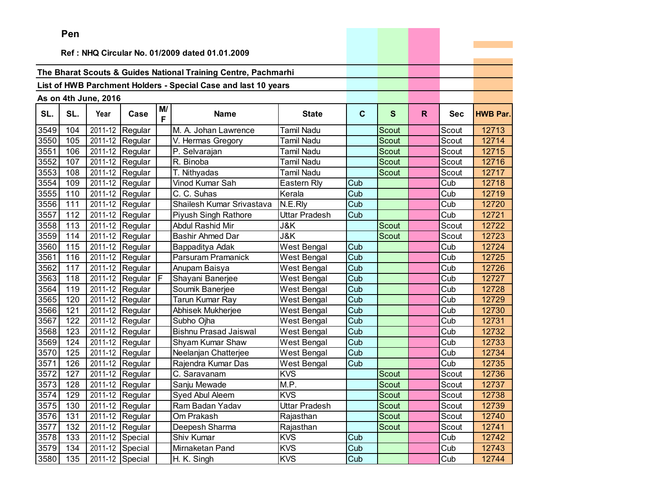|      | Pen      |                       |                               |         |                                                                |                    |             |              |              |            |                 |
|------|----------|-----------------------|-------------------------------|---------|----------------------------------------------------------------|--------------------|-------------|--------------|--------------|------------|-----------------|
|      |          |                       |                               |         |                                                                |                    |             |              |              |            |                 |
|      |          |                       |                               |         | Ref: NHQ Circular No. 01/2009 dated 01.01.2009                 |                    |             |              |              |            |                 |
|      |          |                       |                               |         | The Bharat Scouts & Guides National Training Centre, Pachmarhi |                    |             |              |              |            |                 |
|      |          |                       |                               |         |                                                                |                    |             |              |              |            |                 |
|      |          |                       |                               |         | List of HWB Parchment Holders - Special Case and last 10 years |                    |             |              |              |            |                 |
|      |          | As on 4th June, 2016  |                               |         |                                                                |                    |             |              |              |            |                 |
| SL.  | SL.      | Year                  | Case                          | M/<br>F | <b>Name</b>                                                    | <b>State</b>       | $\mathbf c$ | $\mathbf{s}$ | $\mathsf{R}$ | <b>Sec</b> | <b>HWB Par.</b> |
| 3549 | 104      | $\overline{2011}$ -12 | Regular                       |         | M. A. Johan Lawrence                                           | Tamil Nadu         |             | Scout        |              | Scout      | 12713           |
| 3550 | 105      |                       | 2011-12 Regular               |         | V. Hermas Gregory                                              | Tamil Nadu         |             | Scout        |              | Scout      | 12714           |
| 3551 | 106      |                       | 2011-12 Regular               |         | P. Selvarajan                                                  | Tamil Nadu         |             | Scout        |              | Scout      | 12715           |
| 3552 | 107      | 2011-12               | Regular                       |         | R. Binoba                                                      | Tamil Nadu         |             | <b>Scout</b> |              | Scout      | 12716           |
| 3553 | 108      | 2011-12               | Regular                       |         | T. Nithyadas                                                   | Tamil Nadu         |             | Scout        |              | Scout      | 12717           |
| 3554 | 109      | 2011-12               | Regular                       |         | Vinod Kumar Sah                                                | Eastern Rly        | Cub         |              |              | Cub        | 12718           |
| 3555 | 110      | 2011-12               | Regular                       |         | C. C. Suhas                                                    | Kerala             | Cub         |              |              | Cub        | 12719           |
| 3556 | 111      | 2011-12               | Regular                       |         | Shailesh Kumar Srivastava                                      | N.E.Rly            | Cub         |              |              | Cub        | 12720           |
| 3557 | 112      |                       | 2011-12 Regular               |         | Piyush Singh Rathore                                           | Uttar Pradesh      | Cub         |              |              | Cub        | 12721           |
| 3558 | 113      |                       | 2011-12 Regular               |         | Abdul Rashid Mir                                               | J&K                |             | <b>Scout</b> |              | Scout      | 12722           |
| 3559 | 114      | 2011-12               | Regular                       |         | <b>Bashir Ahmed Dar</b>                                        | J&K                |             | <b>Scout</b> |              | Scout      | 12723           |
| 3560 | 115      | 2011-12               | Regular                       |         | Bappaditya Adak                                                | West Bengal        | Cub         |              |              | Cub        | 12724           |
| 3561 | 116      | 2011-12               | Regular                       |         | Parsuram Pramanick                                             | West Bengal        | Cub         |              |              | Cub        | 12725           |
| 3562 | 117      |                       | 2011-12 Regular               |         | Anupam Baisya                                                  | <b>West Bengal</b> | Cub         |              |              | Cub        | 12726           |
| 3563 | 118      |                       | 2011-12 Regular               | F.      | Shayani Banerjee                                               | <b>West Bengal</b> | Cub         |              |              | Cub        | 12727           |
| 3564 | 119      |                       | 2011-12 Regular               |         | Soumik Banerjee                                                | West Bengal        | Cub         |              |              | Cub        | 12728           |
| 3565 | 120      | 2011-12               | Regular                       |         | Tarun Kumar Ray                                                | West Bengal        | Cub         |              |              | Cub        | 12729           |
| 3566 | 121      | 2011-12               | Regular                       |         | Abhisek Mukherjee                                              | West Bengal        | Cub         |              |              | Cub        | 12730           |
| 3567 | 122      | 2011-12               | Regular                       |         | Subho Ojha                                                     | West Bengal        | Cub         |              |              | Cub        | 12731           |
| 3568 | 123      |                       | 2011-12 Regular               |         | <b>Bishnu Prasad Jaiswal</b>                                   | <b>West Bengal</b> | Cub         |              |              | Cub        | 12732           |
| 3569 | 124      |                       | 2011-12 Regular               |         | Shyam Kumar Shaw                                               | <b>West Bengal</b> | Cub         |              |              | Cub        | 12733           |
| 3570 | 125      | 2011-12               | Regular                       |         | Neelanjan Chatterjee                                           | West Bengal        | Cub         |              |              | Cub        | 12734           |
| 3571 | 126      | 2011-12               | Regular                       |         | Rajendra Kumar Das                                             | West Bengal        | Cub         |              |              | Cub        | 12735           |
| 3572 | 127      | 2011-12               | Regular                       |         | C. Saravanam                                                   | <b>KVS</b>         |             | Scout        |              | Scout      | 12736           |
| 3573 | 128      |                       | $\overline{2011}$ -12 Regular |         | Sanju Mewade                                                   | M.P.               |             | Scout        |              | Scout      | 12737           |
|      | 3574 129 |                       | 2011-12 Regular               |         | Syed Abul Aleem                                                | <b>KVS</b>         |             | Scout        |              | Scout      | 12738           |
| 3575 | 130      |                       | 2011-12 Regular               |         | Ram Badan Yadav                                                | Uttar Pradesh      |             | Scout        |              | Scout      | 12739           |
| 3576 | 131      |                       | 2011-12 Regular               |         | Om Prakash                                                     | Rajasthan          |             | Scout        |              | Scout      | 12740           |
| 3577 | 132      |                       | 2011-12 Regular               |         | Deepesh Sharma                                                 | Rajasthan          |             | Scout        |              | Scout      | 12741           |
| 3578 | 133      |                       | 2011-12 Special               |         | Shiv Kumar                                                     | <b>KVS</b>         | Cub         |              |              | Cub        | 12742           |
| 3579 | 134      |                       | 2011-12 Special               |         | Mirnaketan Pand                                                | <b>KVS</b>         | Cub         |              |              | Cub        | 12743           |
| 3580 | 135      |                       | 2011-12 Special               |         | H. K. Singh                                                    | <b>KVS</b>         | Cub         |              |              | Cub        | 12744           |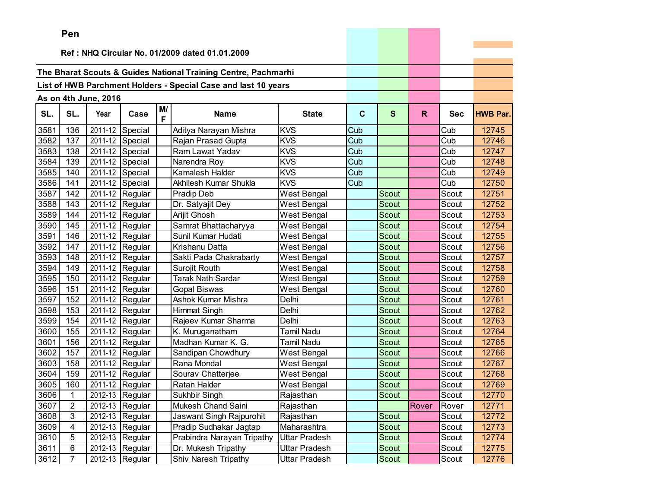|      | Pen            |                      |                              |         |                                                                |                    |             |              |       |            |                 |
|------|----------------|----------------------|------------------------------|---------|----------------------------------------------------------------|--------------------|-------------|--------------|-------|------------|-----------------|
|      |                |                      |                              |         |                                                                |                    |             |              |       |            |                 |
|      |                |                      |                              |         | Ref: NHQ Circular No. 01/2009 dated 01.01.2009                 |                    |             |              |       |            |                 |
|      |                |                      |                              |         | The Bharat Scouts & Guides National Training Centre, Pachmarhi |                    |             |              |       |            |                 |
|      |                |                      |                              |         | List of HWB Parchment Holders - Special Case and last 10 years |                    |             |              |       |            |                 |
|      |                |                      |                              |         |                                                                |                    |             |              |       |            |                 |
|      |                | As on 4th June, 2016 |                              |         |                                                                |                    |             |              |       |            |                 |
| SL.  | SL.            | Year                 | Case                         | M/<br>F | <b>Name</b>                                                    | <b>State</b>       | $\mathbf c$ | $\mathbf{s}$ | R.    | <b>Sec</b> | <b>HWB Par.</b> |
| 3581 | 136            |                      | 2011-12 Special              |         | Aditya Narayan Mishra                                          | <b>KVS</b>         | Cub         |              |       | Cub        | 12745           |
| 3582 | 137            |                      | 2011-12 Special              |         | Rajan Prasad Gupta                                             | <b>KVS</b>         | Cub         |              |       | Cub        | 12746           |
| 3583 | 138            |                      | 2011-12 Special              |         | Ram Lawat Yadav                                                | <b>KVS</b>         | Cub         |              |       | Cub        | 12747           |
| 3584 | 139            |                      | 2011-12 Special              |         | Narendra Roy                                                   | <b>KVS</b>         | Cub         |              |       | Cub        | 12748           |
| 3585 | 140            |                      | 2011-12 Special              |         | Kamalesh Halder                                                | <b>KVS</b>         | Cub         |              |       | Cub        | 12749           |
| 3586 | 141            |                      | 2011-12 Special              |         | Akhilesh Kumar Shukla                                          | <b>KVS</b>         | Cub         |              |       | Cub        | 12750           |
| 3587 | 142            |                      | 2011-12 Regular              |         | Pradip Deb                                                     | <b>West Bengal</b> |             | Scout        |       | Scout      | 12751           |
| 3588 | 143            |                      | 2011-12 Regular              |         | Dr. Satyajit Dey                                               | West Bengal        |             | Scout        |       | Scout      | 12752           |
| 3589 | 144            |                      | 2011-12 Regular              |         | Arijit Ghosh                                                   | West Bengal        |             | Scout        |       | Scout      | 12753           |
| 3590 | 145            |                      | 2011-12 Regular              |         | Samrat Bhattacharyya                                           | West Bengal        |             | Scout        |       | Scout      | 12754           |
| 3591 | 146            |                      | 2011-12 Regular              |         | Sunil Kumar Hudati                                             | West Bengal        |             | Scout        |       | Scout      | 12755           |
| 3592 | 147            |                      | 2011-12 Regular              |         | Krishanu Datta                                                 | West Bengal        |             | Scout        |       | Scout      | 12756           |
| 3593 | 148            |                      | 2011-12 Regular              |         | Sakti Pada Chakrabarty                                         | West Bengal        |             | Scout        |       | Scout      | 12757           |
| 3594 | 149            |                      | 2011-12 Regular              |         | Surojit Routh                                                  | West Bengal        |             | Scout        |       | Scout      | 12758           |
| 3595 | 150            |                      | 2011-12 Regular              |         | Tarak Nath Sardar                                              | West Bengal        |             | Scout        |       | Scout      | 12759           |
| 3596 | 151            |                      | 2011-12 Regular              |         | Gopal Biswas                                                   | West Bengal        |             | Scout        |       | Scout      | 12760           |
| 3597 | 152            |                      | 2011-12 Regular              |         | Ashok Kumar Mishra                                             | Delhi              |             | Scout        |       | Scout      | 12761           |
| 3598 | 153            |                      | 2011-12 Regular              |         | <b>Himmat Singh</b>                                            | Delhi              |             | <b>Scout</b> |       | Scout      | 12762           |
| 3599 | 154            |                      | 2011-12 Regular              |         | Rajeev Kumar Sharma                                            | Delhi              |             | <b>Scout</b> |       | Scout      | 12763           |
| 3600 | 155            |                      | 2011-12 Regular              |         | K. Muruganatham                                                | <b>Tamil Nadu</b>  |             | Scout        |       | Scout      | 12764           |
| 3601 | 156            |                      | 2011-12 Regular              |         | Madhan Kumar K. G.                                             | <b>Tamil Nadu</b>  |             | Scout        |       | Scout      | 12765           |
| 3602 | 157            |                      | 2011-12 Regular              |         | Sandipan Chowdhury                                             | West Bengal        |             | Scout        |       | Scout      | 12766           |
| 3603 | 158            |                      | 2011-12 Regular              |         | Rana Mondal                                                    | West Bengal        |             | Scout        |       | Scout      | 12767           |
| 3604 | 159            |                      | 2011-12 Regular              |         | Sourav Chatterjee                                              | West Bengal        |             | Scout        |       | Scout      | 12768           |
| 3605 | 160            |                      | $\overline{20}11-12$ Regular |         | Ratan Halder                                                   | West Bengal        |             | <b>Scout</b> |       | Scout      | 12769           |
| 3606 | $\overline{1}$ |                      | 2012-13 Regular              |         | Sukhbir Singh                                                  | Rajasthan          |             | Scout        |       | Scout      | 12770           |
| 3607 | $\overline{2}$ |                      | 2012-13 Regular              |         | Mukesh Chand Saini                                             | Rajasthan          |             |              | Rover | Rover      | 12771           |
| 3608 | 3              |                      | 2012-13 Regular              |         | Jaswant Singh Rajpurohit                                       | Rajasthan          |             | Scout        |       | Scout      | 12772           |
| 3609 | 4              |                      | 2012-13 Regular              |         | Pradip Sudhakar Jagtap                                         | Maharashtra        |             | Scout        |       | Scout      | 12773           |
| 3610 | 5              |                      | 2012-13 Regular              |         | Prabindra Narayan Tripathy                                     | Uttar Pradesh      |             | Scout        |       | Scout      | 12774           |
| 3611 | 6              |                      | 2012-13 Regular              |         | Dr. Mukesh Tripathy                                            | Uttar Pradesh      |             | Scout        |       | Scout      | 12775           |
| 3612 | $\overline{7}$ |                      | 2012-13 Regular              |         | Shiv Naresh Tripathy                                           | Uttar Pradesh      |             | Scout        |       | Scout      | 12776           |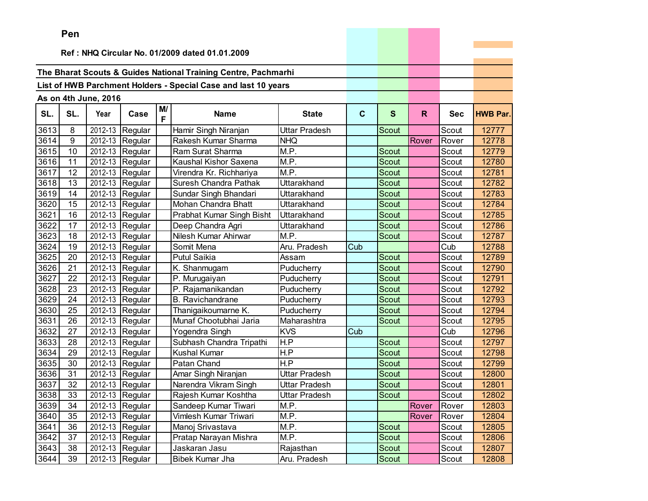| Ref: NHQ Circular No. 01/2009 dated 01.01.2009<br>The Bharat Scouts & Guides National Training Centre, Pachmarhi<br>List of HWB Parchment Holders - Special Case and last 10 years<br>As on 4th June, 2016<br>M/<br>SL.<br>SL.<br>Year<br><b>Name</b><br>$\mathbf{C}$<br>$\mathbf{s}$<br>$\mathsf{R}$<br>Case<br><b>State</b><br><b>Sec</b><br><b>HWB Par.</b><br>F<br>3613<br>8<br>2012-13<br>Hamir Singh Niranjan<br>Regular<br>Uttar Pradesh<br>Scout<br>12777<br>Scout<br>3614<br>9<br>2012-13<br>Rakesh Kumar Sharma<br>Regular<br><b>NHQ</b><br>Rover<br>12778<br>Rover<br>M.P.<br>3615<br>10<br>2012-13<br>Regular<br>Ram Surat Sharma<br><b>Scout</b><br>12779<br>Scout<br>2012-13<br>M.P.<br>3616<br>11<br>Regular<br>Kaushal Kishor Saxena<br>12780<br>Scout<br>Scout<br>3617<br>12<br>2012-13<br>M.P.<br>Regular<br><b>Scout</b><br>Scout<br>12781<br>Virendra Kr. Richhariya<br>3618<br>2012-13<br>Scout<br>13<br>Regular<br>Suresh Chandra Pathak<br>Uttarakhand<br>Scout<br>12782<br>3619<br>2012-13<br>14<br>Sundar Singh Bhandari<br>Uttarakhand<br>12783<br>Regular<br>Scout<br>Scout<br>2012-13<br>3620<br>15<br>Mohan Chandra Bhatt<br><b>Scout</b><br>Scout<br>12784<br>Regular<br>Uttarakhand<br>3621<br>16<br>2012-13<br><b>Scout</b><br>12785<br>Regular<br>Prabhat Kumar Singh Bisht<br>Uttarakhand<br>Scout<br>3622<br>2012-13 Regular<br>17<br>Deep Chandra Agri<br>Uttarakhand<br>Scout<br>12786<br>Scout<br>3623<br>2012-13<br>Nilesh Kumar Ahirwar<br>M.P.<br>18<br>Regular<br><b>Scout</b><br>Scout<br>12787<br>3624<br>2012-13<br>Aru. Pradesh<br>19<br>Regular<br>Somit Mena<br>Cub<br>Cub<br>12788<br>3625<br>2012-13<br><b>Putul Saikia</b><br>Scout<br>12789<br>20<br>Regular<br>Assam<br>Scout<br>3626<br>21<br>2012-13<br>Scout<br>12790<br>Regular<br>K. Shanmugam<br>Puducherry<br>Scout<br>3627<br>22<br>2012-13<br>12791<br>Scout<br>Regular<br>P. Murugaiyan<br>Puducherry<br>Scout<br>3628<br>2012-13<br>12792<br>23<br>Regular<br>P. Rajamanikandan<br>Puducherry<br>Scout<br>Scout<br>3629<br>2012-13<br>24<br>Regular<br><b>B.</b> Ravichandrane<br>Puducherry<br>Scout<br>Scout<br>12793<br>3630<br>2012-13<br>12794<br>25<br>Thanigaikoumarne K.<br><b>Scout</b><br>Regular<br>Puducherry<br>Scout<br>3631<br>2012-13<br>Munaf Chootubhai Jaria<br>Maharashtra<br>12795<br>26<br>Regular<br>Scout<br>Scout<br>2012-13<br><b>KVS</b><br>3632<br>27<br>Cub<br>12796<br>Regular<br>Yogendra Singh<br>Cub<br>$\overline{H.P}$<br>3633<br>2012-13<br>28<br>Subhash Chandra Tripathi<br>12797<br>Scout<br>Scout<br>Regular<br>3634<br>H.P<br>29<br>2012-13<br><b>Kushal Kumar</b><br>Scout<br>12798<br>Regular<br>Scout<br>3635<br>2012-13<br>Patan Chand<br>H.P<br>30<br>Regular<br>12799<br>Scout<br>Scout<br>3636<br>2012-13<br>31<br>Regular<br>Uttar Pradesh<br>Scout<br>Scout<br>12800<br>Amar Singh Niranjan<br>3637<br>2012-13<br>Narendra Vikram Singh<br>Scout<br>12801<br>32<br>Uttar Pradesh<br>Regular<br>Scout<br>3638<br>33<br>2012-13 Regular<br>Rajesh Kumar Koshtha<br>12802<br>Uttar Pradesh<br>Scout<br>Scout<br>3639<br>2012-13 Regular<br>Sandeep Kumar Tiwari<br>M.P.<br>Rover<br>12803<br>34<br>Rover<br>M.P.<br>2012-13 Regular<br>Vimlesh Kumar Triwari<br>3640<br>35<br>Rover<br>Rover<br>12804<br>2012-13 Regular<br>M.P.<br>3641<br>Manoj Srivastava<br>36<br>Scout<br>12805<br>Scout<br>3642<br>Pratap Narayan Mishra<br>37<br>2012-13 Regular<br>M.P.<br>Scout<br>12806<br>Scout<br>2012-13 Regular |      | ren |  |               |           |       |       |       |
|------------------------------------------------------------------------------------------------------------------------------------------------------------------------------------------------------------------------------------------------------------------------------------------------------------------------------------------------------------------------------------------------------------------------------------------------------------------------------------------------------------------------------------------------------------------------------------------------------------------------------------------------------------------------------------------------------------------------------------------------------------------------------------------------------------------------------------------------------------------------------------------------------------------------------------------------------------------------------------------------------------------------------------------------------------------------------------------------------------------------------------------------------------------------------------------------------------------------------------------------------------------------------------------------------------------------------------------------------------------------------------------------------------------------------------------------------------------------------------------------------------------------------------------------------------------------------------------------------------------------------------------------------------------------------------------------------------------------------------------------------------------------------------------------------------------------------------------------------------------------------------------------------------------------------------------------------------------------------------------------------------------------------------------------------------------------------------------------------------------------------------------------------------------------------------------------------------------------------------------------------------------------------------------------------------------------------------------------------------------------------------------------------------------------------------------------------------------------------------------------------------------------------------------------------------------------------------------------------------------------------------------------------------------------------------------------------------------------------------------------------------------------------------------------------------------------------------------------------------------------------------------------------------------------------------------------------------------------------------------------------------------------------------------------------------------------------------------------------------------------------------------------------------------------------------------------------------------------------------------------------------------------------------------------------------------------------------------------------------------------------------------------------------------------------------------------------------------------------|------|-----|--|---------------|-----------|-------|-------|-------|
|                                                                                                                                                                                                                                                                                                                                                                                                                                                                                                                                                                                                                                                                                                                                                                                                                                                                                                                                                                                                                                                                                                                                                                                                                                                                                                                                                                                                                                                                                                                                                                                                                                                                                                                                                                                                                                                                                                                                                                                                                                                                                                                                                                                                                                                                                                                                                                                                                                                                                                                                                                                                                                                                                                                                                                                                                                                                                                                                                                                                                                                                                                                                                                                                                                                                                                                                                                                                                                                                              |      |     |  |               |           |       |       |       |
|                                                                                                                                                                                                                                                                                                                                                                                                                                                                                                                                                                                                                                                                                                                                                                                                                                                                                                                                                                                                                                                                                                                                                                                                                                                                                                                                                                                                                                                                                                                                                                                                                                                                                                                                                                                                                                                                                                                                                                                                                                                                                                                                                                                                                                                                                                                                                                                                                                                                                                                                                                                                                                                                                                                                                                                                                                                                                                                                                                                                                                                                                                                                                                                                                                                                                                                                                                                                                                                                              |      |     |  |               |           |       |       |       |
|                                                                                                                                                                                                                                                                                                                                                                                                                                                                                                                                                                                                                                                                                                                                                                                                                                                                                                                                                                                                                                                                                                                                                                                                                                                                                                                                                                                                                                                                                                                                                                                                                                                                                                                                                                                                                                                                                                                                                                                                                                                                                                                                                                                                                                                                                                                                                                                                                                                                                                                                                                                                                                                                                                                                                                                                                                                                                                                                                                                                                                                                                                                                                                                                                                                                                                                                                                                                                                                                              |      |     |  |               |           |       |       |       |
|                                                                                                                                                                                                                                                                                                                                                                                                                                                                                                                                                                                                                                                                                                                                                                                                                                                                                                                                                                                                                                                                                                                                                                                                                                                                                                                                                                                                                                                                                                                                                                                                                                                                                                                                                                                                                                                                                                                                                                                                                                                                                                                                                                                                                                                                                                                                                                                                                                                                                                                                                                                                                                                                                                                                                                                                                                                                                                                                                                                                                                                                                                                                                                                                                                                                                                                                                                                                                                                                              |      |     |  |               |           |       |       |       |
|                                                                                                                                                                                                                                                                                                                                                                                                                                                                                                                                                                                                                                                                                                                                                                                                                                                                                                                                                                                                                                                                                                                                                                                                                                                                                                                                                                                                                                                                                                                                                                                                                                                                                                                                                                                                                                                                                                                                                                                                                                                                                                                                                                                                                                                                                                                                                                                                                                                                                                                                                                                                                                                                                                                                                                                                                                                                                                                                                                                                                                                                                                                                                                                                                                                                                                                                                                                                                                                                              |      |     |  |               |           |       |       |       |
|                                                                                                                                                                                                                                                                                                                                                                                                                                                                                                                                                                                                                                                                                                                                                                                                                                                                                                                                                                                                                                                                                                                                                                                                                                                                                                                                                                                                                                                                                                                                                                                                                                                                                                                                                                                                                                                                                                                                                                                                                                                                                                                                                                                                                                                                                                                                                                                                                                                                                                                                                                                                                                                                                                                                                                                                                                                                                                                                                                                                                                                                                                                                                                                                                                                                                                                                                                                                                                                                              |      |     |  |               |           |       |       |       |
|                                                                                                                                                                                                                                                                                                                                                                                                                                                                                                                                                                                                                                                                                                                                                                                                                                                                                                                                                                                                                                                                                                                                                                                                                                                                                                                                                                                                                                                                                                                                                                                                                                                                                                                                                                                                                                                                                                                                                                                                                                                                                                                                                                                                                                                                                                                                                                                                                                                                                                                                                                                                                                                                                                                                                                                                                                                                                                                                                                                                                                                                                                                                                                                                                                                                                                                                                                                                                                                                              |      |     |  |               |           |       |       |       |
|                                                                                                                                                                                                                                                                                                                                                                                                                                                                                                                                                                                                                                                                                                                                                                                                                                                                                                                                                                                                                                                                                                                                                                                                                                                                                                                                                                                                                                                                                                                                                                                                                                                                                                                                                                                                                                                                                                                                                                                                                                                                                                                                                                                                                                                                                                                                                                                                                                                                                                                                                                                                                                                                                                                                                                                                                                                                                                                                                                                                                                                                                                                                                                                                                                                                                                                                                                                                                                                                              |      |     |  |               |           |       |       |       |
|                                                                                                                                                                                                                                                                                                                                                                                                                                                                                                                                                                                                                                                                                                                                                                                                                                                                                                                                                                                                                                                                                                                                                                                                                                                                                                                                                                                                                                                                                                                                                                                                                                                                                                                                                                                                                                                                                                                                                                                                                                                                                                                                                                                                                                                                                                                                                                                                                                                                                                                                                                                                                                                                                                                                                                                                                                                                                                                                                                                                                                                                                                                                                                                                                                                                                                                                                                                                                                                                              |      |     |  |               |           |       |       |       |
|                                                                                                                                                                                                                                                                                                                                                                                                                                                                                                                                                                                                                                                                                                                                                                                                                                                                                                                                                                                                                                                                                                                                                                                                                                                                                                                                                                                                                                                                                                                                                                                                                                                                                                                                                                                                                                                                                                                                                                                                                                                                                                                                                                                                                                                                                                                                                                                                                                                                                                                                                                                                                                                                                                                                                                                                                                                                                                                                                                                                                                                                                                                                                                                                                                                                                                                                                                                                                                                                              |      |     |  |               |           |       |       |       |
|                                                                                                                                                                                                                                                                                                                                                                                                                                                                                                                                                                                                                                                                                                                                                                                                                                                                                                                                                                                                                                                                                                                                                                                                                                                                                                                                                                                                                                                                                                                                                                                                                                                                                                                                                                                                                                                                                                                                                                                                                                                                                                                                                                                                                                                                                                                                                                                                                                                                                                                                                                                                                                                                                                                                                                                                                                                                                                                                                                                                                                                                                                                                                                                                                                                                                                                                                                                                                                                                              |      |     |  |               |           |       |       |       |
|                                                                                                                                                                                                                                                                                                                                                                                                                                                                                                                                                                                                                                                                                                                                                                                                                                                                                                                                                                                                                                                                                                                                                                                                                                                                                                                                                                                                                                                                                                                                                                                                                                                                                                                                                                                                                                                                                                                                                                                                                                                                                                                                                                                                                                                                                                                                                                                                                                                                                                                                                                                                                                                                                                                                                                                                                                                                                                                                                                                                                                                                                                                                                                                                                                                                                                                                                                                                                                                                              |      |     |  |               |           |       |       |       |
|                                                                                                                                                                                                                                                                                                                                                                                                                                                                                                                                                                                                                                                                                                                                                                                                                                                                                                                                                                                                                                                                                                                                                                                                                                                                                                                                                                                                                                                                                                                                                                                                                                                                                                                                                                                                                                                                                                                                                                                                                                                                                                                                                                                                                                                                                                                                                                                                                                                                                                                                                                                                                                                                                                                                                                                                                                                                                                                                                                                                                                                                                                                                                                                                                                                                                                                                                                                                                                                                              |      |     |  |               |           |       |       |       |
|                                                                                                                                                                                                                                                                                                                                                                                                                                                                                                                                                                                                                                                                                                                                                                                                                                                                                                                                                                                                                                                                                                                                                                                                                                                                                                                                                                                                                                                                                                                                                                                                                                                                                                                                                                                                                                                                                                                                                                                                                                                                                                                                                                                                                                                                                                                                                                                                                                                                                                                                                                                                                                                                                                                                                                                                                                                                                                                                                                                                                                                                                                                                                                                                                                                                                                                                                                                                                                                                              |      |     |  |               |           |       |       |       |
|                                                                                                                                                                                                                                                                                                                                                                                                                                                                                                                                                                                                                                                                                                                                                                                                                                                                                                                                                                                                                                                                                                                                                                                                                                                                                                                                                                                                                                                                                                                                                                                                                                                                                                                                                                                                                                                                                                                                                                                                                                                                                                                                                                                                                                                                                                                                                                                                                                                                                                                                                                                                                                                                                                                                                                                                                                                                                                                                                                                                                                                                                                                                                                                                                                                                                                                                                                                                                                                                              |      |     |  |               |           |       |       |       |
|                                                                                                                                                                                                                                                                                                                                                                                                                                                                                                                                                                                                                                                                                                                                                                                                                                                                                                                                                                                                                                                                                                                                                                                                                                                                                                                                                                                                                                                                                                                                                                                                                                                                                                                                                                                                                                                                                                                                                                                                                                                                                                                                                                                                                                                                                                                                                                                                                                                                                                                                                                                                                                                                                                                                                                                                                                                                                                                                                                                                                                                                                                                                                                                                                                                                                                                                                                                                                                                                              |      |     |  |               |           |       |       |       |
|                                                                                                                                                                                                                                                                                                                                                                                                                                                                                                                                                                                                                                                                                                                                                                                                                                                                                                                                                                                                                                                                                                                                                                                                                                                                                                                                                                                                                                                                                                                                                                                                                                                                                                                                                                                                                                                                                                                                                                                                                                                                                                                                                                                                                                                                                                                                                                                                                                                                                                                                                                                                                                                                                                                                                                                                                                                                                                                                                                                                                                                                                                                                                                                                                                                                                                                                                                                                                                                                              |      |     |  |               |           |       |       |       |
|                                                                                                                                                                                                                                                                                                                                                                                                                                                                                                                                                                                                                                                                                                                                                                                                                                                                                                                                                                                                                                                                                                                                                                                                                                                                                                                                                                                                                                                                                                                                                                                                                                                                                                                                                                                                                                                                                                                                                                                                                                                                                                                                                                                                                                                                                                                                                                                                                                                                                                                                                                                                                                                                                                                                                                                                                                                                                                                                                                                                                                                                                                                                                                                                                                                                                                                                                                                                                                                                              |      |     |  |               |           |       |       |       |
|                                                                                                                                                                                                                                                                                                                                                                                                                                                                                                                                                                                                                                                                                                                                                                                                                                                                                                                                                                                                                                                                                                                                                                                                                                                                                                                                                                                                                                                                                                                                                                                                                                                                                                                                                                                                                                                                                                                                                                                                                                                                                                                                                                                                                                                                                                                                                                                                                                                                                                                                                                                                                                                                                                                                                                                                                                                                                                                                                                                                                                                                                                                                                                                                                                                                                                                                                                                                                                                                              |      |     |  |               |           |       |       |       |
|                                                                                                                                                                                                                                                                                                                                                                                                                                                                                                                                                                                                                                                                                                                                                                                                                                                                                                                                                                                                                                                                                                                                                                                                                                                                                                                                                                                                                                                                                                                                                                                                                                                                                                                                                                                                                                                                                                                                                                                                                                                                                                                                                                                                                                                                                                                                                                                                                                                                                                                                                                                                                                                                                                                                                                                                                                                                                                                                                                                                                                                                                                                                                                                                                                                                                                                                                                                                                                                                              |      |     |  |               |           |       |       |       |
|                                                                                                                                                                                                                                                                                                                                                                                                                                                                                                                                                                                                                                                                                                                                                                                                                                                                                                                                                                                                                                                                                                                                                                                                                                                                                                                                                                                                                                                                                                                                                                                                                                                                                                                                                                                                                                                                                                                                                                                                                                                                                                                                                                                                                                                                                                                                                                                                                                                                                                                                                                                                                                                                                                                                                                                                                                                                                                                                                                                                                                                                                                                                                                                                                                                                                                                                                                                                                                                                              |      |     |  |               |           |       |       |       |
|                                                                                                                                                                                                                                                                                                                                                                                                                                                                                                                                                                                                                                                                                                                                                                                                                                                                                                                                                                                                                                                                                                                                                                                                                                                                                                                                                                                                                                                                                                                                                                                                                                                                                                                                                                                                                                                                                                                                                                                                                                                                                                                                                                                                                                                                                                                                                                                                                                                                                                                                                                                                                                                                                                                                                                                                                                                                                                                                                                                                                                                                                                                                                                                                                                                                                                                                                                                                                                                                              |      |     |  |               |           |       |       |       |
|                                                                                                                                                                                                                                                                                                                                                                                                                                                                                                                                                                                                                                                                                                                                                                                                                                                                                                                                                                                                                                                                                                                                                                                                                                                                                                                                                                                                                                                                                                                                                                                                                                                                                                                                                                                                                                                                                                                                                                                                                                                                                                                                                                                                                                                                                                                                                                                                                                                                                                                                                                                                                                                                                                                                                                                                                                                                                                                                                                                                                                                                                                                                                                                                                                                                                                                                                                                                                                                                              |      |     |  |               |           |       |       |       |
|                                                                                                                                                                                                                                                                                                                                                                                                                                                                                                                                                                                                                                                                                                                                                                                                                                                                                                                                                                                                                                                                                                                                                                                                                                                                                                                                                                                                                                                                                                                                                                                                                                                                                                                                                                                                                                                                                                                                                                                                                                                                                                                                                                                                                                                                                                                                                                                                                                                                                                                                                                                                                                                                                                                                                                                                                                                                                                                                                                                                                                                                                                                                                                                                                                                                                                                                                                                                                                                                              |      |     |  |               |           |       |       |       |
|                                                                                                                                                                                                                                                                                                                                                                                                                                                                                                                                                                                                                                                                                                                                                                                                                                                                                                                                                                                                                                                                                                                                                                                                                                                                                                                                                                                                                                                                                                                                                                                                                                                                                                                                                                                                                                                                                                                                                                                                                                                                                                                                                                                                                                                                                                                                                                                                                                                                                                                                                                                                                                                                                                                                                                                                                                                                                                                                                                                                                                                                                                                                                                                                                                                                                                                                                                                                                                                                              |      |     |  |               |           |       |       |       |
|                                                                                                                                                                                                                                                                                                                                                                                                                                                                                                                                                                                                                                                                                                                                                                                                                                                                                                                                                                                                                                                                                                                                                                                                                                                                                                                                                                                                                                                                                                                                                                                                                                                                                                                                                                                                                                                                                                                                                                                                                                                                                                                                                                                                                                                                                                                                                                                                                                                                                                                                                                                                                                                                                                                                                                                                                                                                                                                                                                                                                                                                                                                                                                                                                                                                                                                                                                                                                                                                              |      |     |  |               |           |       |       |       |
|                                                                                                                                                                                                                                                                                                                                                                                                                                                                                                                                                                                                                                                                                                                                                                                                                                                                                                                                                                                                                                                                                                                                                                                                                                                                                                                                                                                                                                                                                                                                                                                                                                                                                                                                                                                                                                                                                                                                                                                                                                                                                                                                                                                                                                                                                                                                                                                                                                                                                                                                                                                                                                                                                                                                                                                                                                                                                                                                                                                                                                                                                                                                                                                                                                                                                                                                                                                                                                                                              |      |     |  |               |           |       |       |       |
|                                                                                                                                                                                                                                                                                                                                                                                                                                                                                                                                                                                                                                                                                                                                                                                                                                                                                                                                                                                                                                                                                                                                                                                                                                                                                                                                                                                                                                                                                                                                                                                                                                                                                                                                                                                                                                                                                                                                                                                                                                                                                                                                                                                                                                                                                                                                                                                                                                                                                                                                                                                                                                                                                                                                                                                                                                                                                                                                                                                                                                                                                                                                                                                                                                                                                                                                                                                                                                                                              |      |     |  |               |           |       |       |       |
|                                                                                                                                                                                                                                                                                                                                                                                                                                                                                                                                                                                                                                                                                                                                                                                                                                                                                                                                                                                                                                                                                                                                                                                                                                                                                                                                                                                                                                                                                                                                                                                                                                                                                                                                                                                                                                                                                                                                                                                                                                                                                                                                                                                                                                                                                                                                                                                                                                                                                                                                                                                                                                                                                                                                                                                                                                                                                                                                                                                                                                                                                                                                                                                                                                                                                                                                                                                                                                                                              |      |     |  |               |           |       |       |       |
|                                                                                                                                                                                                                                                                                                                                                                                                                                                                                                                                                                                                                                                                                                                                                                                                                                                                                                                                                                                                                                                                                                                                                                                                                                                                                                                                                                                                                                                                                                                                                                                                                                                                                                                                                                                                                                                                                                                                                                                                                                                                                                                                                                                                                                                                                                                                                                                                                                                                                                                                                                                                                                                                                                                                                                                                                                                                                                                                                                                                                                                                                                                                                                                                                                                                                                                                                                                                                                                                              |      |     |  |               |           |       |       |       |
|                                                                                                                                                                                                                                                                                                                                                                                                                                                                                                                                                                                                                                                                                                                                                                                                                                                                                                                                                                                                                                                                                                                                                                                                                                                                                                                                                                                                                                                                                                                                                                                                                                                                                                                                                                                                                                                                                                                                                                                                                                                                                                                                                                                                                                                                                                                                                                                                                                                                                                                                                                                                                                                                                                                                                                                                                                                                                                                                                                                                                                                                                                                                                                                                                                                                                                                                                                                                                                                                              |      |     |  |               |           |       |       |       |
|                                                                                                                                                                                                                                                                                                                                                                                                                                                                                                                                                                                                                                                                                                                                                                                                                                                                                                                                                                                                                                                                                                                                                                                                                                                                                                                                                                                                                                                                                                                                                                                                                                                                                                                                                                                                                                                                                                                                                                                                                                                                                                                                                                                                                                                                                                                                                                                                                                                                                                                                                                                                                                                                                                                                                                                                                                                                                                                                                                                                                                                                                                                                                                                                                                                                                                                                                                                                                                                                              |      |     |  |               |           |       |       |       |
|                                                                                                                                                                                                                                                                                                                                                                                                                                                                                                                                                                                                                                                                                                                                                                                                                                                                                                                                                                                                                                                                                                                                                                                                                                                                                                                                                                                                                                                                                                                                                                                                                                                                                                                                                                                                                                                                                                                                                                                                                                                                                                                                                                                                                                                                                                                                                                                                                                                                                                                                                                                                                                                                                                                                                                                                                                                                                                                                                                                                                                                                                                                                                                                                                                                                                                                                                                                                                                                                              |      |     |  |               |           |       |       |       |
|                                                                                                                                                                                                                                                                                                                                                                                                                                                                                                                                                                                                                                                                                                                                                                                                                                                                                                                                                                                                                                                                                                                                                                                                                                                                                                                                                                                                                                                                                                                                                                                                                                                                                                                                                                                                                                                                                                                                                                                                                                                                                                                                                                                                                                                                                                                                                                                                                                                                                                                                                                                                                                                                                                                                                                                                                                                                                                                                                                                                                                                                                                                                                                                                                                                                                                                                                                                                                                                                              |      |     |  |               |           |       |       |       |
|                                                                                                                                                                                                                                                                                                                                                                                                                                                                                                                                                                                                                                                                                                                                                                                                                                                                                                                                                                                                                                                                                                                                                                                                                                                                                                                                                                                                                                                                                                                                                                                                                                                                                                                                                                                                                                                                                                                                                                                                                                                                                                                                                                                                                                                                                                                                                                                                                                                                                                                                                                                                                                                                                                                                                                                                                                                                                                                                                                                                                                                                                                                                                                                                                                                                                                                                                                                                                                                                              |      |     |  |               |           |       |       |       |
|                                                                                                                                                                                                                                                                                                                                                                                                                                                                                                                                                                                                                                                                                                                                                                                                                                                                                                                                                                                                                                                                                                                                                                                                                                                                                                                                                                                                                                                                                                                                                                                                                                                                                                                                                                                                                                                                                                                                                                                                                                                                                                                                                                                                                                                                                                                                                                                                                                                                                                                                                                                                                                                                                                                                                                                                                                                                                                                                                                                                                                                                                                                                                                                                                                                                                                                                                                                                                                                                              |      |     |  |               |           |       |       |       |
|                                                                                                                                                                                                                                                                                                                                                                                                                                                                                                                                                                                                                                                                                                                                                                                                                                                                                                                                                                                                                                                                                                                                                                                                                                                                                                                                                                                                                                                                                                                                                                                                                                                                                                                                                                                                                                                                                                                                                                                                                                                                                                                                                                                                                                                                                                                                                                                                                                                                                                                                                                                                                                                                                                                                                                                                                                                                                                                                                                                                                                                                                                                                                                                                                                                                                                                                                                                                                                                                              |      |     |  |               |           |       |       |       |
|                                                                                                                                                                                                                                                                                                                                                                                                                                                                                                                                                                                                                                                                                                                                                                                                                                                                                                                                                                                                                                                                                                                                                                                                                                                                                                                                                                                                                                                                                                                                                                                                                                                                                                                                                                                                                                                                                                                                                                                                                                                                                                                                                                                                                                                                                                                                                                                                                                                                                                                                                                                                                                                                                                                                                                                                                                                                                                                                                                                                                                                                                                                                                                                                                                                                                                                                                                                                                                                                              | 3643 | 38  |  | Jaskaran Jasu | Rajasthan | Scout | Scout | 12807 |
| $\overline{2012}$ -13 Regular<br>3644<br>39<br>Bibek Kumar Jha<br>Aru. Pradesh<br>12808<br>Scout<br>Scout                                                                                                                                                                                                                                                                                                                                                                                                                                                                                                                                                                                                                                                                                                                                                                                                                                                                                                                                                                                                                                                                                                                                                                                                                                                                                                                                                                                                                                                                                                                                                                                                                                                                                                                                                                                                                                                                                                                                                                                                                                                                                                                                                                                                                                                                                                                                                                                                                                                                                                                                                                                                                                                                                                                                                                                                                                                                                                                                                                                                                                                                                                                                                                                                                                                                                                                                                                    |      |     |  |               |           |       |       |       |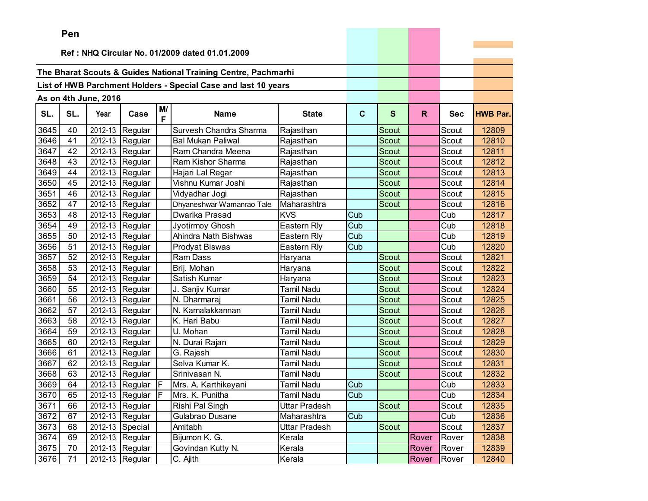|      | Pen |                      |                               |         |                                                                |                   |             |              |       |            |                 |
|------|-----|----------------------|-------------------------------|---------|----------------------------------------------------------------|-------------------|-------------|--------------|-------|------------|-----------------|
|      |     |                      |                               |         | Ref: NHQ Circular No. 01/2009 dated 01.01.2009                 |                   |             |              |       |            |                 |
|      |     |                      |                               |         |                                                                |                   |             |              |       |            |                 |
|      |     |                      |                               |         | The Bharat Scouts & Guides National Training Centre, Pachmarhi |                   |             |              |       |            |                 |
|      |     |                      |                               |         | List of HWB Parchment Holders - Special Case and last 10 years |                   |             |              |       |            |                 |
|      |     |                      |                               |         |                                                                |                   |             |              |       |            |                 |
|      |     | As on 4th June, 2016 |                               |         |                                                                |                   |             |              |       |            |                 |
| SL.  | SL. | Year                 | Case                          | M/<br>F | <b>Name</b>                                                    | <b>State</b>      | $\mathbf c$ | $\mathbf{s}$ | R.    | <b>Sec</b> | <b>HWB Par.</b> |
| 3645 | 40  | 2012-13              | Regular                       |         | Survesh Chandra Sharma                                         | Rajasthan         |             | Scout        |       | Scout      | 12809           |
| 3646 | 41  | 2012-13              | Regular                       |         | <b>Bal Mukan Paliwal</b>                                       | Rajasthan         |             | Scout        |       | Scout      | 12810           |
| 3647 | 42  | 2012-13              | Regular                       |         | Ram Chandra Meena                                              | Rajasthan         |             | Scout        |       | Scout      | 12811           |
| 3648 | 43  |                      | 2012-13 Regular               |         | Ram Kishor Sharma                                              | Rajasthan         |             | Scout        |       | Scout      | 12812           |
| 3649 | 44  | 2012-13              | Regular                       |         | Hajari Lal Regar                                               | Rajasthan         |             | <b>Scout</b> |       | Scout      | 12813           |
| 3650 | 45  | 2012-13              | Regular                       |         | Vishnu Kumar Joshi                                             | Rajasthan         |             | Scout        |       | Scout      | 12814           |
| 3651 | 46  | 2012-13              | Regular                       |         | Vidyadhar Jogi                                                 | Rajasthan         |             | Scout        |       | Scout      | 12815           |
| 3652 | 47  | 2012-13              | Regular                       |         | Dhyaneshwar Wamanrao Tale                                      | Maharashtra       |             | <b>Scout</b> |       | Scout      | 12816           |
| 3653 | 48  |                      | $\overline{2012}$ -13 Regular |         | Dwarika Prasad                                                 | <b>KVS</b>        | Cub         |              |       | Cub        | 12817           |
| 3654 | 49  |                      | 2012-13 Regular               |         | Jyotirmoy Ghosh                                                | Eastern Rly       | Cub         |              |       | Cub        | 12818           |
| 3655 | 50  | 2012-13              | Regular                       |         | Ahindra Nath Bishwas                                           | Eastern Rly       | Cub         |              |       | Cub        | 12819           |
| 3656 | 51  | 2012-13              | Regular                       |         | Prodyat Biswas                                                 | Eastern Rly       | Cub         |              |       | Cub        | 12820           |
| 3657 | 52  | 2012-13              | Regular                       |         | <b>Ram Dass</b>                                                | Haryana           |             | Scout        |       | Scout      | 12821           |
| 3658 | 53  | 2012-13              | Regular                       |         | Brij. Mohan                                                    | Haryana           |             | <b>Scout</b> |       | Scout      | 12822           |
| 3659 | 54  | 2012-13              | Regular                       |         | Satish Kumar                                                   | Haryana           |             | Scout        |       | Scout      | 12823           |
| 3660 | 55  |                      | 2012-13 Regular               |         | J. Sanjiv Kumar                                                | Tamil Nadu        |             | Scout        |       | Scout      | 12824           |
| 3661 | 56  | 2012-13              | Regular                       |         | N. Dharmaraj                                                   | Tamil Nadu        |             | <b>Scout</b> |       | Scout      | 12825           |
| 3662 | 57  | 2012-13              | Regular                       |         | N. Kamalakkannan                                               | Tamil Nadu        |             | Scout        |       | Scout      | 12826           |
| 3663 | 58  | 2012-13              | Regular                       |         | K. Hari Babu                                                   | <b>Tamil Nadu</b> |             | Scout        |       | Scout      | 12827           |
| 3664 | 59  | 2012-13              | Regular                       |         | U. Mohan                                                       | <b>Tamil Nadu</b> |             | <b>Scout</b> |       | Scout      | 12828           |
| 3665 | 60  |                      | 2012-13 Regular               |         | N. Durai Rajan                                                 | Tamil Nadu        |             | Scout        |       | Scout      | 12829           |
| 3666 | 61  | 2012-13              | Regular                       |         | G. Rajesh                                                      | Tamil Nadu        |             | Scout        |       | Scout      | 12830           |
| 3667 | 62  |                      | 2012-13 Regular               |         | Selva Kumar K.                                                 | Tamil Nadu        |             | Scout        |       | Scout      | 12831           |
| 3668 | 63  | 2012-13              | Regular                       |         | Srinivasan N.                                                  | Tamil Nadu        |             | Scout        |       | Scout      | 12832           |
| 3669 | 64  | 2012-13              | Regular                       | F.      | Mrs. A. Karthikeyani                                           | Tamil Nadu        | Cub         |              |       | Cub        | 12833           |
| 3670 | 65  |                      | 2012-13 Regular               | lF      | Mrs. K. Punitha                                                | <b>Tamil Nadu</b> | Cub         |              |       | Cub        | 12834           |
| 3671 | 66  |                      | 2012-13 Regular               |         | Rishi Pal Singh                                                | Uttar Pradesh     |             | Scout        |       | Scout      | 12835           |
| 3672 | 67  |                      | 2012-13 Regular               |         | Gulabrao Dusane                                                | Maharashtra       | Cub         |              |       | Cub        | 12836           |
| 3673 | 68  |                      | 2012-13 Special               |         | Amitabh                                                        | Uttar Pradesh     |             | Scout        |       | Scout      | 12837           |
| 3674 | 69  |                      | 2012-13 Regular               |         | Bijumon K. G.                                                  | Kerala            |             |              | Rover | Rover      | 12838           |
| 3675 | 70  |                      | 2012-13 Regular               |         | Govindan Kutty N.                                              | Kerala            |             |              | Rover | Rover      | 12839           |
| 3676 | 71  |                      | 2012-13 Regular               |         | C. Ajith                                                       | Kerala            |             |              | Rover | Rover      | 12840           |

the property of the control of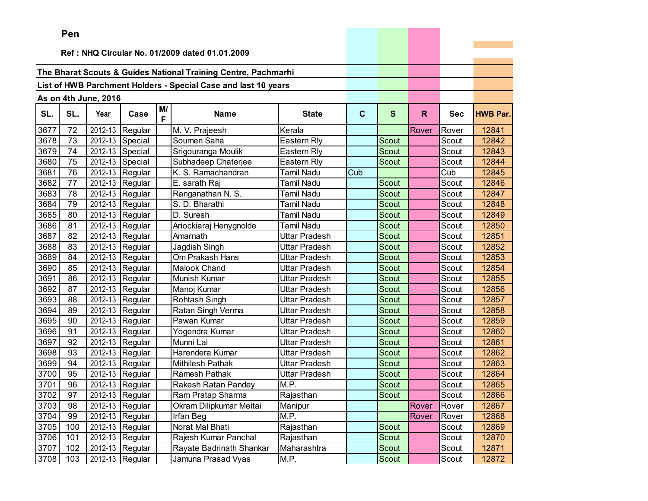|      | Pen |                      |                 |         |                                                                |                      |             |              |       |            |                 |
|------|-----|----------------------|-----------------|---------|----------------------------------------------------------------|----------------------|-------------|--------------|-------|------------|-----------------|
|      |     |                      |                 |         |                                                                |                      |             |              |       |            |                 |
|      |     |                      |                 |         | Ref: NHQ Circular No. 01/2009 dated 01.01.2009                 |                      |             |              |       |            |                 |
|      |     |                      |                 |         | The Bharat Scouts & Guides National Training Centre, Pachmarhi |                      |             |              |       |            |                 |
|      |     |                      |                 |         | List of HWB Parchment Holders - Special Case and last 10 years |                      |             |              |       |            |                 |
|      |     |                      |                 |         |                                                                |                      |             |              |       |            |                 |
|      |     | As on 4th June, 2016 |                 |         |                                                                |                      |             |              |       |            |                 |
| SL.  | SL. | Year                 | Case            | M/<br>F | <b>Name</b>                                                    | <b>State</b>         | $\mathbf C$ | $\mathbf{s}$ | R.    | <b>Sec</b> | <b>HWB Par.</b> |
| 3677 | 72  | 2012-13              | Regular         |         | M. V. Prajeesh                                                 | Kerala               |             |              | Rover | Rover      | 12841           |
| 3678 | 73  |                      | 2012-13 Special |         | Soumen Saha                                                    | Eastern Rly          |             | Scout        |       | Scout      | 12842           |
| 3679 | 74  |                      | 2012-13 Special |         | Srigouranga Moulik                                             | Eastern Rly          |             | Scout        |       | Scout      | 12843           |
| 3680 | 75  |                      | 2012-13 Special |         | Subhadeep Chaterjee                                            | Eastern Rly          |             | Scout        |       | Scout      | 12844           |
| 3681 | 76  |                      | 2012-13 Regular |         | K. S. Ramachandran                                             | <b>Tamil Nadu</b>    | Cub         |              |       | Cub        | 12845           |
| 3682 | 77  | 2012-13              | Regular         |         | E. sarath Raj                                                  | <b>Tamil Nadu</b>    |             | Scout        |       | Scout      | 12846           |
| 3683 | 78  |                      | 2012-13 Regular |         | Ranganathan N. S.                                              | <b>Tamil Nadu</b>    |             | <b>Scout</b> |       | Scout      | 12847           |
| 3684 | 79  |                      | 2012-13 Regular |         | S. D. Bharathi                                                 | <b>Tamil Nadu</b>    |             | Scout        |       | Scout      | 12848           |
| 3685 | 80  |                      | 2012-13 Regular |         | D. Suresh                                                      | <b>Tamil Nadu</b>    |             | Scout        |       | Scout      | 12849           |
| 3686 | 81  |                      | 2012-13 Regular |         | Ariockiaraj Henygnolde                                         | Tamil Nadu           |             | <b>Scout</b> |       | Scout      | 12850           |
| 3687 | 82  | 2012-13              | Regular         |         | Amarnath                                                       | <b>Uttar Pradesh</b> |             | Scout        |       | Scout      | 12851           |
| 3688 | 83  | 2012-13              | Regular         |         | Jagdish Singh                                                  | Uttar Pradesh        |             | Scout        |       | Scout      | 12852           |
| 3689 | 84  | 2012-13              | Regular         |         | Om Prakash Hans                                                | Uttar Pradesh        |             | <b>Scout</b> |       | Scout      | 12853           |
| 3690 | 85  |                      | 2012-13 Regular |         | Malook Chand                                                   | <b>Uttar Pradesh</b> |             | Scout        |       | Scout      | 12854           |
| 3691 | 86  |                      | 2012-13 Regular |         | Munish Kumar                                                   | <b>Uttar Pradesh</b> |             | Scout        |       | Scout      | 12855           |
| 3692 | 87  |                      | 2012-13 Regular |         | Manoj Kumar                                                    | Uttar Pradesh        |             | <b>Scout</b> |       | Scout      | 12856           |
| 3693 | 88  |                      | 2012-13 Regular |         | Rohtash Singh                                                  | Uttar Pradesh        |             | Scout        |       | Scout      | 12857           |
| 3694 | 89  | 2012-13              | Regular         |         | Ratan Singh Verma                                              | Uttar Pradesh        |             | Scout        |       | Scout      | 12858           |
| 3695 | 90  | 2012-13              | Regular         |         | Pawan Kumar                                                    | Uttar Pradesh        |             | <b>Scout</b> |       | Scout      | 12859           |
| 3696 | 91  |                      | 2012-13 Regular |         | Yogendra Kumar                                                 | Uttar Pradesh        |             | Scout        |       | Scout      | 12860           |
| 3697 | 92  |                      | 2012-13 Regular |         | Munni Lal                                                      | Uttar Pradesh        |             | Scout        |       | Scout      | 12861           |
| 3698 | 93  |                      | 2012-13 Regular |         | Harendera Kumar                                                | Uttar Pradesh        |             | Scout        |       | Scout      | 12862           |
| 3699 | 94  |                      | 2012-13 Regular |         | <b>Mithilesh Pathak</b>                                        | Uttar Pradesh        |             | Scout        |       | Scout      | 12863           |
| 3700 | 95  | 2012-13              | Regular         |         | Ramesh Pathak                                                  | <b>Uttar Pradesh</b> |             | Scout        |       | Scout      | 12864           |
| 3701 | 96  |                      | 2012-13 Regular |         | Rakesh Ratan Pandey                                            | M.P.                 |             | Scout        |       | Scout      | 12865           |
| 3702 | 97  |                      | 2012-13 Regular |         | Ram Pratap Sharma                                              | Rajasthan            |             | Scout        |       | Scout      | 12866           |
| 3703 | 98  |                      | 2012-13 Regular |         | Okram Dilipkumar Meitai                                        | Manipur              |             |              | Rover | Rover      | 12867           |
| 3704 | 99  |                      | 2012-13 Regular |         | Irfan Beg                                                      | M.P.                 |             |              | Rover | Rover      | 12868           |
| 3705 | 100 |                      | 2012-13 Regular |         | Norat Mal Bhati                                                | Rajasthan            |             | Scout        |       | Scout      | 12869           |
| 3706 | 101 |                      | 2012-13 Regular |         | Rajesh Kumar Panchal                                           | Rajasthan            |             | Scout        |       | Scout      | 12870           |
| 3707 | 102 |                      | 2012-13 Regular |         | Rayate Badrinath Shankar                                       | Maharashtra          |             | Scout        |       | Scout      | 12871           |
| 3708 | 103 |                      | 2012-13 Regular |         | Jamuna Prasad Vyas                                             | M.P.                 |             | Scout        |       | Scout      | 12872           |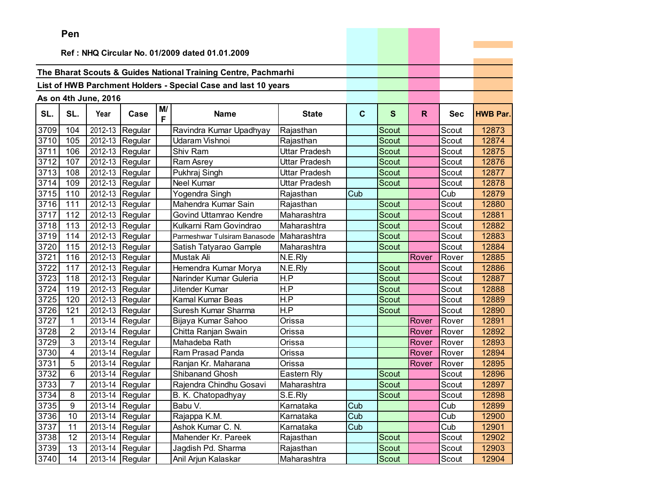|      | ren            |                      |                                 |    |                                                                |               |              |              |              |            |                 |
|------|----------------|----------------------|---------------------------------|----|----------------------------------------------------------------|---------------|--------------|--------------|--------------|------------|-----------------|
|      |                |                      |                                 |    | Ref: NHQ Circular No. 01/2009 dated 01.01.2009                 |               |              |              |              |            |                 |
|      |                |                      |                                 |    |                                                                |               |              |              |              |            |                 |
|      |                |                      |                                 |    | The Bharat Scouts & Guides National Training Centre, Pachmarhi |               |              |              |              |            |                 |
|      |                |                      |                                 |    | List of HWB Parchment Holders - Special Case and last 10 years |               |              |              |              |            |                 |
|      |                |                      |                                 |    |                                                                |               |              |              |              |            |                 |
|      |                | As on 4th June, 2016 |                                 | M/ |                                                                |               |              |              |              |            |                 |
| SL.  | SL.            | Year                 | Case                            | F  | <b>Name</b>                                                    | <b>State</b>  | $\mathbf{C}$ | $\mathbf{s}$ | $\mathsf{R}$ | <b>Sec</b> | <b>HWB Par.</b> |
| 3709 | 104            | 2012-13              | Regular                         |    | Ravindra Kumar Upadhyay                                        | Rajasthan     |              | Scout        |              | Scout      | 12873           |
| 3710 | 105            | 2012-13              | Regular                         |    | Udaram Vishnoi                                                 | Rajasthan     |              | <b>Scout</b> |              | Scout      | 12874           |
| 3711 | 106            | 2012-13              | Regular                         |    | Shiv Ram                                                       | Uttar Pradesh |              | Scout        |              | Scout      | 12875           |
| 3712 | 107            |                      | 2012-13 Regular                 |    | Ram Asrey                                                      | Uttar Pradesh |              | Scout        |              | Scout      | 12876           |
| 3713 | 108            |                      | 2012-13 Regular                 |    | Pukhraj Singh                                                  | Uttar Pradesh |              | <b>Scout</b> |              | Scout      | 12877           |
| 3714 | 109            | 2012-13              | Regular                         |    | <b>Neel Kumar</b>                                              | Uttar Pradesh |              | Scout        |              | Scout      | 12878           |
| 3715 | 110            | 2012-13              | Regular                         |    | Yogendra Singh                                                 | Rajasthan     | Cub          |              |              | Cub        | 12879           |
| 3716 | 111            | 2012-13              | Regular                         |    | Mahendra Kumar Sain                                            | Rajasthan     |              | <b>Scout</b> |              | Scout      | 12880           |
| 3717 | 112            |                      | 2012-13 Regular                 |    | Govind Uttamrao Kendre                                         | Maharashtra   |              | <b>Scout</b> |              | Scout      | 12881           |
| 3718 | 113            |                      | 2012-13 Regular                 |    | Kulkarni Ram Govindrao                                         | Maharashtra   |              | Scout        |              | Scout      | 12882           |
| 3719 | 114            |                      | 2012-13 Regular                 |    | Parmeshwar Tulsiram Banasode                                   | Maharashtra   |              | <b>Scout</b> |              | Scout      | 12883           |
| 3720 | 115            | 2012-13              | Regular                         |    | Satish Tatyarao Gample                                         | Maharashtra   |              | Scout        |              | Scout      | 12884           |
| 3721 | 116            | 2012-13              | Regular                         |    | Mustak Ali                                                     | N.E.Rly       |              |              | Rover        | Rover      | 12885           |
| 3722 | 117            | 2012-13              | Regular                         |    | Hemendra Kumar Morya                                           | N.E.Rly       |              | <b>Scout</b> |              | Scout      | 12886           |
| 3723 | 118            | 2012-13              | Regular                         |    | Narinder Kumar Guleria                                         | H.P           |              | Scout        |              | Scout      | 12887           |
| 3724 | 119            |                      | 2012-13 Regular                 |    | Jitender Kumar                                                 | H.P           |              | Scout        |              | Scout      | 12888           |
| 3725 | 120            |                      | 2012-13 Regular                 |    | Kamal Kumar Beas                                               | H.P           |              | Scout        |              | Scout      | 12889           |
| 3726 | 121            | 2012-13              | Regular                         |    | Suresh Kumar Sharma                                            | H.P           |              | Scout        |              | Scout      | 12890           |
| 3727 | 1              | 2013-14              | Regular                         |    | Bijaya Kumar Sahoo                                             | Orissa        |              |              | Rover        | Rover      | 12891           |
| 3728 | $\overline{2}$ | 2013-14              | Regular                         |    | Chitta Ranjan Swain                                            | Orissa        |              |              | Rover        | Rover      | 12892           |
| 3729 | 3              | 2013-14              | Regular                         |    | Mahadeba Rath                                                  | Orissa        |              |              | Rover        | Rover      | 12893           |
| 3730 | 4              | 2013-14              | Regular                         |    | Ram Prasad Panda                                               | Orissa        |              |              | Rover        | Rover      | 12894           |
| 3731 | 5              |                      | 2013-14 Regular                 |    | Ranjan Kr. Maharana                                            | Orissa        |              |              | Rover        | Rover      | 12895           |
| 3732 | 6              | 2013-14              | Regular                         |    | Shibanand Ghosh                                                | Eastern Rly   |              | Scout        |              | Scout      | 12896           |
| 3733 | $\overline{7}$ | 2013-14              | Regular                         |    | Rajendra Chindhu Gosavi                                        | Maharashtra   |              | Scout        |              | Scout      | 12897           |
| 3734 | 8              |                      | $\overline{2013}$ -14   Regular |    | B. K. Chatopadhyay                                             | S.E.Rly       |              | Scout        |              | Scout      | 12898           |
| 3735 | 9              |                      | 2013-14 Regular                 |    | Babu V.                                                        | Karnataka     | Cub          |              |              | Cub        | 12899           |
| 3736 | 10             |                      | 2013-14 Regular                 |    | Rajappa K.M.                                                   | Karnataka     | Cub          |              |              | Cub        | 12900           |
| 3737 | 11             |                      | 2013-14 Regular                 |    | Ashok Kumar C. N.                                              | Karnataka     | Cub          |              |              | Cub        | 12901           |
| 3738 | 12             |                      | 2013-14 Regular                 |    | Mahender Kr. Pareek                                            | Rajasthan     |              | Scout        |              | Scout      | 12902           |
| 3739 | 13             |                      | 2013-14 Regular                 |    | Jagdish Pd. Sharma                                             | Rajasthan     |              | Scout        |              | Scout      | 12903           |
| 3740 | 14             |                      | 2013-14 Regular                 |    | Anil Arjun Kalaskar                                            | Maharashtra   |              | Scout        |              | Scout      | 12904           |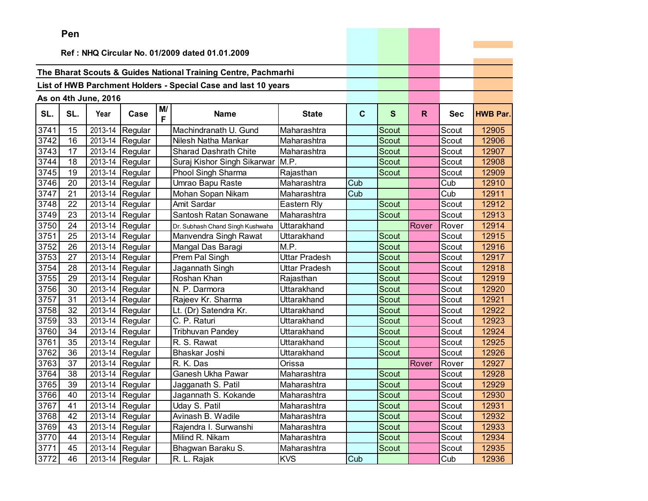|      | Pen |                      |                   |         |                                                                |                    |             |              |       |            |                 |
|------|-----|----------------------|-------------------|---------|----------------------------------------------------------------|--------------------|-------------|--------------|-------|------------|-----------------|
|      |     |                      |                   |         |                                                                |                    |             |              |       |            |                 |
|      |     |                      |                   |         | Ref: NHQ Circular No. 01/2009 dated 01.01.2009                 |                    |             |              |       |            |                 |
|      |     |                      |                   |         | The Bharat Scouts & Guides National Training Centre, Pachmarhi |                    |             |              |       |            |                 |
|      |     |                      |                   |         | List of HWB Parchment Holders - Special Case and last 10 years |                    |             |              |       |            |                 |
|      |     |                      |                   |         |                                                                |                    |             |              |       |            |                 |
|      |     | As on 4th June, 2016 |                   |         |                                                                |                    |             |              |       |            |                 |
| SL.  | SL. | Year                 | Case              | M/<br>F | <b>Name</b>                                                    | <b>State</b>       | $\mathbf c$ | $\mathbf{s}$ | R     | <b>Sec</b> | <b>HWB Par.</b> |
| 3741 | 15  | 2013-14              | Regular           |         | Machindranath U. Gund                                          | Maharashtra        |             | Scout        |       | Scout      | 12905           |
| 3742 | 16  |                      | 2013-14 Regular   |         | Nilesh Natha Mankar                                            | Maharashtra        |             | Scout        |       | Scout      | 12906           |
| 3743 | 17  |                      | 2013-14 Regular   |         | Sharad Dashrath Chite                                          | Maharashtra        |             | <b>Scout</b> |       | Scout      | 12907           |
| 3744 | 18  | 2013-14              | Regular           |         | Suraj Kishor Singh Sikarwar                                    | M.P.               |             | <b>Scout</b> |       | Scout      | 12908           |
| 3745 | 19  | 2013-14              | Regular           |         | Phool Singh Sharma                                             | Rajasthan          |             | <b>Scout</b> |       | Scout      | 12909           |
| 3746 | 20  | 2013-14              | Regular           |         | Umrao Bapu Raste                                               | Maharashtra        | Cub         |              |       | Cub        | 12910           |
| 3747 | 21  | 2013-14              | Regular           |         | Mohan Sopan Nikam                                              | Maharashtra        | Cub         |              |       | Cub        | 12911           |
| 3748 | 22  | 2013-14              | Regular           |         | Amit Sardar                                                    | Eastern Rly        |             | Scout        |       | Scout      | 12912           |
| 3749 | 23  |                      | 2013-14 Regular   |         | Santosh Ratan Sonawane                                         | Maharashtra        |             | <b>Scout</b> |       | Scout      | 12913           |
| 3750 | 24  | 2013-14              | Regular           |         | Dr. Subhash Chand Singh Kushwaha                               | Uttarakhand        |             |              | Rover | Rover      | 12914           |
| 3751 | 25  | 2013-14              | Regular           |         | Manvendra Singh Rawat                                          | Uttarakhand        |             | Scout        |       | Scout      | 12915           |
| 3752 | 26  | 2013-14              | Regular           |         | Mangal Das Baragi                                              | M.P.               |             | <b>Scout</b> |       | Scout      | 12916           |
| 3753 | 27  | 2013-14              | Regular           |         | Prem Pal Singh                                                 | Uttar Pradesh      |             | Scout        |       | Scout      | 12917           |
| 3754 | 28  |                      | 2013-14 Regular   |         | Jagannath Singh                                                | Uttar Pradesh      |             | Scout        |       | Scout      | 12918           |
| 3755 | 29  |                      | 2013-14 Regular   |         | Roshan Khan                                                    | Rajasthan          |             | Scout        |       | Scout      | 12919           |
| 3756 | 30  | 2013-14              | Regular           |         | N. P. Darmora                                                  | <b>Uttarakhand</b> |             | <b>Scout</b> |       | Scout      | 12920           |
| 3757 | 31  | 2013-14              | Regular           |         | Rajeev Kr. Sharma                                              | Uttarakhand        |             | Scout        |       | Scout      | 12921           |
| 3758 | 32  | 2013-14              | Regular           |         | Lt. (Dr) Satendra Kr.                                          | Uttarakhand        |             | <b>Scout</b> |       | Scout      | 12922           |
| 3759 | 33  | 2013-14              | Regular           |         | C. P. Raturi                                                   | Uttarakhand        |             | Scout        |       | Scout      | 12923           |
| 3760 | 34  | 2013-14              | Regular           |         | Tribhuvan Pandey                                               | Uttarakhand        |             | Scout        |       | Scout      | 12924           |
| 3761 | 35  | 2013-14              | Regular           |         | R. S. Rawat                                                    | Uttarakhand        |             | Scout        |       | Scout      | 12925           |
| 3762 | 36  | 2013-14              | Regular           |         | Bhaskar Joshi                                                  | Uttarakhand        |             | Scout        |       | Scout      | 12926           |
| 3763 | 37  | 2013-14              | Regular           |         | R. K. Das                                                      | Orissa             |             |              | Rover | Rover      | 12927           |
| 3764 | 38  | 2013-14              | Regular           |         | <b>Ganesh Ukha Pawar</b>                                       | Maharashtra        |             | Scout        |       | Scout      | 12928           |
| 3765 | 39  |                      | 2013-14 Regular   |         | Jagganath S. Patil                                             | Maharashtra        |             | Scout        |       | Scout      | 12929           |
| 3766 | 40  |                      | 2013-14 Regular   |         | Jagannath S. Kokande                                           | Maharashtra        |             | Scout        |       | Scout      | 12930           |
| 3767 | 41  |                      | 2013-14 Regular   |         | Uday S. Patil                                                  | Maharashtra        |             | Scout        |       | Scout      | 12931           |
| 3768 | 42  |                      | 2013-14 Regular   |         | Avinash B. Wadile                                              | Maharashtra        |             | Scout        |       | Scout      | 12932           |
| 3769 | 43  |                      | 2013-14 Regular   |         | Rajendra I. Surwanshi                                          | Maharashtra        |             | Scout        |       | Scout      | 12933           |
| 3770 | 44  |                      | $2013-14$ Regular |         | Milind R. Nikam                                                | Maharashtra        |             | Scout        |       | Scout      | 12934           |
| 3771 | 45  |                      | 2013-14 Regular   |         | Bhagwan Baraku S.                                              | Maharashtra        |             | Scout        |       | Scout      | 12935           |
| 3772 | 46  |                      | 2013-14 Regular   |         | R. L. Rajak                                                    | <b>KVS</b>         | Cub         |              |       | Cub        | 12936           |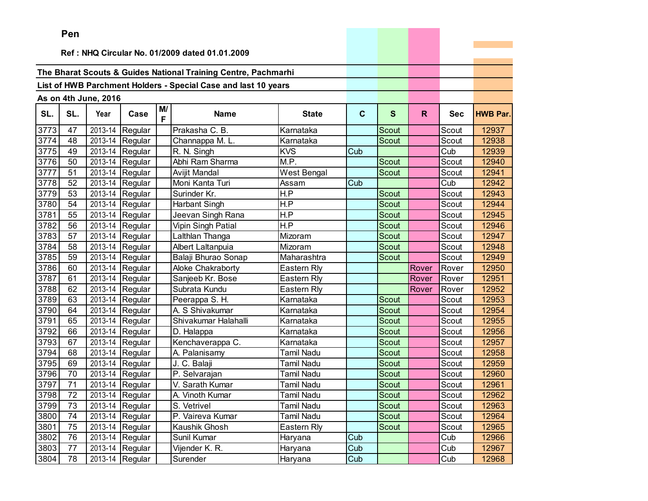|      | Pen             |                      |                               |         |                                                                |                   |             |              |              |            |                 |
|------|-----------------|----------------------|-------------------------------|---------|----------------------------------------------------------------|-------------------|-------------|--------------|--------------|------------|-----------------|
|      |                 |                      |                               |         |                                                                |                   |             |              |              |            |                 |
|      |                 |                      |                               |         | Ref: NHQ Circular No. 01/2009 dated 01.01.2009                 |                   |             |              |              |            |                 |
|      |                 |                      |                               |         | The Bharat Scouts & Guides National Training Centre, Pachmarhi |                   |             |              |              |            |                 |
|      |                 |                      |                               |         |                                                                |                   |             |              |              |            |                 |
|      |                 |                      |                               |         | List of HWB Parchment Holders - Special Case and last 10 years |                   |             |              |              |            |                 |
|      |                 | As on 4th June, 2016 |                               |         |                                                                |                   |             |              |              |            |                 |
| SL.  | SL.             | Year                 | Case                          | M/<br>F | <b>Name</b>                                                    | <b>State</b>      | $\mathbf c$ | S            | $\mathsf{R}$ | <b>Sec</b> | <b>HWB Par.</b> |
| 3773 | 47              | 2013-14              | Regular                       |         | Prakasha C. B.                                                 | Karnataka         |             | Scout        |              | Scout      | 12937           |
| 3774 | 48              |                      | 2013-14 Regular               |         | Channappa M. L.                                                | Karnataka         |             | Scout        |              | Scout      | 12938           |
| 3775 | 49              |                      | 2013-14 Regular               |         | R. N. Singh                                                    | <b>KVS</b>        | Cub         |              |              | Cub        | 12939           |
| 3776 | 50              |                      | 2013-14 Regular               |         | Abhi Ram Sharma                                                | M.P.              |             | Scout        |              | Scout      | 12940           |
| 3777 | 51              |                      | 2013-14 Regular               |         | Avijit Mandal                                                  | West Bengal       |             | <b>Scout</b> |              | Scout      | 12941           |
| 3778 | 52              |                      | 2013-14 Regular               |         | Moni Kanta Turi                                                | Assam             | Cub         |              |              | Cub        | 12942           |
| 3779 | 53              |                      | 2013-14 Regular               |         | Surinder Kr.                                                   | H.P               |             | <b>Scout</b> |              | Scout      | 12943           |
| 3780 | 54              | 2013-14              | Regular                       |         | <b>Harbant Singh</b>                                           | H.P               |             | <b>Scout</b> |              | Scout      | 12944           |
| 3781 | 55              |                      | 2013-14 Regular               |         | Jeevan Singh Rana                                              | H.P               |             | <b>Scout</b> |              | Scout      | 12945           |
| 3782 | 56              |                      | 2013-14 Regular               |         | Vipin Singh Patial                                             | H.P               |             | <b>Scout</b> |              | Scout      | 12946           |
| 3783 | 57              |                      | 2013-14 Regular               |         | Lalthlan Thanga                                                | Mizoram           |             | Scout        |              | Scout      | 12947           |
| 3784 | 58              |                      | $\overline{2013}$ -14 Regular |         | Albert Laltanpuia                                              | Mizoram           |             | Scout        |              | Scout      | 12948           |
| 3785 | 59              |                      | 2013-14 Regular               |         | Balaji Bhurao Sonap                                            | Maharashtra       |             | <b>Scout</b> |              | Scout      | 12949           |
| 3786 | 60              |                      | 2013-14 Regular               |         | Aloke Chakraborty                                              | Eastern Rly       |             |              | Rover        | Rover      | 12950           |
| 3787 | 61              |                      | 2013-14 Regular               |         | Sanjeeb Kr. Bose                                               | Eastern Rly       |             |              | Rover        | Rover      | 12951           |
| 3788 | 62              |                      | 2013-14 Regular               |         | Subrata Kundu                                                  | Eastern Rly       |             |              | Rover        | Rover      | 12952           |
| 3789 | 63              |                      | 2013-14 Regular               |         | Peerappa S. H.                                                 | Karnataka         |             | Scout        |              | Scout      | 12953           |
| 3790 | 64              |                      | $\overline{2013}$ -14 Regular |         | A. S Shivakumar                                                | Karnataka         |             | Scout        |              | Scout      | 12954           |
| 3791 | 65              |                      | 2013-14 Regular               |         | Shivakumar Halahalli                                           | Karnataka         |             | Scout        |              | Scout      | 12955           |
| 3792 | 66              |                      | 2013-14 Regular               |         | D. Halappa                                                     | Karnataka         |             | <b>Scout</b> |              | Scout      | 12956           |
| 3793 | 67              |                      | 2013-14 Regular               |         | Kenchaverappa C.                                               | Karnataka         |             | Scout        |              | Scout      | 12957           |
| 3794 | 68              |                      | 2013-14 Regular               |         | A. Palanisamy                                                  | Tamil Nadu        |             | <b>Scout</b> |              | Scout      | 12958           |
| 3795 | 69              |                      | 2013-14 Regular               |         | J. C. Balaji                                                   | Tamil Nadu        |             | Scout        |              | Scout      | 12959           |
| 3796 | 70              |                      | 2013-14 Regular               |         | P. Selvarajan                                                  | Tamil Nadu        |             | Scout        |              | Scout      | 12960           |
| 3797 | 71              |                      | 2013-14 Regular               |         | V. Sarath Kumar                                                | Tamil Nadu        |             | Scout        |              | Scout      | 12961           |
| 3798 | $\overline{72}$ |                      | 2013-14 Regular               |         | A. Vinoth Kumar                                                | <b>Tamil Nadu</b> |             | Scout        |              | Scout      | 12962           |
| 3799 | 73              |                      | 2013-14 Regular               |         | S. Vetrivel                                                    | Tamil Nadu        |             | Scout        |              | Scout      | 12963           |
| 3800 | 74              |                      | 2013-14 Regular               |         | P. Vaireva Kumar                                               | <b>Tamil Nadu</b> |             | Scout        |              | Scout      | 12964           |
| 3801 | 75              |                      | 2013-14 Regular               |         | Kaushik Ghosh                                                  | Eastern Rly       |             | Scout        |              | Scout      | 12965           |
| 3802 | 76              |                      | 2013-14 Regular               |         | Sunil Kumar                                                    | Haryana           | Cub         |              |              | Cub        | 12966           |
| 3803 | 77              |                      | 2013-14 Regular               |         | Vijender K. R.                                                 | Haryana           | Cub         |              |              | Cub        | 12967           |
| 3804 | 78              |                      | 2013-14 Regular               |         | Surender                                                       | Haryana           | Cub         |              |              | Cub        | 12968           |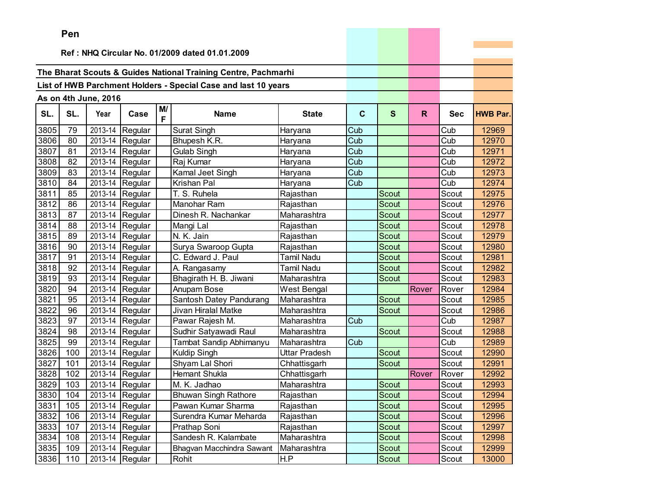|      | Pen |                      |                 |         |                                                                |                      |             |              |              |            |                 |
|------|-----|----------------------|-----------------|---------|----------------------------------------------------------------|----------------------|-------------|--------------|--------------|------------|-----------------|
|      |     |                      |                 |         |                                                                |                      |             |              |              |            |                 |
|      |     |                      |                 |         | Ref: NHQ Circular No. 01/2009 dated 01.01.2009                 |                      |             |              |              |            |                 |
|      |     |                      |                 |         | The Bharat Scouts & Guides National Training Centre, Pachmarhi |                      |             |              |              |            |                 |
|      |     |                      |                 |         | List of HWB Parchment Holders - Special Case and last 10 years |                      |             |              |              |            |                 |
|      |     |                      |                 |         |                                                                |                      |             |              |              |            |                 |
|      |     | As on 4th June, 2016 |                 |         |                                                                |                      |             |              |              |            |                 |
| SL.  | SL. | Year                 | Case            | M/<br>F | <b>Name</b>                                                    | <b>State</b>         | $\mathbf c$ | S            | $\mathsf{R}$ | <b>Sec</b> | <b>HWB Par.</b> |
| 3805 | 79  |                      | 2013-14 Regular |         | <b>Surat Singh</b>                                             | Haryana              | Cub         |              |              | Cub        | 12969           |
| 3806 | 80  |                      | 2013-14 Regular |         | Bhupesh K.R.                                                   | Haryana              | Cub         |              |              | Cub        | 12970           |
| 3807 | 81  |                      | 2013-14 Regular |         | Gulab Singh                                                    | Haryana              | Cub         |              |              | Cub        | 12971           |
| 3808 | 82  |                      | 2013-14 Regular |         | Raj Kumar                                                      | Haryana              | Cub         |              |              | Cub        | 12972           |
| 3809 | 83  |                      | 2013-14 Regular |         | Kamal Jeet Singh                                               | Haryana              | Cub         |              |              | Cub        | 12973           |
| 3810 | 84  |                      | 2013-14 Regular |         | Krishan Pal                                                    | Haryana              | Cub         |              |              | Cub        | 12974           |
| 3811 | 85  |                      | 2013-14 Regular |         | $\overline{T}$ . S. Ruhela                                     | Rajasthan            |             | Scout        |              | Scout      | 12975           |
| 3812 | 86  |                      | 2013-14 Regular |         | Manohar Ram                                                    | Rajasthan            |             | Scout        |              | Scout      | 12976           |
| 3813 | 87  |                      | 2013-14 Regular |         | Dinesh R. Nachankar                                            | Maharashtra          |             | Scout        |              | Scout      | 12977           |
| 3814 | 88  | 2013-14              | Regular         |         | Mangi Lal                                                      | Rajasthan            |             | Scout        |              | Scout      | 12978           |
| 3815 | 89  |                      | 2013-14 Regular |         | N. K. Jain                                                     | Rajasthan            |             | Scout        |              | Scout      | 12979           |
| 3816 | 90  |                      | 2013-14 Regular |         | Surya Swaroop Gupta                                            | Rajasthan            |             | Scout        |              | Scout      | 12980           |
| 3817 | 91  | 2013-14              | Regular         |         | C. Edward J. Paul                                              | <b>Tamil Nadu</b>    |             | Scout        |              | Scout      | 12981           |
| 3818 | 92  |                      | 2013-14 Regular |         | A. Rangasamy                                                   | <b>Tamil Nadu</b>    |             | Scout        |              | Scout      | 12982           |
| 3819 | 93  | 2013-14              | Regular         |         | Bhagirath H. B. Jiwani                                         | Maharashtra          |             | Scout        |              | Scout      | 12983           |
| 3820 | 94  |                      | 2013-14 Regular |         | Anupam Bose                                                    | West Bengal          |             |              | Rover        | Rover      | 12984           |
| 3821 | 95  |                      | 2013-14 Regular |         | Santosh Datey Pandurang                                        | Maharashtra          |             | Scout        |              | Scout      | 12985           |
| 3822 | 96  |                      | 2013-14 Regular |         | Jivan Hiralal Matke                                            | Maharashtra          |             | <b>Scout</b> |              | Scout      | 12986           |
| 3823 | 97  |                      | 2013-14 Regular |         | Pawar Rajesh M.                                                | Maharashtra          | Cub         |              |              | Cub        | 12987           |
| 3824 | 98  |                      | 2013-14 Regular |         | Sudhir Satyawadi Raul                                          | Maharashtra          |             | Scout        |              | Scout      | 12988           |
| 3825 | 99  | 2013-14              | Regular         |         | Tambat Sandip Abhimanyu                                        | Maharashtra          | Cub         |              |              | Cub        | 12989           |
| 3826 | 100 | 2013-14              | Regular         |         | Kuldip Singh                                                   | <b>Uttar Pradesh</b> |             | Scout        |              | Scout      | 12990           |
| 3827 | 101 |                      | 2013-14 Regular |         | Shyam Lal Shori                                                | Chhattisgarh         |             | Scout        |              | Scout      | 12991           |
| 3828 | 102 | 2013-14              | Regular         |         | Hemant Shukla                                                  | Chhattisgarh         |             |              | Rover        | Rover      | 12992           |
| 3829 | 103 |                      | 2013-14 Regular |         | M. K. Jadhao                                                   | Maharashtra          |             | <b>Scout</b> |              | Scout      | 12993           |
| 3830 | 104 |                      | 2013-14 Regular |         | <b>Bhuwan Singh Rathore</b>                                    | Rajasthan            |             | Scout        |              | Scout      | 12994           |
| 3831 | 105 |                      | 2013-14 Regular |         | Pawan Kumar Sharma                                             | Rajasthan            |             | Scout        |              | Scout      | 12995           |
| 3832 | 106 |                      | 2013-14 Regular |         | Surendra Kumar Meharda                                         | Rajasthan            |             | Scout        |              | Scout      | 12996           |
| 3833 | 107 |                      | 2013-14 Regular |         | Prathap Soni                                                   | Rajasthan            |             | Scout        |              | Scout      | 12997           |
| 3834 | 108 |                      | 2013-14 Regular |         | Sandesh R. Kalambate                                           | Maharashtra          |             | Scout        |              | Scout      | 12998           |
| 3835 | 109 |                      | 2013-14 Regular |         | Bhagvan Macchindra Sawant                                      | Maharashtra          |             | Scout        |              | Scout      | 12999           |
| 3836 | 110 |                      | 2013-14 Regular |         | Rohit                                                          | H.P                  |             | Scout        |              | Scout      | 13000           |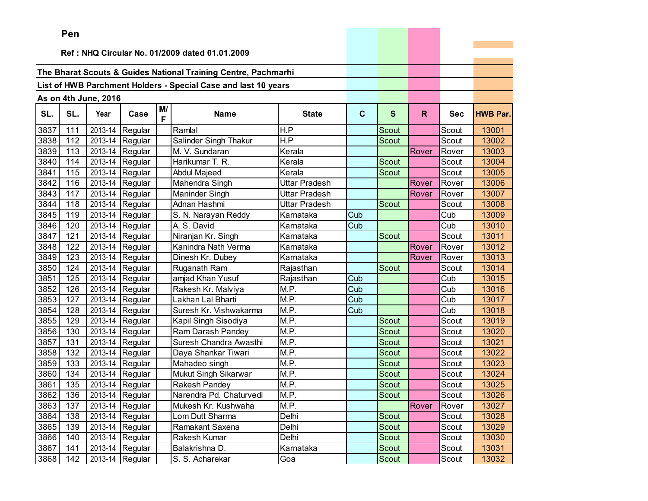|      | Pen |                      |                                 |         |                                                                |               |             |              |              |            |                 |
|------|-----|----------------------|---------------------------------|---------|----------------------------------------------------------------|---------------|-------------|--------------|--------------|------------|-----------------|
|      |     |                      |                                 |         |                                                                |               |             |              |              |            |                 |
|      |     |                      |                                 |         | Ref: NHQ Circular No. 01/2009 dated 01.01.2009                 |               |             |              |              |            |                 |
|      |     |                      |                                 |         | The Bharat Scouts & Guides National Training Centre, Pachmarhi |               |             |              |              |            |                 |
|      |     |                      |                                 |         |                                                                |               |             |              |              |            |                 |
|      |     |                      |                                 |         | List of HWB Parchment Holders - Special Case and last 10 years |               |             |              |              |            |                 |
|      |     | As on 4th June, 2016 |                                 |         |                                                                |               |             |              |              |            |                 |
| SL.  | SL. | Year                 | Case                            | M/<br>F | <b>Name</b>                                                    | <b>State</b>  | $\mathbf c$ | $\mathbf{s}$ | $\mathsf{R}$ | <b>Sec</b> | <b>HWB Par.</b> |
| 3837 | 111 | 2013-14              | Regular                         |         | Ramlal                                                         | H.P           |             | Scout        |              | Scout      | 13001           |
| 3838 | 112 |                      | 2013-14 Regular                 |         | Salinder Singh Thakur                                          | H.P           |             | Scout        |              | Scout      | 13002           |
| 3839 | 113 |                      | 2013-14 Regular                 |         | M. V. Sundaran                                                 | Kerala        |             |              | Rover        | Rover      | 13003           |
| 3840 | 114 |                      | 2013-14 Regular                 |         | Harikumar T. R.                                                | Kerala        |             | Scout        |              | Scout      | 13004           |
| 3841 | 115 | 2013-14              | Regular                         |         | Abdul Majeed                                                   | Kerala        |             | Scout        |              | Scout      | 13005           |
| 3842 | 116 | 2013-14              | Regular                         |         | Mahendra Singh                                                 | Uttar Pradesh |             |              | Rover        | Rover      | 13006           |
| 3843 | 117 | 2013-14              | Regular                         |         | Maninder Singh                                                 | Uttar Pradesh |             |              | Rover        | Rover      | 13007           |
| 3844 | 118 | 2013-14              | Regular                         |         | Adnan Hashmi                                                   | Uttar Pradesh |             | Scout        |              | Scout      | 13008           |
| 3845 | 119 |                      | 2013-14 Regular                 |         | S. N. Narayan Reddy                                            | Karnataka     | Cub         |              |              | Cub        | 13009           |
| 3846 | 120 |                      | 2013-14 Regular                 |         | A. S. David                                                    | Karnataka     | Cub         |              |              | Cub        | 13010           |
| 3847 | 121 |                      | 2013-14 Regular                 |         | Niranjan Kr. Singh                                             | Karnataka     |             | Scout        |              | Scout      | 13011           |
| 3848 | 122 |                      | 2013-14 Regular                 |         | Kanindra Nath Verma                                            | Karnataka     |             |              | Rover        | Rover      | 13012           |
| 3849 | 123 |                      | 2013-14 Regular                 |         | Dinesh Kr. Dubey                                               | Karnataka     |             |              | Rover        | Rover      | 13013           |
| 3850 | 124 |                      | 2013-14 Regular                 |         | Ruganath Ram                                                   | Rajasthan     |             | <b>Scout</b> |              | Scout      | 13014           |
| 3851 | 125 |                      | 2013-14 Regular                 |         | amjad Khan Yusuf                                               | Rajasthan     | Cub         |              |              | Cub        | 13015           |
| 3852 | 126 |                      | 2013-14 Regular                 |         | Rakesh Kr. Malviya                                             | M.P.          | Cub         |              |              | Cub        | 13016           |
| 3853 | 127 |                      | 2013-14 Regular                 |         | Lakhan Lal Bharti                                              | M.P.          | Cub         |              |              | Cub        | 13017           |
| 3854 | 128 |                      | 2013-14 Regular                 |         | Suresh Kr. Vishwakarma                                         | M.P.          | Cub         |              |              | Cub        | 13018           |
| 3855 | 129 |                      | 2013-14 Regular                 |         | Kapil Singh Sisodiya                                           | M.P.          |             | <b>Scout</b> |              | Scout      | 13019           |
| 3856 | 130 | 2013-14              | Regular                         |         | Ram Darash Pandey                                              | M.P.          |             | Scout        |              | Scout      | 13020           |
| 3857 | 131 |                      | 2013-14 Regular                 |         | Suresh Chandra Awasthi                                         | M.P.          |             | Scout        |              | Scout      | 13021           |
| 3858 | 132 |                      | 2013-14 Regular                 |         | Daya Shankar Tiwari                                            | M.P.          |             | Scout        |              | Scout      | 13022           |
| 3859 | 133 |                      | 2013-14 Regular                 |         | Mahadeo singh                                                  | M.P.          |             | Scout        |              | Scout      | 13023           |
| 3860 | 134 |                      | 2013-14 Regular                 |         | Mukut Singh Sikarwar                                           | M.P.          |             | Scout        |              | Scout      | 13024           |
| 3861 | 135 |                      | 2013-14 Regular                 |         | Rakesh Pandey                                                  | M.P.          |             | Scout        |              | Scout      | 13025           |
| 3862 | 136 |                      | 2013-14 Regular                 |         | Narendra Pd. Chaturvedi                                        | M.P.          |             | Scout        |              | Scout      | 13026           |
| 3863 | 137 |                      | 2013-14 Regular                 |         | Mukesh Kr. Kushwaha                                            | M.P.          |             |              | Rover        | Rover      | 13027           |
| 3864 | 138 |                      | 2013-14 Regular                 |         | Lom Dutt Sharma                                                | Delhi         |             | Scout        |              | Scout      | 13028           |
| 3865 | 139 |                      | 2013-14 Regular                 |         | Ramakant Saxena                                                | Delhi         |             | Scout        |              | Scout      | 13029           |
| 3866 | 140 |                      | $\overline{2013}$ -14   Regular |         | Rakesh Kumar                                                   | Delhi         |             | Scout        |              | Scout      | 13030           |
| 3867 | 141 |                      | 2013-14 Regular                 |         | Balakrishna D.                                                 | Karnataka     |             | Scout        |              | Scout      | 13031           |
| 3868 | 142 |                      | 2013-14 Regular                 |         | S. S. Acharekar                                                | Goa           |             | Scout        |              | Scout      | 13032           |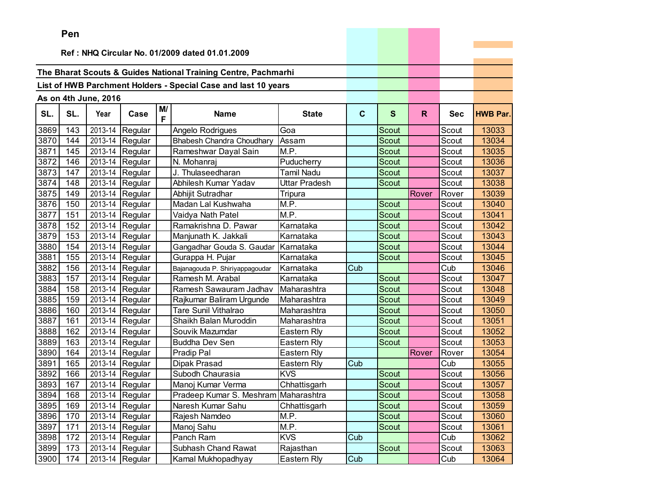|      | ren |                      |                 |         |                                                                |                    |              |              |       |            |                 |
|------|-----|----------------------|-----------------|---------|----------------------------------------------------------------|--------------------|--------------|--------------|-------|------------|-----------------|
|      |     |                      |                 |         | Ref: NHQ Circular No. 01/2009 dated 01.01.2009                 |                    |              |              |       |            |                 |
|      |     |                      |                 |         |                                                                |                    |              |              |       |            |                 |
|      |     |                      |                 |         | The Bharat Scouts & Guides National Training Centre, Pachmarhi |                    |              |              |       |            |                 |
|      |     |                      |                 |         | List of HWB Parchment Holders - Special Case and last 10 years |                    |              |              |       |            |                 |
|      |     |                      |                 |         |                                                                |                    |              |              |       |            |                 |
|      |     | As on 4th June, 2016 |                 |         |                                                                |                    |              |              |       |            |                 |
| SL.  | SL. | Year                 | Case            | M/<br>F | <b>Name</b>                                                    | <b>State</b>       | $\mathbf{C}$ | $\mathbf{s}$ | R.    | <b>Sec</b> | <b>HWB Par.</b> |
| 3869 | 143 | 2013-14              | Regular         |         | Angelo Rodrigues                                               | Goa                |              | Scout        |       | Scout      | 13033           |
| 3870 | 144 | 2013-14              | Regular         |         | <b>Bhabesh Chandra Choudhary</b>                               | Assam              |              | Scout        |       | Scout      | 13034           |
| 3871 | 145 | 2013-14              | Regular         |         | Rameshwar Dayal Sain                                           | M.P.               |              | Scout        |       | Scout      | 13035           |
| 3872 | 146 |                      | 2013-14 Regular |         | N. Mohanraj                                                    | Puducherry         |              | Scout        |       | Scout      | 13036           |
| 3873 | 147 | 2013-14              | Regular         |         | J. Thulaseedharan                                              | Tamil Nadu         |              | <b>Scout</b> |       | Scout      | 13037           |
| 3874 | 148 | 2013-14              | Regular         |         | Abhilesh Kumar Yadav                                           | Uttar Pradesh      |              | Scout        |       | Scout      | 13038           |
| 3875 | 149 | 2013-14              | Regular         |         | Abhijit Sutradhar                                              | Tripura            |              |              | Rover | Rover      | 13039           |
| 3876 | 150 | 2013-14              | Regular         |         | Madan Lal Kushwaha                                             | M.P.               |              | Scout        |       | Scout      | 13040           |
| 3877 | 151 | 2013-14              | Regular         |         | Vaidya Nath Patel                                              | M.P.               |              | Scout        |       | Scout      | 13041           |
| 3878 | 152 |                      | 2013-14 Regular |         | Ramakrishna D. Pawar                                           | Karnataka          |              | Scout        |       | Scout      | 13042           |
| 3879 | 153 | 2013-14              | Regular         |         | Manjunath K. Jakkali                                           | Karnataka          |              | Scout        |       | Scout      | 13043           |
| 3880 | 154 | 2013-14              | Regular         |         | Gangadhar Gouda S. Gaudar                                      | Karnataka          |              | Scout        |       | Scout      | 13044           |
| 3881 | 155 | 2013-14              | Regular         |         | Gurappa H. Pujar                                               | Karnataka          |              | Scout        |       | Scout      | 13045           |
| 3882 | 156 | 2013-14              | Regular         |         | Bajanagouda P. Shiriyappagoudar                                | Karnataka          | Cub          |              |       | Cub        | 13046           |
| 3883 | 157 | 2013-14              | Regular         |         | Ramesh M. Arabal                                               | Karnataka          |              | Scout        |       | Scout      | 13047           |
| 3884 | 158 |                      | 2013-14 Regular |         | Ramesh Sawauram Jadhav                                         | Maharashtra        |              | Scout        |       | Scout      | 13048           |
| 3885 | 159 | 2013-14              | Regular         |         | Rajkumar Baliram Urgunde                                       | Maharashtra        |              | <b>Scout</b> |       | Scout      | 13049           |
| 3886 | 160 | 2013-14              | Regular         |         | <b>Tare Sunil Vithalrao</b>                                    | Maharashtra        |              | Scout        |       | Scout      | 13050           |
| 3887 | 161 | 2013-14              | Regular         |         | Shaikh Balan Muroddin                                          | Maharashtra        |              | Scout        |       | Scout      | 13051           |
| 3888 | 162 | 2013-14              | Regular         |         | Souvik Mazumdar                                                | Eastern Rly        |              | <b>Scout</b> |       | Scout      | 13052           |
| 3889 | 163 | 2013-14              | Regular         |         | <b>Buddha Dev Sen</b>                                          | Eastern Rly        |              | Scout        |       | Scout      | 13053           |
| 3890 | 164 | 2013-14              | Regular         |         | Pradip Pal                                                     | Eastern Rly        |              |              | Rover | Rover      | 13054           |
| 3891 | 165 |                      | 2013-14 Regular |         | Dipak Prasad                                                   | Eastern Rly        | Cub          |              |       | Cub        | 13055           |
| 3892 | 166 | 2013-14              | Regular         |         | Subodh Chaurasia                                               | <b>KVS</b>         |              | Scout        |       | Scout      | 13056           |
| 3893 | 167 | 2013-14              | Regular         |         | Manoj Kumar Verma                                              | Chhattisgarh       |              | Scout        |       | Scout      | 13057           |
| 3894 | 168 |                      | 2013-14 Regular |         | Pradeep Kumar S. Meshram Maharashtra                           |                    |              | Scout        |       | Scout      | 13058           |
| 3895 | 169 |                      | 2013-14 Regular |         | Naresh Kumar Sahu                                              | Chhattisgarh       |              | Scout        |       | Scout      | 13059           |
| 3896 | 170 |                      | 2013-14 Regular |         | Rajesh Namdeo                                                  | $\overline{M}$ .P. |              | Scout        |       | Scout      | 13060           |
| 3897 | 171 |                      | 2013-14 Regular |         | Manoj Sahu                                                     | M.P.               |              | Scout        |       | Scout      | 13061           |
| 3898 | 172 |                      | 2013-14 Regular |         | Panch Ram                                                      | <b>KVS</b>         | Cub          |              |       | Cub        | 13062           |
| 3899 | 173 |                      | 2013-14 Regular |         | Subhash Chand Rawat                                            | Rajasthan          |              | Scout        |       | Scout      | 13063           |
| 3900 | 174 |                      | 2013-14 Regular |         | Kamal Mukhopadhyay                                             | Eastern Rly        | Cub          |              |       | Cub        | 13064           |

and the contract of the con-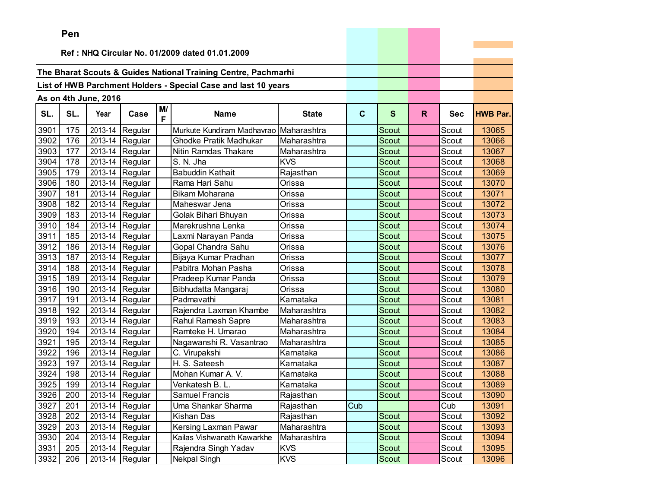|      | Pen |                      |                          |         |                                                                |              |             |              |    |            |                 |
|------|-----|----------------------|--------------------------|---------|----------------------------------------------------------------|--------------|-------------|--------------|----|------------|-----------------|
|      |     |                      |                          |         |                                                                |              |             |              |    |            |                 |
|      |     |                      |                          |         | Ref: NHQ Circular No. 01/2009 dated 01.01.2009                 |              |             |              |    |            |                 |
|      |     |                      |                          |         | The Bharat Scouts & Guides National Training Centre, Pachmarhi |              |             |              |    |            |                 |
|      |     |                      |                          |         | List of HWB Parchment Holders - Special Case and last 10 years |              |             |              |    |            |                 |
|      |     |                      |                          |         |                                                                |              |             |              |    |            |                 |
|      |     | As on 4th June, 2016 |                          |         |                                                                |              |             |              |    |            |                 |
| SL.  | SL. | Year                 | Case                     | M/<br>F | <b>Name</b>                                                    | <b>State</b> | $\mathbf c$ | $\mathbf{s}$ | R. | <b>Sec</b> | <b>HWB Par.</b> |
| 3901 | 175 | 2013-14              | Regular                  |         | Murkute Kundiram Madhavrao Maharashtra                         |              |             | Scout        |    | Scout      | 13065           |
| 3902 | 176 |                      | 2013-14 Regular          |         | <b>Ghodke Pratik Madhukar</b>                                  | Maharashtra  |             | Scout        |    | Scout      | 13066           |
| 3903 | 177 |                      | 2013-14 Regular          |         | Nitin Ramdas Thakare                                           | Maharashtra  |             | <b>Scout</b> |    | Scout      | 13067           |
| 3904 | 178 | 2013-14              | Regular                  |         | S. N. Jha                                                      | <b>KVS</b>   |             | Scout        |    | Scout      | 13068           |
| 3905 | 179 |                      | 2013-14 Regular          |         | <b>Babuddin Kathait</b>                                        | Rajasthan    |             | Scout        |    | Scout      | 13069           |
| 3906 | 180 |                      | 2013-14 Regular          |         | Rama Hari Sahu                                                 | Orissa       |             | <b>Scout</b> |    | Scout      | 13070           |
| 3907 | 181 |                      | 2013-14 Regular          |         | <b>Bikam Moharana</b>                                          | Orissa       |             | Scout        |    | Scout      | 13071           |
| 3908 | 182 |                      | 2013-14 Regular          |         | Maheswar Jena                                                  | Orissa       |             | Scout        |    | Scout      | 13072           |
| 3909 | 183 |                      | 2013-14 Regular          |         | Golak Bihari Bhuyan                                            | Orissa       |             | <b>Scout</b> |    | Scout      | 13073           |
| 3910 | 184 |                      | 2013-14 Regular          |         | Marekrushna Lenka                                              | Orissa       |             | Scout        |    | Scout      | 13074           |
| 3911 | 185 | 2013-14              | Regular                  |         | Laxmi Narayan Panda                                            | Orissa       |             | Scout        |    | Scout      | 13075           |
| 3912 | 186 |                      | 2013-14 Regular          |         | Gopal Chandra Sahu                                             | Orissa       |             | Scout        |    | Scout      | 13076           |
| 3913 | 187 |                      | 2013-14 Regular          |         | Bijaya Kumar Pradhan                                           | Orissa       |             | Scout        |    | Scout      | 13077           |
| 3914 | 188 |                      | 2013-14 Regular          |         | Pabitra Mohan Pasha                                            | Orissa       |             | Scout        |    | Scout      | 13078           |
| 3915 | 189 |                      | 2013-14 Regular          |         | Pradeep Kumar Panda                                            | Orissa       |             | Scout        |    | Scout      | 13079           |
| 3916 | 190 |                      | 2013-14 Regular          |         | Bibhudatta Mangaraj                                            | Orissa       |             | Scout        |    | Scout      | 13080           |
| 3917 | 191 |                      | 2013-14 Regular          |         | Padmavathi                                                     | Karnataka    |             | Scout        |    | Scout      | 13081           |
| 3918 | 192 |                      | 2013-14 Regular          |         | Rajendra Laxman Khambe                                         | Maharashtra  |             | Scout        |    | Scout      | 13082           |
| 3919 | 193 | 2013-14              | Regular                  |         | Rahul Ramesh Sapre                                             | Maharashtra  |             | Scout        |    | Scout      | 13083           |
| 3920 | 194 | 2013-14              | Regular                  |         | Ramteke H. Umarao                                              | Maharashtra  |             | Scout        |    | Scout      | 13084           |
| 3921 | 195 |                      | 2013-14 Regular          |         | Nagawanshi R. Vasantrao                                        | Maharashtra  |             | Scout        |    | Scout      | 13085           |
| 3922 | 196 | 2013-14              | Regular                  |         | C. Virupakshi                                                  | Karnataka    |             | Scout        |    | Scout      | 13086           |
| 3923 | 197 | 2013-14              | Regular                  |         | H. S. Sateesh                                                  | Karnataka    |             | Scout        |    | Scout      | 13087           |
| 3924 | 198 |                      | 2013-14 Regular          |         | Mohan Kumar A. V.                                              | Karnataka    |             | Scout        |    | Scout      | 13088           |
| 3925 | 199 |                      | 2013-14 Regular          |         | Venkatesh B. L.                                                | Karnataka    |             | Scout        |    | Scout      | 13089           |
|      |     |                      | 3926 200 2013-14 Regular |         | Samuel Francis                                                 | Rajasthan    |             | Scout        |    | Scout      | 13090           |
| 3927 | 201 |                      | 2013-14 Regular          |         | Uma Shankar Sharma                                             | Rajasthan    | Cub         |              |    | Cub        | 13091           |
| 3928 | 202 |                      | 2013-14 Regular          |         | Kishan Das                                                     | Rajasthan    |             | Scout        |    | Scout      | 13092           |
| 3929 | 203 |                      | 2013-14 Regular          |         | Kersing Laxman Pawar                                           | Maharashtra  |             | Scout        |    | Scout      | 13093           |
| 3930 | 204 |                      | 2013-14 Regular          |         | Kailas Vishwanath Kawarkhe                                     | Maharashtra  |             | Scout        |    | Scout      | 13094           |
| 3931 | 205 |                      | 2013-14 Regular          |         | Rajendra Singh Yadav                                           | <b>KVS</b>   |             | Scout        |    | Scout      | 13095           |
| 3932 | 206 |                      | 2013-14 Regular          |         | Nekpal Singh                                                   | <b>KVS</b>   |             | Scout        |    | Scout      | 13096           |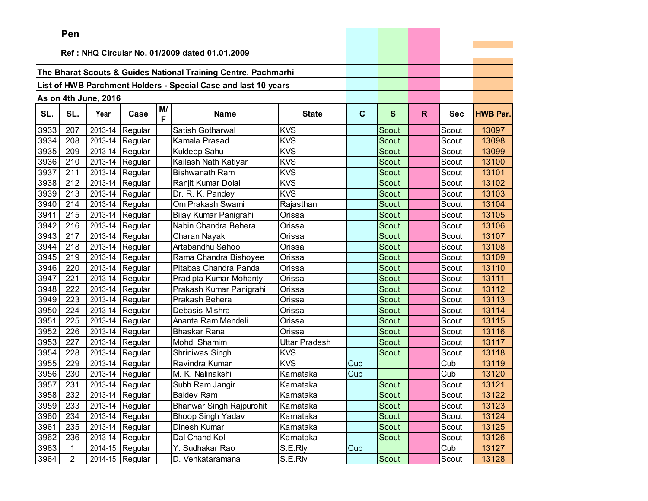|      | Pen            |                      |                 |         |                                                                |               |             |              |    |            |                 |
|------|----------------|----------------------|-----------------|---------|----------------------------------------------------------------|---------------|-------------|--------------|----|------------|-----------------|
|      |                |                      |                 |         |                                                                |               |             |              |    |            |                 |
|      |                |                      |                 |         | Ref: NHQ Circular No. 01/2009 dated 01.01.2009                 |               |             |              |    |            |                 |
|      |                |                      |                 |         | The Bharat Scouts & Guides National Training Centre, Pachmarhi |               |             |              |    |            |                 |
|      |                |                      |                 |         |                                                                |               |             |              |    |            |                 |
|      |                |                      |                 |         | List of HWB Parchment Holders - Special Case and last 10 years |               |             |              |    |            |                 |
|      |                | As on 4th June, 2016 |                 |         |                                                                |               |             |              |    |            |                 |
| SL.  | SL.            | Year                 | Case            | M/<br>F | <b>Name</b>                                                    | <b>State</b>  | $\mathbf c$ | $\mathbf{s}$ | R. | <b>Sec</b> | <b>HWB Par.</b> |
| 3933 | 207            | 2013-14              | Regular         |         | Satish Gotharwal                                               | <b>KVS</b>    |             | Scout        |    | Scout      | 13097           |
| 3934 | 208            |                      | 2013-14 Regular |         | Kamala Prasad                                                  | <b>KVS</b>    |             | Scout        |    | Scout      | 13098           |
| 3935 | 209            |                      | 2013-14 Regular |         | Kuldeep Sahu                                                   | <b>KVS</b>    |             | <b>Scout</b> |    | Scout      | 13099           |
| 3936 | 210            | 2013-14              | Regular         |         | Kailash Nath Katiyar                                           | <b>KVS</b>    |             | Scout        |    | Scout      | 13100           |
| 3937 | 211            |                      | 2013-14 Regular |         | <b>Bishwanath Ram</b>                                          | <b>KVS</b>    |             | Scout        |    | Scout      | 13101           |
| 3938 | 212            |                      | 2013-14 Regular |         | Ranjit Kumar Dolai                                             | <b>KVS</b>    |             | <b>Scout</b> |    | Scout      | 13102           |
| 3939 | 213            |                      | 2013-14 Regular |         | Dr. R. K. Pandey                                               | <b>KVS</b>    |             | <b>Scout</b> |    | Scout      | 13103           |
| 3940 | 214            |                      | 2013-14 Regular |         | Om Prakash Swami                                               | Rajasthan     |             | Scout        |    | Scout      | 13104           |
| 3941 | 215            |                      | 2013-14 Regular |         | Bijay Kumar Panigrahi                                          | Orissa        |             | <b>Scout</b> |    | Scout      | 13105           |
| 3942 | 216            | 2013-14              | Regular         |         | Nabin Chandra Behera                                           | Orissa        |             | Scout        |    | Scout      | 13106           |
| 3943 | 217            | 2013-14              | Regular         |         | Charan Nayak                                                   | Orissa        |             | Scout        |    | Scout      | 13107           |
| 3944 | 218            |                      | 2013-14 Regular |         | Artabandhu Sahoo                                               | Orissa        |             | Scout        |    | Scout      | 13108           |
| 3945 | 219            |                      | 2013-14 Regular |         | Rama Chandra Bishoyee                                          | Orissa        |             | Scout        |    | Scout      | 13109           |
| 3946 | 220            |                      | 2013-14 Regular |         | Pitabas Chandra Panda                                          | Orissa        |             | Scout        |    | Scout      | 13110           |
| 3947 | 221            |                      | 2013-14 Regular |         | Pradipta Kumar Mohanty                                         | Orissa        |             | Scout        |    | Scout      | 13111           |
| 3948 | 222            |                      | 2013-14 Regular |         | Prakash Kumar Panigrahi                                        | Orissa        |             | Scout        |    | Scout      | 13112           |
| 3949 | 223            | 2013-14              | Regular         |         | Prakash Behera                                                 | Orissa        |             | Scout        |    | Scout      | 13113           |
| 3950 | 224            |                      | 2013-14 Regular |         | Debasis Mishra                                                 | Orissa        |             | Scout        |    | Scout      | 13114           |
| 3951 | 225            | 2013-14              | Regular         |         | Ananta Ram Mendeli                                             | Orissa        |             | <b>Scout</b> |    | Scout      | 13115           |
| 3952 | 226            | 2013-14              | Regular         |         | Bhaskar Rana                                                   | Orissa        |             | Scout        |    | Scout      | 13116           |
| 3953 | 227            |                      | 2013-14 Regular |         | Mohd. Shamim                                                   | Uttar Pradesh |             | Scout        |    | Scout      | 13117           |
| 3954 | 228            | 2013-14              | Regular         |         | Shriniwas Singh                                                | <b>KVS</b>    |             | Scout        |    | Scout      | 13118           |
| 3955 | 229            | 2013-14              | Regular         |         | Ravindra Kumar                                                 | KVS           | Cub         |              |    | Cub        | 13119           |
| 3956 | 230            |                      | 2013-14 Regular |         | M. K. Nalinakshi                                               | Karnataka     | Cub         |              |    | Cub        | 13120           |
| 3957 | 231            |                      | 2013-14 Regular |         | Subh Ram Jangir                                                | Karnataka     |             | Scout        |    | Scout      | 13121           |
|      | 3958 232       |                      | 2013-14 Regular |         | Baldev Ram                                                     | Karnataka     |             | Scout        |    | Scout      | 13122           |
| 3959 | 233            |                      | 2013-14 Regular |         | <b>Bhanwar Singh Rajpurohit</b>                                | Karnataka     |             | Scout        |    | Scout      | 13123           |
| 3960 | 234            |                      | 2013-14 Regular |         | <b>Bhoop Singh Yadav</b>                                       | Karnataka     |             | Scout        |    | Scout      | 13124           |
| 3961 | 235            |                      | 2013-14 Regular |         | Dinesh Kumar                                                   | Karnataka     |             | Scout        |    | Scout      | 13125           |
| 3962 | 236            |                      | 2013-14 Regular |         | Dal Chand Koli                                                 | Karnataka     |             | Scout        |    | Scout      | 13126           |
| 3963 | 1              |                      | 2014-15 Regular |         | Y. Sudhakar Rao                                                | S.E.Rly       | Cub         |              |    | Cub        | 13127           |
| 3964 | $\overline{2}$ |                      | 2014-15 Regular |         | D. Venkataramana                                               | S.E.Rly       |             | Scout        |    | Scout      | 13128           |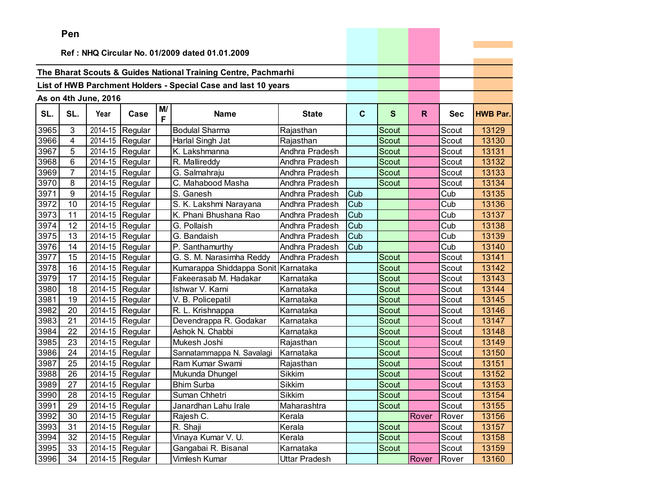|      | Pen             |                      |                               |         |                                                                |                |             |              |       |            |                 |
|------|-----------------|----------------------|-------------------------------|---------|----------------------------------------------------------------|----------------|-------------|--------------|-------|------------|-----------------|
|      |                 |                      |                               |         |                                                                |                |             |              |       |            |                 |
|      |                 |                      |                               |         | Ref: NHQ Circular No. 01/2009 dated 01.01.2009                 |                |             |              |       |            |                 |
|      |                 |                      |                               |         | The Bharat Scouts & Guides National Training Centre, Pachmarhi |                |             |              |       |            |                 |
|      |                 |                      |                               |         | List of HWB Parchment Holders - Special Case and last 10 years |                |             |              |       |            |                 |
|      |                 |                      |                               |         |                                                                |                |             |              |       |            |                 |
|      |                 | As on 4th June, 2016 |                               |         |                                                                |                |             |              |       |            |                 |
| SL.  | SL.             | Year                 | Case                          | M/<br>F | <b>Name</b>                                                    | <b>State</b>   | $\mathbf C$ | S            | R.    | <b>Sec</b> | <b>HWB Par.</b> |
| 3965 | 3               | 2014-15              | Regular                       |         | <b>Bodulal Sharma</b>                                          | Rajasthan      |             | Scout        |       | Scout      | 13129           |
| 3966 | $\overline{4}$  |                      | 2014-15 Regular               |         | Harlal Singh Jat                                               | Rajasthan      |             | <b>Scout</b> |       | Scout      | 13130           |
| 3967 | 5               |                      | 2014-15 Regular               |         | K. Lakshmanna                                                  | Andhra Pradesh |             | Scout        |       | Scout      | 13131           |
| 3968 | 6               |                      | 2014-15 Regular               |         | R. Mallireddy                                                  | Andhra Pradesh |             | Scout        |       | Scout      | 13132           |
| 3969 | 7               |                      | 2014-15 Regular               |         | G. Salmahraju                                                  | Andhra Pradesh |             | Scout        |       | Scout      | 13133           |
| 3970 | 8               |                      | 2014-15 Regular               |         | C. Mahabood Masha                                              | Andhra Pradesh |             | Scout        |       | Scout      | 13134           |
| 3971 | 9               | 2014-15              | Regular                       |         | S. Ganesh                                                      | Andhra Pradesh | Cub         |              |       | Cub        | 13135           |
| 3972 | 10              | 2014-15              | Regular                       |         | S. K. Lakshmi Narayana                                         | Andhra Pradesh | Cub         |              |       | Cub        | 13136           |
| 3973 | 11              |                      | 2014-15 Regular               |         | K. Phani Bhushana Rao                                          | Andhra Pradesh | Cub         |              |       | Cub        | 13137           |
| 3974 | 12              | 2014-15              | Regular                       |         | G. Pollaish                                                    | Andhra Pradesh | Cub         |              |       | Cub        | 13138           |
| 3975 | 13              | 2014-15              | Regular                       |         | G. Bandaish                                                    | Andhra Pradesh | Cub         |              |       | Cub        | 13139           |
| 3976 | 14              | 2014-15              | Regular                       |         | P. Santhamurthy                                                | Andhra Pradesh | Cub         |              |       | Cub        | 13140           |
| 3977 | 15              | 2014-15              | Regular                       |         | G. S. M. Narasimha Reddy                                       | Andhra Pradesh |             | <b>Scout</b> |       | Scout      | 13141           |
| 3978 | 16              | 2014-15              | Regular                       |         | Kumarappa Shiddappa Sonit Karnataka                            |                |             | <b>Scout</b> |       | Scout      | 13142           |
| 3979 | 17              | 2014-15              | Regular                       |         | Fakeerasab M. Hadakar                                          | Karnataka      |             | Scout        |       | Scout      | 13143           |
| 3980 | 18              |                      | 2014-15 Regular               |         | Ishwar V. Karni                                                | Karnataka      |             | <b>Scout</b> |       | Scout      | 13144           |
| 3981 | 19              | 2014-15              | Regular                       |         | V. B. Policepatil                                              | Karnataka      |             | <b>Scout</b> |       | Scout      | 13145           |
| 3982 | 20              | 2014-15              | Regular                       |         | R. L. Krishnappa                                               | Karnataka      |             | Scout        |       | Scout      | 13146           |
| 3983 | 21              | 2014-15              | Regular                       |         | Devendrappa R. Godakar                                         | Karnataka      |             | <b>Scout</b> |       | Scout      | 13147           |
| 3984 | 22              | 2014-15              | Regular                       |         | Ashok N. Chabbi                                                | Karnataka      |             | Scout        |       | Scout      | 13148           |
| 3985 | 23              | 2014-15              | Regular                       |         | Mukesh Joshi                                                   | Rajasthan      |             | Scout        |       | Scout      | 13149           |
| 3986 | 24              |                      | 2014-15 Regular               |         | Sannatammappa N. Savalagi                                      | Karnataka      |             | Scout        |       | Scout      | 13150           |
| 3987 | 25              | 2014-15              | Regular                       |         | Ram Kumar Swami                                                | Rajasthan      |             | Scout        |       | Scout      | 13151           |
| 3988 | 26              | 2014-15              | Regular                       |         | Mukunda Dhungel                                                | Sikkim         |             | Scout        |       | Scout      | 13152           |
| 3989 | 27              |                      | $\overline{2014}$ -15 Regular |         | <b>Bhim Surba</b>                                              | <b>Sikkim</b>  |             | Scout        |       | Scout      | 13153           |
| 3990 | $\overline{28}$ |                      | 2014-15 Regular               |         | Suman Chhetri                                                  | Sikkim         |             | Scout        |       | Scout      | 13154           |
| 3991 | 29              |                      | 2014-15 Regular               |         | Janardhan Lahu Irale                                           | Maharashtra    |             | Scout        |       | Scout      | 13155           |
| 3992 | 30              |                      | 2014-15 Regular               |         | Rajesh C.                                                      | Kerala         |             |              | Rover | Rover      | 13156           |
| 3993 | 31              |                      | $2014-15$ Regular             |         | R. Shaji                                                       | Kerala         |             | Scout        |       | Scout      | 13157           |
| 3994 | 32              |                      | $\overline{2014}$ -15 Regular |         | Vinaya Kumar V. U.                                             | Kerala         |             | Scout        |       | Scout      | 13158           |
| 3995 | 33              |                      | 2014-15 Regular               |         | Gangabai R. Bisanal                                            | Karnataka      |             | Scout        |       | Scout      | 13159           |
| 3996 | 34              |                      | 2014-15 Regular               |         | Vimlesh Kumar                                                  | Uttar Pradesh  |             |              | Rover | Rover      | 13160           |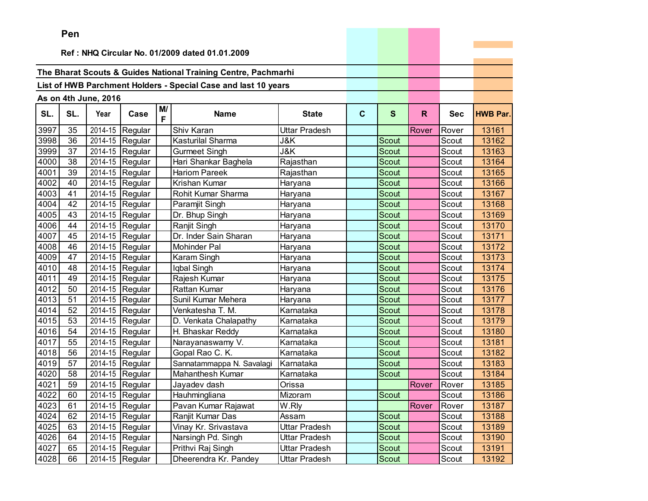|      | Pen |                      |                 |         |                                                                |               |             |              |       |            |                 |
|------|-----|----------------------|-----------------|---------|----------------------------------------------------------------|---------------|-------------|--------------|-------|------------|-----------------|
|      |     |                      |                 |         |                                                                |               |             |              |       |            |                 |
|      |     |                      |                 |         | Ref: NHQ Circular No. 01/2009 dated 01.01.2009                 |               |             |              |       |            |                 |
|      |     |                      |                 |         | The Bharat Scouts & Guides National Training Centre, Pachmarhi |               |             |              |       |            |                 |
|      |     |                      |                 |         | List of HWB Parchment Holders - Special Case and last 10 years |               |             |              |       |            |                 |
|      |     |                      |                 |         |                                                                |               |             |              |       |            |                 |
|      |     | As on 4th June, 2016 |                 |         |                                                                |               |             |              |       |            |                 |
| SL.  | SL. | Year                 | Case            | M/<br>F | <b>Name</b>                                                    | <b>State</b>  | $\mathbf c$ | S            | R     | <b>Sec</b> | <b>HWB Par.</b> |
| 3997 | 35  |                      | 2014-15 Regular |         | Shiv Karan                                                     | Uttar Pradesh |             |              | Rover | Rover      | 13161           |
| 3998 | 36  |                      | 2014-15 Regular |         | <b>Kasturilal Sharma</b>                                       | J&K           |             | Scout        |       | Scout      | 13162           |
| 3999 | 37  |                      | 2014-15 Regular |         | <b>Gurmeet Singh</b>                                           | J&K           |             | Scout        |       | Scout      | 13163           |
| 4000 | 38  |                      | 2014-15 Regular |         | Hari Shankar Baghela                                           | Rajasthan     |             | Scout        |       | Scout      | 13164           |
| 4001 | 39  |                      | 2014-15 Regular |         | Hariom Pareek                                                  | Rajasthan     |             | Scout        |       | Scout      | 13165           |
| 4002 | 40  | 2014-15              | Regular         |         | Krishan Kumar                                                  | Haryana       |             | <b>Scout</b> |       | Scout      | 13166           |
| 4003 | 41  |                      | 2014-15 Regular |         | Rohit Kumar Sharma                                             | Haryana       |             | <b>Scout</b> |       | Scout      | 13167           |
| 4004 | 42  |                      | 2014-15 Regular |         | Paramjit Singh                                                 | Haryana       |             | <b>Scout</b> |       | Scout      | 13168           |
| 4005 | 43  |                      | 2014-15 Regular |         | Dr. Bhup Singh                                                 | Haryana       |             | <b>Scout</b> |       | Scout      | 13169           |
| 4006 | 44  | 2014-15              | Regular         |         | Ranjit Singh                                                   | Haryana       |             | Scout        |       | Scout      | 13170           |
| 4007 | 45  | 2014-15              | Regular         |         | Dr. Inder Sain Sharan                                          | Haryana       |             | Scout        |       | Scout      | 13171           |
| 4008 | 46  | 2014-15              | Regular         |         | Mohinder Pal                                                   | Haryana       |             | Scout        |       | Scout      | 13172           |
| 4009 | 47  |                      | 2014-15 Regular |         | Karam Singh                                                    | Haryana       |             | Scout        |       | Scout      | 13173           |
| 4010 | 48  |                      | 2014-15 Regular |         | Iqbal Singh                                                    | Haryana       |             | Scout        |       | Scout      | 13174           |
| 4011 | 49  |                      | 2014-15 Regular |         | Rajesh Kumar                                                   | Haryana       |             | Scout        |       | Scout      | 13175           |
| 4012 | 50  |                      | 2014-15 Regular |         | Rattan Kumar                                                   | Haryana       |             | Scout        |       | Scout      | 13176           |
| 4013 | 51  |                      | 2014-15 Regular |         | Sunil Kumar Mehera                                             | Haryana       |             | Scout        |       | Scout      | 13177           |
| 4014 | 52  |                      | 2014-15 Regular |         | Venkatesha T. M.                                               | Karnataka     |             | Scout        |       | Scout      | 13178           |
| 4015 | 53  | 2014-15              | Regular         |         | D. Venkata Chalapathy                                          | Karnataka     |             | <b>Scout</b> |       | Scout      | 13179           |
| 4016 | 54  | 2014-15              | Regular         |         | H. Bhaskar Reddy                                               | Karnataka     |             | Scout        |       | Scout      | 13180           |
| 4017 | 55  |                      | 2014-15 Regular |         | Narayanaswamy V.                                               | Karnataka     |             | Scout        |       | Scout      | 13181           |
| 4018 | 56  | 2014-15              | Regular         |         | Gopal Rao C. K.                                                | Karnataka     |             | Scout        |       | Scout      | 13182           |
| 4019 | 57  | 2014-15              | Regular         |         | Sannatammappa N. Savalagi                                      | Karnataka     |             | Scout        |       | Scout      | 13183           |
| 4020 | 58  |                      | 2014-15 Regular |         | <b>Mahanthesh Kumar</b>                                        | Karnataka     |             | Scout        |       | Scout      | 13184           |
| 4021 | 59  |                      | 2014-15 Regular |         | Jayadev dash                                                   | Orissa        |             |              | Rover | Rover      | 13185           |
| 4022 | 60  |                      | 2014-15 Regular |         | Hauhmingliana                                                  | Mizoram       |             | Scout        |       | Scout      | 13186           |
| 4023 | 61  |                      | 2014-15 Regular |         | Pavan Kumar Rajawat                                            | W.Rly         |             |              | Rover | Rover      | 13187           |
| 4024 | 62  |                      | 2014-15 Regular |         | Ranjit Kumar Das                                               | Assam         |             | Scout        |       | Scout      | 13188           |
| 4025 | 63  |                      | 2014-15 Regular |         | Vinay Kr. Srivastava                                           | Uttar Pradesh |             | Scout        |       | Scout      | 13189           |
| 4026 | 64  |                      | 2014-15 Regular |         | Narsingh Pd. Singh                                             | Uttar Pradesh |             | Scout        |       | Scout      | 13190           |
| 4027 | 65  |                      | 2014-15 Regular |         | Prithvi Raj Singh                                              | Uttar Pradesh |             | Scout        |       | Scout      | 13191           |
| 4028 | 66  |                      | 2014-15 Regular |         | Dheerendra Kr. Pandey                                          | Uttar Pradesh |             | Scout        |       | Scout      | 13192           |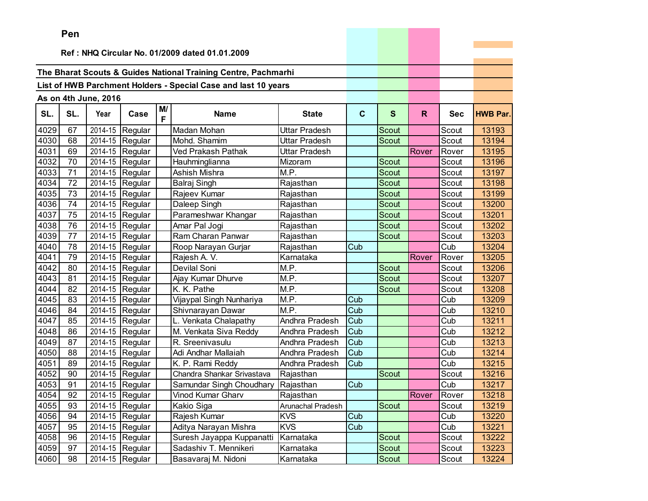|      | ген                                            |                      |                               |         |                                                                |                      |             |              |       |            |                 |
|------|------------------------------------------------|----------------------|-------------------------------|---------|----------------------------------------------------------------|----------------------|-------------|--------------|-------|------------|-----------------|
|      | Ref: NHQ Circular No. 01/2009 dated 01.01.2009 |                      |                               |         |                                                                |                      |             |              |       |            |                 |
|      |                                                |                      |                               |         |                                                                |                      |             |              |       |            |                 |
|      |                                                |                      |                               |         | The Bharat Scouts & Guides National Training Centre, Pachmarhi |                      |             |              |       |            |                 |
|      |                                                |                      |                               |         | List of HWB Parchment Holders - Special Case and last 10 years |                      |             |              |       |            |                 |
|      |                                                |                      |                               |         |                                                                |                      |             |              |       |            |                 |
|      |                                                | As on 4th June, 2016 |                               |         |                                                                |                      |             |              |       |            |                 |
| SL.  | SL.                                            | Year                 | Case                          | M/<br>F | <b>Name</b>                                                    | <b>State</b>         | $\mathbf c$ | S            | R.    | <b>Sec</b> | <b>HWB Par.</b> |
| 4029 | 67                                             | 2014-15              | Regular                       |         | Madan Mohan                                                    | <b>Uttar Pradesh</b> |             | Scout        |       | Scout      | 13193           |
| 4030 | 68                                             | 2014-15              | Regular                       |         | Mohd. Shamim                                                   | Uttar Pradesh        |             | <b>Scout</b> |       | Scout      | 13194           |
| 4031 | 69                                             | 2014-15              | Regular                       |         | Ved Prakash Pathak                                             | Uttar Pradesh        |             |              | Rover | Rover      | 13195           |
| 4032 | 70                                             | 2014-15              | Regular                       |         | Hauhminglianna                                                 | Mizoram              |             | Scout        |       | Scout      | 13196           |
| 4033 | 71                                             | 2014-15              | Regular                       |         | Ashish Mishra                                                  | M.P.                 |             | Scout        |       | Scout      | 13197           |
| 4034 | 72                                             | 2014-15              | Regular                       |         | Balraj Singh                                                   | Rajasthan            |             | Scout        |       | Scout      | 13198           |
| 4035 | 73                                             | 2014-15              | Regular                       |         | Rajeev Kumar                                                   | Rajasthan            |             | Scout        |       | Scout      | 13199           |
| 4036 | 74                                             | 2014-15              | Regular                       |         | Daleep Singh                                                   | Rajasthan            |             | Scout        |       | Scout      | 13200           |
| 4037 | 75                                             | 2014-15              | Regular                       |         | Parameshwar Khangar                                            | Rajasthan            |             | Scout        |       | Scout      | 13201           |
| 4038 | 76                                             | 2014-15              | Regular                       |         | Amar Pal Jogi                                                  | Rajasthan            |             | Scout        |       | Scout      | 13202           |
| 4039 | 77                                             | 2014-15              | Regular                       |         | Ram Charan Panwar                                              | Rajasthan            |             | Scout        |       | Scout      | 13203           |
| 4040 | 78                                             | 2014-15              | Regular                       |         | Roop Narayan Gurjar                                            | Rajasthan            | Cub         |              |       | Cub        | 13204           |
| 4041 | 79                                             | 2014-15              | Regular                       |         | Rajesh A. V.                                                   | Karnataka            |             |              | Rover | Rover      | 13205           |
| 4042 | 80                                             | 2014-15              | Regular                       |         | Devilal Soni                                                   | M.P.                 |             | <b>Scout</b> |       | Scout      | 13206           |
| 4043 | 81                                             | 2014-15              | Regular                       |         | Ajay Kumar Dhurve                                              | M.P.                 |             | Scout        |       | Scout      | 13207           |
| 4044 | 82                                             | 2014-15              | Regular                       |         | K. K. Pathe                                                    | M.P.                 |             | Scout        |       | Scout      | 13208           |
| 4045 | 83                                             | 2014-15              | Regular                       |         | Vijaypal Singh Nunhariya                                       | M.P.                 | Cub         |              |       | Cub        | 13209           |
| 4046 | 84                                             | 2014-15              | Regular                       |         | Shivnarayan Dawar                                              | M.P.                 | Cub         |              |       | Cub        | 13210           |
| 4047 | 85                                             | 2014-15              | Regular                       |         | L. Venkata Chalapathy                                          | Andhra Pradesh       | Cub         |              |       | Cub        | 13211           |
| 4048 | 86                                             | 2014-15              | Regular                       |         | M. Venkata Siva Reddy                                          | Andhra Pradesh       | Cub         |              |       | Cub        | 13212           |
| 4049 | 87                                             | 2014-15              | Regular                       |         | R. Sreenivasulu                                                | Andhra Pradesh       | Cub         |              |       | Cub        | 13213           |
| 4050 | 88                                             | 2014-15              | Regular                       |         | Adi Andhar Mallaiah                                            | Andhra Pradesh       | Cub         |              |       | Cub        | 13214           |
| 4051 | 89                                             | 2014-15              | Regular                       |         | K. P. Rami Reddy                                               | Andhra Pradesh       | Cub         |              |       | Cub        | 13215           |
| 4052 | 90                                             | 2014-15              | Regular                       |         | Chandra Shankar Srivastava                                     | Rajasthan            |             | <b>Scout</b> |       | Scout      | 13216           |
| 4053 | 91                                             | 2014-15              | Regular                       |         | Samundar Singh Choudhary                                       | Rajasthan            | Cub         |              |       | Cub        | 13217           |
| 4054 | 92                                             |                      | $\overline{2014}$ -15 Regular |         | Vinod Kumar Gharv                                              | Rajasthan            |             |              | Rover | Rover      | 13218           |
| 4055 | 93                                             |                      | 2014-15 Regular               |         | Kakio Siga                                                     | Arunachal Pradesh    |             | Scout        |       | Scout      | 13219           |
| 4056 | 94                                             |                      | 2014-15 Regular               |         | Rajesh Kumar                                                   | <b>KVS</b>           | Cub         |              |       | Cub        | 13220           |
| 4057 | 95                                             |                      | 2014-15 Regular               |         | Aditya Narayan Mishra                                          | <b>KVS</b>           | Cub         |              |       | Cub        | 13221           |
| 4058 | 96                                             |                      | 2014-15 Regular               |         | Suresh Jayappa Kuppanatti                                      | Karnataka            |             | Scout        |       | Scout      | 13222           |
| 4059 | 97                                             |                      | 2014-15 Regular               |         | Sadashiv T. Mennikeri                                          | Karnataka            |             | Scout        |       | Scout      | 13223           |
| 4060 | 98                                             |                      | 2014-15 Regular               |         | Basavaraj M. Nidoni                                            | Karnataka            |             | Scout        |       | Scout      | 13224           |

and the contract of the contract of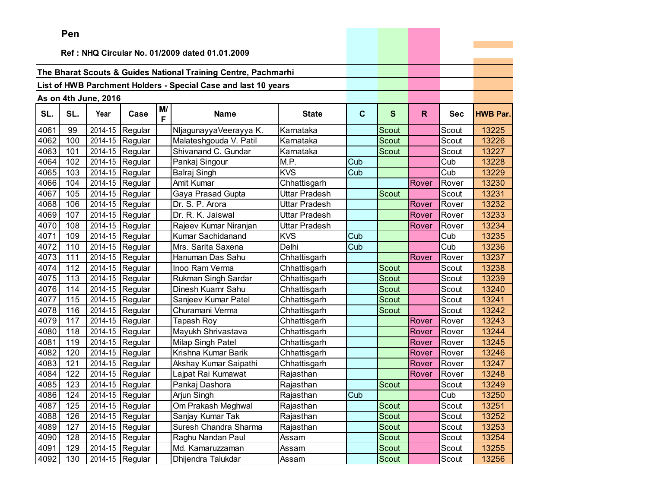|      | ren |                      |                               |    |                                                                |               |             |              |              |            |                 |
|------|-----|----------------------|-------------------------------|----|----------------------------------------------------------------|---------------|-------------|--------------|--------------|------------|-----------------|
|      |     |                      |                               |    | Ref: NHQ Circular No. 01/2009 dated 01.01.2009                 |               |             |              |              |            |                 |
|      |     |                      |                               |    |                                                                |               |             |              |              |            |                 |
|      |     |                      |                               |    | The Bharat Scouts & Guides National Training Centre, Pachmarhi |               |             |              |              |            |                 |
|      |     |                      |                               |    | List of HWB Parchment Holders - Special Case and last 10 years |               |             |              |              |            |                 |
|      |     | As on 4th June, 2016 |                               |    |                                                                |               |             |              |              |            |                 |
|      |     |                      |                               | M/ |                                                                |               |             |              |              |            |                 |
| SL.  | SL. | Year                 | Case                          | F  | <b>Name</b>                                                    | <b>State</b>  | $\mathbf c$ | $\mathbf{s}$ | $\mathsf{R}$ | <b>Sec</b> | <b>HWB Par.</b> |
| 4061 | 99  | 2014-15              | Regular                       |    | NljagunayyaVeerayya K.                                         | Karnataka     |             | Scout        |              | Scout      | 13225           |
| 4062 | 100 | 2014-15              | Regular                       |    | Malateshgouda V. Patil                                         | Karnataka     |             | Scout        |              | Scout      | 13226           |
| 4063 | 101 | 2014-15              | Regular                       |    | Shivanand C. Gundar                                            | Karnataka     |             | Scout        |              | Scout      | 13227           |
| 4064 | 102 | 2014-15              | Regular                       |    | Pankaj Singour                                                 | M.P.          | Cub         |              |              | Cub        | 13228           |
| 4065 | 103 | 2014-15              | Regular                       |    | Balraj Singh                                                   | <b>KVS</b>    | Cub         |              |              | Cub        | 13229           |
| 4066 | 104 | 2014-15              | Regular                       |    | Amit Kumar                                                     | Chhattisgarh  |             |              | Rover        | Rover      | 13230           |
| 4067 | 105 | 2014-15              | Regular                       |    | Gaya Prasad Gupta                                              | Uttar Pradesh |             | Scout        |              | Scout      | 13231           |
| 4068 | 106 | 2014-15              | Regular                       |    | Dr. S. P. Arora                                                | Uttar Pradesh |             |              | Rover        | Rover      | 13232           |
| 4069 | 107 | 2014-15              | Regular                       |    | Dr. R. K. Jaiswal                                              | Uttar Pradesh |             |              | Rover        | Rover      | 13233           |
| 4070 | 108 | 2014-15              | Regular                       |    | Rajeev Kumar Niranjan                                          | Uttar Pradesh |             |              | Rover        | Rover      | 13234           |
| 4071 | 109 | 2014-15              | Regular                       |    | Kumar Sachidanand                                              | <b>KVS</b>    | Cub         |              |              | Cub        | 13235           |
| 4072 | 110 | 2014-15              | Regular                       |    | Mrs. Sarita Saxena                                             | Delhi         | Cub         |              |              | Cub        | 13236           |
| 4073 | 111 | 2014-15              | Regular                       |    | Hanuman Das Sahu                                               | Chhattisgarh  |             |              | Rover        | Rover      | 13237           |
| 4074 | 112 | 2014-15              | Regular                       |    | Inoo Ram Verma                                                 | Chhattisgarh  |             | <b>Scout</b> |              | Scout      | 13238           |
| 4075 | 113 | 2014-15              | Regular                       |    | Rukman Singh Sardar                                            | Chhattisgarh  |             | Scout        |              | Scout      | 13239           |
| 4076 | 114 | 2014-15              | Regular                       |    | Dinesh Kuamr Sahu                                              | Chhattisgarh  |             | Scout        |              | Scout      | 13240           |
| 4077 | 115 | 2014-15              | Regular                       |    | Sanjeev Kumar Patel                                            | Chhattisgarh  |             | Scout        |              | Scout      | 13241           |
| 4078 | 116 | 2014-15              | Regular                       |    | Churamani Verma                                                | Chhattisgarh  |             | <b>Scout</b> |              | Scout      | 13242           |
| 4079 | 117 | 2014-15              | Regular                       |    | <b>Tapash Roy</b>                                              | Chhattisgarh  |             |              | Rover        | Rover      | 13243           |
| 4080 | 118 | 2014-15              | Regular                       |    | Mayukh Shrivastava                                             | Chhattisgarh  |             |              | Rover        | Rover      | 13244           |
| 4081 | 119 | 2014-15              | Regular                       |    | Milap Singh Patel                                              | Chhattisgarh  |             |              | Rover        | Rover      | 13245           |
| 4082 | 120 | 2014-15              | Regular                       |    | Krishna Kumar Barik                                            | Chhattisgarh  |             |              | Rover        | Rover      | 13246           |
| 4083 | 121 | 2014-15              | Regular                       |    | Akshay Kumar Saipathi                                          | Chhattisgarh  |             |              | Rover        | Rover      | 13247           |
| 4084 | 122 | 2014-15              | Regular                       |    | Lajpat Rai Kumawat                                             | Rajasthan     |             |              | Rover        | Rover      | 13248           |
| 4085 | 123 | 2014-15              | Regular                       |    | Pankaj Dashora                                                 | Rajasthan     |             | Scout        |              | Scout      | 13249           |
| 4086 | 124 |                      | $\overline{2014}$ -15 Regular |    | Arjun Singh                                                    | Rajasthan     | Cub         |              |              | Cub        | 13250           |
| 4087 | 125 |                      | 2014-15 Regular               |    | Om Prakash Meghwal                                             | Rajasthan     |             | Scout        |              | Scout      | 13251           |
| 4088 | 126 |                      | 2014-15 Regular               |    | Sanjay Kumar Tak                                               | Rajasthan     |             | Scout        |              | Scout      | 13252           |
| 4089 | 127 |                      | 2014-15 Regular               |    | Suresh Chandra Sharma                                          | Rajasthan     |             | Scout        |              | Scout      | 13253           |
| 4090 | 128 |                      | 2014-15 Regular               |    | Raghu Nandan Paul                                              | Assam         |             | Scout        |              | Scout      | 13254           |
| 4091 | 129 |                      | 2014-15 Regular               |    | Md. Kamaruzzaman                                               | Assam         |             | Scout        |              | Scout      | 13255           |
| 4092 | 130 |                      | 2014-15 Regular               |    | Dhijendra Talukdar                                             | Assam         |             | Scout        |              | Scout      | 13256           |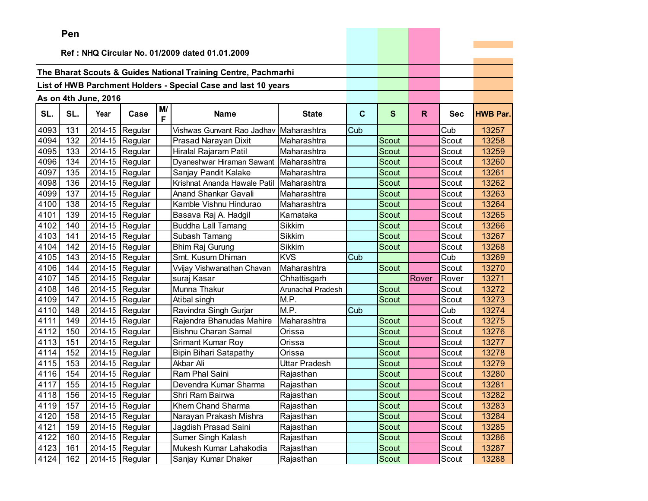|      | ren |                      |                   |         |                                                                |                   |             |              |       |            |                 |
|------|-----|----------------------|-------------------|---------|----------------------------------------------------------------|-------------------|-------------|--------------|-------|------------|-----------------|
|      |     |                      |                   |         | Ref: NHQ Circular No. 01/2009 dated 01.01.2009                 |                   |             |              |       |            |                 |
|      |     |                      |                   |         |                                                                |                   |             |              |       |            |                 |
|      |     |                      |                   |         | The Bharat Scouts & Guides National Training Centre, Pachmarhi |                   |             |              |       |            |                 |
|      |     |                      |                   |         | List of HWB Parchment Holders - Special Case and last 10 years |                   |             |              |       |            |                 |
|      |     |                      |                   |         |                                                                |                   |             |              |       |            |                 |
|      |     | As on 4th June, 2016 |                   |         |                                                                |                   |             |              |       |            |                 |
| SL.  | SL. | Year                 | Case              | M/<br>F | <b>Name</b>                                                    | <b>State</b>      | $\mathbf c$ | $\mathbf{s}$ | R.    | <b>Sec</b> | <b>HWB Par.</b> |
| 4093 | 131 | 2014-15              | Regular           |         | Vishwas Gunvant Rao Jadhav Maharashtra                         |                   | Cub         |              |       | Cub        | 13257           |
| 4094 | 132 | 2014-15              | Regular           |         | Prasad Narayan Dixit                                           | Maharashtra       |             | Scout        |       | Scout      | 13258           |
| 4095 | 133 | 2014-15              | Regular           |         | Hiralal Rajaram Patil                                          | Maharashtra       |             | Scout        |       | Scout      | 13259           |
| 4096 | 134 |                      | 2014-15 Regular   |         | Dyaneshwar Hiraman Sawant                                      | Maharashtra       |             | Scout        |       | Scout      | 13260           |
| 4097 | 135 | 2014-15              | Regular           |         | Sanjay Pandit Kalake                                           | Maharashtra       |             | Scout        |       | Scout      | 13261           |
| 4098 | 136 | 2014-15              | Regular           |         | Krishnat Ananda Hawale Patil                                   | Maharashtra       |             | <b>Scout</b> |       | Scout      | 13262           |
| 4099 | 137 | 2014-15              | Regular           |         | Anand Shankar Gavali                                           | Maharashtra       |             | Scout        |       | Scout      | 13263           |
| 4100 | 138 | 2014-15              | Regular           |         | Kamble Vishnu Hindurao                                         | Maharashtra       |             | Scout        |       | Scout      | 13264           |
| 4101 | 139 | 2014-15              | Regular           |         | Basava Raj A. Hadgil                                           | Karnataka         |             | Scout        |       | Scout      | 13265           |
| 4102 | 140 |                      | 2014-15 Regular   |         | <b>Buddha Lall Tamang</b>                                      | <b>Sikkim</b>     |             | Scout        |       | Scout      | 13266           |
| 4103 | 141 | 2014-15              | Regular           |         | Subash Tamang                                                  | <b>Sikkim</b>     |             | Scout        |       | Scout      | 13267           |
| 4104 | 142 | 2014-15              | Regular           |         | Bhim Raj Gurung                                                | Sikkim            |             | Scout        |       | Scout      | 13268           |
| 4105 | 143 | 2014-15              | Regular           |         | Smt. Kusum Dhiman                                              | <b>KVS</b>        | Cub         |              |       | Cub        | 13269           |
| 4106 | 144 | 2014-15              | Regular           |         | Vvijay Vishwanathan Chavan                                     | Maharashtra       |             | <b>Scout</b> |       | Scout      | 13270           |
| 4107 | 145 | 2014-15              | Regular           |         | suraj Kasar                                                    | Chhattisgarh      |             |              | Rover | Rover      | 13271           |
| 4108 | 146 |                      | 2014-15 Regular   |         | Munna Thakur                                                   | Arunachal Pradesh |             | Scout        |       | Scout      | 13272           |
| 4109 | 147 | 2014-15              | Regular           |         | Atibal singh                                                   | M.P.              |             | <b>Scout</b> |       | Scout      | 13273           |
| 4110 | 148 | 2014-15              | Regular           |         | Ravindra Singh Gurjar                                          | M.P.              | Cub         |              |       | Cub        | 13274           |
| 4111 | 149 | 2014-15              | Regular           |         | Rajendra Bhanudas Mahire                                       | Maharashtra       |             | Scout        |       | Scout      | 13275           |
| 4112 | 150 | 2014-15              | Regular           |         | <b>Bishnu Charan Samal</b>                                     | Orissa            |             | <b>Scout</b> |       | Scout      | 13276           |
| 4113 | 151 | 2014-15              | Regular           |         | Srimant Kumar Roy                                              | Orissa            |             | <b>Scout</b> |       | Scout      | 13277           |
| 4114 | 152 | 2014-15              | Regular           |         | <b>Bipin Bihari Satapathy</b>                                  | Orissa            |             | Scout        |       | Scout      | 13278           |
| 4115 | 153 |                      | 2014-15 Regular   |         | Akbar Ali                                                      | Uttar Pradesh     |             | <b>Scout</b> |       | Scout      | 13279           |
| 4116 | 154 | 2014-15              | Regular           |         | Ram Phal Saini                                                 | Rajasthan         |             | Scout        |       | Scout      | 13280           |
| 4117 | 155 | 2014-15              | Regular           |         | Devendra Kumar Sharma                                          | Rajasthan         |             | Scout        |       | Scout      | 13281           |
| 4118 | 156 |                      | 2014-15 Regular   |         | Shri Ram Bairwa                                                | Rajasthan         |             | Scout        |       | Scout      | 13282           |
| 4119 | 157 |                      | 2014-15 Regular   |         | Khem Chand Sharma                                              | Rajasthan         |             | Scout        |       | Scout      | 13283           |
| 4120 | 158 |                      | 2014-15 Regular   |         | Narayan Prakash Mishra                                         | Rajasthan         |             | Scout        |       | Scout      | 13284           |
| 4121 | 159 |                      | 2014-15 Regular   |         | Jagdish Prasad Saini                                           | Rajasthan         |             | Scout        |       | Scout      | 13285           |
| 4122 | 160 |                      | 2014-15   Regular |         | Sumer Singh Kalash                                             | Rajasthan         |             | Scout        |       | Scout      | 13286           |
| 4123 | 161 |                      | 2014-15 Regular   |         | Mukesh Kumar Lahakodia                                         | Rajasthan         |             | Scout        |       | Scout      | 13287           |
| 4124 | 162 |                      | 2014-15 Regular   |         | Sanjay Kumar Dhaker                                            | Rajasthan         |             | Scout        |       | Scout      | 13288           |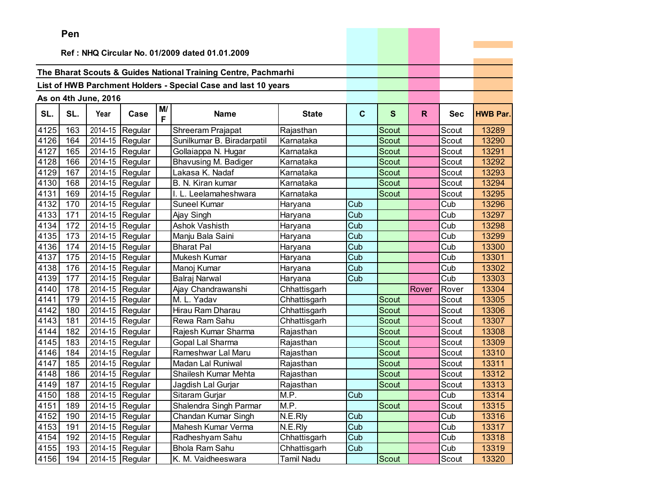|      | ren |                      |                 |         |                                                                |                   |             |              |       |            |                 |
|------|-----|----------------------|-----------------|---------|----------------------------------------------------------------|-------------------|-------------|--------------|-------|------------|-----------------|
|      |     |                      |                 |         | Ref: NHQ Circular No. 01/2009 dated 01.01.2009                 |                   |             |              |       |            |                 |
|      |     |                      |                 |         |                                                                |                   |             |              |       |            |                 |
|      |     |                      |                 |         | The Bharat Scouts & Guides National Training Centre, Pachmarhi |                   |             |              |       |            |                 |
|      |     |                      |                 |         | List of HWB Parchment Holders - Special Case and last 10 years |                   |             |              |       |            |                 |
|      |     |                      |                 |         |                                                                |                   |             |              |       |            |                 |
|      |     | As on 4th June, 2016 |                 |         |                                                                |                   |             |              |       |            |                 |
| SL.  | SL. | Year                 | Case            | M/<br>F | <b>Name</b>                                                    | <b>State</b>      | $\mathbf c$ | $\mathbf{s}$ | R.    | <b>Sec</b> | <b>HWB Par.</b> |
| 4125 | 163 | 2014-15              | Regular         |         | Shreeram Prajapat                                              | Rajasthan         |             | Scout        |       | Scout      | 13289           |
| 4126 | 164 | 2014-15              | Regular         |         | Sunilkumar B. Biradarpatil                                     | Karnataka         |             | Scout        |       | Scout      | 13290           |
| 4127 | 165 | 2014-15              | Regular         |         | Gollaiappa N. Hugar                                            | Karnataka         |             | Scout        |       | Scout      | 13291           |
| 4128 | 166 | 2014-15              | Regular         |         | <b>Bhavusing M. Badiger</b>                                    | Karnataka         |             | Scout        |       | Scout      | 13292           |
| 4129 | 167 | 2014-15              | Regular         |         | Lakasa K. Nadaf                                                | Karnataka         |             | Scout        |       | Scout      | 13293           |
| 4130 | 168 | 2014-15              | Regular         |         | B. N. Kiran kumar                                              | Karnataka         |             | Scout        |       | Scout      | 13294           |
| 4131 | 169 | 2014-15              | Regular         |         | Leelamaheshwara                                                | Karnataka         |             | Scout        |       | Scout      | 13295           |
| 4132 | 170 | 2014-15              | Regular         |         | Suneel Kumar                                                   | Haryana           | Cub         |              |       | Cub        | 13296           |
| 4133 | 171 | 2014-15              | Regular         |         | Ajay Singh                                                     | Haryana           | Cub         |              |       | Cub        | 13297           |
| 4134 | 172 | 2014-15              | Regular         |         | Ashok Vashisth                                                 | Haryana           | Cub         |              |       | Cub        | 13298           |
| 4135 | 173 | 2014-15              | Regular         |         | Manju Bala Saini                                               | Haryana           | Cub         |              |       | Cub        | 13299           |
| 4136 | 174 | 2014-15              | Regular         |         | <b>Bharat Pal</b>                                              | Haryana           | Cub         |              |       | Cub        | 13300           |
| 4137 | 175 | 2014-15              | Regular         |         | Mukesh Kumar                                                   | Haryana           | Cub         |              |       | Cub        | 13301           |
| 4138 | 176 | 2014-15              | Regular         |         | Manoj Kumar                                                    | Haryana           | Cub         |              |       | Cub        | 13302           |
| 4139 | 177 | 2014-15              | Regular         |         | Balraj Narwal                                                  | Haryana           | Cub         |              |       | Cub        | 13303           |
| 4140 | 178 |                      | 2014-15 Regular |         | Ajay Chandrawanshi                                             | Chhattisgarh      |             |              | Rover | Rover      | 13304           |
| 4141 | 179 | 2014-15              | Regular         |         | M. L. Yadav                                                    | Chhattisgarh      |             | <b>Scout</b> |       | Scout      | 13305           |
| 4142 | 180 | 2014-15              | Regular         |         | Hirau Ram Dharau                                               | Chhattisgarh      |             | Scout        |       | Scout      | 13306           |
| 4143 | 181 | 2014-15              | Regular         |         | Rewa Ram Sahu                                                  | Chhattisgarh      |             | Scout        |       | Scout      | 13307           |
| 4144 | 182 | 2014-15              | Regular         |         | Rajesh Kumar Sharma                                            | Rajasthan         |             | <b>Scout</b> |       | Scout      | 13308           |
| 4145 | 183 | 2014-15              | Regular         |         | Gopal Lal Sharma                                               | Rajasthan         |             | <b>Scout</b> |       | Scout      | 13309           |
| 4146 | 184 | 2014-15              | Regular         |         | Rameshwar Lal Maru                                             | Rajasthan         |             | Scout        |       | Scout      | 13310           |
| 4147 | 185 | 2014-15              | Regular         |         | Madan Lal Runiwal                                              | Rajasthan         |             | Scout        |       | Scout      | 13311           |
| 4148 | 186 | 2014-15              | Regular         |         | Shailesh Kumar Mehta                                           | Rajasthan         |             | Scout        |       | Scout      | 13312           |
| 4149 | 187 | 2014-15              | Regular         |         | Jagdish Lal Gurjar                                             | Rajasthan         |             | Scout        |       | Scout      | 13313           |
| 4150 | 188 |                      | 2014-15 Regular |         | Sitaram Gurjar                                                 | M.P.              | Cub         |              |       | Cub        | 13314           |
| 4151 | 189 |                      | 2014-15 Regular |         | Shalendra Singh Parmar                                         | M.P.              |             | Scout        |       | Scout      | 13315           |
| 4152 | 190 |                      | 2014-15 Regular |         | Chandan Kumar Singh                                            | N.E.Rly           | Cub         |              |       | Cub        | 13316           |
| 4153 | 191 |                      | 2014-15 Regular |         | Mahesh Kumar Verma                                             | N.E.Rly           | Cub         |              |       | Cub        | 13317           |
| 4154 | 192 |                      | 2014-15 Regular |         | Radheshyam Sahu                                                | Chhattisgarh      | Cub         |              |       | Cub        | 13318           |
| 4155 | 193 |                      | 2014-15 Regular |         | <b>Bhola Ram Sahu</b>                                          | Chhattisgarh      | Cub         |              |       | Cub        | 13319           |
| 4156 | 194 |                      | 2014-15 Regular |         | K. M. Vaidheeswara                                             | <b>Tamil Nadu</b> |             | Scout        |       | Scout      | 13320           |

the property of the control of the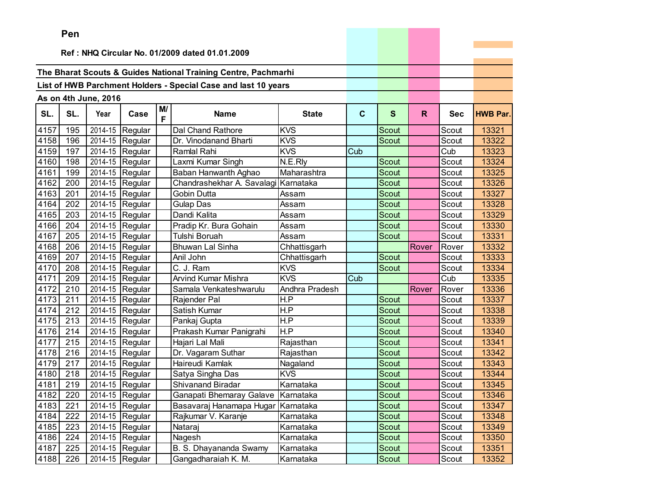|      | Pen |                      |                 |    |                                                                |                |             |              |       |            |                 |
|------|-----|----------------------|-----------------|----|----------------------------------------------------------------|----------------|-------------|--------------|-------|------------|-----------------|
|      |     |                      |                 |    | Ref: NHQ Circular No. 01/2009 dated 01.01.2009                 |                |             |              |       |            |                 |
|      |     |                      |                 |    |                                                                |                |             |              |       |            |                 |
|      |     |                      |                 |    | The Bharat Scouts & Guides National Training Centre, Pachmarhi |                |             |              |       |            |                 |
|      |     |                      |                 |    | List of HWB Parchment Holders - Special Case and last 10 years |                |             |              |       |            |                 |
|      |     |                      |                 |    |                                                                |                |             |              |       |            |                 |
|      |     | As on 4th June, 2016 |                 | M/ |                                                                |                |             |              |       |            |                 |
| SL.  | SL. | Year                 | Case            | F  | <b>Name</b>                                                    | <b>State</b>   | $\mathbf c$ | S            | R.    | <b>Sec</b> | <b>HWB Par.</b> |
| 4157 | 195 |                      | 2014-15 Regular |    | Dal Chand Rathore                                              | <b>KVS</b>     |             | Scout        |       | Scout      | 13321           |
| 4158 | 196 |                      | 2014-15 Regular |    | Dr. Vinodanand Bharti                                          | <b>KVS</b>     |             | <b>Scout</b> |       | Scout      | 13322           |
| 4159 | 197 |                      | 2014-15 Regular |    | <b>Ramlal Rahi</b>                                             | <b>KVS</b>     | Cub         |              |       | Cub        | 13323           |
| 4160 | 198 |                      | 2014-15 Regular |    | Laxmi Kumar Singh                                              | N.E.Rly        |             | Scout        |       | Scout      | 13324           |
| 4161 | 199 |                      | 2014-15 Regular |    | Baban Hanwanth Aghao                                           | Maharashtra    |             | Scout        |       | Scout      | 13325           |
| 4162 | 200 |                      | 2014-15 Regular |    | Chandrashekhar A. Savalagi Karnataka                           |                |             | Scout        |       | Scout      | 13326           |
| 4163 | 201 | 2014-15              | Regular         |    | Gobin Dutta                                                    | Assam          |             | <b>Scout</b> |       | Scout      | 13327           |
| 4164 | 202 |                      | 2014-15 Regular |    | <b>Gulap Das</b>                                               | Assam          |             | Scout        |       | Scout      | 13328           |
| 4165 | 203 |                      | 2014-15 Regular |    | Dandi Kalita                                                   | Assam          |             | Scout        |       | Scout      | 13329           |
| 4166 | 204 |                      | 2014-15 Regular |    | Pradip Kr. Bura Gohain                                         | Assam          |             | Scout        |       | Scout      | 13330           |
| 4167 | 205 |                      | 2014-15 Regular |    | Tulshi Boruah                                                  | Assam          |             | <b>Scout</b> |       | Scout      | 13331           |
| 4168 | 206 |                      | 2014-15 Regular |    | <b>Bhuwan Lal Sinha</b>                                        | Chhattisgarh   |             |              | Rover | Rover      | 13332           |
| 4169 | 207 |                      | 2014-15 Regular |    | Anil John                                                      | Chhattisgarh   |             | Scout        |       | Scout      | 13333           |
| 4170 | 208 |                      | 2014-15 Regular |    | C. J. Ram                                                      | <b>KVS</b>     |             | <b>Scout</b> |       | Scout      | 13334           |
| 4171 | 209 |                      | 2014-15 Regular |    | <b>Arvind Kumar Mishra</b>                                     | <b>KVS</b>     | Cub         |              |       | Cub        | 13335           |
| 4172 | 210 |                      | 2014-15 Regular |    | Samala Venkateshwarulu                                         | Andhra Pradesh |             |              | Rover | Rover      | 13336           |
| 4173 | 211 |                      | 2014-15 Regular |    | Rajender Pal                                                   | H.P            |             | Scout        |       | Scout      | 13337           |
| 4174 | 212 |                      | 2014-15 Regular |    | Satish Kumar                                                   | H.P            |             | Scout        |       | Scout      | 13338           |
| 4175 | 213 |                      | 2014-15 Regular |    | Pankaj Gupta                                                   | H.P            |             | Scout        |       | Scout      | 13339           |
| 4176 | 214 | 2014-15              | Regular         |    | Prakash Kumar Panigrahi                                        | H.P            |             | <b>Scout</b> |       | Scout      | 13340           |
| 4177 | 215 |                      | 2014-15 Regular |    | Hajari Lal Mali                                                | Rajasthan      |             | Scout        |       | Scout      | 13341           |
| 4178 | 216 |                      | 2014-15 Regular |    | Dr. Vagaram Suthar                                             | Rajasthan      |             | Scout        |       | Scout      | 13342           |
| 4179 | 217 |                      | 2014-15 Regular |    | Haireudi Kamlak                                                | Nagaland       |             | <b>Scout</b> |       | Scout      | 13343           |
| 4180 | 218 |                      | 2014-15 Regular |    | Satya Singha Das                                               | <b>KVS</b>     |             | Scout        |       | Scout      | 13344           |
| 4181 | 219 |                      | 2014-15 Regular |    | <b>Shivanand Biradar</b>                                       | Karnataka      |             | Scout        |       | Scout      | 13345           |
| 4182 | 220 |                      | 2014-15 Regular |    | Ganapati Bhemaray Galave                                       | Karnataka      |             | Scout        |       | Scout      | 13346           |
| 4183 | 221 |                      | 2014-15 Regular |    | Basavaraj Hanamapa Hugar Karnataka                             |                |             | Scout        |       | Scout      | 13347           |
| 4184 | 222 |                      | 2014-15 Regular |    | Rajkumar V. Karanje                                            | Karnataka      |             | Scout        |       | Scout      | 13348           |
| 4185 | 223 |                      | 2014-15 Regular |    | Nataraj                                                        | Karnataka      |             | Scout        |       | Scout      | 13349           |
| 4186 | 224 |                      | 2014-15 Regular |    | Nagesh                                                         | Karnataka      |             | Scout        |       | Scout      | 13350           |
| 4187 | 225 |                      | 2014-15 Regular |    | B. S. Dhayananda Swamy                                         | Karnataka      |             | Scout        |       | Scout      | 13351           |
| 4188 | 226 |                      | 2014-15 Regular |    | Gangadharaiah K. M.                                            | Karnataka      |             | Scout        |       | Scout      | 13352           |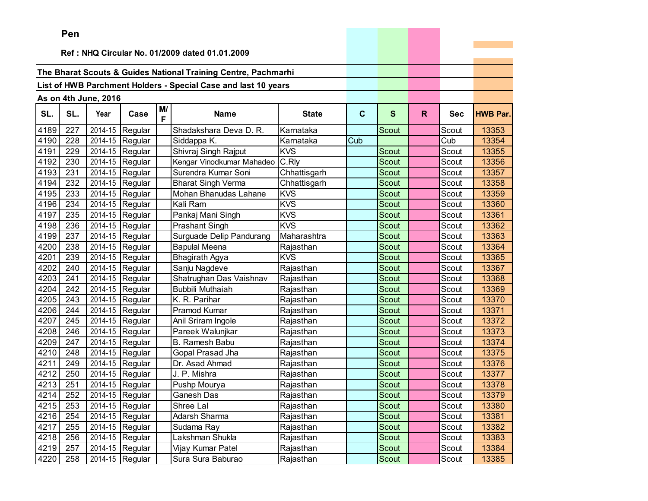|      | ren |                      |                               |         |                                                                |              |             |              |    |            |                 |
|------|-----|----------------------|-------------------------------|---------|----------------------------------------------------------------|--------------|-------------|--------------|----|------------|-----------------|
|      |     |                      |                               |         | Ref: NHQ Circular No. 01/2009 dated 01.01.2009                 |              |             |              |    |            |                 |
|      |     |                      |                               |         |                                                                |              |             |              |    |            |                 |
|      |     |                      |                               |         | The Bharat Scouts & Guides National Training Centre, Pachmarhi |              |             |              |    |            |                 |
|      |     |                      |                               |         | List of HWB Parchment Holders - Special Case and last 10 years |              |             |              |    |            |                 |
|      |     |                      |                               |         |                                                                |              |             |              |    |            |                 |
|      |     | As on 4th June, 2016 |                               |         |                                                                |              |             |              |    |            |                 |
| SL.  | SL. | Year                 | Case                          | M/<br>F | <b>Name</b>                                                    | <b>State</b> | $\mathbf c$ | $\mathbf{s}$ | R. | <b>Sec</b> | <b>HWB Par.</b> |
| 4189 | 227 | 2014-15              | Regular                       |         | Shadakshara Deva D. R.                                         | Karnataka    |             | <b>Scout</b> |    | Scout      | 13353           |
| 4190 | 228 | 2014-15              | Regular                       |         | Siddappa K.                                                    | Karnataka    | Cub         |              |    | Cub        | 13354           |
| 4191 | 229 | 2014-15              | Regular                       |         | Shivraj Singh Rajput                                           | <b>KVS</b>   |             | Scout        |    | Scout      | 13355           |
| 4192 | 230 |                      | 2014-15 Regular               |         | Kengar Vinodkumar Mahadeo                                      | C.Rly        |             | Scout        |    | Scout      | 13356           |
| 4193 | 231 | 2014-15              | Regular                       |         | Surendra Kumar Soni                                            | Chhattisgarh |             | Scout        |    | Scout      | 13357           |
| 4194 | 232 | 2014-15              | Regular                       |         | <b>Bharat Singh Verma</b>                                      | Chhattisgarh |             | Scout        |    | Scout      | 13358           |
| 4195 | 233 | 2014-15              | Regular                       |         | Mohan Bhanudas Lahane                                          | <b>KVS</b>   |             | Scout        |    | Scout      | 13359           |
| 4196 | 234 | 2014-15              | Regular                       |         | Kali Ram                                                       | <b>KVS</b>   |             | Scout        |    | Scout      | 13360           |
| 4197 | 235 | 2014-15              | Regular                       |         | Pankaj Mani Singh                                              | <b>KVS</b>   |             | Scout        |    | Scout      | 13361           |
| 4198 | 236 |                      | 2014-15 Regular               |         | <b>Prashant Singh</b>                                          | <b>KVS</b>   |             | Scout        |    | Scout      | 13362           |
| 4199 | 237 | 2014-15              | Regular                       |         | Surguade Delip Pandurang                                       | Maharashtra  |             | Scout        |    | Scout      | 13363           |
| 4200 | 238 | 2014-15              | Regular                       |         | <b>Bapulal Meena</b>                                           | Rajasthan    |             | Scout        |    | Scout      | 13364           |
| 4201 | 239 | 2014-15              | Regular                       |         | Bhagirath Agya                                                 | <b>KVS</b>   |             | Scout        |    | Scout      | 13365           |
| 4202 | 240 | 2014-15              | Regular                       |         | Sanju Nagdeve                                                  | Rajasthan    |             | Scout        |    | Scout      | 13367           |
| 4203 | 241 | 2014-15              | Regular                       |         | Shatrughan Das Vaishnav                                        | Rajasthan    |             | Scout        |    | Scout      | 13368           |
| 4204 | 242 |                      | 2014-15 Regular               |         | Bubbili Muthaiah                                               | Rajasthan    |             | Scout        |    | Scout      | 13369           |
| 4205 | 243 | 2014-15              | Regular                       |         | K. R. Parihar                                                  | Rajasthan    |             | <b>Scout</b> |    | Scout      | 13370           |
| 4206 | 244 | 2014-15              | Regular                       |         | Pramod Kumar                                                   | Rajasthan    |             | Scout        |    | Scout      | 13371           |
| 4207 | 245 | 2014-15              | Regular                       |         | Anil Sriram Ingole                                             | Rajasthan    |             | Scout        |    | Scout      | 13372           |
| 4208 | 246 | 2014-15              | Regular                       |         | Pareek Walunjkar                                               | Rajasthan    |             | <b>Scout</b> |    | Scout      | 13373           |
| 4209 | 247 | 2014-15              | Regular                       |         | B. Ramesh Babu                                                 | Rajasthan    |             | Scout        |    | Scout      | 13374           |
| 4210 | 248 | 2014-15              | Regular                       |         | Gopal Prasad Jha                                               | Rajasthan    |             | Scout        |    | Scout      | 13375           |
| 4211 | 249 |                      | 2014-15 Regular               |         | Dr. Asad Ahmad                                                 | Rajasthan    |             | Scout        |    | Scout      | 13376           |
| 4212 | 250 | 2014-15              | Regular                       |         | J. P. Mishra                                                   | Rajasthan    |             | Scout        |    | Scout      | 13377           |
| 4213 | 251 | 2014-15              | Regular                       |         | Pushp Mourya                                                   | Rajasthan    |             | Scout        |    | Scout      | 13378           |
| 4214 | 252 |                      | $\overline{2014}$ -15 Regular |         | Ganesh Das                                                     | Rajasthan    |             | Scout        |    | Scout      | 13379           |
| 4215 | 253 |                      | 2014-15 Regular               |         | Shree Lal                                                      | Rajasthan    |             | Scout        |    | Scout      | 13380           |
| 4216 | 254 |                      | 2014-15 Regular               |         | Adarsh Sharma                                                  | Rajasthan    |             | Scout        |    | Scout      | 13381           |
| 4217 | 255 |                      | 2014-15 Regular               |         | Sudama Ray                                                     | Rajasthan    |             | Scout        |    | Scout      | 13382           |
| 4218 | 256 |                      | 2014-15 Regular               |         | Lakshman Shukla                                                | Rajasthan    |             | Scout        |    | Scout      | 13383           |
| 4219 | 257 |                      | 2014-15 Regular               |         | Vijay Kumar Patel                                              | Rajasthan    |             | Scout        |    | Scout      | 13384           |
| 4220 | 258 |                      | 2014-15 Regular               |         | Sura Sura Baburao                                              | Rajasthan    |             | Scout        |    | Scout      | 13385           |

the company's company's company's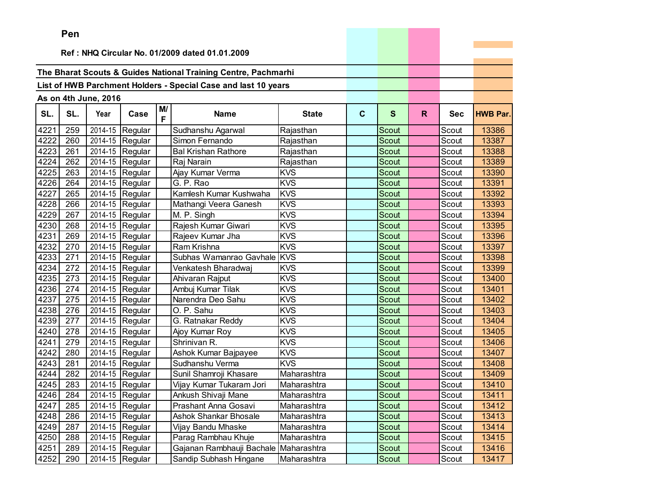|      | ren                                            |                      |                               |         |                                                                |              |              |              |    |       |                 |
|------|------------------------------------------------|----------------------|-------------------------------|---------|----------------------------------------------------------------|--------------|--------------|--------------|----|-------|-----------------|
|      | Ref: NHQ Circular No. 01/2009 dated 01.01.2009 |                      |                               |         |                                                                |              |              |              |    |       |                 |
|      |                                                |                      |                               |         |                                                                |              |              |              |    |       |                 |
|      |                                                |                      |                               |         | The Bharat Scouts & Guides National Training Centre, Pachmarhi |              |              |              |    |       |                 |
|      |                                                |                      |                               |         | List of HWB Parchment Holders - Special Case and last 10 years |              |              |              |    |       |                 |
|      |                                                |                      |                               |         |                                                                |              |              |              |    |       |                 |
|      |                                                | As on 4th June, 2016 |                               |         |                                                                |              |              |              |    |       |                 |
| SL.  | SL.                                            | Year                 | Case                          | M/<br>F | <b>Name</b>                                                    | <b>State</b> | $\mathbf{C}$ | $\mathbf{s}$ | R. | Sec   | <b>HWB Par.</b> |
| 4221 | 259                                            |                      | 2014-15 Regular               |         | Sudhanshu Agarwal                                              | Rajasthan    |              | Scout        |    | Scout | 13386           |
| 4222 | 260                                            |                      | 2014-15 Regular               |         | Simon Fernando                                                 | Rajasthan    |              | Scout        |    | Scout | 13387           |
| 4223 | 261                                            |                      | 2014-15 Regular               |         | <b>Bal Krishan Rathore</b>                                     | Rajasthan    |              | Scout        |    | Scout | 13388           |
| 4224 | 262                                            |                      | 2014-15 Regular               |         | Raj Narain                                                     | Rajasthan    |              | Scout        |    | Scout | 13389           |
| 4225 | 263                                            |                      | 2014-15 Regular               |         | Ajay Kumar Verma                                               | <b>KVS</b>   |              | Scout        |    | Scout | 13390           |
| 4226 | 264                                            | 2014-15              | Regular                       |         | G. P. Rao                                                      | <b>KVS</b>   |              | Scout        |    | Scout | 13391           |
| 4227 | 265                                            | 2014-15              | Regular                       |         | Kamlesh Kumar Kushwaha                                         | <b>KVS</b>   |              | Scout        |    | Scout | 13392           |
| 4228 | 266                                            | 2014-15              | Regular                       |         | Mathangi Veera Ganesh                                          | <b>KVS</b>   |              | Scout        |    | Scout | 13393           |
| 4229 | 267                                            |                      | 2014-15 Regular               |         | M. P. Singh                                                    | <b>KVS</b>   |              | Scout        |    | Scout | 13394           |
| 4230 | 268                                            |                      | 2014-15 Regular               |         | Rajesh Kumar Giwari                                            | <b>KVS</b>   |              | Scout        |    | Scout | 13395           |
| 4231 | 269                                            |                      | 2014-15 Regular               |         | Rajeev Kumar Jha                                               | <b>KVS</b>   |              | Scout        |    | Scout | 13396           |
| 4232 | 270                                            | 2014-15              | Regular                       |         | Ram Krishna                                                    | <b>KVS</b>   |              | Scout        |    | Scout | 13397           |
| 4233 | 271                                            | 2014-15              | Regular                       |         | Subhas Wamanrao Gavhale                                        | <b>KVS</b>   |              | Scout        |    | Scout | 13398           |
| 4234 | 272                                            | 2014-15              | Regular                       |         | Venkatesh Bharadwaj                                            | <b>KVS</b>   |              | Scout        |    | Scout | 13399           |
| 4235 | 273                                            | 2014-15              | Regular                       |         | Ahivaran Rajput                                                | <b>KVS</b>   |              | Scout        |    | Scout | 13400           |
| 4236 | 274                                            |                      | 2014-15 Regular               |         | Ambuj Kumar Tilak                                              | <b>KVS</b>   |              | Scout        |    | Scout | 13401           |
| 4237 | 275                                            | 2014-15              | Regular                       |         | Narendra Deo Sahu                                              | <b>KVS</b>   |              | <b>Scout</b> |    | Scout | 13402           |
| 4238 | 276                                            | 2014-15              | Regular                       |         | O. P. Sahu                                                     | <b>KVS</b>   |              | Scout        |    | Scout | 13403           |
| 4239 | 277                                            | 2014-15              | Regular                       |         | G. Ratnakar Reddy                                              | <b>KVS</b>   |              | Scout        |    | Scout | 13404           |
| 4240 | 278                                            | 2014-15              | Regular                       |         | Ajoy Kumar Roy                                                 | <b>KVS</b>   |              | <b>Scout</b> |    | Scout | 13405           |
| 4241 | 279                                            | 2014-15              | Regular                       |         | Shrinivan R.                                                   | <b>KVS</b>   |              | Scout        |    | Scout | 13406           |
| 4242 | 280                                            | 2014-15              | Regular                       |         | Ashok Kumar Bajpayee                                           | <b>KVS</b>   |              | Scout        |    | Scout | 13407           |
| 4243 | 281                                            |                      | 2014-15 Regular               |         | Sudhanshu Verma                                                | <b>KVS</b>   |              | Scout        |    | Scout | 13408           |
| 4244 | 282                                            | 2014-15              | Regular                       |         | Sunil Shamroji Khasare                                         | Maharashtra  |              | Scout        |    | Scout | 13409           |
| 4245 | 283                                            |                      | 2014-15 Regular               |         | Vijay Kumar Tukaram Jori                                       | Maharashtra  |              | Scout        |    | Scout | 13410           |
| 4246 | 284                                            |                      | $\overline{2014}$ -15 Regular |         | Ankush Shivaji Mane                                            | Maharashtra  |              | Scout        |    | Scout | 13411           |
| 4247 | 285                                            |                      | $\overline{2014}$ -15 Regular |         | Prashant Anna Gosavi                                           | Maharashtra  |              | Scout        |    | Scout | 13412           |
| 4248 | 286                                            |                      | 2014-15 Regular               |         | Ashok Shankar Bhosale                                          | Maharashtra  |              | Scout        |    | Scout | 13413           |
| 4249 | 287                                            |                      | 2014-15 Regular               |         | Vijay Bandu Mhaske                                             | Maharashtra  |              | Scout        |    | Scout | 13414           |
| 4250 | 288                                            |                      | 2014-15 Regular               |         | Parag Rambhau Khuje                                            | Maharashtra  |              | Scout        |    | Scout | 13415           |
| 4251 | 289                                            |                      | 2014-15 Regular               |         | Gajanan Rambhauji Bachale                                      | Maharashtra  |              | Scout        |    | Scout | 13416           |
| 4252 | 290                                            |                      | 2014-15 Regular               |         | Sandip Subhash Hingane                                         | Maharashtra  |              | Scout        |    | Scout | 13417           |

the contract of the contract of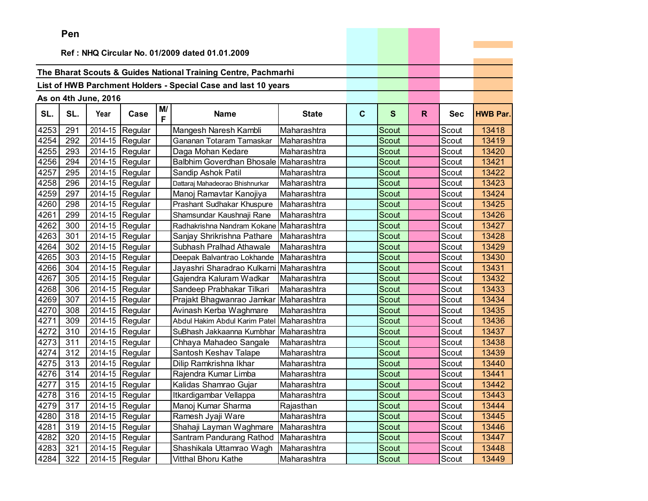|      | ren |                      |                               |         |                                                                |              |              |              |              |            |                 |
|------|-----|----------------------|-------------------------------|---------|----------------------------------------------------------------|--------------|--------------|--------------|--------------|------------|-----------------|
|      |     |                      |                               |         | Ref: NHQ Circular No. 01/2009 dated 01.01.2009                 |              |              |              |              |            |                 |
|      |     |                      |                               |         |                                                                |              |              |              |              |            |                 |
|      |     |                      |                               |         | The Bharat Scouts & Guides National Training Centre, Pachmarhi |              |              |              |              |            |                 |
|      |     |                      |                               |         | List of HWB Parchment Holders - Special Case and last 10 years |              |              |              |              |            |                 |
|      |     |                      |                               |         |                                                                |              |              |              |              |            |                 |
|      |     | As on 4th June, 2016 |                               |         |                                                                |              |              |              |              |            |                 |
| SL.  | SL. | Year                 | Case                          | M/<br>F | <b>Name</b>                                                    | <b>State</b> | $\mathbf{C}$ | $\mathbf{s}$ | $\mathsf{R}$ | <b>Sec</b> | <b>HWB Par.</b> |
| 4253 | 291 | 2014-15              | Regular                       |         | Mangesh Naresh Kambli                                          | Maharashtra  |              | Scout        |              | Scout      | 13418           |
| 4254 | 292 | 2014-15              | Regular                       |         | Gananan Totaram Tamaskar                                       | Maharashtra  |              | Scout        |              | Scout      | 13419           |
| 4255 | 293 | 2014-15              | Regular                       |         | Daga Mohan Kedare                                              | Maharashtra  |              | Scout        |              | Scout      | 13420           |
| 4256 | 294 |                      | 2014-15 Regular               |         | Balbhim Goverdhan Bhosale Maharashtra                          |              |              | Scout        |              | Scout      | 13421           |
| 4257 | 295 |                      | 2014-15 Regular               |         | Sandip Ashok Patil                                             | Maharashtra  |              | <b>Scout</b> |              | Scout      | 13422           |
| 4258 | 296 | 2014-15              | Regular                       |         | Dattaraj Mahadeorao Bhishnurkar                                | Maharashtra  |              | Scout        |              | Scout      | 13423           |
| 4259 | 297 | 2014-15              | Regular                       |         | Manoj Ramavtar Kanojiya                                        | Maharashtra  |              | Scout        |              | Scout      | 13424           |
| 4260 | 298 | 2014-15              | Regular                       |         | Prashant Sudhakar Khuspure                                     | Maharashtra  |              | <b>Scout</b> |              | Scout      | 13425           |
| 4261 | 299 | 2014-15              | Regular                       |         | Shamsundar Kaushnaji Rane                                      | Maharashtra  |              | Scout        |              | Scout      | 13426           |
| 4262 | 300 |                      | 2014-15 Regular               |         | Radhakrishna Nandram Kokane                                    | Maharashtra  |              | Scout        |              | Scout      | 13427           |
| 4263 | 301 |                      | 2014-15 Regular               |         | Sanjay Shrikrishna Pathare                                     | Maharashtra  |              | <b>Scout</b> |              | Scout      | 13428           |
| 4264 | 302 | 2014-15              | Regular                       |         | Subhash Pralhad Athawale                                       | Maharashtra  |              | <b>Scout</b> |              | Scout      | 13429           |
| 4265 | 303 | 2014-15              | Regular                       |         | Deepak Balvantrao Lokhande                                     | Maharashtra  |              | Scout        |              | Scout      | 13430           |
| 4266 | 304 | 2014-15              | Regular                       |         | Jayashri Sharadrao Kulkarni Maharashtra                        |              |              | <b>Scout</b> |              | Scout      | 13431           |
| 4267 | 305 | 2014-15              | Regular                       |         | Gajendra Kaluram Wadkar                                        | Maharashtra  |              | <b>Scout</b> |              | Scout      | 13432           |
| 4268 | 306 |                      | 2014-15 Regular               |         | Sandeep Prabhakar Tilkari                                      | Maharashtra  |              | Scout        |              | Scout      | 13433           |
| 4269 | 307 |                      | 2014-15 Regular               |         | Prajakt Bhagwanrao Jamkar                                      | Maharashtra  |              | Scout        |              | Scout      | 13434           |
| 4270 | 308 |                      | 2014-15 Regular               |         | Avinash Kerba Waghmare                                         | Maharashtra  |              | Scout        |              | Scout      | 13435           |
| 4271 | 309 | 2014-15              | Regular                       |         | Abdul Hakim Abdul Karim Patel                                  | Maharashtra  |              | Scout        |              | Scout      | 13436           |
| 4272 | 310 | 2014-15              | Regular                       |         | SuBhash Jakkaanna Kumbhar                                      | Maharashtra  |              | Scout        |              | Scout      | 13437           |
| 4273 | 311 | 2014-15              | Regular                       |         | Chhaya Mahadeo Sangale                                         | Maharashtra  |              | Scout        |              | Scout      | 13438           |
| 4274 | 312 | 2014-15              | Regular                       |         | Santosh Keshav Talape                                          | Maharashtra  |              | <b>Scout</b> |              | Scout      | 13439           |
| 4275 | 313 |                      | 2014-15 Regular               |         | Dilip Ramkrishna Ikhar                                         | Maharashtra  |              | <b>Scout</b> |              | Scout      | 13440           |
| 4276 | 314 | 2014-15              | Regular                       |         | Rajendra Kumar Limba                                           | Maharashtra  |              | Scout        |              | Scout      | 13441           |
| 4277 | 315 | 2014-15              | Regular                       |         | Kalidas Shamrao Gujar                                          | Maharashtra  |              | Scout        |              | Scout      | 13442           |
| 4278 | 316 |                      | $\overline{2014}$ -15 Regular |         | Itkardigambar Vellappa                                         | Maharashtra  |              | Scout        |              | Scout      | 13443           |
| 4279 | 317 |                      | 2014-15 Regular               |         | Manoj Kumar Sharma                                             | Rajasthan    |              | Scout        |              | Scout      | 13444           |
| 4280 | 318 |                      | 2014-15 Regular               |         | Ramesh Jyaji Ware                                              | Maharashtra  |              | Scout        |              | Scout      | 13445           |
| 4281 | 319 |                      | 2014-15 Regular               |         | Shahaji Layman Waghmare                                        | Maharashtra  |              | Scout        |              | Scout      | 13446           |
| 4282 | 320 |                      | 2014-15 Regular               |         | Santram Pandurang Rathod                                       | Maharashtra  |              | Scout        |              | Scout      | 13447           |
| 4283 | 321 |                      | 2014-15 Regular               |         | Shashikala Uttamrao Wagh                                       | Maharashtra  |              | Scout        |              | Scout      | 13448           |
| 4284 | 322 |                      | 2014-15 Regular               |         | Vitthal Bhoru Kathe                                            | Maharashtra  |              | Scout        |              | Scout      | 13449           |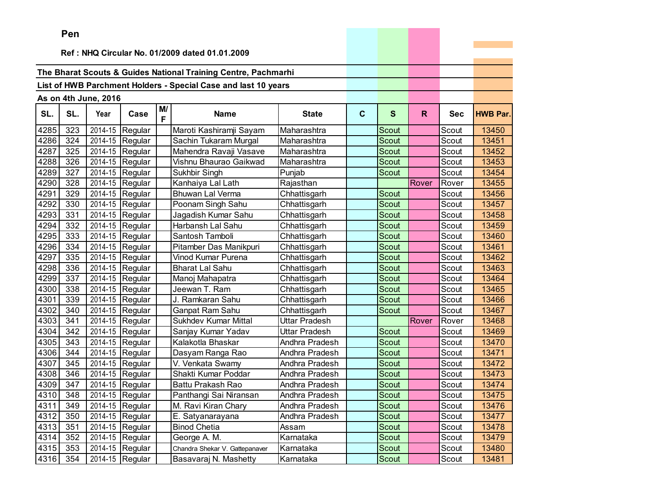|      | ren |                      |                               |    |                                                                |                |              |              |              |            |                 |
|------|-----|----------------------|-------------------------------|----|----------------------------------------------------------------|----------------|--------------|--------------|--------------|------------|-----------------|
|      |     |                      |                               |    | Ref: NHQ Circular No. 01/2009 dated 01.01.2009                 |                |              |              |              |            |                 |
|      |     |                      |                               |    |                                                                |                |              |              |              |            |                 |
|      |     |                      |                               |    | The Bharat Scouts & Guides National Training Centre, Pachmarhi |                |              |              |              |            |                 |
|      |     |                      |                               |    | List of HWB Parchment Holders - Special Case and last 10 years |                |              |              |              |            |                 |
|      |     |                      |                               |    |                                                                |                |              |              |              |            |                 |
|      |     | As on 4th June, 2016 |                               | M/ |                                                                |                |              |              |              |            |                 |
| SL.  | SL. | Year                 | Case                          | F  | <b>Name</b>                                                    | <b>State</b>   | $\mathbf{C}$ | $\mathbf{s}$ | $\mathsf{R}$ | <b>Sec</b> | <b>HWB Par.</b> |
| 4285 | 323 | 2014-15              | Regular                       |    | Maroti Kashiramji Sayam                                        | Maharashtra    |              | Scout        |              | Scout      | 13450           |
| 4286 | 324 | 2014-15              | Regular                       |    | Sachin Tukaram Murgal                                          | Maharashtra    |              | Scout        |              | Scout      | 13451           |
| 4287 | 325 | 2014-15              | Regular                       |    | Mahendra Ravaji Vasave                                         | Maharashtra    |              | Scout        |              | Scout      | 13452           |
| 4288 | 326 | 2014-15              | Regular                       |    | Vishnu Bhaurao Gaikwad                                         | Maharashtra    |              | Scout        |              | Scout      | 13453           |
| 4289 | 327 | 2014-15              | Regular                       |    | Sukhbir Singh                                                  | Punjab         |              | Scout        |              | Scout      | 13454           |
| 4290 | 328 | 2014-15              | Regular                       |    | Kanhaiya Lal Lath                                              | Rajasthan      |              |              | Rover        | Rover      | 13455           |
| 4291 | 329 | 2014-15              | Regular                       |    | <b>Bhuwan Lal Verma</b>                                        | Chhattisgarh   |              | Scout        |              | Scout      | 13456           |
| 4292 | 330 | 2014-15              | Regular                       |    | Poonam Singh Sahu                                              | Chhattisgarh   |              | <b>Scout</b> |              | Scout      | 13457           |
| 4293 | 331 | 2014-15              | Regular                       |    | Jagadish Kumar Sahu                                            | Chhattisgarh   |              | <b>Scout</b> |              | Scout      | 13458           |
| 4294 | 332 | 2014-15              | Regular                       |    | Harbansh Lal Sahu                                              | Chhattisgarh   |              | Scout        |              | Scout      | 13459           |
| 4295 | 333 | 2014-15              | Regular                       |    | Santosh Tamboli                                                | Chhattisgarh   |              | <b>Scout</b> |              | Scout      | 13460           |
| 4296 | 334 | 2014-15              | Regular                       |    | Pitamber Das Manikpuri                                         | Chhattisgarh   |              | <b>Scout</b> |              | Scout      | 13461           |
| 4297 | 335 | 2014-15              | Regular                       |    | <b>Vinod Kumar Purena</b>                                      | Chhattisgarh   |              | Scout        |              | Scout      | 13462           |
| 4298 | 336 | 2014-15              | Regular                       |    | Bharat Lal Sahu                                                | Chhattisgarh   |              | <b>Scout</b> |              | Scout      | 13463           |
| 4299 | 337 | 2014-15              | Regular                       |    | Manoj Mahapatra                                                | Chhattisgarh   |              | <b>Scout</b> |              | Scout      | 13464           |
| 4300 | 338 | 2014-15              | Regular                       |    | Jeewan T. Ram                                                  | Chhattisgarh   |              | Scout        |              | Scout      | 13465           |
| 4301 | 339 | 2014-15              | Regular                       |    | J. Ramkaran Sahu                                               | Chhattisgarh   |              | Scout        |              | Scout      | 13466           |
| 4302 | 340 | 2014-15              | Regular                       |    | Ganpat Ram Sahu                                                | Chhattisgarh   |              | Scout        |              | Scout      | 13467           |
| 4303 | 341 | 2014-15              | Regular                       |    | <b>Sukhdev Kumar Mittal</b>                                    | Uttar Pradesh  |              |              | Rover        | Rover      | 13468           |
| 4304 | 342 | 2014-15              | Regular                       |    | Sanjay Kumar Yadav                                             | Uttar Pradesh  |              | <b>Scout</b> |              | Scout      | 13469           |
| 4305 | 343 | 2014-15              | Regular                       |    | Kalakotla Bhaskar                                              | Andhra Pradesh |              | <b>Scout</b> |              | Scout      | 13470           |
| 4306 | 344 | 2014-15              | Regular                       |    | Dasyam Ranga Rao                                               | Andhra Pradesh |              | <b>Scout</b> |              | Scout      | 13471           |
| 4307 | 345 | 2014-15              | Regular                       |    | V. Venkata Swamy                                               | Andhra Pradesh |              | <b>Scout</b> |              | Scout      | 13472           |
| 4308 | 346 | 2014-15              | Regular                       |    | Shakti Kumar Poddar                                            | Andhra Pradesh |              | Scout        |              | Scout      | 13473           |
| 4309 | 347 | 2014-15              | Regular                       |    | Battu Prakash Rao                                              | Andhra Pradesh |              | Scout        |              | Scout      | 13474           |
| 4310 | 348 |                      | $\overline{2014}$ -15 Regular |    | Panthangi Sai Niransan                                         | Andhra Pradesh |              | Scout        |              | Scout      | 13475           |
| 4311 | 349 |                      | 2014-15 Regular               |    | M. Ravi Kiran Chary                                            | Andhra Pradesh |              | Scout        |              | Scout      | 13476           |
| 4312 | 350 |                      | 2014-15 Regular               |    | E. Satyanarayana                                               | Andhra Pradesh |              | Scout        |              | Scout      | 13477           |
| 4313 | 351 |                      | 2014-15 Regular               |    | <b>Binod Chetia</b>                                            | Assam          |              | Scout        |              | Scout      | 13478           |
| 4314 | 352 |                      | 2014-15 Regular               |    | George A. M.                                                   | Karnataka      |              | Scout        |              | Scout      | 13479           |
| 4315 | 353 |                      | 2014-15 Regular               |    | Chandra Shekar V. Gattepanaver                                 | Karnataka      |              | Scout        |              | Scout      | 13480           |
| 4316 | 354 |                      | 2014-15 Regular               |    | Basavaraj N. Mashetty                                          | Karnataka      |              | Scout        |              | Scout      | 13481           |

<u> La Carlo de Carlo de la Carlo de Carlo de Carlo de la Carlo de Carlo de Carlo de Carlo de Carlo de Carlo de Ca</u>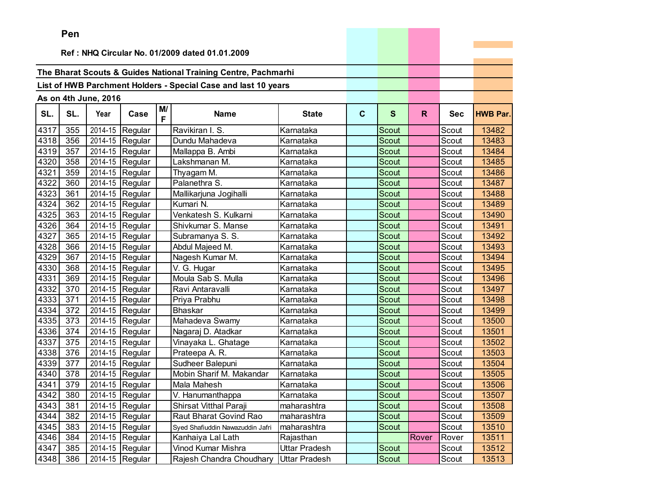|      | ren |                      |                               |         |                                                                |                      |              |              |              |            |                 |
|------|-----|----------------------|-------------------------------|---------|----------------------------------------------------------------|----------------------|--------------|--------------|--------------|------------|-----------------|
|      |     |                      |                               |         | Ref: NHQ Circular No. 01/2009 dated 01.01.2009                 |                      |              |              |              |            |                 |
|      |     |                      |                               |         |                                                                |                      |              |              |              |            |                 |
|      |     |                      |                               |         | The Bharat Scouts & Guides National Training Centre, Pachmarhi |                      |              |              |              |            |                 |
|      |     |                      |                               |         | List of HWB Parchment Holders - Special Case and last 10 years |                      |              |              |              |            |                 |
|      |     |                      |                               |         |                                                                |                      |              |              |              |            |                 |
|      |     | As on 4th June, 2016 |                               |         |                                                                |                      |              |              |              |            |                 |
| SL.  | SL. | Year                 | Case                          | M/<br>F | <b>Name</b>                                                    | <b>State</b>         | $\mathbf{C}$ | $\mathbf{s}$ | $\mathsf{R}$ | <b>Sec</b> | <b>HWB Par.</b> |
| 4317 | 355 | 2014-15              | Regular                       |         | Ravikiran I. S.                                                | Karnataka            |              | Scout        |              | Scout      | 13482           |
| 4318 | 356 | 2014-15              | Regular                       |         | Dundu Mahadeva                                                 | Karnataka            |              | <b>Scout</b> |              | Scout      | 13483           |
| 4319 | 357 | 2014-15              | Regular                       |         | Mallappa B. Ambi                                               | Karnataka            |              | <b>Scout</b> |              | Scout      | 13484           |
| 4320 | 358 | 2014-15              | Regular                       |         | Lakshmanan M.                                                  | Karnataka            |              | Scout        |              | Scout      | 13485           |
| 4321 | 359 | 2014-15              | Regular                       |         | Thyagam M.                                                     | Karnataka            |              | <b>Scout</b> |              | Scout      | 13486           |
| 4322 | 360 | 2014-15              | Regular                       |         | Palanethra S.                                                  | Karnataka            |              | Scout        |              | Scout      | 13487           |
| 4323 | 361 | 2014-15              | Regular                       |         | Mallikarjuna Jogihalli                                         | Karnataka            |              | Scout        |              | Scout      | 13488           |
| 4324 | 362 | 2014-15              | Regular                       |         | Kumari N.                                                      | Karnataka            |              | <b>Scout</b> |              | Scout      | 13489           |
| 4325 | 363 | 2014-15              | Regular                       |         | Venkatesh S. Kulkarni                                          | Karnataka            |              | <b>Scout</b> |              | Scout      | 13490           |
| 4326 | 364 |                      | 2014-15 Regular               |         | Shivkumar S. Manse                                             | Karnataka            |              | Scout        |              | Scout      | 13491           |
| 4327 | 365 | 2014-15              | Regular                       |         | Subramanya S. S.                                               | Karnataka            |              | <b>Scout</b> |              | Scout      | 13492           |
| 4328 | 366 | 2014-15              | Regular                       |         | Abdul Majeed M.                                                | Karnataka            |              | Scout        |              | Scout      | 13493           |
| 4329 | 367 | 2014-15              | Regular                       |         | Nagesh Kumar M.                                                | Karnataka            |              | Scout        |              | Scout      | 13494           |
| 4330 | 368 | 2014-15              | Regular                       |         | V. G. Hugar                                                    | Karnataka            |              | <b>Scout</b> |              | Scout      | 13495           |
| 4331 | 369 | 2014-15              | Regular                       |         | Moula Sab S. Mulla                                             | Karnataka            |              | Scout        |              | Scout      | 13496           |
| 4332 | 370 | 2014-15              | Regular                       |         | Ravi Antaravalli                                               | Karnataka            |              | Scout        |              | Scout      | 13497           |
| 4333 | 371 |                      | 2014-15 Regular               |         | Priya Prabhu                                                   | Karnataka            |              | Scout        |              | Scout      | 13498           |
| 4334 | 372 | 2014-15              | Regular                       |         | <b>Bhaskar</b>                                                 | Karnataka            |              | <b>Scout</b> |              | Scout      | 13499           |
| 4335 | 373 | 2014-15              | Regular                       |         | Mahadeva Swamy                                                 | Karnataka            |              | Scout        |              | Scout      | 13500           |
| 4336 | 374 | 2014-15              | Regular                       |         | Nagaraj D. Atadkar                                             | Karnataka            |              | Scout        |              | Scout      | 13501           |
| 4337 | 375 | 2014-15              | Regular                       |         | Vinayaka L. Ghatage                                            | Karnataka            |              | <b>Scout</b> |              | Scout      | 13502           |
| 4338 | 376 | 2014-15              | Regular                       |         | Prateepa A. R.                                                 | Karnataka            |              | Scout        |              | Scout      | 13503           |
| 4339 | 377 |                      | 2014-15 Regular               |         | Sudheer Balepuni                                               | Karnataka            |              | Scout        |              | Scout      | 13504           |
| 4340 | 378 | 2014-15              | Regular                       |         | Mobin Sharif M. Makandar                                       | Karnataka            |              | Scout        |              | Scout      | 13505           |
| 4341 | 379 | 2014-15              | Regular                       |         | Mala Mahesh                                                    | Karnataka            |              | Scout        |              | Scout      | 13506           |
| 4342 | 380 |                      | $\overline{2014}$ -15 Regular |         | V. Hanumanthappa                                               | Karnataka            |              | Scout        |              | Scout      | 13507           |
| 4343 | 381 |                      | 2014-15 Regular               |         | Shirsat Vitthal Paraji                                         | maharashtra          |              | Scout        |              | Scout      | 13508           |
| 4344 | 382 |                      | $\overline{2014}$ -15 Regular |         | Raut Bharat Govind Rao                                         | maharashtra          |              | Scout        |              | Scout      | 13509           |
| 4345 | 383 |                      | 2014-15 Regular               |         | Syed Shafiuddin Nawazuddin Jafri                               | maharashtra          |              | Scout        |              | Scout      | 13510           |
| 4346 | 384 |                      | 2014-15 Regular               |         | Kanhaiya Lal Lath                                              | Rajasthan            |              |              | Rover        | Rover      | 13511           |
| 4347 | 385 |                      | 2014-15 Regular               |         | Vinod Kumar Mishra                                             | Uttar Pradesh        |              | Scout        |              | Scout      | 13512           |
| 4348 | 386 |                      | 2014-15 Regular               |         | Rajesh Chandra Choudhary                                       | <b>Uttar Pradesh</b> |              | Scout        |              | Scout      | 13513           |

the control of the control of the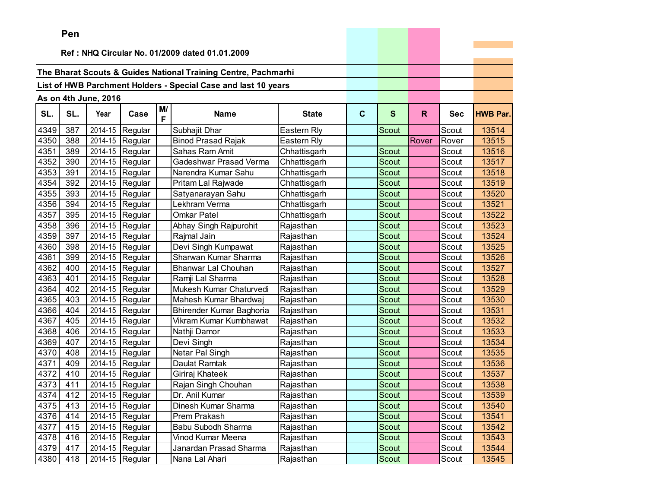|      | <b>Fell</b>                                    |                      |                 |         |                                                                |              |              |              |       |            |                 |
|------|------------------------------------------------|----------------------|-----------------|---------|----------------------------------------------------------------|--------------|--------------|--------------|-------|------------|-----------------|
|      | Ref: NHQ Circular No. 01/2009 dated 01.01.2009 |                      |                 |         |                                                                |              |              |              |       |            |                 |
|      |                                                |                      |                 |         |                                                                |              |              |              |       |            |                 |
|      |                                                |                      |                 |         | The Bharat Scouts & Guides National Training Centre, Pachmarhi |              |              |              |       |            |                 |
|      |                                                |                      |                 |         | List of HWB Parchment Holders - Special Case and last 10 years |              |              |              |       |            |                 |
|      |                                                |                      |                 |         |                                                                |              |              |              |       |            |                 |
|      |                                                | As on 4th June, 2016 |                 |         |                                                                |              |              |              |       |            |                 |
| SL.  | SL.                                            | Year                 | Case            | M/<br>F | Name                                                           | <b>State</b> | $\mathbf{C}$ | $\mathbf{s}$ | R.    | <b>Sec</b> | <b>HWB Par.</b> |
| 4349 | 387                                            | 2014-15              | Regular         |         | Subhajit Dhar                                                  | Eastern Rly  |              | Scout        |       | Scout      | 13514           |
| 4350 | 388                                            | 2014-15              | Regular         |         | <b>Binod Prasad Rajak</b>                                      | Eastern Rly  |              |              | Rover | Rover      | 13515           |
| 4351 | 389                                            | 2014-15              | Regular         |         | Sahas Ram Amit                                                 | Chhattisgarh |              | <b>Scout</b> |       | Scout      | 13516           |
| 4352 | 390                                            | 2014-15              | Regular         |         | Gadeshwar Prasad Verma                                         | Chhattisgarh |              | Scout        |       | Scout      | 13517           |
| 4353 | 391                                            | 2014-15              | Regular         |         | Narendra Kumar Sahu                                            | Chhattisgarh |              | Scout        |       | Scout      | 13518           |
| 4354 | 392                                            | 2014-15              | Regular         |         | Pritam Lal Rajwade                                             | Chhattisgarh |              | Scout        |       | Scout      | 13519           |
| 4355 | 393                                            | 2014-15              | Regular         |         | Satyanarayan Sahu                                              | Chhattisgarh |              | Scout        |       | Scout      | 13520           |
| 4356 | 394                                            | 2014-15              | Regular         |         | Lekhram Verma                                                  | Chhattisgarh |              | Scout        |       | Scout      | 13521           |
| 4357 | 395                                            | 2014-15              | Regular         |         | <b>Omkar Patel</b>                                             | Chhattisgarh |              | Scout        |       | Scout      | 13522           |
| 4358 | 396                                            | 2014-15              | Regular         |         | Abhay Singh Rajpurohit                                         | Rajasthan    |              | Scout        |       | Scout      | 13523           |
| 4359 | 397                                            | 2014-15              | Regular         |         | Rajmal Jain                                                    | Rajasthan    |              | Scout        |       | Scout      | 13524           |
| 4360 | 398                                            | 2014-15              | Regular         |         | Devi Singh Kumpawat                                            | Rajasthan    |              | Scout        |       | Scout      | 13525           |
| 4361 | 399                                            | 2014-15              | Regular         |         | Sharwan Kumar Sharma                                           | Rajasthan    |              | Scout        |       | Scout      | 13526           |
| 4362 | 400                                            | 2014-15              | Regular         |         | Bhanwar Lal Chouhan                                            | Rajasthan    |              | Scout        |       | Scout      | 13527           |
| 4363 | 401                                            | 2014-15              | Regular         |         | Ramji Lal Sharma                                               | Rajasthan    |              | Scout        |       | Scout      | 13528           |
| 4364 | 402                                            | 2014-15              | Regular         |         | Mukesh Kumar Chaturvedi                                        | Rajasthan    |              | Scout        |       | Scout      | 13529           |
| 4365 | 403                                            | 2014-15              | Regular         |         | Mahesh Kumar Bhardwaj                                          | Rajasthan    |              | Scout        |       | Scout      | 13530           |
| 4366 | 404                                            | 2014-15              | Regular         |         | <b>Bhirender Kumar Baghoria</b>                                | Rajasthan    |              | Scout        |       | Scout      | 13531           |
| 4367 | 405                                            | 2014-15              | Regular         |         | Vikram Kumar Kumbhawat                                         | Rajasthan    |              | Scout        |       | Scout      | 13532           |
| 4368 | 406                                            | 2014-15              | Regular         |         | Nathji Damor                                                   | Rajasthan    |              | Scout        |       | Scout      | 13533           |
| 4369 | 407                                            | 2014-15              | Regular         |         | Devi Singh                                                     | Rajasthan    |              | Scout        |       | Scout      | 13534           |
| 4370 | 408                                            | 2014-15              | Regular         |         | Netar Pal Singh                                                | Rajasthan    |              | Scout        |       | Scout      | 13535           |
| 4371 | 409                                            | 2014-15              | Regular         |         | Daulat Ramtak                                                  | Rajasthan    |              | Scout        |       | Scout      | 13536           |
| 4372 | 410                                            | 2014-15              | Regular         |         | Giriraj Khateek                                                | Rajasthan    |              | Scout        |       | Scout      | 13537           |
| 4373 | 411                                            | 2014-15              | Regular         |         | Rajan Singh Chouhan                                            | Rajasthan    |              | Scout        |       | Scout      | 13538           |
| 4374 | 412                                            |                      | 2014-15 Regular |         | Dr. Anil Kumar                                                 | Rajasthan    |              | <b>Scout</b> |       | Scout      | 13539           |
| 4375 | 413                                            |                      | 2014-15 Regular |         | Dinesh Kumar Sharma                                            | Rajasthan    |              | Scout        |       | Scout      | 13540           |
| 4376 | 414                                            |                      | 2014-15 Regular |         | Prem Prakash                                                   | Rajasthan    |              | Scout        |       | Scout      | 13541           |
| 4377 | 415                                            |                      | 2014-15 Regular |         | Babu Subodh Sharma                                             | Rajasthan    |              | Scout        |       | Scout      | 13542           |
| 4378 | 416                                            |                      | 2014-15 Regular |         | Vinod Kumar Meena                                              | Rajasthan    |              | Scout        |       | Scout      | 13543           |
| 4379 | 417                                            |                      | 2014-15 Regular |         | Janardan Prasad Sharma                                         | Rajasthan    |              | Scout        |       | Scout      | 13544           |
| 4380 | 418                                            |                      | 2014-15 Regular |         | Nana Lal Ahari                                                 | Rajasthan    |              | Scout        |       | Scout      | 13545           |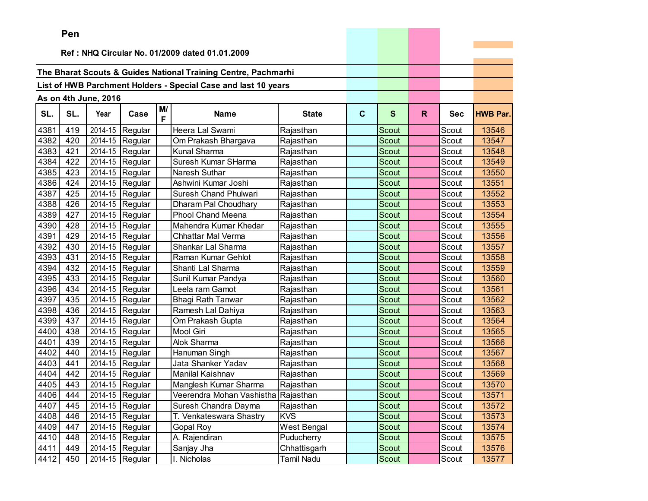|      | ren |                      |                               |         |                                                                |                   |              |              |    |            |                 |
|------|-----|----------------------|-------------------------------|---------|----------------------------------------------------------------|-------------------|--------------|--------------|----|------------|-----------------|
|      |     |                      |                               |         | Ref: NHQ Circular No. 01/2009 dated 01.01.2009                 |                   |              |              |    |            |                 |
|      |     |                      |                               |         |                                                                |                   |              |              |    |            |                 |
|      |     |                      |                               |         | The Bharat Scouts & Guides National Training Centre, Pachmarhi |                   |              |              |    |            |                 |
|      |     |                      |                               |         | List of HWB Parchment Holders - Special Case and last 10 years |                   |              |              |    |            |                 |
|      |     |                      |                               |         |                                                                |                   |              |              |    |            |                 |
|      |     | As on 4th June, 2016 |                               |         |                                                                |                   |              |              |    |            |                 |
| SL.  | SL. | Year                 | Case                          | M/<br>F | <b>Name</b>                                                    | <b>State</b>      | $\mathbf{C}$ | $\mathbf{s}$ | R. | <b>Sec</b> | <b>HWB Par.</b> |
| 4381 | 419 | 2014-15              | Regular                       |         | Heera Lal Swami                                                | Rajasthan         |              | Scout        |    | Scout      | 13546           |
| 4382 | 420 | 2014-15              | Regular                       |         | Om Prakash Bhargava                                            | Rajasthan         |              | Scout        |    | Scout      | 13547           |
| 4383 | 421 | 2014-15              | Regular                       |         | Kunal Sharma                                                   | Rajasthan         |              | Scout        |    | Scout      | 13548           |
| 4384 | 422 |                      | 2014-15 Regular               |         | Suresh Kumar SHarma                                            | Rajasthan         |              | Scout        |    | Scout      | 13549           |
| 4385 | 423 | 2014-15              | Regular                       |         | Naresh Suthar                                                  | Rajasthan         |              | <b>Scout</b> |    | Scout      | 13550           |
| 4386 | 424 | 2014-15              | Regular                       |         | Ashwini Kumar Joshi                                            | Rajasthan         |              | Scout        |    | Scout      | 13551           |
| 4387 | 425 | 2014-15              | Regular                       |         | Suresh Chand Phulwari                                          | Rajasthan         |              | Scout        |    | Scout      | 13552           |
| 4388 | 426 | 2014-15              | Regular                       |         | Dharam Pal Choudhary                                           | Rajasthan         |              | <b>Scout</b> |    | Scout      | 13553           |
| 4389 | 427 | 2014-15              | Regular                       |         | Phool Chand Meena                                              | Rajasthan         |              | Scout        |    | Scout      | 13554           |
| 4390 | 428 |                      | 2014-15 Regular               |         | Mahendra Kumar Khedar                                          | Rajasthan         |              | Scout        |    | Scout      | 13555           |
| 4391 | 429 | 2014-15              | Regular                       |         | Chhattar Mal Verma                                             | Rajasthan         |              | Scout        |    | Scout      | 13556           |
| 4392 | 430 | 2014-15              | Regular                       |         | Shankar Lal Sharma                                             | Rajasthan         |              | Scout        |    | Scout      | 13557           |
| 4393 | 431 | 2014-15              | Regular                       |         | Raman Kumar Gehlot                                             | Rajasthan         |              | Scout        |    | Scout      | 13558           |
| 4394 | 432 | 2014-15              | Regular                       |         | Shanti Lal Sharma                                              | Rajasthan         |              | Scout        |    | Scout      | 13559           |
| 4395 | 433 | 2014-15              | Regular                       |         | Sunil Kumar Pandya                                             | Rajasthan         |              | Scout        |    | Scout      | 13560           |
| 4396 | 434 |                      | 2014-15 Regular               |         | Leela ram Gamot                                                | Rajasthan         |              | Scout        |    | Scout      | 13561           |
| 4397 | 435 | 2014-15              | Regular                       |         | <b>Bhagi Rath Tanwar</b>                                       | Rajasthan         |              | <b>Scout</b> |    | Scout      | 13562           |
| 4398 | 436 | 2014-15              | Regular                       |         | Ramesh Lal Dahiya                                              | Rajasthan         |              | Scout        |    | Scout      | 13563           |
| 4399 | 437 | 2014-15              | Regular                       |         | Om Prakash Gupta                                               | Rajasthan         |              | Scout        |    | Scout      | 13564           |
| 4400 | 438 | 2014-15              | Regular                       |         | <b>Mool Giri</b>                                               | Rajasthan         |              | Scout        |    | Scout      | 13565           |
| 4401 | 439 | 2014-15              | Regular                       |         | Alok Sharma                                                    | Rajasthan         |              | <b>Scout</b> |    | Scout      | 13566           |
| 4402 | 440 | 2014-15              | Regular                       |         | Hanuman Singh                                                  | Rajasthan         |              | Scout        |    | Scout      | 13567           |
| 4403 | 441 |                      | 2014-15 Regular               |         | Jata Shanker Yadav                                             | Rajasthan         |              | <b>Scout</b> |    | Scout      | 13568           |
| 4404 | 442 | 2014-15              | Regular                       |         | <b>Manilal Kaishnav</b>                                        | Rajasthan         |              | Scout        |    | Scout      | 13569           |
| 4405 | 443 | 2014-15              | Regular                       |         | Manglesh Kumar Sharma                                          | Rajasthan         |              | Scout        |    | Scout      | 13570           |
| 4406 | 444 |                      | $\overline{2014}$ -15 Regular |         | Veerendra Mohan Vashistha                                      | Rajasthan         |              | Scout        |    | Scout      | 13571           |
| 4407 | 445 |                      | 2014-15 Regular               |         | Suresh Chandra Dayma                                           | Rajasthan         |              | Scout        |    | Scout      | 13572           |
| 4408 | 446 |                      | 2014-15 Regular               |         | T. Venkateswara Shastry                                        | <b>KVS</b>        |              | Scout        |    | Scout      | 13573           |
| 4409 | 447 |                      | 2014-15 Regular               |         | Gopal Roy                                                      | West Bengal       |              | Scout        |    | Scout      | 13574           |
| 4410 | 448 |                      | 2014-15 Regular               |         | A. Rajendiran                                                  | Puducherry        |              | Scout        |    | Scout      | 13575           |
| 4411 | 449 |                      | 2014-15 Regular               |         | Sanjay Jha                                                     | Chhattisgarh      |              | Scout        |    | Scout      | 13576           |
| 4412 | 450 |                      | 2014-15 Regular               |         | Nicholas                                                       | <b>Tamil Nadu</b> |              | Scout        |    | Scout      | 13577           |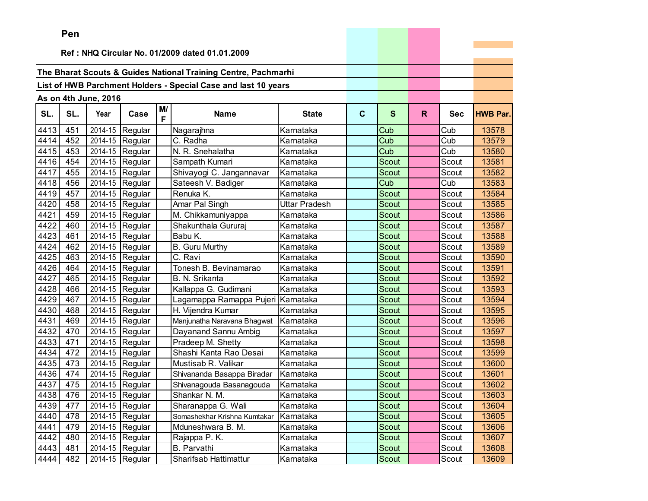|      | ren |                      |                               |    |                                                                |               |              |              |              |            |                 |
|------|-----|----------------------|-------------------------------|----|----------------------------------------------------------------|---------------|--------------|--------------|--------------|------------|-----------------|
|      |     |                      |                               |    | Ref: NHQ Circular No. 01/2009 dated 01.01.2009                 |               |              |              |              |            |                 |
|      |     |                      |                               |    |                                                                |               |              |              |              |            |                 |
|      |     |                      |                               |    | The Bharat Scouts & Guides National Training Centre, Pachmarhi |               |              |              |              |            |                 |
|      |     |                      |                               |    | List of HWB Parchment Holders - Special Case and last 10 years |               |              |              |              |            |                 |
|      |     |                      |                               |    |                                                                |               |              |              |              |            |                 |
|      |     | As on 4th June, 2016 |                               | M/ |                                                                |               |              |              |              |            |                 |
| SL.  | SL. | Year                 | Case                          | F  | <b>Name</b>                                                    | <b>State</b>  | $\mathbf{C}$ | $\mathbf{s}$ | $\mathsf{R}$ | <b>Sec</b> | <b>HWB Par.</b> |
| 4413 | 451 | 2014-15              | Regular                       |    | Nagarajhna                                                     | Karnataka     |              | Cub          |              | Cub        | 13578           |
| 4414 | 452 | 2014-15              | Regular                       |    | C. Radha                                                       | Karnataka     |              | Cub          |              | Cub        | 13579           |
| 4415 | 453 | 2014-15              | Regular                       |    | N. R. Snehalatha                                               | Karnataka     |              | Cub          |              | Cub        | 13580           |
| 4416 | 454 | 2014-15              | Regular                       |    | Sampath Kumari                                                 | Karnataka     |              | Scout        |              | Scout      | 13581           |
| 4417 | 455 | 2014-15              | Regular                       |    | Shivayogi C. Jangannavar                                       | Karnataka     |              | <b>Scout</b> |              | Scout      | 13582           |
| 4418 | 456 | 2014-15              | Regular                       |    | Sateesh V. Badiger                                             | Karnataka     |              | Cub          |              | Cub        | 13583           |
| 4419 | 457 | 2014-15              | Regular                       |    | Renuka K.                                                      | Karnataka     |              | <b>Scout</b> |              | Scout      | 13584           |
| 4420 | 458 | 2014-15              | Regular                       |    | Amar Pal Singh                                                 | Uttar Pradesh |              | <b>Scout</b> |              | Scout      | 13585           |
| 4421 | 459 | 2014-15              | Regular                       |    | M. Chikkamuniyappa                                             | Karnataka     |              | <b>Scout</b> |              | Scout      | 13586           |
| 4422 | 460 |                      | 2014-15 Regular               |    | Shakunthala Gururaj                                            | Karnataka     |              | Scout        |              | Scout      | 13587           |
| 4423 | 461 | 2014-15              | Regular                       |    | Babu K.                                                        | Karnataka     |              | <b>Scout</b> |              | Scout      | 13588           |
| 4424 | 462 | 2014-15              | Regular                       |    | <b>B.</b> Guru Murthy                                          | Karnataka     |              | Scout        |              | Scout      | 13589           |
| 4425 | 463 | 2014-15              | Regular                       |    | C. Ravi                                                        | Karnataka     |              | <b>Scout</b> |              | Scout      | 13590           |
| 4426 | 464 | 2014-15              | Regular                       |    | Tonesh B. Bevinamarao                                          | Karnataka     |              | <b>Scout</b> |              | Scout      | 13591           |
| 4427 | 465 | 2014-15              | Regular                       |    | B. N. Srikanta                                                 | Karnataka     |              | Scout        |              | Scout      | 13592           |
| 4428 | 466 | 2014-15              | Regular                       |    | Kallappa G. Gudimani                                           | Karnataka     |              | Scout        |              | Scout      | 13593           |
| 4429 | 467 |                      | 2014-15 Regular               |    | Lagamappa Ramappa Pujeri                                       | Karnataka     |              | Scout        |              | Scout      | 13594           |
| 4430 | 468 | 2014-15              | Regular                       |    | H. Vijendra Kumar                                              | Karnataka     |              | Scout        |              | Scout      | 13595           |
| 4431 | 469 | 2014-15              | Regular                       |    | Manjunatha Naravana Bhagwat                                    | Karnataka     |              | Scout        |              | Scout      | 13596           |
| 4432 | 470 | 2014-15              | Regular                       |    | Dayanand Sannu Ambig                                           | Karnataka     |              | Scout        |              | Scout      | 13597           |
| 4433 | 471 | 2014-15              | Regular                       |    | Pradeep M. Shetty                                              | Karnataka     |              | <b>Scout</b> |              | Scout      | 13598           |
| 4434 | 472 | 2014-15              | Regular                       |    | Shashi Kanta Rao Desai                                         | Karnataka     |              | Scout        |              | Scout      | 13599           |
| 4435 | 473 |                      | 2014-15 Regular               |    | Mustisab R. Valikar                                            | Karnataka     |              | Scout        |              | Scout      | 13600           |
| 4436 | 474 | 2014-15              | Regular                       |    | Shivananda Basappa Biradar                                     | Karnataka     |              | Scout        |              | Scout      | 13601           |
| 4437 | 475 | 2014-15              | Regular                       |    | Shivanagouda Basanagouda                                       | Karnataka     |              | Scout        |              | Scout      | 13602           |
| 4438 | 476 |                      | $\overline{2014}$ -15 Regular |    | Shankar N. M.                                                  | Karnataka     |              | Scout        |              | Scout      | 13603           |
| 4439 | 477 |                      | 2014-15 Regular               |    | Sharanappa G. Wali                                             | Karnataka     |              | Scout        |              | Scout      | 13604           |
| 4440 | 478 |                      | 2014-15 Regular               |    | Somashekhar Krishna Kumtakar                                   | Karnataka     |              | Scout        |              | Scout      | 13605           |
| 4441 | 479 |                      | 2014-15 Regular               |    | Mduneshwara B. M.                                              | Karnataka     |              | Scout        |              | Scout      | 13606           |
| 4442 | 480 |                      | 2014-15 Regular               |    | Rajappa P.K.                                                   | Karnataka     |              | Scout        |              | Scout      | 13607           |
| 4443 | 481 |                      | 2014-15 Regular               |    | <b>B.</b> Parvathi                                             | Karnataka     |              | Scout        |              | Scout      | 13608           |
| 4444 | 482 |                      | 2014-15 Regular               |    | Sharifsab Hattimattur                                          | Karnataka     |              | Scout        |              | Scout      | 13609           |

the control of the control of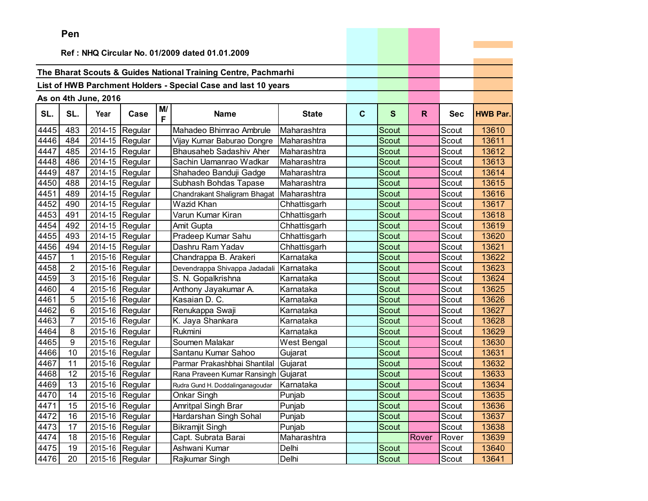|      | Pen                     |                      |                               |         |                                                                |              |             |              |       |            |                 |
|------|-------------------------|----------------------|-------------------------------|---------|----------------------------------------------------------------|--------------|-------------|--------------|-------|------------|-----------------|
|      |                         |                      |                               |         | Ref: NHQ Circular No. 01/2009 dated 01.01.2009                 |              |             |              |       |            |                 |
|      |                         |                      |                               |         |                                                                |              |             |              |       |            |                 |
|      |                         |                      |                               |         | The Bharat Scouts & Guides National Training Centre, Pachmarhi |              |             |              |       |            |                 |
|      |                         |                      |                               |         | List of HWB Parchment Holders - Special Case and last 10 years |              |             |              |       |            |                 |
|      |                         |                      |                               |         |                                                                |              |             |              |       |            |                 |
|      |                         | As on 4th June, 2016 |                               |         |                                                                |              |             |              |       |            |                 |
| SL.  | SL.                     | Year                 | Case                          | M/<br>F | <b>Name</b>                                                    | <b>State</b> | $\mathbf c$ | S            | R.    | <b>Sec</b> | <b>HWB Par.</b> |
| 4445 | 483                     | 2014-15              | Regular                       |         | Mahadeo Bhimrao Ambrule                                        | Maharashtra  |             | Scout        |       | Scout      | 13610           |
| 4446 | 484                     | 2014-15              | Regular                       |         | Vijay Kumar Baburao Dongre                                     | Maharashtra  |             | <b>Scout</b> |       | Scout      | 13611           |
| 4447 | 485                     | 2014-15              | Regular                       |         | <b>Bhausaheb Sadashiv Aher</b>                                 | Maharashtra  |             | Scout        |       | Scout      | 13612           |
| 4448 | 486                     | 2014-15              | Regular                       |         | Sachin Uamanrao Wadkar                                         | Maharashtra  |             | Scout        |       | Scout      | 13613           |
| 4449 | 487                     | 2014-15              | Regular                       |         | Shahadeo Banduji Gadge                                         | Maharashtra  |             | <b>Scout</b> |       | Scout      | 13614           |
| 4450 | 488                     | 2014-15              | Regular                       |         | Subhash Bohdas Tapase                                          | Maharashtra  |             | <b>Scout</b> |       | Scout      | 13615           |
| 4451 | 489                     | 2014-15              | Regular                       |         | Chandrakant Shaligram Bhagat                                   | Maharashtra  |             | <b>Scout</b> |       | Scout      | 13616           |
| 4452 | 490                     | 2014-15              | Regular                       |         | Wazid Khan                                                     | Chhattisgarh |             | Scout        |       | Scout      | 13617           |
| 4453 | 491                     | 2014-15              | Regular                       |         | Varun Kumar Kiran                                              | Chhattisgarh |             | <b>Scout</b> |       | Scout      | 13618           |
| 4454 | 492                     | 2014-15              | Regular                       |         | Amit Gupta                                                     | Chhattisgarh |             | Scout        |       | Scout      | 13619           |
| 4455 | 493                     | 2014-15              | Regular                       |         | Pradeep Kumar Sahu                                             | Chhattisgarh |             | Scout        |       | Scout      | 13620           |
| 4456 | 494                     | 2014-15              | Regular                       |         | Dashru Ram Yadav                                               | Chhattisgarh |             | <b>Scout</b> |       | Scout      | 13621           |
| 4457 | $\mathbf{1}$            | 2015-16              | Regular                       |         | Chandrappa B. Arakeri                                          | Karnataka    |             | <b>Scout</b> |       | Scout      | 13622           |
| 4458 | $\overline{2}$          | 2015-16              | Regular                       |         | Devendrappa Shivappa Jadadali                                  | Karnataka    |             | <b>Scout</b> |       | Scout      | 13623           |
| 4459 | 3                       | 2015-16              | Regular                       |         | S. N. Gopalkrishna                                             | Karnataka    |             | <b>Scout</b> |       | Scout      | 13624           |
| 4460 | $\overline{\mathbf{4}}$ | 2015-16              | Regular                       |         | Anthony Jayakumar A.                                           | Karnataka    |             | <b>Scout</b> |       | Scout      | 13625           |
| 4461 | 5                       | 2015-16              | Regular                       |         | Kasaian D. C.                                                  | Karnataka    |             | <b>Scout</b> |       | Scout      | 13626           |
| 4462 | 6                       | 2015-16              | Regular                       |         | Renukappa Swaji                                                | Karnataka    |             | <b>Scout</b> |       | Scout      | 13627           |
| 4463 | 7                       | 2015-16              | Regular                       |         | K. Jaya Shankara                                               | Karnataka    |             | Scout        |       | Scout      | 13628           |
| 4464 | 8                       | 2015-16              | Regular                       |         | Rukmini                                                        | Karnataka    |             | <b>Scout</b> |       | Scout      | 13629           |
| 4465 | 9                       | 2015-16              | Regular                       |         | Soumen Malakar                                                 | West Bengal  |             | <b>Scout</b> |       | Scout      | 13630           |
| 4466 | 10                      | 2015-16              | Regular                       |         | Santanu Kumar Sahoo                                            | Gujarat      |             | <b>Scout</b> |       | Scout      | 13631           |
| 4467 | 11                      | 2015-16              | Regular                       |         | Parmar Prakashbhai Shantilal                                   | Gujarat      |             | <b>Scout</b> |       | Scout      | 13632           |
| 4468 | 12                      | 2015-16              | Regular                       |         | Rana Praveen Kumar Ransingh                                    | Gujarat      |             | Scout        |       | Scout      | 13633           |
| 4469 | 13                      | 2015-16              | Regular                       |         | Rudra Gund H. Doddalinganagoudar                               | Karnataka    |             | Scout        |       | Scout      | 13634           |
| 4470 | 14                      |                      | $\overline{2015}$ -16 Regular |         | Onkar Singh                                                    | Punjab       |             | Scout        |       | Scout      | 13635           |
| 4471 | 15                      |                      | $2015-16$ Regular             |         | Amritpal Singh Brar                                            | Punjab       |             | Scout        |       | Scout      | 13636           |
| 4472 | 16                      |                      | 2015-16 Regular               |         | Hardarshan Singh Sohal                                         | Punjab       |             | Scout        |       | Scout      | 13637           |
| 4473 | 17                      |                      | 2015-16 Regular               |         | <b>Bikramjit Singh</b>                                         | Punjab       |             | Scout        |       | Scout      | 13638           |
| 4474 | 18                      | 2015-16              | Regular                       |         | Capt. Subrata Barai                                            | Maharashtra  |             |              | Rover | Rover      | 13639           |
| 4475 | 19                      | 2015-16              | Regular                       |         | Ashwani Kumar                                                  | Delhi        |             | Scout        |       | Scout      | 13640           |
| 4476 | 20                      |                      | 2015-16 Regular               |         | Rajkumar Singh                                                 | Delhi        |             | Scout        |       | Scout      | 13641           |

the control of the control of the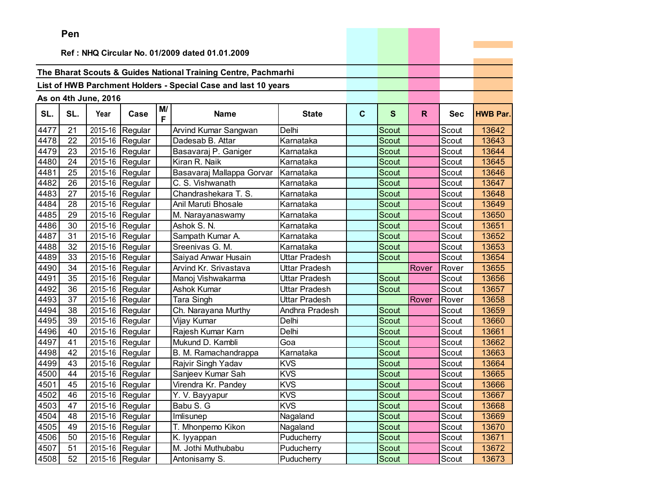|      | ren |                      |                               |         |                                                                |                |              |              |       |            |                 |
|------|-----|----------------------|-------------------------------|---------|----------------------------------------------------------------|----------------|--------------|--------------|-------|------------|-----------------|
|      |     |                      |                               |         | Ref: NHQ Circular No. 01/2009 dated 01.01.2009                 |                |              |              |       |            |                 |
|      |     |                      |                               |         |                                                                |                |              |              |       |            |                 |
|      |     |                      |                               |         | The Bharat Scouts & Guides National Training Centre, Pachmarhi |                |              |              |       |            |                 |
|      |     |                      |                               |         | List of HWB Parchment Holders - Special Case and last 10 years |                |              |              |       |            |                 |
|      |     |                      |                               |         |                                                                |                |              |              |       |            |                 |
|      |     | As on 4th June, 2016 |                               |         |                                                                |                |              |              |       |            |                 |
| SL.  | SL. | Year                 | Case                          | M/<br>F | <b>Name</b>                                                    | <b>State</b>   | $\mathbf{C}$ | $\mathbf{s}$ | R.    | <b>Sec</b> | <b>HWB Par.</b> |
| 4477 | 21  | 2015-16              | Regular                       |         | Arvind Kumar Sangwan                                           | Delhi          |              | Scout        |       | Scout      | 13642           |
| 4478 | 22  |                      | 2015-16 Regular               |         | Dadesab B. Attar                                               | Karnataka      |              | Scout        |       | Scout      | 13643           |
| 4479 | 23  |                      | 2015-16 Regular               |         | Basavaraj P. Ganiger                                           | Karnataka      |              | Scout        |       | Scout      | 13644           |
| 4480 | 24  |                      | 2015-16 Regular               |         | Kiran R. Naik                                                  | Karnataka      |              | Scout        |       | Scout      | 13645           |
| 4481 | 25  |                      | 2015-16 Regular               |         | Basavaraj Mallappa Gorvar                                      | Karnataka      |              | Scout        |       | Scout      | 13646           |
| 4482 | 26  | 2015-16              | Regular                       |         | C. S. Vishwanath                                               | Karnataka      |              | Scout        |       | Scout      | 13647           |
| 4483 | 27  | 2015-16              | Regular                       |         | Chandrashekara T. S.                                           | Karnataka      |              | Scout        |       | Scout      | 13648           |
| 4484 | 28  | 2015-16              | Regular                       |         | Anil Maruti Bhosale                                            | Karnataka      |              | Scout        |       | Scout      | 13649           |
| 4485 | 29  |                      | 2015-16 Regular               |         | M. Narayanaswamy                                               | Karnataka      |              | <b>Scout</b> |       | Scout      | 13650           |
| 4486 | 30  |                      | 2015-16 Regular               |         | Ashok S. N.                                                    | Karnataka      |              | Scout        |       | Scout      | 13651           |
| 4487 | 31  |                      | 2015-16 Regular               |         | Sampath Kumar A.                                               | Karnataka      |              | Scout        |       | Scout      | 13652           |
| 4488 | 32  | 2015-16              | Regular                       |         | Sreenivas G. M.                                                | Karnataka      |              | Scout        |       | Scout      | 13653           |
| 4489 | 33  | 2015-16              | Regular                       |         | Saiyad Anwar Husain                                            | Uttar Pradesh  |              | Scout        |       | Scout      | 13654           |
| 4490 | 34  | 2015-16              | Regular                       |         | Arvind Kr. Srivastava                                          | Uttar Pradesh  |              |              | Rover | Rover      | 13655           |
| 4491 | 35  | 2015-16              | Regular                       |         | Manoj Vishwakarma                                              | Uttar Pradesh  |              | Scout        |       | Scout      | 13656           |
| 4492 | 36  |                      | 2015-16 Regular               |         | Ashok Kumar                                                    | Uttar Pradesh  |              | Scout        |       | Scout      | 13657           |
| 4493 | 37  |                      | 2015-16 Regular               |         | Tara Singh                                                     | Uttar Pradesh  |              |              | Rover | Rover      | 13658           |
| 4494 | 38  | 2015-16              | Regular                       |         | Ch. Narayana Murthy                                            | Andhra Pradesh |              | Scout        |       | Scout      | 13659           |
| 4495 | 39  | 2015-16              | Regular                       |         | Vijay Kumar                                                    | Delhi          |              | Scout        |       | Scout      | 13660           |
| 4496 | 40  | 2015-16              | Regular                       |         | Rajesh Kumar Karn                                              | Delhi          |              | <b>Scout</b> |       | Scout      | 13661           |
| 4497 | 41  |                      | 2015-16 Regular               |         | Mukund D. Kambli                                               | Goa            |              | <b>Scout</b> |       | Scout      | 13662           |
| 4498 | 42  |                      | 2015-16 Regular               |         | B. M. Ramachandrappa                                           | Karnataka      |              | Scout        |       | Scout      | 13663           |
| 4499 | 43  |                      | 2015-16 Regular               |         | Rajvir Singh Yadav                                             | <b>KVS</b>     |              | Scout        |       | Scout      | 13664           |
| 4500 | 44  | 2015-16              | Regular                       |         | Sanjeev Kumar Sah                                              | <b>KVS</b>     |              | Scout        |       | Scout      | 13665           |
| 4501 | 45  | 2015-16              | Regular                       |         | Virendra Kr. Pandey                                            | KVS            |              | Scout        |       | Scout      | 13666           |
| 4502 | 46  |                      | $\overline{2015}$ -16 Regular |         | $\overline{Y}$ . V. Bayyapur                                   | <b>KVS</b>     |              | Scout        |       | Scout      | 13667           |
| 4503 | 47  |                      | 2015-16 Regular               |         | Babu S. G                                                      | <b>KVS</b>     |              | Scout        |       | Scout      | 13668           |
| 4504 | 48  |                      | 2015-16 Regular               |         | Imlisunep                                                      | Nagaland       |              | Scout        |       | Scout      | 13669           |
| 4505 | 49  |                      | 2015-16 Regular               |         | T. Mhonpemo Kikon                                              | Nagaland       |              | Scout        |       | Scout      | 13670           |
| 4506 | 50  |                      | 2015-16 Regular               |         | K. lyyappan                                                    | Puducherry     |              | Scout        |       | Scout      | 13671           |
| 4507 | 51  |                      | 2015-16 Regular               |         | M. Jothi Muthubabu                                             | Puducherry     |              | Scout        |       | Scout      | 13672           |
| 4508 | 52  |                      | 2015-16 Regular               |         | Antonisamy S.                                                  | Puducherry     |              | Scout        |       | Scout      | 13673           |

and the control of the control of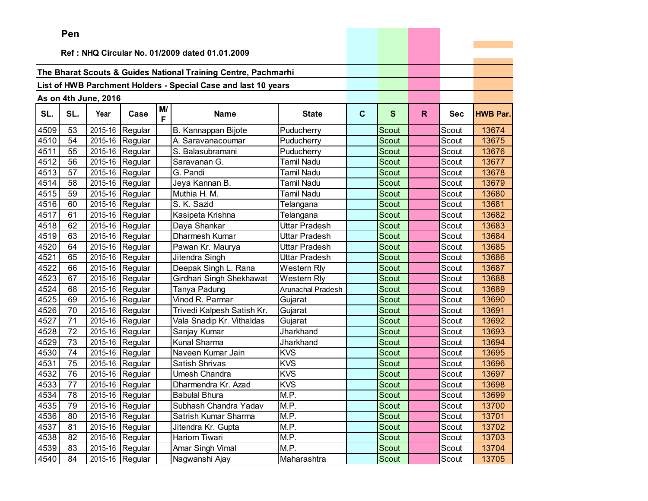|      | ген |                      |                               |         |                                                                |                   |              |              |              |            |                 |
|------|-----|----------------------|-------------------------------|---------|----------------------------------------------------------------|-------------------|--------------|--------------|--------------|------------|-----------------|
|      |     |                      |                               |         | Ref: NHQ Circular No. 01/2009 dated 01.01.2009                 |                   |              |              |              |            |                 |
|      |     |                      |                               |         |                                                                |                   |              |              |              |            |                 |
|      |     |                      |                               |         | The Bharat Scouts & Guides National Training Centre, Pachmarhi |                   |              |              |              |            |                 |
|      |     |                      |                               |         |                                                                |                   |              |              |              |            |                 |
|      |     |                      |                               |         | List of HWB Parchment Holders - Special Case and last 10 years |                   |              |              |              |            |                 |
|      |     | As on 4th June, 2016 |                               |         |                                                                |                   |              |              |              |            |                 |
| SL.  | SL. | Year                 | Case                          | M/<br>F | <b>Name</b>                                                    | <b>State</b>      | $\mathbf{C}$ | S            | $\mathsf{R}$ | <b>Sec</b> | <b>HWB Par.</b> |
| 4509 | 53  |                      | $\overline{2015}$ -16 Regular |         | B. Kannappan Bijote                                            | Puducherry        |              | Scout        |              | Scout      | 13674           |
| 4510 | 54  | 2015-16              | Regular                       |         | A. Saravanacoumar                                              | Puducherry        |              | <b>Scout</b> |              | Scout      | 13675           |
| 4511 | 55  | 2015-16              | Regular                       |         | S. Balasubramani                                               | Puducherry        |              | <b>Scout</b> |              | Scout      | 13676           |
| 4512 | 56  | 2015-16              | Regular                       |         | Saravanan G.                                                   | Tamil Nadu        |              | Scout        |              | Scout      | 13677           |
| 4513 | 57  |                      | 2015-16 Regular               |         | G. Pandi                                                       | Tamil Nadu        |              | Scout        |              | Scout      | 13678           |
| 4514 | 58  | 2015-16              | Regular                       |         | Jeya Kannan B.                                                 | Tamil Nadu        |              | Scout        |              | Scout      | 13679           |
| 4515 | 59  | 2015-16              | Regular                       |         | Muthia H. M.                                                   | Tamil Nadu        |              | Scout        |              | Scout      | 13680           |
| 4516 | 60  | 2015-16              | Regular                       |         | S. K. Sazid                                                    | Telangana         |              | Scout        |              | Scout      | 13681           |
| 4517 | 61  |                      | 2015-16 Regular               |         | Kasipeta Krishna                                               | Telangana         |              | Scout        |              | Scout      | 13682           |
| 4518 | 62  |                      | 2015-16 Regular               |         | Daya Shankar                                                   | Uttar Pradesh     |              | <b>Scout</b> |              | Scout      | 13683           |
| 4519 | 63  |                      | 2015-16 Regular               |         | Dharmesh Kumar                                                 | Uttar Pradesh     |              | Scout        |              | Scout      | 13684           |
| 4520 | 64  |                      | 2015-16 Regular               |         | Pawan Kr. Maurya                                               | Uttar Pradesh     |              | Scout        |              | Scout      | 13685           |
| 4521 | 65  | 2015-16              | Regular                       |         | Jitendra Singh                                                 | Uttar Pradesh     |              | Scout        |              | Scout      | 13686           |
| 4522 | 66  | 2015-16              | Regular                       |         | Deepak Singh L. Rana                                           | Western Rly       |              | Scout        |              | Scout      | 13687           |
| 4523 | 67  | 2015-16              | Regular                       |         | Girdhari Singh Shekhawat                                       | Western Rly       |              | <b>Scout</b> |              | Scout      | 13688           |
| 4524 | 68  | 2015-16              | Regular                       |         | Tanya Padung                                                   | Arunachal Pradesh |              | Scout        |              | Scout      | 13689           |
| 4525 | 69  | 2015-16              | Regular                       |         | Vinod R. Parmar                                                | Gujarat           |              | Scout        |              | Scout      | 13690           |
| 4526 | 70  | 2015-16              | Regular                       |         | Trivedi Kalpesh Satish Kr.                                     | Gujarat           |              | <b>Scout</b> |              | Scout      | 13691           |
| 4527 | 71  | 2015-16              | Regular                       |         | Vala Snadip Kr. Vithaldas                                      | Gujarat           |              | Scout        |              | Scout      | 13692           |
| 4528 | 72  | 2015-16              | Regular                       |         | Sanjay Kumar                                                   | Jharkhand         |              | Scout        |              | Scout      | 13693           |
| 4529 | 73  | 2015-16              | Regular                       |         | Kunal Sharma                                                   | Jharkhand         |              | <b>Scout</b> |              | Scout      | 13694           |
| 4530 | 74  | 2015-16              | Regular                       |         | Naveen Kumar Jain                                              | <b>KVS</b>        |              | <b>Scout</b> |              | Scout      | 13695           |
| 4531 | 75  |                      | 2015-16 Regular               |         | Satish Shrivas                                                 | <b>KVS</b>        |              | Scout        |              | Scout      | 13696           |
| 4532 | 76  | 2015-16              | Regular                       |         | Umesh Chandra                                                  | <b>KVS</b>        |              | <b>Scout</b> |              | Scout      | 13697           |
| 4533 | 77  | 2015-16              | Regular                       |         | Dharmendra Kr. Azad                                            | <b>KVS</b>        |              | Scout        |              | Scout      | 13698           |
| 4534 | 78  |                      | 2015-16 Regular               |         | <b>Babulal Bhura</b>                                           | M.P.              |              | Scout        |              | Scout      | 13699           |
| 4535 | 79  |                      | 2015-16 Regular               |         | Subhash Chandra Yadav                                          | M.P.              |              | Scout        |              | Scout      | 13700           |
| 4536 | 80  |                      | 2015-16 Regular               |         | Satrish Kumar Sharma                                           | M.P.              |              | Scout        |              | Scout      | 13701           |
| 4537 | 81  |                      | 2015-16 Regular               |         | Jitendra Kr. Gupta                                             | M.P.              |              | Scout        |              | Scout      | 13702           |
| 4538 | 82  |                      | 2015-16 Regular               |         | <b>Hariom Tiwari</b>                                           | M.P.              |              | Scout        |              | Scout      | 13703           |
| 4539 | 83  |                      | 2015-16 Regular               |         | Amar Singh Vimal                                               | M.P.              |              | Scout        |              | Scout      | 13704           |
| 4540 | 84  |                      | 2015-16 Regular               |         | Nagwanshi Ajay                                                 | Maharashtra       |              | Scout        |              | Scout      | 13705           |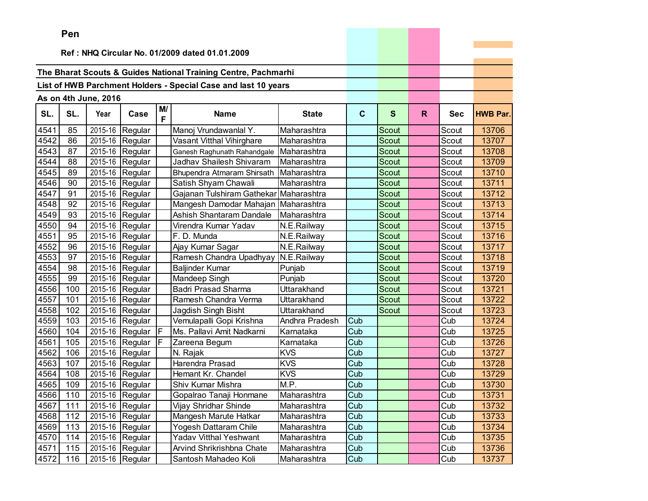|      | <b>Fell</b> |                      |                               |                |                                                                |                |             |              |              |            |                 |
|------|-------------|----------------------|-------------------------------|----------------|----------------------------------------------------------------|----------------|-------------|--------------|--------------|------------|-----------------|
|      |             |                      |                               |                | Ref: NHQ Circular No. 01/2009 dated 01.01.2009                 |                |             |              |              |            |                 |
|      |             |                      |                               |                |                                                                |                |             |              |              |            |                 |
|      |             |                      |                               |                | The Bharat Scouts & Guides National Training Centre, Pachmarhi |                |             |              |              |            |                 |
|      |             |                      |                               |                | List of HWB Parchment Holders - Special Case and last 10 years |                |             |              |              |            |                 |
|      |             | As on 4th June, 2016 |                               |                |                                                                |                |             |              |              |            |                 |
|      |             |                      |                               | M/             |                                                                |                |             |              |              |            |                 |
| SL.  | SL.         | Year                 | Case                          | F              | <b>Name</b>                                                    | <b>State</b>   | $\mathbf c$ | $\mathbf{s}$ | $\mathsf{R}$ | <b>Sec</b> | <b>HWB Par.</b> |
| 4541 | 85          | 2015-16              | Regular                       |                | Manoj Vrundawanlal Y.                                          | Maharashtra    |             | <b>Scout</b> |              | Scout      | 13706           |
| 4542 | 86          | 2015-16              | Regular                       |                | Vasant Vitthal Vihirghare                                      | Maharashtra    |             | <b>Scout</b> |              | Scout      | 13707           |
| 4543 | 87          | 2015-16              | Regular                       |                | Ganesh Raghunath Rahandgale                                    | Maharashtra    |             | <b>Scout</b> |              | Scout      | 13708           |
| 4544 | 88          | 2015-16              | Regular                       |                | Jadhav Shailesh Shivaram                                       | Maharashtra    |             | Scout        |              | Scout      | 13709           |
| 4545 | 89          | 2015-16              | Regular                       |                | Bhupendra Atmaram Shirsath                                     | Maharashtra    |             | <b>Scout</b> |              | Scout      | 13710           |
| 4546 | 90          | 2015-16              | Regular                       |                | Satish Shyam Chawali                                           | Maharashtra    |             | Scout        |              | Scout      | 13711           |
| 4547 | 91          | 2015-16              | Regular                       |                | Gajanan Tulshiram Gathekar Maharashtra                         |                |             | Scout        |              | Scout      | 13712           |
| 4548 | 92          | 2015-16              | Regular                       |                | Mangesh Damodar Mahajan                                        | Maharashtra    |             | <b>Scout</b> |              | Scout      | 13713           |
| 4549 | 93          | 2015-16              | Regular                       |                | Ashish Shantaram Dandale                                       | Maharashtra    |             | Scout        |              | Scout      | 13714           |
| 4550 | 94          | 2015-16              | Regular                       |                | Virendra Kumar Yadav                                           | N.E.Railway    |             | Scout        |              | Scout      | 13715           |
| 4551 | 95          | 2015-16              | Regular                       |                | F. D. Munda                                                    | N.E.Railway    |             | <b>Scout</b> |              | Scout      | 13716           |
| 4552 | 96          | 2015-16              | Regular                       |                | Ajay Kumar Sagar                                               | N.E.Railway    |             | Scout        |              | Scout      | 13717           |
| 4553 | 97          | 2015-16              | Regular                       |                | Ramesh Chandra Upadhyay                                        | N.E.Railway    |             | Scout        |              | Scout      | 13718           |
| 4554 | 98          | 2015-16              | Regular                       |                | Baljinder Kumar                                                | Punjab         |             | Scout        |              | Scout      | 13719           |
| 4555 | 99          | 2015-16              | Regular                       |                | Mandeep Singh                                                  | Punjab         |             | Scout        |              | Scout      | 13720           |
| 4556 | 100         | 2015-16              | Regular                       |                | <b>Badri Prasad Sharma</b>                                     | Uttarakhand    |             | Scout        |              | Scout      | 13721           |
| 4557 | 101         | 2015-16              | Regular                       |                | Ramesh Chandra Verma                                           | Uttarakhand    |             | Scout        |              | Scout      | 13722           |
| 4558 | 102         | 2015-16              | Regular                       |                | Jagdish Singh Bisht                                            | Uttarakhand    |             | Scout        |              | Scout      | 13723           |
| 4559 | 103         | 2015-16              | Regular                       |                | Vemulapalli Gopi Krishna                                       | Andhra Pradesh | Cub         |              |              | Cub        | 13724           |
| 4560 | 104         | 2015-16              | Regular                       | F              | Ms. Pallavi Amit Nadkarni                                      | Karnataka      | Cub         |              |              | Cub        | 13725           |
| 4561 | 105         | 2015-16              | Regular                       | $\overline{F}$ | Zareena Begum                                                  | Karnataka      | Cub         |              |              | Cub        | 13726           |
| 4562 | 106         | 2015-16              | Regular                       |                | N. Rajak                                                       | <b>KVS</b>     | Cub         |              |              | Cub        | 13727           |
| 4563 | 107         |                      | 2015-16 Regular               |                | Harendra Prasad                                                | <b>KVS</b>     | Cub         |              |              | Cub        | 13728           |
| 4564 | 108         | 2015-16              | Regular                       |                | Hemant Kr. Chandel                                             | <b>KVS</b>     | Cub         |              |              | Cub        | 13729           |
| 4565 | 109         | $2015 - 16$          | Regular                       |                | Shiv Kumar Mishra                                              | M.P.           | Cub         |              |              | Cub        | 13730           |
| 4566 | 110         |                      | $\overline{2015}$ -16 Regular |                | Gopalrao Tanaji Honmane                                        | Maharashtra    | Cub         |              |              | Cub        | 13731           |
| 4567 | 111         |                      | 2015-16 Regular               |                | Vijay Shridhar Shinde                                          | Maharashtra    | Cub         |              |              | Cub        | 13732           |
| 4568 | 112         | 2015-16              | Regular                       |                | Mangesh Marute Hatkar                                          | Maharashtra    | Cub         |              |              | Cub        | 13733           |
| 4569 | 113         |                      | 2015-16 Regular               |                | Yogesh Dattaram Chile                                          | Maharashtra    | Cub         |              |              | Cub        | 13734           |
| 4570 | 114         |                      | 2015-16 Regular               |                | Yadav Vitthal Yeshwant                                         | Maharashtra    | Cub         |              |              | Cub        | 13735           |
| 4571 | 115         | 2015-16              | Regular                       |                | Arvind Shrikrishbna Chate                                      | Maharashtra    | Cub         |              |              | Cub        | 13736           |
| 4572 | 116         |                      | 2015-16 Regular               |                | Santosh Mahadeo Koli                                           | Maharashtra    | Cub         |              |              | Cub        | 13737           |

and the control of the control of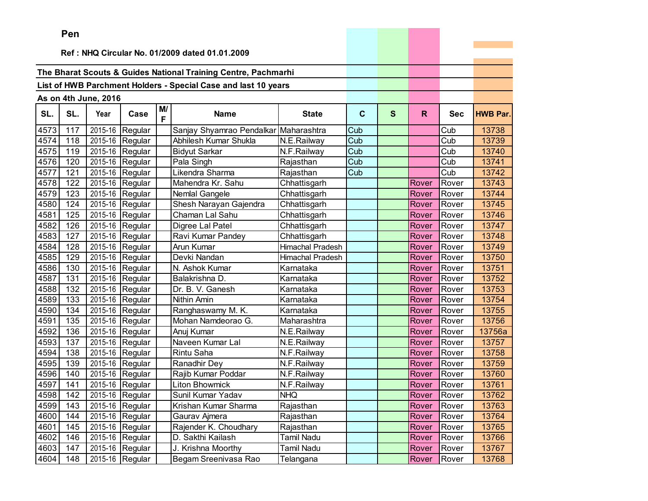|      | Pen |                        |                 |         |                                                                |                         |             |              |       |            |                 |
|------|-----|------------------------|-----------------|---------|----------------------------------------------------------------|-------------------------|-------------|--------------|-------|------------|-----------------|
|      |     |                        |                 |         | Ref: NHQ Circular No. 01/2009 dated 01.01.2009                 |                         |             |              |       |            |                 |
|      |     |                        |                 |         |                                                                |                         |             |              |       |            |                 |
|      |     |                        |                 |         | The Bharat Scouts & Guides National Training Centre, Pachmarhi |                         |             |              |       |            |                 |
|      |     |                        |                 |         | List of HWB Parchment Holders - Special Case and last 10 years |                         |             |              |       |            |                 |
|      |     |                        |                 |         |                                                                |                         |             |              |       |            |                 |
|      |     | As on 4th June, 2016   |                 |         |                                                                |                         |             |              |       |            |                 |
| SL.  | SL. | Year                   | Case            | M/<br>F | <b>Name</b>                                                    | <b>State</b>            | $\mathbf c$ | $\mathbf{s}$ | R.    | <b>Sec</b> | <b>HWB Par.</b> |
| 4573 | 117 | 2015-16                | Regular         |         | Sanjay Shyamrao Pendalkar Maharashtra                          |                         | Cub         |              |       | Cub        | 13738           |
| 4574 | 118 | $\overline{2015} - 16$ | Regular         |         | Abhilesh Kumar Shukla                                          | N.E.Railway             | Cub         |              |       | Cub        | 13739           |
| 4575 | 119 | 2015-16                | Regular         |         | <b>Bidyut Sarkar</b>                                           | N.F.Railway             | Cub         |              |       | Cub        | 13740           |
| 4576 | 120 | 2015-16                | Regular         |         | Pala Singh                                                     | Rajasthan               | Cub         |              |       | Cub        | 13741           |
| 4577 | 121 | 2015-16                | Regular         |         | Likendra Sharma                                                | Rajasthan               | Cub         |              |       | Cub        | 13742           |
| 4578 | 122 | 2015-16                | Regular         |         | Mahendra Kr. Sahu                                              | Chhattisgarh            |             |              | Rover | Rover      | 13743           |
| 4579 | 123 | 2015-16                | Regular         |         | Nemlal Gangele                                                 | Chhattisgarh            |             |              | Rover | Rover      | 13744           |
| 4580 | 124 | 2015-16                | Regular         |         | Shesh Narayan Gajendra                                         | Chhattisgarh            |             |              | Rover | Rover      | 13745           |
| 4581 | 125 | 2015-16                | Regular         |         | Chaman Lal Sahu                                                | Chhattisgarh            |             |              | Rover | Rover      | 13746           |
| 4582 | 126 | 2015-16                | Regular         |         | Digree Lal Patel                                               | Chhattisgarh            |             |              | Rover | Rover      | 13747           |
| 4583 | 127 | 2015-16                | Regular         |         | Ravi Kumar Pandey                                              | Chhattisgarh            |             |              | Rover | Rover      | 13748           |
| 4584 | 128 | 2015-16                | Regular         |         | Arun Kumar                                                     | <b>Himachal Pradesh</b> |             |              | Rover | Rover      | 13749           |
| 4585 | 129 | 2015-16                | Regular         |         | Devki Nandan                                                   | <b>Himachal Pradesh</b> |             |              | Rover | Rover      | 13750           |
| 4586 | 130 | 2015-16                | Regular         |         | N. Ashok Kumar                                                 | Karnataka               |             |              | Rover | Rover      | 13751           |
| 4587 | 131 | 2015-16                | Regular         |         | Balakrishna D.                                                 | Karnataka               |             |              | Rover | Rover      | 13752           |
| 4588 | 132 | 2015-16                | Regular         |         | Dr. B. V. Ganesh                                               | Karnataka               |             |              | Rover | Rover      | 13753           |
| 4589 | 133 | 2015-16                | Regular         |         | Nithin Amin                                                    | Karnataka               |             |              | Rover | Rover      | 13754           |
| 4590 | 134 | 2015-16                | Regular         |         | Ranghaswamy M. K.                                              | Karnataka               |             |              | Rover | Rover      | 13755           |
| 4591 | 135 | 2015-16                | Regular         |         | Mohan Namdeorao G.                                             | Maharashtra             |             |              | Rover | Rover      | 13756           |
| 4592 | 136 | 2015-16                | Regular         |         | Anuj Kumar                                                     | N.E.Railway             |             |              | Rover | Rover      | 13756a          |
| 4593 | 137 | 2015-16                | Regular         |         | Naveen Kumar Lal                                               | N.E.Railway             |             |              | Rover | Rover      | 13757           |
| 4594 | 138 | 2015-16                | Regular         |         | <b>Rintu Saha</b>                                              | N.F.Railway             |             |              | Rover | Rover      | 13758           |
| 4595 | 139 |                        | 2015-16 Regular |         | Ranadhir Dey                                                   | N.F.Railway             |             |              | Rover | Rover      | 13759           |
| 4596 | 140 | 2015-16                | Regular         |         | Rajib Kumar Poddar                                             | N.F.Railway             |             |              | Rover | Rover      | 13760           |
| 4597 | 141 | 2015-16                | Regular         |         | <b>Liton Bhowmick</b>                                          | N.F.Railway             |             |              | Rover | Rover      | 13761           |
| 4598 | 142 |                        | 2015-16 Regular |         | Sunil Kumar Yadav                                              | <b>NHQ</b>              |             |              | Rover | Rover      | 13762           |
| 4599 | 143 |                        | 2015-16 Regular |         | Krishan Kumar Sharma                                           | Rajasthan               |             |              | Rover | Rover      | 13763           |
| 4600 | 144 |                        | 2015-16 Regular |         | Gaurav Ajmera                                                  | Rajasthan               |             |              | Rover | Rover      | 13764           |
| 4601 | 145 |                        | 2015-16 Regular |         | Rajender K. Choudhary                                          | Rajasthan               |             |              | Rover | Rover      | 13765           |
| 4602 | 146 |                        | 2015-16 Regular |         | D. Sakthi Kailash                                              | Tamil Nadu              |             |              | Rover | Rover      | 13766           |
| 4603 | 147 |                        | 2015-16 Regular |         | J. Krishna Moorthy                                             | <b>Tamil Nadu</b>       |             |              | Rover | Rover      | 13767           |
| 4604 | 148 |                        | 2015-16 Regular |         | Begam Sreenivasa Rao                                           | Telangana               |             |              | Rover | Rover      | 13768           |

the company's company's com-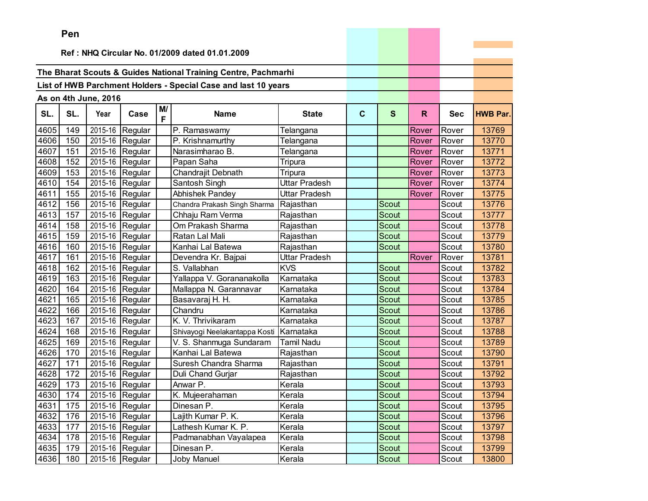|      | ren                                            |                      |                 |         |                                                                |                      |             |       |       |            |                 |
|------|------------------------------------------------|----------------------|-----------------|---------|----------------------------------------------------------------|----------------------|-------------|-------|-------|------------|-----------------|
|      | Ref: NHQ Circular No. 01/2009 dated 01.01.2009 |                      |                 |         |                                                                |                      |             |       |       |            |                 |
|      |                                                |                      |                 |         |                                                                |                      |             |       |       |            |                 |
|      |                                                |                      |                 |         | The Bharat Scouts & Guides National Training Centre, Pachmarhi |                      |             |       |       |            |                 |
|      |                                                |                      |                 |         |                                                                |                      |             |       |       |            |                 |
|      |                                                |                      |                 |         | List of HWB Parchment Holders - Special Case and last 10 years |                      |             |       |       |            |                 |
|      |                                                | As on 4th June, 2016 |                 |         |                                                                |                      |             |       |       |            |                 |
| SL.  | SL.                                            | Year                 | Case            | M/<br>F | <b>Name</b>                                                    | <b>State</b>         | $\mathbf c$ | S     | R.    | <b>Sec</b> | <b>HWB Par.</b> |
| 4605 | 149                                            | 2015-16              | Regular         |         | P. Ramaswamy                                                   | Telangana            |             |       | Rover | Rover      | 13769           |
| 4606 | 150                                            | 2015-16              | Regular         |         | P. Krishnamurthy                                               | Telangana            |             |       | Rover | Rover      | 13770           |
| 4607 | 151                                            | 2015-16              | Regular         |         | Narasimharao B.                                                | Telangana            |             |       | Rover | Rover      | 13771           |
| 4608 | 152                                            | 2015-16              | Regular         |         | Papan Saha                                                     | Tripura              |             |       | Rover | Rover      | 13772           |
| 4609 | 153                                            | 2015-16              | Regular         |         | Chandrajit Debnath                                             | Tripura              |             |       | Rover | Rover      | 13773           |
| 4610 | 154                                            | 2015-16              | Regular         |         | Santosh Singh                                                  | <b>Uttar Pradesh</b> |             |       | Rover | Rover      | 13774           |
| 4611 | 155                                            | 2015-16              | Regular         |         | Abhishek Pandey                                                | <b>Uttar Pradesh</b> |             |       | Rover | Rover      | 13775           |
| 4612 | 156                                            | 2015-16              | Regular         |         | Chandra Prakash Singh Sharma                                   | Rajasthan            |             | Scout |       | Scout      | 13776           |
| 4613 | 157                                            | 2015-16              | Regular         |         | Chhaju Ram Verma                                               | Rajasthan            |             | Scout |       | Scout      | 13777           |
| 4614 | 158                                            | 2015-16              | Regular         |         | Om Prakash Sharma                                              | Rajasthan            |             | Scout |       | Scout      | 13778           |
| 4615 | 159                                            | 2015-16              | Regular         |         | Ratan Lal Mali                                                 | Rajasthan            |             | Scout |       | Scout      | 13779           |
| 4616 | 160                                            | 2015-16              | Regular         |         | Kanhai Lal Batewa                                              | Rajasthan            |             | Scout |       | Scout      | 13780           |
| 4617 | 161                                            | 2015-16              | Regular         |         | Devendra Kr. Bajpai                                            | Uttar Pradesh        |             |       | Rover | Rover      | 13781           |
| 4618 | 162                                            | 2015-16              | Regular         |         | S. Vallabhan                                                   | <b>KVS</b>           |             | Scout |       | Scout      | 13782           |
| 4619 | 163                                            | 2015-16              | Regular         |         | Yallappa V. Gorananakolla                                      | Karnataka            |             | Scout |       | Scout      | 13783           |
| 4620 | 164                                            | 2015-16              | Regular         |         | Mallappa N. Garannavar                                         | Karnataka            |             | Scout |       | Scout      | 13784           |
| 4621 | 165                                            | 2015-16              | Regular         |         | Basavaraj H. H.                                                | Karnataka            |             | Scout |       | Scout      | 13785           |
| 4622 | 166                                            | 2015-16              | Regular         |         | Chandru                                                        | Karnataka            |             | Scout |       | Scout      | 13786           |
| 4623 | 167                                            | 2015-16              | Regular         |         | K. V. Thrivikaram                                              | Karnataka            |             | Scout |       | Scout      | 13787           |
| 4624 | 168                                            | 2015-16              | Regular         |         | Shivayogi Neelakantappa Kosti                                  | Karnataka            |             | Scout |       | Scout      | 13788           |
| 4625 | 169                                            | 2015-16              | Regular         |         | V. S. Shanmuga Sundaram                                        | <b>Tamil Nadu</b>    |             | Scout |       | Scout      | 13789           |
| 4626 | 170                                            | 2015-16              | Regular         |         | Kanhai Lal Batewa                                              | Rajasthan            |             | Scout |       | Scout      | 13790           |
| 4627 | 171                                            | 2015-16              | Regular         |         | Suresh Chandra Sharma                                          | Rajasthan            |             | Scout |       | Scout      | 13791           |
| 4628 | 172                                            | 2015-16              | Regular         |         | Duli Chand Gurjar                                              | Rajasthan            |             | Scout |       | Scout      | 13792           |
| 4629 | 173                                            | 2015-16              | Regular         |         | Anwar P.                                                       | Kerala               |             | Scout |       | Scout      | 13793           |
| 4630 | 174                                            |                      | 2015-16 Regular |         | K. Mujeerahaman                                                | Kerala               |             | Scout |       | Scout      | 13794           |
| 4631 | 175                                            |                      | 2015-16 Regular |         | Dinesan P.                                                     | Kerala               |             | Scout |       | Scout      | 13795           |
| 4632 | 176                                            |                      | 2015-16 Regular |         | Lajith Kumar P. K.                                             | Kerala               |             | Scout |       | Scout      | 13796           |
| 4633 | 177                                            |                      | 2015-16 Regular |         | Lathesh Kumar K. P.                                            | Kerala               |             | Scout |       | Scout      | 13797           |
| 4634 | 178                                            |                      | 2015-16 Regular |         | Padmanabhan Vayalapea                                          | Kerala               |             | Scout |       | Scout      | 13798           |
| 4635 | 179                                            |                      | 2015-16 Regular |         | Dinesan P.                                                     | Kerala               |             | Scout |       | Scout      | 13799           |
| 4636 | 180                                            |                      | 2015-16 Regular |         | Joby Manuel                                                    | Kerala               |             | Scout |       | Scout      | 13800           |

the control of the control of the con-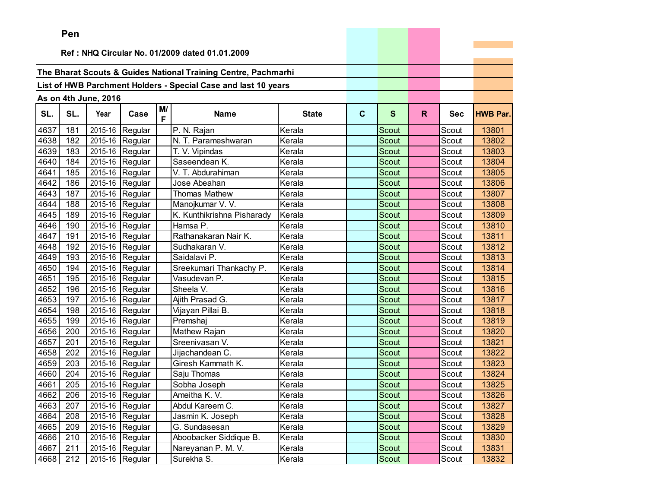|      | Pen |                      |                               |         |                                                                |              |   |              |    |            |                 |
|------|-----|----------------------|-------------------------------|---------|----------------------------------------------------------------|--------------|---|--------------|----|------------|-----------------|
|      |     |                      |                               |         |                                                                |              |   |              |    |            |                 |
|      |     |                      |                               |         | Ref: NHQ Circular No. 01/2009 dated 01.01.2009                 |              |   |              |    |            |                 |
|      |     |                      |                               |         |                                                                |              |   |              |    |            |                 |
|      |     |                      |                               |         | The Bharat Scouts & Guides National Training Centre, Pachmarhi |              |   |              |    |            |                 |
|      |     |                      |                               |         | List of HWB Parchment Holders - Special Case and last 10 years |              |   |              |    |            |                 |
|      |     | As on 4th June, 2016 |                               |         |                                                                |              |   |              |    |            |                 |
| SL.  | SL. | Year                 | Case                          | M/<br>F | <b>Name</b>                                                    | <b>State</b> | C | S            | R. | <b>Sec</b> | <b>HWB Par.</b> |
| 4637 | 181 |                      | 2015-16 Regular               |         | P. N. Rajan                                                    | Kerala       |   | Scout        |    | Scout      | 13801           |
| 4638 | 182 |                      | 2015-16 Regular               |         | N. T. Parameshwaran                                            | Kerala       |   | <b>Scout</b> |    | Scout      | 13802           |
| 4639 | 183 |                      | 2015-16 Regular               |         | T. V. Vipindas                                                 | Kerala       |   | <b>Scout</b> |    | Scout      | 13803           |
| 4640 | 184 |                      | 2015-16 Regular               |         | Saseendean K.                                                  | Kerala       |   | <b>Scout</b> |    | Scout      | 13804           |
| 4641 | 185 |                      | 2015-16 Regular               |         | V. T. Abdurahiman                                              | Kerala       |   | <b>Scout</b> |    | Scout      | 13805           |
| 4642 | 186 |                      | 2015-16 Regular               |         | Jose Abeahan                                                   | Kerala       |   | <b>Scout</b> |    | Scout      | 13806           |
| 4643 | 187 |                      | 2015-16 Regular               |         | <b>Thomas Mathew</b>                                           | Kerala       |   | Scout        |    | Scout      | 13807           |
| 4644 | 188 |                      | 2015-16 Regular               |         | Manojkumar V. V.                                               | Kerala       |   | Scout        |    | Scout      | 13808           |
| 4645 | 189 |                      | 2015-16 Regular               |         | K. Kunthikrishna Pisharady                                     | Kerala       |   | Scout        |    | Scout      | 13809           |
| 4646 | 190 |                      | $\overline{2015}$ -16 Regular |         | Hamsa P.                                                       | Kerala       |   | Scout        |    | Scout      | 13810           |
| 4647 | 191 |                      | 2015-16 Regular               |         | Rathanakaran Nair K.                                           | Kerala       |   | Scout        |    | Scout      | 13811           |
| 4648 | 192 |                      | 2015-16 Regular               |         | Sudhakaran V.                                                  | Kerala       |   | <b>Scout</b> |    | Scout      | 13812           |
| 4649 | 193 |                      | 2015-16 Regular               |         | Saidalavi P.                                                   | Kerala       |   | Scout        |    | Scout      | 13813           |
| 4650 | 194 |                      | 2015-16 Regular               |         | Sreekumari Thankachy P.                                        | Kerala       |   | Scout        |    | Scout      | 13814           |
| 4651 | 195 |                      | 2015-16 Regular               |         | Vasudevan P.                                                   | Kerala       |   | Scout        |    | Scout      | 13815           |
| 4652 | 196 |                      | 2015-16 Regular               |         | Sheela V.                                                      | Kerala       |   | Scout        |    | Scout      | 13816           |
| 4653 | 197 |                      | 2015-16 Regular               |         | Ajith Prasad G.                                                | Kerala       |   | Scout        |    | Scout      | 13817           |
| 4654 | 198 |                      | 2015-16 Regular               |         | Vijayan Pillai B.                                              | Kerala       |   | Scout        |    | Scout      | 13818           |
| 4655 | 199 |                      | 2015-16 Regular               |         | Premshaj                                                       | Kerala       |   | <b>Scout</b> |    | Scout      | 13819           |
| 4656 | 200 |                      | 2015-16 Regular               |         | Mathew Rajan                                                   | Kerala       |   | Scout        |    | Scout      | 13820           |
| 4657 | 201 |                      | 2015-16 Regular               |         | Sreenivasan V.                                                 | Kerala       |   | <b>Scout</b> |    | Scout      | 13821           |
| 4658 | 202 |                      | 2015-16 Regular               |         | Jijachandean C.                                                | Kerala       |   | Scout        |    | Scout      | 13822           |
| 4659 | 203 |                      | $\overline{2015}$ -16 Regular |         | Giresh Kammath K.                                              | Kerala       |   | Scout        |    | Scout      | 13823           |
| 4660 | 204 |                      | 2015-16 Regular               |         | Saju Thomas                                                    | Kerala       |   | Scout        |    | Scout      | 13824           |
| 4661 | 205 |                      | 2015-16 Regular               |         | Sobha Joseph                                                   | Kerala       |   | Scout        |    | Scout      | 13825           |
|      |     |                      | 4662 206 2015-16 Regular      |         | Ameitha K. V.                                                  | Kerala       |   | Scout        |    | Scout      | 13826           |
| 4663 | 207 |                      | 2015-16 Regular               |         | Abdul Kareem C.                                                | Kerala       |   | Scout        |    | Scout      | 13827           |
| 4664 | 208 |                      | 2015-16 Regular               |         | Jasmin K. Joseph                                               | Kerala       |   | Scout        |    | Scout      | 13828           |
| 4665 | 209 |                      | 2015-16 Regular               |         | G. Sundasesan                                                  | Kerala       |   | Scout        |    | Scout      | 13829           |
| 4666 | 210 |                      | 2015-16 Regular               |         | Aboobacker Siddique B.                                         | Kerala       |   | Scout        |    | Scout      | 13830           |
| 4667 | 211 |                      | 2015-16 Regular               |         | Nareyanan P. M. V.                                             | Kerala       |   | Scout        |    | Scout      | 13831           |
| 4668 | 212 |                      | 2015-16 Regular               |         | Surekha S.                                                     | Kerala       |   | Scout        |    | Scout      | 13832           |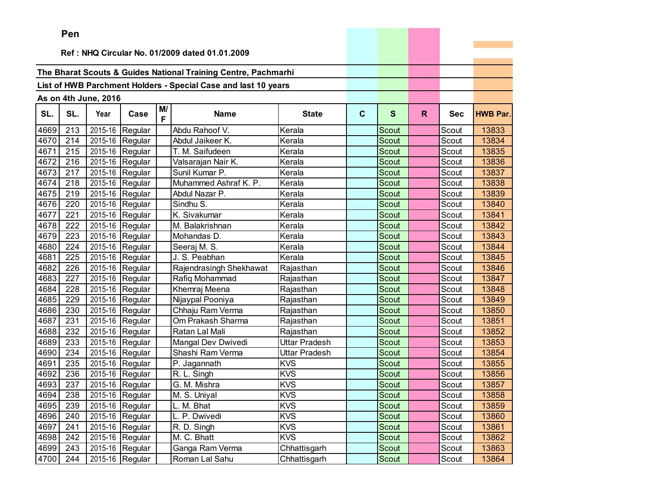|      | Pen |                          |                 |         |                                                                |               |   |              |    |            |                 |
|------|-----|--------------------------|-----------------|---------|----------------------------------------------------------------|---------------|---|--------------|----|------------|-----------------|
|      |     |                          |                 |         |                                                                |               |   |              |    |            |                 |
|      |     |                          |                 |         | Ref: NHQ Circular No. 01/2009 dated 01.01.2009                 |               |   |              |    |            |                 |
|      |     |                          |                 |         |                                                                |               |   |              |    |            |                 |
|      |     |                          |                 |         | The Bharat Scouts & Guides National Training Centre, Pachmarhi |               |   |              |    |            |                 |
|      |     |                          |                 |         | List of HWB Parchment Holders - Special Case and last 10 years |               |   |              |    |            |                 |
|      |     | As on 4th June, 2016     |                 |         |                                                                |               |   |              |    |            |                 |
| SL.  | SL. | Year                     | Case            | M/<br>F | <b>Name</b>                                                    | <b>State</b>  | C | $\mathbf{s}$ | R. | <b>Sec</b> | <b>HWB Par.</b> |
| 4669 | 213 |                          | 2015-16 Regular |         | Abdu Rahoof V.                                                 | Kerala        |   | Scout        |    | Scout      | 13833           |
| 4670 | 214 |                          | 2015-16 Regular |         | Abdul Jaikeer K.                                               | Kerala        |   | Scout        |    | Scout      | 13834           |
| 4671 | 215 | 2015-16                  | Regular         |         | T. M. Saifudeen                                                | Kerala        |   | Scout        |    | Scout      | 13835           |
| 4672 | 216 | 2015-16                  | Regular         |         | Valsarajan Nair K.                                             | Kerala        |   | Scout        |    | Scout      | 13836           |
| 4673 | 217 |                          | 2015-16 Regular |         | Sunil Kumar P.                                                 | Kerala        |   | Scout        |    | Scout      | 13837           |
| 4674 | 218 |                          | 2015-16 Regular |         | Muhammed Ashraf K. P.                                          | Kerala        |   | Scout        |    | Scout      | 13838           |
| 4675 | 219 |                          | 2015-16 Regular |         | Abdul Nazar P.                                                 | Kerala        |   | Scout        |    | Scout      | 13839           |
| 4676 | 220 |                          | 2015-16 Regular |         | Sindhu S.                                                      | Kerala        |   | Scout        |    | Scout      | 13840           |
| 4677 | 221 |                          | 2015-16 Regular |         | K. Sivakumar                                                   | Kerala        |   | Scout        |    | Scout      | 13841           |
| 4678 | 222 | 2015-16                  | Regular         |         | M. Balakrishnan                                                | Kerala        |   | Scout        |    | Scout      | 13842           |
| 4679 | 223 |                          | 2015-16 Regular |         | Mohandas D.                                                    | Kerala        |   | Scout        |    | Scout      | 13843           |
| 4680 | 224 |                          | 2015-16 Regular |         | Seeraj M. S.                                                   | Kerala        |   | Scout        |    | Scout      | 13844           |
| 4681 | 225 |                          | 2015-16 Regular |         | J. S. Peabhan                                                  | Kerala        |   | Scout        |    | Scout      | 13845           |
| 4682 | 226 |                          | 2015-16 Regular |         | Rajendrasingh Shekhawat                                        | Rajasthan     |   | Scout        |    | Scout      | 13846           |
| 4683 | 227 |                          | 2015-16 Regular |         | Rafiq Mohammad                                                 | Rajasthan     |   | Scout        |    | Scout      | 13847           |
| 4684 | 228 | 2015-16                  | Regular         |         | Khemraj Meena                                                  | Rajasthan     |   | Scout        |    | Scout      | 13848           |
| 4685 | 229 | 2015-16                  | Regular         |         | Nijaypal Pooniya                                               | Rajasthan     |   | Scout        |    | Scout      | 13849           |
| 4686 | 230 | 2015-16                  | Regular         |         | Chhaju Ram Verma                                               | Rajasthan     |   | Scout        |    | Scout      | 13850           |
| 4687 | 231 |                          | 2015-16 Regular |         | Om Prakash Sharma                                              | Rajasthan     |   | Scout        |    | Scout      | 13851           |
| 4688 | 232 |                          | 2015-16 Regular |         | Ratan Lal Mali                                                 | Rajasthan     |   | Scout        |    | Scout      | 13852           |
| 4689 | 233 |                          | 2015-16 Regular |         | Mangal Dev Dwivedi                                             | Uttar Pradesh |   | <b>Scout</b> |    | Scout      | 13853           |
| 4690 | 234 | 2015-16                  | Regular         |         | Shashi Ram Verma                                               | Uttar Pradesh |   | Scout        |    | Scout      | 13854           |
| 4691 | 235 | 2015-16                  | Regular         |         | P. Jagannath                                                   | <b>KVS</b>    |   | Scout        |    | Scout      | 13855           |
| 4692 | 236 | 2015-16                  | Regular         |         | R. L. Singh                                                    | <b>KVS</b>    |   | Scout        |    | Scout      | 13856           |
| 4693 | 237 |                          | 2015-16 Regular |         | G. M. Mishra                                                   | <b>KVS</b>    |   | Scout        |    | Scout      | 13857           |
|      |     | 4694 238 2015-16 Regular |                 |         | M. S. Uniyal                                                   | <b>KVS</b>    |   | Scout        |    | Scout      | 13858           |
| 4695 | 239 |                          | 2015-16 Regular |         | L. M. Bhat                                                     | <b>KVS</b>    |   | Scout        |    | Scout      | 13859           |
| 4696 | 240 |                          | 2015-16 Regular |         | L. P. Dwivedi                                                  | <b>KVS</b>    |   | Scout        |    | Scout      | 13860           |
| 4697 | 241 |                          | 2015-16 Regular |         | R. D. Singh                                                    | <b>KVS</b>    |   | Scout        |    | Scout      | 13861           |
| 4698 | 242 |                          | 2015-16 Regular |         | M. C. Bhatt                                                    | <b>KVS</b>    |   | Scout        |    | Scout      | 13862           |
| 4699 | 243 |                          | 2015-16 Regular |         | Ganga Ram Verma                                                | Chhattisgarh  |   | Scout        |    | Scout      | 13863           |
| 4700 | 244 |                          | 2015-16 Regular |         | Roman Lal Sahu                                                 | Chhattisgarh  |   | Scout        |    | Scout      | 13864           |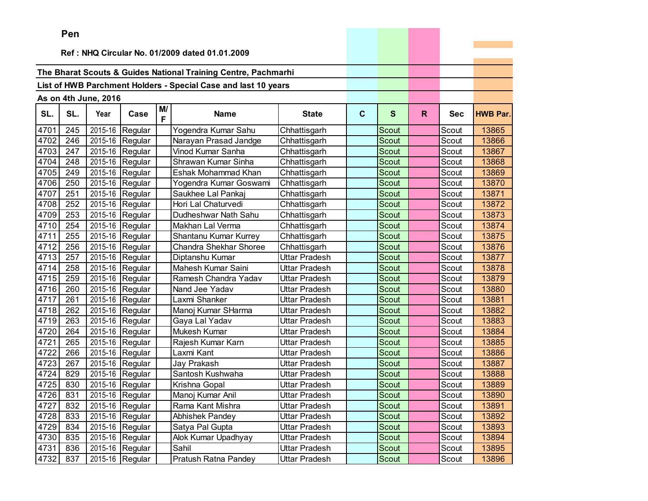|      | Pen |                      |                 |         |                                                                |               |             |              |    |            |                 |
|------|-----|----------------------|-----------------|---------|----------------------------------------------------------------|---------------|-------------|--------------|----|------------|-----------------|
|      |     |                      |                 |         |                                                                |               |             |              |    |            |                 |
|      |     |                      |                 |         | Ref: NHQ Circular No. 01/2009 dated 01.01.2009                 |               |             |              |    |            |                 |
|      |     |                      |                 |         | The Bharat Scouts & Guides National Training Centre, Pachmarhi |               |             |              |    |            |                 |
|      |     |                      |                 |         |                                                                |               |             |              |    |            |                 |
|      |     |                      |                 |         | List of HWB Parchment Holders - Special Case and last 10 years |               |             |              |    |            |                 |
|      |     | As on 4th June, 2016 |                 |         |                                                                |               |             |              |    |            |                 |
| SL.  | SL. | Year                 | Case            | M/<br>F | <b>Name</b>                                                    | <b>State</b>  | $\mathbf c$ | S            | R. | <b>Sec</b> | <b>HWB Par.</b> |
| 4701 | 245 | 2015-16              | Regular         |         | Yogendra Kumar Sahu                                            | Chhattisgarh  |             | Scout        |    | Scout      | 13865           |
| 4702 | 246 |                      | 2015-16 Regular |         | Narayan Prasad Jandge                                          | Chhattisgarh  |             | Scout        |    | Scout      | 13866           |
| 4703 | 247 |                      | 2015-16 Regular |         | Vinod Kumar Sanha                                              | Chhattisgarh  |             | Scout        |    | Scout      | 13867           |
| 4704 | 248 |                      | 2015-16 Regular |         | Shrawan Kumar Sinha                                            | Chhattisgarh  |             | <b>Scout</b> |    | Scout      | 13868           |
| 4705 | 249 | 2015-16              | Regular         |         | Eshak Mohammad Khan                                            | Chhattisgarh  |             | <b>Scout</b> |    | Scout      | 13869           |
| 4706 | 250 | 2015-16              | Regular         |         | Yogendra Kumar Goswami                                         | Chhattisgarh  |             | Scout        |    | Scout      | 13870           |
| 4707 | 251 | 2015-16              | Regular         |         | Saukhee Lal Pankaj                                             | Chhattisgarh  |             | <b>Scout</b> |    | Scout      | 13871           |
| 4708 | 252 | 2015-16              | Regular         |         | Hori Lal Chaturvedi                                            | Chhattisgarh  |             | Scout        |    | Scout      | 13872           |
| 4709 | 253 |                      | 2015-16 Regular |         | Dudheshwar Nath Sahu                                           | Chhattisgarh  |             | Scout        |    | Scout      | 13873           |
| 4710 | 254 |                      | 2015-16 Regular |         | Makhan Lal Verma                                               | Chhattisgarh  |             | Scout        |    | Scout      | 13874           |
| 4711 | 255 | 2015-16              | Regular         |         | Shantanu Kumar Kurrey                                          | Chhattisgarh  |             | <b>Scout</b> |    | Scout      | 13875           |
| 4712 | 256 | 2015-16              | Regular         |         | Chandra Shekhar Shoree                                         | Chhattisgarh  |             | Scout        |    | Scout      | 13876           |
| 4713 | 257 | 2015-16              | Regular         |         | Diptanshu Kumar                                                | Uttar Pradesh |             | <b>Scout</b> |    | Scout      | 13877           |
| 4714 | 258 |                      | 2015-16 Regular |         | Mahesh Kumar Saini                                             | Uttar Pradesh |             | <b>Scout</b> |    | Scout      | 13878           |
| 4715 | 259 |                      | 2015-16 Regular |         | Ramesh Chandra Yadav                                           | Uttar Pradesh |             | Scout        |    | Scout      | 13879           |
| 4716 | 260 |                      | 2015-16 Regular |         | Nand Jee Yadav                                                 | Uttar Pradesh |             | Scout        |    | Scout      | 13880           |
| 4717 | 261 |                      | 2015-16 Regular |         | Laxmi Shanker                                                  | Uttar Pradesh |             | Scout        |    | Scout      | 13881           |
| 4718 | 262 | 2015-16              | Regular         |         | Manoj Kumar SHarma                                             | Uttar Pradesh |             | Scout        |    | Scout      | 13882           |
| 4719 | 263 | 2015-16              | Regular         |         | Gaya Lal Yadav                                                 | Uttar Pradesh |             | Scout        |    | Scout      | 13883           |
| 4720 | 264 |                      | 2015-16 Regular |         | Mukesh Kumar                                                   | Uttar Pradesh |             | Scout        |    | Scout      | 13884           |
| 4721 | 265 |                      | 2015-16 Regular |         | Rajesh Kumar Karn                                              | Uttar Pradesh |             | Scout        |    | Scout      | 13885           |
| 4722 | 266 |                      | 2015-16 Regular |         | Laxmi Kant                                                     | Uttar Pradesh |             | Scout        |    | Scout      | 13886           |
| 4723 | 267 |                      | 2015-16 Regular |         | Jay Prakash                                                    | Uttar Pradesh |             | Scout        |    | Scout      | 13887           |
| 4724 | 829 | 2015-16              | Regular         |         | Santosh Kushwaha                                               | Uttar Pradesh |             | Scout        |    | Scout      | 13888           |
| 4725 | 830 |                      | 2015-16 Regular |         | Krishna Gopal                                                  | Uttar Pradesh |             | <b>Scout</b> |    | Scout      | 13889           |
| 4726 | 831 |                      | 2015-16 Regular |         | Manoj Kumar Anil                                               | Uttar Pradesh |             | Scout        |    | Scout      | 13890           |
| 4727 | 832 |                      | 2015-16 Regular |         | Rama Kant Mishra                                               | Uttar Pradesh |             | Scout        |    | Scout      | 13891           |
| 4728 | 833 |                      | 2015-16 Regular |         | Abhishek Pandey                                                | Uttar Pradesh |             | Scout        |    | Scout      | 13892           |
| 4729 | 834 |                      | 2015-16 Regular |         | Satya Pal Gupta                                                | Uttar Pradesh |             | Scout        |    | Scout      | 13893           |
| 4730 | 835 |                      | 2015-16 Regular |         | Alok Kumar Upadhyay                                            | Uttar Pradesh |             | Scout        |    | Scout      | 13894           |
| 4731 | 836 |                      | 2015-16 Regular |         | Sahil                                                          | Uttar Pradesh |             | Scout        |    | Scout      | 13895           |
| 4732 | 837 |                      | 2015-16 Regular |         | Pratush Ratna Pandey                                           | Uttar Pradesh |             | Scout        |    | Scout      | 13896           |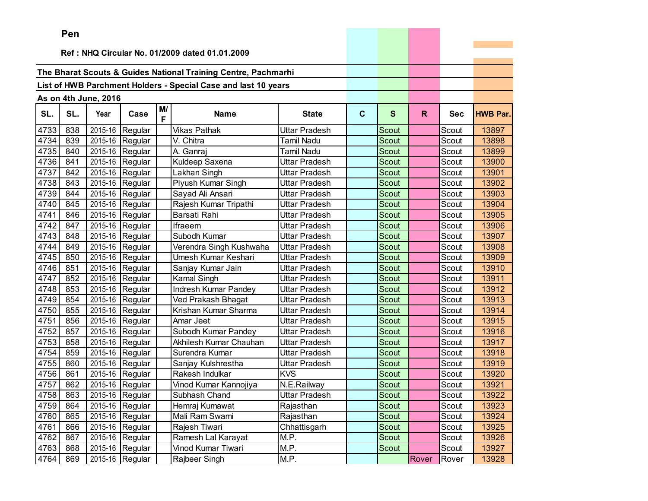|      | Pen                                            |                      |                               |         |                                                                |                   |             |              |       |            |                 |
|------|------------------------------------------------|----------------------|-------------------------------|---------|----------------------------------------------------------------|-------------------|-------------|--------------|-------|------------|-----------------|
|      | Ref: NHQ Circular No. 01/2009 dated 01.01.2009 |                      |                               |         |                                                                |                   |             |              |       |            |                 |
|      |                                                |                      |                               |         |                                                                |                   |             |              |       |            |                 |
|      |                                                |                      |                               |         | The Bharat Scouts & Guides National Training Centre, Pachmarhi |                   |             |              |       |            |                 |
|      |                                                |                      |                               |         |                                                                |                   |             |              |       |            |                 |
|      |                                                |                      |                               |         | List of HWB Parchment Holders - Special Case and last 10 years |                   |             |              |       |            |                 |
|      |                                                | As on 4th June, 2016 |                               |         |                                                                |                   |             |              |       |            |                 |
| SL.  | SL.                                            | Year                 | Case                          | M/<br>F | <b>Name</b>                                                    | <b>State</b>      | $\mathbf c$ | S            | R.    | <b>Sec</b> | <b>HWB Par.</b> |
| 4733 | 838                                            | 2015-16              | Regular                       |         | <b>Vikas Pathak</b>                                            | Uttar Pradesh     |             | Scout        |       | Scout      | 13897           |
| 4734 | 839                                            |                      | 2015-16 Regular               |         | V. Chitra                                                      | <b>Tamil Nadu</b> |             | <b>Scout</b> |       | Scout      | 13898           |
| 4735 | 840                                            |                      | 2015-16 Regular               |         | A. Ganraj                                                      | <b>Tamil Nadu</b> |             | <b>Scout</b> |       | Scout      | 13899           |
| 4736 | 841                                            |                      | 2015-16 Regular               |         | Kuldeep Saxena                                                 | Uttar Pradesh     |             | Scout        |       | Scout      | 13900           |
| 4737 | 842                                            |                      | 2015-16 Regular               |         | Lakhan Singh                                                   | Uttar Pradesh     |             | Scout        |       | Scout      | 13901           |
| 4738 | 843                                            |                      | 2015-16 Regular               |         | Piyush Kumar Singh                                             | Uttar Pradesh     |             | <b>Scout</b> |       | Scout      | 13902           |
| 4739 | 844                                            | 2015-16              | Regular                       |         | Sayad Ali Ansari                                               | Uttar Pradesh     |             | Scout        |       | Scout      | 13903           |
| 4740 | 845                                            | 2015-16              | Regular                       |         | Rajesh Kumar Tripathi                                          | Uttar Pradesh     |             | Scout        |       | Scout      | 13904           |
| 4741 | 846                                            |                      | 2015-16 Regular               |         | Barsati Rahi                                                   | Uttar Pradesh     |             | Scout        |       | Scout      | 13905           |
| 4742 | 847                                            | 2015-16              | Regular                       |         | Ifraeem                                                        | Uttar Pradesh     |             | Scout        |       | Scout      | 13906           |
| 4743 | 848                                            | 2015-16              | Regular                       |         | Subodh Kumar                                                   | Uttar Pradesh     |             | Scout        |       | Scout      | 13907           |
| 4744 | 849                                            | 2015-16              | Regular                       |         | Verendra Singh Kushwaha                                        | Uttar Pradesh     |             | <b>Scout</b> |       | Scout      | 13908           |
| 4745 | 850                                            | 2015-16              | Regular                       |         | Umesh Kumar Keshari                                            | Uttar Pradesh     |             | <b>Scout</b> |       | Scout      | 13909           |
| 4746 | 851                                            | 2015-16              | Regular                       |         | Sanjay Kumar Jain                                              | Uttar Pradesh     |             | <b>Scout</b> |       | Scout      | 13910           |
| 4747 | 852                                            |                      | 2015-16 Regular               |         | Kamal Singh                                                    | Uttar Pradesh     |             | Scout        |       | Scout      | 13911           |
| 4748 | 853                                            |                      | 2015-16 Regular               |         | Indresh Kumar Pandey                                           | Uttar Pradesh     |             | Scout        |       | Scout      | 13912           |
| 4749 | 854                                            |                      | 2015-16 Regular               |         | Ved Prakash Bhagat                                             | Uttar Pradesh     |             | <b>Scout</b> |       | Scout      | 13913           |
| 4750 | 855                                            | 2015-16              | Regular                       |         | Krishan Kumar Sharma                                           | Uttar Pradesh     |             | Scout        |       | Scout      | 13914           |
| 4751 | 856                                            | 2015-16              | Regular                       |         | Amar Jeet                                                      | Uttar Pradesh     |             | Scout        |       | Scout      | 13915           |
| 4752 | 857                                            | 2015-16              | Regular                       |         | Subodh Kumar Pandey                                            | Uttar Pradesh     |             | <b>Scout</b> |       | Scout      | 13916           |
| 4753 | 858                                            | 2015-16              | Regular                       |         | Akhilesh Kumar Chauhan                                         | Uttar Pradesh     |             | Scout        |       | Scout      | 13917           |
| 4754 | 859                                            | 2015-16              | Regular                       |         | Surendra Kumar                                                 | Uttar Pradesh     |             | <b>Scout</b> |       | Scout      | 13918           |
| 4755 | 860                                            |                      | 2015-16 Regular               |         | Sanjay Kulshrestha                                             | Uttar Pradesh     |             | Scout        |       | Scout      | 13919           |
| 4756 | 861                                            | 2015-16              | Regular                       |         | Rakesh Indulkar                                                | <b>KVS</b>        |             | Scout        |       | Scout      | 13920           |
| 4757 | 862                                            |                      | $\overline{2015}$ -16 Regular |         | Vinod Kumar Kannojiya                                          | N.E.Railway       |             | Scout        |       | Scout      | 13921           |
| 4758 | 863                                            |                      | $2015-16$ Regular             |         | Subhash Chand                                                  | Uttar Pradesh     |             | Scout        |       | Scout      | 13922           |
| 4759 | 864                                            |                      | 2015-16 Regular               |         | Hemraj Kumawat                                                 | Rajasthan         |             | Scout        |       | Scout      | 13923           |
| 4760 | 865                                            |                      | 2015-16 Regular               |         | Mali Ram Swami                                                 | Rajasthan         |             | Scout        |       | Scout      | 13924           |
| 4761 | 866                                            |                      | 2015-16 Regular               |         | Rajesh Tiwari                                                  | Chhattisgarh      |             | Scout        |       | Scout      | 13925           |
| 4762 | 867                                            |                      | 2015-16 Regular               |         | Ramesh Lal Karayat                                             | M.P.              |             | Scout        |       | Scout      | 13926           |
| 4763 | 868                                            |                      | 2015-16 Regular               |         | Vinod Kumar Tiwari                                             | M.P.              |             | Scout        |       | Scout      | 13927           |
| 4764 | 869                                            |                      | 2015-16 Regular               |         | Rajbeer Singh                                                  | M.P.              |             |              | Rover | Rover      | 13928           |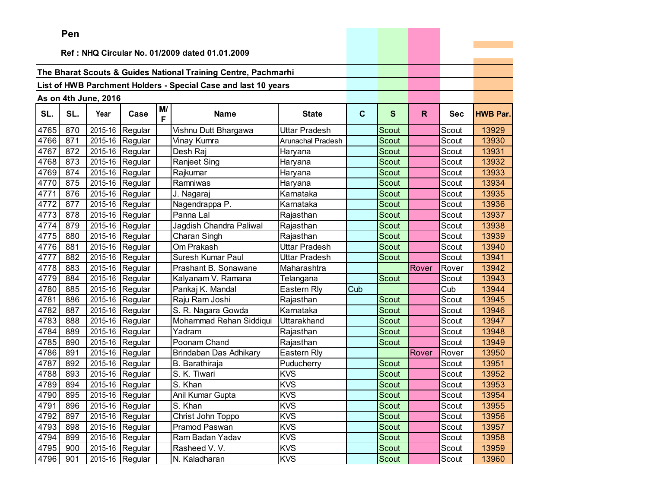|      | Pen |                      |                                 |         |                                                                |                   |             |              |              |            |                 |
|------|-----|----------------------|---------------------------------|---------|----------------------------------------------------------------|-------------------|-------------|--------------|--------------|------------|-----------------|
|      |     |                      |                                 |         |                                                                |                   |             |              |              |            |                 |
|      |     |                      |                                 |         | Ref: NHQ Circular No. 01/2009 dated 01.01.2009                 |                   |             |              |              |            |                 |
|      |     |                      |                                 |         | The Bharat Scouts & Guides National Training Centre, Pachmarhi |                   |             |              |              |            |                 |
|      |     |                      |                                 |         |                                                                |                   |             |              |              |            |                 |
|      |     |                      |                                 |         | List of HWB Parchment Holders - Special Case and last 10 years |                   |             |              |              |            |                 |
|      |     | As on 4th June, 2016 |                                 |         |                                                                |                   |             |              |              |            |                 |
| SL.  | SL. | Year                 | Case                            | M/<br>F | <b>Name</b>                                                    | <b>State</b>      | $\mathbf c$ | S            | $\mathsf{R}$ | <b>Sec</b> | <b>HWB Par.</b> |
| 4765 | 870 | 2015-16              | Regular                         |         | Vishnu Dutt Bhargawa                                           | Uttar Pradesh     |             | Scout        |              | Scout      | 13929           |
| 4766 | 871 |                      | 2015-16 Regular                 |         | Vinay Kumra                                                    | Arunachal Pradesh |             | <b>Scout</b> |              | Scout      | 13930           |
| 4767 | 872 |                      | 2015-16 Regular                 |         | Desh Raj                                                       | Haryana           |             | Scout        |              | Scout      | 13931           |
| 4768 | 873 | 2015-16              | Regular                         |         | Ranjeet Sing                                                   | Haryana           |             | <b>Scout</b> |              | Scout      | 13932           |
| 4769 | 874 | 2015-16              | Regular                         |         | Rajkumar                                                       | Haryana           |             | Scout        |              | Scout      | 13933           |
| 4770 | 875 | 2015-16              | Regular                         |         | Ramniwas                                                       | Haryana           |             | Scout        |              | Scout      | 13934           |
| 4771 | 876 | 2015-16              | Regular                         |         | J. Nagaraj                                                     | Karnataka         |             | <b>Scout</b> |              | Scout      | 13935           |
| 4772 | 877 | 2015-16              | Regular                         |         | Nagendrappa P.                                                 | Karnataka         |             | <b>Scout</b> |              | Scout      | 13936           |
| 4773 | 878 |                      | 2015-16 Regular                 |         | Panna Lal                                                      | Rajasthan         |             | Scout        |              | Scout      | 13937           |
| 4774 | 879 |                      | 2015-16 Regular                 |         | Jagdish Chandra Paliwal                                        | Rajasthan         |             | <b>Scout</b> |              | Scout      | 13938           |
| 4775 | 880 | 2015-16              | Regular                         |         | Charan Singh                                                   | Rajasthan         |             | Scout        |              | Scout      | 13939           |
| 4776 | 881 | 2015-16              | Regular                         |         | Om Prakash                                                     | Uttar Pradesh     |             | Scout        |              | Scout      | 13940           |
| 4777 | 882 | 2015-16              | Regular                         |         | Suresh Kumar Paul                                              | Uttar Pradesh     |             | <b>Scout</b> |              | Scout      | 13941           |
| 4778 | 883 |                      | 2015-16 Regular                 |         | Prashant B. Sonawane                                           | Maharashtra       |             |              | Rover        | Rover      | 13942           |
| 4779 | 884 |                      | 2015-16 Regular                 |         | Kalyanam V. Ramana                                             | Telangana         |             | Scout        |              | Scout      | 13943           |
| 4780 | 885 |                      | 2015-16 Regular                 |         | Pankaj K. Mandal                                               | Eastern Rly       | Cub         |              |              | Cub        | 13944           |
| 4781 | 886 | 2015-16              | Regular                         |         | Raju Ram Joshi                                                 | Rajasthan         |             | Scout        |              | Scout      | 13945           |
| 4782 | 887 | 2015-16              | Regular                         |         | S. R. Nagara Gowda                                             | Karnataka         |             | Scout        |              | Scout      | 13946           |
| 4783 | 888 | 2015-16              | Regular                         |         | Mohammad Rehan Siddiqui                                        | Uttarakhand       |             | Scout        |              | Scout      | 13947           |
| 4784 | 889 | 2015-16              | Regular                         |         | Yadram                                                         | Rajasthan         |             | Scout        |              | Scout      | 13948           |
| 4785 | 890 |                      | 2015-16 Regular                 |         | Poonam Chand                                                   | Rajasthan         |             | <b>Scout</b> |              | Scout      | 13949           |
| 4786 | 891 |                      | 2015-16 Regular                 |         | Brindaban Das Adhikary                                         | Eastern Rly       |             |              | Rover        | Rover      | 13950           |
| 4787 | 892 |                      | 2015-16 Regular                 |         | B. Barathiraja                                                 | Puducherry        |             | Scout        |              | Scout      | 13951           |
| 4788 | 893 | 2015-16              | Regular                         |         | S. K. Tiwari                                                   | <b>KVS</b>        |             | Scout        |              | Scout      | 13952           |
| 4789 | 894 |                      | $\overline{2015}$ -16   Regular |         | S. Khan                                                        | <b>KVS</b>        |             | Scout        |              | Scout      | 13953           |
| 4790 | 895 |                      | 2015-16 Regular                 |         | Anil Kumar Gupta                                               | KVS               |             | Scout        |              | Scout      | 13954           |
| 4791 | 896 |                      | 2015-16 Regular                 |         | S. Khan                                                        | <b>KVS</b>        |             | Scout        |              | Scout      | 13955           |
| 4792 | 897 |                      | 2015-16 Regular                 |         | Christ John Toppo                                              | <b>KVS</b>        |             | Scout        |              | Scout      | 13956           |
| 4793 | 898 |                      | 2015-16 Regular                 |         | Pramod Paswan                                                  | <b>KVS</b>        |             | Scout        |              | Scout      | 13957           |
| 4794 | 899 |                      | 2015-16 Regular                 |         | Ram Badan Yadav                                                | <b>KVS</b>        |             | Scout        |              | Scout      | 13958           |
| 4795 | 900 |                      | 2015-16 Regular                 |         | Rasheed V. V.                                                  | <b>KVS</b>        |             | Scout        |              | Scout      | 13959           |
| 4796 | 901 |                      | 2015-16 Regular                 |         | N. Kaladharan                                                  | <b>KVS</b>        |             | Scout        |              | Scout      | 13960           |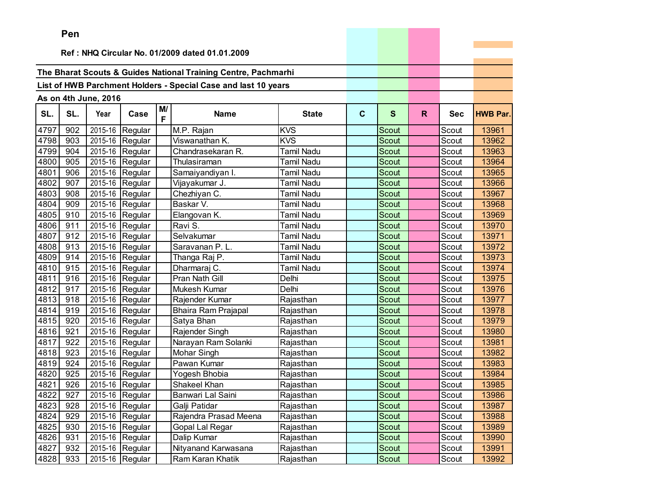|      | ren |                        |                               |         |                                                                |                   |             |              |    |            |                 |
|------|-----|------------------------|-------------------------------|---------|----------------------------------------------------------------|-------------------|-------------|--------------|----|------------|-----------------|
|      |     |                        |                               |         | Ref: NHQ Circular No. 01/2009 dated 01.01.2009                 |                   |             |              |    |            |                 |
|      |     |                        |                               |         |                                                                |                   |             |              |    |            |                 |
|      |     |                        |                               |         | The Bharat Scouts & Guides National Training Centre, Pachmarhi |                   |             |              |    |            |                 |
|      |     |                        |                               |         | List of HWB Parchment Holders - Special Case and last 10 years |                   |             |              |    |            |                 |
|      |     |                        |                               |         |                                                                |                   |             |              |    |            |                 |
|      |     | As on 4th June, 2016   |                               |         |                                                                |                   |             |              |    |            |                 |
| SL.  | SL. | Year                   | Case                          | M/<br>F | <b>Name</b>                                                    | <b>State</b>      | $\mathbf c$ | $\mathbf{s}$ | R. | <b>Sec</b> | <b>HWB Par.</b> |
| 4797 | 902 | 2015-16                | Regular                       |         | M.P. Rajan                                                     | <b>KVS</b>        |             | Scout        |    | Scout      | 13961           |
| 4798 | 903 | $\overline{2015} - 16$ | Regular                       |         | Viswanathan K.                                                 | <b>KVS</b>        |             | Scout        |    | Scout      | 13962           |
| 4799 | 904 | 2015-16                | Regular                       |         | Chandrasekaran R.                                              | Tamil Nadu        |             | <b>Scout</b> |    | Scout      | 13963           |
| 4800 | 905 |                        | 2015-16 Regular               |         | Thulasiraman                                                   | Tamil Nadu        |             | Scout        |    | Scout      | 13964           |
| 4801 | 906 | 2015-16                | Regular                       |         | Samaiyandiyan I.                                               | Tamil Nadu        |             | Scout        |    | Scout      | 13965           |
| 4802 | 907 | 2015-16                | Regular                       |         | Vijayakumar J.                                                 | Tamil Nadu        |             | Scout        |    | Scout      | 13966           |
| 4803 | 908 | 2015-16                | Regular                       |         | Chezhiyan C.                                                   | Tamil Nadu        |             | Scout        |    | Scout      | 13967           |
| 4804 | 909 | 2015-16                | Regular                       |         | Baskar V.                                                      | Tamil Nadu        |             | Scout        |    | Scout      | 13968           |
| 4805 | 910 |                        | 2015-16 Regular               |         | Elangovan K.                                                   | Tamil Nadu        |             | Scout        |    | Scout      | 13969           |
| 4806 | 911 | 2015-16                | Regular                       |         | Ravi S.                                                        | <b>Tamil Nadu</b> |             | Scout        |    | Scout      | 13970           |
| 4807 | 912 | 2015-16                | Regular                       |         | Selvakumar                                                     | Tamil Nadu        |             | Scout        |    | Scout      | 13971           |
| 4808 | 913 | 2015-16                | Regular                       |         | Saravanan P. L.                                                | Tamil Nadu        |             | Scout        |    | Scout      | 13972           |
| 4809 | 914 | 2015-16                | Regular                       |         | Thanga Raj P.                                                  | Tamil Nadu        |             | Scout        |    | Scout      | 13973           |
| 4810 | 915 | 2015-16                | Regular                       |         | Dharmaraj C.                                                   | Tamil Nadu        |             | Scout        |    | Scout      | 13974           |
| 4811 | 916 | 2015-16                | Regular                       |         | Pran Nath Gill                                                 | Delhi             |             | Scout        |    | Scout      | 13975           |
| 4812 | 917 |                        | 2015-16 Regular               |         | Mukesh Kumar                                                   | Delhi             |             | Scout        |    | Scout      | 13976           |
| 4813 | 918 | 2015-16                | Regular                       |         | Rajender Kumar                                                 | Rajasthan         |             | <b>Scout</b> |    | Scout      | 13977           |
| 4814 | 919 | 2015-16                | Regular                       |         | Bhaira Ram Prajapal                                            | Rajasthan         |             | Scout        |    | Scout      | 13978           |
| 4815 | 920 | 2015-16                | Regular                       |         | Satya Bhan                                                     | Rajasthan         |             | Scout        |    | Scout      | 13979           |
| 4816 | 921 | 2015-16                | Regular                       |         | Rajender Singh                                                 | Rajasthan         |             | <b>Scout</b> |    | Scout      | 13980           |
| 4817 | 922 | 2015-16                | Regular                       |         | Narayan Ram Solanki                                            | Rajasthan         |             | <b>Scout</b> |    | Scout      | 13981           |
| 4818 | 923 |                        | 2015-16 Regular               |         | Mohar Singh                                                    | Rajasthan         |             | Scout        |    | Scout      | 13982           |
| 4819 | 924 |                        | 2015-16 Regular               |         | Pawan Kumar                                                    | Rajasthan         |             | Scout        |    | Scout      | 13983           |
| 4820 | 925 | 2015-16                | Regular                       |         | Yogesh Bhobia                                                  | Rajasthan         |             | Scout        |    | Scout      | 13984           |
| 4821 | 926 | 2015-16                | Regular                       |         | Shakeel Khan                                                   | Rajasthan         |             | Scout        |    | Scout      | 13985           |
| 4822 | 927 |                        | $\overline{2015}$ -16 Regular |         | Banwari Lal Saini                                              | Rajasthan         |             | Scout        |    | Scout      | 13986           |
| 4823 | 928 |                        | 2015-16 Regular               |         | Galji Patidar                                                  | Rajasthan         |             | Scout        |    | Scout      | 13987           |
| 4824 | 929 |                        | 2015-16 Regular               |         | Rajendra Prasad Meena                                          | Rajasthan         |             | Scout        |    | Scout      | 13988           |
| 4825 | 930 |                        | 2015-16 Regular               |         | Gopal Lal Regar                                                | Rajasthan         |             | Scout        |    | Scout      | 13989           |
| 4826 | 931 |                        | 2015-16 Regular               |         | Dalip Kumar                                                    | Rajasthan         |             | Scout        |    | Scout      | 13990           |
| 4827 | 932 |                        | 2015-16 Regular               |         | Nityanand Karwasana                                            | Rajasthan         |             | Scout        |    | Scout      | 13991           |
| 4828 | 933 |                        | 2015-16 Regular               |         | Ram Karan Khatik                                               | Rajasthan         |             | Scout        |    | Scout      | 13992           |

the control of the control of the con-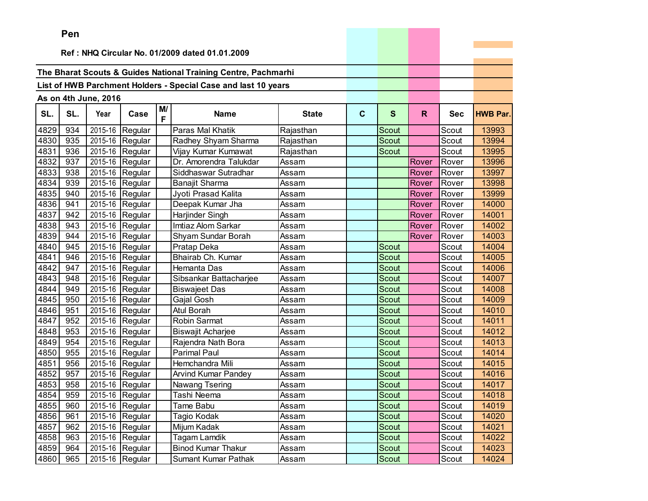|      | Pen |                      |                               |         |                                                                |              |              |              |       |            |                 |
|------|-----|----------------------|-------------------------------|---------|----------------------------------------------------------------|--------------|--------------|--------------|-------|------------|-----------------|
|      |     |                      |                               |         | Ref: NHQ Circular No. 01/2009 dated 01.01.2009                 |              |              |              |       |            |                 |
|      |     |                      |                               |         |                                                                |              |              |              |       |            |                 |
|      |     |                      |                               |         | The Bharat Scouts & Guides National Training Centre, Pachmarhi |              |              |              |       |            |                 |
|      |     |                      |                               |         | List of HWB Parchment Holders - Special Case and last 10 years |              |              |              |       |            |                 |
|      |     |                      |                               |         |                                                                |              |              |              |       |            |                 |
|      |     | As on 4th June, 2016 |                               |         |                                                                |              |              |              |       |            |                 |
| SL.  | SL. | Year                 | Case                          | M/<br>F | <b>Name</b>                                                    | <b>State</b> | $\mathbf{C}$ | $\mathbf{s}$ | R.    | <b>Sec</b> | <b>HWB Par.</b> |
| 4829 | 934 | 2015-16              | Regular                       |         | Paras Mal Khatik                                               | Rajasthan    |              | Scout        |       | Scout      | 13993           |
| 4830 | 935 | 2015-16              | Regular                       |         | Radhey Shyam Sharma                                            | Rajasthan    |              | Scout        |       | Scout      | 13994           |
| 4831 | 936 |                      | 2015-16 Regular               |         | Vijay Kumar Kumawat                                            | Rajasthan    |              | Scout        |       | Scout      | 13995           |
| 4832 | 937 | 2015-16              | Regular                       |         | Dr. Amorendra Talukdar                                         | Assam        |              |              | Rover | Rover      | 13996           |
| 4833 | 938 |                      | 2015-16 Regular               |         | Siddhaswar Sutradhar                                           | Assam        |              |              | Rover | Rover      | 13997           |
| 4834 | 939 | 2015-16              | Regular                       |         | Banajit Sharma                                                 | Assam        |              |              | Rover | Rover      | 13998           |
| 4835 | 940 | 2015-16              | Regular                       |         | Jyoti Prasad Kalita                                            | Assam        |              |              | Rover | Rover      | 13999           |
| 4836 | 941 | 2015-16              | Regular                       |         | Deepak Kumar Jha                                               | Assam        |              |              | Rover | Rover      | 14000           |
| 4837 | 942 |                      | 2015-16 Regular               |         | Harjinder Singh                                                | Assam        |              |              | Rover | Rover      | 14001           |
| 4838 | 943 |                      | 2015-16 Regular               |         | Imtiaz Alom Sarkar                                             | Assam        |              |              | Rover | Rover      | 14002           |
| 4839 | 944 | 2015-16              | Regular                       |         | Shyam Sundar Borah                                             | Assam        |              |              | Rover | Rover      | 14003           |
| 4840 | 945 | 2015-16              | Regular                       |         | Pratap Deka                                                    | Assam        |              | Scout        |       | Scout      | 14004           |
| 4841 | 946 | 2015-16              | Regular                       |         | Bhairab Ch. Kumar                                              | Assam        |              | Scout        |       | Scout      | 14005           |
| 4842 | 947 | 2015-16              | Regular                       |         | Hemanta Das                                                    | Assam        |              | Scout        |       | Scout      | 14006           |
| 4843 | 948 | 2015-16              | Regular                       |         | Sibsankar Battacharjee                                         | Assam        |              | Scout        |       | Scout      | 14007           |
| 4844 | 949 | 2015-16              | Regular                       |         | <b>Biswajeet Das</b>                                           | Assam        |              | Scout        |       | Scout      | 14008           |
| 4845 | 950 | 2015-16              | Regular                       |         | Gajal Gosh                                                     | Assam        |              | <b>Scout</b> |       | Scout      | 14009           |
| 4846 | 951 | 2015-16              | Regular                       |         | Atul Borah                                                     | Assam        |              | Scout        |       | Scout      | 14010           |
| 4847 | 952 | 2015-16              | Regular                       |         | Robin Sarmat                                                   | Assam        |              | Scout        |       | Scout      | 14011           |
| 4848 | 953 | 2015-16              | Regular                       |         | <b>Biswajit Acharjee</b>                                       | Assam        |              | <b>Scout</b> |       | Scout      | 14012           |
| 4849 | 954 | 2015-16              | Regular                       |         | Rajendra Nath Bora                                             | Assam        |              | Scout        |       | Scout      | 14013           |
| 4850 | 955 | 2015-16              | Regular                       |         | <b>Parimal Paul</b>                                            | Assam        |              | Scout        |       | Scout      | 14014           |
| 4851 | 956 |                      | 2015-16 Regular               |         | Hemchandra Mili                                                | Assam        |              | Scout        |       | Scout      | 14015           |
| 4852 | 957 | 2015-16              | Regular                       |         | <b>Arvind Kumar Pandey</b>                                     | Assam        |              | Scout        |       | Scout      | 14016           |
| 4853 | 958 | 2015-16              | Regular                       |         | Nawang Tsering                                                 | Assam        |              | Scout        |       | Scout      | 14017           |
| 4854 | 959 |                      | $\overline{2015}$ -16 Regular |         | Tashi Neema                                                    | Assam        |              | Scout        |       | Scout      | 14018           |
| 4855 | 960 |                      | 2015-16 Regular               |         | Tame Babu                                                      | Assam        |              | Scout        |       | Scout      | 14019           |
| 4856 | 961 |                      | 2015-16 Regular               |         | Tagio Kodak                                                    | Assam        |              | Scout        |       | Scout      | 14020           |
| 4857 | 962 |                      | 2015-16 Regular               |         | Mijum Kadak                                                    | Assam        |              | Scout        |       | Scout      | 14021           |
| 4858 | 963 |                      | 2015-16 Regular               |         | Tagam Lamdik                                                   | Assam        |              | Scout        |       | Scout      | 14022           |
| 4859 | 964 |                      | 2015-16 Regular               |         | <b>Binod Kumar Thakur</b>                                      | Assam        |              | Scout        |       | Scout      | 14023           |
| 4860 | 965 |                      | 2015-16 Regular               |         | Sumant Kumar Pathak                                            | Assam        |              | Scout        |       | Scout      | 14024           |

the control of the control of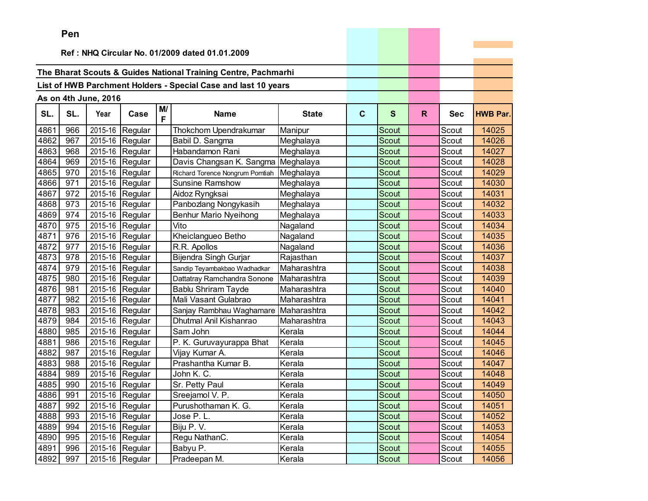|      | Pen |                      |                               |         |                                                                |              |             |              |    |            |                 |
|------|-----|----------------------|-------------------------------|---------|----------------------------------------------------------------|--------------|-------------|--------------|----|------------|-----------------|
|      |     |                      |                               |         | Ref: NHQ Circular No. 01/2009 dated 01.01.2009                 |              |             |              |    |            |                 |
|      |     |                      |                               |         |                                                                |              |             |              |    |            |                 |
|      |     |                      |                               |         | The Bharat Scouts & Guides National Training Centre, Pachmarhi |              |             |              |    |            |                 |
|      |     |                      |                               |         | List of HWB Parchment Holders - Special Case and last 10 years |              |             |              |    |            |                 |
|      |     |                      |                               |         |                                                                |              |             |              |    |            |                 |
|      |     | As on 4th June, 2016 |                               |         |                                                                |              |             |              |    |            |                 |
| SL.  | SL. | Year                 | Case                          | M/<br>F | <b>Name</b>                                                    | <b>State</b> | $\mathbf c$ | $\mathbf{s}$ | R. | <b>Sec</b> | <b>HWB Par.</b> |
| 4861 | 966 | 2015-16              | Regular                       |         | Thokchom Upendrakumar                                          | Manipur      |             | Scout        |    | Scout      | 14025           |
| 4862 | 967 | 2015-16              | Regular                       |         | Babil D. Sangma                                                | Meghalaya    |             | Scout        |    | Scout      | 14026           |
| 4863 | 968 | 2015-16              | Regular                       |         | Habandamon Rani                                                | Meghalaya    |             | Scout        |    | Scout      | 14027           |
| 4864 | 969 |                      | 2015-16 Regular               |         | Davis Changsan K. Sangma                                       | Meghalaya    |             | Scout        |    | Scout      | 14028           |
| 4865 | 970 |                      | 2015-16 Regular               |         | Richard Torence Nongrum Pomtiah                                | Meghalaya    |             | Scout        |    | Scout      | 14029           |
| 4866 | 971 | 2015-16              | Regular                       |         | <b>Sunsine Ramshow</b>                                         | Meghalaya    |             | Scout        |    | Scout      | 14030           |
| 4867 | 972 | 2015-16              | Regular                       |         | Aidoz Ryngksai                                                 | Meghalaya    |             | Scout        |    | Scout      | 14031           |
| 4868 | 973 | 2015-16              | Regular                       |         | Panbozlang Nongykasih                                          | Meghalaya    |             | Scout        |    | Scout      | 14032           |
| 4869 | 974 |                      | 2015-16 Regular               |         | <b>Benhur Mario Nyeihong</b>                                   | Meghalaya    |             | Scout        |    | Scout      | 14033           |
| 4870 | 975 |                      | 2015-16 Regular               |         | Vito                                                           | Nagaland     |             | <b>Scout</b> |    | Scout      | 14034           |
| 4871 | 976 | 2015-16              | Regular                       |         | Kheiclangueo Betho                                             | Nagaland     |             | Scout        |    | Scout      | 14035           |
| 4872 | 977 | 2015-16              | Regular                       |         | R.R. Apollos                                                   | Nagaland     |             | Scout        |    | Scout      | 14036           |
| 4873 | 978 | 2015-16              | Regular                       |         | Bijendra Singh Gurjar                                          | Rajasthan    |             | Scout        |    | Scout      | 14037           |
| 4874 | 979 | 2015-16              | Regular                       |         | Sandip Teyambakbao Wadhadkar                                   | Maharashtra  |             | Scout        |    | Scout      | 14038           |
| 4875 | 980 | 2015-16              | Regular                       |         | Dattatray Ramchandra Sonone                                    | Maharashtra  |             | Scout        |    | Scout      | 14039           |
| 4876 | 981 |                      | 2015-16 Regular               |         | <b>Bablu Shriram Tayde</b>                                     | Maharashtra  |             | Scout        |    | Scout      | 14040           |
| 4877 | 982 | 2015-16              | Regular                       |         | Mali Vasant Gulabrao                                           | Maharashtra  |             | <b>Scout</b> |    | Scout      | 14041           |
| 4878 | 983 | 2015-16              | Regular                       |         | Sanjay Rambhau Waghamare                                       | Maharashtra  |             | Scout        |    | Scout      | 14042           |
| 4879 | 984 | 2015-16              | Regular                       |         | Dhutmal Anil Kishanrao                                         | Maharashtra  |             | Scout        |    | Scout      | 14043           |
| 4880 | 985 | 2015-16              | Regular                       |         | Sam John                                                       | Kerala       |             | Scout        |    | Scout      | 14044           |
| 4881 | 986 | 2015-16              | Regular                       |         | P. K. Guruvayurappa Bhat                                       | Kerala       |             | <b>Scout</b> |    | Scout      | 14045           |
| 4882 | 987 |                      | 2015-16 Regular               |         | Vijay Kumar A.                                                 | Kerala       |             | Scout        |    | Scout      | 14046           |
| 4883 | 988 |                      | 2015-16 Regular               |         | Prashantha Kumar B.                                            | Kerala       |             | Scout        |    | Scout      | 14047           |
| 4884 | 989 | 2015-16              | Regular                       |         | John K. C.                                                     | Kerala       |             | Scout        |    | Scout      | 14048           |
| 4885 | 990 | 2015-16              | Regular                       |         | Sr. Petty Paul                                                 | Kerala       |             | Scout        |    | Scout      | 14049           |
| 4886 | 991 |                      | $\overline{2015}$ -16 Regular |         | Sreejamol V. P.                                                | Kerala       |             | Scout        |    | Scout      | 14050           |
| 4887 | 992 |                      | 2015-16 Regular               |         | Purushothaman K. G.                                            | Kerala       |             | Scout        |    | Scout      | 14051           |
| 4888 | 993 |                      | 2015-16 Regular               |         | Jose P.L.                                                      | Kerala       |             | Scout        |    | Scout      | 14052           |
| 4889 | 994 |                      | 2015-16 Regular               |         | Biju P.V.                                                      | Kerala       |             | Scout        |    | Scout      | 14053           |
| 4890 | 995 |                      | 2015-16 Regular               |         | Regu NathanC.                                                  | Kerala       |             | Scout        |    | Scout      | 14054           |
| 4891 | 996 |                      | 2015-16 Regular               |         | Babyu P.                                                       | Kerala       |             | Scout        |    | Scout      | 14055           |
| 4892 | 997 |                      | 2015-16 Regular               |         | Pradeepan M.                                                   | Kerala       |             | Scout        |    | Scout      | 14056           |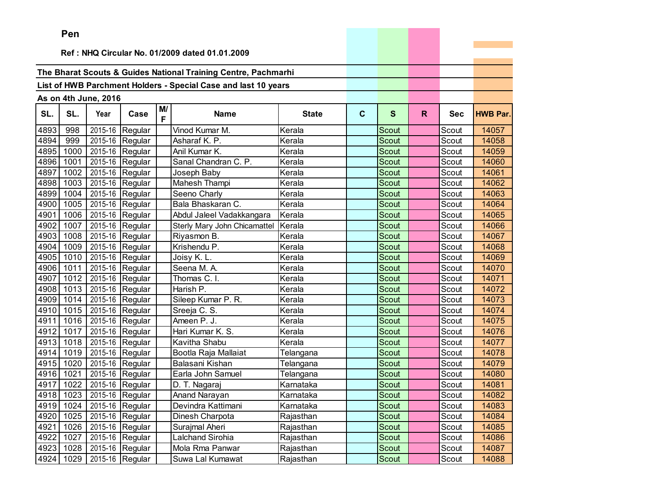|      | Pen       |                      |                           |         |                                                                |              |             |              |    |            |                 |
|------|-----------|----------------------|---------------------------|---------|----------------------------------------------------------------|--------------|-------------|--------------|----|------------|-----------------|
|      |           |                      |                           |         |                                                                |              |             |              |    |            |                 |
|      |           |                      |                           |         | Ref: NHQ Circular No. 01/2009 dated 01.01.2009                 |              |             |              |    |            |                 |
|      |           |                      |                           |         | The Bharat Scouts & Guides National Training Centre, Pachmarhi |              |             |              |    |            |                 |
|      |           |                      |                           |         | List of HWB Parchment Holders - Special Case and last 10 years |              |             |              |    |            |                 |
|      |           |                      |                           |         |                                                                |              |             |              |    |            |                 |
|      |           | As on 4th June, 2016 |                           |         |                                                                |              |             |              |    |            |                 |
| SL.  | SL.       | Year                 | Case                      | M/<br>F | <b>Name</b>                                                    | <b>State</b> | $\mathbf c$ | S            | R. | <b>Sec</b> | <b>HWB Par.</b> |
| 4893 | 998       |                      | 2015-16 Regular           |         | Vinod Kumar M.                                                 | Kerala       |             | Scout        |    | Scout      | 14057           |
| 4894 | 999       |                      | 2015-16 Regular           |         | Asharaf K. P.                                                  | Kerala       |             | Scout        |    | Scout      | 14058           |
| 4895 | 1000      |                      | 2015-16 Regular           |         | Anil Kumar K.                                                  | Kerala       |             | <b>Scout</b> |    | Scout      | 14059           |
| 4896 | 1001      |                      | 2015-16 Regular           |         | Sanal Chandran C. P.                                           | Kerala       |             | Scout        |    | Scout      | 14060           |
| 4897 | 1002      |                      | 2015-16 Regular           |         | Joseph Baby                                                    | Kerala       |             | Scout        |    | Scout      | 14061           |
| 4898 | 1003      |                      | 2015-16 Regular           |         | Mahesh Thampi                                                  | Kerala       |             | <b>Scout</b> |    | Scout      | 14062           |
| 4899 | 1004      |                      | 2015-16 Regular           |         | Seeno Charly                                                   | Kerala       |             | Scout        |    | Scout      | 14063           |
| 4900 | 1005      |                      | 2015-16 Regular           |         | Bala Bhaskaran C.                                              | Kerala       |             | Scout        |    | Scout      | 14064           |
| 4901 | 1006      |                      | 2015-16 Regular           |         | Abdul Jaleel Vadakkangara                                      | Kerala       |             | <b>Scout</b> |    | Scout      | 14065           |
| 4902 | 1007      | 2015-16              | Regular                   |         | Sterly Mary John Chicamattel                                   | Kerala       |             | Scout        |    | Scout      | 14066           |
| 4903 | 1008      | 2015-16              | Regular                   |         | Riyasmon B.                                                    | Kerala       |             | Scout        |    | Scout      | 14067           |
| 4904 | 1009      |                      | 2015-16 Regular           |         | Krishendu P.                                                   | Kerala       |             | Scout        |    | Scout      | 14068           |
| 4905 | 1010      |                      | 2015-16 Regular           |         | Joisy K. L.                                                    | Kerala       |             | Scout        |    | Scout      | 14069           |
| 4906 | 1011      |                      | 2015-16 Regular           |         | Seena M. A.                                                    | Kerala       |             | Scout        |    | Scout      | 14070           |
| 4907 | 1012      |                      | 2015-16 Regular           |         | Thomas C. I.                                                   | Kerala       |             | Scout        |    | Scout      | 14071           |
| 4908 | 1013      |                      | 2015-16 Regular           |         | Harish P.                                                      | Kerala       |             | Scout        |    | Scout      | 14072           |
| 4909 | 1014      |                      | 2015-16 Regular           |         | Sileep Kumar P. R.                                             | Kerala       |             | Scout        |    | Scout      | 14073           |
| 4910 | 1015      |                      | 2015-16 Regular           |         | Sreeja C. S.                                                   | Kerala       |             | Scout        |    | Scout      | 14074           |
| 4911 | 1016      |                      | 2015-16 Regular           |         | Ameen P. J.                                                    | Kerala       |             | <b>Scout</b> |    | Scout      | 14075           |
| 4912 | 1017      |                      | 2015-16 Regular           |         | Hari Kumar K. S.                                               | Kerala       |             | Scout        |    | Scout      | 14076           |
| 4913 | 1018      |                      | 2015-16 Regular           |         | Kavitha Shabu                                                  | Kerala       |             | Scout        |    | Scout      | 14077           |
| 4914 | 1019      |                      | 2015-16 Regular           |         | Bootla Raja Mallaiat                                           | Telangana    |             | Scout        |    | Scout      | 14078           |
| 4915 | 1020      | 2015-16              | Regular                   |         | Balasani Kishan                                                | Telangana    |             | Scout        |    | Scout      | 14079           |
| 4916 | 1021      |                      | 2015-16 Regular           |         | Earla John Samuel                                              | Telangana    |             | Scout        |    | Scout      | 14080           |
|      | 4917 1022 |                      | 2015-16 Regular           |         | D. T. Nagaraj                                                  | Karnataka    |             | Scout        |    | Scout      | 14081           |
|      |           |                      | 4918 1023 2015-16 Regular |         | Anand Narayan                                                  | Karnataka    |             | Scout        |    | Scout      | 14082           |
|      | 4919 1024 |                      | 2015-16 Regular           |         | Devindra Kattimani                                             | Karnataka    |             | Scout        |    | Scout      | 14083           |
| 4920 | 1025      |                      | 2015-16 Regular           |         | Dinesh Charpota                                                | Rajasthan    |             | Scout        |    | Scout      | 14084           |
| 4921 | 1026      |                      | 2015-16 Regular           |         | Surajmal Aheri                                                 | Rajasthan    |             | Scout        |    | Scout      | 14085           |
| 4922 | 1027      |                      | 2015-16 Regular           |         | Lalchand Sirohia                                               | Rajasthan    |             | Scout        |    | Scout      | 14086           |
| 4923 | 1028      |                      | 2015-16 Regular           |         | Mola Rma Panwar                                                | Rajasthan    |             | Scout        |    | Scout      | 14087           |
| 4924 | 1029      |                      | 2015-16 Regular           |         | Suwa Lal Kumawat                                               | Rajasthan    |             | Scout        |    | Scout      | 14088           |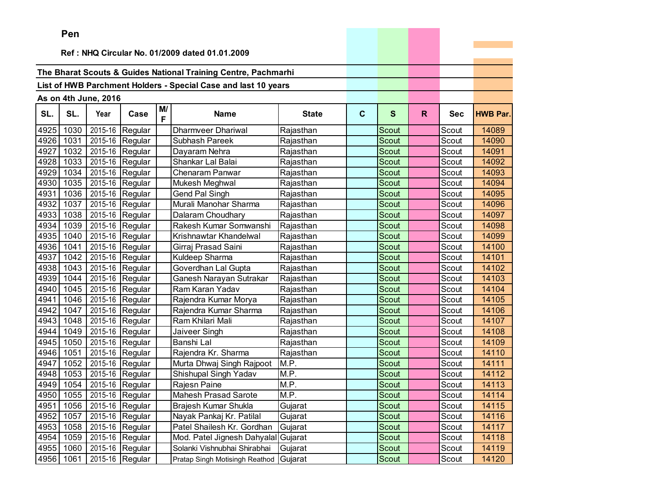|      | ren  |                      |                 |         |                                                                |                    |             |              |              |            |                 |
|------|------|----------------------|-----------------|---------|----------------------------------------------------------------|--------------------|-------------|--------------|--------------|------------|-----------------|
|      |      |                      |                 |         | Ref: NHQ Circular No. 01/2009 dated 01.01.2009                 |                    |             |              |              |            |                 |
|      |      |                      |                 |         |                                                                |                    |             |              |              |            |                 |
|      |      |                      |                 |         | The Bharat Scouts & Guides National Training Centre, Pachmarhi |                    |             |              |              |            |                 |
|      |      |                      |                 |         | List of HWB Parchment Holders - Special Case and last 10 years |                    |             |              |              |            |                 |
|      |      |                      |                 |         |                                                                |                    |             |              |              |            |                 |
|      |      | As on 4th June, 2016 |                 |         |                                                                |                    |             |              |              |            |                 |
| SL.  | SL.  | Year                 | Case            | M/<br>F | <b>Name</b>                                                    | <b>State</b>       | $\mathbf c$ | $\mathbf{s}$ | $\mathsf{R}$ | <b>Sec</b> | <b>HWB Par.</b> |
| 4925 | 1030 | 2015-16              | Regular         |         | <b>Dharmveer Dhariwal</b>                                      | Rajasthan          |             | Scout        |              | Scout      | 14089           |
| 4926 | 1031 | 2015-16              | Regular         |         | Subhash Pareek                                                 | Rajasthan          |             | Scout        |              | Scout      | 14090           |
| 4927 | 1032 | 2015-16              | Regular         |         | Dayaram Nehra                                                  | Rajasthan          |             | Scout        |              | Scout      | 14091           |
| 4928 | 1033 | 2015-16              | Regular         |         | Shankar Lal Balai                                              | Rajasthan          |             | Scout        |              | Scout      | 14092           |
| 4929 | 1034 | 2015-16              | Regular         |         | Chenaram Panwar                                                | Rajasthan          |             | Scout        |              | Scout      | 14093           |
| 4930 | 1035 | 2015-16              | Regular         |         | Mukesh Meghwal                                                 | Rajasthan          |             | Scout        |              | Scout      | 14094           |
| 4931 | 1036 | 2015-16              | Regular         |         | Gend Pal Singh                                                 | Rajasthan          |             | Scout        |              | Scout      | 14095           |
| 4932 | 1037 | 2015-16              | Regular         |         | Murali Manohar Sharma                                          | Rajasthan          |             | <b>Scout</b> |              | Scout      | 14096           |
| 4933 | 1038 | 2015-16              | Regular         |         | Dalaram Choudhary                                              | Rajasthan          |             | <b>Scout</b> |              | Scout      | 14097           |
| 4934 | 1039 |                      | 2015-16 Regular |         | Rakesh Kumar Somwanshi                                         | Rajasthan          |             | <b>Scout</b> |              | Scout      | 14098           |
| 4935 | 1040 |                      | 2015-16 Regular |         | Krishnawtar Khandelwal                                         | Rajasthan          |             | <b>Scout</b> |              | Scout      | 14099           |
| 4936 | 1041 | 2015-16              | Regular         |         | Girraj Prasad Saini                                            | Rajasthan          |             | Scout        |              | Scout      | 14100           |
| 4937 | 1042 | 2015-16              | Regular         |         | Kuldeep Sharma                                                 | Rajasthan          |             | <b>Scout</b> |              | Scout      | 14101           |
| 4938 | 1043 | 2015-16              | Regular         |         | Goverdhan Lal Gupta                                            | Rajasthan          |             | <b>Scout</b> |              | Scout      | 14102           |
| 4939 | 1044 | 2015-16              | Regular         |         | Ganesh Narayan Sutrakar                                        | Rajasthan          |             | <b>Scout</b> |              | Scout      | 14103           |
| 4940 | 1045 | 2015-16              | Regular         |         | Ram Karan Yadav                                                | Rajasthan          |             | Scout        |              | Scout      | 14104           |
| 4941 | 1046 |                      | 2015-16 Regular |         | Rajendra Kumar Morya                                           | Rajasthan          |             | Scout        |              | Scout      | 14105           |
| 4942 | 1047 | 2015-16              | Regular         |         | Rajendra Kumar Sharma                                          | Rajasthan          |             | Scout        |              | Scout      | 14106           |
| 4943 | 1048 | 2015-16              | Regular         |         | Ram Khilari Mali                                               | Rajasthan          |             | Scout        |              | Scout      | 14107           |
| 4944 | 1049 | 2015-16              | Regular         |         | Jaiveer Singh                                                  | Rajasthan          |             | Scout        |              | Scout      | 14108           |
| 4945 | 1050 | 2015-16              | Regular         |         | Banshi Lal                                                     | Rajasthan          |             | Scout        |              | Scout      | 14109           |
| 4946 | 1051 | 2015-16              | Regular         |         | Rajendra Kr. Sharma                                            | Rajasthan          |             | Scout        |              | Scout      | 14110           |
| 4947 | 1052 | 2015-16              | Regular         |         | Murta Dhwaj Singh Rajpoot                                      | M.P.               |             | <b>Scout</b> |              | Scout      | 14111           |
| 4948 | 1053 | 2015-16              | Regular         |         | Shishupal Singh Yadav                                          | M.P.               |             | Scout        |              | Scout      | 14112           |
| 4949 | 1054 | 2015-16              | Regular         |         | Rajesn Paine                                                   | $\overline{M}$ .P. |             | Scout        |              | Scout      | 14113           |
| 4950 | 1055 |                      | 2015-16 Regular |         | <b>Mahesh Prasad Sarote</b>                                    | M.P.               |             | Scout        |              | Scout      | 14114           |
| 4951 | 1056 |                      | 2015-16 Regular |         | Brajesh Kumar Shukla                                           | Gujarat            |             | Scout        |              | Scout      | 14115           |
| 4952 | 1057 |                      | 2015-16 Regular |         | Nayak Pankaj Kr. Patilal                                       | Gujarat            |             | Scout        |              | Scout      | 14116           |
| 4953 | 1058 |                      | 2015-16 Regular |         | Patel Shailesh Kr. Gordhan                                     | Gujarat            |             | Scout        |              | Scout      | 14117           |
| 4954 | 1059 |                      | 2015-16 Regular |         | Mod. Patel Jignesh Dahyalal                                    | Gujarat            |             | Scout        |              | Scout      | 14118           |
| 4955 | 1060 |                      | 2015-16 Regular |         | Solanki Vishnubhai Shirabhai                                   | Gujarat            |             | Scout        |              | Scout      | 14119           |
| 4956 | 1061 |                      | 2015-16 Regular |         | Pratap Singh Motisingh Reathod                                 | Gujarat            |             | Scout        |              | Scout      | 14120           |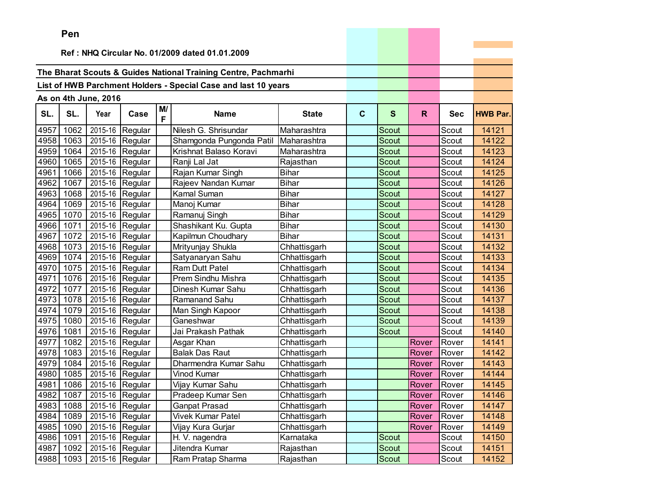|      | Pen  |                      |                               |         |                                                                |              |             |              |       |            |                 |
|------|------|----------------------|-------------------------------|---------|----------------------------------------------------------------|--------------|-------------|--------------|-------|------------|-----------------|
|      |      |                      |                               |         | Ref: NHQ Circular No. 01/2009 dated 01.01.2009                 |              |             |              |       |            |                 |
|      |      |                      |                               |         |                                                                |              |             |              |       |            |                 |
|      |      |                      |                               |         | The Bharat Scouts & Guides National Training Centre, Pachmarhi |              |             |              |       |            |                 |
|      |      |                      |                               |         | List of HWB Parchment Holders - Special Case and last 10 years |              |             |              |       |            |                 |
|      |      |                      |                               |         |                                                                |              |             |              |       |            |                 |
|      |      | As on 4th June, 2016 |                               |         |                                                                |              |             |              |       |            |                 |
| SL.  | SL.  | Year                 | Case                          | M/<br>F | <b>Name</b>                                                    | <b>State</b> | $\mathbf c$ | S            | R.    | <b>Sec</b> | <b>HWB Par.</b> |
| 4957 | 1062 | 2015-16              | Regular                       |         | Nilesh G. Shrisundar                                           | Maharashtra  |             | Scout        |       | Scout      | 14121           |
| 4958 | 1063 |                      | 2015-16 Regular               |         | Shamgonda Pungonda Patil                                       | Maharashtra  |             | <b>Scout</b> |       | Scout      | 14122           |
| 4959 | 1064 |                      | 2015-16 Regular               |         | Krishnat Balaso Koravi                                         | Maharashtra  |             | <b>Scout</b> |       | Scout      | 14123           |
| 4960 | 1065 |                      | 2015-16 Regular               |         | Ranji Lal Jat                                                  | Rajasthan    |             | Scout        |       | Scout      | 14124           |
| 4961 | 1066 |                      | 2015-16 Regular               |         | Rajan Kumar Singh                                              | <b>Bihar</b> |             | Scout        |       | Scout      | 14125           |
| 4962 | 1067 | 2015-16              | Regular                       |         | Rajeev Nandan Kumar                                            | <b>Bihar</b> |             | Scout        |       | Scout      | 14126           |
| 4963 | 1068 | 2015-16              | Regular                       |         | Kamal Suman                                                    | <b>Bihar</b> |             | Scout        |       | Scout      | 14127           |
| 4964 | 1069 | 2015-16              | Regular                       |         | Manoj Kumar                                                    | <b>Bihar</b> |             | Scout        |       | Scout      | 14128           |
| 4965 | 1070 |                      | 2015-16 Regular               |         | Ramanuj Singh                                                  | <b>Bihar</b> |             | Scout        |       | Scout      | 14129           |
| 4966 | 1071 |                      | 2015-16 Regular               |         | Shashikant Ku. Gupta                                           | <b>Bihar</b> |             | Scout        |       | Scout      | 14130           |
| 4967 | 1072 |                      | 2015-16 Regular               |         | Kapilmun Choudhary                                             | <b>Bihar</b> |             | <b>Scout</b> |       | Scout      | 14131           |
| 4968 | 1073 |                      | 2015-16 Regular               |         | Mrityunjay Shukla                                              | Chhattisgarh |             | <b>Scout</b> |       | Scout      | 14132           |
| 4969 | 1074 | 2015-16              | Regular                       |         | Satyanaryan Sahu                                               | Chhattisgarh |             | <b>Scout</b> |       | Scout      | 14133           |
| 4970 | 1075 | 2015-16              | Regular                       |         | <b>Ram Dutt Patel</b>                                          | Chhattisgarh |             | Scout        |       | Scout      | 14134           |
| 4971 | 1076 |                      | 2015-16 Regular               |         | Prem Sindhu Mishra                                             | Chhattisgarh |             | <b>Scout</b> |       | Scout      | 14135           |
| 4972 | 1077 |                      | 2015-16 Regular               |         | Dinesh Kumar Sahu                                              | Chhattisgarh |             | Scout        |       | Scout      | 14136           |
| 4973 | 1078 | 2015-16              | Regular                       |         | Ramanand Sahu                                                  | Chhattisgarh |             | <b>Scout</b> |       | Scout      | 14137           |
| 4974 | 1079 | 2015-16              | Regular                       |         | Man Singh Kapoor                                               | Chhattisgarh |             | Scout        |       | Scout      | 14138           |
| 4975 | 1080 | 2015-16              | Regular                       |         | Ganeshwar                                                      | Chhattisgarh |             | Scout        |       | Scout      | 14139           |
| 4976 | 1081 | 2015-16              | Regular                       |         | Jai Prakash Pathak                                             | Chhattisgarh |             | <b>Scout</b> |       | Scout      | 14140           |
| 4977 | 1082 |                      | 2015-16 Regular               |         | Asgar Khan                                                     | Chhattisgarh |             |              | Rover | Rover      | 14141           |
| 4978 | 1083 |                      | 2015-16 Regular               |         | <b>Balak Das Raut</b>                                          | Chhattisgarh |             |              | Rover | Rover      | 14142           |
| 4979 | 1084 |                      | 2015-16 Regular               |         | Dharmendra Kumar Sahu                                          | Chhattisgarh |             |              | Rover | Rover      | 14143           |
| 4980 | 1085 |                      | 2015-16 Regular               |         | Vinod Kumar                                                    | Chhattisgarh |             |              | Rover | Rover      | 14144           |
| 4981 | 1086 |                      | 2015-16 Regular               |         | Vijay Kumar Sahu                                               | Chhattisgarh |             |              | Rover | Rover      | 14145           |
| 4982 | 1087 |                      | $\overline{2015}$ -16 Regular |         | Pradeep Kumar Sen                                              | Chhattisgarh |             |              | Rover | Rover      | 14146           |
| 4983 | 1088 |                      | 2015-16 Regular               |         | <b>Ganpat Prasad</b>                                           | Chhattisgarh |             |              | Rover | Rover      | 14147           |
| 4984 | 1089 |                      | 2015-16 Regular               |         | <b>Vivek Kumar Patel</b>                                       | Chhattisgarh |             |              | Rover | Rover      | 14148           |
| 4985 | 1090 |                      | 2015-16 Regular               |         | Vijay Kura Gurjar                                              | Chhattisgarh |             |              | Rover | Rover      | 14149           |
| 4986 | 1091 |                      | 2015-16 Regular               |         | H. V. nagendra                                                 | Karnataka    |             | Scout        |       | Scout      | 14150           |
| 4987 | 1092 |                      | 2015-16 Regular               |         | Jitendra Kumar                                                 | Rajasthan    |             | Scout        |       | Scout      | 14151           |
| 4988 | 1093 |                      | 2015-16 Regular               |         | Ram Pratap Sharma                                              | Rajasthan    |             | Scout        |       | Scout      | 14152           |

and the control of the control of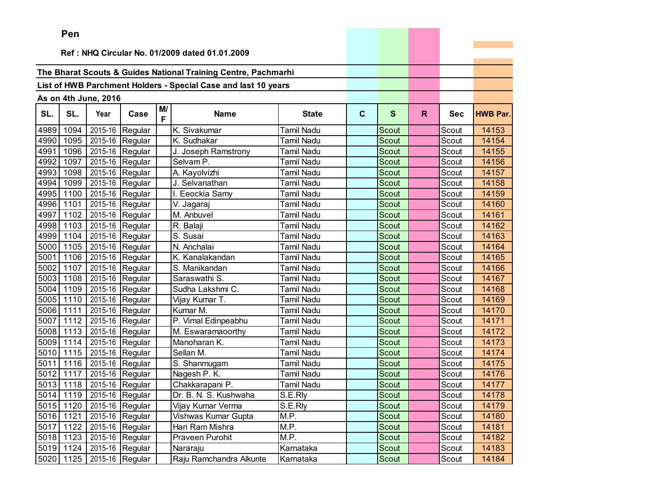|      | Pen  |                           |                                 |         |                                                                |                   |              |              |    |            |                 |
|------|------|---------------------------|---------------------------------|---------|----------------------------------------------------------------|-------------------|--------------|--------------|----|------------|-----------------|
|      |      |                           |                                 |         |                                                                |                   |              |              |    |            |                 |
|      |      |                           |                                 |         | Ref: NHQ Circular No. 01/2009 dated 01.01.2009                 |                   |              |              |    |            |                 |
|      |      |                           |                                 |         | The Bharat Scouts & Guides National Training Centre, Pachmarhi |                   |              |              |    |            |                 |
|      |      |                           |                                 |         |                                                                |                   |              |              |    |            |                 |
|      |      |                           |                                 |         | List of HWB Parchment Holders - Special Case and last 10 years |                   |              |              |    |            |                 |
|      |      | As on 4th June, 2016      |                                 |         |                                                                |                   |              |              |    |            |                 |
| SL.  | SL.  | Year                      | Case                            | M/<br>F | <b>Name</b>                                                    | <b>State</b>      | $\mathbf{C}$ | $\mathbf{s}$ | R. | <b>Sec</b> | <b>HWB Par.</b> |
| 4989 | 1094 |                           | 2015-16 Regular                 |         | K. Sivakumar                                                   | <b>Tamil Nadu</b> |              | Scout        |    | Scout      | 14153           |
| 4990 | 1095 |                           | 2015-16 Regular                 |         | K. Sudhakar                                                    | <b>Tamil Nadu</b> |              | <b>Scout</b> |    | Scout      | 14154           |
| 4991 | 1096 |                           | 2015-16 Regular                 |         | J. Joseph Ramstrony                                            | <b>Tamil Nadu</b> |              | <b>Scout</b> |    | Scout      | 14155           |
| 4992 | 1097 |                           | 2015-16 Regular                 |         | Selvam P.                                                      | <b>Tamil Nadu</b> |              | <b>Scout</b> |    | Scout      | 14156           |
| 4993 | 1098 |                           | 2015-16 Regular                 |         | A. Kayolvizhi                                                  | <b>Tamil Nadu</b> |              | <b>Scout</b> |    | Scout      | 14157           |
| 4994 | 1099 |                           | 2015-16 Regular                 |         | J. Selvanathan                                                 | <b>Tamil Nadu</b> |              | Scout        |    | Scout      | 14158           |
| 4995 | 1100 |                           | 2015-16 Regular                 |         | I. Eeockia Samy                                                | Tamil Nadu        |              | Scout        |    | Scout      | 14159           |
| 4996 | 1101 |                           | 2015-16 Regular                 |         | V. Jagaraj                                                     | <b>Tamil Nadu</b> |              | Scout        |    | Scout      | 14160           |
| 4997 | 1102 |                           | 2015-16 Regular                 |         | M. Anbuvel                                                     | <b>Tamil Nadu</b> |              | Scout        |    | Scout      | 14161           |
| 4998 | 1103 |                           | 2015-16 Regular                 |         | R. Balaji                                                      | <b>Tamil Nadu</b> |              | Scout        |    | Scout      | 14162           |
| 4999 | 1104 |                           | 2015-16 Regular                 |         | S. Susai                                                       | Tamil Nadu        |              | <b>Scout</b> |    | Scout      | 14163           |
| 5000 | 1105 |                           | 2015-16 Regular                 |         | N. Anchalai                                                    | <b>Tamil Nadu</b> |              | Scout        |    | Scout      | 14164           |
| 5001 | 1106 |                           | 2015-16 Regular                 |         | K. Kanalakandan                                                | <b>Tamil Nadu</b> |              | Scout        |    | Scout      | 14165           |
| 5002 | 1107 |                           | 2015-16 Regular                 |         | S. Manikandan                                                  | <b>Tamil Nadu</b> |              | <b>Scout</b> |    | Scout      | 14166           |
| 5003 | 1108 |                           | 2015-16 Regular                 |         | Saraswathi S.                                                  | <b>Tamil Nadu</b> |              | Scout        |    | Scout      | 14167           |
| 5004 | 1109 | 2015-16 Regular           |                                 |         | Sudha Lakshmi C.                                               | <b>Tamil Nadu</b> |              | <b>Scout</b> |    | Scout      | 14168           |
| 5005 | 1110 |                           | 2015-16 Regular                 |         | Vijay Kumar T.                                                 | <b>Tamil Nadu</b> |              | <b>Scout</b> |    | Scout      | 14169           |
| 5006 | 1111 |                           | 2015-16 Regular                 |         | Kumar M.                                                       | <b>Tamil Nadu</b> |              | Scout        |    | Scout      | 14170           |
| 5007 | 1112 |                           | 2015-16 Regular                 |         | P. Vimal Edinpeabhu                                            | <b>Tamil Nadu</b> |              | Scout        |    | Scout      | 14171           |
| 5008 | 1113 |                           | 2015-16 Regular                 |         | M. Eswaramaoorthy                                              | <b>Tamil Nadu</b> |              | <b>Scout</b> |    | Scout      | 14172           |
| 5009 | 1114 |                           | 2015-16 Regular                 |         | Manoharan K.                                                   | <b>Tamil Nadu</b> |              | <b>Scout</b> |    | Scout      | 14173           |
| 5010 | 1115 |                           | 2015-16 Regular                 |         | Sellan M.                                                      | <b>Tamil Nadu</b> |              | <b>Scout</b> |    | Scout      | 14174           |
| 5011 | 1116 |                           | 2015-16 Regular                 |         | S. Shanmugam                                                   | <b>Tamil Nadu</b> |              | Scout        |    | Scout      | 14175           |
| 5012 | 1117 |                           | 2015-16 Regular                 |         | Nagesh P. K.                                                   | <b>Tamil Nadu</b> |              | Scout        |    | Scout      | 14176           |
|      |      | 5013 1118 2015-16 Regular |                                 |         | Chakkarapani P.                                                | <b>Tamil Nadu</b> |              | Scout        |    | Scout      | 14177           |
|      |      |                           | 5014 1119 2015-16 Regular       |         | Dr. B. N. S. Kushwaha                                          | S.E.Rly           |              | Scout        |    | Scout      | 14178           |
|      |      |                           | 5015   1120   2015-16   Regular |         | Vijay Kumar Verma                                              | S.E.Rly           |              | Scout        |    | Scout      | 14179           |
|      |      |                           | 5016 1121 2015-16 Regular       |         | Vishwas Kumar Gupta                                            | M.P.              |              | Scout        |    | Scout      | 14180           |
|      |      |                           | 5017 1122 2015-16 Regular       |         | Hari Ram Mishra                                                | M.P.              |              | Scout        |    | Scout      | 14181           |
|      |      |                           | 5018 1123 2015-16 Regular       |         | Praveen Purohit                                                | M.P.              |              | Scout        |    | Scout      | 14182           |
|      |      |                           | 5019 1124 2015-16 Regular       |         | Nararaju                                                       | Karnataka         |              | Scout        |    | Scout      | 14183           |
|      |      | 5020 1125 2015-16 Regular |                                 |         | Raju Ramchandra Alkunte                                        | Karnataka         |              | Scout        |    | Scout      | 14184           |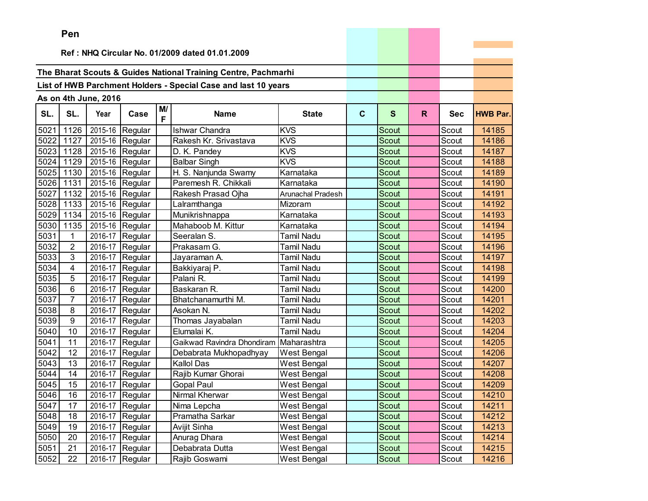|      | Pen            |                      |                 |         |                                                                |                    |   |              |    |            |                 |
|------|----------------|----------------------|-----------------|---------|----------------------------------------------------------------|--------------------|---|--------------|----|------------|-----------------|
|      |                |                      |                 |         |                                                                |                    |   |              |    |            |                 |
|      |                |                      |                 |         | Ref: NHQ Circular No. 01/2009 dated 01.01.2009                 |                    |   |              |    |            |                 |
|      |                |                      |                 |         | The Bharat Scouts & Guides National Training Centre, Pachmarhi |                    |   |              |    |            |                 |
|      |                |                      |                 |         |                                                                |                    |   |              |    |            |                 |
|      |                |                      |                 |         | List of HWB Parchment Holders - Special Case and last 10 years |                    |   |              |    |            |                 |
|      |                | As on 4th June, 2016 |                 |         |                                                                |                    |   |              |    |            |                 |
| SL.  | SL.            | Year                 | Case            | M/<br>F | <b>Name</b>                                                    | <b>State</b>       | C | $\mathbf{s}$ | R. | <b>Sec</b> | <b>HWB Par.</b> |
| 5021 | 1126           |                      | 2015-16 Regular |         | <b>Ishwar Chandra</b>                                          | <b>KVS</b>         |   | Scout        |    | Scout      | 14185           |
| 5022 | 1127           |                      | 2015-16 Regular |         | Rakesh Kr. Srivastava                                          | <b>KVS</b>         |   | Scout        |    | Scout      | 14186           |
| 5023 | 1128           |                      | 2015-16 Regular |         | D. K. Pandey                                                   | <b>KVS</b>         |   | Scout        |    | Scout      | 14187           |
| 5024 | 1129           |                      | 2015-16 Regular |         | <b>Balbar Singh</b>                                            | <b>KVS</b>         |   | Scout        |    | Scout      | 14188           |
| 5025 | 1130           |                      | 2015-16 Regular |         | H. S. Nanjunda Swamy                                           | Karnataka          |   | Scout        |    | Scout      | 14189           |
| 5026 | 1131           |                      | 2015-16 Regular |         | Paremesh R. Chikkali                                           | Karnataka          |   | Scout        |    | Scout      | 14190           |
| 5027 | 1132           |                      | 2015-16 Regular |         | Rakesh Prasad Ojha                                             | Arunachal Pradesh  |   | <b>Scout</b> |    | Scout      | 14191           |
| 5028 | 1133           |                      | 2015-16 Regular |         | Lalramthanga                                                   | Mizoram            |   | Scout        |    | Scout      | 14192           |
| 5029 | 1134           |                      | 2015-16 Regular |         | Munikrishnappa                                                 | Karnataka          |   | <b>Scout</b> |    | Scout      | 14193           |
| 5030 | 1135           |                      | 2015-16 Regular |         | Mahaboob M. Kittur                                             | Karnataka          |   | Scout        |    | Scout      | 14194           |
| 5031 | $\mathbf{1}$   | 2016-17              | Regular         |         | Seeralan S.                                                    | Tamil Nadu         |   | Scout        |    | Scout      | 14195           |
| 5032 | $\overline{2}$ |                      | 2016-17 Regular |         | Prakasam G.                                                    | Tamil Nadu         |   | Scout        |    | Scout      | 14196           |
| 5033 | 3              |                      | 2016-17 Regular |         | Jayaraman A.                                                   | Tamil Nadu         |   | Scout        |    | Scout      | 14197           |
| 5034 | 4              |                      | 2016-17 Regular |         | Bakkiyaraj P.                                                  | Tamil Nadu         |   | Scout        |    | Scout      | 14198           |
| 5035 | 5              | 2016-17              | Regular         |         | Palani R.                                                      | Tamil Nadu         |   | Scout        |    | Scout      | 14199           |
| 5036 | 6              | 2016-17              | Regular         |         | Baskaran R.                                                    | Tamil Nadu         |   | Scout        |    | Scout      | 14200           |
| 5037 | $\overline{7}$ | 2016-17              | Regular         |         | Bhatchanamurthi M.                                             | Tamil Nadu         |   | Scout        |    | Scout      | 14201           |
| 5038 | 8              | 2016-17              | Regular         |         | Asokan N.                                                      | Tamil Nadu         |   | Scout        |    | Scout      | 14202           |
| 5039 | 9              | 2016-17              | Regular         |         | Thomas Jayabalan                                               | Tamil Nadu         |   | Scout        |    | Scout      | 14203           |
| 5040 | 10             |                      | 2016-17 Regular |         | Elumalai K.                                                    | <b>Tamil Nadu</b>  |   | Scout        |    | Scout      | 14204           |
| 5041 | 11             | 2016-17              | Regular         |         | Gaikwad Ravindra Dhondiram                                     | Maharashtra        |   | <b>Scout</b> |    | Scout      | 14205           |
| 5042 | 12             | 2016-17              | Regular         |         | Debabrata Mukhopadhyay                                         | <b>West Bengal</b> |   | Scout        |    | Scout      | 14206           |
| 5043 | 13             | 2016-17              | Regular         |         | <b>Kallol Das</b>                                              | <b>West Bengal</b> |   | Scout        |    | Scout      | 14207           |
| 5044 | 14             | 2016-17              | Regular         |         | Rajib Kumar Ghorai                                             | <b>West Bengal</b> |   | <b>Scout</b> |    | Scout      | 14208           |
| 5045 | 15             |                      | 2016-17 Regular |         | <b>Gopal Paul</b>                                              | <b>West Bengal</b> |   | Scout        |    | Scout      | 14209           |
| 5046 | 16             |                      | 2016-17 Regular |         | Nirmal Kherwar                                                 | <b>West Bengal</b> |   | Scout        |    | Scout      | 14210           |
| 5047 | 17             |                      | 2016-17 Regular |         | Nima Lepcha                                                    | West Bengal        |   | Scout        |    | Scout      | 14211           |
| 5048 | 18             | 2016-17              | Regular         |         | Pramatha Sarkar                                                | West Bengal        |   | Scout        |    | Scout      | 14212           |
| 5049 | 19             | 2016-17              | Regular         |         | Avijit Sinha                                                   | West Bengal        |   | Scout        |    | Scout      | 14213           |
| 5050 | 20             | 2016-17              | Regular         |         | Anurag Dhara                                                   | West Bengal        |   | Scout        |    | Scout      | 14214           |
| 5051 | 21             | 2016-17              | Regular         |         | Debabrata Dutta                                                | <b>West Bengal</b> |   | Scout        |    | Scout      | 14215           |
| 5052 | 22             | 2016-17              | Regular         |         | Rajib Goswami                                                  | <b>West Bengal</b> |   | Scout        |    | Scout      | 14216           |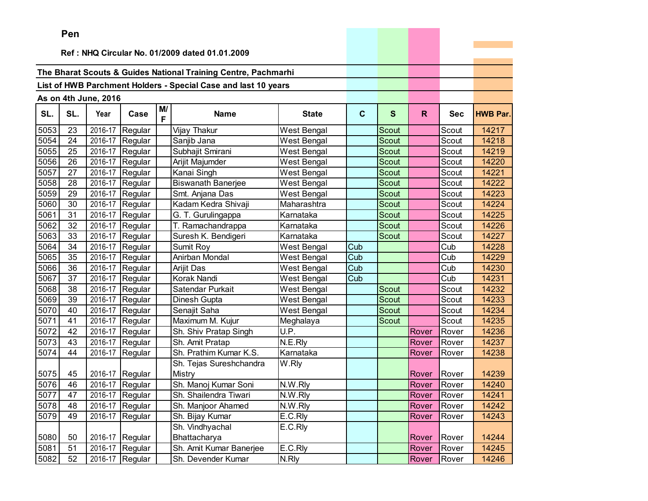|      | Pen |                      |                 |         |                                                                |                    |             |              |       |            |                 |
|------|-----|----------------------|-----------------|---------|----------------------------------------------------------------|--------------------|-------------|--------------|-------|------------|-----------------|
|      |     |                      |                 |         | Ref: NHQ Circular No. 01/2009 dated 01.01.2009                 |                    |             |              |       |            |                 |
|      |     |                      |                 |         |                                                                |                    |             |              |       |            |                 |
|      |     |                      |                 |         | The Bharat Scouts & Guides National Training Centre, Pachmarhi |                    |             |              |       |            |                 |
|      |     |                      |                 |         | List of HWB Parchment Holders - Special Case and last 10 years |                    |             |              |       |            |                 |
|      |     |                      |                 |         |                                                                |                    |             |              |       |            |                 |
|      |     | As on 4th June, 2016 |                 |         |                                                                |                    |             |              |       |            |                 |
| SL.  | SL. | Year                 | Case            | M/<br>F | <b>Name</b>                                                    | <b>State</b>       | $\mathbf c$ | S            | R.    | <b>Sec</b> | <b>HWB Par.</b> |
| 5053 | 23  | 2016-17              | Regular         |         | Vijay Thakur                                                   | West Bengal        |             | <b>Scout</b> |       | Scout      | 14217           |
| 5054 | 24  | 2016-17              | Regular         |         | Sanjib Jana                                                    | West Bengal        |             | Scout        |       | Scout      | 14218           |
| 5055 | 25  | 2016-17              | Regular         |         | Subhajit Smirani                                               | West Bengal        |             | Scout        |       | Scout      | 14219           |
| 5056 | 26  | 2016-17              | Regular         |         | Arijit Majumder                                                | West Bengal        |             | Scout        |       | Scout      | 14220           |
| 5057 | 27  | 2016-17              | Regular         |         | Kanai Singh                                                    | West Bengal        |             | Scout        |       | Scout      | 14221           |
| 5058 | 28  | 2016-17              | Regular         |         | Biswanath Banerjee                                             | West Bengal        |             | Scout        |       | Scout      | 14222           |
| 5059 | 29  | 2016-17              | Regular         |         | Smt. Anjana Das                                                | West Bengal        |             | Scout        |       | Scout      | 14223           |
| 5060 | 30  | 2016-17              | Regular         |         | Kadam Kedra Shivaji                                            | Maharashtra        |             | Scout        |       | Scout      | 14224           |
| 5061 | 31  | 2016-17              | Regular         |         | G. T. Gurulingappa                                             | Karnataka          |             | Scout        |       | Scout      | 14225           |
| 5062 | 32  | 2016-17              | Regular         |         | T. Ramachandrappa                                              | Karnataka          |             | Scout        |       | Scout      | 14226           |
| 5063 | 33  | 2016-17              | Regular         |         | Suresh K. Bendigeri                                            | Karnataka          |             | Scout        |       | Scout      | 14227           |
| 5064 | 34  | 2016-17              | Regular         |         | Sumit Roy                                                      | West Bengal        | Cub         |              |       | Cub        | 14228           |
| 5065 | 35  | 2016-17              | Regular         |         | Anirban Mondal                                                 | West Bengal        | Cub         |              |       | Cub        | 14229           |
| 5066 | 36  | 2016-17              | Regular         |         | Arijit Das                                                     | West Bengal        | Cub         |              |       | Cub        | 14230           |
| 5067 | 37  | 2016-17              | Regular         |         | Korak Nandi                                                    | <b>West Bengal</b> | Cub         |              |       | Cub        | 14231           |
| 5068 | 38  | 2016-17              | Regular         |         | Satendar Purkait                                               | West Bengal        |             | Scout        |       | Scout      | 14232           |
| 5069 | 39  | 2016-17              | Regular         |         | Dinesh Gupta                                                   | West Bengal        |             | <b>Scout</b> |       | Scout      | 14233           |
| 5070 | 40  | 2016-17              | Regular         |         | Senajit Saha                                                   | West Bengal        |             | Scout        |       | Scout      | 14234           |
| 5071 | 41  | 2016-17              | Regular         |         | Maximum M. Kujur                                               | Meghalaya          |             | Scout        |       | Scout      | 14235           |
| 5072 | 42  | 2016-17              | Regular         |         | Sh. Shiv Pratap Singh                                          | U.P.               |             |              | Rover | Rover      | 14236           |
| 5073 | 43  | 2016-17              | Regular         |         | Sh. Amit Pratap                                                | N.E.Rly            |             |              | Rover | Rover      | 14237           |
| 5074 | 44  | 2016-17              | Regular         |         | Sh. Prathim Kumar K.S.                                         | Karnataka          |             |              | Rover | Rover      | 14238           |
|      |     |                      |                 |         | Sh. Tejas Sureshchandra                                        | W.Rly              |             |              |       |            |                 |
| 5075 | 45  | 2016-17              | Regular         |         | Mistry                                                         |                    |             |              | Rover | Rover      | 14239           |
| 5076 | 46  | 2016-17              | Regular         |         | Sh. Manoj Kumar Soni                                           | N.W.Rly            |             |              | Rover | Rover      | 14240           |
| 5077 | 47  |                      | 2016-17 Regular |         | Sh. Shailendra Tiwari                                          | N.W.Rly            |             |              | Rover | Rover      | 14241           |
| 5078 | 48  |                      | 2016-17 Regular |         | Sh. Manjoor Ahamed                                             | N.W.Rly            |             |              | Rover | Rover      | 14242           |
| 5079 | 49  | 2016-17              | Regular         |         | Sh. Bijay Kumar                                                | E.C.Rly            |             |              | Rover | Rover      | 14243           |
|      |     |                      |                 |         | Sh. Vindhyachal                                                | E.C.Rly            |             |              |       |            |                 |
| 5080 | 50  |                      | 2016-17 Regular |         | Bhattacharya                                                   |                    |             |              | Rover | Rover      | 14244           |
| 5081 | 51  | 2016-17              | Regular         |         | Sh. Amit Kumar Banerjee                                        | E.C.Rly            |             |              | Rover | Rover      | 14245           |
| 5082 | 52  | 2016-17              | Regular         |         | Sh. Devender Kumar                                             | N.Rly              |             |              | Rover | Rover      | 14246           |

and the control of the control of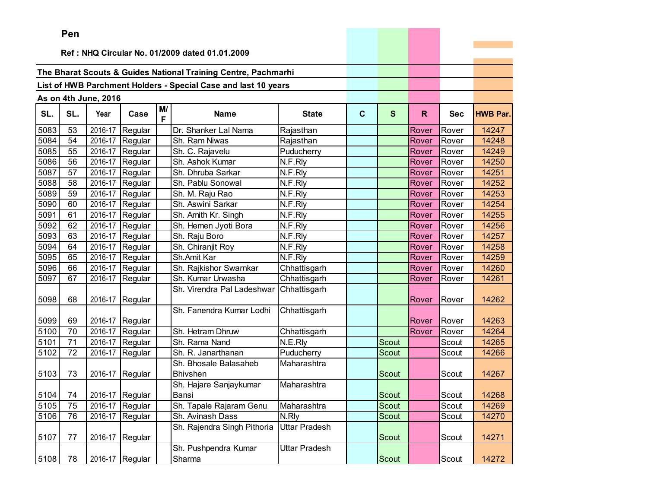|      | Pen |                      |                 |    |                                                                |               |   |              |       |            |                 |
|------|-----|----------------------|-----------------|----|----------------------------------------------------------------|---------------|---|--------------|-------|------------|-----------------|
|      |     |                      |                 |    |                                                                |               |   |              |       |            |                 |
|      |     |                      |                 |    | Ref: NHQ Circular No. 01/2009 dated 01.01.2009                 |               |   |              |       |            |                 |
|      |     |                      |                 |    | The Bharat Scouts & Guides National Training Centre, Pachmarhi |               |   |              |       |            |                 |
|      |     |                      |                 |    | List of HWB Parchment Holders - Special Case and last 10 years |               |   |              |       |            |                 |
|      |     | As on 4th June, 2016 |                 |    |                                                                |               |   |              |       |            |                 |
|      |     |                      |                 | M/ |                                                                |               |   |              |       |            |                 |
| SL.  | SL. | Year                 | Case            | F  | <b>Name</b>                                                    | <b>State</b>  | C | $\mathbf{s}$ | R.    | <b>Sec</b> | <b>HWB Par.</b> |
| 5083 | 53  | 2016-17              | Regular         |    | Dr. Shanker Lal Nama                                           | Rajasthan     |   |              | Rover | Rover      | 14247           |
| 5084 | 54  |                      | 2016-17 Regular |    | Sh. Ram Niwas                                                  | Rajasthan     |   |              | Rover | Rover      | 14248           |
| 5085 | 55  |                      | 2016-17 Regular |    | Sh. C. Rajavelu                                                | Puducherry    |   |              | Rover | Rover      | 14249           |
| 5086 | 56  | 2016-17              | Regular         |    | Sh. Ashok Kumar                                                | N.F.Rly       |   |              | Rover | Rover      | 14250           |
| 5087 | 57  | 2016-17              | Regular         |    | Sh. Dhruba Sarkar                                              | N.F.Rly       |   |              | Rover | Rover      | 14251           |
| 5088 | 58  | 2016-17              | Regular         |    | Sh. Pablu Sonowal                                              | N.F.Rly       |   |              | Rover | Rover      | 14252           |
| 5089 | 59  |                      | 2016-17 Regular |    | Sh. M. Raju Rao                                                | N.F.Rly       |   |              | Rover | Rover      | 14253           |
| 5090 | 60  |                      | 2016-17 Regular |    | Sh. Aswini Sarkar                                              | N.F.Rly       |   |              | Rover | Rover      | 14254           |
| 5091 | 61  |                      | 2016-17 Regular |    | Sh. Amith Kr. Singh                                            | N.F.Rly       |   |              | Rover | Rover      | 14255           |
| 5092 | 62  | 2016-17              | Regular         |    | Sh. Hemen Jyoti Bora                                           | N.F.Rly       |   |              | Rover | Rover      | 14256           |
| 5093 | 63  | 2016-17              | Regular         |    | Sh. Raju Boro                                                  | N.F.Rly       |   |              | Rover | Rover      | 14257           |
| 5094 | 64  | 2016-17              | Regular         |    | Sh. Chiranjit Roy                                              | N.F.Rly       |   |              | Rover | Rover      | 14258           |
| 5095 | 65  |                      | 2016-17 Regular |    | Sh.Amit Kar                                                    | N.F.Rly       |   |              | Rover | Rover      | 14259           |
| 5096 | 66  |                      | 2016-17 Regular |    | Sh. Rajkishor Swarnkar                                         | Chhattisgarh  |   |              | Rover | Rover      | 14260           |
| 5097 | 67  |                      | 2016-17 Regular |    | Sh. Kumar Urwasha                                              | Chhattisgarh  |   |              | Rover | Rover      | 14261           |
| 5098 | 68  | 2016-17              | Regular         |    | Sh. Virendra Pal Ladeshwar                                     | Chhattisgarh  |   |              | Rover | Rover      | 14262           |
| 5099 | 69  | 2016-17              | Regular         |    | Sh. Fanendra Kumar Lodhi                                       | Chhattisgarh  |   |              | Rover | Rover      | 14263           |
| 5100 | 70  | 2016-17              | Regular         |    | Sh. Hetram Dhruw                                               | Chhattisgarh  |   |              | Rover | Rover      | 14264           |
| 5101 | 71  |                      | 2016-17 Regular |    | Sh. Rama Nand                                                  | N.E.Rly       |   | Scout        |       | Scout      | 14265           |
| 5102 | 72  | 2016-17              | Regular         |    | Sh. R. Janarthanan                                             | Puducherry    |   | Scout        |       | Scout      | 14266           |
|      |     |                      |                 |    | Sh. Bhosale Balasaheb                                          | Maharashtra   |   |              |       |            |                 |
| 5103 | 73  | 2016-17              | Regular         |    | Bhivshen                                                       |               |   | Scout        |       | Scout      | 14267           |
|      |     |                      |                 |    | Sh. Hajare Sanjaykumar                                         | Maharashtra   |   |              |       |            |                 |
| 5104 | 74  | 2016-17 Regular      |                 |    | Bansi                                                          |               |   | <b>Scout</b> |       | Scout      | 14268           |
| 5105 | 75  |                      | 2016-17 Regular |    | Sh. Tapale Rajaram Genu                                        | Maharashtra   |   | Scout        |       | Scout      | 14269           |
| 5106 | 76  | 2016-17              | Regular         |    | Sh. Avinash Dass                                               | N.Rly         |   | Scout        |       | Scout      | 14270           |
| 5107 | 77  | 2016-17              | Regular         |    | Sh. Rajendra Singh Pithoria                                    | Uttar Pradesh |   | Scout        |       | Scout      | 14271           |
|      |     |                      |                 |    | Sh. Pushpendra Kumar                                           | Uttar Pradesh |   |              |       |            |                 |
| 5108 | 78  | 2016-17              | Regular         |    | Sharma                                                         |               |   | Scout        |       | Scout      | 14272           |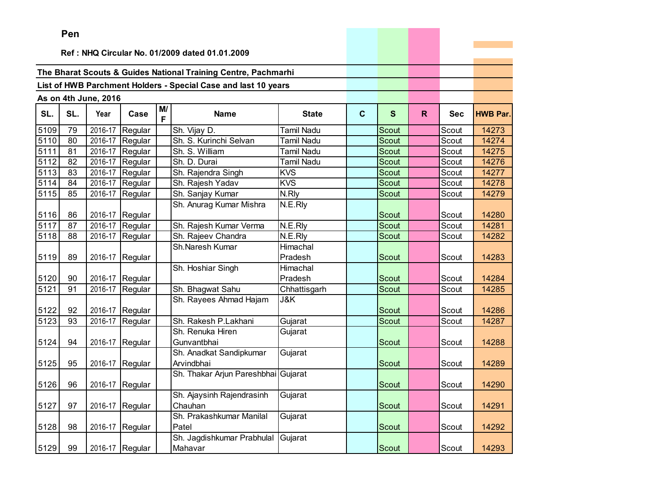|      | Pen |                      |                 |    |                                                                |                   |   |              |              |            |                 |
|------|-----|----------------------|-----------------|----|----------------------------------------------------------------|-------------------|---|--------------|--------------|------------|-----------------|
|      |     |                      |                 |    |                                                                |                   |   |              |              |            |                 |
|      |     |                      |                 |    | Ref: NHQ Circular No. 01/2009 dated 01.01.2009                 |                   |   |              |              |            |                 |
|      |     |                      |                 |    | The Bharat Scouts & Guides National Training Centre, Pachmarhi |                   |   |              |              |            |                 |
|      |     |                      |                 |    | List of HWB Parchment Holders - Special Case and last 10 years |                   |   |              |              |            |                 |
|      |     |                      |                 |    |                                                                |                   |   |              |              |            |                 |
|      |     | As on 4th June, 2016 |                 | M/ |                                                                |                   |   |              |              |            |                 |
| SL.  | SL. | Year                 | Case            | F  | <b>Name</b>                                                    | <b>State</b>      | C | S            | $\mathsf{R}$ | <b>Sec</b> | <b>HWB Par.</b> |
| 5109 | 79  | 2016-17              | Regular         |    | Sh. Vijay D.                                                   | <b>Tamil Nadu</b> |   | Scout        |              | Scout      | 14273           |
| 5110 | 80  |                      | 2016-17 Regular |    | Sh. S. Kurinchi Selvan                                         | <b>Tamil Nadu</b> |   | <b>Scout</b> |              | Scout      | 14274           |
| 5111 | 81  |                      | 2016-17 Regular |    | Sh. S. William                                                 | <b>Tamil Nadu</b> |   | <b>Scout</b> |              | Scout      | 14275           |
| 5112 | 82  | 2016-17              | Regular         |    | Sh. D. Durai                                                   | <b>Tamil Nadu</b> |   | Scout        |              | Scout      | 14276           |
| 5113 | 83  |                      | 2016-17 Regular |    | Sh. Rajendra Singh                                             | <b>KVS</b>        |   | Scout        |              | Scout      | 14277           |
| 5114 | 84  |                      | 2016-17 Regular |    | Sh. Rajesh Yadav                                               | <b>KVS</b>        |   | <b>Scout</b> |              | Scout      | 14278           |
| 5115 | 85  |                      | 2016-17 Regular |    | Sh. Sanjay Kumar                                               | N.Rly             |   | <b>Scout</b> |              | Scout      | 14279           |
| 5116 | 86  |                      | 2016-17 Regular |    | Sh. Anurag Kumar Mishra                                        | N.E.Rly           |   | Scout        |              | Scout      | 14280           |
| 5117 | 87  |                      | 2016-17 Regular |    | Sh. Rajesh Kumar Verma                                         | N.E.Rly           |   | <b>Scout</b> |              | Scout      | 14281           |
| 5118 | 88  |                      | 2016-17 Regular |    | Sh. Rajeev Chandra                                             | N.E.Rly           |   | <b>Scout</b> |              | Scout      | 14282           |
|      |     |                      |                 |    | Sh.Naresh Kumar                                                | Himachal          |   |              |              |            |                 |
| 5119 | 89  | 2016-17              | Regular         |    |                                                                | Pradesh           |   | Scout        |              | Scout      | 14283           |
|      |     |                      |                 |    | Sh. Hoshiar Singh                                              | Himachal          |   |              |              |            |                 |
| 5120 | 90  |                      | 2016-17 Regular |    |                                                                | Pradesh           |   | Scout        |              | Scout      | 14284           |
| 5121 | 91  | 2016-17              | Regular         |    | Sh. Bhagwat Sahu                                               | Chhattisgarh      |   | Scout        |              | Scout      | 14285           |
| 5122 | 92  |                      | 2016-17 Regular |    | Sh. Rayees Ahmad Hajam                                         | J&K               |   | Scout        |              | Scout      | 14286           |
| 5123 | 93  | 2016-17              | Regular         |    | Sh. Rakesh P.Lakhani                                           | Gujarat           |   | <b>Scout</b> |              | Scout      | 14287           |
|      |     |                      |                 |    | Sh. Renuka Hiren                                               | Gujarat           |   |              |              |            |                 |
| 5124 | 94  |                      | 2016-17 Regular |    | Gunvantbhai                                                    |                   |   | Scout        |              | Scout      | 14288           |
|      |     |                      |                 |    | Sh. Anadkat Sandipkumar                                        | Gujarat           |   |              |              |            |                 |
| 5125 | 95  |                      | 2016-17 Regular |    | Arvindbhai                                                     |                   |   | Scout        |              | Scout      | 14289           |
| 5126 | 96  |                      | 2016-17 Regular |    | Sh. Thakar Arjun Pareshbhai Gujarat                            |                   |   | Scout        |              | Scout      | 14290           |
|      |     |                      |                 |    | Sh. Ajaysinh Rajendrasinh                                      | Gujarat           |   |              |              |            |                 |
| 5127 | 97  |                      | 2016-17 Regular |    | Chauhan                                                        |                   |   | Scout        |              | Scout      | 14291           |
|      |     |                      |                 |    | Sh. Prakashkumar Manilal                                       | Gujarat           |   |              |              |            |                 |
| 5128 | 98  |                      | 2016-17 Regular |    | Patel                                                          |                   |   | Scout        |              | Scout      | 14292           |
|      |     |                      |                 |    | Sh. Jagdishkumar Prabhulal                                     | Gujarat           |   |              |              |            |                 |
| 5129 | 99  |                      | 2016-17 Regular |    | Mahavar                                                        |                   |   | Scout        |              | Scout      | 14293           |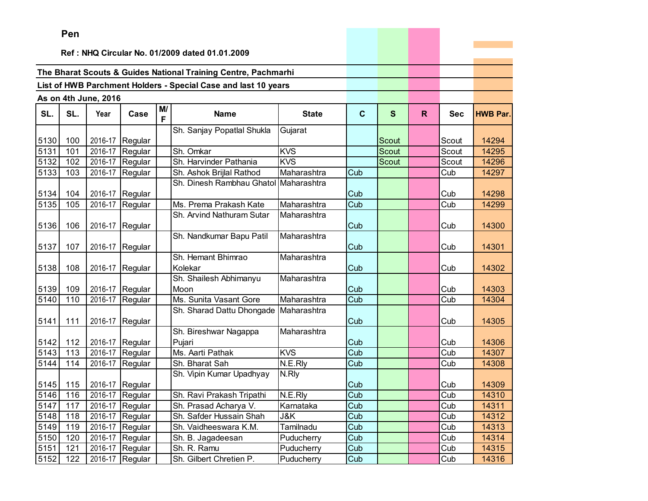# **P**

|      | Pen |                      |                 |    |                                                                |              |             |              |              |            |                 |
|------|-----|----------------------|-----------------|----|----------------------------------------------------------------|--------------|-------------|--------------|--------------|------------|-----------------|
|      |     |                      |                 |    | Ref: NHQ Circular No. 01/2009 dated 01.01.2009                 |              |             |              |              |            |                 |
|      |     |                      |                 |    |                                                                |              |             |              |              |            |                 |
|      |     |                      |                 |    | The Bharat Scouts & Guides National Training Centre, Pachmarhi |              |             |              |              |            |                 |
|      |     |                      |                 |    | List of HWB Parchment Holders - Special Case and last 10 years |              |             |              |              |            |                 |
|      |     | As on 4th June, 2016 |                 |    |                                                                |              |             |              |              |            |                 |
|      |     |                      |                 | M/ |                                                                |              |             |              |              |            |                 |
| SL.  | SL. | Year                 | Case            | F  | <b>Name</b>                                                    | <b>State</b> | $\mathbf c$ | $\mathbf{s}$ | $\mathsf{R}$ | <b>Sec</b> | <b>HWB Par.</b> |
|      |     |                      |                 |    | Sh. Sanjay Popatlal Shukla                                     | Gujarat      |             |              |              |            |                 |
| 5130 | 100 | 2016-17              | Regular         |    |                                                                |              |             | Scout        |              | Scout      | 14294           |
| 5131 | 101 | 2016-17              | Regular         |    | Sh. Omkar                                                      | <b>KVS</b>   |             | <b>Scout</b> |              | Scout      | 14295           |
| 5132 | 102 | 2016-17              | Regular         |    | Sh. Harvinder Pathania                                         | <b>KVS</b>   |             | Scout        |              | Scout      | 14296           |
| 5133 | 103 | 2016-17              | Regular         |    | Sh. Ashok Brijlal Rathod                                       | Maharashtra  | Cub         |              |              | Cub        | 14297           |
| 5134 | 104 | 2016-17              | Regular         |    | Sh. Dinesh Rambhau Ghatol Maharashtra                          |              | Cub         |              |              | Cub        | 14298           |
| 5135 | 105 | 2016-17              | Regular         |    | Ms. Prema Prakash Kate                                         | Maharashtra  | Cub         |              |              | Cub        | 14299           |
|      |     |                      |                 |    | Sh. Arvind Nathuram Sutar                                      | Maharashtra  |             |              |              |            |                 |
| 5136 | 106 | 2016-17              | Regular         |    |                                                                |              | Cub         |              |              | Cub        | 14300           |
| 5137 | 107 | 2016-17              | Regular         |    | Sh. Nandkumar Bapu Patil                                       | Maharashtra  | Cub         |              |              | Cub        | 14301           |
|      |     |                      |                 |    | Sh. Hemant Bhimrao                                             | Maharashtra  |             |              |              |            |                 |
| 5138 | 108 | 2016-17              | Regular         |    | Kolekar                                                        |              | Cub         |              |              | Cub        | 14302           |
|      |     |                      |                 |    | Sh. Shailesh Abhimanyu                                         | Maharashtra  |             |              |              |            |                 |
| 5139 | 109 |                      | 2016-17 Regular |    | Moon                                                           |              | Cub         |              |              | Cub        | 14303           |
| 5140 | 110 | 2016-17              | Regular         |    | Ms. Sunita Vasant Gore                                         | Maharashtra  | Cub         |              |              | Cub        | 14304           |
| 5141 | 111 | 2016-17              | Regular         |    | Sh. Sharad Dattu Dhongade                                      | Maharashtra  | Cub         |              |              | Cub        | 14305           |
|      |     |                      |                 |    | Sh. Bireshwar Nagappa                                          | Maharashtra  |             |              |              |            |                 |
| 5142 | 112 |                      | 2016-17 Regular |    | Pujari                                                         |              | Cub         |              |              | Cub        | 14306           |
| 5143 | 113 | 2016-17              | Regular         |    | Ms. Aarti Pathak                                               | <b>KVS</b>   | Cub         |              |              | Cub        | 14307           |
| 5144 | 114 | 2016-17              | Regular         |    | Sh. Bharat Sah                                                 | N.E.Rly      | Cub         |              |              | Cub        | 14308           |
|      |     |                      |                 |    | Sh. Vipin Kumar Upadhyay                                       | N.Rly        |             |              |              |            |                 |
| 5145 | 115 | 2016-17              | Regular         |    |                                                                |              | Cub         |              |              | Cub        | 14309           |
| 5146 | 116 |                      | 2016-17 Regular |    | Sh. Ravi Prakash Tripathi                                      | N.E.Rly      | Cub         |              |              | Cub        | 14310           |
| 5147 | 117 |                      | 2016-17 Regular |    | Sh. Prasad Acharya V.                                          | Karnataka    | Cub         |              |              | Cub        | 14311           |
| 5148 | 118 |                      | 2016-17 Regular |    | Sh. Safder Hussain Shah                                        | J&K          | Cub         |              |              | Cub        | 14312           |
| 5149 | 119 | 2016-17              | Regular         |    | Sh. Vaidheeswara K.M.                                          | Tamilnadu    | Cub         |              |              | Cub        | 14313           |
| 5150 | 120 | 2016-17              | Regular         |    | Sh. B. Jagadeesan                                              | Puducherry   | Cub         |              |              | Cub        | 14314           |
| 5151 | 121 | 2016-17              | Regular         |    | Sh. R. Ramu                                                    | Puducherry   | Cub         |              |              | Cub        | 14315           |
| 5152 | 122 |                      | 2016-17 Regular |    | Sh. Gilbert Chretien P.                                        | Puducherry   | Cub         |              |              | Cub        | 14316           |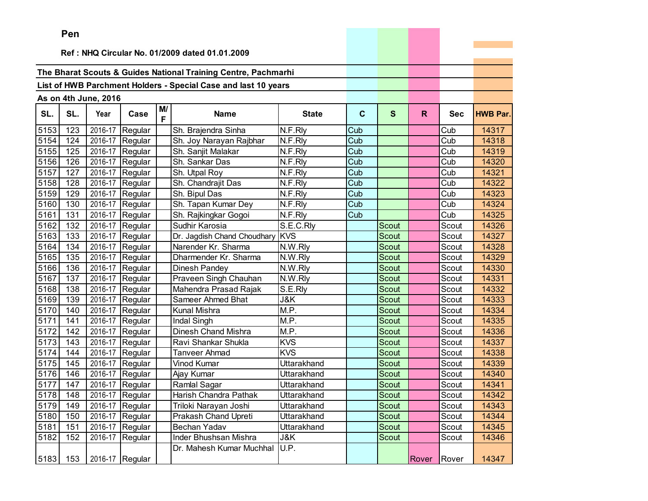|      | Pen      |                      |                 |         |                                                                |              |             |              |       |            |                 |
|------|----------|----------------------|-----------------|---------|----------------------------------------------------------------|--------------|-------------|--------------|-------|------------|-----------------|
|      |          |                      |                 |         |                                                                |              |             |              |       |            |                 |
|      |          |                      |                 |         | Ref: NHQ Circular No. 01/2009 dated 01.01.2009                 |              |             |              |       |            |                 |
|      |          |                      |                 |         | The Bharat Scouts & Guides National Training Centre, Pachmarhi |              |             |              |       |            |                 |
|      |          |                      |                 |         | List of HWB Parchment Holders - Special Case and last 10 years |              |             |              |       |            |                 |
|      |          |                      |                 |         |                                                                |              |             |              |       |            |                 |
|      |          | As on 4th June, 2016 |                 |         |                                                                |              |             |              |       |            |                 |
| SL.  | SL.      | Year                 | Case            | M/<br>F | <b>Name</b>                                                    | <b>State</b> | $\mathbf c$ | $\mathbf{s}$ | R.    | <b>Sec</b> | <b>HWB Par.</b> |
| 5153 | 123      |                      | 2016-17 Regular |         | Sh. Brajendra Sinha                                            | N.F.Rly      | Cub         |              |       | Cub        | 14317           |
| 5154 | 124      |                      | 2016-17 Regular |         | Sh. Joy Narayan Rajbhar                                        | N.F.Rly      | Cub         |              |       | Cub        | 14318           |
| 5155 | 125      |                      | 2016-17 Regular |         | Sh. Sanjit Malakar                                             | N.F.Rly      | Cub         |              |       | Cub        | 14319           |
| 5156 | 126      |                      | 2016-17 Regular |         | Sh. Sankar Das                                                 | N.F.Rly      | Cub         |              |       | Cub        | 14320           |
| 5157 | 127      | 2016-17              | Regular         |         | Sh. Utpal Roy                                                  | N.F.Rly      | Cub         |              |       | Cub        | 14321           |
| 5158 | 128      |                      | 2016-17 Regular |         | Sh. Chandrajit Das                                             | N.F.Rly      | Cub         |              |       | Cub        | 14322           |
| 5159 | 129      |                      | 2016-17 Regular |         | Sh. Bipul Das                                                  | N.F.Rly      | Cub         |              |       | Cub        | 14323           |
| 5160 | 130      |                      | 2016-17 Regular |         | Sh. Tapan Kumar Dey                                            | N.F.Rly      | Cub         |              |       | Cub        | 14324           |
| 5161 | 131      |                      | 2016-17 Regular |         | Sh. Rajkingkar Gogoi                                           | N.F.Rly      | Cub         |              |       | Cub        | 14325           |
| 5162 | 132      | 2016-17              | Regular         |         | Sudhir Karosia                                                 | S.E.C.Rly    |             | Scout        |       | Scout      | 14326           |
| 5163 | 133      | 2016-17              | Regular         |         | Dr. Jagdish Chand Choudhary                                    | <b>KVS</b>   |             | <b>Scout</b> |       | Scout      | 14327           |
| 5164 | 134      |                      | 2016-17 Regular |         | Narender Kr. Sharma                                            | N.W.Rly      |             | Scout        |       | Scout      | 14328           |
| 5165 | 135      |                      | 2016-17 Regular |         | Dharmender Kr. Sharma                                          | N.W.Rly      |             | <b>Scout</b> |       | Scout      | 14329           |
| 5166 | 136      |                      | 2016-17 Regular |         | Dinesh Pandey                                                  | N.W.Rly      |             | Scout        |       | Scout      | 14330           |
| 5167 | 137      |                      | 2016-17 Regular |         | Praveen Singh Chauhan                                          | N.W.Rly      |             | <b>Scout</b> |       | Scout      | 14331           |
| 5168 | 138      |                      | 2016-17 Regular |         | Mahendra Prasad Rajak                                          | S.E.Rly      |             | Scout        |       | Scout      | 14332           |
| 5169 | 139      |                      | 2016-17 Regular |         | Sameer Ahmed Bhat                                              | J&K          |             | Scout        |       | Scout      | 14333           |
| 5170 | 140      |                      | 2016-17 Regular |         | <b>Kunal Mishra</b>                                            | M.P.         |             | Scout        |       | Scout      | 14334           |
| 5171 | 141      |                      | 2016-17 Regular |         | Indal Singh                                                    | M.P.         |             | <b>Scout</b> |       | Scout      | 14335           |
| 5172 | 142      |                      | 2016-17 Regular |         | Dinesh Chand Mishra                                            | M.P.         |             | Scout        |       | Scout      | 14336           |
| 5173 | 143      |                      | 2016-17 Regular |         | Ravi Shankar Shukla                                            | <b>KVS</b>   |             | Scout        |       | Scout      | 14337           |
| 5174 | 144      | 2016-17              | Regular         |         | Tanveer Ahmad                                                  | <b>KVS</b>   |             | Scout        |       | Scout      | 14338           |
| 5175 | 145      | 2016-17              | Regular         |         | <b>Vinod Kumar</b>                                             | Uttarakhand  |             | Scout        |       | Scout      | 14339           |
| 5176 | 146      | 2016-17              | Regular         |         | Ajay Kumar                                                     | Uttarakhand  |             | Scout        |       | Scout      | 14340           |
| 5177 | 147      |                      | 2016-17 Regular |         | Ramlal Sagar                                                   | Uttarakhand  |             | Scout        |       | Scout      | 14341           |
|      | 5178 148 |                      | 2016-17 Regular |         | Harish Chandra Pathak                                          | Uttarakhand  |             | Scout        |       | Scout      | 14342           |
| 5179 | 149      |                      | 2016-17 Regular |         | Triloki Narayan Joshi                                          | Uttarakhand  |             | Scout        |       | Scout      | 14343           |
| 5180 | 150      |                      | 2016-17 Regular |         | Prakash Chand Upreti                                           | Uttarakhand  |             | Scout        |       | Scout      | 14344           |
| 5181 | 151      |                      | 2016-17 Regular |         | Bechan Yadav                                                   | Uttarakhand  |             | Scout        |       | Scout      | 14345           |
| 5182 | 152      | 2016-17              | Regular         |         | Inder Bhushsan Mishra                                          | J&K          |             | Scout        |       | Scout      | 14346           |
|      | 153      |                      |                 |         | Dr. Mahesh Kumar Muchhal                                       | U.P.         |             |              |       |            | 14347           |
| 5183 |          |                      | 2016-17 Regular |         |                                                                |              |             |              | Rover | Rover      |                 |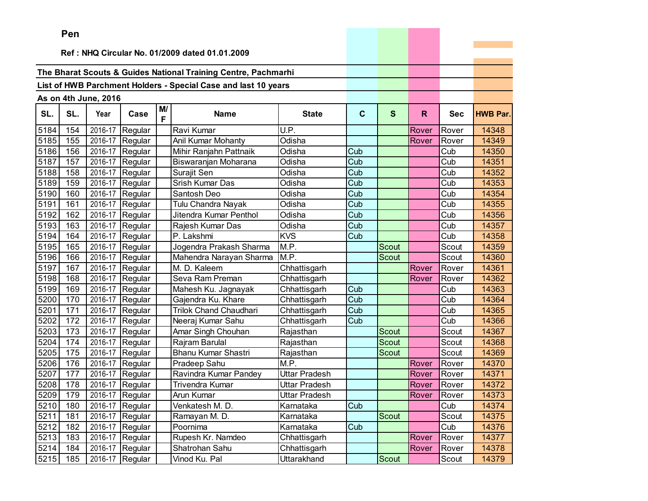|      | Pen |                      |                          |         |                                                                |                      |     |              |              |            |                 |
|------|-----|----------------------|--------------------------|---------|----------------------------------------------------------------|----------------------|-----|--------------|--------------|------------|-----------------|
|      |     |                      |                          |         |                                                                |                      |     |              |              |            |                 |
|      |     |                      |                          |         | Ref: NHQ Circular No. 01/2009 dated 01.01.2009                 |                      |     |              |              |            |                 |
|      |     |                      |                          |         | The Bharat Scouts & Guides National Training Centre, Pachmarhi |                      |     |              |              |            |                 |
|      |     |                      |                          |         |                                                                |                      |     |              |              |            |                 |
|      |     |                      |                          |         | List of HWB Parchment Holders - Special Case and last 10 years |                      |     |              |              |            |                 |
|      |     | As on 4th June, 2016 |                          |         |                                                                |                      |     |              |              |            |                 |
| SL.  | SL. | Year                 | Case                     | M/<br>F | <b>Name</b>                                                    | <b>State</b>         | C   | S            | $\mathsf{R}$ | <b>Sec</b> | <b>HWB Par.</b> |
| 5184 | 154 |                      | 2016-17 Regular          |         | Ravi Kumar                                                     | U.P.                 |     |              | Rover        | Rover      | 14348           |
| 5185 | 155 |                      | 2016-17 Regular          |         | Anil Kumar Mohanty                                             | Odisha               |     |              | Rover        | Rover      | 14349           |
| 5186 | 156 | 2016-17              | Regular                  |         | Mihir Ranjahn Pattnaik                                         | Odisha               | Cub |              |              | Cub        | 14350           |
| 5187 | 157 | 2016-17              | Regular                  |         | Biswaranjan Moharana                                           | Odisha               | Cub |              |              | Cub        | 14351           |
| 5188 | 158 |                      | 2016-17 Regular          |         | Surajit Sen                                                    | <b>Odisha</b>        | Cub |              |              | Cub        | 14352           |
| 5189 | 159 |                      | 2016-17 Regular          |         | Srish Kumar Das                                                | Odisha               | Cub |              |              | Cub        | 14353           |
| 5190 | 160 |                      | 2016-17 Regular          |         | Santosh Deo                                                    | Odisha               | Cub |              |              | Cub        | 14354           |
| 5191 | 161 |                      | 2016-17 Regular          |         | Tulu Chandra Nayak                                             | Odisha               | Cub |              |              | Cub        | 14355           |
| 5192 | 162 | 2016-17              | Regular                  |         | Jitendra Kumar Penthol                                         | Odisha               | Cub |              |              | Cub        | 14356           |
| 5193 | 163 | 2016-17              | Regular                  |         | Rajesh Kumar Das                                               | Odisha               | Cub |              |              | Cub        | 14357           |
| 5194 | 164 | 2016-17              | Regular                  |         | P. Lakshmi                                                     | <b>KVS</b>           | Cub |              |              | Cub        | 14358           |
| 5195 | 165 |                      | 2016-17 Regular          |         | Jogendra Prakash Sharma                                        | M.P.                 |     | Scout        |              | Scout      | 14359           |
| 5196 | 166 |                      | 2016-17 Regular          |         | Mahendra Narayan Sharma                                        | M.P.                 |     | <b>Scout</b> |              | Scout      | 14360           |
| 5197 | 167 |                      | 2016-17 Regular          |         | M. D. Kaleem                                                   | Chhattisgarh         |     |              | Rover        | Rover      | 14361           |
| 5198 | 168 |                      | 2016-17 Regular          |         | Seva Ram Preman                                                | Chhattisgarh         |     |              | Rover        | Rover      | 14362           |
| 5199 | 169 | 2016-17              | Regular                  |         | Mahesh Ku. Jagnayak                                            | Chhattisgarh         | Cub |              |              | Cub        | 14363           |
| 5200 | 170 | 2016-17              | Regular                  |         | Gajendra Ku. Khare                                             | Chhattisgarh         | Cub |              |              | Cub        | 14364           |
| 5201 | 171 |                      | 2016-17 Regular          |         | <b>Trilok Chand Chaudhari</b>                                  | Chhattisgarh         | Cub |              |              | Cub        | 14365           |
| 5202 | 172 |                      | 2016-17 Regular          |         | Neeraj Kumar Sahu                                              | Chhattisgarh         | Cub |              |              | Cub        | 14366           |
| 5203 | 173 |                      | 2016-17 Regular          |         | Amar Singh Chouhan                                             | Rajasthan            |     | Scout        |              | Scout      | 14367           |
| 5204 | 174 |                      | 2016-17 Regular          |         | Rajram Barulal                                                 | Rajasthan            |     | <b>Scout</b> |              | Scout      | 14368           |
| 5205 | 175 | 2016-17              | Regular                  |         | <b>Bhanu Kumar Shastri</b>                                     | Rajasthan            |     | Scout        |              | Scout      | 14369           |
| 5206 | 176 | 2016-17              | Regular                  |         | Pradeep Sahu                                                   | M.P.                 |     |              | Rover        | Rover      | 14370           |
| 5207 | 177 | 2016-17              | Regular                  |         | Ravindra Kumar Pandey                                          | <b>Uttar Pradesh</b> |     |              | Rover        | Rover      | 14371           |
| 5208 | 178 |                      | 2016-17 Regular          |         | Trivendra Kumar                                                | Uttar Pradesh        |     |              | Rover        | Rover      | 14372           |
|      |     |                      | 5209 179 2016-17 Regular |         | <b>Arun Kumar</b>                                              | <b>Uttar Pradesh</b> |     |              | Rover        | Rover      | 14373           |
| 5210 | 180 |                      | 2016-17 Regular          |         | Venkatesh M. D.                                                | Karnataka            | Cub |              |              | Cub        | 14374           |
| 5211 | 181 |                      | 2016-17 Regular          |         | Ramayan M.D.                                                   | Karnataka            |     | Scout        |              | Scout      | 14375           |
| 5212 | 182 | 2016-17              | Regular                  |         | Poornima                                                       | Karnataka            | Cub |              |              | Cub        | 14376           |
| 5213 | 183 | 2016-17              | Regular                  |         | Rupesh Kr. Namdeo                                              | Chhattisgarh         |     |              | Rover        | Rover      | 14377           |
| 5214 | 184 |                      | 2016-17 Regular          |         | Shatrohan Sahu                                                 | Chhattisgarh         |     |              | Rover        | Rover      | 14378           |
| 5215 | 185 | 2016-17              | Regular                  |         | Vinod Ku. Pal                                                  | Uttarakhand          |     | Scout        |              | Scout      | 14379           |